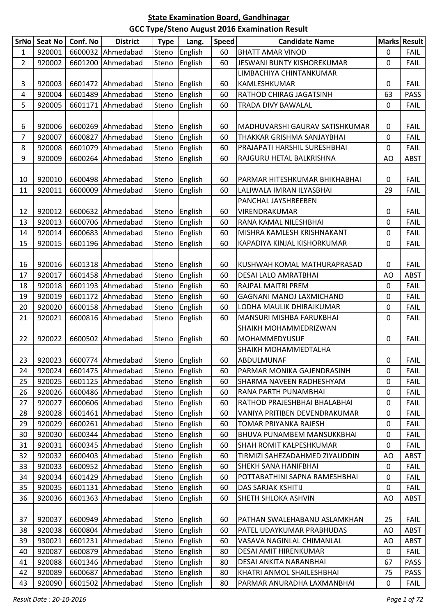| <b>SrNo</b>    | <b>Seat No</b> | Conf. No | <b>District</b>            | <b>Type</b> | Lang.         | <b>Speed</b> | <b>Candidate Name</b>             |             | Marks Result |
|----------------|----------------|----------|----------------------------|-------------|---------------|--------------|-----------------------------------|-------------|--------------|
| 1              | 920001         | 6600032  | Ahmedabad                  | Steno       | English       | 60           | <b>BHATT AMAR VINOD</b>           | 0           | <b>FAIL</b>  |
| $\overline{2}$ | 920002         |          | 6601200 Ahmedabad          | Steno       | English       | 60           | JESWANI BUNTY KISHOREKUMAR        | $\mathbf 0$ | <b>FAIL</b>  |
|                |                |          |                            |             |               |              | LIMBACHIYA CHINTANKUMAR           |             |              |
| 3              | 920003         |          | 6601472 Ahmedabad          | Steno       | English       | 60           | KAMLESHKUMAR                      | 0           | <b>FAIL</b>  |
| 4              | 920004         |          | 6601489 Ahmedabad          | Steno       | English       | 60           | RATHOD CHIRAG JAGATSINH           | 63          | <b>PASS</b>  |
| 5              | 920005         | 6601171  | Ahmedabad                  | Steno       | English       | 60           | TRADA DIVY BAWALAL                | $\pmb{0}$   | <b>FAIL</b>  |
|                |                |          |                            |             |               |              |                                   |             |              |
| 6              | 920006         |          | 6600269 Ahmedabad          | Steno       | English       | 60           | MADHUVARSHI GAURAV SATISHKUMAR    | 0           | <b>FAIL</b>  |
| 7              | 920007         | 6600827  | Ahmedabad                  | Steno       | English       | 60           | THAKKAR GRISHMA SANJAYBHAI        | 0           | <b>FAIL</b>  |
| 8              | 920008         | 6601079  | Ahmedabad                  | Steno       | English       | 60           | PRAJAPATI HARSHIL SURESHBHAI      | 0           | <b>FAIL</b>  |
| 9              | 920009         | 6600264  | Ahmedabad                  | Steno       | English       | 60           | RAJGURU HETAL BALKRISHNA          | AO          | <b>ABST</b>  |
|                |                |          |                            |             |               |              |                                   |             |              |
| 10             | 920010         |          | 6600498 Ahmedabad          | Steno       | English       | 60           | PARMAR HITESHKUMAR BHIKHABHAI     | 0           | <b>FAIL</b>  |
| 11             | 920011         | 6600009  | Ahmedabad                  | Steno       | English       | 60           | LALIWALA IMRAN ILYASBHAI          | 29          | <b>FAIL</b>  |
|                |                |          |                            |             |               |              | PANCHAL JAYSHREEBEN               |             |              |
| 12             | 920012         | 6600632  | Ahmedabad                  | Steno       | English       | 60           | VIRENDRAKUMAR                     | 0           | <b>FAIL</b>  |
| 13             | 920013         |          | 6600706 Ahmedabad          | Steno       | English       | 60           | RANA KAMAL NILESHBHAI             | 0           | <b>FAIL</b>  |
| 14             | 920014         |          | 6600683 Ahmedabad          | Steno       | English       | 60           | MISHRA KAMLESH KRISHNAKANT        | 0           | <b>FAIL</b>  |
| 15             | 920015         | 6601196  | Ahmedabad                  | Steno       | English       | 60           | KAPADIYA KINJAL KISHORKUMAR       | 0           | FAIL         |
|                |                |          |                            |             |               |              |                                   |             |              |
| 16             | 920016         |          | 6601318 Ahmedabad          | Steno       | English       | 60           | KUSHWAH KOMAL MATHURAPRASAD       | 0           | <b>FAIL</b>  |
| 17             | 920017         |          | 6601458 Ahmedabad          | Steno       | English       | 60           | DESAI LALO AMRATBHAI              | AO          | <b>ABST</b>  |
| 18             | 920018         |          | 6601193 Ahmedabad          | Steno       | English       | 60           | RAJPAL MAITRI PREM                | 0           | <b>FAIL</b>  |
| 19             | 920019         |          | 6601172 Ahmedabad          | Steno       | English       | 60           | GAGNANI MANOJ LAXMICHAND          | 0           | <b>FAIL</b>  |
| 20             | 920020         |          | 6600158 Ahmedabad          | Steno       | English       | 60           | LODHA MAULIK DHIRAJKUMAR          | 0           | <b>FAIL</b>  |
| 21             | 920021         |          | 6600816 Ahmedabad          | Steno       | English       | 60           | MANSURI MISHBA FARUKBHAI          | $\mathbf 0$ | <b>FAIL</b>  |
|                |                |          |                            |             |               |              | SHAIKH MOHAMMEDRIZWAN             |             |              |
| 22             | 920022         |          | 6600502 Ahmedabad          | Steno       | English       | 60           | MOHAMMEDYUSUF                     | 0           | <b>FAIL</b>  |
|                |                |          |                            |             |               |              | SHAIKH MOHAMMEDTALHA              |             |              |
| 23             |                |          | 920023   6600774 Ahmedabad |             | Steno English | 60           | ABDULMUNAF                        | 0           | <b>FAIL</b>  |
| 24             | 920024         |          | 6601475 Ahmedabad          | Steno       | English       | 60           | PARMAR MONIKA GAJENDRASINH        | $\mathbf 0$ | <b>FAIL</b>  |
| 25             | 920025         |          | 6601125 Ahmedabad          | Steno       | English       | 60           | <b>SHARMA NAVEEN RADHESHYAM</b>   | 0           | <b>FAIL</b>  |
| 26             | 920026         |          | 6600486 Ahmedabad          | Steno       | English       | 60           | RANA PARTH PUNAMBHAI              | 0           | <b>FAIL</b>  |
| 27             | 920027         |          | 6600606 Ahmedabad          | Steno       | English       | 60           | RATHOD PRAJESHBHAI BHALABHAI      | 0           | <b>FAIL</b>  |
| 28             | 920028         |          | 6601461 Ahmedabad          | Steno       | English       | 60           | VANIYA PRITIBEN DEVENDRAKUMAR     | 0           | <b>FAIL</b>  |
| 29             | 920029         |          | 6600261 Ahmedabad          | Steno       | English       | 60           | TOMAR PRIYANKA RAJESH             | 0           | <b>FAIL</b>  |
| 30             | 920030         |          | 6600344 Ahmedabad          | Steno       | English       | 60           | <b>BHUVA PUNAMBEM MANSUKKBHAI</b> | 0           | <b>FAIL</b>  |
| 31             | 920031         |          | 6600345 Ahmedabad          | Steno       | English       | 60           | <b>SHAH ROMIT KALPESHKUMAR</b>    | $\mathbf 0$ | <b>FAIL</b>  |
| 32             | 920032         |          | 6600403 Ahmedabad          | Steno       | English       | 60           | TIRMIZI SAHEZADAHMED ZIYAUDDIN    | AO          | <b>ABST</b>  |
| 33             | 920033         |          | 6600952 Ahmedabad          | Steno       | English       | 60           | <b>SHEKH SANA HANIFBHAI</b>       | 0           | <b>FAIL</b>  |
| 34             | 920034         |          | 6601429 Ahmedabad          | Steno       | English       | 60           | POTTABATHINI SAPNA RAMESHBHAI     | 0           | <b>FAIL</b>  |
| 35             | 920035         | 6601131  | Ahmedabad                  | Steno       | English       | 60           | DAS SARJAK KSHITIJ                | 0           | <b>FAIL</b>  |
| 36             | 920036         |          | 6601363 Ahmedabad          | Steno       | English       | 60           | SHETH SHLOKA ASHVIN               | AO          | <b>ABST</b>  |
|                |                |          |                            |             |               |              |                                   |             |              |
| 37             | 920037         |          | 6600949 Ahmedabad          | Steno       | English       | 60           | PATHAN SWALEHABANU ASLAMKHAN      | 25          | <b>FAIL</b>  |
| 38             | 920038         | 6600804  | Ahmedabad                  | Steno       | English       | 60           | PATEL UDAYKUMAR PRABHUDAS         | AO          | <b>ABST</b>  |
| 39             | 930021         | 6601231  | Ahmedabad                  | Steno       | English       | 60           | VASAVA NAGINLAL CHIMANLAL         | AO          | <b>ABST</b>  |
| 40             | 920087         |          | 6600879 Ahmedabad          | Steno       | English       | 80           | DESAI AMIT HIRENKUMAR             | 0           | <b>FAIL</b>  |
| 41             | 920088         |          | 6601346 Ahmedabad          | Steno       | English       | 80           | DESAI ANKITA NARANBHAI            | 67          | <b>PASS</b>  |
| 42             | 920089         |          | 6600687 Ahmedabad          | Steno       | English       | 80           | KHATRI ANMOL SHAILESHBHAI         | 75          | <b>PASS</b>  |
| 43             | 920090         | 6601502  | Ahmedabad                  | Steno       | English       | 80           | PARMAR ANURADHA LAXMANBHAI        | 0           | <b>FAIL</b>  |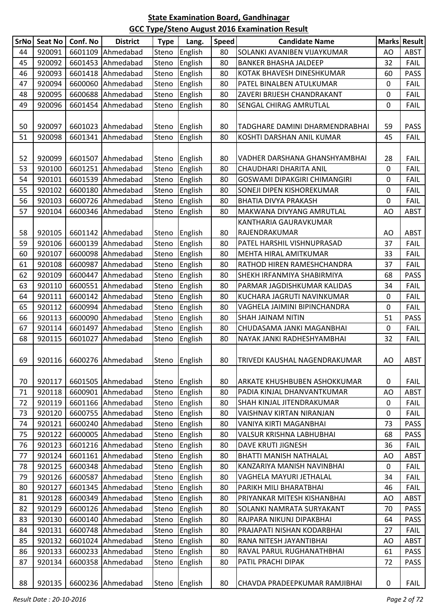| <b>SrNo</b> | <b>Seat No</b> | Conf. No | <b>District</b>            | <b>Type</b>    | Lang.              | <b>Speed</b> | <b>Candidate Name</b>                                 |           | Marks Result |
|-------------|----------------|----------|----------------------------|----------------|--------------------|--------------|-------------------------------------------------------|-----------|--------------|
| 44          | 920091         | 6601109  | Ahmedabad                  | Steno          | English            | 80           | SOLANKI AVANIBEN VIJAYKUMAR                           | AO        | <b>ABST</b>  |
| 45          | 920092         | 6601453  | Ahmedabad                  | Steno          | English            | 80           | <b>BANKER BHASHA JALDEEP</b>                          | 32        | <b>FAIL</b>  |
| 46          | 920093         |          | 6601418 Ahmedabad          | Steno          | English            | 80           | KOTAK BHAVESH DINESHKUMAR                             | 60        | <b>PASS</b>  |
| 47          | 920094         | 6600060  | Ahmedabad                  | Steno          | English            | 80           | PATEL BINALBEN ATULKUMAR                              | 0         | <b>FAIL</b>  |
| 48          | 920095         | 6600688  | Ahmedabad                  | Steno          | English            | 80           | ZAVERI BRIJESH CHANDRAKANT                            | 0         | <b>FAIL</b>  |
| 49          | 920096         | 6601454  | Ahmedabad                  | Steno          | English            | 80           | SENGAL CHIRAG AMRUTLAL                                | 0         | <b>FAIL</b>  |
|             |                |          |                            |                |                    |              |                                                       |           |              |
| 50          | 920097         |          | 6601023 Ahmedabad          | Steno          | English            | 80           | TADGHARE DAMINI DHARMENDRABHAI                        | 59        | <b>PASS</b>  |
| 51          | 920098         | 6601341  | Ahmedabad                  | Steno          | English            | 80           | KOSHTI DARSHAN ANIL KUMAR                             | 45        | <b>FAIL</b>  |
|             |                |          |                            |                |                    |              |                                                       |           |              |
| 52          | 920099         | 6601507  | Ahmedabad                  | Steno          | English            | 80           | VADHER DARSHANA GHANSHYAMBHAI                         | 28        | <b>FAIL</b>  |
| 53          | 920100         |          | 6601251 Ahmedabad          | Steno          | English            | 80           | CHAUDHARI DHARITA ANIL                                | 0         | <b>FAIL</b>  |
| 54          | 920101         |          | 6601539 Ahmedabad          | Steno          | English            | 80           | <b>GOSWAMI DIPAKGIRI CHIMANGIRI</b>                   | 0         | <b>FAIL</b>  |
| 55          | 920102         |          | 6600180 Ahmedabad          | Steno          | English            | 80           | SONEJI DIPEN KISHOREKUMAR                             | 0         | <b>FAIL</b>  |
| 56          | 920103         | 6600726  | Ahmedabad                  | Steno          | English            | 80           | <b>BHATIA DIVYA PRAKASH</b>                           | 0         | <b>FAIL</b>  |
| 57          | 920104         | 6600346  | Ahmedabad                  | Steno          | English            | 80           | MAKWANA DIVYANG AMRUTLAL                              | AO        | <b>ABST</b>  |
|             |                |          |                            |                |                    |              | KANTHARIA GAURAVKUMAR                                 |           |              |
| 58          | 920105         |          | 6601142 Ahmedabad          | Steno          | English            | 80           | RAJENDRAKUMAR                                         | AO        | <b>ABST</b>  |
| 59          | 920106         |          | 6600139 Ahmedabad          | Steno          | English            | 80           | PATEL HARSHIL VISHNUPRASAD                            | 37        | FAIL         |
| 60          | 920107         | 6600098  | Ahmedabad                  | Steno          | English            | 80           | MEHTA HIRAL AMITKUMAR                                 | 33        | <b>FAIL</b>  |
| 61          | 920108         | 6600987  | Ahmedabad                  | Steno          | English            | 80           | RATHOD HIREN RAMESHCHANDRA                            | 37        | <b>FAIL</b>  |
| 62          | 920109         | 6600447  | Ahmedabad                  | Steno          | English            | 80           | SHEKH IRFANMIYA SHABIRMIYA                            | 68        | <b>PASS</b>  |
| 63          | 920110         | 6600551  | Ahmedabad                  | Steno          | English            | 80           | PARMAR JAGDISHKUMAR KALIDAS                           | 34        | <b>FAIL</b>  |
| 64          | 920111         | 6600142  | Ahmedabad                  | Steno          | English            | 80           | KUCHARA JAGRUTI NAVINKUMAR                            | 0         | <b>FAIL</b>  |
| 65          | 920112         | 6600994  | Ahmedabad                  | Steno          | English            | 80           | VAGHELA JAIMINI BIPINCHANDRA                          | 0         | <b>FAIL</b>  |
| 66          | 920113         | 6600090  | Ahmedabad                  | Steno          | English            | 80           | SHAH JAINAM NITIN                                     | 51        | <b>PASS</b>  |
| 67          | 920114         |          | 6601497 Ahmedabad          | Steno          | English            | 80           | CHUDASAMA JANKI MAGANBHAI                             | 0         | FAIL         |
| 68          | 920115         | 6601027  | Ahmedabad                  | Steno          | English            | 80           | NAYAK JANKI RADHESHYAMBHAI                            | 32        | <b>FAIL</b>  |
|             |                |          |                            |                |                    |              |                                                       |           |              |
| 69          |                |          | 920116   6600276 Ahmedabad |                | Steno English      | 80           | TRIVEDI KAUSHAL NAGENDRAKUMAR                         | AO        | ABST         |
|             |                |          |                            |                |                    |              |                                                       |           |              |
| 70          | 920117         |          | 6601505 Ahmedabad          | Steno          | English            | 80           | ARKATE KHUSHBUBEN ASHOKKUMAR                          | 0         | <b>FAIL</b>  |
| 71          | 920118         |          | 6600901 Ahmedabad          | Steno          | English            | 80           | PADIA KINJAL DHANVANTKUMAR                            | AO        | <b>ABST</b>  |
| 72          | 920119         |          | 6601166 Ahmedabad          | Steno          | English            | 80           | SHAH KINJAL JITENDRAKUMAR                             | $\pmb{0}$ | <b>FAIL</b>  |
| 73          | 920120         |          | 6600755 Ahmedabad          | Steno          | English            | 80           | VAISHNAV KIRTAN NIRANJAN                              | 0         | <b>FAIL</b>  |
| 74          | 920121         |          | 6600240 Ahmedabad          | Steno          | English            | 80           | VANIYA KIRTI MAGANBHAI                                | 73        | <b>PASS</b>  |
| 75          | 920122         | 6600005  | Ahmedabad                  | Steno          | English            | 80           | <b>VALSUR KRISHNA LABHUBHAI</b>                       | 68        | <b>PASS</b>  |
| 76          | 920123         |          | 6601216 Ahmedabad          | Steno          | English            | 80           | <b>DAVE KRUTI JIGNESH</b>                             | 36        | <b>FAIL</b>  |
| 77          | 920124         |          | 6601161 Ahmedabad          | Steno          | English            | 80           | <b>BHATTI MANISH NATHALAL</b>                         | AO        | <b>ABST</b>  |
| 78          | 920125         |          | 6600348 Ahmedabad          | Steno          | English            | 80           | KANZARIYA MANISH NAVINBHAI                            | 0         | <b>FAIL</b>  |
| 79          | 920126         |          | 6600587 Ahmedabad          | Steno          | English            | 80           | VAGHELA MAYURI JETHALAL                               | 34        | <b>FAIL</b>  |
| 80          | 920127         | 6601345  | Ahmedabad                  | Steno          | English            | 80           | PARIKH MILI BHARATBHAI                                | 46        | <b>FAIL</b>  |
| 81          | 920128         |          | 6600349 Ahmedabad          | Steno          | English            | 80           | PRIYANKAR MITESH KISHANBHAI                           | AO        | <b>ABST</b>  |
| 82          | 920129         |          | 6600126 Ahmedabad          |                |                    | 80           |                                                       | 70        | <b>PASS</b>  |
| 83          | 920130         |          | 6600140 Ahmedabad          | Steno<br>Steno | English<br>English | 80           | SOLANKI NAMRATA SURYAKANT<br>RAJPARA NIKUNJ DIPAKBHAI | 64        | <b>PASS</b>  |
|             | 920131         | 6600748  | Ahmedabad                  |                |                    | 80           | PRAJAPATI NISHAN KODARBHAI                            |           | <b>FAIL</b>  |
| 84<br>85    | 920132         | 6601024  | Ahmedabad                  | Steno          | English            |              | RANA NITESH JAYANTIBHAI                               | 27        | <b>ABST</b>  |
|             |                |          |                            | Steno          | English            | 80           |                                                       | AO        |              |
| 86          | 920133         |          | 6600233 Ahmedabad          | Steno          | English            | 80           | RAVAL PARUL RUGHANATHBHAI                             | 61        | <b>PASS</b>  |
| 87          | 920134         |          | 6600358 Ahmedabad          | Steno          | English            | 80           | PATIL PRACHI DIPAK                                    | 72        | <b>PASS</b>  |
| 88          | 920135         |          | 6600236 Ahmedabad          |                | Steno English      | 80           | CHAVDA PRADEEPKUMAR RAMJIBHAI                         | $\pmb{0}$ | <b>FAIL</b>  |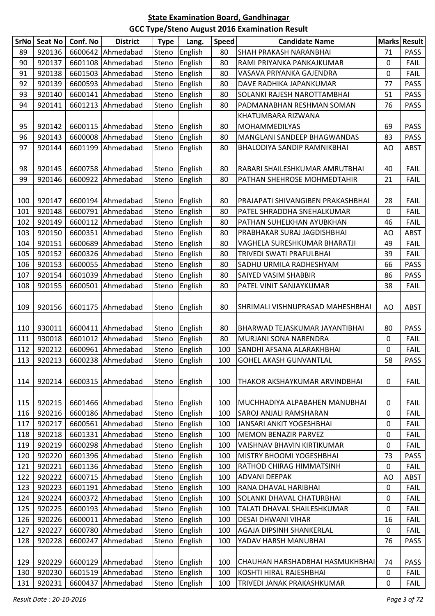| <b>SrNo</b> | <b>Seat No</b> | Conf. No | <b>District</b>   | <b>Type</b> | Lang.         | <b>Speed</b> | <b>Candidate Name</b>             |           | Marks Result |
|-------------|----------------|----------|-------------------|-------------|---------------|--------------|-----------------------------------|-----------|--------------|
| 89          | 920136         | 6600642  | Ahmedabad         | Steno       | English       | 80           | SHAH PRAKASH NARANBHAI            | 71        | <b>PASS</b>  |
| 90          | 920137         | 6601108  | Ahmedabad         | Steno       | English       | 80           | RAMI PRIYANKA PANKAJKUMAR         | 0         | <b>FAIL</b>  |
| 91          | 920138         |          | 6601503 Ahmedabad | Steno       | English       | 80           | VASAVA PRIYANKA GAJENDRA          | 0         | <b>FAIL</b>  |
| 92          | 920139         | 6600593  | Ahmedabad         | Steno       | English       | 80           | DAVE RADHIKA JAPANKUMAR           | 77        | <b>PASS</b>  |
| 93          | 920140         | 6600141  | Ahmedabad         | Steno       | English       | 80           | SOLANKI RAJESH NAROTTAMBHAI       | 51        | <b>PASS</b>  |
| 94          | 920141         | 6601213  | Ahmedabad         | Steno       | English       | 80           | PADMANABHAN RESHMAN SOMAN         | 76        | <b>PASS</b>  |
|             |                |          |                   |             |               |              | KHATUMBARA RIZWANA                |           |              |
| 95          | 920142         |          | 6600115 Ahmedabad | Steno       | English       | 80           | MOHAMMEDILYAS                     | 69        | <b>PASS</b>  |
| 96          | 920143         | 6600008  | Ahmedabad         | Steno       | English       | 80           | MANGLANI SANDEEP BHAGWANDAS       | 83        | <b>PASS</b>  |
| 97          | 920144         | 6601199  | Ahmedabad         | Steno       | English       | 80           | BHALODIYA SANDIP RAMNIKBHAI       | AO        | <b>ABST</b>  |
|             |                |          |                   |             |               |              |                                   |           |              |
| 98          | 920145         |          | 6600758 Ahmedabad | Steno       | English       | 80           | RABARI SHAILESHKUMAR AMRUTBHAI    | 40        | FAIL         |
| 99          | 920146         |          | 6600922 Ahmedabad | Steno       | English       | 80           | PATHAN SHEHROSE MOHMEDTAHIR       | 21        | FAIL         |
|             |                |          |                   |             |               |              |                                   |           |              |
| 100         | 920147         |          | 6600194 Ahmedabad | Steno       | English       | 80           | PRAJAPATI SHIVANGIBEN PRAKASHBHAI | 28        | <b>FAIL</b>  |
| 101         | 920148         | 6600791  | Ahmedabad         | Steno       | English       | 80           | PATEL SHRADDHA SNEHALKUMAR        | 0         | <b>FAIL</b>  |
| 102         | 920149         |          | 6600112 Ahmedabad | Steno       | English       | 80           | PATHAN SUHELKHAN AYUBKHAN         | 46        | <b>FAIL</b>  |
| 103         | 920150         | 6600351  | Ahmedabad         | Steno       | English       | 80           | PRABHAKAR SURAJ JAGDISHBHAI       | AO        | <b>ABST</b>  |
| 104         | 920151         |          | 6600689 Ahmedabad | Steno       | English       | 80           | VAGHELA SURESHKUMAR BHARATJI      | 49        | <b>FAIL</b>  |
| 105         | 920152         | 6600326  | Ahmedabad         | Steno       | English       | 80           | TRIVEDI SWATI PRAFULBHAI          | 39        | <b>FAIL</b>  |
| 106         | 920153         | 6600055  | Ahmedabad         | Steno       | English       | 80           | SADHU URMILA RADHESHYAM           | 66        | <b>PASS</b>  |
| 107         | 920154         |          | 6601039 Ahmedabad | Steno       | English       | 80           | SAIYED VASIM SHABBIR              | 86        | <b>PASS</b>  |
| 108         | 920155         | 6600501  | Ahmedabad         | Steno       | English       | 80           | PATEL VINIT SANJAYKUMAR           | 38        | <b>FAIL</b>  |
|             |                |          |                   |             |               |              |                                   |           |              |
| 109         | 920156         | 6601175  | Ahmedabad         | Steno       | English       | 80           | SHRIMALI VISHNUPRASAD MAHESHBHAI  | AO        | ABST         |
|             |                |          |                   |             |               |              |                                   |           |              |
| 110         | 930011         |          | 6600411 Ahmedabad | Steno       | English       | 80           | BHARWAD TEJASKUMAR JAYANTIBHAI    | 80        | <b>PASS</b>  |
| 111         | 930018         |          | 6601012 Ahmedabad | Steno       | English       | 80           | MURJANI SONA NARENDRA             | 0         | <b>FAIL</b>  |
| 112         | 920212         |          | 6600961 Ahmedabad | Steno       | English       | 100          | SANDHI AFSANA ALARAKHBHAI         | 0         | FAIL         |
| 113         | 920213         |          | 6600238 Ahmedabad |             | Steno English | 100          | <b>GOHEL AKASH GUNVANTLAL</b>     | 58        | <b>PASS</b>  |
|             |                |          |                   |             |               |              |                                   |           |              |
| 114         | 920214         | 6600315  | Ahmedabad         | Steno       | English       | 100          | THAKOR AKSHAYKUMAR ARVINDBHAI     | 0         | <b>FAIL</b>  |
|             |                |          |                   |             |               |              |                                   |           |              |
| 115         | 920215         |          | 6601466 Ahmedabad | Steno       | English       | 100          | MUCHHADIYA ALPABAHEN MANUBHAI     | 0         | <b>FAIL</b>  |
| 116         | 920216         |          | 6600186 Ahmedabad | Steno       | English       | 100          | SAROJ ANJALI RAMSHARAN            | 0         | <b>FAIL</b>  |
| 117         | 920217         |          | 6600561 Ahmedabad | Steno       | English       | 100          | JANSARI ANKIT YOGESHBHAI          | 0         | <b>FAIL</b>  |
| 118         | 920218         | 6601331  | Ahmedabad         | Steno       | English       | 100          | MEMON BENAZIR PARVEZ              | 0         | <b>FAIL</b>  |
| 119         | 920219         |          | 6600298 Ahmedabad | Steno       | English       | 100          | VAISHNAV BHAVIN KIRTIKUMAR        | 0         | <b>FAIL</b>  |
| 120         | 920220         |          | 6601396 Ahmedabad | Steno       | English       | 100          | MISTRY BHOOMI YOGESHBHAI          | 73        | <b>PASS</b>  |
| 121         | 920221         |          | 6601136 Ahmedabad | Steno       | English       | 100          | RATHOD CHIRAG HIMMATSINH          | 0         | <b>FAIL</b>  |
| 122         | 920222         |          | 6600715 Ahmedabad | Steno       | English       | 100          | ADVANI DEEPAK                     | AO        | <b>ABST</b>  |
| 123         | 920223         | 6601191  | Ahmedabad         | Steno       | English       | 100          | RANA DHAVAL HARIBHAI              | 0         | <b>FAIL</b>  |
| 124         | 920224         |          | 6600372 Ahmedabad | Steno       | English       | 100          | SOLANKI DHAVAL CHATURBHAI         | 0         | <b>FAIL</b>  |
| 125         | 920225         |          | 6600193 Ahmedabad | Steno       | English       | 100          | TALATI DHAVAL SHAILESHKUMAR       | 0         | <b>FAIL</b>  |
| 126         | 920226         |          | 6600011 Ahmedabad | Steno       | English       | 100          | DESAI DHWANI VIHAR                | 16        | <b>FAIL</b>  |
| 127         | 920227         | 6600780  | Ahmedabad         | Steno       | English       | 100          | AGAJA DIPSINH SHANKERLAL          | $\pmb{0}$ | <b>FAIL</b>  |
| 128         | 920228         | 6600247  | Ahmedabad         | Steno       | English       | 100          | YADAV HARSH MANUBHAI              | 76        | <b>PASS</b>  |
|             |                |          |                   |             |               |              |                                   |           |              |
| 129         | 920229         |          | 6600129 Ahmedabad | Steno       | English       | 100          | CHAUHAN HARSHADBHAI HASMUKHBHAI   | 74        | <b>PASS</b>  |
| 130         | 920230         |          | 6601519 Ahmedabad | Steno       | English       | 100          | KOSHTI HIRAL RAJESHBHAI           | 0         | <b>FAIL</b>  |
| 131         | 920231         | 6600437  | Ahmedabad         | Steno       | English       | 100          | TRIVEDI JANAK PRAKASHKUMAR        | 0         | <b>FAIL</b>  |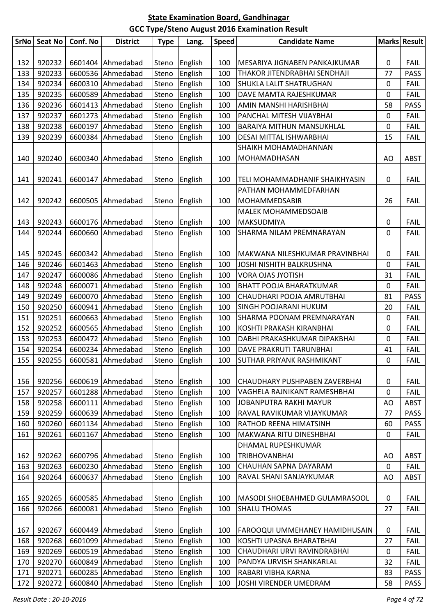|     | SrNo Seat No | Conf. No | <b>District</b>   | <b>Type</b> | Lang.         | <b>Speed</b> | <b>Candidate Name</b>          |             | Marks Result |
|-----|--------------|----------|-------------------|-------------|---------------|--------------|--------------------------------|-------------|--------------|
|     |              |          |                   |             |               |              |                                |             |              |
| 132 | 920232       |          | 6601404 Ahmedabad | Steno       | English       | 100          | MESARIYA JIGNABEN PANKAJKUMAR  | 0           | <b>FAIL</b>  |
| 133 | 920233       |          | 6600536 Ahmedabad | Steno       | English       | 100          | THAKOR JITENDRABHAI SENDHAJI   | 77          | <b>PASS</b>  |
| 134 | 920234       |          | 6600310 Ahmedabad | Steno       | English       | 100          | <b>SHUKLA LALIT SHATRUGHAN</b> | 0           | <b>FAIL</b>  |
| 135 | 920235       |          | 6600589 Ahmedabad | Steno       | English       | 100          | DAVE MAMTA RAJESHKUMAR         | 0           | <b>FAIL</b>  |
| 136 | 920236       |          | 6601413 Ahmedabad | Steno       | English       | 100          | AMIN MANSHI HARISHBHAI         | 58          | <b>PASS</b>  |
| 137 | 920237       |          | 6601273 Ahmedabad | Steno       | English       | 100          | PANCHAL MITESH VIJAYBHAI       | 0           | <b>FAIL</b>  |
| 138 | 920238       |          | 6600197 Ahmedabad | Steno       | English       | 100          | BARAIYA MITHUN MANSUKHLAL      | 0           | <b>FAIL</b>  |
| 139 | 920239       | 6600384  | Ahmedabad         | Steno       | English       | 100          | DESAI MITTAL ISHWARBHAI        | 15          | <b>FAIL</b>  |
|     |              |          |                   |             |               |              | SHAIKH MOHAMADHANNAN           |             |              |
| 140 | 920240       |          | 6600340 Ahmedabad | Steno       | English       | 100          | MOHAMADHASAN                   | AO          | <b>ABST</b>  |
|     |              |          |                   |             |               |              |                                |             |              |
| 141 | 920241       |          | 6600147 Ahmedabad | Steno       | English       | 100          | TELI MOHAMMADHANIF SHAIKHYASIN | 0           | <b>FAIL</b>  |
|     |              |          |                   |             |               |              | PATHAN MOHAMMEDFARHAN          |             |              |
| 142 | 920242       |          | 6600505 Ahmedabad | Steno       | English       | 100          | <b>MOHAMMEDSABIR</b>           | 26          | <b>FAIL</b>  |
|     |              |          |                   |             |               |              | <b>MALEK MOHAMMEDSOAIB</b>     |             |              |
| 143 | 920243       |          | 6600176 Ahmedabad |             | Steno English | 100          | <b>MAKSUDMIYA</b>              | 0           | <b>FAIL</b>  |
| 144 | 920244       | 6600660  | Ahmedabad         | Steno       | English       | 100          | SHARMA NILAM PREMNARAYAN       | $\mathbf 0$ | <b>FAIL</b>  |
|     |              |          |                   |             |               |              |                                |             |              |
| 145 | 920245       |          | 6600342 Ahmedabad | Steno       | English       | 100          | MAKWANA NILESHKUMAR PRAVINBHAI | 0           | <b>FAIL</b>  |
| 146 | 920246       |          | 6601463 Ahmedabad | Steno       | English       | 100          | JOSHI NISHITH BALKRUSHNA       | 0           | <b>FAIL</b>  |
| 147 | 920247       |          | 6600086 Ahmedabad | Steno       | English       | 100          | <b>VORA OJAS JYOTISH</b>       | 31          | <b>FAIL</b>  |
| 148 | 920248       |          | 6600071 Ahmedabad | Steno       | English       | 100          | <b>BHATT POOJA BHARATKUMAR</b> | 0           | <b>FAIL</b>  |
| 149 | 920249       | 6600070  | Ahmedabad         | Steno       | English       | 100          | CHAUDHARI POOJA AMRUTBHAI      | 81          | <b>PASS</b>  |
| 150 | 920250       |          | 6600941 Ahmedabad | Steno       | English       | 100          | <b>SINGH POOJARANI HUKUM</b>   | 20          | <b>FAIL</b>  |
| 151 | 920251       |          | 6600663 Ahmedabad | Steno       | English       | 100          | SHARMA POONAM PREMNARAYAN      | 0           | <b>FAIL</b>  |
| 152 | 920252       |          | 6600565 Ahmedabad | Steno       | English       | 100          | KOSHTI PRAKASH KIRANBHAI       | 0           | <b>FAIL</b>  |
| 153 | 920253       |          | 6600472 Ahmedabad | Steno       | English       | 100          | DABHI PRAKASHKUMAR DIPAKBHAI   | 0           | <b>FAIL</b>  |
| 154 | 920254       |          | 6600234 Ahmedabad | Steno       | English       | 100          | DAVE PRAKRUTI TARUNBHAI        | 41          | <b>FAIL</b>  |
| 155 | 920255       |          | 6600581 Ahmedabad |             | Steno English | 100          | SUTHAR PRIYANK RASHMIKANT      | $\pmb{0}$   | <b>FAIL</b>  |
|     |              |          |                   |             |               |              |                                |             |              |
| 156 | 920256       | 6600619  | Ahmedabad         | Steno       | English       | 100          | CHAUDHARY PUSHPABEN ZAVERBHAI  | 0           | <b>FAIL</b>  |
| 157 | 920257       |          | 6601288 Ahmedabad | Steno       | English       | 100          | VAGHELA RAJNIKANT RAMESHBHAI   | $\mathbf 0$ | <b>FAIL</b>  |
| 158 | 920258       |          | 6600111 Ahmedabad | Steno       | English       | 100          | JOBANPUTRA RAKHI MAYUR         | AO          | <b>ABST</b>  |
| 159 | 920259       | 6600639  | Ahmedabad         | Steno       | English       | 100          | RAVAL RAVIKUMAR VIJAYKUMAR     | 77          | <b>PASS</b>  |
| 160 | 920260       | 6601134  | Ahmedabad         | Steno       | English       | 100          | RATHOD REENA HIMATSINH         | 60          | <b>PASS</b>  |
| 161 | 920261       | 6601167  | Ahmedabad         | Steno       | English       | 100          | MAKWANA RITU DINESHBHAI        | $\mathbf 0$ | <b>FAIL</b>  |
|     |              |          |                   |             |               |              | <b>DHAMAL RUPESHKUMAR</b>      |             |              |
| 162 | 920262       |          | 6600796 Ahmedabad | Steno       | English       | 100          | <b>TRIBHOVANBHAI</b>           | AO          | <b>ABST</b>  |
| 163 | 920263       | 6600230  | Ahmedabad         | Steno       | English       | 100          | CHAUHAN SAPNA DAYARAM          | $\mathbf 0$ | <b>FAIL</b>  |
| 164 | 920264       | 6600637  | Ahmedabad         | Steno       | English       | 100          | RAVAL SHANI SANJAYKUMAR        | AO          | <b>ABST</b>  |
|     |              |          |                   |             |               |              |                                |             |              |
| 165 | 920265       |          | 6600585 Ahmedabad | Steno       | English       | 100          | MASODI SHOEBAHMED GULAMRASOOL  | 0           | <b>FAIL</b>  |
| 166 | 920266       | 6600081  | Ahmedabad         | Steno       | English       | 100          | <b>SHALU THOMAS</b>            | 27          | <b>FAIL</b>  |
|     |              |          |                   |             |               |              |                                |             |              |
| 167 | 920267       | 6600449  | Ahmedabad         | Steno       | English       | 100          | FAROOQUI UMMEHANEY HAMIDHUSAIN | 0           | <b>FAIL</b>  |
| 168 | 920268       | 6601099  | Ahmedabad         | Steno       | English       | 100          | KOSHTI UPASNA BHARATBHAI       | 27          | <b>FAIL</b>  |
| 169 | 920269       |          | 6600519 Ahmedabad | Steno       | English       | 100          | CHAUDHARI URVI RAVINDRABHAI    | 0           | <b>FAIL</b>  |
| 170 | 920270       | 6600849  | Ahmedabad         | Steno       | English       | 100          | PANDYA URVISH SHANKARLAL       | 32          | <b>FAIL</b>  |
| 171 | 920271       | 6600285  | Ahmedabad         | Steno       | English       | 100          | RABARI VIBHA KARNA             | 83          | <b>PASS</b>  |
| 172 | 920272       | 6600840  | Ahmedabad         | Steno       | English       | 100          | JOSHI VIRENDER UMEDRAM         | 58          | <b>PASS</b>  |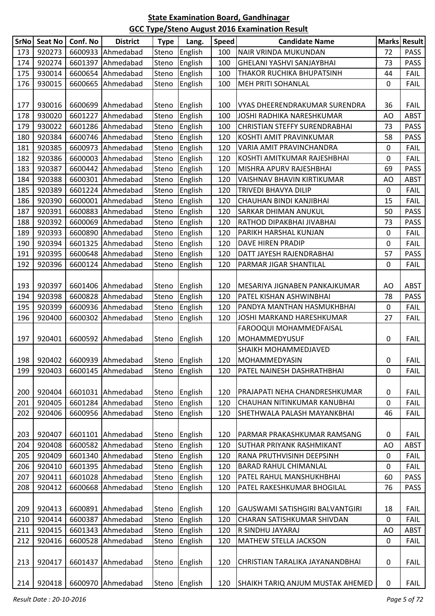|     | SrNo Seat No | Conf. No | <b>District</b>              | <b>Type</b> | Lang.         | Speed | <b>Candidate Name</b>                |             | Marks Result |
|-----|--------------|----------|------------------------------|-------------|---------------|-------|--------------------------------------|-------------|--------------|
| 173 | 920273       | 6600933  | Ahmedabad                    | Steno       | English       | 100   | NAIR VRINDA MUKUNDAN                 | 72          | <b>PASS</b>  |
| 174 | 920274       | 6601397  | Ahmedabad                    | Steno       | English       | 100   | GHELANI YASHVI SANJAYBHAI            | 73          | <b>PASS</b>  |
| 175 | 930014       | 6600654  | Ahmedabad                    | Steno       | English       | 100   | THAKOR RUCHIKA BHUPATSINH            | 44          | <b>FAIL</b>  |
| 176 | 930015       | 6600665  | Ahmedabad                    | Steno       | English       | 100   | <b>MEH PRITI SOHANLAL</b>            | 0           | <b>FAIL</b>  |
|     |              |          |                              |             |               |       |                                      |             |              |
| 177 | 930016       | 6600699  | Ahmedabad                    | Steno       | English       | 100   | VYAS DHEERENDRAKUMAR SURENDRA        | 36          | <b>FAIL</b>  |
| 178 | 930020       | 6601227  | Ahmedabad                    | Steno       | English       | 100   | JOSHI RADHIKA NARESHKUMAR            | AO          | <b>ABST</b>  |
| 179 | 930022       | 6601286  | Ahmedabad                    | Steno       | English       | 100   | <b>CHRISTIAN STEFFY SURENDRABHAI</b> | 73          | PASS         |
| 180 | 920384       | 6600746  | Ahmedabad                    | Steno       | English       | 120   | KOSHTI AMIT PRAVINKUMAR              | 58          | <b>PASS</b>  |
| 181 | 920385       | 6600973  | Ahmedabad                    | Steno       | English       | 120   | VARIA AMIT PRAVINCHANDRA             | 0           | <b>FAIL</b>  |
| 182 | 920386       | 6600003  | Ahmedabad                    | Steno       | English       | 120   | KOSHTI AMITKUMAR RAJESHBHAI          | 0           | <b>FAIL</b>  |
| 183 | 920387       |          | 6600442 Ahmedabad            | Steno       | English       | 120   | MISHRA APURV RAJESHBHAI              | 69          | <b>PASS</b>  |
| 184 | 920388       | 6600301  | Ahmedabad                    | Steno       | English       | 120   | VAISHNAV BHAVIN KIRTIKUMAR           | AO          | <b>ABST</b>  |
| 185 | 920389       | 6601224  | Ahmedabad                    | Steno       |               | 120   | TRIVEDI BHAVYA DILIP                 | $\mathbf 0$ | <b>FAIL</b>  |
|     |              |          |                              |             | English       |       |                                      |             |              |
| 186 | 920390       | 6600001  | Ahmedabad                    | Steno       | English       | 120   | CHAUHAN BINDI KANJIBHAI              | 15          | <b>FAIL</b>  |
| 187 | 920391       | 6600883  | Ahmedabad                    | Steno       | English       | 120   | SARKAR DHIMAN ANUKUL                 | 50          | <b>PASS</b>  |
| 188 | 920392       | 6600069  | Ahmedabad                    | Steno       | English       | 120   | RATHOD DIPAKBHAI JIVABHAI            | 73          | <b>PASS</b>  |
| 189 | 920393       | 6600890  | Ahmedabad                    | Steno       | English       | 120   | PARIKH HARSHAL KUNJAN                | 0           | <b>FAIL</b>  |
| 190 | 920394       | 6601325  | Ahmedabad                    | Steno       | English       | 120   | DAVE HIREN PRADIP                    | 0           | <b>FAIL</b>  |
| 191 | 920395       | 6600648  | Ahmedabad                    | Steno       | English       | 120   | DATT JAYESH RAJENDRABHAI             | 57          | <b>PASS</b>  |
| 192 | 920396       | 6600124  | Ahmedabad                    | Steno       | English       | 120   | PARMAR JIGAR SHANTILAL               | 0           | <b>FAIL</b>  |
|     |              |          |                              |             |               |       |                                      |             |              |
| 193 | 920397       | 6601406  | Ahmedabad                    | Steno       | English       | 120   | MESARIYA JIGNABEN PANKAJKUMAR        | AO          | ABST         |
| 194 | 920398       | 6600828  | Ahmedabad                    | Steno       | English       | 120   | PATEL KISHAN ASHWINBHAI              | 78          | <b>PASS</b>  |
| 195 | 920399       | 6600936  | Ahmedabad                    | Steno       | English       | 120   | PANDYA MANTHAN HASMUKHBHAI           | 0           | <b>FAIL</b>  |
| 196 | 920400       | 6600302  | Ahmedabad                    | Steno       | English       | 120   | JOSHI MARKAND HARESHKUMAR            | 27          | <b>FAIL</b>  |
|     |              |          |                              |             |               |       | FAROOQUI MOHAMMEDFAISAL              |             |              |
| 197 | 920401       | 6600592  | Ahmedabad                    | Steno       | English       | 120   | <b>MOHAMMEDYUSUF</b>                 | 0           | <b>FAIL</b>  |
|     |              |          |                              |             |               |       | SHAIKH MOHAMMEDJAVED                 |             |              |
| 198 |              |          | 920402   6600939   Ahmedabad |             | Steno English | 120   | <b>MOHAMMEDYASIN</b>                 | 0           | <b>FAIL</b>  |
| 199 | 920403       | 6600145  | Ahmedabad                    | Steno       | English       | 120   | PATEL NAINESH DASHRATHBHAI           | 0           | <b>FAIL</b>  |
|     |              |          |                              |             |               |       |                                      |             |              |
| 200 | 920404       | 6601031  | Ahmedabad                    | Steno       | English       | 120   | PRAJAPATI NEHA CHANDRESHKUMAR        | 0           | <b>FAIL</b>  |
| 201 | 920405       | 6601284  | Ahmedabad                    | Steno       | English       | 120   | CHAUHAN NITINKUMAR KANUBHAI          | $\mathbf 0$ | FAIL         |
| 202 | 920406       | 6600956  | Ahmedabad                    | Steno       | English       | 120   | SHETHWALA PALASH MAYANKBHAI          | 46          | <b>FAIL</b>  |
|     |              |          |                              |             |               |       |                                      |             |              |
| 203 | 920407       | 6601101  | Ahmedabad                    | Steno       | English       | 120   | PARMAR PRAKASHKUMAR RAMSANG          | 0           | FAIL         |
| 204 | 920408       | 6600582  | Ahmedabad                    | Steno       | English       | 120   | <b>SUTHAR PRIYANK RASHMIKANT</b>     | AO          | <b>ABST</b>  |
|     | 920409       | 6601340  | Ahmedabad                    |             | English       | 120   | RANA PRUTHVISINH DEEPSINH            | $\pmb{0}$   | <b>FAIL</b>  |
| 205 |              |          |                              | Steno       |               |       |                                      |             |              |
| 206 | 920410       | 6601395  | Ahmedabad                    | Steno       | English       | 120   | <b>BARAD RAHUL CHIMANLAL</b>         | 0           | <b>FAIL</b>  |
| 207 | 920411       | 6601028  | Ahmedabad                    | Steno       | English       | 120   | PATEL RAHUL MANSHUKHBHAI             | 60          | PASS         |
| 208 | 920412       | 6600668  | Ahmedabad                    | Steno       | English       | 120   | PATEL RAKESHKUMAR BHOGILAL           | 76          | <b>PASS</b>  |
|     |              |          |                              |             |               |       |                                      |             |              |
| 209 | 920413       | 6600891  | Ahmedabad                    | Steno       | English       | 120   | GAUSWAMI SATISHGIRI BALVANTGIRI      | 18          | <b>FAIL</b>  |
| 210 | 920414       | 6600387  | Ahmedabad                    | Steno       | English       | 120   | CHARAN SATISHKUMAR SHIVDAN           | $\pmb{0}$   | <b>FAIL</b>  |
| 211 | 920415       | 6601343  | Ahmedabad                    | Steno       | English       | 120   | R SINDHU JAYARAJ                     | AO          | ABST         |
| 212 | 920416       | 6600528  | Ahmedabad                    | Steno       | English       | 120   | MATHEW STELLA JACKSON                | 0           | <b>FAIL</b>  |
|     |              |          |                              |             |               |       |                                      |             |              |
| 213 | 920417       | 6601437  | Ahmedabad                    | Steno       | English       | 120   | CHRISTIAN TARALIKA JAYANANDBHAI      | 0           | <b>FAIL</b>  |
|     |              |          |                              |             |               |       |                                      |             |              |
| 214 | 920418       | 6600970  | Ahmedabad                    | Steno       | English       | 120   | SHAIKH TARIQ ANJUM MUSTAK AHEMED     | 0           | <b>FAIL</b>  |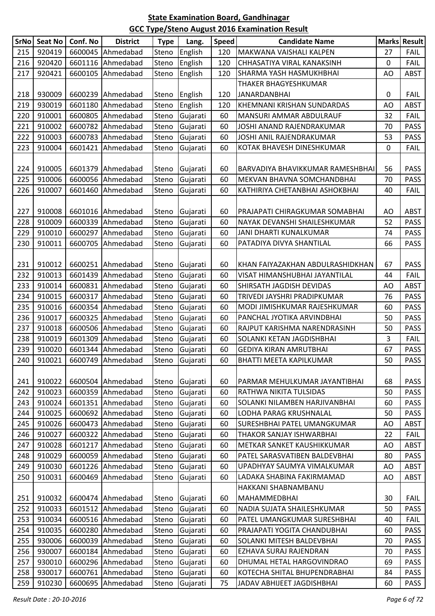| SrNo | Seat No | Conf. No | <b>District</b>   | <b>Type</b> | Lang.          | <b>Speed</b> | <b>Candidate Name</b>            |    | <b>Marks Result</b> |
|------|---------|----------|-------------------|-------------|----------------|--------------|----------------------------------|----|---------------------|
| 215  | 920419  |          | 6600045 Ahmedabad | Steno       | English        | 120          | MAKWANA VAISHALI KALPEN          | 27 | <b>FAIL</b>         |
| 216  | 920420  |          | 6601116 Ahmedabad | Steno       | English        | 120          | CHHASATIYA VIRAL KANAKSINH       | 0  | FAIL                |
| 217  | 920421  |          | 6600105 Ahmedabad | Steno       | English        | 120          | SHARMA YASH HASMUKHBHAI          | AO | <b>ABST</b>         |
|      |         |          |                   |             |                |              | THAKER BHAGYESHKUMAR             |    |                     |
| 218  | 930009  |          | 6600239 Ahmedabad | Steno       | English        | 120          | <b>JANARDANBHAI</b>              | 0  | <b>FAIL</b>         |
| 219  | 930019  | 6601180  | Ahmedabad         | Steno       | English        | 120          | KHEMNANI KRISHAN SUNDARDAS       | AO | <b>ABST</b>         |
| 220  | 910001  |          | 6600805 Ahmedabad | Steno       | Gujarati       | 60           | MANSURI AMMAR ABDULRAUF          | 32 | <b>FAIL</b>         |
| 221  | 910002  |          | 6600782 Ahmedabad | Steno       | Gujarati       | 60           | JOSHI ANAND RAJENDRAKUMAR        | 70 | <b>PASS</b>         |
| 222  | 910003  |          | 6600783 Ahmedabad | Steno       | Gujarati       | 60           | JOSHI ANIL RAJENDRAKUMAR         | 53 | <b>PASS</b>         |
| 223  | 910004  |          | 6601421 Ahmedabad | Steno       | Gujarati       | 60           | KOTAK BHAVESH DINESHKUMAR        | 0  | <b>FAIL</b>         |
|      |         |          |                   |             |                |              |                                  |    |                     |
| 224  | 910005  |          | 6601379 Ahmedabad | Steno       | Gujarati       | 60           | BARVADIYA BHAVIKKUMAR RAMESHBHAI | 56 | <b>PASS</b>         |
| 225  | 910006  |          | 6600056 Ahmedabad | Steno       | Gujarati       | 60           | MEKVAN BHAVNA SOMCHANDBHAI       | 70 | <b>PASS</b>         |
| 226  | 910007  |          | 6601460 Ahmedabad | Steno       | Gujarati       | 60           | KATHIRIYA CHETANBHAI ASHOKBHAI   | 40 | FAIL                |
|      |         |          |                   |             |                |              |                                  |    |                     |
| 227  | 910008  |          | 6601016 Ahmedabad | Steno       | Gujarati       | 60           | PRAJAPATI CHIRAGKUMAR SOMABHAI   | AO | <b>ABST</b>         |
| 228  | 910009  |          | 6600339 Ahmedabad | Steno       | Gujarati       | 60           | NAYAK DEVANSHI SHAILESHKUMAR     | 52 | <b>PASS</b>         |
| 229  | 910010  |          | 6600297 Ahmedabad | Steno       | Gujarati       | 60           | JANI DHARTI KUNALKUMAR           | 74 | <b>PASS</b>         |
| 230  | 910011  | 6600705  | Ahmedabad         | Steno       | Gujarati       | 60           | PATADIYA DIVYA SHANTILAL         | 66 | <b>PASS</b>         |
|      |         |          |                   |             |                |              |                                  |    |                     |
| 231  | 910012  |          | 6600251 Ahmedabad | Steno       | Gujarati       | 60           | KHAN FAIYAZAKHAN ABDULRASHIDKHAN | 67 | <b>PASS</b>         |
| 232  | 910013  |          | 6601439 Ahmedabad | Steno       | Gujarati       | 60           | VISAT HIMANSHUBHAI JAYANTILAL    | 44 | <b>FAIL</b>         |
| 233  | 910014  |          | 6600831 Ahmedabad | Steno       | Gujarati       | 60           | SHIRSATH JAGDISH DEVIDAS         | AO | <b>ABST</b>         |
| 234  | 910015  |          | 6600317 Ahmedabad | Steno       | Gujarati       | 60           | TRIVEDI JAYSHRI PRADIPKUMAR      | 76 | <b>PASS</b>         |
| 235  | 910016  | 6600354  | Ahmedabad         | Steno       | Gujarati       | 60           | MODI JIMISHKUMAR RAJESHKUMAR     | 60 | <b>PASS</b>         |
| 236  | 910017  |          | 6600325 Ahmedabad | Steno       | Gujarati       | 60           | PANCHAL JYOTIKA ARVINDBHAI       | 50 | <b>PASS</b>         |
| 237  | 910018  |          | 6600506 Ahmedabad | Steno       | Gujarati       | 60           | RAJPUT KARISHMA NARENDRASINH     | 50 | <b>PASS</b>         |
| 238  | 910019  |          | 6601309 Ahmedabad | Steno       | Gujarati       | 60           | SOLANKI KETAN JAGDISHBHAI        | 3  | <b>FAIL</b>         |
| 239  | 910020  |          | 6601344 Ahmedabad | Steno       | Gujarati       | 60           | <b>GEDIYA KIRAN AMRUTBHAI</b>    | 67 | <b>PASS</b>         |
| 240  | 910021  |          | 6600749 Ahmedabad |             | Steno Gujarati | 60           | BHATTI MEETA KAPILKUMAR          | 50 | PASS                |
|      |         |          |                   |             |                |              |                                  |    |                     |
| 241  | 910022  |          | 6600504 Ahmedabad | Steno       | Gujarati       | 60           | PARMAR MEHULKUMAR JAYANTIBHAI    | 68 | <b>PASS</b>         |
| 242  | 910023  |          | 6600359 Ahmedabad | Steno       | Gujarati       | 60           | RATHWA NIKITA TULSIDAS           | 50 | <b>PASS</b>         |
| 243  | 910024  |          | 6601351 Ahmedabad | Steno       | Gujarati       | 60           | SOLANKI NILAMBEN HARJIVANBHAI    | 60 | <b>PASS</b>         |
| 244  | 910025  |          | 6600692 Ahmedabad | Steno       | Gujarati       | 60           | LODHA PARAG KRUSHNALAL           | 50 | <b>PASS</b>         |
| 245  | 910026  |          | 6600473 Ahmedabad | Steno       | Gujarati       | 60           | SURESHBHAI PATEL UMANGKUMAR      | AO | <b>ABST</b>         |
| 246  | 910027  |          | 6600322 Ahmedabad | Steno       | Gujarati       | 60           | THAKOR SANJAY ISHWARBHAI         | 22 | <b>FAIL</b>         |
| 247  | 910028  |          | 6601217 Ahmedabad | Steno       | Gujarati       | 60           | METKAR SANKET KAUSHIKKUMAR       | AO | <b>ABST</b>         |
| 248  | 910029  |          | 6600059 Ahmedabad | Steno       | Gujarati       | 60           | PATEL SARASVATIBEN BALDEVBHAI    | 80 | <b>PASS</b>         |
| 249  | 910030  |          | 6601226 Ahmedabad | Steno       | Gujarati       | 60           | UPADHYAY SAUMYA VIMALKUMAR       | AO | <b>ABST</b>         |
| 250  | 910031  |          | 6600469 Ahmedabad | Steno       | Gujarati       | 60           | LADAKA SHABINA FAKIRMAMAD        | AO | <b>ABST</b>         |
|      |         |          |                   |             |                |              | HAKKANI SHABNAMBANU              |    |                     |
| 251  | 910032  |          | 6600474 Ahmedabad | Steno       | Gujarati       | 60           | MAHAMMEDBHAI                     | 30 | <b>FAIL</b>         |
| 252  | 910033  |          | 6601512 Ahmedabad | Steno       | Gujarati       | 60           | NADIA SUJATA SHAILESHKUMAR       | 50 | <b>PASS</b>         |
| 253  | 910034  |          | 6600516 Ahmedabad | Steno       | Gujarati       | 60           | PATEL UMANGKUMAR SURESHBHAI      | 40 | <b>FAIL</b>         |
| 254  | 910035  |          | 6600280 Ahmedabad | Steno       | Gujarati       | 60           | PRAJAPATI YOGITA CHANDUBHAI      | 60 | <b>PASS</b>         |
| 255  | 930006  |          | 6600039 Ahmedabad | Steno       | Gujarati       | 60           | SOLANKI MITESH BALDEVBHAI        | 70 | <b>PASS</b>         |
| 256  | 930007  |          | 6600184 Ahmedabad | Steno       | Gujarati       | 60           | EZHAVA SURAJ RAJENDRAN           | 70 | <b>PASS</b>         |
| 257  | 930010  |          | 6600296 Ahmedabad | Steno       | Gujarati       | 60           | DHUMAL HETAL HARGOVINDRAO        | 69 | <b>PASS</b>         |
| 258  | 930017  |          | 6600761 Ahmedabad | Steno       | Gujarati       | 60           | KOTECHA SHITAL BHUPENDRABHAI     | 84 | <b>PASS</b>         |
| 259  | 910230  |          | 6600695 Ahmedabad | Steno       | Gujarati       | 75           | JADAV ABHIJEET JAGDISHBHAI       | 60 | <b>PASS</b>         |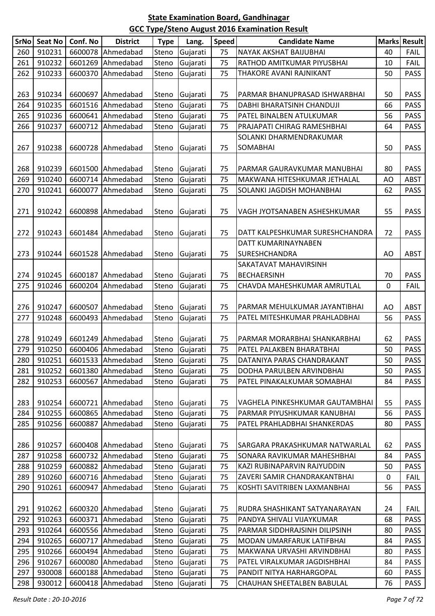| SrNo | <b>Seat No</b> | Conf. No | <b>District</b>   | <b>Type</b> | Lang.          | <b>Speed</b> | <b>Candidate Name</b>           |             | Marks Result |
|------|----------------|----------|-------------------|-------------|----------------|--------------|---------------------------------|-------------|--------------|
| 260  | 910231         | 6600078  | Ahmedabad         | Steno       | Gujarati       | 75           | NAYAK AKSHAT BAIJUBHAI          | 40          | <b>FAIL</b>  |
| 261  | 910232         | 6601269  | Ahmedabad         | Steno       | Gujarati       | 75           | RATHOD AMITKUMAR PIYUSBHAI      | 10          | <b>FAIL</b>  |
| 262  | 910233         | 6600370  | Ahmedabad         | Steno       | Gujarati       | 75           | THAKORE AVANI RAJNIKANT         | 50          | <b>PASS</b>  |
|      |                |          |                   |             |                |              |                                 |             |              |
| 263  | 910234         | 6600697  | Ahmedabad         | Steno       | Gujarati       | 75           | PARMAR BHANUPRASAD ISHWARBHAI   | 50          | <b>PASS</b>  |
| 264  | 910235         | 6601516  | Ahmedabad         | Steno       | Gujarati       | 75           | DABHI BHARATSINH CHANDUJI       | 66          | <b>PASS</b>  |
| 265  | 910236         |          | 6600641 Ahmedabad | Steno       | Gujarati       | 75           | PATEL BINALBEN ATULKUMAR        | 56          | <b>PASS</b>  |
| 266  | 910237         |          | 6600712 Ahmedabad | Steno       | Gujarati       | 75           | PRAJAPATI CHIRAG RAMESHBHAI     | 64          | <b>PASS</b>  |
|      |                |          |                   |             |                |              | SOLANKI DHARMENDRAKUMAR         |             |              |
| 267  | 910238         |          | 6600728 Ahmedabad | Steno       | Gujarati       | 75           | SOMABHAI                        | 50          | <b>PASS</b>  |
|      |                |          |                   |             |                |              |                                 |             |              |
| 268  | 910239         | 6601500  | Ahmedabad         | Steno       | Gujarati       | 75           | PARMAR GAURAVKUMAR MANUBHAI     | 80          | <b>PASS</b>  |
| 269  | 910240         | 6600714  | Ahmedabad         | Steno       | Gujarati       | 75           | MAKWANA HITESHKUMAR JETHALAL    | AO          | <b>ABST</b>  |
| 270  | 910241         | 6600077  | Ahmedabad         | Steno       | Gujarati       | 75           | SOLANKI JAGDISH MOHANBHAI       | 62          | <b>PASS</b>  |
|      |                |          |                   |             |                |              |                                 |             |              |
| 271  | 910242         | 6600898  | Ahmedabad         | Steno       | Gujarati       | 75           | VAGH JYOTSANABEN ASHESHKUMAR    | 55          | <b>PASS</b>  |
|      |                |          |                   |             |                |              |                                 |             |              |
| 272  | 910243         |          | 6601484 Ahmedabad | Steno       | Gujarati       | 75           | DATT KALPESHKUMAR SURESHCHANDRA | 72          | <b>PASS</b>  |
|      |                |          |                   |             |                |              | DATT KUMARINAYNABEN             |             |              |
| 273  | 910244         |          | 6601528 Ahmedabad | Steno       | Gujarati       | 75           | SURESHCHANDRA                   | AO          | <b>ABST</b>  |
|      |                |          |                   |             |                |              | SAKATAVAT MAHAVIRSINH           |             |              |
| 274  | 910245         | 6600187  | Ahmedabad         | Steno       | Gujarati       | 75           | <b>BECHAERSINH</b>              | 70          | <b>PASS</b>  |
| 275  | 910246         | 6600204  | Ahmedabad         | Steno       | Gujarati       | 75           | CHAVDA MAHESHKUMAR AMRUTLAL     | $\mathbf 0$ | <b>FAIL</b>  |
|      |                |          |                   |             |                |              |                                 |             |              |
| 276  | 910247         | 6600507  | Ahmedabad         | Steno       | Gujarati       | 75           | PARMAR MEHULKUMAR JAYANTIBHAI   | AO          | <b>ABST</b>  |
| 277  | 910248         | 6600493  | Ahmedabad         | Steno       | Gujarati       | 75           | PATEL MITESHKUMAR PRAHLADBHAI   | 56          | <b>PASS</b>  |
|      |                |          |                   |             |                |              |                                 |             |              |
| 278  | 910249         |          | 6601249 Ahmedabad | Steno       | Gujarati       | 75           | PARMAR MORARBHAI SHANKARBHAI    | 62          | <b>PASS</b>  |
| 279  | 910250         |          | 6600406 Ahmedabad | Steno       | Gujarati       | 75           | PATEL PALAKBEN BHARATBHAI       | 50          | <b>PASS</b>  |
| 280  | 910251         |          | 6601533 Ahmedabad |             | Steno Gujarati | 75           | DATANIYA PARAS CHANDRAKANT      | 50          | <b>PASS</b>  |
| 281  | 910252         |          | 6601380 Ahmedabad | Steno       | Gujarati       | 75           | DODHA PARULBEN ARVINDBHAI       | 50          | <b>PASS</b>  |
| 282  | 910253         |          | 6600567 Ahmedabad | Steno       | Gujarati       | 75           | PATEL PINAKALKUMAR SOMABHAI     | 84          | <b>PASS</b>  |
|      |                |          |                   |             |                |              |                                 |             |              |
| 283  | 910254         |          | 6600721 Ahmedabad | Steno       | Gujarati       | 75           | VAGHELA PINKESHKUMAR GAUTAMBHAI | 55          | <b>PASS</b>  |
| 284  | 910255         |          | 6600865 Ahmedabad | Steno       | Gujarati       | 75           | PARMAR PIYUSHKUMAR KANUBHAI     | 56          | <b>PASS</b>  |
| 285  | 910256         | 6600887  | Ahmedabad         | Steno       | Gujarati       | 75           | PATEL PRAHLADBHAI SHANKERDAS    | 80          | <b>PASS</b>  |
|      |                |          |                   |             |                |              |                                 |             |              |
| 286  | 910257         |          | 6600408 Ahmedabad | Steno       | Gujarati       | 75           | SARGARA PRAKASHKUMAR NATWARLAL  | 62          | <b>PASS</b>  |
| 287  | 910258         |          | 6600732 Ahmedabad | Steno       | Gujarati       | 75           | SONARA RAVIKUMAR MAHESHBHAI     | 84          | <b>PASS</b>  |
| 288  | 910259         |          | 6600882 Ahmedabad | Steno       | Gujarati       | 75           | KAZI RUBINAPARVIN RAJYUDDIN     | 50          | <b>PASS</b>  |
| 289  | 910260         |          | 6600716 Ahmedabad | Steno       | Gujarati       | 75           | ZAVERI SAMIR CHANDRAKANTBHAI    | 0           | <b>FAIL</b>  |
| 290  | 910261         | 6600947  | Ahmedabad         | Steno       | Gujarati       | 75           | KOSHTI SAVITRIBEN LAXMANBHAI    | 56          | <b>PASS</b>  |
|      |                |          |                   |             |                |              |                                 |             |              |
| 291  | 910262         |          | 6600320 Ahmedabad | Steno       | Gujarati       | 75           | RUDRA SHASHIKANT SATYANARAYAN   | 24          | <b>FAIL</b>  |
| 292  | 910263         |          | 6600371 Ahmedabad | Steno       | Gujarati       | 75           | PANDYA SHIVALI VIJAYKUMAR       | 68          | <b>PASS</b>  |
| 293  | 910264         |          | 6600556 Ahmedabad | Steno       | Gujarati       | 75           | PARMAR SIDDHRAJSINH DILIPSINH   | 80          | <b>PASS</b>  |
| 294  | 910265         |          | 6600717 Ahmedabad | Steno       | Gujarati       | 75           | MODAN UMARFARUK LATIFBHAI       | 84          | <b>PASS</b>  |
| 295  | 910266         |          | 6600494 Ahmedabad | Steno       | Gujarati       | 75           | MAKWANA URVASHI ARVINDBHAI      | 80          | <b>PASS</b>  |
| 296  | 910267         |          | 6600080 Ahmedabad | Steno       | Gujarati       | 75           | PATEL VIRALKUMAR JAGDISHBHAI    | 84          | <b>PASS</b>  |
| 297  | 930008         |          | 6600188 Ahmedabad | Steno       | Gujarati       | 75           | PANDIT NITYA HARHARGOPAL        | 60          | <b>PASS</b>  |
| 298  | 930012         |          | 6600418 Ahmedabad | Steno       | Gujarati       | 75           | CHAUHAN SHEETALBEN BABULAL      | 76          | PASS         |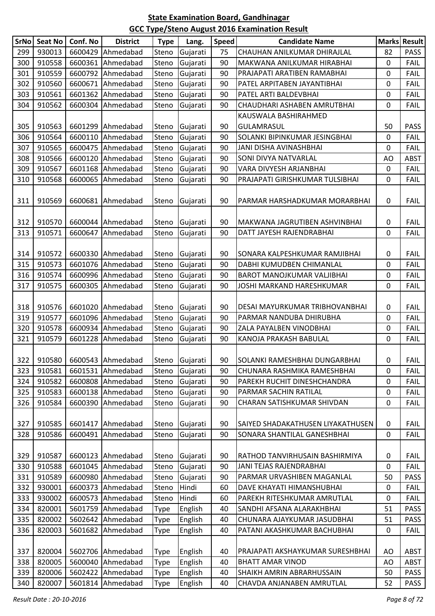| SrNo | <b>Seat No</b> | Conf. No | <b>District</b>              | <b>Type</b> | Lang.          | <b>Speed</b> | <b>Candidate Name</b>             | <b>Marks</b> | <b>Result</b> |
|------|----------------|----------|------------------------------|-------------|----------------|--------------|-----------------------------------|--------------|---------------|
| 299  | 930013         | 6600429  | Ahmedabad                    | Steno       | Gujarati       | 75           | CHAUHAN ANILKUMAR DHIRAJLAL       | 82           | <b>PASS</b>   |
| 300  | 910558         | 6600361  | Ahmedabad                    | Steno       | Gujarati       | 90           | MAKWANA ANILKUMAR HIRABHAI        | 0            | <b>FAIL</b>   |
| 301  | 910559         | 6600792  | Ahmedabad                    | Steno       | Gujarati       | 90           | PRAJAPATI ARATIBEN RAMABHAI       | 0            | <b>FAIL</b>   |
| 302  | 910560         | 6600671  | Ahmedabad                    | Steno       | Gujarati       | 90           | PATEL ARPITABEN JAYANTIBHAI       | 0            | <b>FAIL</b>   |
| 303  | 910561         | 6601362  | Ahmedabad                    | Steno       | Gujarati       | 90           | PATEL ARTI BALDEVBHAI             | 0            | <b>FAIL</b>   |
| 304  | 910562         | 6600304  | Ahmedabad                    | Steno       | Gujarati       | 90           | CHAUDHARI ASHABEN AMRUTBHAI       | 0            | <b>FAIL</b>   |
|      |                |          |                              |             |                |              | KAUSWALA BASHIRAHMED              |              |               |
| 305  | 910563         | 6601299  | Ahmedabad                    | Steno       | Gujarati       | 90           | <b>GULAMRASUL</b>                 | 50           | <b>PASS</b>   |
| 306  | 910564         | 6600110  | Ahmedabad                    | Steno       | Gujarati       | 90           | SOLANKI BIPINKUMAR JESINGBHAI     | 0            | <b>FAIL</b>   |
| 307  | 910565         | 6600475  | Ahmedabad                    | Steno       | Gujarati       | 90           | JANI DISHA AVINASHBHAI            | 0            | <b>FAIL</b>   |
| 308  | 910566         | 6600120  | Ahmedabad                    | Steno       | Gujarati       | 90           | SONI DIVYA NATVARLAL              | AO           | <b>ABST</b>   |
| 309  | 910567         | 6601168  | Ahmedabad                    | Steno       | Gujarati       | 90           | VARA DIVYESH ARJANBHAI            | 0            | <b>FAIL</b>   |
| 310  | 910568         | 6600065  | Ahmedabad                    | Steno       | Gujarati       | 90           | PRAJAPATI GIRISHKUMAR TULSIBHAI   | 0            | <b>FAIL</b>   |
|      |                |          |                              |             |                |              |                                   |              |               |
| 311  | 910569         | 6600681  | Ahmedabad                    | Steno       | Gujarati       | 90           | PARMAR HARSHADKUMAR MORARBHAI     | 0            | <b>FAIL</b>   |
|      |                |          |                              |             |                |              |                                   |              |               |
| 312  | 910570         | 6600044  | Ahmedabad                    | Steno       | Gujarati       | 90           | MAKWANA JAGRUTIBEN ASHVINBHAI     | 0            | <b>FAIL</b>   |
| 313  | 910571         | 6600647  | Ahmedabad                    | Steno       | Gujarati       | 90           | DATT JAYESH RAJENDRABHAI          | 0            | <b>FAIL</b>   |
|      |                |          |                              |             |                |              |                                   |              |               |
| 314  | 910572         | 6600330  | Ahmedabad                    | Steno       | Gujarati       | 90           | SONARA KALPESHKUMAR RAMJIBHAI     | 0            | FAIL          |
| 315  | 910573         | 6601076  | Ahmedabad                    | Steno       | Gujarati       | 90           | DABHI KUMUDBEN CHIMANLAL          | 0            | <b>FAIL</b>   |
| 316  | 910574         | 6600996  | Ahmedabad                    | Steno       | Gujarati       | 90           | <b>BAROT MANOJKUMAR VALJIBHAI</b> | 0            | FAIL          |
| 317  | 910575         | 6600305  | Ahmedabad                    | Steno       | Gujarati       | 90           | JOSHI MARKAND HARESHKUMAR         | 0            | <b>FAIL</b>   |
|      |                |          |                              |             |                |              |                                   |              |               |
| 318  | 910576         | 6601020  | Ahmedabad                    | Steno       | Gujarati       | 90           | DESAI MAYURKUMAR TRIBHOVANBHAI    | 0            | <b>FAIL</b>   |
| 319  | 910577         | 6601096  | Ahmedabad                    | Steno       | Gujarati       | 90           | PARMAR NANDUBA DHIRUBHA           | 0            | <b>FAIL</b>   |
| 320  | 910578         | 6600934  | Ahmedabad                    | Steno       | Gujarati       | 90           | ZALA PAYALBEN VINODBHAI           | 0            | FAIL          |
| 321  | 910579         | 6601228  | Ahmedabad                    | Steno       | Gujarati       | 90           | KANOJA PRAKASH BABULAL            | 0            | <b>FAIL</b>   |
|      |                |          |                              |             |                |              |                                   |              |               |
| 322  |                |          | 910580   6600543   Ahmedabad |             | Steno Gujarati | 90           | ISOLANKI RAMESHBHAI DUNGARBHAI    | 0            | <b>FAIL</b>   |
| 323  | 910581         |          | 6601531 Ahmedabad            | Steno       | Gujarati       | 90           | CHUNARA RASHMIKA RAMESHBHAI       | 0            | <b>FAIL</b>   |
| 324  | 910582         | 6600808  | Ahmedabad                    | Steno       | Gujarati       | 90           | PAREKH RUCHIT DINESHCHANDRA       | 0            | FAIL          |
| 325  | 910583         | 6600138  | Ahmedabad                    | Steno       | Gujarati       | 90           | PARMAR SACHIN RATILAL             | 0            | <b>FAIL</b>   |
| 326  | 910584         | 6600390  | Ahmedabad                    | Steno       | Gujarati       | 90           | CHARAN SATISHKUMAR SHIVDAN        | 0            | <b>FAIL</b>   |
|      |                |          |                              |             |                |              |                                   |              |               |
| 327  | 910585         | 6601417  | Ahmedabad                    | Steno       | Gujarati       | 90           | SAIYED SHADAKATHUSEN LIYAKATHUSEN | 0            | <b>FAIL</b>   |
| 328  | 910586         | 6600491  | Ahmedabad                    | Steno       | Gujarati       | 90           | SONARA SHANTILAL GANESHBHAI       | 0            | <b>FAIL</b>   |
|      |                |          |                              |             |                |              |                                   |              |               |
| 329  | 910587         | 6600123  | Ahmedabad                    | Steno       | Gujarati       | 90           | RATHOD TANVIRHUSAIN BASHIRMIYA    | 0            | <b>FAIL</b>   |
| 330  | 910588         | 6601045  | Ahmedabad                    | Steno       | Gujarati       | 90           | JANI TEJAS RAJENDRABHAI           | 0            | <b>FAIL</b>   |
| 331  | 910589         | 6600980  | Ahmedabad                    | Steno       | Gujarati       | 90           | PARMAR URVASHIBEN MAGANLAL        | 50           | <b>PASS</b>   |
| 332  | 930001         | 6600373  | Ahmedabad                    | Steno       | Hindi          | 60           | DAVE KHAYATI HIMANSHUBHAI         | 0            | <b>FAIL</b>   |
| 333  | 930002         | 6600573  | Ahmedabad                    | Steno       | Hindi          | 60           | PAREKH RITESHKUMAR AMRUTLAL       | 0            | <b>FAIL</b>   |
| 334  | 820001         | 5601759  | Ahmedabad                    | Type        | English        | 40           | SANDHI AFSANA ALARAKHBHAI         | 51           | <b>PASS</b>   |
| 335  | 820002         | 5602642  | Ahmedabad                    | Type        | English        | 40           | CHUNARA AJAYKUMAR JASUDBHAI       | 51           | <b>PASS</b>   |
| 336  | 820003         | 5601682  | Ahmedabad                    | Type        | English        | 40           | PATANI AKASHKUMAR BACHUBHAI       | 0            | <b>FAIL</b>   |
|      |                |          |                              |             |                |              |                                   |              |               |
| 337  | 820004         | 5602706  | Ahmedabad                    | Type        | English        | 40           | PRAJAPATI AKSHAYKUMAR SURESHBHAI  | AO           | ABST          |
| 338  | 820005         | 5600040  | Ahmedabad                    | Type        | English        | 40           | <b>BHATT AMAR VINOD</b>           | AO           | ABST          |
| 339  | 820006         | 5602422  | Ahmedabad                    | <b>Type</b> | English        | 40           | <b>SHAIKH AMRIN ABRARHUSSAIN</b>  | 50           | <b>PASS</b>   |
| 340  | 820007         | 5601814  | Ahmedabad                    | <b>Type</b> | English        | 40           | CHAVDA ANJANABEN AMRUTLAL         | 52           | <b>PASS</b>   |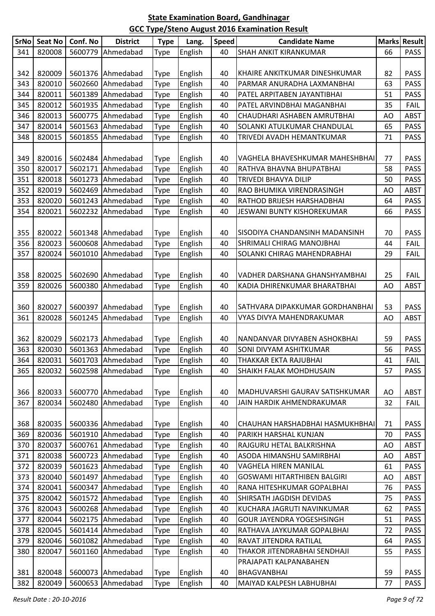| <b>SrNo</b> | <b>Seat No</b> | Conf. No | <b>District</b>   | <b>Type</b> | Lang.   | <b>Speed</b> | <b>Candidate Name</b>              |    | Marks Result |
|-------------|----------------|----------|-------------------|-------------|---------|--------------|------------------------------------|----|--------------|
| 341         | 820008         | 5600779  | Ahmedabad         | <b>Type</b> | English | 40           | <b>SHAH ANKIT KIRANKUMAR</b>       | 66 | <b>PASS</b>  |
|             |                |          |                   |             |         |              |                                    |    |              |
| 342         | 820009         |          | 5601376 Ahmedabad | <b>Type</b> | English | 40           | KHAIRE ANKITKUMAR DINESHKUMAR      | 82 | <b>PASS</b>  |
| 343         | 820010         | 5602660  | Ahmedabad         | <b>Type</b> | English | 40           | PARMAR ANURADHA LAXMANBHAI         | 63 | <b>PASS</b>  |
| 344         | 820011         | 5601389  | Ahmedabad         | <b>Type</b> | English | 40           | PATEL ARPITABEN JAYANTIBHAI        | 51 | <b>PASS</b>  |
| 345         | 820012         | 5601935  | Ahmedabad         | <b>Type</b> | English | 40           | PATEL ARVINDBHAI MAGANBHAI         | 35 | <b>FAIL</b>  |
| 346         | 820013         | 5600775  | Ahmedabad         | <b>Type</b> | English | 40           | CHAUDHARI ASHABEN AMRUTBHAI        | AO | <b>ABST</b>  |
| 347         | 820014         | 5601563  | Ahmedabad         | <b>Type</b> | English | 40           | SOLANKI ATULKUMAR CHANDULAL        | 65 | <b>PASS</b>  |
| 348         | 820015         | 5601855  | Ahmedabad         | <b>Type</b> | English | 40           | TRIVEDI AVADH HEMANTKUMAR          | 71 | <b>PASS</b>  |
|             |                |          |                   |             |         |              |                                    |    |              |
| 349         | 820016         | 5602484  | Ahmedabad         | <b>Type</b> | English | 40           | VAGHELA BHAVESHKUMAR MAHESHBHAI    | 77 | <b>PASS</b>  |
| 350         | 820017         | 5602171  | Ahmedabad         | <b>Type</b> | English | 40           | RATHVA BHAVNA BHUPATBHAI           | 58 | <b>PASS</b>  |
| 351         | 820018         | 5601273  | Ahmedabad         | <b>Type</b> | English | 40           | TRIVEDI BHAVYA DILIP               | 50 | <b>PASS</b>  |
| 352         | 820019         | 5602469  | Ahmedabad         | <b>Type</b> | English | 40           | RAO BHUMIKA VIRENDRASINGH          | AO | <b>ABST</b>  |
| 353         | 820020         | 5601243  | Ahmedabad         | <b>Type</b> | English | 40           | RATHOD BRIJESH HARSHADBHAI         | 64 | <b>PASS</b>  |
| 354         | 820021         | 5602232  | Ahmedabad         | <b>Type</b> | English | 40           | JESWANI BUNTY KISHOREKUMAR         | 66 | <b>PASS</b>  |
|             |                |          |                   |             |         |              |                                    |    |              |
| 355         | 820022         |          | 5601348 Ahmedabad | <b>Type</b> | English | 40           | SISODIYA CHANDANSINH MADANSINH     | 70 | <b>PASS</b>  |
| 356         | 820023         |          | 5600608 Ahmedabad | <b>Type</b> | English | 40           | <b>SHRIMALI CHIRAG MANOJBHAI</b>   | 44 | <b>FAIL</b>  |
| 357         | 820024         | 5601010  | Ahmedabad         | <b>Type</b> | English | 40           | SOLANKI CHIRAG MAHENDRABHAI        | 29 | <b>FAIL</b>  |
|             |                |          |                   |             |         |              |                                    |    |              |
| 358         | 820025         | 5602690  | Ahmedabad         | <b>Type</b> | English | 40           | VADHER DARSHANA GHANSHYAMBHAI      | 25 | <b>FAIL</b>  |
| 359         | 820026         | 5600380  | Ahmedabad         | <b>Type</b> | English | 40           | KADIA DHIRENKUMAR BHARATBHAI       | AO | <b>ABST</b>  |
|             |                |          |                   |             |         |              |                                    |    |              |
| 360         | 820027         |          | 5600397 Ahmedabad | <b>Type</b> | English | 40           | SATHVARA DIPAKKUMAR GORDHANBHAI    | 53 | <b>PASS</b>  |
| 361         | 820028         | 5601245  | Ahmedabad         | Type        | English | 40           | VYAS DIVYA MAHENDRAKUMAR           | AO | <b>ABST</b>  |
|             |                |          |                   |             |         |              |                                    |    |              |
| 362         | 820029         |          | 5602173 Ahmedabad | <b>Type</b> | English | 40           | NANDANVAR DIVYABEN ASHOKBHAI       | 59 | <b>PASS</b>  |
| 363         | 820030         | 5601363  | Ahmedabad         | <b>Type</b> | English | 40           | SONI DIVYAM ASHITKUMAR             | 56 | <b>PASS</b>  |
| 364         | 820031         |          | 5601703 Ahmedabad | <b>Type</b> | English | 40           | THAKKAR EKTA RAJUBHAI              | 41 | <b>FAIL</b>  |
| 365         | 820032         |          | 5602598 Ahmedabad | <b>Type</b> | English | 40           | <b>SHAIKH FALAK MOHDHUSAIN</b>     | 57 | <b>PASS</b>  |
|             |                |          |                   |             |         |              |                                    |    |              |
| 366         | 820033         |          | 5600770 Ahmedabad | <b>Type</b> | English | 40           | MADHUVARSHI GAURAV SATISHKUMAR     | AO | ABST         |
| 367         | 820034         | 5602480  | Ahmedabad         | Type        | English | 40           | JAIN HARDIK AHMENDRAKUMAR          | 32 | <b>FAIL</b>  |
|             |                |          |                   |             |         |              |                                    |    |              |
| 368         | 820035         |          | 5600336 Ahmedabad | <b>Type</b> | English | 40           | CHAUHAN HARSHADBHAI HASMUKHBHAI    | 71 | <b>PASS</b>  |
| 369         | 820036         | 5601910  | Ahmedabad         | Type        | English | 40           | PARIKH HARSHAL KUNJAN              | 70 | <b>PASS</b>  |
| 370         | 820037         |          | 5600761 Ahmedabad | <b>Type</b> | English | 40           | RAJGURU HETAL BALKRISHNA           | AO | <b>ABST</b>  |
| 371         | 820038         |          | 5600723 Ahmedabad | <b>Type</b> | English | 40           | ASODA HIMANSHU SAMIRBHAI           | AO | <b>ABST</b>  |
| 372         | 820039         |          | 5601623 Ahmedabad | <b>Type</b> | English | 40           | VAGHELA HIREN MANILAL              | 61 | <b>PASS</b>  |
| 373         | 820040         | 5601497  | Ahmedabad         | <b>Type</b> | English | 40           | <b>GOSWAMI HITARTHIBEN BALGIRI</b> | AO | <b>ABST</b>  |
| 374         | 820041         | 5600347  | Ahmedabad         | <b>Type</b> | English | 40           | RANA HITESHKUMAR GOPALBHAI         | 76 | <b>PASS</b>  |
| 375         | 820042         |          | 5601572 Ahmedabad | <b>Type</b> | English | 40           | SHIRSATH JAGDISH DEVIDAS           | 75 | <b>PASS</b>  |
| 376         | 820043         | 5600268  | Ahmedabad         | <b>Type</b> | English | 40           | KUCHARA JAGRUTI NAVINKUMAR         | 62 | <b>PASS</b>  |
| 377         | 820044         |          | 5602175 Ahmedabad | <b>Type</b> | English | 40           | GOUR JAYENDRA YOGESHSINGH          | 51 | <b>PASS</b>  |
| 378         | 820045         | 5601414  | Ahmedabad         | <b>Type</b> | English | 40           | RATHAVA JAYKUMAR GOPALBHAI         | 72 | <b>PASS</b>  |
| 379         | 820046         | 5601082  | Ahmedabad         | <b>Type</b> | English | 40           | RAVAT JITENDRA RATILAL             | 64 | <b>PASS</b>  |
| 380         | 820047         | 5601160  | Ahmedabad         | <b>Type</b> | English | 40           | THAKOR JITENDRABHAI SENDHAJI       | 55 | <b>PASS</b>  |
|             |                |          |                   |             |         |              | PRAJAPATI KALPANABAHEN             |    |              |
| 381         | 820048         |          | 5600073 Ahmedabad | <b>Type</b> | English | 40           | <b>BHAGVANBHAI</b>                 | 59 | <b>PASS</b>  |
| 382         | 820049         | 5600653  | Ahmedabad         | <b>Type</b> | English | 40           | MAIYAD KALPESH LABHUBHAI           | 77 | PASS         |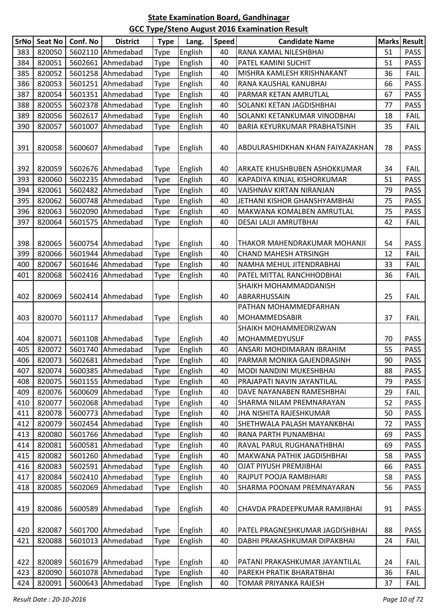| SrNo | Seat No | Conf. No | <b>District</b>   | <b>Type</b> | Lang.   | <b>Speed</b> | <b>Candidate Name</b>             |    | Marks Result |
|------|---------|----------|-------------------|-------------|---------|--------------|-----------------------------------|----|--------------|
| 383  | 820050  |          | 5602110 Ahmedabad | Type        | English | 40           | RANA KAMAL NILESHBHAI             | 51 | <b>PASS</b>  |
| 384  | 820051  | 5602661  | Ahmedabad         | Type        | English | 40           | PATEL KAMINI SUCHIT               | 51 | <b>PASS</b>  |
| 385  | 820052  |          | 5601258 Ahmedabad | Type        | English | 40           | MISHRA KAMLESH KRISHNAKANT        | 36 | <b>FAIL</b>  |
| 386  | 820053  |          | 5601251 Ahmedabad | Type        | English | 40           | RANA KAUSHAL KANUBHAI             | 66 | <b>PASS</b>  |
| 387  | 820054  |          | 5601351 Ahmedabad | Type        | English | 40           | PARMAR KETAN AMRUTLAL             | 67 | PASS         |
| 388  | 820055  | 5602378  | Ahmedabad         | Type        | English | 40           | SOLANKI KETAN JAGDISHBHAI         | 77 | PASS         |
| 389  | 820056  | 5602617  | Ahmedabad         | Type        | English | 40           | SOLANKI KETANKUMAR VINODBHAI      | 18 | <b>FAIL</b>  |
| 390  | 820057  | 5601007  | Ahmedabad         | Type        | English | 40           | BARIA KEYURKUMAR PRABHATSINH      | 35 | <b>FAIL</b>  |
| 391  | 820058  |          | 5600607 Ahmedabad | Type        | English | 40           | ABDULRASHIDKHAN KHAN FAIYAZAKHAN  | 78 | <b>PASS</b>  |
| 392  | 820059  |          | 5602676 Ahmedabad | Type        | English | 40           | ARKATE KHUSHBUBEN ASHOKKUMAR      | 34 | <b>FAIL</b>  |
| 393  | 820060  |          | 5602235 Ahmedabad | Type        | English | 40           | KAPADIYA KINJAL KISHORKUMAR       | 51 | PASS         |
| 394  | 820061  |          | 5602482 Ahmedabad | Type        | English | 40           | VAISHNAV KIRTAN NIRANJAN          | 79 | PASS         |
| 395  | 820062  |          | 5600748 Ahmedabad | Type        | English | 40           | JETHANI KISHOR GHANSHYAMBHAI      | 75 | <b>PASS</b>  |
| 396  | 820063  |          | 5602090 Ahmedabad | Type        | English | 40           | MAKWANA KOMALBEN AMRUTLAL         | 75 | <b>PASS</b>  |
| 397  | 820064  |          | 5601575 Ahmedabad | Type        | English | 40           | DESAI LALJI AMRUTBHAI             | 42 | <b>FAIL</b>  |
| 398  | 820065  |          | 5600754 Ahmedabad | Type        | English | 40           | THAKOR MAHENDRAKUMAR MOHANJI      | 54 | <b>PASS</b>  |
| 399  | 820066  | 5601944  | Ahmedabad         | Type        | English | 40           | <b>CHAND MAHESH ATRSINGH</b>      | 12 | <b>FAIL</b>  |
| 400  | 820067  | 5601646  | Ahmedabad         | Type        | English | 40           | NAMHA MEHUL JITENDRABHAI          | 33 | <b>FAIL</b>  |
| 401  | 820068  |          | 5602416 Ahmedabad | Type        | English | 40           | PATEL MITTAL RANCHHODBHAI         | 36 | <b>FAIL</b>  |
|      |         |          |                   |             |         |              | SHAIKH MOHAMMADDANISH             |    |              |
| 402  | 820069  |          | 5602414 Ahmedabad | Type        | English | 40           | ABRARHUSSAIN                      | 25 | <b>FAIL</b>  |
|      |         |          |                   |             |         |              | PATHAN MOHAMMEDFARHAN             |    |              |
| 403  | 820070  |          | 5601117 Ahmedabad | Type        | English | 40           | MOHAMMEDSABIR                     | 37 | <b>FAIL</b>  |
|      |         |          |                   |             |         |              | SHAIKH MOHAMMEDRIZWAN             |    |              |
| 404  | 820071  |          | 5601108 Ahmedabad | Type        | English | 40           | <b>MOHAMMEDYUSUF</b>              | 70 | <b>PASS</b>  |
| 405  | 820072  |          | 5601740 Ahmedabad | Type        | English | 40           | ANSARI MOHDIMARAN IBRAHIM         | 55 | <b>PASS</b>  |
| 406  | 820073  |          | 5602681 Ahmedabad | <b>Type</b> | English | 40           | PARMAR MONIKA GAJENDRASINH        | 90 | PASS         |
| 407  | 820074  |          | 5600385 Ahmedabad | Type        | English | 40           | MODI NANDINI MUKESHBHAI           | 88 | <b>PASS</b>  |
| 408  | 820075  |          | 5601155 Ahmedabad | Type        | English | 40           | PRAJAPATI NAVIN JAYANTILAL        | 79 | <b>PASS</b>  |
| 409  | 820076  | 5600609  | Ahmedabad         | Type        | English | 40           | DAVE NAYANABEN RAMESHBHAI         | 29 | <b>FAIL</b>  |
| 410  | 820077  |          | 5602068 Ahmedabad | Type        | English | 40           | SHARMA NILAM PREMNARAYAN          | 52 | <b>PASS</b>  |
| 411  | 820078  |          | 5600773 Ahmedabad | Type        | English | 40           | <b>JHA NISHITA RAJESHKUMAR</b>    | 50 | <b>PASS</b>  |
| 412  | 820079  |          | 5602454 Ahmedabad | Type        | English | 40           | SHETHWALA PALASH MAYANKBHAI       | 72 | <b>PASS</b>  |
| 413  | 820080  |          | 5601766 Ahmedabad | Type        | English | 40           | RANA PARTH PUNAMBHAI              | 69 | <b>PASS</b>  |
| 414  | 820081  | 5600581  | Ahmedabad         | Type        | English | 40           | RAVAL PARUL RUGHANATHBHAI         | 69 | <b>PASS</b>  |
| 415  | 820082  |          | 5601260 Ahmedabad | Type        | English | 40           | <b>MAKWANA PATHIK JAGDISHBHAI</b> | 58 | <b>PASS</b>  |
| 416  | 820083  |          | 5602591 Ahmedabad | Type        | English | 40           | OJAT PIYUSH PREMJIBHAI            | 66 | <b>PASS</b>  |
| 417  | 820084  |          | 5602410 Ahmedabad | Type        | English | 40           | RAJPUT POOJA RAMBIHARI            | 58 | <b>PASS</b>  |
| 418  | 820085  | 5602069  | Ahmedabad         | Type        | English | 40           | SHARMA POONAM PREMNAYARAN         | 56 | <b>PASS</b>  |
| 419  | 820086  |          | 5600589 Ahmedabad | Type        | English | 40           | CHAVDA PRADEEPKUMAR RAMJIBHAI     | 91 | <b>PASS</b>  |
| 420  | 820087  |          | 5601700 Ahmedabad | Type        | English | 40           | PATEL PRAGNESHKUMAR JAGDISHBHAI   | 88 | PASS         |
| 421  | 820088  |          | 5601013 Ahmedabad | Type        | English | 40           | DABHI PRAKASHKUMAR DIPAKBHAI      | 24 | <b>FAIL</b>  |
|      |         |          |                   |             |         |              |                                   |    |              |
| 422  | 820089  |          | 5601679 Ahmedabad | Type        | English | 40           | PATANI PRAKASHKUMAR JAYANTILAL    | 24 | <b>FAIL</b>  |
| 423  | 820090  |          | 5601078 Ahmedabad | Type        | English | 40           | PAREKH PRATIK BHARATBHAI          | 36 | <b>FAIL</b>  |
| 424  | 820091  |          | 5600643 Ahmedabad | Type        | English | 40           | TOMAR PRIYANKA RAJESH             | 37 | <b>FAIL</b>  |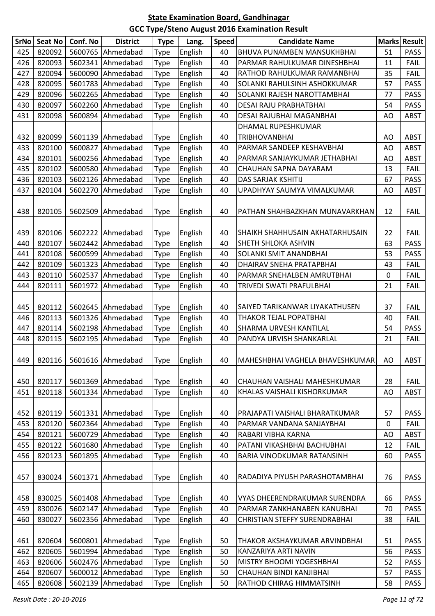| 820092<br>English<br>BHUVA PUNAMBEN MANSUKHBHAI<br>425<br>5600765 Ahmedabad<br>51<br><b>PASS</b><br>Type<br>40<br>820093<br>5602341 Ahmedabad<br>English<br>426<br><b>Type</b><br>40<br>PARMAR RAHULKUMAR DINESHBHAI<br><b>FAIL</b><br>11<br>820094<br>427<br>5600090 Ahmedabad<br>English<br>40<br>35<br><b>FAIL</b><br>RATHOD RAHULKUMAR RAMANBHAI<br><b>Type</b><br>820095<br>5601783 Ahmedabad<br>English<br><b>PASS</b><br>428<br>40<br>SOLANKI RAHULSINH ASHOKKUMAR<br>57<br>Type<br>820096<br>429<br>5602265 Ahmedabad<br>English<br>SOLANKI RAJESH NAROTTAMBHAI<br>77<br><b>PASS</b><br>40<br><b>Type</b><br>820097<br>5602260<br>Ahmedabad<br>English<br>430<br>40<br>54<br><b>PASS</b><br><b>Type</b><br>DESAI RAJU PRABHATBHAI<br>820098<br>5600894 Ahmedabad<br>English<br>431<br>40<br>DESAI RAJUBHAI MAGANBHAI<br>AO<br><b>ABST</b><br>Type<br>DHAMAL RUPESHKUMAR<br>820099<br>English<br><b>TRIBHOVANBHAI</b><br>432<br>5601139 Ahmedabad<br>40<br><b>ABST</b><br><b>Type</b><br>AO<br>433<br>820100<br>5600827<br>Ahmedabad<br>English<br>AO<br><b>ABST</b><br><b>Type</b><br>40<br>PARMAR SANDEEP KESHAVBHAI<br>434<br>820101<br>5600256 Ahmedabad<br>English<br>Type<br>40<br><b>ABST</b><br>PARMAR SANJAYKUMAR JETHABHAI<br>AO<br>820102<br>5600580 Ahmedabad<br>435<br>English<br>CHAUHAN SAPNA DAYARAM<br>13<br><b>FAIL</b><br>40<br><b>Type</b><br>820103<br>5602126 Ahmedabad<br>English<br><b>DAS SARJAK KSHITIJ</b><br><b>PASS</b><br>436<br>40<br>67<br><b>Type</b><br>820104<br>English<br>437<br>5602270 Ahmedabad<br>40<br>UPADHYAY SAUMYA VIMALKUMAR<br><b>ABST</b><br>Type<br>AO<br>PATHAN SHAHBAZKHAN MUNAVARKHAN<br>438<br>820105<br>5602509 Ahmedabad<br>English<br>40<br>12<br><b>FAIL</b><br><b>Type</b><br>439<br>820106<br>5602222 Ahmedabad<br>English<br>40<br>22<br><b>FAIL</b><br><b>Type</b><br>SHAIKH SHAHHUSAIN AKHATARHUSAIN<br>820107<br>5602442 Ahmedabad<br>English<br><b>PASS</b><br>440<br>Type<br>40<br>63<br>SHETH SHLOKA ASHVIN<br>820108<br>5600599 Ahmedabad<br>English<br>SOLANKI SMIT ANANDBHAI<br>53<br><b>PASS</b><br>441<br>40<br><b>Type</b><br>820109<br>English<br>442<br>5601323 Ahmedabad<br><b>FAIL</b><br><b>Type</b><br>40<br>DHAIRAV SNEHA PRATAPBHAI<br>43<br>820110<br>443<br>5602537 Ahmedabad<br>English<br>40<br>0<br><b>FAIL</b><br>PARMAR SNEHALBEN AMRUTBHAI<br><b>Type</b><br>820111<br>5601972 Ahmedabad<br>English<br>444<br>40<br>TRIVEDI SWATI PRAFULBHAI<br>21<br><b>FAIL</b><br><b>Type</b><br>820112<br>5602645 Ahmedabad<br>English<br><b>FAIL</b><br>445<br>40<br>37<br>Type<br>SAIYED TARIKANWAR LIYAKATHUSEN<br>820113<br>5601326 Ahmedabad<br>English<br>446<br><b>Type</b><br>40<br>THAKOR TEJAL POPATBHAI<br><b>FAIL</b><br>40<br>820114<br><b>PASS</b><br>447<br>5602198 Ahmedabad<br>English<br>40<br>SHARMA URVESH KANTILAL<br>54<br><b>Type</b><br>448<br>820115<br>5602195 Ahmedabad<br>English<br>Type<br>40<br>PANDYA URVISH SHANKARLAL<br>21<br><b>FAIL</b><br>820116   5601616   Ahmedabad<br>449  <br>Type<br>English<br>MAHESHBHAI VAGHELA BHAVESHKUMAR   AO<br>40<br>ABST<br>820117<br>5601369 Ahmedabad<br>English<br>28<br><b>FAIL</b><br>450<br>40<br>CHAUHAN VAISHALI MAHESHKUMAR<br><b>Type</b><br>820118<br>5601334 Ahmedabad<br>English<br>451<br><b>Type</b><br>40<br>KHALAS VAISHALI KISHORKUMAR<br>AO<br><b>ABST</b><br>820119<br>5601331 Ahmedabad<br>English<br>PRAJAPATI VAISHALI BHARATKUMAR<br><b>PASS</b><br>452<br><b>Type</b><br>40<br>57<br>820120<br>5602364 Ahmedabad<br>English<br>453<br>Type<br>0<br><b>FAIL</b><br>40<br>PARMAR VANDANA SANJAYBHAI<br>820121<br>5600729 Ahmedabad<br>English<br>454<br>Type<br>40<br>RABARI VIBHA KARNA<br>AO<br><b>ABST</b><br>820122<br>5601680 Ahmedabad<br>PATANI VIKASHBHAI BACHUBHAI<br>455<br>English<br><b>FAIL</b><br>Type<br>40<br>12<br>820123<br>5601895 Ahmedabad<br>English<br>40<br>BARIA VINODKUMAR RATANSINH<br><b>PASS</b><br>456<br>60<br><b>Type</b><br>830024<br>5601371 Ahmedabad<br>English<br>40<br>76<br><b>PASS</b><br>457<br>Type<br>RADADIYA PIYUSH PARASHOTAMBHAI<br>830025<br>5601408 Ahmedabad<br>458<br>English<br>66<br><b>PASS</b><br><b>Type</b><br>40<br>VYAS DHEERENDRAKUMAR SURENDRA<br>830026<br>5602147 Ahmedabad<br>English<br>70<br><b>PASS</b><br>459<br><b>Type</b><br>40<br>PARMAR ZANKHANABEN KANUBHAI<br>830027<br>5602356 Ahmedabad<br>English<br>460<br><b>Type</b><br>40<br>CHRISTIAN STEFFY SURENDRABHAI<br>38<br><b>FAIL</b><br>461<br>820604<br>5600801 Ahmedabad<br>English<br>51<br>50<br>THAKOR AKSHAYKUMAR ARVINDBHAI<br><b>PASS</b><br><b>Type</b><br>820605<br>5601994 Ahmedabad<br>English<br>462<br>50<br>56<br><b>PASS</b><br><b>Type</b><br>KANZARIYA ARTI NAVIN<br>463<br>820606<br>5602476 Ahmedabad<br>English<br><b>Type</b><br>50<br>MISTRY BHOOMI YOGESHBHAI<br>52<br><b>PASS</b><br>820607<br>5600012 Ahmedabad<br>English<br>CHAUHAN BINDI KANJIBHAI<br>50<br>57<br><b>PASS</b><br>464<br><b>Type</b><br>820608<br>5602139 Ahmedabad<br>English<br>50<br>RATHOD CHIRAG HIMMATSINH<br>58<br><b>PASS</b><br>465<br><b>Type</b> | SrNo | <b>Seat No</b> | Conf. No | <b>District</b> | <b>Type</b> | Lang. | <b>Speed</b> | <b>Candidate Name</b> | Marks Result |
|-----------------------------------------------------------------------------------------------------------------------------------------------------------------------------------------------------------------------------------------------------------------------------------------------------------------------------------------------------------------------------------------------------------------------------------------------------------------------------------------------------------------------------------------------------------------------------------------------------------------------------------------------------------------------------------------------------------------------------------------------------------------------------------------------------------------------------------------------------------------------------------------------------------------------------------------------------------------------------------------------------------------------------------------------------------------------------------------------------------------------------------------------------------------------------------------------------------------------------------------------------------------------------------------------------------------------------------------------------------------------------------------------------------------------------------------------------------------------------------------------------------------------------------------------------------------------------------------------------------------------------------------------------------------------------------------------------------------------------------------------------------------------------------------------------------------------------------------------------------------------------------------------------------------------------------------------------------------------------------------------------------------------------------------------------------------------------------------------------------------------------------------------------------------------------------------------------------------------------------------------------------------------------------------------------------------------------------------------------------------------------------------------------------------------------------------------------------------------------------------------------------------------------------------------------------------------------------------------------------------------------------------------------------------------------------------------------------------------------------------------------------------------------------------------------------------------------------------------------------------------------------------------------------------------------------------------------------------------------------------------------------------------------------------------------------------------------------------------------------------------------------------------------------------------------------------------------------------------------------------------------------------------------------------------------------------------------------------------------------------------------------------------------------------------------------------------------------------------------------------------------------------------------------------------------------------------------------------------------------------------------------------------------------------------------------------------------------------------------------------------------------------------------------------------------------------------------------------------------------------------------------------------------------------------------------------------------------------------------------------------------------------------------------------------------------------------------------------------------------------------------------------------------------------------------------------------------------------------------------------------------------------------------------------------------------------------------------------------------------------------------------------------------------------------------------------------------------------------------------------------------------------------------------------------------------------------------------------------------------------------------------------------------------------------------------------------------------------------------------------------------------------------------------------------------------------------------------------------------------------------------------------------------------------------------------------------------------------------------------------------------------------------------------------------------------------------|------|----------------|----------|-----------------|-------------|-------|--------------|-----------------------|--------------|
|                                                                                                                                                                                                                                                                                                                                                                                                                                                                                                                                                                                                                                                                                                                                                                                                                                                                                                                                                                                                                                                                                                                                                                                                                                                                                                                                                                                                                                                                                                                                                                                                                                                                                                                                                                                                                                                                                                                                                                                                                                                                                                                                                                                                                                                                                                                                                                                                                                                                                                                                                                                                                                                                                                                                                                                                                                                                                                                                                                                                                                                                                                                                                                                                                                                                                                                                                                                                                                                                                                                                                                                                                                                                                                                                                                                                                                                                                                                                                                                                                                                                                                                                                                                                                                                                                                                                                                                                                                                                                                                                                                                                                                                                                                                                                                                                                                                                                                                                                                                                                                                                       |      |                |          |                 |             |       |              |                       |              |
|                                                                                                                                                                                                                                                                                                                                                                                                                                                                                                                                                                                                                                                                                                                                                                                                                                                                                                                                                                                                                                                                                                                                                                                                                                                                                                                                                                                                                                                                                                                                                                                                                                                                                                                                                                                                                                                                                                                                                                                                                                                                                                                                                                                                                                                                                                                                                                                                                                                                                                                                                                                                                                                                                                                                                                                                                                                                                                                                                                                                                                                                                                                                                                                                                                                                                                                                                                                                                                                                                                                                                                                                                                                                                                                                                                                                                                                                                                                                                                                                                                                                                                                                                                                                                                                                                                                                                                                                                                                                                                                                                                                                                                                                                                                                                                                                                                                                                                                                                                                                                                                                       |      |                |          |                 |             |       |              |                       |              |
|                                                                                                                                                                                                                                                                                                                                                                                                                                                                                                                                                                                                                                                                                                                                                                                                                                                                                                                                                                                                                                                                                                                                                                                                                                                                                                                                                                                                                                                                                                                                                                                                                                                                                                                                                                                                                                                                                                                                                                                                                                                                                                                                                                                                                                                                                                                                                                                                                                                                                                                                                                                                                                                                                                                                                                                                                                                                                                                                                                                                                                                                                                                                                                                                                                                                                                                                                                                                                                                                                                                                                                                                                                                                                                                                                                                                                                                                                                                                                                                                                                                                                                                                                                                                                                                                                                                                                                                                                                                                                                                                                                                                                                                                                                                                                                                                                                                                                                                                                                                                                                                                       |      |                |          |                 |             |       |              |                       |              |
|                                                                                                                                                                                                                                                                                                                                                                                                                                                                                                                                                                                                                                                                                                                                                                                                                                                                                                                                                                                                                                                                                                                                                                                                                                                                                                                                                                                                                                                                                                                                                                                                                                                                                                                                                                                                                                                                                                                                                                                                                                                                                                                                                                                                                                                                                                                                                                                                                                                                                                                                                                                                                                                                                                                                                                                                                                                                                                                                                                                                                                                                                                                                                                                                                                                                                                                                                                                                                                                                                                                                                                                                                                                                                                                                                                                                                                                                                                                                                                                                                                                                                                                                                                                                                                                                                                                                                                                                                                                                                                                                                                                                                                                                                                                                                                                                                                                                                                                                                                                                                                                                       |      |                |          |                 |             |       |              |                       |              |
|                                                                                                                                                                                                                                                                                                                                                                                                                                                                                                                                                                                                                                                                                                                                                                                                                                                                                                                                                                                                                                                                                                                                                                                                                                                                                                                                                                                                                                                                                                                                                                                                                                                                                                                                                                                                                                                                                                                                                                                                                                                                                                                                                                                                                                                                                                                                                                                                                                                                                                                                                                                                                                                                                                                                                                                                                                                                                                                                                                                                                                                                                                                                                                                                                                                                                                                                                                                                                                                                                                                                                                                                                                                                                                                                                                                                                                                                                                                                                                                                                                                                                                                                                                                                                                                                                                                                                                                                                                                                                                                                                                                                                                                                                                                                                                                                                                                                                                                                                                                                                                                                       |      |                |          |                 |             |       |              |                       |              |
|                                                                                                                                                                                                                                                                                                                                                                                                                                                                                                                                                                                                                                                                                                                                                                                                                                                                                                                                                                                                                                                                                                                                                                                                                                                                                                                                                                                                                                                                                                                                                                                                                                                                                                                                                                                                                                                                                                                                                                                                                                                                                                                                                                                                                                                                                                                                                                                                                                                                                                                                                                                                                                                                                                                                                                                                                                                                                                                                                                                                                                                                                                                                                                                                                                                                                                                                                                                                                                                                                                                                                                                                                                                                                                                                                                                                                                                                                                                                                                                                                                                                                                                                                                                                                                                                                                                                                                                                                                                                                                                                                                                                                                                                                                                                                                                                                                                                                                                                                                                                                                                                       |      |                |          |                 |             |       |              |                       |              |
|                                                                                                                                                                                                                                                                                                                                                                                                                                                                                                                                                                                                                                                                                                                                                                                                                                                                                                                                                                                                                                                                                                                                                                                                                                                                                                                                                                                                                                                                                                                                                                                                                                                                                                                                                                                                                                                                                                                                                                                                                                                                                                                                                                                                                                                                                                                                                                                                                                                                                                                                                                                                                                                                                                                                                                                                                                                                                                                                                                                                                                                                                                                                                                                                                                                                                                                                                                                                                                                                                                                                                                                                                                                                                                                                                                                                                                                                                                                                                                                                                                                                                                                                                                                                                                                                                                                                                                                                                                                                                                                                                                                                                                                                                                                                                                                                                                                                                                                                                                                                                                                                       |      |                |          |                 |             |       |              |                       |              |
|                                                                                                                                                                                                                                                                                                                                                                                                                                                                                                                                                                                                                                                                                                                                                                                                                                                                                                                                                                                                                                                                                                                                                                                                                                                                                                                                                                                                                                                                                                                                                                                                                                                                                                                                                                                                                                                                                                                                                                                                                                                                                                                                                                                                                                                                                                                                                                                                                                                                                                                                                                                                                                                                                                                                                                                                                                                                                                                                                                                                                                                                                                                                                                                                                                                                                                                                                                                                                                                                                                                                                                                                                                                                                                                                                                                                                                                                                                                                                                                                                                                                                                                                                                                                                                                                                                                                                                                                                                                                                                                                                                                                                                                                                                                                                                                                                                                                                                                                                                                                                                                                       |      |                |          |                 |             |       |              |                       |              |
|                                                                                                                                                                                                                                                                                                                                                                                                                                                                                                                                                                                                                                                                                                                                                                                                                                                                                                                                                                                                                                                                                                                                                                                                                                                                                                                                                                                                                                                                                                                                                                                                                                                                                                                                                                                                                                                                                                                                                                                                                                                                                                                                                                                                                                                                                                                                                                                                                                                                                                                                                                                                                                                                                                                                                                                                                                                                                                                                                                                                                                                                                                                                                                                                                                                                                                                                                                                                                                                                                                                                                                                                                                                                                                                                                                                                                                                                                                                                                                                                                                                                                                                                                                                                                                                                                                                                                                                                                                                                                                                                                                                                                                                                                                                                                                                                                                                                                                                                                                                                                                                                       |      |                |          |                 |             |       |              |                       |              |
|                                                                                                                                                                                                                                                                                                                                                                                                                                                                                                                                                                                                                                                                                                                                                                                                                                                                                                                                                                                                                                                                                                                                                                                                                                                                                                                                                                                                                                                                                                                                                                                                                                                                                                                                                                                                                                                                                                                                                                                                                                                                                                                                                                                                                                                                                                                                                                                                                                                                                                                                                                                                                                                                                                                                                                                                                                                                                                                                                                                                                                                                                                                                                                                                                                                                                                                                                                                                                                                                                                                                                                                                                                                                                                                                                                                                                                                                                                                                                                                                                                                                                                                                                                                                                                                                                                                                                                                                                                                                                                                                                                                                                                                                                                                                                                                                                                                                                                                                                                                                                                                                       |      |                |          |                 |             |       |              |                       |              |
|                                                                                                                                                                                                                                                                                                                                                                                                                                                                                                                                                                                                                                                                                                                                                                                                                                                                                                                                                                                                                                                                                                                                                                                                                                                                                                                                                                                                                                                                                                                                                                                                                                                                                                                                                                                                                                                                                                                                                                                                                                                                                                                                                                                                                                                                                                                                                                                                                                                                                                                                                                                                                                                                                                                                                                                                                                                                                                                                                                                                                                                                                                                                                                                                                                                                                                                                                                                                                                                                                                                                                                                                                                                                                                                                                                                                                                                                                                                                                                                                                                                                                                                                                                                                                                                                                                                                                                                                                                                                                                                                                                                                                                                                                                                                                                                                                                                                                                                                                                                                                                                                       |      |                |          |                 |             |       |              |                       |              |
|                                                                                                                                                                                                                                                                                                                                                                                                                                                                                                                                                                                                                                                                                                                                                                                                                                                                                                                                                                                                                                                                                                                                                                                                                                                                                                                                                                                                                                                                                                                                                                                                                                                                                                                                                                                                                                                                                                                                                                                                                                                                                                                                                                                                                                                                                                                                                                                                                                                                                                                                                                                                                                                                                                                                                                                                                                                                                                                                                                                                                                                                                                                                                                                                                                                                                                                                                                                                                                                                                                                                                                                                                                                                                                                                                                                                                                                                                                                                                                                                                                                                                                                                                                                                                                                                                                                                                                                                                                                                                                                                                                                                                                                                                                                                                                                                                                                                                                                                                                                                                                                                       |      |                |          |                 |             |       |              |                       |              |
|                                                                                                                                                                                                                                                                                                                                                                                                                                                                                                                                                                                                                                                                                                                                                                                                                                                                                                                                                                                                                                                                                                                                                                                                                                                                                                                                                                                                                                                                                                                                                                                                                                                                                                                                                                                                                                                                                                                                                                                                                                                                                                                                                                                                                                                                                                                                                                                                                                                                                                                                                                                                                                                                                                                                                                                                                                                                                                                                                                                                                                                                                                                                                                                                                                                                                                                                                                                                                                                                                                                                                                                                                                                                                                                                                                                                                                                                                                                                                                                                                                                                                                                                                                                                                                                                                                                                                                                                                                                                                                                                                                                                                                                                                                                                                                                                                                                                                                                                                                                                                                                                       |      |                |          |                 |             |       |              |                       |              |
|                                                                                                                                                                                                                                                                                                                                                                                                                                                                                                                                                                                                                                                                                                                                                                                                                                                                                                                                                                                                                                                                                                                                                                                                                                                                                                                                                                                                                                                                                                                                                                                                                                                                                                                                                                                                                                                                                                                                                                                                                                                                                                                                                                                                                                                                                                                                                                                                                                                                                                                                                                                                                                                                                                                                                                                                                                                                                                                                                                                                                                                                                                                                                                                                                                                                                                                                                                                                                                                                                                                                                                                                                                                                                                                                                                                                                                                                                                                                                                                                                                                                                                                                                                                                                                                                                                                                                                                                                                                                                                                                                                                                                                                                                                                                                                                                                                                                                                                                                                                                                                                                       |      |                |          |                 |             |       |              |                       |              |
|                                                                                                                                                                                                                                                                                                                                                                                                                                                                                                                                                                                                                                                                                                                                                                                                                                                                                                                                                                                                                                                                                                                                                                                                                                                                                                                                                                                                                                                                                                                                                                                                                                                                                                                                                                                                                                                                                                                                                                                                                                                                                                                                                                                                                                                                                                                                                                                                                                                                                                                                                                                                                                                                                                                                                                                                                                                                                                                                                                                                                                                                                                                                                                                                                                                                                                                                                                                                                                                                                                                                                                                                                                                                                                                                                                                                                                                                                                                                                                                                                                                                                                                                                                                                                                                                                                                                                                                                                                                                                                                                                                                                                                                                                                                                                                                                                                                                                                                                                                                                                                                                       |      |                |          |                 |             |       |              |                       |              |
|                                                                                                                                                                                                                                                                                                                                                                                                                                                                                                                                                                                                                                                                                                                                                                                                                                                                                                                                                                                                                                                                                                                                                                                                                                                                                                                                                                                                                                                                                                                                                                                                                                                                                                                                                                                                                                                                                                                                                                                                                                                                                                                                                                                                                                                                                                                                                                                                                                                                                                                                                                                                                                                                                                                                                                                                                                                                                                                                                                                                                                                                                                                                                                                                                                                                                                                                                                                                                                                                                                                                                                                                                                                                                                                                                                                                                                                                                                                                                                                                                                                                                                                                                                                                                                                                                                                                                                                                                                                                                                                                                                                                                                                                                                                                                                                                                                                                                                                                                                                                                                                                       |      |                |          |                 |             |       |              |                       |              |
|                                                                                                                                                                                                                                                                                                                                                                                                                                                                                                                                                                                                                                                                                                                                                                                                                                                                                                                                                                                                                                                                                                                                                                                                                                                                                                                                                                                                                                                                                                                                                                                                                                                                                                                                                                                                                                                                                                                                                                                                                                                                                                                                                                                                                                                                                                                                                                                                                                                                                                                                                                                                                                                                                                                                                                                                                                                                                                                                                                                                                                                                                                                                                                                                                                                                                                                                                                                                                                                                                                                                                                                                                                                                                                                                                                                                                                                                                                                                                                                                                                                                                                                                                                                                                                                                                                                                                                                                                                                                                                                                                                                                                                                                                                                                                                                                                                                                                                                                                                                                                                                                       |      |                |          |                 |             |       |              |                       |              |
|                                                                                                                                                                                                                                                                                                                                                                                                                                                                                                                                                                                                                                                                                                                                                                                                                                                                                                                                                                                                                                                                                                                                                                                                                                                                                                                                                                                                                                                                                                                                                                                                                                                                                                                                                                                                                                                                                                                                                                                                                                                                                                                                                                                                                                                                                                                                                                                                                                                                                                                                                                                                                                                                                                                                                                                                                                                                                                                                                                                                                                                                                                                                                                                                                                                                                                                                                                                                                                                                                                                                                                                                                                                                                                                                                                                                                                                                                                                                                                                                                                                                                                                                                                                                                                                                                                                                                                                                                                                                                                                                                                                                                                                                                                                                                                                                                                                                                                                                                                                                                                                                       |      |                |          |                 |             |       |              |                       |              |
|                                                                                                                                                                                                                                                                                                                                                                                                                                                                                                                                                                                                                                                                                                                                                                                                                                                                                                                                                                                                                                                                                                                                                                                                                                                                                                                                                                                                                                                                                                                                                                                                                                                                                                                                                                                                                                                                                                                                                                                                                                                                                                                                                                                                                                                                                                                                                                                                                                                                                                                                                                                                                                                                                                                                                                                                                                                                                                                                                                                                                                                                                                                                                                                                                                                                                                                                                                                                                                                                                                                                                                                                                                                                                                                                                                                                                                                                                                                                                                                                                                                                                                                                                                                                                                                                                                                                                                                                                                                                                                                                                                                                                                                                                                                                                                                                                                                                                                                                                                                                                                                                       |      |                |          |                 |             |       |              |                       |              |
|                                                                                                                                                                                                                                                                                                                                                                                                                                                                                                                                                                                                                                                                                                                                                                                                                                                                                                                                                                                                                                                                                                                                                                                                                                                                                                                                                                                                                                                                                                                                                                                                                                                                                                                                                                                                                                                                                                                                                                                                                                                                                                                                                                                                                                                                                                                                                                                                                                                                                                                                                                                                                                                                                                                                                                                                                                                                                                                                                                                                                                                                                                                                                                                                                                                                                                                                                                                                                                                                                                                                                                                                                                                                                                                                                                                                                                                                                                                                                                                                                                                                                                                                                                                                                                                                                                                                                                                                                                                                                                                                                                                                                                                                                                                                                                                                                                                                                                                                                                                                                                                                       |      |                |          |                 |             |       |              |                       |              |
|                                                                                                                                                                                                                                                                                                                                                                                                                                                                                                                                                                                                                                                                                                                                                                                                                                                                                                                                                                                                                                                                                                                                                                                                                                                                                                                                                                                                                                                                                                                                                                                                                                                                                                                                                                                                                                                                                                                                                                                                                                                                                                                                                                                                                                                                                                                                                                                                                                                                                                                                                                                                                                                                                                                                                                                                                                                                                                                                                                                                                                                                                                                                                                                                                                                                                                                                                                                                                                                                                                                                                                                                                                                                                                                                                                                                                                                                                                                                                                                                                                                                                                                                                                                                                                                                                                                                                                                                                                                                                                                                                                                                                                                                                                                                                                                                                                                                                                                                                                                                                                                                       |      |                |          |                 |             |       |              |                       |              |
|                                                                                                                                                                                                                                                                                                                                                                                                                                                                                                                                                                                                                                                                                                                                                                                                                                                                                                                                                                                                                                                                                                                                                                                                                                                                                                                                                                                                                                                                                                                                                                                                                                                                                                                                                                                                                                                                                                                                                                                                                                                                                                                                                                                                                                                                                                                                                                                                                                                                                                                                                                                                                                                                                                                                                                                                                                                                                                                                                                                                                                                                                                                                                                                                                                                                                                                                                                                                                                                                                                                                                                                                                                                                                                                                                                                                                                                                                                                                                                                                                                                                                                                                                                                                                                                                                                                                                                                                                                                                                                                                                                                                                                                                                                                                                                                                                                                                                                                                                                                                                                                                       |      |                |          |                 |             |       |              |                       |              |
|                                                                                                                                                                                                                                                                                                                                                                                                                                                                                                                                                                                                                                                                                                                                                                                                                                                                                                                                                                                                                                                                                                                                                                                                                                                                                                                                                                                                                                                                                                                                                                                                                                                                                                                                                                                                                                                                                                                                                                                                                                                                                                                                                                                                                                                                                                                                                                                                                                                                                                                                                                                                                                                                                                                                                                                                                                                                                                                                                                                                                                                                                                                                                                                                                                                                                                                                                                                                                                                                                                                                                                                                                                                                                                                                                                                                                                                                                                                                                                                                                                                                                                                                                                                                                                                                                                                                                                                                                                                                                                                                                                                                                                                                                                                                                                                                                                                                                                                                                                                                                                                                       |      |                |          |                 |             |       |              |                       |              |
|                                                                                                                                                                                                                                                                                                                                                                                                                                                                                                                                                                                                                                                                                                                                                                                                                                                                                                                                                                                                                                                                                                                                                                                                                                                                                                                                                                                                                                                                                                                                                                                                                                                                                                                                                                                                                                                                                                                                                                                                                                                                                                                                                                                                                                                                                                                                                                                                                                                                                                                                                                                                                                                                                                                                                                                                                                                                                                                                                                                                                                                                                                                                                                                                                                                                                                                                                                                                                                                                                                                                                                                                                                                                                                                                                                                                                                                                                                                                                                                                                                                                                                                                                                                                                                                                                                                                                                                                                                                                                                                                                                                                                                                                                                                                                                                                                                                                                                                                                                                                                                                                       |      |                |          |                 |             |       |              |                       |              |
|                                                                                                                                                                                                                                                                                                                                                                                                                                                                                                                                                                                                                                                                                                                                                                                                                                                                                                                                                                                                                                                                                                                                                                                                                                                                                                                                                                                                                                                                                                                                                                                                                                                                                                                                                                                                                                                                                                                                                                                                                                                                                                                                                                                                                                                                                                                                                                                                                                                                                                                                                                                                                                                                                                                                                                                                                                                                                                                                                                                                                                                                                                                                                                                                                                                                                                                                                                                                                                                                                                                                                                                                                                                                                                                                                                                                                                                                                                                                                                                                                                                                                                                                                                                                                                                                                                                                                                                                                                                                                                                                                                                                                                                                                                                                                                                                                                                                                                                                                                                                                                                                       |      |                |          |                 |             |       |              |                       |              |
|                                                                                                                                                                                                                                                                                                                                                                                                                                                                                                                                                                                                                                                                                                                                                                                                                                                                                                                                                                                                                                                                                                                                                                                                                                                                                                                                                                                                                                                                                                                                                                                                                                                                                                                                                                                                                                                                                                                                                                                                                                                                                                                                                                                                                                                                                                                                                                                                                                                                                                                                                                                                                                                                                                                                                                                                                                                                                                                                                                                                                                                                                                                                                                                                                                                                                                                                                                                                                                                                                                                                                                                                                                                                                                                                                                                                                                                                                                                                                                                                                                                                                                                                                                                                                                                                                                                                                                                                                                                                                                                                                                                                                                                                                                                                                                                                                                                                                                                                                                                                                                                                       |      |                |          |                 |             |       |              |                       |              |
|                                                                                                                                                                                                                                                                                                                                                                                                                                                                                                                                                                                                                                                                                                                                                                                                                                                                                                                                                                                                                                                                                                                                                                                                                                                                                                                                                                                                                                                                                                                                                                                                                                                                                                                                                                                                                                                                                                                                                                                                                                                                                                                                                                                                                                                                                                                                                                                                                                                                                                                                                                                                                                                                                                                                                                                                                                                                                                                                                                                                                                                                                                                                                                                                                                                                                                                                                                                                                                                                                                                                                                                                                                                                                                                                                                                                                                                                                                                                                                                                                                                                                                                                                                                                                                                                                                                                                                                                                                                                                                                                                                                                                                                                                                                                                                                                                                                                                                                                                                                                                                                                       |      |                |          |                 |             |       |              |                       |              |
|                                                                                                                                                                                                                                                                                                                                                                                                                                                                                                                                                                                                                                                                                                                                                                                                                                                                                                                                                                                                                                                                                                                                                                                                                                                                                                                                                                                                                                                                                                                                                                                                                                                                                                                                                                                                                                                                                                                                                                                                                                                                                                                                                                                                                                                                                                                                                                                                                                                                                                                                                                                                                                                                                                                                                                                                                                                                                                                                                                                                                                                                                                                                                                                                                                                                                                                                                                                                                                                                                                                                                                                                                                                                                                                                                                                                                                                                                                                                                                                                                                                                                                                                                                                                                                                                                                                                                                                                                                                                                                                                                                                                                                                                                                                                                                                                                                                                                                                                                                                                                                                                       |      |                |          |                 |             |       |              |                       |              |
|                                                                                                                                                                                                                                                                                                                                                                                                                                                                                                                                                                                                                                                                                                                                                                                                                                                                                                                                                                                                                                                                                                                                                                                                                                                                                                                                                                                                                                                                                                                                                                                                                                                                                                                                                                                                                                                                                                                                                                                                                                                                                                                                                                                                                                                                                                                                                                                                                                                                                                                                                                                                                                                                                                                                                                                                                                                                                                                                                                                                                                                                                                                                                                                                                                                                                                                                                                                                                                                                                                                                                                                                                                                                                                                                                                                                                                                                                                                                                                                                                                                                                                                                                                                                                                                                                                                                                                                                                                                                                                                                                                                                                                                                                                                                                                                                                                                                                                                                                                                                                                                                       |      |                |          |                 |             |       |              |                       |              |
|                                                                                                                                                                                                                                                                                                                                                                                                                                                                                                                                                                                                                                                                                                                                                                                                                                                                                                                                                                                                                                                                                                                                                                                                                                                                                                                                                                                                                                                                                                                                                                                                                                                                                                                                                                                                                                                                                                                                                                                                                                                                                                                                                                                                                                                                                                                                                                                                                                                                                                                                                                                                                                                                                                                                                                                                                                                                                                                                                                                                                                                                                                                                                                                                                                                                                                                                                                                                                                                                                                                                                                                                                                                                                                                                                                                                                                                                                                                                                                                                                                                                                                                                                                                                                                                                                                                                                                                                                                                                                                                                                                                                                                                                                                                                                                                                                                                                                                                                                                                                                                                                       |      |                |          |                 |             |       |              |                       |              |
|                                                                                                                                                                                                                                                                                                                                                                                                                                                                                                                                                                                                                                                                                                                                                                                                                                                                                                                                                                                                                                                                                                                                                                                                                                                                                                                                                                                                                                                                                                                                                                                                                                                                                                                                                                                                                                                                                                                                                                                                                                                                                                                                                                                                                                                                                                                                                                                                                                                                                                                                                                                                                                                                                                                                                                                                                                                                                                                                                                                                                                                                                                                                                                                                                                                                                                                                                                                                                                                                                                                                                                                                                                                                                                                                                                                                                                                                                                                                                                                                                                                                                                                                                                                                                                                                                                                                                                                                                                                                                                                                                                                                                                                                                                                                                                                                                                                                                                                                                                                                                                                                       |      |                |          |                 |             |       |              |                       |              |
|                                                                                                                                                                                                                                                                                                                                                                                                                                                                                                                                                                                                                                                                                                                                                                                                                                                                                                                                                                                                                                                                                                                                                                                                                                                                                                                                                                                                                                                                                                                                                                                                                                                                                                                                                                                                                                                                                                                                                                                                                                                                                                                                                                                                                                                                                                                                                                                                                                                                                                                                                                                                                                                                                                                                                                                                                                                                                                                                                                                                                                                                                                                                                                                                                                                                                                                                                                                                                                                                                                                                                                                                                                                                                                                                                                                                                                                                                                                                                                                                                                                                                                                                                                                                                                                                                                                                                                                                                                                                                                                                                                                                                                                                                                                                                                                                                                                                                                                                                                                                                                                                       |      |                |          |                 |             |       |              |                       |              |
|                                                                                                                                                                                                                                                                                                                                                                                                                                                                                                                                                                                                                                                                                                                                                                                                                                                                                                                                                                                                                                                                                                                                                                                                                                                                                                                                                                                                                                                                                                                                                                                                                                                                                                                                                                                                                                                                                                                                                                                                                                                                                                                                                                                                                                                                                                                                                                                                                                                                                                                                                                                                                                                                                                                                                                                                                                                                                                                                                                                                                                                                                                                                                                                                                                                                                                                                                                                                                                                                                                                                                                                                                                                                                                                                                                                                                                                                                                                                                                                                                                                                                                                                                                                                                                                                                                                                                                                                                                                                                                                                                                                                                                                                                                                                                                                                                                                                                                                                                                                                                                                                       |      |                |          |                 |             |       |              |                       |              |
|                                                                                                                                                                                                                                                                                                                                                                                                                                                                                                                                                                                                                                                                                                                                                                                                                                                                                                                                                                                                                                                                                                                                                                                                                                                                                                                                                                                                                                                                                                                                                                                                                                                                                                                                                                                                                                                                                                                                                                                                                                                                                                                                                                                                                                                                                                                                                                                                                                                                                                                                                                                                                                                                                                                                                                                                                                                                                                                                                                                                                                                                                                                                                                                                                                                                                                                                                                                                                                                                                                                                                                                                                                                                                                                                                                                                                                                                                                                                                                                                                                                                                                                                                                                                                                                                                                                                                                                                                                                                                                                                                                                                                                                                                                                                                                                                                                                                                                                                                                                                                                                                       |      |                |          |                 |             |       |              |                       |              |
|                                                                                                                                                                                                                                                                                                                                                                                                                                                                                                                                                                                                                                                                                                                                                                                                                                                                                                                                                                                                                                                                                                                                                                                                                                                                                                                                                                                                                                                                                                                                                                                                                                                                                                                                                                                                                                                                                                                                                                                                                                                                                                                                                                                                                                                                                                                                                                                                                                                                                                                                                                                                                                                                                                                                                                                                                                                                                                                                                                                                                                                                                                                                                                                                                                                                                                                                                                                                                                                                                                                                                                                                                                                                                                                                                                                                                                                                                                                                                                                                                                                                                                                                                                                                                                                                                                                                                                                                                                                                                                                                                                                                                                                                                                                                                                                                                                                                                                                                                                                                                                                                       |      |                |          |                 |             |       |              |                       |              |
|                                                                                                                                                                                                                                                                                                                                                                                                                                                                                                                                                                                                                                                                                                                                                                                                                                                                                                                                                                                                                                                                                                                                                                                                                                                                                                                                                                                                                                                                                                                                                                                                                                                                                                                                                                                                                                                                                                                                                                                                                                                                                                                                                                                                                                                                                                                                                                                                                                                                                                                                                                                                                                                                                                                                                                                                                                                                                                                                                                                                                                                                                                                                                                                                                                                                                                                                                                                                                                                                                                                                                                                                                                                                                                                                                                                                                                                                                                                                                                                                                                                                                                                                                                                                                                                                                                                                                                                                                                                                                                                                                                                                                                                                                                                                                                                                                                                                                                                                                                                                                                                                       |      |                |          |                 |             |       |              |                       |              |
|                                                                                                                                                                                                                                                                                                                                                                                                                                                                                                                                                                                                                                                                                                                                                                                                                                                                                                                                                                                                                                                                                                                                                                                                                                                                                                                                                                                                                                                                                                                                                                                                                                                                                                                                                                                                                                                                                                                                                                                                                                                                                                                                                                                                                                                                                                                                                                                                                                                                                                                                                                                                                                                                                                                                                                                                                                                                                                                                                                                                                                                                                                                                                                                                                                                                                                                                                                                                                                                                                                                                                                                                                                                                                                                                                                                                                                                                                                                                                                                                                                                                                                                                                                                                                                                                                                                                                                                                                                                                                                                                                                                                                                                                                                                                                                                                                                                                                                                                                                                                                                                                       |      |                |          |                 |             |       |              |                       |              |
|                                                                                                                                                                                                                                                                                                                                                                                                                                                                                                                                                                                                                                                                                                                                                                                                                                                                                                                                                                                                                                                                                                                                                                                                                                                                                                                                                                                                                                                                                                                                                                                                                                                                                                                                                                                                                                                                                                                                                                                                                                                                                                                                                                                                                                                                                                                                                                                                                                                                                                                                                                                                                                                                                                                                                                                                                                                                                                                                                                                                                                                                                                                                                                                                                                                                                                                                                                                                                                                                                                                                                                                                                                                                                                                                                                                                                                                                                                                                                                                                                                                                                                                                                                                                                                                                                                                                                                                                                                                                                                                                                                                                                                                                                                                                                                                                                                                                                                                                                                                                                                                                       |      |                |          |                 |             |       |              |                       |              |
|                                                                                                                                                                                                                                                                                                                                                                                                                                                                                                                                                                                                                                                                                                                                                                                                                                                                                                                                                                                                                                                                                                                                                                                                                                                                                                                                                                                                                                                                                                                                                                                                                                                                                                                                                                                                                                                                                                                                                                                                                                                                                                                                                                                                                                                                                                                                                                                                                                                                                                                                                                                                                                                                                                                                                                                                                                                                                                                                                                                                                                                                                                                                                                                                                                                                                                                                                                                                                                                                                                                                                                                                                                                                                                                                                                                                                                                                                                                                                                                                                                                                                                                                                                                                                                                                                                                                                                                                                                                                                                                                                                                                                                                                                                                                                                                                                                                                                                                                                                                                                                                                       |      |                |          |                 |             |       |              |                       |              |
|                                                                                                                                                                                                                                                                                                                                                                                                                                                                                                                                                                                                                                                                                                                                                                                                                                                                                                                                                                                                                                                                                                                                                                                                                                                                                                                                                                                                                                                                                                                                                                                                                                                                                                                                                                                                                                                                                                                                                                                                                                                                                                                                                                                                                                                                                                                                                                                                                                                                                                                                                                                                                                                                                                                                                                                                                                                                                                                                                                                                                                                                                                                                                                                                                                                                                                                                                                                                                                                                                                                                                                                                                                                                                                                                                                                                                                                                                                                                                                                                                                                                                                                                                                                                                                                                                                                                                                                                                                                                                                                                                                                                                                                                                                                                                                                                                                                                                                                                                                                                                                                                       |      |                |          |                 |             |       |              |                       |              |
|                                                                                                                                                                                                                                                                                                                                                                                                                                                                                                                                                                                                                                                                                                                                                                                                                                                                                                                                                                                                                                                                                                                                                                                                                                                                                                                                                                                                                                                                                                                                                                                                                                                                                                                                                                                                                                                                                                                                                                                                                                                                                                                                                                                                                                                                                                                                                                                                                                                                                                                                                                                                                                                                                                                                                                                                                                                                                                                                                                                                                                                                                                                                                                                                                                                                                                                                                                                                                                                                                                                                                                                                                                                                                                                                                                                                                                                                                                                                                                                                                                                                                                                                                                                                                                                                                                                                                                                                                                                                                                                                                                                                                                                                                                                                                                                                                                                                                                                                                                                                                                                                       |      |                |          |                 |             |       |              |                       |              |
|                                                                                                                                                                                                                                                                                                                                                                                                                                                                                                                                                                                                                                                                                                                                                                                                                                                                                                                                                                                                                                                                                                                                                                                                                                                                                                                                                                                                                                                                                                                                                                                                                                                                                                                                                                                                                                                                                                                                                                                                                                                                                                                                                                                                                                                                                                                                                                                                                                                                                                                                                                                                                                                                                                                                                                                                                                                                                                                                                                                                                                                                                                                                                                                                                                                                                                                                                                                                                                                                                                                                                                                                                                                                                                                                                                                                                                                                                                                                                                                                                                                                                                                                                                                                                                                                                                                                                                                                                                                                                                                                                                                                                                                                                                                                                                                                                                                                                                                                                                                                                                                                       |      |                |          |                 |             |       |              |                       |              |
|                                                                                                                                                                                                                                                                                                                                                                                                                                                                                                                                                                                                                                                                                                                                                                                                                                                                                                                                                                                                                                                                                                                                                                                                                                                                                                                                                                                                                                                                                                                                                                                                                                                                                                                                                                                                                                                                                                                                                                                                                                                                                                                                                                                                                                                                                                                                                                                                                                                                                                                                                                                                                                                                                                                                                                                                                                                                                                                                                                                                                                                                                                                                                                                                                                                                                                                                                                                                                                                                                                                                                                                                                                                                                                                                                                                                                                                                                                                                                                                                                                                                                                                                                                                                                                                                                                                                                                                                                                                                                                                                                                                                                                                                                                                                                                                                                                                                                                                                                                                                                                                                       |      |                |          |                 |             |       |              |                       |              |
|                                                                                                                                                                                                                                                                                                                                                                                                                                                                                                                                                                                                                                                                                                                                                                                                                                                                                                                                                                                                                                                                                                                                                                                                                                                                                                                                                                                                                                                                                                                                                                                                                                                                                                                                                                                                                                                                                                                                                                                                                                                                                                                                                                                                                                                                                                                                                                                                                                                                                                                                                                                                                                                                                                                                                                                                                                                                                                                                                                                                                                                                                                                                                                                                                                                                                                                                                                                                                                                                                                                                                                                                                                                                                                                                                                                                                                                                                                                                                                                                                                                                                                                                                                                                                                                                                                                                                                                                                                                                                                                                                                                                                                                                                                                                                                                                                                                                                                                                                                                                                                                                       |      |                |          |                 |             |       |              |                       |              |
|                                                                                                                                                                                                                                                                                                                                                                                                                                                                                                                                                                                                                                                                                                                                                                                                                                                                                                                                                                                                                                                                                                                                                                                                                                                                                                                                                                                                                                                                                                                                                                                                                                                                                                                                                                                                                                                                                                                                                                                                                                                                                                                                                                                                                                                                                                                                                                                                                                                                                                                                                                                                                                                                                                                                                                                                                                                                                                                                                                                                                                                                                                                                                                                                                                                                                                                                                                                                                                                                                                                                                                                                                                                                                                                                                                                                                                                                                                                                                                                                                                                                                                                                                                                                                                                                                                                                                                                                                                                                                                                                                                                                                                                                                                                                                                                                                                                                                                                                                                                                                                                                       |      |                |          |                 |             |       |              |                       |              |
|                                                                                                                                                                                                                                                                                                                                                                                                                                                                                                                                                                                                                                                                                                                                                                                                                                                                                                                                                                                                                                                                                                                                                                                                                                                                                                                                                                                                                                                                                                                                                                                                                                                                                                                                                                                                                                                                                                                                                                                                                                                                                                                                                                                                                                                                                                                                                                                                                                                                                                                                                                                                                                                                                                                                                                                                                                                                                                                                                                                                                                                                                                                                                                                                                                                                                                                                                                                                                                                                                                                                                                                                                                                                                                                                                                                                                                                                                                                                                                                                                                                                                                                                                                                                                                                                                                                                                                                                                                                                                                                                                                                                                                                                                                                                                                                                                                                                                                                                                                                                                                                                       |      |                |          |                 |             |       |              |                       |              |
|                                                                                                                                                                                                                                                                                                                                                                                                                                                                                                                                                                                                                                                                                                                                                                                                                                                                                                                                                                                                                                                                                                                                                                                                                                                                                                                                                                                                                                                                                                                                                                                                                                                                                                                                                                                                                                                                                                                                                                                                                                                                                                                                                                                                                                                                                                                                                                                                                                                                                                                                                                                                                                                                                                                                                                                                                                                                                                                                                                                                                                                                                                                                                                                                                                                                                                                                                                                                                                                                                                                                                                                                                                                                                                                                                                                                                                                                                                                                                                                                                                                                                                                                                                                                                                                                                                                                                                                                                                                                                                                                                                                                                                                                                                                                                                                                                                                                                                                                                                                                                                                                       |      |                |          |                 |             |       |              |                       |              |
|                                                                                                                                                                                                                                                                                                                                                                                                                                                                                                                                                                                                                                                                                                                                                                                                                                                                                                                                                                                                                                                                                                                                                                                                                                                                                                                                                                                                                                                                                                                                                                                                                                                                                                                                                                                                                                                                                                                                                                                                                                                                                                                                                                                                                                                                                                                                                                                                                                                                                                                                                                                                                                                                                                                                                                                                                                                                                                                                                                                                                                                                                                                                                                                                                                                                                                                                                                                                                                                                                                                                                                                                                                                                                                                                                                                                                                                                                                                                                                                                                                                                                                                                                                                                                                                                                                                                                                                                                                                                                                                                                                                                                                                                                                                                                                                                                                                                                                                                                                                                                                                                       |      |                |          |                 |             |       |              |                       |              |
|                                                                                                                                                                                                                                                                                                                                                                                                                                                                                                                                                                                                                                                                                                                                                                                                                                                                                                                                                                                                                                                                                                                                                                                                                                                                                                                                                                                                                                                                                                                                                                                                                                                                                                                                                                                                                                                                                                                                                                                                                                                                                                                                                                                                                                                                                                                                                                                                                                                                                                                                                                                                                                                                                                                                                                                                                                                                                                                                                                                                                                                                                                                                                                                                                                                                                                                                                                                                                                                                                                                                                                                                                                                                                                                                                                                                                                                                                                                                                                                                                                                                                                                                                                                                                                                                                                                                                                                                                                                                                                                                                                                                                                                                                                                                                                                                                                                                                                                                                                                                                                                                       |      |                |          |                 |             |       |              |                       |              |
|                                                                                                                                                                                                                                                                                                                                                                                                                                                                                                                                                                                                                                                                                                                                                                                                                                                                                                                                                                                                                                                                                                                                                                                                                                                                                                                                                                                                                                                                                                                                                                                                                                                                                                                                                                                                                                                                                                                                                                                                                                                                                                                                                                                                                                                                                                                                                                                                                                                                                                                                                                                                                                                                                                                                                                                                                                                                                                                                                                                                                                                                                                                                                                                                                                                                                                                                                                                                                                                                                                                                                                                                                                                                                                                                                                                                                                                                                                                                                                                                                                                                                                                                                                                                                                                                                                                                                                                                                                                                                                                                                                                                                                                                                                                                                                                                                                                                                                                                                                                                                                                                       |      |                |          |                 |             |       |              |                       |              |
|                                                                                                                                                                                                                                                                                                                                                                                                                                                                                                                                                                                                                                                                                                                                                                                                                                                                                                                                                                                                                                                                                                                                                                                                                                                                                                                                                                                                                                                                                                                                                                                                                                                                                                                                                                                                                                                                                                                                                                                                                                                                                                                                                                                                                                                                                                                                                                                                                                                                                                                                                                                                                                                                                                                                                                                                                                                                                                                                                                                                                                                                                                                                                                                                                                                                                                                                                                                                                                                                                                                                                                                                                                                                                                                                                                                                                                                                                                                                                                                                                                                                                                                                                                                                                                                                                                                                                                                                                                                                                                                                                                                                                                                                                                                                                                                                                                                                                                                                                                                                                                                                       |      |                |          |                 |             |       |              |                       |              |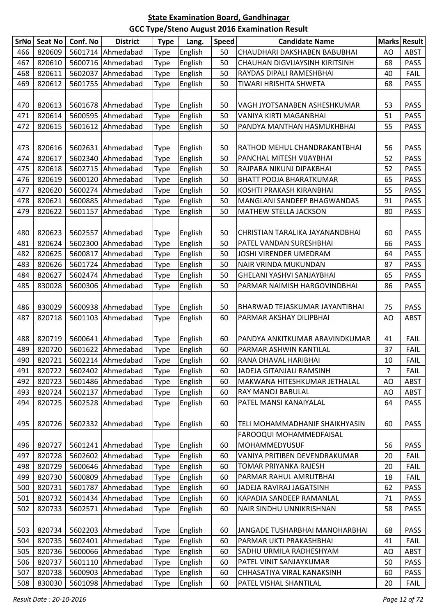| <b>SrNo</b> | <b>Seat No</b> | Conf. No | <b>District</b>   | <b>Type</b> | Lang.   | <b>Speed</b> | <b>Candidate Name</b>            |                | <b>Marks Result</b> |
|-------------|----------------|----------|-------------------|-------------|---------|--------------|----------------------------------|----------------|---------------------|
| 466         | 820609         |          | 5601714 Ahmedabad | <b>Type</b> | English | 50           | CHAUDHARI DAKSHABEN BABUBHAI     | AO             | <b>ABST</b>         |
| 467         | 820610         |          | 5600716 Ahmedabad | Type        | English | 50           | CHAUHAN DIGVIJAYSINH KIRITSINH   | 68             | <b>PASS</b>         |
| 468         | 820611         |          | 5602037 Ahmedabad | Type        | English | 50           | RAYDAS DIPALI RAMESHBHAI         | 40             | FAIL                |
| 469         | 820612         |          | 5601755 Ahmedabad | <b>Type</b> | English | 50           | TIWARI HRISHITA SHWETA           | 68             | <b>PASS</b>         |
|             |                |          |                   |             |         |              |                                  |                |                     |
| 470         | 820613         |          | 5601678 Ahmedabad | <b>Type</b> | English | 50           | VAGH JYOTSANABEN ASHESHKUMAR     | 53             | <b>PASS</b>         |
| 471         | 820614         |          | 5600595 Ahmedabad | <b>Type</b> | English | 50           | VANIYA KIRTI MAGANBHAI           | 51             | <b>PASS</b>         |
| 472         | 820615         |          | 5601612 Ahmedabad | Type        | English | 50           | PANDYA MANTHAN HASMUKHBHAI       | 55             | <b>PASS</b>         |
|             |                |          |                   |             |         |              |                                  |                |                     |
| 473         | 820616         |          | 5602631 Ahmedabad | <b>Type</b> | English | 50           | RATHOD MEHUL CHANDRAKANTBHAI     | 56             | <b>PASS</b>         |
| 474         | 820617         |          | 5602340 Ahmedabad | Type        | English | 50           | PANCHAL MITESH VIJAYBHAI         | 52             | <b>PASS</b>         |
| 475         | 820618         |          | 5602715 Ahmedabad | <b>Type</b> | English | 50           | RAJPARA NIKUNJ DIPAKBHAI         | 52             | <b>PASS</b>         |
| 476         | 820619         |          | 5600120 Ahmedabad | <b>Type</b> | English | 50           | <b>BHATT POOJA BHARATKUMAR</b>   | 65             | <b>PASS</b>         |
| 477         | 820620         |          | 5600274 Ahmedabad | Type        | English | 50           | KOSHTI PRAKASH KIRANBHAI         | 55             | <b>PASS</b>         |
| 478         | 820621         |          | 5600885 Ahmedabad | <b>Type</b> | English | 50           | MANGLANI SANDEEP BHAGWANDAS      | 91             | <b>PASS</b>         |
| 479         | 820622         |          | 5601157 Ahmedabad | <b>Type</b> | English | 50           | <b>MATHEW STELLA JACKSON</b>     | 80             | <b>PASS</b>         |
|             |                |          |                   |             |         |              |                                  |                |                     |
| 480         | 820623         |          | 5602557 Ahmedabad | <b>Type</b> | English | 50           | CHRISTIAN TARALIKA JAYANANDBHAI  | 60             | <b>PASS</b>         |
| 481         | 820624         |          | 5602300 Ahmedabad | <b>Type</b> | English | 50           | PATEL VANDAN SURESHBHAI          | 66             | <b>PASS</b>         |
| 482         | 820625         |          | 5600817 Ahmedabad | <b>Type</b> | English | 50           | JOSHI VIRENDER UMEDRAM           | 64             | <b>PASS</b>         |
| 483         | 820626         | 5601724  | Ahmedabad         | Type        | English | 50           | NAIR VRINDA MUKUNDAN             | 87             | <b>PASS</b>         |
| 484         | 820627         |          | 5602474 Ahmedabad | <b>Type</b> | English | 50           | <b>GHELANI YASHVI SANJAYBHAI</b> | 65             | <b>PASS</b>         |
| 485         | 830028         |          | 5600306 Ahmedabad | <b>Type</b> | English | 50           | PARMAR NAIMISH HARGOVINDBHAI     | 86             | <b>PASS</b>         |
|             |                |          |                   |             |         |              |                                  |                |                     |
| 486         | 830029         |          | 5600938 Ahmedabad | <b>Type</b> | English | 50           | BHARWAD TEJASKUMAR JAYANTIBHAI   | 75             | <b>PASS</b>         |
| 487         | 820718         |          | 5601103 Ahmedabad | <b>Type</b> | English | 60           | PARMAR AKSHAY DILIPBHAI          | AO             | <b>ABST</b>         |
|             |                |          |                   |             |         |              |                                  |                |                     |
| 488         | 820719         |          | 5600641 Ahmedabad | <b>Type</b> | English | 60           | PANDYA ANKITKUMAR ARAVINDKUMAR   | 41             | <b>FAIL</b>         |
| 489         | 820720         |          | 5601622 Ahmedabad | <b>Type</b> | English | 60           | PARMAR ASHWIN KANTILAL           | 37             | FAIL                |
| 490         | 820721         |          | 5602214 Ahmedabad | <b>Type</b> | English | 60           | RANA DHAVAL HARIBHAI             | 10             | FAIL                |
| 491         | 820722         |          | 5602402 Ahmedabad | <b>Type</b> | English | 60           | JADEJA GITANJALI RAMSINH         | $\overline{7}$ | <b>FAIL</b>         |
| 492         | 820723         |          | 5601486 Ahmedabad | <b>Type</b> | English | 60           | MAKWANA HITESHKUMAR JETHALAL     | AO             | <b>ABST</b>         |
| 493         | 820724         |          | 5602137 Ahmedabad | Type        | English | 60           | RAY MANOJ BABULAL                | AO             | <b>ABST</b>         |
| 494         | 820725         |          | 5602528 Ahmedabad | <b>Type</b> | English | 60           | PATEL MANSI KANAIYALAL           | 64             | <b>PASS</b>         |
|             |                |          |                   |             |         |              |                                  |                |                     |
| 495         | 820726         |          | 5602332 Ahmedabad | <b>Type</b> | English | 60           | TELI MOHAMMADHANIF SHAIKHYASIN   | 60             | <b>PASS</b>         |
|             |                |          |                   |             |         |              | FAROOQUI MOHAMMEDFAISAL          |                |                     |
| 496         | 820727         |          | 5601241 Ahmedabad | <b>Type</b> | English | 60           | MOHAMMEDYUSUF                    | 56             | <b>PASS</b>         |
| 497         | 820728         |          | 5602602 Ahmedabad | <b>Type</b> | English | 60           | VANIYA PRITIBEN DEVENDRAKUMAR    | 20             | <b>FAIL</b>         |
| 498         | 820729         |          | 5600646 Ahmedabad | <b>Type</b> | English | 60           | TOMAR PRIYANKA RAJESH            | 20             | <b>FAIL</b>         |
| 499         | 820730         |          | 5600809 Ahmedabad | <b>Type</b> | English | 60           | PARMAR RAHUL AMRUTBHAI           | 18             | <b>FAIL</b>         |
| 500         | 820731         |          | 5601787 Ahmedabad | Type        | English | 60           | JADEJA RAVIRAJ JAGATSINH         | 62             | <b>PASS</b>         |
| 501         | 820732         |          | 5601434 Ahmedabad | <b>Type</b> | English | 60           | KAPADIA SANDEEP RAMANLAL         | 71             | <b>PASS</b>         |
| 502         | 820733         |          | 5602571 Ahmedabad | <b>Type</b> | English | 60           | NAIR SINDHU UNNIKRISHNAN         | 58             | <b>PASS</b>         |
|             |                |          |                   |             |         |              |                                  |                |                     |
| 503         | 820734         |          | 5602203 Ahmedabad | <b>Type</b> | English | 60           | JANGADE TUSHARBHAI MANOHARBHAI   | 68             | <b>PASS</b>         |
| 504         | 820735         |          | 5602401 Ahmedabad | <b>Type</b> | English | 60           | PARMAR UKTI PRAKASHBHAI          | 41             | <b>FAIL</b>         |
| 505         | 820736         |          | 5600066 Ahmedabad | <b>Type</b> | English | 60           | SADHU URMILA RADHESHYAM          | AO             | <b>ABST</b>         |
| 506         | 820737         |          | 5601110 Ahmedabad | <b>Type</b> | English | 60           | PATEL VINIT SANJAYKUMAR          | 50             | <b>PASS</b>         |
| 507         | 820738         |          | 5600903 Ahmedabad | <b>Type</b> | English | 60           | CHHASATIYA VIRAL KANAKSINH       | 60             | <b>PASS</b>         |
| 508         | 830030         |          | 5601098 Ahmedabad | <b>Type</b> | English | 60           | PATEL VISHAL SHANTILAL           | 20             | <b>FAIL</b>         |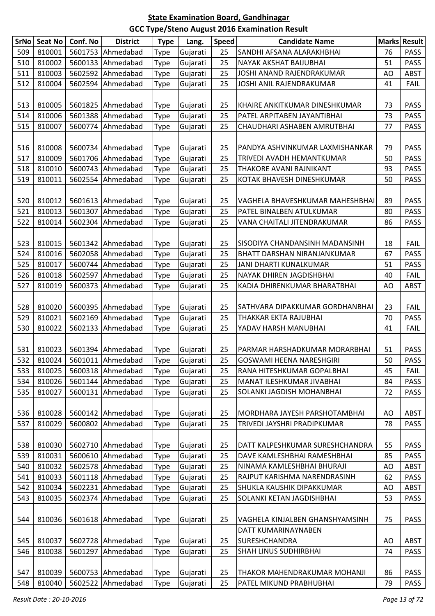| <b>SrNo</b> | <b>Seat No</b> | Conf. No | <b>District</b>   | <b>Type</b> | Lang.    | <b>Speed</b> | <b>Candidate Name</b>           | <b>Marks</b> | <b>Result</b> |
|-------------|----------------|----------|-------------------|-------------|----------|--------------|---------------------------------|--------------|---------------|
| 509         | 810001         |          | 5601753 Ahmedabad | Type        | Gujarati | 25           | SANDHI AFSANA ALARAKHBHAI       | 76           | <b>PASS</b>   |
| 510         | 810002         |          | 5600133 Ahmedabad | <b>Type</b> | Gujarati | 25           | NAYAK AKSHAT BAIJUBHAI          | 51           | <b>PASS</b>   |
| 511         | 810003         |          | 5602592 Ahmedabad | <b>Type</b> | Gujarati | 25           | JOSHI ANAND RAJENDRAKUMAR       | AO           | <b>ABST</b>   |
| 512         | 810004         |          | 5602594 Ahmedabad | Type        | Gujarati | 25           | JOSHI ANIL RAJENDRAKUMAR        | 41           | <b>FAIL</b>   |
|             |                |          |                   |             |          |              |                                 |              |               |
| 513         | 810005         |          | 5601825 Ahmedabad | <b>Type</b> | Gujarati | 25           | KHAIRE ANKITKUMAR DINESHKUMAR   | 73           | <b>PASS</b>   |
| 514         | 810006         |          | 5601388 Ahmedabad | <b>Type</b> | Gujarati | 25           | PATEL ARPITABEN JAYANTIBHAI     | 73           | <b>PASS</b>   |
| 515         | 810007         |          | 5600774 Ahmedabad | <b>Type</b> | Gujarati | 25           | CHAUDHARI ASHABEN AMRUTBHAI     | 77           | <b>PASS</b>   |
|             |                |          |                   |             |          |              |                                 |              |               |
| 516         | 810008         |          | 5600734 Ahmedabad | <b>Type</b> | Gujarati | 25           | PANDYA ASHVINKUMAR LAXMISHANKAR | 79           | <b>PASS</b>   |
| 517         | 810009         |          | 5601706 Ahmedabad | Type        | Gujarati | 25           | TRIVEDI AVADH HEMANTKUMAR       | 50           | <b>PASS</b>   |
| 518         | 810010         |          | 5600743 Ahmedabad | <b>Type</b> | Gujarati | 25           | THAKORE AVANI RAJNIKANT         | 93           | <b>PASS</b>   |
| 519         | 810011         |          | 5602554 Ahmedabad | Type        | Gujarati | 25           | KOTAK BHAVESH DINESHKUMAR       | 50           | <b>PASS</b>   |
|             |                |          |                   |             |          |              |                                 |              |               |
| 520         | 810012         |          | 5601613 Ahmedabad | <b>Type</b> | Gujarati | 25           | VAGHELA BHAVESHKUMAR MAHESHBHAI | 89           | PASS          |
| 521         | 810013         | 5601307  | Ahmedabad         | Type        | Gujarati | 25           | PATEL BINALBEN ATULKUMAR        | 80           | <b>PASS</b>   |
| 522         | 810014         |          | 5602304 Ahmedabad | <b>Type</b> | Gujarati | 25           | VANA CHAITALI JITENDRAKUMAR     | 86           | <b>PASS</b>   |
|             |                |          |                   |             |          |              |                                 |              |               |
| 523         | 810015         |          | 5601342 Ahmedabad | <b>Type</b> | Gujarati | 25           | SISODIYA CHANDANSINH MADANSINH  | 18           | <b>FAIL</b>   |
| 524         | 810016         |          | 5602058 Ahmedabad | <b>Type</b> | Gujarati | 25           | BHATT DARSHAN NIRANJANKUMAR     | 67           | <b>PASS</b>   |
| 525         | 810017         |          | 5600744 Ahmedabad | Type        | Gujarati | 25           | JANI DHARTI KUNALKUMAR          | 51           | <b>PASS</b>   |
| 526         | 810018         |          | 5602597 Ahmedabad | <b>Type</b> | Gujarati | 25           | NAYAK DHIREN JAGDISHBHAI        | 40           | <b>FAIL</b>   |
| 527         | 810019         |          | 5600373 Ahmedabad | <b>Type</b> | Gujarati | 25           | KADIA DHIRENKUMAR BHARATBHAI    | AO           | <b>ABST</b>   |
|             |                |          |                   |             |          |              |                                 |              |               |
| 528         | 810020         |          | 5600395 Ahmedabad | <b>Type</b> | Gujarati | 25           | SATHVARA DIPAKKUMAR GORDHANBHAI | 23           | <b>FAIL</b>   |
| 529         | 810021         |          | 5602169 Ahmedabad | <b>Type</b> | Gujarati | 25           | THAKKAR EKTA RAJUBHAI           | 70           | <b>PASS</b>   |
| 530         | 810022         |          | 5602133 Ahmedabad | <b>Type</b> | Gujarati | 25           | YADAV HARSH MANUBHAI            | 41           | <b>FAIL</b>   |
|             |                |          |                   |             |          |              |                                 |              |               |
| 531         | 810023         |          | 5601394 Ahmedabad | <b>Type</b> | Gujarati | 25           | PARMAR HARSHADKUMAR MORARBHAI   | 51           | <b>PASS</b>   |
| 532         | 810024         |          | 5601011 Ahmedabad | <b>Type</b> | Gujarati | 25           | <b>GOSWAMI HEENA NARESHGIRI</b> | 50           | <b>PASS</b>   |
| 533         | 810025         |          | 5600318 Ahmedabad | Type        | Gujarati | 25           | RANA HITESHKUMAR GOPALBHAI      | 45           | <b>FAIL</b>   |
| 534         | 810026         |          | 5601144 Ahmedabad | <b>Type</b> | Gujarati | 25           | MANAT ILESHKUMAR JIVABHAI       | 84           | PASS          |
| 535         | 810027         |          | 5600131 Ahmedabad | <b>Type</b> | Gujarati | 25           | SOLANKI JAGDISH MOHANBHAI       | 72           | <b>PASS</b>   |
|             |                |          |                   |             |          |              |                                 |              |               |
| 536         | 810028         |          | 5600142 Ahmedabad | <b>Type</b> | Gujarati | 25           | MORDHARA JAYESH PARSHOTAMBHAI   | AO           | ABST          |
| 537         | 810029         |          | 5600802 Ahmedabad | <b>Type</b> | Gujarati | 25           | TRIVEDI JAYSHRI PRADIPKUMAR     | 78           | <b>PASS</b>   |
|             |                |          |                   |             |          |              |                                 |              |               |
| 538         | 810030         |          | 5602710 Ahmedabad | <b>Type</b> | Gujarati | 25           | DATT KALPESHKUMAR SURESHCHANDRA | 55           | <b>PASS</b>   |
| 539         | 810031         |          | 5600610 Ahmedabad | <b>Type</b> | Gujarati | 25           | DAVE KAMLESHBHAI RAMESHBHAI     | 85           | <b>PASS</b>   |
| 540         | 810032         |          | 5602578 Ahmedabad | <b>Type</b> | Gujarati | 25           | NINAMA KAMLESHBHAI BHURAJI      | AO           | <b>ABST</b>   |
| 541         | 810033         |          | 5601118 Ahmedabad | Type        | Gujarati | 25           | RAJPUT KARISHMA NARENDRASINH    | 62           | <b>PASS</b>   |
| 542         | 810034         |          | 5602231 Ahmedabad | <b>Type</b> | Gujarati | 25           | SHUKLA KAUSHIK DIPAKKUMAR       | AO           | <b>ABST</b>   |
| 543         | 810035         |          | 5602374 Ahmedabad | <b>Type</b> | Gujarati | 25           | SOLANKI KETAN JAGDISHBHAI       | 53           | <b>PASS</b>   |
|             |                |          |                   |             |          |              |                                 |              |               |
| 544         | 810036         |          | 5601618 Ahmedabad | <b>Type</b> | Gujarati | 25           | VAGHELA KINJALBEN GHANSHYAMSINH | 75           | <b>PASS</b>   |
|             |                |          |                   |             |          |              | DATT KUMARINAYNABEN             |              |               |
| 545         | 810037         |          | 5602728 Ahmedabad | <b>Type</b> | Gujarati | 25           | SURESHCHANDRA                   | AO           | ABST          |
| 546         | 810038         |          | 5601297 Ahmedabad | <b>Type</b> | Gujarati | 25           | SHAH LINUS SUDHIRBHAI           | 74           | <b>PASS</b>   |
|             |                |          |                   |             |          |              |                                 |              |               |
| 547         | 810039         |          | 5600753 Ahmedabad | <b>Type</b> | Gujarati | 25           | THAKOR MAHENDRAKUMAR MOHANJI    | 86           | <b>PASS</b>   |
| 548         | 810040         |          | 5602522 Ahmedabad | <b>Type</b> | Gujarati | 25           | PATEL MIKUND PRABHUBHAI         | 79           | PASS          |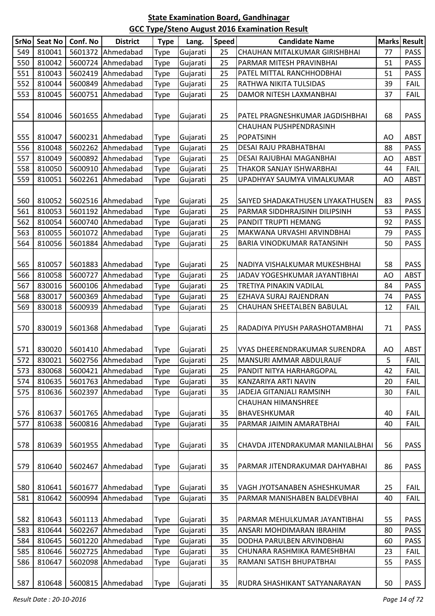| SrNo | <b>Seat No</b> | Conf. No | <b>District</b>   | <b>Type</b> | Lang.    | <b>Speed</b> | <b>Candidate Name</b>                      |    | Marks Result |
|------|----------------|----------|-------------------|-------------|----------|--------------|--------------------------------------------|----|--------------|
| 549  | 810041         | 5601372  | Ahmedabad         | Type        | Gujarati | 25           | CHAUHAN MITALKUMAR GIRISHBHAI              | 77 | <b>PASS</b>  |
| 550  | 810042         | 5600724  | Ahmedabad         | Type        | Gujarati | 25           | PARMAR MITESH PRAVINBHAI                   | 51 | <b>PASS</b>  |
| 551  | 810043         | 5602419  | Ahmedabad         | <b>Type</b> | Gujarati | 25           | PATEL MITTAL RANCHHODBHAI                  | 51 | <b>PASS</b>  |
| 552  | 810044         | 5600849  | Ahmedabad         | Type        | Gujarati | 25           | RATHWA NIKITA TULSIDAS                     | 39 | <b>FAIL</b>  |
| 553  | 810045         | 5600751  | Ahmedabad         | <b>Type</b> | Gujarati | 25           | DAMOR NITESH LAXMANBHAI                    | 37 | <b>FAIL</b>  |
| 554  | 810046         | 5601655  | Ahmedabad         | Type        | Gujarati | 25           | PATEL PRAGNESHKUMAR JAGDISHBHAI            | 68 | <b>PASS</b>  |
| 555  | 810047         | 5600231  | Ahmedabad         | <b>Type</b> | Gujarati | 25           | CHAUHAN PUSHPENDRASINH<br><b>POPATSINH</b> | AO | ABST         |
| 556  | 810048         | 5602262  | Ahmedabad         | <b>Type</b> | Gujarati | 25           | DESAI RAJU PRABHATBHAI                     | 88 | <b>PASS</b>  |
| 557  | 810049         | 5600892  | Ahmedabad         | Type        | Gujarati | 25           | DESAI RAJUBHAI MAGANBHAI                   | AO | <b>ABST</b>  |
| 558  | 810050         | 5600910  | Ahmedabad         | <b>Type</b> | Gujarati | 25           | THAKOR SANJAY ISHWARBHAI                   | 44 | FAIL         |
| 559  | 810051         | 5602261  | Ahmedabad         | Type        | Gujarati | 25           | UPADHYAY SAUMYA VIMALKUMAR                 | AO | <b>ABST</b>  |
|      |                |          |                   |             |          |              |                                            |    |              |
| 560  | 810052         | 5602516  | Ahmedabad         | <b>Type</b> | Gujarati | 25           | SAIYED SHADAKATHUSEN LIYAKATHUSEN          | 83 | <b>PASS</b>  |
| 561  | 810053         | 5601192  | Ahmedabad         | Type        | Gujarati | 25           | PARMAR SIDDHRAJSINH DILIPSINH              | 53 | <b>PASS</b>  |
| 562  | 810054         | 5600740  | Ahmedabad         | <b>Type</b> | Gujarati | 25           | <b>PANDIT TRUPTI HEMANG</b>                | 92 | <b>PASS</b>  |
| 563  | 810055         | 5601072  | Ahmedabad         | Type        | Gujarati | 25           | MAKWANA URVASHI ARVINDBHAI                 | 79 | <b>PASS</b>  |
| 564  | 810056         | 5601884  | Ahmedabad         | Type        | Gujarati | 25           | BARIA VINODKUMAR RATANSINH                 | 50 | <b>PASS</b>  |
|      |                |          |                   |             |          |              |                                            |    |              |
| 565  | 810057         | 5601883  | Ahmedabad         | Type        | Gujarati | 25           | NADIYA VISHALKUMAR MUKESHBHAI              | 58 | <b>PASS</b>  |
| 566  | 810058         | 5600727  | Ahmedabad         | Type        | Gujarati | 25           | JADAV YOGESHKUMAR JAYANTIBHAI              | AO | <b>ABST</b>  |
| 567  | 830016         | 5600106  | Ahmedabad         | Type        | Gujarati | 25           | TRETIYA PINAKIN VADILAL                    | 84 | <b>PASS</b>  |
| 568  | 830017         | 5600369  | Ahmedabad         | <b>Type</b> | Gujarati | 25           | EZHAVA SURAJ RAJENDRAN                     | 74 | <b>PASS</b>  |
| 569  | 830018         | 5600939  | Ahmedabad         | Type        | Gujarati | 25           | CHAUHAN SHEETALBEN BABULAL                 | 12 | <b>FAIL</b>  |
| 570  | 830019         | 5601368  | Ahmedabad         | <b>Type</b> | Gujarati | 25           | RADADIYA PIYUSH PARASHOTAMBHAI             | 71 | <b>PASS</b>  |
| 571  | 830020         | 5601410  | Ahmedabad         | Type        | Gujarati | 25           | VYAS DHEERENDRAKUMAR SURENDRA              | AO | <b>ABST</b>  |
| 572  | 830021         |          | 5602756 Ahmedabad | <b>Type</b> | Gujarati | 25           | IMANSURI AMMAR ABDULRAUF                   | 5  | FAIL         |
| 573  | 830068         | 5600421  | Ahmedabad         | <b>Type</b> | Gujarati | 25           | PANDIT NITYA HARHARGOPAL                   | 42 | FAIL         |
| 574  | 810635         | 5601763  | Ahmedabad         | Type        | Gujarati | 35           | KANZARIYA ARTI NAVIN                       | 20 | FAIL         |
| 575  | 810636         | 5602397  | Ahmedabad         | Type        | Gujarati | 35           | JADEJA GITANJALI RAMSINH                   | 30 | <b>FAIL</b>  |
|      |                |          |                   |             |          |              | <b>CHAUHAN HIMANSHREE</b>                  |    |              |
| 576  | 810637         | 5601765  | Ahmedabad         | <b>Type</b> | Gujarati | 35           | BHAVESHKUMAR                               | 40 | <b>FAIL</b>  |
| 577  | 810638         | 5600816  | Ahmedabad         | <b>Type</b> | Gujarati | 35           | PARMAR JAIMIN AMARATBHAI                   | 40 | <b>FAIL</b>  |
| 578  | 810639         | 5601955  | Ahmedabad         | Type        | Gujarati | 35           | CHAVDA JITENDRAKUMAR MANILALBHAI           | 56 | <b>PASS</b>  |
| 579  | 810640         | 5602467  | Ahmedabad         | Type        | Gujarati | 35           | PARMAR JITENDRAKUMAR DAHYABHAI             | 86 | <b>PASS</b>  |
|      |                |          |                   |             |          |              |                                            |    |              |
| 580  | 810641         | 5601677  | Ahmedabad         | <b>Type</b> | Gujarati | 35           | VAGH JYOTSANABEN ASHESHKUMAR               | 25 | <b>FAIL</b>  |
| 581  | 810642         | 5600994  | Ahmedabad         | <b>Type</b> | Gujarati | 35           | PARMAR MANISHABEN BALDEVBHAI               | 40 | <b>FAIL</b>  |
|      |                |          |                   |             |          |              |                                            |    |              |
| 582  | 810643         | 5601113  | Ahmedabad         | Type        | Gujarati | 35           | PARMAR MEHULKUMAR JAYANTIBHAI              | 55 | <b>PASS</b>  |
| 583  | 810644         | 5602267  | Ahmedabad         | Type        | Gujarati | 35           | ANSARI MOHDIMARAN IBRAHIM                  | 80 | <b>PASS</b>  |
| 584  | 810645         | 5601220  | Ahmedabad         | Type        | Gujarati | 35           | DODHA PARULBEN ARVINDBHAI                  | 60 | <b>PASS</b>  |
| 585  | 810646         | 5602725  | Ahmedabad         | Type        | Gujarati | 35           | CHUNARA RASHMIKA RAMESHBHAI                | 23 | <b>FAIL</b>  |
| 586  | 810647         | 5602098  | Ahmedabad         | Type        | Gujarati | 35           | RAMANI SATISH BHUPATBHAI                   | 55 | <b>PASS</b>  |
| 587  | 810648         |          | 5600815 Ahmedabad | <b>Type</b> | Gujarati | 35           | RUDRA SHASHIKANT SATYANARAYAN              | 50 | PASS         |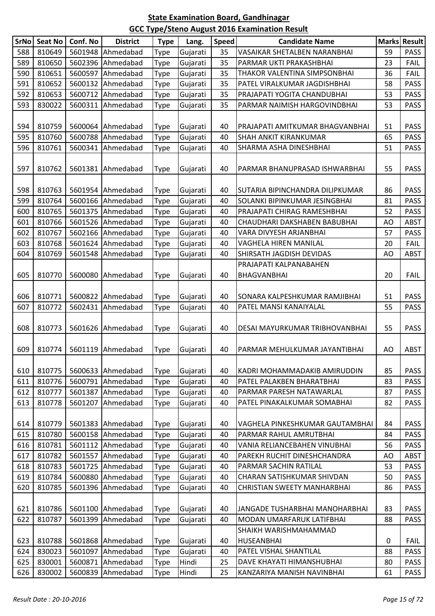| SrNo       | <b>Seat No</b>   | Conf. No           | <b>District</b>   | <b>Type</b> | Lang.                | <b>Speed</b> | <b>Candidate Name</b>                                     | <b>Marks</b> | Result              |
|------------|------------------|--------------------|-------------------|-------------|----------------------|--------------|-----------------------------------------------------------|--------------|---------------------|
| 588        | 810649           | 5601948            | Ahmedabad         | Type        | Gujarati             | 35           | VASAIKAR SHETALBEN NARANBHAI                              | 59           | <b>PASS</b>         |
| 589        | 810650           | 5602396            | Ahmedabad         | Type        | Gujarati             | 35           | PARMAR UKTI PRAKASHBHAI                                   | 23           | <b>FAIL</b>         |
| 590        | 810651           | 5600597            | Ahmedabad         | Type        | Gujarati             | 35           | THAKOR VALENTINA SIMPSONBHAI                              | 36           | <b>FAIL</b>         |
| 591        | 810652           | 5600132            | Ahmedabad         | Type        | Gujarati             | 35           | PATEL VIRALKUMAR JAGDISHBHAI                              | 58           | <b>PASS</b>         |
| 592        | 810653           | 5600712            | Ahmedabad         | <b>Type</b> | Gujarati             | 35           | PRAJAPATI YOGITA CHANDUBHAI                               | 53           | <b>PASS</b>         |
| 593        | 830022           | 5600311            | Ahmedabad         | Type        | Gujarati             | 35           | PARMAR NAIMISH HARGOVINDBHAI                              | 53           | <b>PASS</b>         |
|            |                  |                    |                   |             |                      |              |                                                           |              |                     |
| 594        | 810759           | 5600064            | Ahmedabad         | Type        | Gujarati             | 40           | PRAJAPATI AMITKUMAR BHAGVANBHAI                           | 51           | <b>PASS</b>         |
| 595        | 810760           | 5600788            | Ahmedabad         | Type        | Gujarati             | 40           | <b>SHAH ANKIT KIRANKUMAR</b>                              | 65           | <b>PASS</b>         |
| 596        | 810761           | 5600341            | Ahmedabad         | <b>Type</b> | Gujarati             | 40           | SHARMA ASHA DINESHBHAI                                    | 51           | <b>PASS</b>         |
|            |                  |                    |                   |             |                      |              |                                                           |              |                     |
| 597        | 810762           | 5601381            | Ahmedabad         | <b>Type</b> | Gujarati             | 40           | PARMAR BHANUPRASAD ISHWARBHAI                             | 55           | <b>PASS</b>         |
|            |                  |                    |                   |             |                      |              |                                                           |              |                     |
| 598        | 810763           | 5601954            | Ahmedabad         | Type        | Gujarati             | 40           | SUTARIA BIPINCHANDRA DILIPKUMAR                           | 86           | <b>PASS</b>         |
| 599        | 810764           | 5600166            | Ahmedabad         | Type        | Gujarati             | 40           | SOLANKI BIPINKUMAR JESINGBHAI                             | 81           | <b>PASS</b>         |
| 600        | 810765           | 5601375            | Ahmedabad         | Type        | Gujarati             | 40           | PRAJAPATI CHIRAG RAMESHBHAI                               | 52           | <b>PASS</b>         |
| 601        | 810766           | 5601526            | Ahmedabad         | <b>Type</b> | Gujarati             | 40           | CHAUDHARI DAKSHABEN BABUBHAI                              | AO           | <b>ABST</b>         |
| 602        | 810767           | 5602166            | Ahmedabad         | Type        | Gujarati             | 40           | VARA DIVYESH ARJANBHAI                                    | 57           | <b>PASS</b>         |
| 603        | 810768           | 5601624            | Ahmedabad         | <b>Type</b> | Gujarati             | 40           | <b>VAGHELA HIREN MANILAL</b>                              | 20           | <b>FAIL</b>         |
| 604        | 810769           | 5601548            | Ahmedabad         | Type        | Gujarati             | 40           | SHIRSATH JAGDISH DEVIDAS                                  | AO           | <b>ABST</b>         |
|            |                  |                    |                   |             |                      |              | PRAJAPATI KALPANABAHEN                                    |              |                     |
| 605        | 810770           | 5600080            | Ahmedabad         | <b>Type</b> | Gujarati             | 40           | <b>BHAGVANBHAI</b>                                        | 20           | <b>FAIL</b>         |
|            |                  |                    |                   |             |                      |              |                                                           |              |                     |
| 606        | 810771           | 5600822            | Ahmedabad         | <b>Type</b> | Gujarati             | 40           | SONARA KALPESHKUMAR RAMJIBHAI                             | 51           | <b>PASS</b>         |
| 607        | 810772           | 5602431            | Ahmedabad         | Type        | Gujarati             | 40           | PATEL MANSI KANAIYALAL                                    | 55           | <b>PASS</b>         |
|            |                  |                    |                   |             |                      |              |                                                           |              |                     |
| 608        | 810773           | 5601626            | Ahmedabad         | <b>Type</b> | Gujarati             | 40           | DESAI MAYURKUMAR TRIBHOVANBHAI                            | 55           | <b>PASS</b>         |
|            |                  |                    |                   |             |                      |              |                                                           |              |                     |
| 609        | 810774           | 5601119            | Ahmedabad         | Type        | Gujarati             | 40           | PARMAR MEHULKUMAR JAYANTIBHAI                             | AO           | <b>ABST</b>         |
|            |                  |                    |                   |             |                      |              |                                                           |              |                     |
| 610        | 810775           |                    | 5600633 Ahmedabad | <b>Type</b> | Gujarati             | 40           | KADRI MOHAMMADAKIB AMIRUDDIN                              | 85           | PASS                |
| 611        | 810776           | 5600791            | Ahmedabad         | Type        | Gujarati             | 40           | PATEL PALAKBEN BHARATBHAI                                 | 83           | <b>PASS</b>         |
| 612        | 810777           | 5601387            | Ahmedabad         | Type        | Gujarati             | 40           | PARMAR PARESH NATAWARLAL                                  | 87           | <b>PASS</b>         |
| 613        | 810778           | 5601207            | Ahmedabad         | Type        | Gujarati             | 40           | PATEL PINAKALKUMAR SOMABHAI                               | 82           | <b>PASS</b>         |
|            |                  |                    | Ahmedabad         |             |                      |              |                                                           |              |                     |
| 614<br>615 | 810779<br>810780 | 5601383            | Ahmedabad         | <b>Type</b> | Gujarati             | 40<br>40     | VAGHELA PINKESHKUMAR GAUTAMBHAI<br>PARMAR RAHUL AMRUTBHAI | 84<br>84     | <b>PASS</b>         |
| 616        | 810781           | 5600158<br>5601112 | Ahmedabad         | Type        | Gujarati<br>Gujarati | 40           | VANIA RELIANCEBAHEN VINUBHAI                              | 56           | <b>PASS</b><br>PASS |
| 617        | 810782           | 5601557            | Ahmedabad         | <b>Type</b> |                      | 40           | PAREKH RUCHIT DINESHCHANDRA                               |              | <b>ABST</b>         |
| 618        | 810783           | 5601725            | Ahmedabad         | Type        | Gujarati<br>Gujarati | 40           | PARMAR SACHIN RATILAL                                     | AO<br>53     | PASS                |
| 619        |                  |                    | Ahmedabad         | Type        |                      | 40           |                                                           | 50           | <b>PASS</b>         |
|            | 810784           | 5600880            |                   | <b>Type</b> | Gujarati             |              | CHARAN SATISHKUMAR SHIVDAN                                |              |                     |
| 620        | 810785           | 5601396            | Ahmedabad         | Type        | Gujarati             | 40           | CHRISTIAN SWEETY MANHARBHAI                               | 86           | <b>PASS</b>         |
| 621        | 810786           | 5601100            | Ahmedabad         | Type        | Gujarati             | 40           | JANGADE TUSHARBHAI MANOHARBHAI                            | 83           | <b>PASS</b>         |
| 622        | 810787           | 5601399            | Ahmedabad         | Type        | Gujarati             | 40           | MODAN UMARFARUK LATIFBHAI                                 | 88           | <b>PASS</b>         |
|            |                  |                    |                   |             |                      |              | SHAIKH WARISHMAHAMMAD                                     |              |                     |
| 623        | 810788           | 5601868            | Ahmedabad         | Type        | Gujarati             | 40           | HUSEANBHAI                                                | 0            | <b>FAIL</b>         |
| 624        | 830023           | 5601097            | Ahmedabad         | Type        | Gujarati             | 40           | <b>PATEL VISHAL SHANTILAL</b>                             | 88           | <b>PASS</b>         |
| 625        | 830001           | 5600871            | Ahmedabad         | Type        | Hindi                | 25           | DAVE KHAYATI HIMANSHUBHAI                                 | 80           | <b>PASS</b>         |
| 626        | 830002           | 5600839            | Ahmedabad         | <b>Type</b> | Hindi                | 25           | KANZARIYA MANISH NAVINBHAI                                | 61           | <b>PASS</b>         |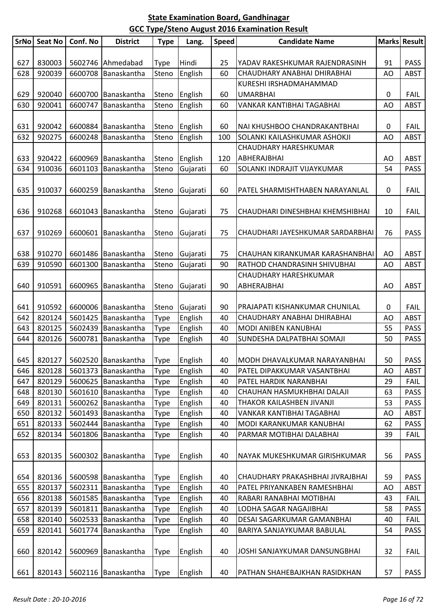|     | SrNo Seat No | Conf. No | <b>District</b>                                       | <b>Type</b>                | Lang.    | <b>Speed</b> | <b>Candidate Name</b>                                            |          | Marks Result               |
|-----|--------------|----------|-------------------------------------------------------|----------------------------|----------|--------------|------------------------------------------------------------------|----------|----------------------------|
|     |              |          |                                                       |                            |          |              |                                                                  |          |                            |
| 627 | 830003       |          | 5602746 Ahmedabad                                     | <b>Type</b>                | Hindi    | 25           | YADAV RAKESHKUMAR RAJENDRASINH                                   | 91       | <b>PASS</b>                |
| 628 | 920039       |          | 6600708 Banaskantha                                   | Steno                      | English  | 60           | CHAUDHARY ANABHAI DHIRABHAI                                      | AO       | ABST                       |
|     |              |          |                                                       |                            |          |              | KURESHI IRSHADMAHAMMAD                                           |          |                            |
| 629 | 920040       | 6600700  | Banaskantha                                           | Steno                      | English  | 60           | <b>UMARBHAI</b>                                                  | 0        | <b>FAIL</b>                |
| 630 | 920041       | 6600747  | Banaskantha                                           | Steno                      | English  | 60           | VANKAR KANTIBHAI TAGABHAI                                        | AO       | <b>ABST</b>                |
|     |              |          |                                                       |                            |          |              |                                                                  |          |                            |
| 631 | 920042       |          | 6600884 Banaskantha                                   | Steno                      | English  | 60           | NAI KHUSHBOO CHANDRAKANTBHAI                                     | 0        | <b>FAIL</b>                |
| 632 | 920275       | 6600248  | Banaskantha                                           | Steno                      | English  | 100          | SOLANKI KAILASHKUMAR ASHOKJI                                     | AO       | <b>ABST</b>                |
|     |              |          |                                                       |                            |          |              | CHAUDHARY HARESHKUMAR                                            |          |                            |
| 633 | 920422       |          | 6600969 Banaskantha                                   | Steno                      | English  | 120          | ABHERAJBHAI                                                      | AO       | <b>ABST</b>                |
| 634 | 910036       |          | 6601103 Banaskantha                                   | Steno                      | Gujarati | 60           | SOLANKI INDRAJIT VIJAYKUMAR                                      | 54       | <b>PASS</b>                |
|     |              |          |                                                       |                            |          |              |                                                                  |          |                            |
| 635 | 910037       | 6600259  | Banaskantha                                           | Steno                      | Gujarati | 60           | PATEL SHARMISHTHABEN NARAYANLAL                                  | 0        | <b>FAIL</b>                |
|     |              |          |                                                       |                            |          |              |                                                                  |          |                            |
| 636 | 910268       |          | 6601043 Banaskantha                                   | Steno                      | Gujarati | 75           | CHAUDHARI DINESHBHAI KHEMSHIBHAI                                 | 10       | <b>FAIL</b>                |
|     |              |          |                                                       |                            |          |              |                                                                  |          |                            |
| 637 | 910269       | 6600601  | Banaskantha                                           | Steno                      | Gujarati | 75           | CHAUDHARI JAYESHKUMAR SARDARBHAI                                 | 76       | <b>PASS</b>                |
|     |              |          |                                                       |                            |          |              |                                                                  |          |                            |
| 638 | 910270       |          | 6601486 Banaskantha                                   | Steno                      | Gujarati | 75           | CHAUHAN KIRANKUMAR KARASHANBHAI                                  | AO       | <b>ABST</b>                |
| 639 | 910590       | 6601300  | Banaskantha                                           | Steno                      | Gujarati | 90           | RATHOD CHANDRASINH SHIVUBHAI                                     | AO       | <b>ABST</b>                |
|     |              |          |                                                       |                            |          |              | CHAUDHARY HARESHKUMAR                                            |          |                            |
| 640 | 910591       |          | 6600965 Banaskantha                                   | Steno                      | Gujarati | 90           | ABHERAJBHAI                                                      | AO       | <b>ABST</b>                |
|     |              |          |                                                       |                            |          |              |                                                                  |          |                            |
| 641 | 910592       |          | 6600006 Banaskantha                                   | Steno                      | Gujarati | 90           | PRAJAPATI KISHANKUMAR CHUNILAL                                   | 0        | <b>FAIL</b>                |
| 642 | 820124       |          | 5601425 Banaskantha                                   | Type                       | English  | 40           | CHAUDHARY ANABHAI DHIRABHAI                                      | AO       | <b>ABST</b>                |
| 643 | 820125       |          | 5602439 Banaskantha                                   | Type                       | English  | 40           | MODI ANIBEN KANUBHAI                                             | 55       | <b>PASS</b>                |
| 644 | 820126       | 5600781  | Banaskantha                                           | <b>Type</b>                | English  | 40           | SUNDESHA DALPATBHAI SOMAJI                                       | 50       | <b>PASS</b>                |
|     |              |          | 645   820127   5602520   Banaskantha   Type   English |                            |          |              |                                                                  |          |                            |
| 646 | 820128       |          | 5601373   Banaskantha                                 |                            | English  | 40           | 40   MODH DHAVALKUMAR NARAYANBHAI<br>PATEL DIPAKKUMAR VASANTBHAI | 50<br>AO | <b>PASS</b><br><b>ABST</b> |
| 647 | 820129       |          | 5600625 Banaskantha                                   | <b>Type</b><br><b>Type</b> | English  | 40           | PATEL HARDIK NARANBHAI                                           | 29       | <b>FAIL</b>                |
| 648 | 820130       |          | 5601610 Banaskantha                                   | Type                       | English  | 40           | CHAUHAN HASMUKHBHAI DALAJI                                       | 63       | <b>PASS</b>                |
| 649 | 820131       |          | 5600262 Banaskantha                                   | <b>Type</b>                | English  | 40           | THAKOR KAILASHBEN JIVANJI                                        | 53       | <b>PASS</b>                |
| 650 | 820132       | 5601493  | Banaskantha                                           | <b>Type</b>                | English  | 40           | VANKAR KANTIBHAI TAGABHAI                                        | AO       | <b>ABST</b>                |
| 651 | 820133       | 5602444  | Banaskantha                                           | <b>Type</b>                | English  | 40           | MODI KARANKUMAR KANUBHAI                                         | 62       | <b>PASS</b>                |
| 652 | 820134       |          | 5601806 Banaskantha                                   | <b>Type</b>                | English  | 40           | PARMAR MOTIBHAI DALABHAI                                         | 39       | <b>FAIL</b>                |
|     |              |          |                                                       |                            |          |              |                                                                  |          |                            |
| 653 | 820135       |          | 5600302 Banaskantha                                   | <b>Type</b>                | English  | 40           | NAYAK MUKESHKUMAR GIRISHKUMAR                                    | 56       | <b>PASS</b>                |
|     |              |          |                                                       |                            |          |              |                                                                  |          |                            |
| 654 | 820136       |          | 5600598 Banaskantha                                   | <b>Type</b>                | English  | 40           | CHAUDHARY PRAKASHBHAI JIVRAJBHAI                                 | 59       | <b>PASS</b>                |
| 655 | 820137       | 5602311  | Banaskantha                                           | <b>Type</b>                | English  | 40           | PATEL PRIYANKABEN RAMESHBHAI                                     | AO       | <b>ABST</b>                |
| 656 | 820138       |          | 5601585 Banaskantha                                   | Type                       | English  | 40           | RABARI RANABHAI MOTIBHAI                                         | 43       | <b>FAIL</b>                |
| 657 | 820139       |          | 5601811 Banaskantha                                   | <b>Type</b>                | English  | 40           | LODHA SAGAR NAGAJIBHAI                                           | 58       | <b>PASS</b>                |
| 658 | 820140       |          | 5602533 Banaskantha                                   | <b>Type</b>                | English  | 40           | DESAI SAGARKUMAR GAMANBHAI                                       | 40       | <b>FAIL</b>                |
| 659 | 820141       |          | 5601774 Banaskantha                                   | Type                       | English  | 40           | BARIYA SANJAYKUMAR BABULAL                                       | 54       | <b>PASS</b>                |
|     |              |          |                                                       |                            |          |              |                                                                  |          |                            |
| 660 | 820142       |          | 5600969 Banaskantha                                   | <b>Type</b>                | English  | 40           | JOSHI SANJAYKUMAR DANSUNGBHAI                                    | 32       | <b>FAIL</b>                |
|     |              |          |                                                       |                            |          |              |                                                                  |          |                            |
| 661 | 820143       |          | 5602116 Banaskantha                                   | <b>Type</b>                | English  | 40           | PATHAN SHAHEBAJKHAN RASIDKHAN                                    | 57       | <b>PASS</b>                |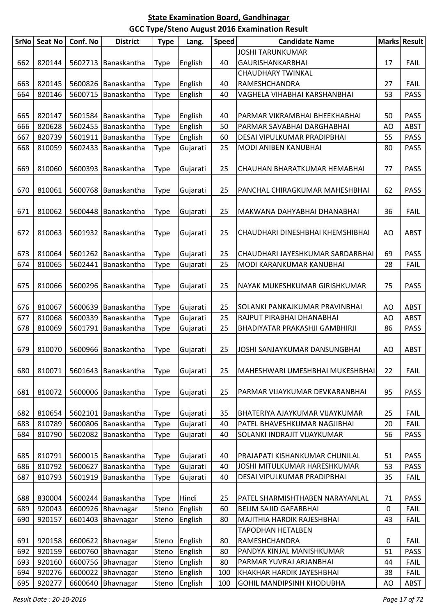|             |         |          |                 |                            |          |              | 888 Type/ Stend August 2010 Examination Result     |             |              |
|-------------|---------|----------|-----------------|----------------------------|----------|--------------|----------------------------------------------------|-------------|--------------|
| <b>SrNo</b> | Seat No | Conf. No | <b>District</b> | <b>Type</b>                | Lang.    | <b>Speed</b> | <b>Candidate Name</b>                              |             | Marks Result |
| 662         | 820144  | 5602713  | Banaskantha     | <b>Type</b>                | English  | 40           | <b>JOSHI TARUNKUMAR</b><br><b>GAURISHANKARBHAI</b> | 17          | <b>FAIL</b>  |
|             |         |          |                 |                            |          |              | <b>CHAUDHARY TWINKAL</b>                           |             |              |
| 663         | 820145  | 5600826  | Banaskantha     | <b>Type</b>                | English  | 40           | RAMESHCHANDRA                                      | 27          | <b>FAIL</b>  |
| 664         | 820146  | 5600715  | Banaskantha     | <b>Type</b>                | English  | 40           | VAGHELA VIHABHAI KARSHANBHAI                       | 53          | <b>PASS</b>  |
|             |         |          |                 |                            |          |              |                                                    |             |              |
| 665         | 820147  | 5601584  | Banaskantha     | <b>Type</b>                | English  | 40           | PARMAR VIKRAMBHAI BHEEKHABHAI                      | 50          | <b>PASS</b>  |
| 666         | 820628  | 5602455  | Banaskantha     | <b>Type</b>                | English  | 50           | PARMAR SAVABHAI DARGHABHAI                         | AO          | <b>ABST</b>  |
| 667         | 820739  | 5601911  | Banaskantha     | <b>Type</b>                | English  | 60           | DESAI VIPULKUMAR PRADIPBHAI                        | 55          | <b>PASS</b>  |
| 668         | 810059  | 5602433  | Banaskantha     | <b>Type</b>                | Gujarati | 25           | MODI ANIBEN KANUBHAI                               | 80          | <b>PASS</b>  |
|             |         |          |                 |                            |          |              |                                                    |             |              |
| 669         | 810060  | 5600393  | Banaskantha     | <b>Type</b>                | Gujarati | 25           | CHAUHAN BHARATKUMAR HEMABHAI                       | 77          | <b>PASS</b>  |
|             |         |          |                 |                            |          |              |                                                    |             |              |
| 670         | 810061  | 5600768  | Banaskantha     | <b>Type</b>                | Gujarati | 25           | PANCHAL CHIRAGKUMAR MAHESHBHAI                     | 62          | <b>PASS</b>  |
|             |         |          |                 |                            |          |              |                                                    |             |              |
| 671         | 810062  | 5600448  | Banaskantha     | <b>Type</b>                | Gujarati | 25           | MAKWANA DAHYABHAI DHANABHAI                        | 36          | <b>FAIL</b>  |
|             |         |          |                 |                            |          |              |                                                    |             |              |
| 672         | 810063  | 5601932  | Banaskantha     | <b>Type</b>                | Gujarati | 25           | CHAUDHARI DINESHBHAI KHEMSHIBHAI                   | AO          | <b>ABST</b>  |
|             |         |          |                 |                            |          |              |                                                    |             |              |
| 673         | 810064  | 5601262  | Banaskantha     | <b>Type</b>                | Gujarati | 25           | CHAUDHARI JAYESHKUMAR SARDARBHAI                   | 69          | <b>PASS</b>  |
| 674         | 810065  | 5602441  | Banaskantha     | <b>Type</b>                | Gujarati | 25           | MODI KARANKUMAR KANUBHAI                           | 28          | <b>FAIL</b>  |
|             |         |          |                 |                            |          |              |                                                    |             |              |
| 675         | 810066  | 5600296  | Banaskantha     | <b>Type</b>                | Gujarati | 25           | NAYAK MUKESHKUMAR GIRISHKUMAR                      | 75          | <b>PASS</b>  |
|             |         |          |                 |                            |          |              |                                                    |             |              |
| 676         | 810067  | 5600639  | Banaskantha     | <b>Type</b>                | Gujarati | 25           | SOLANKI PANKAJKUMAR PRAVINBHAI                     | AO          | <b>ABST</b>  |
| 677         | 810068  | 5600339  | Banaskantha     | <b>Type</b>                | Gujarati | 25           | RAJPUT PIRABHAI DHANABHAI                          | AO          | <b>ABST</b>  |
| 678         | 810069  | 5601791  | Banaskantha     | <b>Type</b>                | Gujarati | 25           | BHADIYATAR PRAKASHJI GAMBHIRJI                     | 86          | <b>PASS</b>  |
|             |         |          |                 |                            |          |              |                                                    |             |              |
| 679         | 810070  | 5600966  | Banaskantha     | <b>Type</b>                | Gujarati | 25           | JOSHI SANJAYKUMAR DANSUNGBHAI                      | AO          | <b>ABST</b>  |
|             |         |          |                 |                            |          |              |                                                    |             |              |
| 680         | 810071  | 5601643  | Banaskantha     | <b>Type</b>                | Gujarati | 25           | MAHESHWARI UMESHBHAI MUKESHBHAI                    | 22          | <b>FAIL</b>  |
|             |         |          |                 |                            |          |              |                                                    |             |              |
| 681         | 810072  | 5600006  | Banaskantha     | <b>Type</b>                | Gujarati | 25           | PARMAR VIJAYKUMAR DEVKARANBHAI                     | 95          | <b>PASS</b>  |
|             |         |          |                 |                            |          |              |                                                    |             |              |
| 682         | 810654  | 5602101  | Banaskantha     | <b>Type</b>                | Gujarati | 35           | BHATERIYA AJAYKUMAR VIJAYKUMAR                     | 25          | <b>FAIL</b>  |
| 683         | 810789  | 5600806  | Banaskantha     | <b>Type</b>                | Gujarati | 40           | PATEL BHAVESHKUMAR NAGJIBHAI                       | 20          | <b>FAIL</b>  |
| 684         | 810790  | 5602082  | Banaskantha     | Type                       | Gujarati | 40           | SOLANKI INDRAJIT VIJAYKUMAR                        | 56          | <b>PASS</b>  |
| 685         | 810791  | 5600015  | Banaskantha     |                            | Gujarati | 40           | PRAJAPATI KISHANKUMAR CHUNILAL                     | 51          | <b>PASS</b>  |
| 686         | 810792  | 5600627  | Banaskantha     | <b>Type</b><br><b>Type</b> | Gujarati | 40           | JOSHI MITULKUMAR HARESHKUMAR                       | 53          | <b>PASS</b>  |
| 687         | 810793  | 5601919  | Banaskantha     | <b>Type</b>                | Gujarati | 40           | DESAI VIPULKUMAR PRADIPBHAI                        | 35          | <b>FAIL</b>  |
|             |         |          |                 |                            |          |              |                                                    |             |              |
| 688         | 830004  | 5600244  | Banaskantha     | <b>Type</b>                | Hindi    | 25           | PATEL SHARMISHTHABEN NARAYANLAL                    | 71          | <b>PASS</b>  |
| 689         | 920043  | 6600926  | Bhavnagar       | Steno                      | English  | 60           | <b>BELIM SAJID GAFARBHAI</b>                       | $\mathbf 0$ | <b>FAIL</b>  |
| 690         | 920157  | 6601403  | Bhavnagar       | Steno                      | English  | 80           | MAJITHIA HARDIK RAJESHBHAI                         | 43          | <b>FAIL</b>  |
|             |         |          |                 |                            |          |              | TAPODHAN HETALBEN                                  |             |              |
| 691         | 920158  | 6600622  | Bhavnagar       | Steno                      | English  | 80           | RAMESHCHANDRA                                      | 0           | <b>FAIL</b>  |
| 692         | 920159  | 6600760  | Bhavnagar       | Steno                      | English  | 80           | PANDYA KINJAL MANISHKUMAR                          | 51          | <b>PASS</b>  |
| 693         | 920160  | 6600756  | Bhavnagar       | Steno                      | English  | 80           | PARMAR YUVRAJ ARJANBHAI                            | 44          | <b>FAIL</b>  |
| 694         | 920276  | 6600022  | Bhavnagar       | Steno                      | English  | 100          | KHAKHAR HARDIK JAYESHBHAI                          | 38          | <b>FAIL</b>  |
| 695         | 920277  | 6600640  | Bhavnagar       | Steno                      | English  | 100          | GOHIL MANDIPSINH KHODUBHA                          | AO          | ABST         |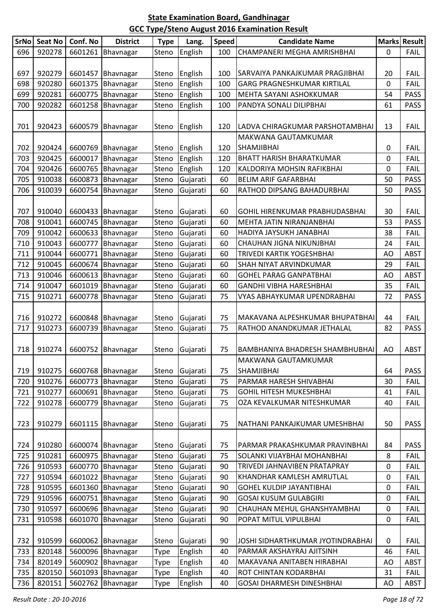| SrNo       | Seat No          | Conf. No | <b>District</b>                        | <b>Type</b>    | Lang.                | <b>Speed</b> | <b>Candidate Name</b>                                     |          | Marks Result               |
|------------|------------------|----------|----------------------------------------|----------------|----------------------|--------------|-----------------------------------------------------------|----------|----------------------------|
| 696        | 920278           |          | 6601261 Bhavnagar                      | Steno          | English              | 100          | CHAMPANERI MEGHA AMRISHBHAI                               | 0        | <b>FAIL</b>                |
|            |                  |          |                                        |                |                      |              |                                                           |          |                            |
| 697        | 920279           |          | 6601457 Bhavnagar                      | Steno          | English              | 100          | SARVAIYA PANKAJKUMAR PRAGJIBHAI                           | 20       | <b>FAIL</b>                |
| 698        | 920280           |          | 6601375 Bhavnagar                      | Steno          | English              | 100          | GARG PRAGNESHKUMAR KIRTILAL                               | 0        | <b>FAIL</b>                |
| 699        | 920281           |          | 6600775 Bhavnagar                      | Steno          | English              | 100          | MEHTA SAYANI ASHOKKUMAR                                   | 54       | <b>PASS</b>                |
| 700        | 920282           |          | 6601258 Bhavnagar                      | Steno          | English              | 100          | PANDYA SONALI DILIPBHAI                                   | 61       | <b>PASS</b>                |
|            |                  |          |                                        |                |                      |              |                                                           |          |                            |
| 701        | 920423           |          | 6600579 Bhavnagar                      | Steno          | English              | 120          | LADVA CHIRAGKUMAR PARSHOTAMBHAI                           | 13       | <b>FAIL</b>                |
|            |                  |          |                                        |                |                      |              | MAKWANA GAUTAMKUMAR                                       |          |                            |
| 702        | 920424           |          | 6600769 Bhavnagar                      | Steno          | English              | 120          | <b>SHAMJIBHAI</b>                                         | 0        | <b>FAIL</b>                |
| 703        | 920425           | 6600017  | Bhavnagar                              | Steno          | English              | 120          | <b>BHATT HARISH BHARATKUMAR</b>                           | 0        | <b>FAIL</b>                |
| 704        | 920426           |          | 6600765 Bhavnagar                      | Steno          | English              | 120          | KALDORIYA MOHSIN RAFIKBHAI                                | 0        | <b>FAIL</b>                |
| 705        | 910038           |          | 6600873 Bhavnagar                      | Steno          | Gujarati             | 60           | <b>BELIM ARIF GAFARBHAI</b>                               | 50       | <b>PASS</b>                |
| 706        | 910039           |          | 6600754 Bhavnagar                      | Steno          | Gujarati             | 60           | RATHOD DIPSANG BAHADURBHAI                                | 50       | <b>PASS</b>                |
|            |                  |          |                                        |                |                      |              |                                                           |          |                            |
| 707        | 910040           |          | 6600433 Bhavnagar                      | Steno          | Gujarati             | 60           | GOHIL HIRENKUMAR PRABHUDASBHAI                            | 30       | <b>FAIL</b>                |
| 708        | 910041           |          | 6600745 Bhavnagar                      | Steno          | Gujarati             | 60           | MEHTA JATIN NIRANJANBHAI                                  | 53       | <b>PASS</b>                |
| 709        | 910042           |          | 6600633 Bhavnagar                      | Steno          | Gujarati             | 60           | HADIYA JAYSUKH JANABHAI                                   | 38       | <b>FAIL</b>                |
| 710        | 910043           | 6600777  | Bhavnagar                              | Steno          | Gujarati             | 60           | CHAUHAN JIGNA NIKUNJBHAI                                  | 24       | <b>FAIL</b>                |
| 711        | 910044           |          | 6600771 Bhavnagar                      | Steno          | Gujarati             | 60           | TRIVEDI KARTIK YOGESHBHAI                                 | AO       | <b>ABST</b>                |
| 712        | 910045           |          | 6600674 Bhavnagar                      | Steno          | Gujarati             | 60           | SHAH NIYAT ARVINDKUMAR                                    | 29       | FAIL                       |
| 713        | 910046           |          | 6600613   Bhavnagar                    | Steno          | Gujarati             | 60           | <b>GOHEL PARAG GANPATBHAI</b>                             | AO       | <b>ABST</b>                |
| 714        | 910047           |          | 6601019 Bhavnagar                      | Steno          | Gujarati             | 60           | <b>GANDHI VIBHA HARESHBHAI</b>                            | 35       | <b>FAIL</b>                |
| 715        | 910271           | 6600778  | Bhavnagar                              | Steno          | Gujarati             | 75           | VYAS ABHAYKUMAR UPENDRABHAI                               | 72       | <b>PASS</b>                |
|            |                  |          |                                        |                |                      |              |                                                           |          |                            |
| 716        | 910272           |          | 6600848 Bhavnagar                      | Steno          | Gujarati             | 75           | MAKAVANA ALPESHKUMAR BHUPATBHAI                           | 44       | <b>FAIL</b>                |
| 717        | 910273           |          | 6600739 Bhavnagar                      | Steno          | Gujarati             | 75           | RATHOD ANANDKUMAR JETHALAL                                | 82       | PASS                       |
|            |                  |          |                                        |                |                      |              |                                                           |          |                            |
| 718        | 910274           | 6600752  | Bhavnagar                              | Steno          | Gujarati             | 75           | BAMBHANIYA BHADRESH SHAMBHUBHAI                           | AO       | <b>ABST</b>                |
|            |                  |          |                                        |                |                      |              | MAKWANA GAUTAMKUMAR                                       |          |                            |
| 719        | 910275<br>910276 |          | 6600768 Bhavnagar<br>6600773 Bhavnagar | Steno          | Gujarati             | 75<br>75     | SHAMJIBHAI                                                | 64<br>30 | <b>PASS</b><br><b>FAIL</b> |
| 720<br>721 | 910277           |          | 6600691 Bhavnagar                      | Steno<br>Steno | Gujarati<br>Gujarati | 75           | PARMAR HARESH SHIVABHAI<br><b>GOHIL HITESH MUKESHBHAI</b> | 41       | <b>FAIL</b>                |
| 722        | 910278           |          | 6600779 Bhavnagar                      | Steno          | Gujarati             | 75           | OZA KEVALKUMAR NITESHKUMAR                                | 40       | <b>FAIL</b>                |
|            |                  |          |                                        |                |                      |              |                                                           |          |                            |
| 723        | 910279           |          | 6601115   Bhavnagar                    | Steno          | Gujarati             | 75           | NATHANI PANKAJKUMAR UMESHBHAI                             | 50       | <b>PASS</b>                |
|            |                  |          |                                        |                |                      |              |                                                           |          |                            |
| 724        | 910280           |          | 6600074 Bhavnagar                      | Steno          | Gujarati             | 75           | PARMAR PRAKASHKUMAR PRAVINBHAI                            | 84       | <b>PASS</b>                |
| 725        | 910281           |          | 6600975 Bhavnagar                      | Steno          | Gujarati             | 75           | SOLANKI VIJAYBHAI MOHANBHAI                               | 8        | <b>FAIL</b>                |
| 726        | 910593           |          | 6600770 Bhavnagar                      | Steno          | Gujarati             | 90           | TRIVEDI JAHNAVIBEN PRATAPRAY                              | 0        | <b>FAIL</b>                |
| 727        | 910594           |          | 6601022 Bhavnagar                      | Steno          | Gujarati             | 90           | KHANDHAR KAMLESH AMRUTLAL                                 | 0        | <b>FAIL</b>                |
| 728        | 910595           |          | 6601360 Bhavnagar                      | Steno          | Gujarati             | 90           | <b>GOHEL KULDIP JAYANTIBHAI</b>                           | 0        | <b>FAIL</b>                |
| 729        | 910596           |          | 6600751 Bhavnagar                      | Steno          | Gujarati             | 90           | <b>GOSAI KUSUM GULABGIRI</b>                              | 0        | <b>FAIL</b>                |
| 730        | 910597           |          | 6600696 Bhavnagar                      | Steno          | Gujarati             | 90           | CHAUHAN MEHUL GHANSHYAMBHAI                               | 0        | <b>FAIL</b>                |
| 731        | 910598           |          | 6601070 Bhavnagar                      | Steno          | Gujarati             | 90           | POPAT MITUL VIPULBHAI                                     | 0        | <b>FAIL</b>                |
|            |                  |          |                                        |                |                      |              |                                                           |          |                            |
| 732        | 910599           |          | 6600062 Bhavnagar                      | Steno          | Gujarati             | 90           | JOSHI SIDHARTHKUMAR JYOTINDRABHAI                         | 0        | <b>FAIL</b>                |
| 733        | 820148           |          | 5600096 Bhavnagar                      | <b>Type</b>    | English              | 40           | PARMAR AKSHAYRAJ AJITSINH                                 | 46       | <b>FAIL</b>                |
| 734        | 820149           |          | 5600902 Bhavnagar                      | <b>Type</b>    | English              | 40           | MAKAVANA ANITABEN HIRABHAI                                | AO       | <b>ABST</b>                |
| 735        | 820150           |          | 5601093 Bhavnagar                      | <b>Type</b>    | English              | 40           | ROT CHINTAN KODARBHAI                                     | 31       | <b>FAIL</b>                |
| 736        | 820151           |          | 5602762 Bhavnagar                      | Type           | English              | 40           | <b>GOSAI DHARMESH DINESHBHAI</b>                          | AO       | <b>ABST</b>                |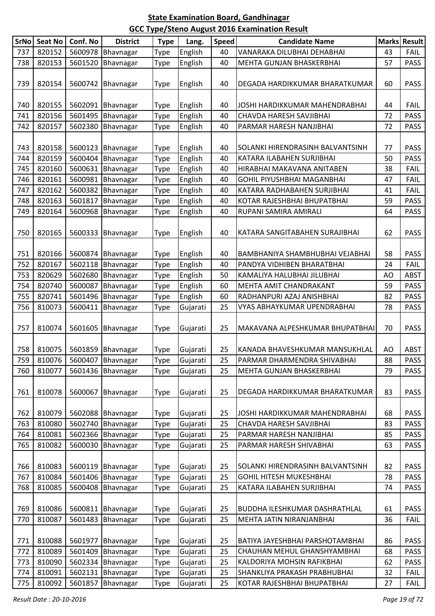| <b>SrNo</b> | <b>Seat No</b> | Conf. No | <b>District</b>     | <b>Type</b> | Lang.    | <b>Speed</b> | <b>Candidate Name</b>                  |    | <b>Marks Result</b> |
|-------------|----------------|----------|---------------------|-------------|----------|--------------|----------------------------------------|----|---------------------|
| 737         | 820152         | 5600978  | Bhavnagar           | Type        | English  | 40           | VANARAKA DILUBHAI DEHABHAI             | 43 | <b>FAIL</b>         |
| 738         | 820153         | 5601520  | Bhavnagar           | Type        | English  | 40           | <b>MEHTA GUNJAN BHASKERBHAI</b>        | 57 | <b>PASS</b>         |
|             |                |          |                     |             |          |              |                                        |    |                     |
| 739         | 820154         | 5600742  | Bhavnagar           | Type        | English  | 40           | DEGADA HARDIKKUMAR BHARATKUMAR         | 60 | <b>PASS</b>         |
|             |                |          |                     |             |          |              |                                        |    |                     |
| 740         | 820155         | 5602091  | Bhavnagar           | Type        | English  | 40           | JOSHI HARDIKKUMAR MAHENDRABHAI         | 44 | <b>FAIL</b>         |
| 741         | 820156         | 5601495  | Bhavnagar           | Type        | English  | 40           | CHAVDA HARESH SAVJIBHAI                | 72 | <b>PASS</b>         |
| 742         | 820157         | 5602380  | Bhavnagar           | Type        | English  | 40           | PARMAR HARESH NANJIBHAI                | 72 | <b>PASS</b>         |
|             |                |          |                     |             |          |              |                                        |    |                     |
| 743         | 820158         | 5600123  | Bhavnagar           | <b>Type</b> | English  | 40           | SOLANKI HIRENDRASINH BALVANTSINH       | 77 | <b>PASS</b>         |
| 744         | 820159         | 5600404  | Bhavnagar           | Type        | English  | 40           | KATARA ILABAHEN SURJIBHAI              | 50 | <b>PASS</b>         |
| 745         | 820160         | 5600631  | Bhavnagar           | Type        | English  | 40           | HIRABHAI MAKAVANA ANITABEN             | 38 | <b>FAIL</b>         |
| 746         | 820161         | 5600981  | Bhavnagar           | Type        | English  | 40           | GOHIL PIYUSHBHAI MAGANBHAI             | 47 | <b>FAIL</b>         |
| 747         | 820162         | 5600382  | Bhavnagar           | Type        | English  | 40           | KATARA RADHABAHEN SURJIBHAI            | 41 | <b>FAIL</b>         |
| 748         | 820163         | 5601817  | Bhavnagar           | Type        | English  | 40           | KOTAR RAJESHBHAI BHUPATBHAI            | 59 | <b>PASS</b>         |
| 749         | 820164         | 5600968  | Bhavnagar           | Type        | English  | 40           | RUPANI SAMIRA AMIRALI                  | 64 | <b>PASS</b>         |
|             |                |          |                     |             |          |              |                                        |    |                     |
| 750         | 820165         | 5600333  | Bhavnagar           | Type        | English  | 40           | KATARA SANGITABAHEN SURAJIBHAI         | 62 | <b>PASS</b>         |
|             |                |          |                     |             |          |              |                                        |    |                     |
| 751         | 820166         | 5600874  | Bhavnagar           | <b>Type</b> | English  | 40           | BAMBHANIYA SHAMBHUBHAI VEJABHAI        | 58 | <b>PASS</b>         |
| 752         | 820167         | 5602118  | Bhavnagar           | Type        | English  | 40           | PANDYA VIDHIBEN BHARATBHAI             | 24 | <b>FAIL</b>         |
| 753         | 820629         | 5602680  | Bhavnagar           | Type        | English  | 50           | KAMALIYA HALUBHAI JILUBHAI             | AO | <b>ABST</b>         |
| 754         | 820740         | 5600087  | Bhavnagar           | Type        | English  | 60           | <b>MEHTA AMIT CHANDRAKANT</b>          | 59 | <b>PASS</b>         |
| 755         | 820741         | 5601496  | Bhavnagar           | <b>Type</b> | English  | 60           | RADHANPURI AZAJ ANISHBHAI              | 82 | <b>PASS</b>         |
| 756         | 810073         | 5600411  | Bhavnagar           | Type        | Gujarati | 25           | VYAS ABHAYKUMAR UPENDRABHAI            | 78 | <b>PASS</b>         |
|             |                |          |                     |             |          |              |                                        |    |                     |
| 757         | 810074         | 5601605  | Bhavnagar           | Type        | Gujarati | 25           | MAKAVANA ALPESHKUMAR BHUPATBHAI        | 70 | <b>PASS</b>         |
|             |                |          |                     |             |          |              |                                        |    |                     |
| 758         | 810075         | 5601859  | Bhavnagar           | Type        | Gujarati | 25           | KANADA BHAVESHKUMAR MANSUKHLAL         | AO | <b>ABST</b>         |
| 759         | 810076         |          | 5600407 Bhavnagar   | Type        | Gujarati | 25           | PARMAR DHARMENDRA SHIVABHAI            | 88 | PASS                |
| 760         | 810077         |          | 5601436   Bhavnagar | Type        | Gujarati | 25           | MEHTA GUNJAN BHASKERBHAI               | 79 | <b>PASS</b>         |
|             |                |          |                     |             |          |              |                                        |    |                     |
| 761         | 810078         | 5600067  | Bhavnagar           | <b>Type</b> | Gujarati | 25           | DEGADA HARDIKKUMAR BHARATKUMAR         | 83 | <b>PASS</b>         |
|             |                |          |                     |             |          |              |                                        |    |                     |
| 762         | 810079         | 5602088  | Bhavnagar           | Type        | Gujarati | 25           | JOSHI HARDIKKUMAR MAHENDRABHAI         | 68 | <b>PASS</b>         |
| 763         | 810080         | 5602740  | Bhavnagar           | Type        | Gujarati | 25           | CHAVDA HARESH SAVJIBHAI                | 83 | <b>PASS</b>         |
| 764         | 810081         | 5602366  | Bhavnagar           | Type        | Gujarati | 25           | PARMAR HARESH NANJIBHAI                | 85 | <b>PASS</b>         |
| 765         | 810082         | 5600030  | Bhavnagar           | Type        | Gujarati | 25           | PARMAR HARESH SHIVABHAI                | 63 | <b>PASS</b>         |
|             |                |          |                     |             |          |              |                                        |    |                     |
| 766         | 810083         | 5600119  | Bhavnagar           | Type        | Gujarati | 25           | SOLANKI HIRENDRASINH BALVANTSINH       | 82 | <b>PASS</b>         |
| 767         | 810084         | 5601406  | Bhavnagar           | <b>Type</b> | Gujarati | 25           | <b>GOHIL HITESH MUKESHBHAI</b>         | 78 | <b>PASS</b>         |
| 768         | 810085         | 5600408  | Bhavnagar           | Type        | Gujarati | 25           | KATARA ILABAHEN SURJIBHAI              | 74 | <b>PASS</b>         |
|             |                |          |                     |             |          |              |                                        |    |                     |
| 769         | 810086         | 5600811  | Bhavnagar           |             | Gujarati | 25           | BUDDHA ILESHKUMAR DASHRATHLAL          | 61 | <b>PASS</b>         |
| 770         | 810087         | 5601483  |                     | Type        |          | 25           |                                        | 36 |                     |
|             |                |          | Bhavnagar           | Type        | Gujarati |              | MEHTA JATIN NIRANJANBHAI               |    | <b>FAIL</b>         |
| 771         | 810088         | 5601977  |                     |             | Gujarati | 25           | <b>BATIYA JAYESHBHAI PARSHOTAMBHAI</b> | 86 | <b>PASS</b>         |
| 772         | 810089         | 5601409  | Bhavnagar           | Type        | Gujarati | 25           | CHAUHAN MEHUL GHANSHYAMBHAI            | 68 | <b>PASS</b>         |
| 773         | 810090         | 5602334  | Bhavnagar           | <b>Type</b> |          | 25           | KALDORIYA MOHSIN RAFIKBHAI             | 62 | <b>PASS</b>         |
|             | 810091         |          | Bhavnagar           | Type        | Gujarati | 25           | SHANKLIYA PRAKASH PRABHUBHAI           | 32 |                     |
| 774         |                | 5602131  | Bhavnagar           | Type        | Gujarati |              |                                        |    | <b>FAIL</b>         |
| 775         | 810092         | 5601857  | Bhavnagar           | Type        | Gujarati | 25           | KOTAR RAJESHBHAI BHUPATBHAI            | 27 | <b>FAIL</b>         |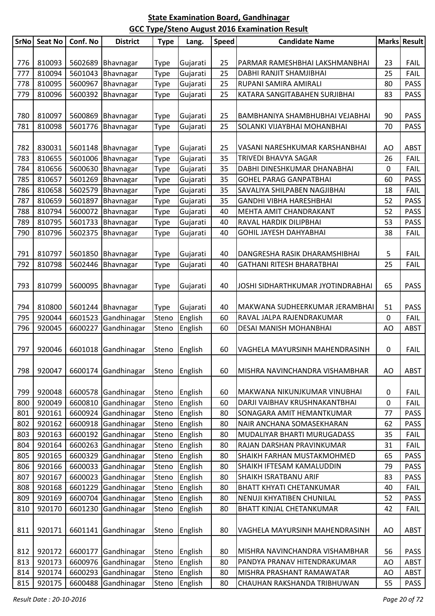| <b>SrNo</b> | <b>Seat No</b>   | Conf. No           | <b>District</b>            | <b>Type</b>    | Lang.              | <b>Speed</b> | <b>Candidate Name</b>                                      |             | <b>Marks Result</b>        |
|-------------|------------------|--------------------|----------------------------|----------------|--------------------|--------------|------------------------------------------------------------|-------------|----------------------------|
|             |                  |                    |                            |                |                    |              |                                                            |             |                            |
| 776         | 810093           |                    | 5602689 Bhavnagar          | <b>Type</b>    | Gujarati           | 25           | PARMAR RAMESHBHAI LAKSHMANBHAI                             | 23          | <b>FAIL</b>                |
| 777         | 810094           | 5601043            | Bhavnagar                  | <b>Type</b>    | Gujarati           | 25           | DABHI RANJIT SHAMJIBHAI                                    | 25          | <b>FAIL</b>                |
| 778         | 810095           | 5600967            | Bhavnagar                  | Type           | Gujarati           | 25           | RUPANI SAMIRA AMIRALI                                      | 80          | <b>PASS</b>                |
| 779         | 810096           | 5600392            | Bhavnagar                  | <b>Type</b>    | Gujarati           | 25           | KATARA SANGITABAHEN SURJIBHAI                              | 83          | <b>PASS</b>                |
|             |                  |                    |                            |                |                    |              |                                                            |             |                            |
| 780         | 810097           |                    | 5600869 Bhavnagar          | <b>Type</b>    | Gujarati           | 25           | BAMBHANIYA SHAMBHUBHAI VEJABHAI                            | 90          | <b>PASS</b>                |
| 781         | 810098           | 5601776            | Bhavnagar                  | Type           | Gujarati           | 25           | SOLANKI VIJAYBHAI MOHANBHAI                                | 70          | <b>PASS</b>                |
|             |                  |                    |                            |                |                    |              |                                                            |             |                            |
| 782         | 830031           |                    | 5601148 Bhavnagar          | <b>Type</b>    | Gujarati           | 25           | VASANI NARESHKUMAR KARSHANBHAI                             | AO          | <b>ABST</b>                |
| 783         | 810655           |                    | 5601006 Bhavnagar          | Type           | Gujarati           | 35           | TRIVEDI BHAVYA SAGAR                                       | 26          | FAIL                       |
| 784         | 810656           | 5600630            | Bhavnagar                  | <b>Type</b>    | Gujarati           | 35           | DABHI DINESHKUMAR DHANABHAI                                | 0           | FAIL                       |
| 785         | 810657           | 5601269            | Bhavnagar                  | Type           | Gujarati           | 35           | <b>GOHEL PARAG GANPATBHAI</b>                              | 60          | <b>PASS</b>                |
| 786         | 810658           | 5602579            | Bhavnagar                  | <b>Type</b>    | Gujarati           | 35           | SAVALIYA SHILPABEN NAGJIBHAI                               | 18          | <b>FAIL</b>                |
| 787         | 810659           | 5601897            | Bhavnagar                  | Type           | Gujarati           | 35           | <b>GANDHI VIBHA HARESHBHAI</b>                             | 52          | <b>PASS</b>                |
| 788         | 810794           | 5600072            | Bhavnagar                  | <b>Type</b>    | Gujarati           | 40           | MEHTA AMIT CHANDRAKANT                                     | 52          | <b>PASS</b>                |
| 789         | 810795           | 5601733            | Bhavnagar                  | <b>Type</b>    | Gujarati           | 40           | RAVAL HARDIK DILIPBHAI                                     | 53          | <b>PASS</b>                |
| 790         | 810796           | 5602375            | Bhavnagar                  | Type           | Gujarati           | 40           | <b>GOHIL JAYESH DAHYABHAI</b>                              | 38          | FAIL                       |
|             |                  |                    |                            |                |                    |              |                                                            |             |                            |
| 791         | 810797           | 5601850            | Bhavnagar                  | <b>Type</b>    | Gujarati           | 40           | DANGRESHA RASIK DHARAMSHIBHAI                              | 5           | <b>FAIL</b>                |
| 792         | 810798           | 5602446            | Bhavnagar                  | <b>Type</b>    | Gujarati           | 40           | GATHANI RITESH BHARATBHAI                                  | 25          | <b>FAIL</b>                |
|             |                  |                    |                            |                |                    |              |                                                            |             |                            |
| 793         | 810799           | 5600095            | Bhavnagar                  | <b>Type</b>    | Gujarati           | 40           | JOSHI SIDHARTHKUMAR JYOTINDRABHAI                          | 65          | <b>PASS</b>                |
|             |                  |                    |                            |                |                    |              |                                                            |             |                            |
| 794         | 810800           |                    | 5601244 Bhavnagar          | <b>Type</b>    | Gujarati           | 40           | MAKWANA SUDHEERKUMAR JERAMBHAI                             | 51          | <b>PASS</b>                |
| 795         | 920044           | 6601523            | Gandhinagar                | Steno          | English            | 60           | RAVAL JALPA RAJENDRAKUMAR                                  | $\mathbf 0$ | <b>FAIL</b>                |
| 796         | 920045           | 6600227            | Gandhinagar                | Steno          | English            | 60           | DESAI MANISH MOHANBHAI                                     | AO          | <b>ABST</b>                |
|             |                  |                    |                            |                |                    |              |                                                            |             |                            |
| 797         | 920046           | 6601018            | Gandhinagar                | Steno          | English            | 60           | VAGHELA MAYURSINH MAHENDRASINH                             | 0           | <b>FAIL</b>                |
|             |                  |                    |                            |                |                    |              |                                                            |             |                            |
| 798         | 920047           | 6600174            | Gandhinagar                | Steno          | English            | 60           | MISHRA NAVINCHANDRA VISHAMBHAR                             | AO          | <b>ABST</b>                |
|             |                  |                    |                            |                |                    |              |                                                            |             |                            |
| 799         | 920048           |                    | 6600578 Gandhinagar        | Steno          | English            | 60           | MAKWANA NIKUNJKUMAR VINUBHAI                               | 0           | <b>FAIL</b>                |
| 800         | 920049           | 6600810            | Gandhinagar                | Steno          | English            | 60           | DARJI VAIBHAV KRUSHNAKANTBHAI<br>SONAGARA AMIT HEMANTKUMAR | 0           | <b>FAIL</b>                |
| 801         | 920161<br>920162 | 6600924            | Gandhinagar<br>Gandhinagar | Steno          | English            | 80           | NAIR ANCHANA SOMASEKHARAN                                  | 77          | <b>PASS</b>                |
| 802<br>803  | 920163           | 6600918            |                            | Steno          | English            | 80           |                                                            | 62          | <b>PASS</b>                |
| 804         | 920164           | 6600192            | Gandhinagar<br>Gandhinagar | Steno          | English            | 80<br>80     | MUDALIYAR BHARTI MURUGADASS<br>RAJAN DARSHAN PRAVINKUMAR   | 35<br>31    | <b>FAIL</b><br><b>FAIL</b> |
| 805         | 920165           | 6600263<br>6600329 | Gandhinagar                | Steno<br>Steno | English            | 80           | SHAIKH FARHAN MUSTAKMOHMED                                 | 65          | <b>PASS</b>                |
| 806         | 920166           | 6600033            | Gandhinagar                | Steno          | English<br>English | 80           | SHAIKH IFTESAM KAMALUDDIN                                  | 79          | <b>PASS</b>                |
| 807         | 920167           | 6600023            | Gandhinagar                | Steno          | English            | 80           | SHAIKH ISRATBANU ARIF                                      | 83          | <b>PASS</b>                |
| 808         | 920168           | 6601229            | Gandhinagar                | Steno          |                    | 80           | <b>BHATT KHYATI CHETANKUMAR</b>                            | 40          | <b>FAIL</b>                |
| 809         | 920169           | 6600704            | Gandhinagar                | Steno          | English<br>English | 80           | NENUJI KHYATIBEN CHUNILAL                                  | 52          | <b>PASS</b>                |
| 810         | 920170           | 6601230            | Gandhinagar                |                | English            | 80           | BHATT KINJAL CHETANKUMAR                                   | 42          | <b>FAIL</b>                |
|             |                  |                    |                            | Steno          |                    |              |                                                            |             |                            |
|             |                  |                    |                            |                |                    |              |                                                            |             |                            |
| 811         | 920171           | 6601141            | Gandhinagar                | Steno          | English            | 80           | VAGHELA MAYURSINH MAHENDRASINH                             | AO          | <b>ABST</b>                |
| 812         | 920172           | 6600177            | Gandhinagar                | Steno          | English            | 80           | MISHRA NAVINCHANDRA VISHAMBHAR                             | 56          | <b>PASS</b>                |
| 813         | 920173           | 6600976            | Gandhinagar                | Steno          | English            | 80           | PANDYA PRANAV HITENDRAKUMAR                                | AO          | <b>ABST</b>                |
| 814         | 920174           | 6600293            | Gandhinagar                | Steno          | English            | 80           | MISHRA PRASHANT RAMAWATAR                                  | AO          | <b>ABST</b>                |
| 815         | 920175           | 6600488            | Gandhinagar                | Steno          | English            | 80           | CHAUHAN RAKSHANDA TRIBHUWAN                                | 55          | <b>PASS</b>                |
|             |                  |                    |                            |                |                    |              |                                                            |             |                            |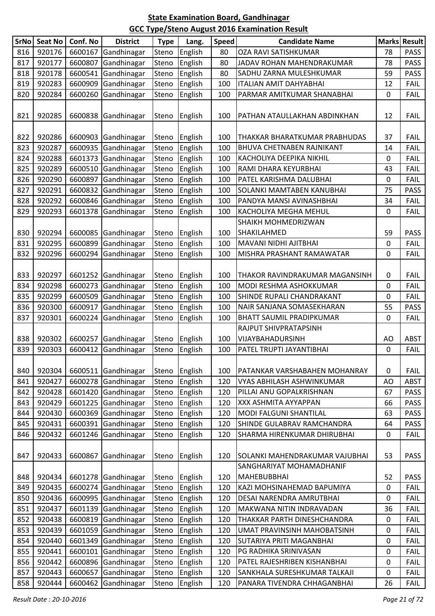| <b>SrNo</b> | <b>Seat No</b> | Conf. No | <b>District</b>     | <b>Type</b> | Lang.   | <b>Speed</b> | <b>Candidate Name</b>                 | <b>Marks</b> | <b>Result</b> |
|-------------|----------------|----------|---------------------|-------------|---------|--------------|---------------------------------------|--------------|---------------|
| 816         | 920176         | 6600167  | Gandhinagar         | Steno       | English | 80           | OZA RAVI SATISHKUMAR                  | 78           | <b>PASS</b>   |
| 817         | 920177         | 6600807  | Gandhinagar         | Steno       | English | 80           | JADAV ROHAN MAHENDRAKUMAR             | 78           | <b>PASS</b>   |
| 818         | 920178         | 6600541  | Gandhinagar         | Steno       | English | 80           | SADHU ZARNA MULESHKUMAR               | 59           | <b>PASS</b>   |
| 819         | 920283         | 6600909  | Gandhinagar         | Steno       | English | 100          | <b>ITALIAN AMIT DAHYABHAI</b>         | 12           | <b>FAIL</b>   |
| 820         | 920284         | 6600260  | Gandhinagar         | Steno       | English | 100          | PARMAR AMITKUMAR SHANABHAI            | $\mathbf 0$  | <b>FAIL</b>   |
| 821         | 920285         | 6600838  | Gandhinagar         | Steno       | English | 100          | PATHAN ATAULLAKHAN ABDINKHAN          | 12           | <b>FAIL</b>   |
| 822         | 920286         | 6600903  | Gandhinagar         | Steno       | English | 100          | THAKKAR BHARATKUMAR PRABHUDAS         | 37           | <b>FAIL</b>   |
| 823         | 920287         | 6600935  | Gandhinagar         | Steno       | English | 100          | BHUVA CHETNABEN RAJNIKANT             | 14           | <b>FAIL</b>   |
| 824         | 920288         | 6601373  | Gandhinagar         | Steno       | English | 100          | KACHOLIYA DEEPIKA NIKHIL              | 0            | <b>FAIL</b>   |
| 825         | 920289         | 6600510  | Gandhinagar         | Steno       | English | 100          | RAMI DHARA KEYURBHAI                  | 43           | <b>FAIL</b>   |
| 826         | 920290         | 6600897  | Gandhinagar         | Steno       | English | 100          | PATEL KARISHMA DALUBHAI               | 0            | FAIL          |
| 827         | 920291         | 6600832  | Gandhinagar         | Steno       | English | 100          | SOLANKI MAMTABEN KANUBHAI             | 75           | <b>PASS</b>   |
| 828         | 920292         | 6600846  | Gandhinagar         | Steno       | English | 100          | PANDYA MANSI AVINASHBHAI              | 34           | <b>FAIL</b>   |
| 829         | 920293         | 6601378  | Gandhinagar         | Steno       | English | 100          | KACHOLIYA MEGHA MEHUL                 | $\mathbf 0$  | FAIL          |
|             |                |          |                     |             |         |              | <b>SHAIKH MOHMEDRIZWAN</b>            |              |               |
| 830         | 920294         | 6600085  | Gandhinagar         | Steno       | English | 100          | SHAKILAHMED                           | 59           | <b>PASS</b>   |
| 831         | 920295         | 6600899  | Gandhinagar         | Steno       | English | 100          | MAVANI NIDHI AJITBHAI                 | 0            | <b>FAIL</b>   |
| 832         | 920296         | 6600294  | Gandhinagar         | Steno       | English | 100          | MISHRA PRASHANT RAMAWATAR             | 0            | FAIL          |
| 833         | 920297         | 6601252  | Gandhinagar         | Steno       | English | 100          | THAKOR RAVINDRAKUMAR MAGANSINH        | 0            | <b>FAIL</b>   |
| 834         | 920298         | 6600273  | Gandhinagar         | Steno       | English | 100          | MODI RESHMA ASHOKKUMAR                | $\mathbf 0$  | <b>FAIL</b>   |
| 835         | 920299         | 6600509  | Gandhinagar         | Steno       | English | 100          | SHINDE RUPALI CHANDRAKANT             | 0            | <b>FAIL</b>   |
| 836         | 920300         | 6600917  | Gandhinagar         | Steno       | English | 100          | NAIR SANJANA SOMASEKHARAN             | 55           | <b>PASS</b>   |
| 837         | 920301         | 6600224  | Gandhinagar         | Steno       | English | 100          | <b>BHATT SAUMIL PRADIPKUMAR</b>       | $\mathbf 0$  | FAIL          |
|             |                |          |                     |             |         |              | RAJPUT SHIVPRATAPSINH                 |              |               |
| 838         | 920302         | 6600257  | Gandhinagar         | Steno       | English | 100          | VIJAYBAHADURSINH                      | AO           | <b>ABST</b>   |
| 839         | 920303         | 6600412  | Gandhinagar         | Steno       | English | 100          | PATEL TRUPTI JAYANTIBHAI              | 0            | <b>FAIL</b>   |
| 840         | 920304         |          | 6600511 Gandhinagar | Steno       | English | 100          | PATANKAR VARSHABAHEN MOHANRAY         | 0            | <b>FAIL</b>   |
| 841         | 920427         | 6600278  | Gandhinagar         | Steno       | English | 120          | VYAS ABHILASH ASHWINKUMAR             | AO           | <b>ABST</b>   |
| 842         | 920428         | 6601420  | Gandhinagar         | Steno       | English | 120          | PILLAI ANU GOPALKRISHNAN              | 67           | <b>PASS</b>   |
| 843         | 920429         | 6601225  | Gandhinagar         | Steno       | English | 120          | XXX ASHMITA AYYAPPAN                  | 66           | <b>PASS</b>   |
| 844         | 920430         | 6600369  | Gandhinagar         | Steno       | English | 120          | MODI FALGUNI SHANTILAL                | 63           | <b>PASS</b>   |
| 845         | 920431         | 6600391  | Gandhinagar         | Steno       | English | 120          | SHINDE GULABRAV RAMCHANDRA            | 64           | <b>PASS</b>   |
| 846         | 920432         | 6601246  | Gandhinagar         | Steno       | English | 120          | SHARMA HIRENKUMAR DHIRUBHAI           | 0            | <b>FAIL</b>   |
|             |                |          |                     |             |         |              |                                       |              |               |
| 847         | 920433         | 6600867  | Gandhinagar         | Steno       | English | 120          | <b>SOLANKI MAHENDRAKUMAR VAJUBHAI</b> | 53           | <b>PASS</b>   |
|             |                |          |                     |             |         |              | SANGHARIYAT MOHAMADHANIF              |              |               |
| 848         | 920434         | 6601278  | Gandhinagar         | Steno       | English | 120          | <b>MAHEBUBBHAI</b>                    | 52           | <b>PASS</b>   |
| 849         | 920435         | 6600274  | Gandhinagar         | Steno       | English | 120          | KAZI MOHSINAHEMAD BAPUMIYA            | 0            | <b>FAIL</b>   |
| 850         | 920436         | 6600995  | Gandhinagar         | Steno       | English | 120          | DESAI NARENDRA AMRUTBHAI              | 0            | <b>FAIL</b>   |
| 851         | 920437         | 6601139  | Gandhinagar         | Steno       | English | 120          | MAKWANA NITIN INDRAVADAN              | 36           | <b>FAIL</b>   |
| 852         | 920438         | 6600819  | Gandhinagar         | Steno       | English | 120          | THAKKAR PARTH DINESHCHANDRA           | $\mathbf 0$  | <b>FAIL</b>   |
| 853         | 920439         | 6601059  | Gandhinagar         | Steno       | English | 120          | UMAT PRAVINSINH MAHOBATSINH           | 0            | <b>FAIL</b>   |
| 854         | 920440         | 6601349  | Gandhinagar         | Steno       | English | 120          | <b>SUTARIYA PRITI MAGANBHAI</b>       | 0            | <b>FAIL</b>   |
| 855         | 920441         | 6600101  | Gandhinagar         | Steno       | English | 120          | PG RADHIKA SRINIVASAN                 | $\pmb{0}$    | <b>FAIL</b>   |
| 856         | 920442         | 6600896  | Gandhinagar         | Steno       | English | 120          | PATEL RAJESHRIBEN KISHANBHAI          | 0            | <b>FAIL</b>   |
| 857         | 920443         | 6600657  | Gandhinagar         | Steno       | English | 120          | SANKHALA SURESHKUMAR TALKAJI          | 0            | <b>FAIL</b>   |
| 858         | 920444         | 6600462  | Gandhinagar         | Steno       | English | 120          | PANARA TIVENDRA CHHAGANBHAI           | 26           | <b>FAIL</b>   |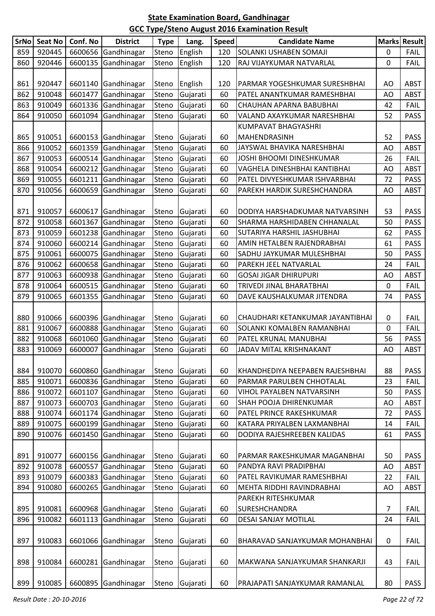| SrNo | Seat No | Conf. No | <b>District</b>     | <b>Type</b> | Lang.    | <b>Speed</b> | <b>Candidate Name</b>            |    | <b>Marks Result</b> |
|------|---------|----------|---------------------|-------------|----------|--------------|----------------------------------|----|---------------------|
| 859  | 920445  | 6600656  | Gandhinagar         | Steno       | English  | 120          | SOLANKI USHABEN SOMAJI           | 0  | <b>FAIL</b>         |
| 860  | 920446  | 6600135  | Gandhinagar         | Steno       | English  | 120          | RAJ VIJAYKUMAR NATVARLAL         | 0  | <b>FAIL</b>         |
|      |         |          |                     |             |          |              |                                  |    |                     |
| 861  | 920447  |          | 6601140 Gandhinagar | Steno       | English  | 120          | PARMAR YOGESHKUMAR SURESHBHAI    | AO | <b>ABST</b>         |
| 862  | 910048  | 6601477  | Gandhinagar         | Steno       | Gujarati | 60           | PATEL ANANTKUMAR RAMESHBHAI      | AO | <b>ABST</b>         |
| 863  | 910049  | 6601336  | Gandhinagar         | Steno       | Gujarati | 60           | CHAUHAN APARNA BABUBHAI          | 42 | <b>FAIL</b>         |
| 864  | 910050  | 6601094  | Gandhinagar         | Steno       | Gujarati | 60           | VALAND AXAYKUMAR NARESHBHAI      | 52 | <b>PASS</b>         |
|      |         |          |                     |             |          |              | KUMPAVAT BHAGYASHRI              |    |                     |
| 865  | 910051  |          | 6600153 Gandhinagar | Steno       | Gujarati | 60           | MAHENDRASINH                     | 52 | <b>PASS</b>         |
| 866  | 910052  |          | 6601359 Gandhinagar | Steno       | Gujarati | 60           | JAYSWAL BHAVIKA NARESHBHAI       | AO | <b>ABST</b>         |
| 867  | 910053  | 6600514  | Gandhinagar         | Steno       | Gujarati | 60           | JOSHI BHOOMI DINESHKUMAR         | 26 | <b>FAIL</b>         |
| 868  | 910054  |          | 6600212 Gandhinagar | Steno       | Gujarati | 60           | VAGHELA DINESHBHAI KANTIBHAI     | AO | <b>ABST</b>         |
| 869  | 910055  |          | 6601211 Gandhinagar | Steno       | Gujarati | 60           | PATEL DIVYESHKUMAR ISHVARBHAI    | 72 | <b>PASS</b>         |
| 870  | 910056  | 6600659  | Gandhinagar         | Steno       | Gujarati | 60           | PAREKH HARDIK SURESHCHANDRA      | AO | <b>ABST</b>         |
|      |         |          |                     |             |          |              |                                  |    |                     |
| 871  | 910057  | 6600617  | Gandhinagar         | Steno       | Gujarati | 60           | DODIYA HARSHADKUMAR NATVARSINH   | 53 | <b>PASS</b>         |
| 872  | 910058  | 6601367  | Gandhinagar         | Steno       | Gujarati | 60           | SHARMA HARSHIDABEN CHHANALAL     | 50 | <b>PASS</b>         |
| 873  | 910059  |          | 6601238 Gandhinagar | Steno       | Gujarati | 60           | SUTARIYA HARSHIL JASHUBHAI       | 62 | <b>PASS</b>         |
| 874  | 910060  | 6600214  | Gandhinagar         | Steno       | Gujarati | 60           | AMIN HETALBEN RAJENDRABHAI       | 61 | <b>PASS</b>         |
| 875  | 910061  | 6600075  | Gandhinagar         | Steno       | Gujarati | 60           | SADHU JAYKUMAR MULESHBHAI        | 50 | <b>PASS</b>         |
| 876  | 910062  | 6600658  | Gandhinagar         | Steno       | Gujarati | 60           | PAREKH JEEL NATVARLAL            | 24 | <b>FAIL</b>         |
| 877  | 910063  |          | 6600938 Gandhinagar | Steno       | Gujarati | 60           | <b>GOSAI JIGAR DHIRUPURI</b>     | AO | <b>ABST</b>         |
| 878  | 910064  | 6600515  | Gandhinagar         | Steno       | Gujarati | 60           | TRIVEDI JINAL BHARATBHAI         | 0  | <b>FAIL</b>         |
| 879  | 910065  | 6601355  | Gandhinagar         | Steno       | Gujarati | 60           | DAVE KAUSHALKUMAR JITENDRA       | 74 | <b>PASS</b>         |
|      |         |          |                     |             |          |              |                                  |    |                     |
| 880  | 910066  |          | 6600396 Gandhinagar | Steno       | Gujarati | 60           | CHAUDHARI KETANKUMAR JAYANTIBHAI | 0  | <b>FAIL</b>         |
| 881  | 910067  |          | 6600888 Gandhinagar | Steno       | Gujarati | 60           | SOLANKI KOMALBEN RAMANBHAI       | 0  | <b>FAIL</b>         |
| 882  | 910068  |          | 6601060 Gandhinagar | Steno       | Gujarati | 60           | PATEL KRUNAL MANUBHAI            | 56 | <b>PASS</b>         |
| 883  | 910069  | 6600007  | Gandhinagar         | Steno       | Gujarati | 60           | JADAV MITAL KRISHNAKANT          | AO | <b>ABST</b>         |
|      |         |          |                     |             |          |              |                                  |    |                     |
| 884  | 910070  |          | 6600860 Gandhinagar | Steno       | Gujarati | 60           | KHANDHEDIYA NEEPABEN RAJESHBHAI  | 88 | <b>PASS</b>         |
| 885  | 910071  |          | 6600836 Gandhinagar | Steno       | Gujarati | 60           | PARMAR PARULBEN CHHOTALAL        | 23 | <b>FAIL</b>         |
| 886  | 910072  | 6601107  | Gandhinagar         | Steno       | Gujarati | 60           | VIHOL PAYALBEN NATVARSINH        | 50 | <b>PASS</b>         |
| 887  | 910073  |          | 6600703 Gandhinagar | Steno       | Gujarati | 60           | SHAH POOJA DHIRENKUMAR           | AO | <b>ABST</b>         |
| 888  | 910074  |          | 6601174 Gandhinagar | Steno       | Gujarati | 60           | PATEL PRINCE RAKESHKUMAR         | 72 | <b>PASS</b>         |
| 889  | 910075  |          | 6600199 Gandhinagar | Steno       | Gujarati | 60           | KATARA PRIYALBEN LAXMANBHAI      | 14 | <b>FAIL</b>         |
| 890  | 910076  | 6601450  | Gandhinagar         | Steno       | Gujarati | 60           | DODIYA RAJESHREEBEN KALIDAS      | 61 | <b>PASS</b>         |
|      |         |          |                     |             |          |              |                                  |    |                     |
| 891  | 910077  |          | 6600156 Gandhinagar | Steno       | Gujarati | 60           | PARMAR RAKESHKUMAR MAGANBHAI     | 50 | <b>PASS</b>         |
| 892  | 910078  | 6600557  | Gandhinagar         | Steno       | Gujarati | 60           | PANDYA RAVI PRADIPBHAI           | AO | <b>ABST</b>         |
| 893  | 910079  |          | 6600383 Gandhinagar | Steno       | Gujarati | 60           | PATEL RAVIKUMAR RAMESHBHAI       | 22 | <b>FAIL</b>         |
| 894  | 910080  | 6600265  | Gandhinagar         | Steno       | Gujarati | 60           | MEHTA RIDDHI RAVINDRABHAI        | AO | <b>ABST</b>         |
|      |         |          |                     |             |          |              | PAREKH RITESHKUMAR               |    |                     |
| 895  | 910081  |          | 6600968 Gandhinagar | Steno       | Gujarati | 60           | <b>SURESHCHANDRA</b>             | 7  | <b>FAIL</b>         |
| 896  | 910082  |          | 6601113 Gandhinagar | Steno       | Gujarati | 60           | DESAI SANJAY MOTILAL             | 24 | <b>FAIL</b>         |
|      |         |          |                     |             |          |              |                                  |    |                     |
| 897  | 910083  | 6601066  | Gandhinagar         | Steno       | Gujarati | 60           | BHARAVAD SANJAYKUMAR MOHANBHAI   | 0  | <b>FAIL</b>         |
|      |         |          |                     |             |          |              |                                  |    |                     |
| 898  | 910084  |          | 6600281 Gandhinagar | Steno       | Gujarati | 60           | MAKWANA SANJAYKUMAR SHANKARJI    | 43 | <b>FAIL</b>         |
| 899  | 910085  |          | 6600895 Gandhinagar | Steno       | Gujarati | 60           | PRAJAPATI SANJAYKUMAR RAMANLAL   | 80 | <b>PASS</b>         |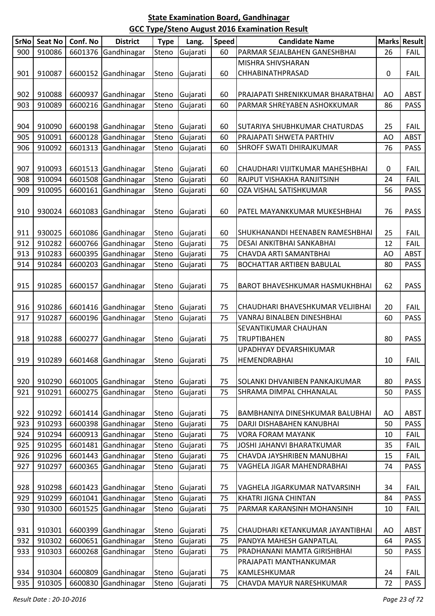| SrNo | <b>Seat No</b> | Conf. No | <b>District</b>     | <b>Type</b> | Lang.          | <b>Speed</b> | <b>Candidate Name</b>                 |           | Marks Result |
|------|----------------|----------|---------------------|-------------|----------------|--------------|---------------------------------------|-----------|--------------|
| 900  | 910086         | 6601376  | Gandhinagar         | Steno       | Gujarati       | 60           | PARMAR SEJALBAHEN GANESHBHAI          | 26        | <b>FAIL</b>  |
|      |                |          |                     |             |                |              | MISHRA SHIVSHARAN                     |           |              |
| 901  | 910087         | 6600152  | Gandhinagar         | Steno       | Gujarati       | 60           | CHHABINATHPRASAD                      | $\pmb{0}$ | <b>FAIL</b>  |
|      |                |          |                     |             |                |              |                                       |           |              |
| 902  | 910088         | 6600937  | Gandhinagar         | Steno       | Gujarati       | 60           | PRAJAPATI SHRENIKKUMAR BHARATBHAI     | AO        | <b>ABST</b>  |
| 903  | 910089         | 6600216  | Gandhinagar         | Steno       | Gujarati       | 60           | PARMAR SHREYABEN ASHOKKUMAR           | 86        | <b>PASS</b>  |
|      |                |          |                     |             |                |              |                                       |           |              |
| 904  | 910090         |          | 6600198 Gandhinagar | Steno       | Gujarati       | 60           | SUTARIYA SHUBHKUMAR CHATURDAS         | 25        | <b>FAIL</b>  |
| 905  | 910091         | 6600128  | Gandhinagar         | Steno       | Gujarati       | 60           | PRAJAPATI SHWETA PARTHIV              | AO        | <b>ABST</b>  |
| 906  | 910092         | 6601313  | Gandhinagar         | Steno       | Gujarati       | 60           | SHROFF SWATI DHIRAJKUMAR              | 76        | <b>PASS</b>  |
|      |                |          |                     |             |                |              |                                       |           |              |
| 907  | 910093         |          | 6601513 Gandhinagar | Steno       | Gujarati       | 60           | CHAUDHARI VIJITKUMAR MAHESHBHAI       | 0         | <b>FAIL</b>  |
| 908  | 910094         | 6601508  | Gandhinagar         | Steno       | Gujarati       | 60           | RAJPUT VISHAKHA RANJITSINH            | 24        | <b>FAIL</b>  |
| 909  | 910095         | 6600161  | Gandhinagar         | Steno       | Gujarati       | 60           | OZA VISHAL SATISHKUMAR                | 56        | <b>PASS</b>  |
|      |                |          |                     |             |                |              |                                       |           |              |
| 910  | 930024         | 6601083  | Gandhinagar         | Steno       | Gujarati       | 60           | PATEL MAYANKKUMAR MUKESHBHAI          | 76        | <b>PASS</b>  |
|      |                |          |                     |             |                |              |                                       |           |              |
| 911  | 930025         |          | 6601086 Gandhinagar | Steno       | Gujarati       | 60           | SHUKHANANDI HEENABEN RAMESHBHAI       | 25        | <b>FAIL</b>  |
| 912  | 910282         | 6600766  | Gandhinagar         | Steno       | Gujarati       | 75           | DESAI ANKITBHAI SANKABHAI             | 12        | <b>FAIL</b>  |
| 913  | 910283         | 6600395  | Gandhinagar         | Steno       | Gujarati       | 75           | CHAVDA ARTI SAMANTBHAI                | AO        | <b>ABST</b>  |
| 914  | 910284         | 6600203  | Gandhinagar         | Steno       | Gujarati       | 75           | BOCHATTAR ARTIBEN BABULAL             | 80        | <b>PASS</b>  |
|      |                |          |                     |             |                |              |                                       |           |              |
| 915  | 910285         | 6600157  | Gandhinagar         | Steno       | Gujarati       | 75           | <b>BAROT BHAVESHKUMAR HASMUKHBHAI</b> | 62        | <b>PASS</b>  |
|      |                |          |                     |             |                |              |                                       |           |              |
| 916  | 910286         | 6601416  | Gandhinagar         | Steno       | Gujarati       | 75           | CHAUDHARI BHAVESHKUMAR VELJIBHAI      | 20        | <b>FAIL</b>  |
| 917  | 910287         | 6600196  | Gandhinagar         | Steno       | Gujarati       | 75           | VANRAJ BINALBEN DINESHBHAI            | 60        | <b>PASS</b>  |
|      |                |          |                     |             |                |              | SEVANTIKUMAR CHAUHAN                  |           |              |
| 918  | 910288         | 6600277  | Gandhinagar         | Steno       | Gujarati       | 75           | <b>TRUPTIBAHEN</b>                    | 80        | <b>PASS</b>  |
|      |                |          |                     |             |                |              | UPADHYAY DEVARSHIKUMAR                |           |              |
| 919  | 910289         |          | 6601468 Gandhinagar |             | Steno Gujarati | 75           | HEMENDRABHAI                          | 10        | <b>FAIL</b>  |
|      |                |          |                     |             |                |              |                                       |           |              |
| 920  | 910290         | 6601005  | Gandhinagar         | Steno       | Gujarati       | 75           | SOLANKI DHVANIBEN PANKAJKUMAR         | 80        | <b>PASS</b>  |
| 921  | 910291         | 6600275  | Gandhinagar         | Steno       | Gujarati       | 75           | SHRAMA DIMPAL CHHANALAL               | 50        | <b>PASS</b>  |
|      |                |          |                     |             |                |              |                                       |           |              |
| 922  | 910292         |          | 6601414 Gandhinagar | Steno       | Gujarati       | 75           | BAMBHANIYA DINESHKUMAR BALUBHAI       | AO        | <b>ABST</b>  |
| 923  | 910293         | 6600398  | Gandhinagar         | Steno       | Gujarati       | 75           | DARJI DISHABAHEN KANUBHAI             | 50        | <b>PASS</b>  |
| 924  | 910294         | 6600913  | Gandhinagar         | Steno       | Gujarati       | 75           | <b>VORA FORAM MAYANK</b>              | 10        | <b>FAIL</b>  |
| 925  | 910295         | 6601481  | Gandhinagar         | Steno       | Gujarati       | 75           | JOSHI JAHANVI BHARATKUMAR             | 35        | <b>FAIL</b>  |
| 926  | 910296         | 6601443  | Gandhinagar         | Steno       | Gujarati       | 75           | CHAVDA JAYSHRIBEN MANUBHAI            | 15        | <b>FAIL</b>  |
| 927  | 910297         | 6600365  | Gandhinagar         | Steno       | Gujarati       | 75           | VAGHELA JIGAR MAHENDRABHAI            | 74        | <b>PASS</b>  |
|      |                |          |                     |             |                |              |                                       |           |              |
| 928  | 910298         | 6601423  | Gandhinagar         | Steno       | Gujarati       | 75           | VAGHELA JIGARKUMAR NATVARSINH         | 34        | <b>FAIL</b>  |
| 929  | 910299         | 6601041  | Gandhinagar         | Steno       | Gujarati       | 75           | <b>KHATRI JIGNA CHINTAN</b>           | 84        | <b>PASS</b>  |
| 930  | 910300         | 6601525  | Gandhinagar         | Steno       | Gujarati       | 75           | PARMAR KARANSINH MOHANSINH            | 10        | <b>FAIL</b>  |
|      |                |          |                     |             |                |              |                                       |           |              |
| 931  | 910301         | 6600399  | Gandhinagar         | Steno       | Gujarati       | 75           | CHAUDHARI KETANKUMAR JAYANTIBHAI      | AO        | <b>ABST</b>  |
| 932  | 910302         | 6600651  | Gandhinagar         | Steno       | Gujarati       | 75           | PANDYA MAHESH GANPATLAL               | 64        | <b>PASS</b>  |
| 933  | 910303         | 6600268  | Gandhinagar         | Steno       | Gujarati       | 75           | PRADHANANI MAMTA GIRISHBHAI           | 50        | <b>PASS</b>  |
|      |                |          |                     |             |                |              | PRAJAPATI MANTHANKUMAR                |           |              |
| 934  | 910304         | 6600809  | Gandhinagar         | Steno       | Gujarati       | 75           | KAMLESHKUMAR                          | 24        | <b>FAIL</b>  |
| 935  | 910305         | 6600830  | Gandhinagar         | Steno       | Gujarati       | 75           | CHAVDA MAYUR NARESHKUMAR              | 72        | <b>PASS</b>  |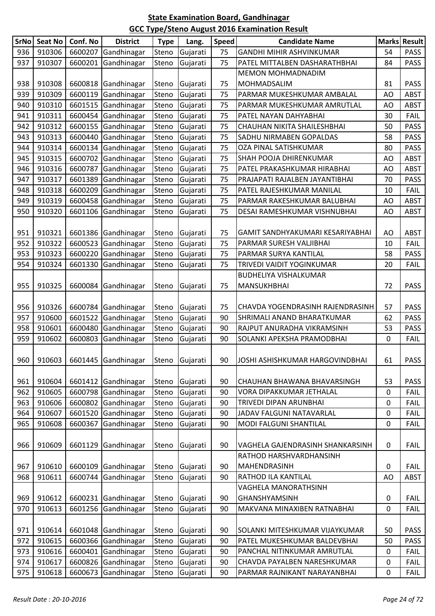| <b>GANDHI MIHIR ASHVINKUMAR</b><br>936<br>910306<br>6600207<br>Gandhinagar<br>75<br>54<br><b>PASS</b><br>Steno<br>Gujarati<br>910307<br>6600201<br>Gandhinagar<br><b>PASS</b><br>937<br>Gujarati<br>75<br>PATEL MITTALBEN DASHARATHBHAI<br>84<br>Steno<br>MEMON MOHMADNADIM<br>910308<br>6600818<br><b>PASS</b><br>938<br>Gandhinagar<br>75<br>MOHMADSALIM<br>81<br>Steno<br>Gujarati<br>939<br>910309<br>6600119<br>Gandhinagar<br>PARMAR MUKESHKUMAR AMBALAL<br>AO<br>ABST<br>Steno<br>Gujarati<br>75<br>910310<br>6601515<br>Gandhinagar<br>75<br>940<br>Steno<br>Gujarati<br><b>ABST</b><br>PARMAR MUKESHKUMAR AMRUTLAL<br>AO<br>910311<br>6600454<br>Gandhinagar<br>75<br><b>FAIL</b><br>941<br>Steno<br>Gujarati<br>30<br>PATEL NAYAN DAHYABHAI<br>910312<br>6600155<br>Gandhinagar<br>Steno<br>75<br>50<br><b>PASS</b><br>942<br>Gujarati<br>CHAUHAN NIKITA SHAILESHBHAI<br>910313<br>6600440<br>Gandhinagar<br>SADHU NIRMABEN GOPALDAS<br><b>PASS</b><br>943<br>Gujarati<br>75<br>58<br>Steno<br>910314<br>6600134<br>Gandhinagar<br>75<br>PASS<br>944<br>Steno<br>Gujarati<br>OZA PINAL SATISHKUMAR<br>80<br>Gandhinagar<br>945<br>910315<br>6600702<br>75<br><b>ABST</b><br>Steno<br>Gujarati<br>SHAH POOJA DHIRENKUMAR<br>AO<br>910316<br>6600787<br><b>ABST</b><br>Gandhinagar<br>Gujarati<br>75<br>PATEL PRAKASHKUMAR HIRABHAI<br>946<br>Steno<br>AO<br>910317<br>6601389<br>Gandhinagar<br>75<br>947<br>Steno<br>Gujarati<br>PRAJAPATI RAJALBEN JAYANTIBHAI<br>70<br><b>PASS</b><br>910318<br>6600209<br>Gandhinagar<br>75<br>948<br>Gujarati<br>PATEL RAJESHKUMAR MANILAL<br>10<br><b>FAIL</b><br>Steno<br>910319<br>949<br>6600458<br>Gandhinagar<br>75<br><b>ABST</b><br>Steno<br>Gujarati<br>PARMAR RAKESHKUMAR BALUBHAI<br>AO<br>910320<br>950<br>6601106<br>Gandhinagar<br>Gujarati<br>DESAI RAMESHKUMAR VISHNUBHAI<br><b>ABST</b><br>Steno<br>75<br>AO<br>910321<br>75<br>951<br>6601386<br>Gandhinagar<br>Gujarati<br>AO<br><b>ABST</b><br>Steno<br>GAMIT SANDHYAKUMARI KESARIYABHAI<br>910322<br>6600523<br>Gandhinagar<br>Gujarati<br>952<br>75<br><b>FAIL</b><br>Steno<br>10<br>PARMAR SURESH VALJIBHAI<br>Gandhinagar<br>953<br>910323<br>6600220<br>75<br>PARMAR SURYA KANTILAL<br>58<br><b>PASS</b><br>Steno<br>Gujarati<br>910324<br>Gandhinagar<br>954<br>6601330<br>Gujarati<br>75<br>TRIVEDI VAIDIT YOGINKUMAR<br><b>FAIL</b><br>Steno<br>20<br>BUDHELIYA VISHALKUMAR<br>910325<br>Gandhinagar<br><b>PASS</b><br>955<br>6600084<br>Gujarati<br>75<br>MANSUKHBHAI<br>72<br>Steno<br>910326<br>75<br>57<br><b>PASS</b><br>956<br>6600784<br>Gandhinagar<br>Gujarati<br>CHAVDA YOGENDRASINH RAJENDRASINH<br>Steno<br>957<br>910600<br>6601522<br>Gandhinagar<br>Gujarati<br><b>PASS</b><br>Steno<br>90<br>SHRIMALI ANAND BHARATKUMAR<br>62<br>910601<br>6600480<br>Gandhinagar<br>90<br>53<br><b>PASS</b><br>958<br>Steno<br>Gujarati<br>RAJPUT ANURADHA VIKRAMSINH<br>910602<br>Gujarati<br>959<br>6600803<br>Gandhinagar<br>0<br><b>FAIL</b><br>Steno<br>90<br>SOLANKI APEKSHA PRAMODBHAI<br>960<br>910603   6601445   Gandhinagar<br>Steno Gujarati<br>90<br>PASS<br>JOSHI ASHISHKUMAR HARGOVINDBHAI<br>61 |
|--------------------------------------------------------------------------------------------------------------------------------------------------------------------------------------------------------------------------------------------------------------------------------------------------------------------------------------------------------------------------------------------------------------------------------------------------------------------------------------------------------------------------------------------------------------------------------------------------------------------------------------------------------------------------------------------------------------------------------------------------------------------------------------------------------------------------------------------------------------------------------------------------------------------------------------------------------------------------------------------------------------------------------------------------------------------------------------------------------------------------------------------------------------------------------------------------------------------------------------------------------------------------------------------------------------------------------------------------------------------------------------------------------------------------------------------------------------------------------------------------------------------------------------------------------------------------------------------------------------------------------------------------------------------------------------------------------------------------------------------------------------------------------------------------------------------------------------------------------------------------------------------------------------------------------------------------------------------------------------------------------------------------------------------------------------------------------------------------------------------------------------------------------------------------------------------------------------------------------------------------------------------------------------------------------------------------------------------------------------------------------------------------------------------------------------------------------------------------------------------------------------------------------------------------------------------------------------------------------------------------------------------------------------------------------------------------------------------------------------------------------------------------------------------------------------------------------------------------------------------------------------------------------------------------------------------------------------------------------------------------------------------------------------------------------------------------------------------------------------------------------------------|
|                                                                                                                                                                                                                                                                                                                                                                                                                                                                                                                                                                                                                                                                                                                                                                                                                                                                                                                                                                                                                                                                                                                                                                                                                                                                                                                                                                                                                                                                                                                                                                                                                                                                                                                                                                                                                                                                                                                                                                                                                                                                                                                                                                                                                                                                                                                                                                                                                                                                                                                                                                                                                                                                                                                                                                                                                                                                                                                                                                                                                                                                                                                                            |
|                                                                                                                                                                                                                                                                                                                                                                                                                                                                                                                                                                                                                                                                                                                                                                                                                                                                                                                                                                                                                                                                                                                                                                                                                                                                                                                                                                                                                                                                                                                                                                                                                                                                                                                                                                                                                                                                                                                                                                                                                                                                                                                                                                                                                                                                                                                                                                                                                                                                                                                                                                                                                                                                                                                                                                                                                                                                                                                                                                                                                                                                                                                                            |
|                                                                                                                                                                                                                                                                                                                                                                                                                                                                                                                                                                                                                                                                                                                                                                                                                                                                                                                                                                                                                                                                                                                                                                                                                                                                                                                                                                                                                                                                                                                                                                                                                                                                                                                                                                                                                                                                                                                                                                                                                                                                                                                                                                                                                                                                                                                                                                                                                                                                                                                                                                                                                                                                                                                                                                                                                                                                                                                                                                                                                                                                                                                                            |
|                                                                                                                                                                                                                                                                                                                                                                                                                                                                                                                                                                                                                                                                                                                                                                                                                                                                                                                                                                                                                                                                                                                                                                                                                                                                                                                                                                                                                                                                                                                                                                                                                                                                                                                                                                                                                                                                                                                                                                                                                                                                                                                                                                                                                                                                                                                                                                                                                                                                                                                                                                                                                                                                                                                                                                                                                                                                                                                                                                                                                                                                                                                                            |
|                                                                                                                                                                                                                                                                                                                                                                                                                                                                                                                                                                                                                                                                                                                                                                                                                                                                                                                                                                                                                                                                                                                                                                                                                                                                                                                                                                                                                                                                                                                                                                                                                                                                                                                                                                                                                                                                                                                                                                                                                                                                                                                                                                                                                                                                                                                                                                                                                                                                                                                                                                                                                                                                                                                                                                                                                                                                                                                                                                                                                                                                                                                                            |
|                                                                                                                                                                                                                                                                                                                                                                                                                                                                                                                                                                                                                                                                                                                                                                                                                                                                                                                                                                                                                                                                                                                                                                                                                                                                                                                                                                                                                                                                                                                                                                                                                                                                                                                                                                                                                                                                                                                                                                                                                                                                                                                                                                                                                                                                                                                                                                                                                                                                                                                                                                                                                                                                                                                                                                                                                                                                                                                                                                                                                                                                                                                                            |
|                                                                                                                                                                                                                                                                                                                                                                                                                                                                                                                                                                                                                                                                                                                                                                                                                                                                                                                                                                                                                                                                                                                                                                                                                                                                                                                                                                                                                                                                                                                                                                                                                                                                                                                                                                                                                                                                                                                                                                                                                                                                                                                                                                                                                                                                                                                                                                                                                                                                                                                                                                                                                                                                                                                                                                                                                                                                                                                                                                                                                                                                                                                                            |
|                                                                                                                                                                                                                                                                                                                                                                                                                                                                                                                                                                                                                                                                                                                                                                                                                                                                                                                                                                                                                                                                                                                                                                                                                                                                                                                                                                                                                                                                                                                                                                                                                                                                                                                                                                                                                                                                                                                                                                                                                                                                                                                                                                                                                                                                                                                                                                                                                                                                                                                                                                                                                                                                                                                                                                                                                                                                                                                                                                                                                                                                                                                                            |
|                                                                                                                                                                                                                                                                                                                                                                                                                                                                                                                                                                                                                                                                                                                                                                                                                                                                                                                                                                                                                                                                                                                                                                                                                                                                                                                                                                                                                                                                                                                                                                                                                                                                                                                                                                                                                                                                                                                                                                                                                                                                                                                                                                                                                                                                                                                                                                                                                                                                                                                                                                                                                                                                                                                                                                                                                                                                                                                                                                                                                                                                                                                                            |
|                                                                                                                                                                                                                                                                                                                                                                                                                                                                                                                                                                                                                                                                                                                                                                                                                                                                                                                                                                                                                                                                                                                                                                                                                                                                                                                                                                                                                                                                                                                                                                                                                                                                                                                                                                                                                                                                                                                                                                                                                                                                                                                                                                                                                                                                                                                                                                                                                                                                                                                                                                                                                                                                                                                                                                                                                                                                                                                                                                                                                                                                                                                                            |
|                                                                                                                                                                                                                                                                                                                                                                                                                                                                                                                                                                                                                                                                                                                                                                                                                                                                                                                                                                                                                                                                                                                                                                                                                                                                                                                                                                                                                                                                                                                                                                                                                                                                                                                                                                                                                                                                                                                                                                                                                                                                                                                                                                                                                                                                                                                                                                                                                                                                                                                                                                                                                                                                                                                                                                                                                                                                                                                                                                                                                                                                                                                                            |
|                                                                                                                                                                                                                                                                                                                                                                                                                                                                                                                                                                                                                                                                                                                                                                                                                                                                                                                                                                                                                                                                                                                                                                                                                                                                                                                                                                                                                                                                                                                                                                                                                                                                                                                                                                                                                                                                                                                                                                                                                                                                                                                                                                                                                                                                                                                                                                                                                                                                                                                                                                                                                                                                                                                                                                                                                                                                                                                                                                                                                                                                                                                                            |
|                                                                                                                                                                                                                                                                                                                                                                                                                                                                                                                                                                                                                                                                                                                                                                                                                                                                                                                                                                                                                                                                                                                                                                                                                                                                                                                                                                                                                                                                                                                                                                                                                                                                                                                                                                                                                                                                                                                                                                                                                                                                                                                                                                                                                                                                                                                                                                                                                                                                                                                                                                                                                                                                                                                                                                                                                                                                                                                                                                                                                                                                                                                                            |
|                                                                                                                                                                                                                                                                                                                                                                                                                                                                                                                                                                                                                                                                                                                                                                                                                                                                                                                                                                                                                                                                                                                                                                                                                                                                                                                                                                                                                                                                                                                                                                                                                                                                                                                                                                                                                                                                                                                                                                                                                                                                                                                                                                                                                                                                                                                                                                                                                                                                                                                                                                                                                                                                                                                                                                                                                                                                                                                                                                                                                                                                                                                                            |
|                                                                                                                                                                                                                                                                                                                                                                                                                                                                                                                                                                                                                                                                                                                                                                                                                                                                                                                                                                                                                                                                                                                                                                                                                                                                                                                                                                                                                                                                                                                                                                                                                                                                                                                                                                                                                                                                                                                                                                                                                                                                                                                                                                                                                                                                                                                                                                                                                                                                                                                                                                                                                                                                                                                                                                                                                                                                                                                                                                                                                                                                                                                                            |
|                                                                                                                                                                                                                                                                                                                                                                                                                                                                                                                                                                                                                                                                                                                                                                                                                                                                                                                                                                                                                                                                                                                                                                                                                                                                                                                                                                                                                                                                                                                                                                                                                                                                                                                                                                                                                                                                                                                                                                                                                                                                                                                                                                                                                                                                                                                                                                                                                                                                                                                                                                                                                                                                                                                                                                                                                                                                                                                                                                                                                                                                                                                                            |
|                                                                                                                                                                                                                                                                                                                                                                                                                                                                                                                                                                                                                                                                                                                                                                                                                                                                                                                                                                                                                                                                                                                                                                                                                                                                                                                                                                                                                                                                                                                                                                                                                                                                                                                                                                                                                                                                                                                                                                                                                                                                                                                                                                                                                                                                                                                                                                                                                                                                                                                                                                                                                                                                                                                                                                                                                                                                                                                                                                                                                                                                                                                                            |
|                                                                                                                                                                                                                                                                                                                                                                                                                                                                                                                                                                                                                                                                                                                                                                                                                                                                                                                                                                                                                                                                                                                                                                                                                                                                                                                                                                                                                                                                                                                                                                                                                                                                                                                                                                                                                                                                                                                                                                                                                                                                                                                                                                                                                                                                                                                                                                                                                                                                                                                                                                                                                                                                                                                                                                                                                                                                                                                                                                                                                                                                                                                                            |
|                                                                                                                                                                                                                                                                                                                                                                                                                                                                                                                                                                                                                                                                                                                                                                                                                                                                                                                                                                                                                                                                                                                                                                                                                                                                                                                                                                                                                                                                                                                                                                                                                                                                                                                                                                                                                                                                                                                                                                                                                                                                                                                                                                                                                                                                                                                                                                                                                                                                                                                                                                                                                                                                                                                                                                                                                                                                                                                                                                                                                                                                                                                                            |
|                                                                                                                                                                                                                                                                                                                                                                                                                                                                                                                                                                                                                                                                                                                                                                                                                                                                                                                                                                                                                                                                                                                                                                                                                                                                                                                                                                                                                                                                                                                                                                                                                                                                                                                                                                                                                                                                                                                                                                                                                                                                                                                                                                                                                                                                                                                                                                                                                                                                                                                                                                                                                                                                                                                                                                                                                                                                                                                                                                                                                                                                                                                                            |
|                                                                                                                                                                                                                                                                                                                                                                                                                                                                                                                                                                                                                                                                                                                                                                                                                                                                                                                                                                                                                                                                                                                                                                                                                                                                                                                                                                                                                                                                                                                                                                                                                                                                                                                                                                                                                                                                                                                                                                                                                                                                                                                                                                                                                                                                                                                                                                                                                                                                                                                                                                                                                                                                                                                                                                                                                                                                                                                                                                                                                                                                                                                                            |
|                                                                                                                                                                                                                                                                                                                                                                                                                                                                                                                                                                                                                                                                                                                                                                                                                                                                                                                                                                                                                                                                                                                                                                                                                                                                                                                                                                                                                                                                                                                                                                                                                                                                                                                                                                                                                                                                                                                                                                                                                                                                                                                                                                                                                                                                                                                                                                                                                                                                                                                                                                                                                                                                                                                                                                                                                                                                                                                                                                                                                                                                                                                                            |
|                                                                                                                                                                                                                                                                                                                                                                                                                                                                                                                                                                                                                                                                                                                                                                                                                                                                                                                                                                                                                                                                                                                                                                                                                                                                                                                                                                                                                                                                                                                                                                                                                                                                                                                                                                                                                                                                                                                                                                                                                                                                                                                                                                                                                                                                                                                                                                                                                                                                                                                                                                                                                                                                                                                                                                                                                                                                                                                                                                                                                                                                                                                                            |
|                                                                                                                                                                                                                                                                                                                                                                                                                                                                                                                                                                                                                                                                                                                                                                                                                                                                                                                                                                                                                                                                                                                                                                                                                                                                                                                                                                                                                                                                                                                                                                                                                                                                                                                                                                                                                                                                                                                                                                                                                                                                                                                                                                                                                                                                                                                                                                                                                                                                                                                                                                                                                                                                                                                                                                                                                                                                                                                                                                                                                                                                                                                                            |
|                                                                                                                                                                                                                                                                                                                                                                                                                                                                                                                                                                                                                                                                                                                                                                                                                                                                                                                                                                                                                                                                                                                                                                                                                                                                                                                                                                                                                                                                                                                                                                                                                                                                                                                                                                                                                                                                                                                                                                                                                                                                                                                                                                                                                                                                                                                                                                                                                                                                                                                                                                                                                                                                                                                                                                                                                                                                                                                                                                                                                                                                                                                                            |
|                                                                                                                                                                                                                                                                                                                                                                                                                                                                                                                                                                                                                                                                                                                                                                                                                                                                                                                                                                                                                                                                                                                                                                                                                                                                                                                                                                                                                                                                                                                                                                                                                                                                                                                                                                                                                                                                                                                                                                                                                                                                                                                                                                                                                                                                                                                                                                                                                                                                                                                                                                                                                                                                                                                                                                                                                                                                                                                                                                                                                                                                                                                                            |
|                                                                                                                                                                                                                                                                                                                                                                                                                                                                                                                                                                                                                                                                                                                                                                                                                                                                                                                                                                                                                                                                                                                                                                                                                                                                                                                                                                                                                                                                                                                                                                                                                                                                                                                                                                                                                                                                                                                                                                                                                                                                                                                                                                                                                                                                                                                                                                                                                                                                                                                                                                                                                                                                                                                                                                                                                                                                                                                                                                                                                                                                                                                                            |
|                                                                                                                                                                                                                                                                                                                                                                                                                                                                                                                                                                                                                                                                                                                                                                                                                                                                                                                                                                                                                                                                                                                                                                                                                                                                                                                                                                                                                                                                                                                                                                                                                                                                                                                                                                                                                                                                                                                                                                                                                                                                                                                                                                                                                                                                                                                                                                                                                                                                                                                                                                                                                                                                                                                                                                                                                                                                                                                                                                                                                                                                                                                                            |
|                                                                                                                                                                                                                                                                                                                                                                                                                                                                                                                                                                                                                                                                                                                                                                                                                                                                                                                                                                                                                                                                                                                                                                                                                                                                                                                                                                                                                                                                                                                                                                                                                                                                                                                                                                                                                                                                                                                                                                                                                                                                                                                                                                                                                                                                                                                                                                                                                                                                                                                                                                                                                                                                                                                                                                                                                                                                                                                                                                                                                                                                                                                                            |
|                                                                                                                                                                                                                                                                                                                                                                                                                                                                                                                                                                                                                                                                                                                                                                                                                                                                                                                                                                                                                                                                                                                                                                                                                                                                                                                                                                                                                                                                                                                                                                                                                                                                                                                                                                                                                                                                                                                                                                                                                                                                                                                                                                                                                                                                                                                                                                                                                                                                                                                                                                                                                                                                                                                                                                                                                                                                                                                                                                                                                                                                                                                                            |
|                                                                                                                                                                                                                                                                                                                                                                                                                                                                                                                                                                                                                                                                                                                                                                                                                                                                                                                                                                                                                                                                                                                                                                                                                                                                                                                                                                                                                                                                                                                                                                                                                                                                                                                                                                                                                                                                                                                                                                                                                                                                                                                                                                                                                                                                                                                                                                                                                                                                                                                                                                                                                                                                                                                                                                                                                                                                                                                                                                                                                                                                                                                                            |
| 910604<br>6601412<br>Gandhinagar<br>90<br>53<br><b>PASS</b><br>961<br>Steno<br>Gujarati<br>CHAUHAN BHAWANA BHAVARSINGH                                                                                                                                                                                                                                                                                                                                                                                                                                                                                                                                                                                                                                                                                                                                                                                                                                                                                                                                                                                                                                                                                                                                                                                                                                                                                                                                                                                                                                                                                                                                                                                                                                                                                                                                                                                                                                                                                                                                                                                                                                                                                                                                                                                                                                                                                                                                                                                                                                                                                                                                                                                                                                                                                                                                                                                                                                                                                                                                                                                                                     |
| 910605<br>6600798<br>Gandhinagar<br>Gujarati<br>962<br>Steno<br>90<br><b>VORA DIPAKKUMAR JETHALAL</b><br>0<br><b>FAIL</b>                                                                                                                                                                                                                                                                                                                                                                                                                                                                                                                                                                                                                                                                                                                                                                                                                                                                                                                                                                                                                                                                                                                                                                                                                                                                                                                                                                                                                                                                                                                                                                                                                                                                                                                                                                                                                                                                                                                                                                                                                                                                                                                                                                                                                                                                                                                                                                                                                                                                                                                                                                                                                                                                                                                                                                                                                                                                                                                                                                                                                  |
| 910606<br>6600802<br>Gandhinagar<br>Steno<br>Gujarati<br>90<br>0<br><b>FAIL</b><br>963<br>TRIVEDI DIPAN ARUNBHAI                                                                                                                                                                                                                                                                                                                                                                                                                                                                                                                                                                                                                                                                                                                                                                                                                                                                                                                                                                                                                                                                                                                                                                                                                                                                                                                                                                                                                                                                                                                                                                                                                                                                                                                                                                                                                                                                                                                                                                                                                                                                                                                                                                                                                                                                                                                                                                                                                                                                                                                                                                                                                                                                                                                                                                                                                                                                                                                                                                                                                           |
| Gandhinagar<br>910607<br>6601520<br>JADAV FALGUNI NATAVARLAL<br>964<br>Steno<br>Gujarati<br>90<br>$\pmb{0}$<br><b>FAIL</b>                                                                                                                                                                                                                                                                                                                                                                                                                                                                                                                                                                                                                                                                                                                                                                                                                                                                                                                                                                                                                                                                                                                                                                                                                                                                                                                                                                                                                                                                                                                                                                                                                                                                                                                                                                                                                                                                                                                                                                                                                                                                                                                                                                                                                                                                                                                                                                                                                                                                                                                                                                                                                                                                                                                                                                                                                                                                                                                                                                                                                 |
| Gandhinagar<br>910608<br>6600367<br>90<br>0<br>965<br>Steno<br>Gujarati<br>MODI FALGUNI SHANTILAL<br><b>FAIL</b>                                                                                                                                                                                                                                                                                                                                                                                                                                                                                                                                                                                                                                                                                                                                                                                                                                                                                                                                                                                                                                                                                                                                                                                                                                                                                                                                                                                                                                                                                                                                                                                                                                                                                                                                                                                                                                                                                                                                                                                                                                                                                                                                                                                                                                                                                                                                                                                                                                                                                                                                                                                                                                                                                                                                                                                                                                                                                                                                                                                                                           |
|                                                                                                                                                                                                                                                                                                                                                                                                                                                                                                                                                                                                                                                                                                                                                                                                                                                                                                                                                                                                                                                                                                                                                                                                                                                                                                                                                                                                                                                                                                                                                                                                                                                                                                                                                                                                                                                                                                                                                                                                                                                                                                                                                                                                                                                                                                                                                                                                                                                                                                                                                                                                                                                                                                                                                                                                                                                                                                                                                                                                                                                                                                                                            |
| 910609<br>966<br>6601129<br>Gandhinagar<br>Steno<br>Gujarati<br>90<br>VAGHELA GAJENDRASINH SHANKARSINH<br>$\mathbf 0$<br><b>FAIL</b>                                                                                                                                                                                                                                                                                                                                                                                                                                                                                                                                                                                                                                                                                                                                                                                                                                                                                                                                                                                                                                                                                                                                                                                                                                                                                                                                                                                                                                                                                                                                                                                                                                                                                                                                                                                                                                                                                                                                                                                                                                                                                                                                                                                                                                                                                                                                                                                                                                                                                                                                                                                                                                                                                                                                                                                                                                                                                                                                                                                                       |
| RATHOD HARSHVARDHANSINH                                                                                                                                                                                                                                                                                                                                                                                                                                                                                                                                                                                                                                                                                                                                                                                                                                                                                                                                                                                                                                                                                                                                                                                                                                                                                                                                                                                                                                                                                                                                                                                                                                                                                                                                                                                                                                                                                                                                                                                                                                                                                                                                                                                                                                                                                                                                                                                                                                                                                                                                                                                                                                                                                                                                                                                                                                                                                                                                                                                                                                                                                                                    |
| 910610<br>6600109<br>Gandhinagar<br>Gujarati<br>90<br><b>FAIL</b><br>967<br>Steno<br>MAHENDRASINH<br>0                                                                                                                                                                                                                                                                                                                                                                                                                                                                                                                                                                                                                                                                                                                                                                                                                                                                                                                                                                                                                                                                                                                                                                                                                                                                                                                                                                                                                                                                                                                                                                                                                                                                                                                                                                                                                                                                                                                                                                                                                                                                                                                                                                                                                                                                                                                                                                                                                                                                                                                                                                                                                                                                                                                                                                                                                                                                                                                                                                                                                                     |
| 910611<br>968<br>6600744<br>Gandhinagar<br>Steno<br>Gujarati<br>90<br>AO<br>ABST<br>RATHOD ILA KANTILAL                                                                                                                                                                                                                                                                                                                                                                                                                                                                                                                                                                                                                                                                                                                                                                                                                                                                                                                                                                                                                                                                                                                                                                                                                                                                                                                                                                                                                                                                                                                                                                                                                                                                                                                                                                                                                                                                                                                                                                                                                                                                                                                                                                                                                                                                                                                                                                                                                                                                                                                                                                                                                                                                                                                                                                                                                                                                                                                                                                                                                                    |
| VAGHELA MANORATHSINH                                                                                                                                                                                                                                                                                                                                                                                                                                                                                                                                                                                                                                                                                                                                                                                                                                                                                                                                                                                                                                                                                                                                                                                                                                                                                                                                                                                                                                                                                                                                                                                                                                                                                                                                                                                                                                                                                                                                                                                                                                                                                                                                                                                                                                                                                                                                                                                                                                                                                                                                                                                                                                                                                                                                                                                                                                                                                                                                                                                                                                                                                                                       |
| Gujarati<br>969<br>910612<br>6600231<br>Gandhinagar<br>Steno<br>90<br>GHANSHYAMSINH<br>$\pmb{0}$<br><b>FAIL</b>                                                                                                                                                                                                                                                                                                                                                                                                                                                                                                                                                                                                                                                                                                                                                                                                                                                                                                                                                                                                                                                                                                                                                                                                                                                                                                                                                                                                                                                                                                                                                                                                                                                                                                                                                                                                                                                                                                                                                                                                                                                                                                                                                                                                                                                                                                                                                                                                                                                                                                                                                                                                                                                                                                                                                                                                                                                                                                                                                                                                                            |
| 910613<br>6601256<br>Gandhinagar<br>Steno<br>Gujarati<br>FAIL<br>970<br>90<br>MAKVANA MINAXIBEN RATNABHAI<br>0                                                                                                                                                                                                                                                                                                                                                                                                                                                                                                                                                                                                                                                                                                                                                                                                                                                                                                                                                                                                                                                                                                                                                                                                                                                                                                                                                                                                                                                                                                                                                                                                                                                                                                                                                                                                                                                                                                                                                                                                                                                                                                                                                                                                                                                                                                                                                                                                                                                                                                                                                                                                                                                                                                                                                                                                                                                                                                                                                                                                                             |
|                                                                                                                                                                                                                                                                                                                                                                                                                                                                                                                                                                                                                                                                                                                                                                                                                                                                                                                                                                                                                                                                                                                                                                                                                                                                                                                                                                                                                                                                                                                                                                                                                                                                                                                                                                                                                                                                                                                                                                                                                                                                                                                                                                                                                                                                                                                                                                                                                                                                                                                                                                                                                                                                                                                                                                                                                                                                                                                                                                                                                                                                                                                                            |
| 910614<br>6601048<br>Gandhinagar<br>90<br>SOLANKI MITESHKUMAR VIJAYKUMAR<br>50<br>PASS<br>971<br>Steno<br>Gujarati                                                                                                                                                                                                                                                                                                                                                                                                                                                                                                                                                                                                                                                                                                                                                                                                                                                                                                                                                                                                                                                                                                                                                                                                                                                                                                                                                                                                                                                                                                                                                                                                                                                                                                                                                                                                                                                                                                                                                                                                                                                                                                                                                                                                                                                                                                                                                                                                                                                                                                                                                                                                                                                                                                                                                                                                                                                                                                                                                                                                                         |
| 910615<br>6600366<br>Gandhinagar<br>Gujarati<br>972<br>Steno<br>90<br>PATEL MUKESHKUMAR BALDEVBHAI<br><b>PASS</b><br>50                                                                                                                                                                                                                                                                                                                                                                                                                                                                                                                                                                                                                                                                                                                                                                                                                                                                                                                                                                                                                                                                                                                                                                                                                                                                                                                                                                                                                                                                                                                                                                                                                                                                                                                                                                                                                                                                                                                                                                                                                                                                                                                                                                                                                                                                                                                                                                                                                                                                                                                                                                                                                                                                                                                                                                                                                                                                                                                                                                                                                    |
| 910616<br>Gandhinagar<br>6600401<br>Steno<br>Gujarati<br>90<br>0<br><b>FAIL</b><br>973<br>PANCHAL NITINKUMAR AMRUTLAL                                                                                                                                                                                                                                                                                                                                                                                                                                                                                                                                                                                                                                                                                                                                                                                                                                                                                                                                                                                                                                                                                                                                                                                                                                                                                                                                                                                                                                                                                                                                                                                                                                                                                                                                                                                                                                                                                                                                                                                                                                                                                                                                                                                                                                                                                                                                                                                                                                                                                                                                                                                                                                                                                                                                                                                                                                                                                                                                                                                                                      |
| 910617<br>Gandhinagar<br>6600826<br>Steno<br>Gujarati<br>90<br>974<br>CHAVDA PAYALBEN NARESHKUMAR<br>0<br><b>FAIL</b>                                                                                                                                                                                                                                                                                                                                                                                                                                                                                                                                                                                                                                                                                                                                                                                                                                                                                                                                                                                                                                                                                                                                                                                                                                                                                                                                                                                                                                                                                                                                                                                                                                                                                                                                                                                                                                                                                                                                                                                                                                                                                                                                                                                                                                                                                                                                                                                                                                                                                                                                                                                                                                                                                                                                                                                                                                                                                                                                                                                                                      |
| 910618<br>6600673<br>Gandhinagar<br>Gujarati<br>90<br>PARMAR RAJNIKANT NARAYANBHAI<br>0<br>975<br>Steno<br><b>FAIL</b>                                                                                                                                                                                                                                                                                                                                                                                                                                                                                                                                                                                                                                                                                                                                                                                                                                                                                                                                                                                                                                                                                                                                                                                                                                                                                                                                                                                                                                                                                                                                                                                                                                                                                                                                                                                                                                                                                                                                                                                                                                                                                                                                                                                                                                                                                                                                                                                                                                                                                                                                                                                                                                                                                                                                                                                                                                                                                                                                                                                                                     |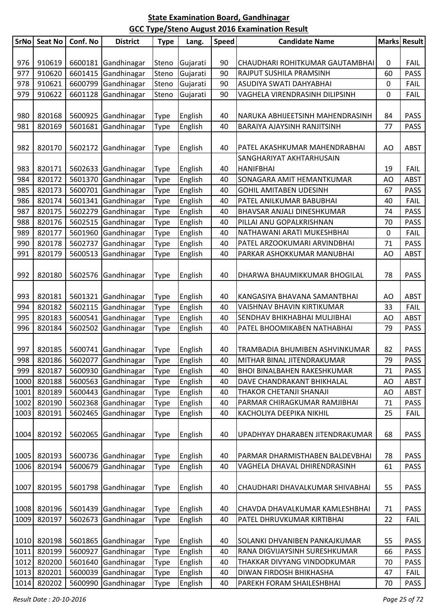| <b>SrNo</b>  | <b>Seat No</b> | Conf. No | <b>District</b>                    | <b>Type</b> | Lang.              | Speed    | <b>Candidate Name</b>              |    | <b>Marks Result</b> |
|--------------|----------------|----------|------------------------------------|-------------|--------------------|----------|------------------------------------|----|---------------------|
|              |                |          |                                    |             |                    |          |                                    |    |                     |
| 976          | 910619         |          | 6600181 Gandhinagar                | Steno       | Gujarati           | 90       | CHAUDHARI ROHITKUMAR GAUTAMBHAI    | 0  | <b>FAIL</b>         |
| 977          | 910620         | 6601415  | Gandhinagar                        | Steno       | Gujarati           | 90       | RAJPUT SUSHILA PRAMSINH            | 60 | <b>PASS</b>         |
| 978          | 910621         | 6600799  | Gandhinagar                        | Steno       | Gujarati           | 90       | ASUDIYA SWATI DAHYABHAI            | 0  | <b>FAIL</b>         |
| 979          | 910622         | 6601128  | Gandhinagar                        | Steno       | Gujarati           | 90       | VAGHELA VIRENDRASINH DILIPSINH     | 0  | <b>FAIL</b>         |
|              |                |          |                                    |             |                    |          |                                    |    |                     |
| 980          | 820168         |          | 5600925 Gandhinagar                | Type        | English            | 40       | NARUKA ABHIJEETSINH MAHENDRASINH   | 84 | <b>PASS</b>         |
| 981          | 820169         | 5601681  | Gandhinagar                        | Type        | English            | 40       | BARAIYA AJAYSINH RANJITSINH        | 77 | <b>PASS</b>         |
|              |                |          |                                    |             |                    |          |                                    |    |                     |
| 982          | 820170         | 5602172  | Gandhinagar                        | Type        | English            | 40       | PATEL AKASHKUMAR MAHENDRABHAI      | AO | <b>ABST</b>         |
|              |                |          |                                    |             |                    |          | SANGHARIYAT AKHTARHUSAIN           |    |                     |
| 983          | 820171         |          | 5602633 Gandhinagar                | Type        | English            | 40       | <b>HANIFBHAI</b>                   | 19 | <b>FAIL</b>         |
| 984          | 820172         | 5601370  | Gandhinagar                        | Type        | English            | 40       | SONAGARA AMIT HEMANTKUMAR          | AO | <b>ABST</b>         |
| 985          | 820173         | 5600701  | Gandhinagar                        | Type        | English            | 40       | <b>GOHIL AMITABEN UDESINH</b>      | 67 | <b>PASS</b>         |
| 986          | 820174         | 5601341  | Gandhinagar                        | Type        | English            | 40       | PATEL ANILKUMAR BABUBHAI           | 40 | <b>FAIL</b>         |
| 987          | 820175         | 5602279  | Gandhinagar                        | Type        | English            | 40       | BHAVSAR ANJALI DINESHKUMAR         | 74 | <b>PASS</b>         |
| 988          | 820176         | 5602515  | Gandhinagar                        | Type        | English            | 40       | PILLAI ANU GOPALKRISHNAN           | 70 | <b>PASS</b>         |
| 989          | 820177         | 5601960  | Gandhinagar                        | Type        | English            | 40       | NATHAWANI ARATI MUKESHBHAI         | 0  | <b>FAIL</b>         |
| 990          | 820178         | 5602737  | Gandhinagar                        | Type        | English            | 40       | PATEL ARZOOKUMARI ARVINDBHAI       | 71 | <b>PASS</b>         |
| 991          | 820179         | 5600513  | Gandhinagar                        | Type        | English            | 40       | PARKAR ASHOKKUMAR MANUBHAI         | AO | <b>ABST</b>         |
|              |                |          |                                    |             |                    |          |                                    |    |                     |
| 992          | 820180         |          | 5602576 Gandhinagar                | Type        | English            | 40       | DHARWA BHAUMIKKUMAR BHOGILAL       | 78 | <b>PASS</b>         |
|              |                |          |                                    |             |                    |          |                                    |    |                     |
| 993          | 820181         |          | 5601321 Gandhinagar                | Type        | English            | 40       | KANGASIYA BHAVANA SAMANTBHAI       | AO | <b>ABST</b>         |
| 994          | 820182         | 5602115  | Gandhinagar                        | Type        | English            | 40       | VAISHNAV BHAVIN KIRTIKUMAR         | 33 | <b>FAIL</b>         |
| 995          | 820183         | 5600541  | Gandhinagar                        | Type        | English            | 40       | SENDHAV BHIKHABHAI MULJIBHAI       | AO | <b>ABST</b>         |
| 996          | 820184         | 5602502  | Gandhinagar                        | Type        | English            | 40       | PATEL BHOOMIKABEN NATHABHAI        | 79 | <b>PASS</b>         |
|              |                |          |                                    |             |                    |          |                                    |    |                     |
| 997          | 820185         |          | 5600741 Gandhinagar                | Type        | English            | 40       | TRAMBADIA BHUMIBEN ASHVINKUMAR     | 82 | <b>PASS</b>         |
| 998          | 820186         |          | 5602077 Gandhinagar                | Type        | English            | 40       | MITHAR BINAL JITENDRAKUMAR         | 79 | PASS                |
| 999          | 820187         |          | 5600930 Gandhinagar                | Type        | English            | 40       | <b>BHOI BINALBAHEN RAKESHKUMAR</b> | 71 | <b>PASS</b>         |
| 1000         | 820188         | 5600563  | Gandhinagar                        | Type        | English            | 40       | DAVE CHANDRAKANT BHIKHALAL         | AO | <b>ABST</b>         |
| 1001         | 820189         |          | 5600443 Gandhinagar                | Type        | English            | 40       | THAKOR CHETANJI SHANAJI            | AO | <b>ABST</b>         |
| 1002         | 820190         | 5602368  | Gandhinagar                        | Type        | English            | 40       | PARMAR CHIRAGKUMAR RAMJIBHAI       | 71 | <b>PASS</b>         |
| 1003         | 820191         | 5602465  | Gandhinagar                        | Type        | English            | 40       | KACHOLIYA DEEPIKA NIKHIL           | 25 | <b>FAIL</b>         |
|              |                |          |                                    |             |                    |          |                                    |    |                     |
| 1004         | 820192         | 5602065  | Gandhinagar                        | Type        | English            | 40       | UPADHYAY DHARABEN JITENDRAKUMAR    | 68 | <b>PASS</b>         |
|              | 820193         |          |                                    |             |                    |          | PARMAR DHARMISTHABEN BALDEVBHAI    | 78 |                     |
| 1005<br>1006 | 820194         | 5600679  | 5600736 Gandhinagar<br>Gandhinagar | Type        | English<br>English | 40<br>40 | VAGHELA DHAVAL DHIRENDRASINH       | 61 | <b>PASS</b><br>PASS |
|              |                |          |                                    | Type        |                    |          |                                    |    |                     |
| 1007         | 820195         | 5601798  | Gandhinagar                        | Type        | English            | 40       | CHAUDHARI DHAVALKUMAR SHIVABHAI    | 55 | <b>PASS</b>         |
|              |                |          |                                    |             |                    |          |                                    |    |                     |
| 1008         | 820196         |          | 5601439 Gandhinagar                | Type        | English            | 40       | CHAVDA DHAVALKUMAR KAMLESHBHAI     | 71 | <b>PASS</b>         |
| 1009         | 820197         | 5602673  | Gandhinagar                        | Type        | English            | 40       | PATEL DHRUVKUMAR KIRTIBHAI         | 22 | <b>FAIL</b>         |
|              |                |          |                                    |             |                    |          |                                    |    |                     |
| 1010         | 820198         | 5601865  | Gandhinagar                        | Type        | English            | 40       | SOLANKI DHVANIBEN PANKAJKUMAR      | 55 | <b>PASS</b>         |
| 1011         | 820199         | 5600927  | Gandhinagar                        | Type        | English            | 40       | RANA DIGVIJAYSINH SURESHKUMAR      | 66 | <b>PASS</b>         |
| 1012         | 820200         | 5601640  | Gandhinagar                        | Type        | English            | 40       | THAKKAR DIVYANG VINDODKUMAR        | 70 | <b>PASS</b>         |
| 1013         | 820201         | 5600039  | Gandhinagar                        | Type        | English            | 40       | DIWAN FIRDOSH BHIKHASHA            | 47 | <b>FAIL</b>         |
| 1014         | 820202         | 5600990  | Gandhinagar                        | Type        | English            | 40       | PAREKH FORAM SHAILESHBHAI          | 70 | <b>PASS</b>         |
|              |                |          |                                    |             |                    |          |                                    |    |                     |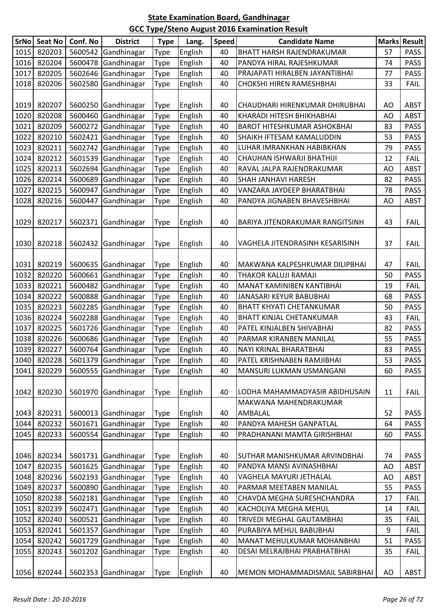| <b>SrNo</b> | <b>Seat No</b> | Conf. No | <b>District</b>     | <b>Type</b> | Lang.   | <b>Speed</b> | <b>Candidate Name</b>              |    | <b>Marks Result</b> |
|-------------|----------------|----------|---------------------|-------------|---------|--------------|------------------------------------|----|---------------------|
| 1015        | 820203         | 5600542  | Gandhinagar         | Type        | English | 40           | BHATT HARSH RAJENDRAKUMAR          | 57 | <b>PASS</b>         |
| 1016        | 820204         | 5600478  | Gandhinagar         | Type        | English | 40           | PANDYA HIRAL RAJESHKUMAR           | 74 | <b>PASS</b>         |
| 1017        | 820205         | 5602646  | Gandhinagar         | Type        | English | 40           | PRAJAPATI HIRALBEN JAYANTIBHAI     | 77 | <b>PASS</b>         |
| 1018        | 820206         | 5602580  | Gandhinagar         | Type        | English | 40           | CHOKSHI HIREN RAMESHBHAI           | 33 | <b>FAIL</b>         |
|             |                |          |                     |             |         |              |                                    |    |                     |
| 1019        | 820207         | 5600250  | Gandhinagar         | Type        | English | 40           | CHAUDHARI HIRENKUMAR DHIRUBHAI     | AO | <b>ABST</b>         |
| 1020        | 820208         | 5600460  | Gandhinagar         | Type        | English | 40           | KHARADI HITESH BHIKHABHAI          | AO | <b>ABST</b>         |
| 1021        | 820209         |          | 5600272 Gandhinagar | Type        | English | 40           | <b>BAROT HITESHKUMAR ASHOKBHAI</b> | 83 | <b>PASS</b>         |
| 1022        | 820210         | 5602421  | Gandhinagar         | Type        | English | 40           | SHAIKH IFTESAM KAMALUDDIN          | 53 | <b>PASS</b>         |
| 1023        | 820211         | 5602742  | Gandhinagar         | Type        | English | 40           | LUHAR IMRANKHAN HABIBKHAN          | 79 | <b>PASS</b>         |
| 1024        | 820212         | 5601539  | Gandhinagar         | Type        | English | 40           | CHAUHAN ISHWARJI BHATHIJI          | 12 | <b>FAIL</b>         |
| 1025        | 820213         | 5602694  | Gandhinagar         | Type        | English | 40           | RAVAL JALPA RAJENDRAKUMAR          | AO | <b>ABST</b>         |
| 1026        | 820214         | 5600689  | Gandhinagar         | Type        | English | 40           | SHAH JANHAVI HARESH                | 82 | <b>PASS</b>         |
| 1027        | 820215         | 5600947  | Gandhinagar         | Type        | English | 40           | VANZARA JAYDEEP BHARATBHAI         | 78 | <b>PASS</b>         |
| 1028        | 820216         | 5600447  | Gandhinagar         | Type        | English | 40           | PANDYA JIGNABEN BHAVESHBHAI        | AO | <b>ABST</b>         |
|             |                |          |                     |             |         |              |                                    |    |                     |
| 1029        | 820217         |          | 5602371 Gandhinagar | Type        | English | 40           | BARIYA JITENDRAKUMAR RANGITSINH    | 43 | <b>FAIL</b>         |
|             |                |          |                     |             |         |              |                                    |    |                     |
| 1030        | 820218         |          | 5602432 Gandhinagar | Type        | English | 40           | VAGHELA JITENDRASINH KESARISINH    | 37 | <b>FAIL</b>         |
|             |                |          |                     |             |         |              |                                    |    |                     |
| 1031        | 820219         |          | 5600635 Gandhinagar | Type        | English | 40           | MAKWANA KALPESHKUMAR DILIPBHAI     | 47 | <b>FAIL</b>         |
| 1032        | 820220         | 5600661  | Gandhinagar         | Type        | English | 40           | THAKOR KALUJI RAMAJI               | 50 | <b>PASS</b>         |
| 1033        | 820221         | 5600482  | Gandhinagar         | Type        | English | 40           | MANAT KAMINIBEN KANTIBHAI          | 19 | <b>FAIL</b>         |
| 1034        | 820222         |          | 5600888 Gandhinagar | Type        | English | 40           | JANASARI KEYUR BABUBHAI            | 68 | <b>PASS</b>         |
| 1035        | 820223         | 5602285  | Gandhinagar         | Type        | English | 40           | BHATT KHYATI CHETANKUMAR           | 50 | <b>PASS</b>         |
| 1036        | 820224         | 5602288  | Gandhinagar         | Type        | English | 40           | <b>BHATT KINJAL CHETANKUMAR</b>    | 43 | <b>FAIL</b>         |
| 1037        | 820225         | 5601726  | Gandhinagar         | Type        | English | 40           | PATEL KINJALBEN SHIVABHAI          | 82 | <b>PASS</b>         |
| 1038        | 820226         | 5600686  | Gandhinagar         | Type        | English | 40           | PARMAR KIRANBEN MANILAL            | 55 | <b>PASS</b>         |
| 1039        | 820227         | 5600764  | Gandhinagar         | Type        | English | 40           | NAYI KRINAL BHARATBHAI             | 83 | <b>PASS</b>         |
|             | 1040 820228    |          | 5601379 Gandhinagar | Type        | English | 40           | PATEL KRISHNABEN RAMJIBHAI         | 53 | <b>PASS</b>         |
| 1041        | 820229         |          | 5600555 Gandhinagar | Type        | English | 40           | MANSURI LUKMAN USMANGANI           | 60 | <b>PASS</b>         |
|             |                |          |                     |             |         |              |                                    |    |                     |
| 1042        | 820230         | 5601970  | Gandhinagar         | Type        | English | 40           | LODHA MAHAMMADYASIR ABIDHUSAIN     | 11 | <b>FAIL</b>         |
|             |                |          |                     |             |         |              | MAKWANA MAHENDRAKUMAR              |    |                     |
| 1043        | 820231         |          | 5600013 Gandhinagar | Type        | English | 40           | AMBALAL                            | 52 | <b>PASS</b>         |
| 1044        | 820232         | 5601671  | Gandhinagar         | Type        | English | 40           | PANDYA MAHESH GANPATLAL            | 64 | <b>PASS</b>         |
| 1045        | 820233         | 5600554  | Gandhinagar         | Type        | English | 40           | PRADHANANI MAMTA GIRISHBHAI        | 60 | <b>PASS</b>         |
|             |                |          |                     |             |         |              |                                    |    |                     |
| 1046        | 820234         |          | 5601731 Gandhinagar | Type        | English | 40           | SUTHAR MANISHKUMAR ARVINDBHAI      | 74 | <b>PASS</b>         |
| 1047        | 820235         |          | 5601625 Gandhinagar | Type        | English | 40           | PANDYA MANSI AVINASHBHAI           | AO | ABST                |
| 1048        | 820236         |          | 5602193 Gandhinagar | Type        | English | 40           | VAGHELA MAYURI JETHALAL            | AO | <b>ABST</b>         |
| 1049        | 820237         | 5600890  | Gandhinagar         | Type        | English | 40           | PARMAR MEETABEN MANILAL            | 55 | <b>PASS</b>         |
| 1050        | 820238         |          | 5602181 Gandhinagar | Type        | English | 40           | CHAVDA MEGHA SURESHCHANDRA         | 17 | <b>FAIL</b>         |
| 1051        | 820239         | 5602471  | Gandhinagar         | Type        | English | 40           | KACHOLIYA MEGHA MEHUL              | 14 | <b>FAIL</b>         |
| 1052        | 820240         | 5600521  | Gandhinagar         | Type        | English | 40           | TRIVEDI MEGHAL GAUTAMBHAI          | 35 | <b>FAIL</b>         |
| 1053        | 820241         | 5601357  | Gandhinagar         | Type        | English | 40           | PURABIYA MEHUL BABUBHAI            | 9  | <b>FAIL</b>         |
| 1054        | 820242         | 5601729  | Gandhinagar         | Type        | English | 40           | MANAT MEHULKUMAR MOHANBHAI         | 51 | <b>PASS</b>         |
| 1055        | 820243         | 5601202  | Gandhinagar         | Type        | English | 40           | DESAI MELRAJBHAI PRABHATBHAI       | 35 | <b>FAIL</b>         |
|             |                |          |                     |             |         |              |                                    |    |                     |
| 1056        | 820244         |          | 5602353 Gandhinagar | Type        | English | 40           | MEMON MOHAMMADISMAIL SABIRBHAI     | AO | ABST                |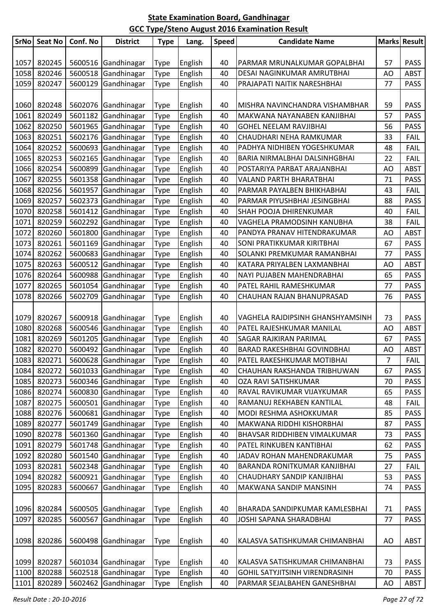| <b>SrNo</b> | Seat No | Conf. No | <b>District</b>     | <b>Type</b> | Lang.   | <b>Speed</b> | <b>Candidate Name</b>              |    | Marks Result |
|-------------|---------|----------|---------------------|-------------|---------|--------------|------------------------------------|----|--------------|
|             |         |          |                     |             |         |              |                                    |    |              |
| 1057        | 820245  |          | 5600516 Gandhinagar | Type        | English | 40           | PARMAR MRUNALKUMAR GOPALBHAI       | 57 | <b>PASS</b>  |
| 1058        | 820246  | 5600518  | Gandhinagar         | Type        | English | 40           | DESAI NAGINKUMAR AMRUTBHAI         | AO | <b>ABST</b>  |
| 1059        | 820247  | 5600129  | Gandhinagar         | Type        | English | 40           | PRAJAPATI NAITIK NARESHBHAI        | 77 | <b>PASS</b>  |
|             |         |          |                     |             |         |              |                                    |    |              |
| 1060        | 820248  | 5602076  | Gandhinagar         | Type        | English | 40           | MISHRA NAVINCHANDRA VISHAMBHAR     | 59 | <b>PASS</b>  |
| 1061        | 820249  | 5601182  | Gandhinagar         | Type        | English | 40           | MAKWANA NAYANABEN KANJIBHAI        | 57 | <b>PASS</b>  |
| 1062        | 820250  | 5601965  | Gandhinagar         | Type        | English | 40           | <b>GOHEL NEELAM RAVJIBHAI</b>      | 56 | <b>PASS</b>  |
| 1063        | 820251  | 5602176  | Gandhinagar         | Type        | English | 40           | CHAUDHARI NEHA RAMKUMAR            | 33 | <b>FAIL</b>  |
| 1064        | 820252  | 5600693  | Gandhinagar         | Type        | English | 40           | PADHYA NIDHIBEN YOGESHKUMAR        | 48 | <b>FAIL</b>  |
| 1065        | 820253  | 5602165  | Gandhinagar         | Type        | English | 40           | BARIA NIRMALBHAI DALSINHGBHAI      | 22 | <b>FAIL</b>  |
| 1066        | 820254  | 5600899  | Gandhinagar         | Type        | English | 40           | POSTARIYA PARBAT ARAJANBHAI        | AO | <b>ABST</b>  |
| 1067        | 820255  | 5601358  | Gandhinagar         | Type        | English | 40           | VALAND PARTH BHARATBHAI            | 71 | <b>PASS</b>  |
| 1068        | 820256  | 5601957  | Gandhinagar         | Type        | English | 40           | PARMAR PAYALBEN BHIKHABHAI         | 43 | <b>FAIL</b>  |
| 1069        | 820257  | 5602373  | Gandhinagar         | Type        | English | 40           | PARMAR PIYUSHBHAI JESINGBHAI       | 88 | <b>PASS</b>  |
| 1070        | 820258  | 5601412  | Gandhinagar         | Type        | English | 40           | SHAH POOJA DHIRENKUMAR             | 40 | <b>FAIL</b>  |
| 1071        | 820259  | 5602292  | Gandhinagar         | Type        | English | 40           | VAGHELA PRAMODSINH KANUBHA         | 38 | <b>FAIL</b>  |
| 1072        | 820260  | 5601800  | Gandhinagar         | Type        | English | 40           | PANDYA PRANAV HITENDRAKUMAR        | AO | <b>ABST</b>  |
| 1073        | 820261  | 5601169  | Gandhinagar         | Type        | English | 40           | SONI PRATIKKUMAR KIRITBHAI         | 67 | <b>PASS</b>  |
| 1074        | 820262  | 5600683  | Gandhinagar         | Type        | English | 40           | SOLANKI PREMKUMAR RAMANBHAI        | 77 | <b>PASS</b>  |
| 1075        | 820263  | 5600512  | Gandhinagar         | Type        | English | 40           | KATARA PRIYALBEN LAXMANBHAI        | AO | <b>ABST</b>  |
| 1076        | 820264  | 5600988  | Gandhinagar         | Type        | English | 40           | NAYI PUJABEN MAHENDRABHAI          | 65 | <b>PASS</b>  |
| 1077        | 820265  | 5601054  | Gandhinagar         | Type        | English | 40           | PATEL RAHIL RAMESHKUMAR            | 77 | <b>PASS</b>  |
| 1078        | 820266  | 5602709  | Gandhinagar         | Type        | English | 40           | CHAUHAN RAJAN BHANUPRASAD          | 76 | <b>PASS</b>  |
|             |         |          |                     |             |         |              |                                    |    |              |
| 1079        | 820267  |          | 5600918 Gandhinagar | Type        | English | 40           | VAGHELA RAJDIPSINH GHANSHYAMSINH   | 73 | <b>PASS</b>  |
| 1080        | 820268  | 5600546  | Gandhinagar         | Type        | English | 40           | PATEL RAJESHKUMAR MANILAL          | AO | <b>ABST</b>  |
| 1081        | 820269  | 5601205  | Gandhinagar         | Type        | English | 40           | SAGAR RAJKIRAN PARIMAL             | 67 | <b>PASS</b>  |
| 1082        | 820270  | 5600492  | Gandhinagar         | Type        | English | 40           | <b>BARAD RAKESHBHAI GOVINDBHAI</b> | AO | <b>ABST</b>  |
| 1083        | 820271  |          | 5600628 Gandhinagar | <b>Type</b> | English | 40           | PATEL RAKESHKUMAR MOTIBHAI         | 7  | <b>FAIL</b>  |
| 1084        | 820272  |          | 5601033 Gandhinagar | Type        | English | 40           | CHAUHAN RAKSHANDA TRIBHUWAN        | 67 | <b>PASS</b>  |
| 1085        | 820273  | 5600346  | Gandhinagar         | Type        | English | 40           | OZA RAVI SATISHKUMAR               | 70 | <b>PASS</b>  |
| 1086        | 820274  | 5600830  | Gandhinagar         | Type        | English | 40           | RAVAL RAVIKUMAR VIJAYKUMAR         | 65 | <b>PASS</b>  |
| 1087        | 820275  | 5600501  | Gandhinagar         | Type        | English | 40           | RAMANUJ REKHABEN KANTILAL          | 48 | <b>FAIL</b>  |
| 1088        | 820276  | 5600681  | Gandhinagar         | Type        | English | 40           | MODI RESHMA ASHOKKUMAR             | 85 | <b>PASS</b>  |
| 1089        | 820277  | 5601749  | Gandhinagar         | Type        | English | 40           | MAKWANA RIDDHI KISHORBHAI          | 87 | <b>PASS</b>  |
| 1090        | 820278  | 5601360  | Gandhinagar         | Type        | English | 40           | BHAVSAR RIDDHIBEN VIMALKUMAR       | 73 | <b>PASS</b>  |
| 1091        | 820279  | 5601748  | Gandhinagar         | Type        | English | 40           | PATEL RINKUBEN KANTIBHAI           | 62 | <b>PASS</b>  |
| 1092        | 820280  | 5601540  | Gandhinagar         | Type        | English | 40           | JADAV ROHAN MAHENDRAKUMAR          | 75 | <b>PASS</b>  |
| 1093        | 820281  | 5602348  | Gandhinagar         | Type        | English | 40           | BARANDA RONITKUMAR KANJIBHAI       | 27 | <b>FAIL</b>  |
| 1094        | 820282  | 5600921  | Gandhinagar         | Type        | English | 40           | CHAUDHARY SANDIP KANJIBHAI         | 53 | <b>PASS</b>  |
| 1095        | 820283  | 5600667  | Gandhinagar         | Type        | English | 40           | MAKWANA SANDIP MANSINH             | 74 | <b>PASS</b>  |
|             |         |          |                     |             |         |              |                                    |    |              |
| 1096        | 820284  | 5600505  | Gandhinagar         | Type        | English | 40           | BHARADA SANDIPKUMAR KAMLESBHAI     | 71 | <b>PASS</b>  |
| 1097        | 820285  | 5600567  | Gandhinagar         | Type        | English | 40           | JOSHI SAPANA SHARADBHAI            | 77 | <b>PASS</b>  |
|             |         |          |                     |             |         |              |                                    |    |              |
| 1098        | 820286  | 5600498  | Gandhinagar         | Type        | English | 40           | KALASVA SATISHKUMAR CHIMANBHAI     | AO | <b>ABST</b>  |
|             |         |          |                     |             |         |              |                                    |    |              |
| 1099        | 820287  |          | 5601034 Gandhinagar | Type        | English | 40           | KALASVA SATISHKUMAR CHIMANBHAI     | 73 | <b>PASS</b>  |
| 1100        | 820288  | 5602518  | Gandhinagar         | Type        | English | 40           | GOHIL SATYJITSINH VIRENDRASINH     | 70 | <b>PASS</b>  |
| 1101        | 820289  | 5602462  | Gandhinagar         | Type        | English | 40           | PARMAR SEJALBAHEN GANESHBHAI       | AO | ABST         |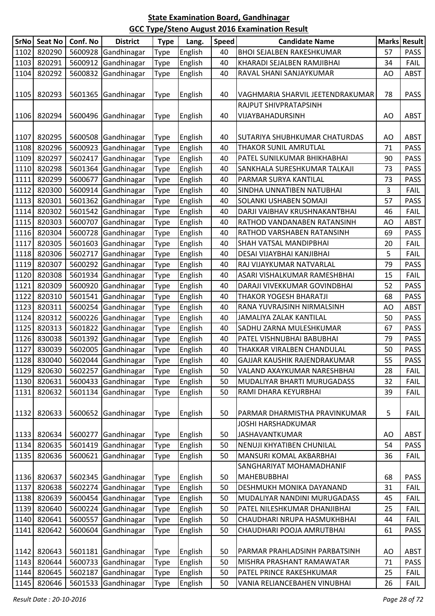| <b>SrNo</b> | <b>Seat No</b> | Conf. No | <b>District</b>     | <b>Type</b> | Lang.   | <b>Speed</b> | <b>Candidate Name</b>            |    | Marks Result |
|-------------|----------------|----------|---------------------|-------------|---------|--------------|----------------------------------|----|--------------|
| 1102        | 820290         | 5600928  | Gandhinagar         | Type        | English | 40           | <b>BHOI SEJALBEN RAKESHKUMAR</b> | 57 | <b>PASS</b>  |
| 1103        | 820291         | 5600912  | Gandhinagar         | Type        | English | 40           | KHARADI SEJALBEN RAMJIBHAI       | 34 | <b>FAIL</b>  |
| 1104        | 820292         | 5600832  | Gandhinagar         | Type        | English | 40           | RAVAL SHANI SANJAYKUMAR          | AO | <b>ABST</b>  |
|             |                |          |                     |             |         |              |                                  |    |              |
| 1105        | 820293         | 5601365  | Gandhinagar         | Type        | English | 40           | VAGHMARIA SHARVIL JEETENDRAKUMAR | 78 | <b>PASS</b>  |
|             |                |          |                     |             |         |              | RAJPUT SHIVPRATAPSINH            |    |              |
| 1106        | 820294         | 5600496  | Gandhinagar         | Type        | English | 40           | VIJAYBAHADURSINH                 | AO | <b>ABST</b>  |
|             |                |          |                     |             |         |              |                                  |    |              |
| 1107        | 820295         |          | 5600508 Gandhinagar | Type        | English | 40           | SUTARIYA SHUBHKUMAR CHATURDAS    | AO | <b>ABST</b>  |
| 1108        | 820296         | 5600923  | Gandhinagar         | Type        | English | 40           | THAKOR SUNIL AMRUTLAL            | 71 | <b>PASS</b>  |
| 1109        | 820297         | 5602417  | Gandhinagar         | Type        | English | 40           | PATEL SUNILKUMAR BHIKHABHAI      | 90 | <b>PASS</b>  |
| 1110        | 820298         | 5601364  | Gandhinagar         | Type        | English | 40           | SANKHALA SURESHKUMAR TALKAJI     | 73 | <b>PASS</b>  |
| 1111        | 820299         | 5600677  | Gandhinagar         | Type        | English | 40           | PARMAR SURYA KANTILAL            | 73 | <b>PASS</b>  |
| 1112        | 820300         | 5600914  | Gandhinagar         | Type        | English | 40           | SINDHA UNNATIBEN NATUBHAI        | 3  | <b>FAIL</b>  |
| 1113        | 820301         | 5601362  | Gandhinagar         | Type        | English | 40           | <b>SOLANKI USHABEN SOMAJI</b>    | 57 | <b>PASS</b>  |
| 1114        | 820302         | 5601542  | Gandhinagar         | Type        | English | 40           | DARJI VAIBHAV KRUSHNAKANTBHAI    | 46 | <b>FAIL</b>  |
| 1115        | 820303         | 5600707  | Gandhinagar         | Type        | English | 40           | RATHOD VANDANABEN RATANSINH      | AO | <b>ABST</b>  |
| 1116        | 820304         | 5600728  | Gandhinagar         | Type        | English | 40           | RATHOD VARSHABEN RATANSINH       | 69 | <b>PASS</b>  |
| 1117        | 820305         | 5601603  | Gandhinagar         | Type        | English | 40           | SHAH VATSAL MANDIPBHAI           | 20 | <b>FAIL</b>  |
| 1118        | 820306         | 5602717  | Gandhinagar         | Type        | English | 40           | DESAI VIJAYBHAI KANJIBHAI        | 5  | <b>FAIL</b>  |
| 1119        | 820307         | 5600292  | Gandhinagar         | Type        | English | 40           | RAJ VIJAYKUMAR NATVARLAL         | 79 | <b>PASS</b>  |
| 1120        | 820308         | 5601934  | Gandhinagar         | Type        | English | 40           | ASARI VISHALKUMAR RAMESHBHAI     | 15 | <b>FAIL</b>  |
| 1121        | 820309         | 5600920  | Gandhinagar         | Type        | English | 40           | DARAJI VIVEKKUMAR GOVINDBHAI     | 52 | <b>PASS</b>  |
| 1122        | 820310         | 5601541  | Gandhinagar         | Type        | English | 40           | THAKOR YOGESH BHARATJI           | 68 | <b>PASS</b>  |
| 1123        | 820311         | 5600254  | Gandhinagar         | Type        | English | 40           | RANA YUVRAJSINH NIRMALSINH       | AO | <b>ABST</b>  |
| 1124        | 820312         | 5600226  | Gandhinagar         | Type        | English | 40           | JAMALIYA ZALAK KANTILAL          | 50 | <b>PASS</b>  |
| 1125        | 820313         | 5601822  | Gandhinagar         | Type        | English | 40           | SADHU ZARNA MULESHKUMAR          | 67 | <b>PASS</b>  |
| 1126        | 830038         | 5601392  | Gandhinagar         | Type        | English | 40           | PATEL VISHNUBHAI BABUBHAI        | 79 | <b>PASS</b>  |
| 1127        | 830039         | 5602005  | Gandhinagar         | Type        | English | 40           | THAKKAR VIRALBEN CHANDULAL       | 50 | <b>PASS</b>  |
|             | 1128 830040    |          | 5602044 Gandhinagar | Type        | English | 40           | GAJJAR KAUSHIK RAJENDRAKUMAR     | 55 | <b>PASS</b>  |
| 1129        | 820630         |          | 5602257 Gandhinagar | Type        | English | 50           | VALAND AXAYKUMAR NARESHBHAI      | 28 | <b>FAIL</b>  |
| 1130        | 820631         | 5600433  | Gandhinagar         | Type        | English | 50           | MUDALIYAR BHARTI MURUGADASS      | 32 | <b>FAIL</b>  |
| 1131        | 820632         | 5601134  | Gandhinagar         | Type        | English | 50           | RAMI DHARA KEYURBHAI             | 39 | <b>FAIL</b>  |
|             |                |          |                     |             |         |              |                                  |    |              |
| 1132        | 820633         | 5600652  | Gandhinagar         | Type        | English | 50           | PARMAR DHARMISTHA PRAVINKUMAR    | 5  | <b>FAIL</b>  |
|             |                |          |                     |             |         |              | JOSHI HARSHADKUMAR               |    |              |
| 1133        | 820634         | 5600277  | Gandhinagar         | Type        | English | 50           | <b>JASHAVANTKUMAR</b>            | AO | <b>ABST</b>  |
| 1134        | 820635         | 5601419  | Gandhinagar         | Type        | English | 50           | NENUJI KHYATIBEN CHUNILAL        | 54 | <b>PASS</b>  |
| 1135        | 820636         | 5600621  | Gandhinagar         | Type        | English | 50           | <b>MANSURI KOMAL AKBARBHAI</b>   | 36 | <b>FAIL</b>  |
|             |                |          |                     |             |         |              | SANGHARIYAT MOHAMADHANIF         |    |              |
| 1136        | 820637         | 5602345  | Gandhinagar         | <b>Type</b> | English | 50           | <b>MAHEBUBBHAI</b>               | 68 | <b>PASS</b>  |
| 1137        | 820638         | 5602274  | Gandhinagar         | Type        | English | 50           | DESHMUKH MONIKA DAYANAND         | 31 | <b>FAIL</b>  |
| 1138        | 820639         | 5600454  | Gandhinagar         | Type        | English | 50           | MUDALIYAR NANDINI MURUGADASS     | 45 | FAIL         |
| 1139        | 820640         | 5600224  | Gandhinagar         | Type        | English | 50           | PATEL NILESHKUMAR DHANJIBHAI     | 25 | <b>FAIL</b>  |
| 1140        | 820641         | 5600557  | Gandhinagar         | Type        | English | 50           | CHAUDHARI NRUPA HASMUKHBHAI      | 44 | <b>FAIL</b>  |
| 1141        | 820642         | 5600604  | Gandhinagar         | Type        | English | 50           | CHAUDHARI POOJA AMRUTBHAI        | 61 | <b>PASS</b>  |
|             |                |          |                     |             |         |              |                                  |    |              |
| 1142        | 820643         |          | 5601181 Gandhinagar | <b>Type</b> | English | 50           | PARMAR PRAHLADSINH PARBATSINH    | AO | <b>ABST</b>  |
| 1143        | 820644         | 5600733  | Gandhinagar         | Type        | English | 50           | MISHRA PRASHANT RAMAWATAR        | 71 | <b>PASS</b>  |
| 1144        | 820645         | 5602187  | Gandhinagar         | Type        | English | 50           | PATEL PRINCE RAKESHKUMAR         | 25 | <b>FAIL</b>  |
| 1145        | 820646         | 5601533  | Gandhinagar         | Type        | English | 50           | VANIA RELIANCEBAHEN VINUBHAI     | 26 | <b>FAIL</b>  |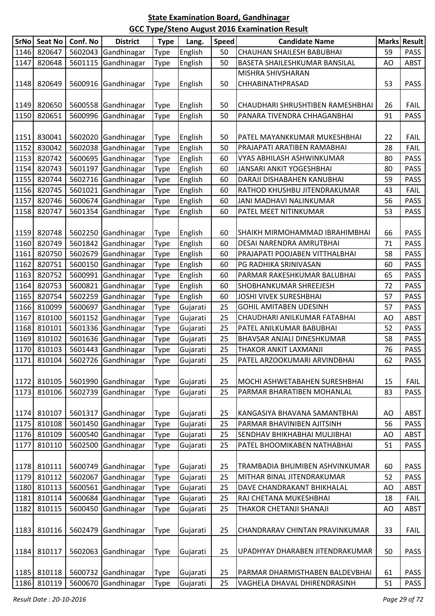| SrNo   | <b>Seat No</b> | Conf. No | <b>District</b>     | <b>Type</b> | Lang.    | <b>Speed</b> | <b>Candidate Name</b>                 |    | <b>Marks Result</b> |
|--------|----------------|----------|---------------------|-------------|----------|--------------|---------------------------------------|----|---------------------|
| 1146   | 820647         | 5602043  | Gandhinagar         | <b>Type</b> | English  | 50           | CHAUHAN SHAILESH BABUBHAI             | 59 | <b>PASS</b>         |
| 1147   | 820648         |          | 5601115 Gandhinagar | Type        | English  | 50           | BASETA SHAILESHKUMAR BANSILAL         | AO | <b>ABST</b>         |
|        |                |          |                     |             |          |              | MISHRA SHIVSHARAN                     |    |                     |
| 1148   | 820649         |          | 5600916 Gandhinagar | <b>Type</b> | English  | 50           | CHHABINATHPRASAD                      | 53 | <b>PASS</b>         |
|        |                |          |                     |             |          |              |                                       |    |                     |
| 1149   | 820650         |          | 5600558 Gandhinagar | <b>Type</b> | English  | 50           | CHAUDHARI SHRUSHTIBEN RAMESHBHAI      | 26 | <b>FAIL</b>         |
| 1150   | 820651         |          | 5600996 Gandhinagar | Type        | English  | 50           | PANARA TIVENDRA CHHAGANBHAI           | 91 | <b>PASS</b>         |
|        |                |          |                     |             |          |              |                                       |    |                     |
| 1151   | 830041         |          | 5602020 Gandhinagar | <b>Type</b> | English  | 50           | PATEL MAYANKKUMAR MUKESHBHAI          | 22 | <b>FAIL</b>         |
| 1152   | 830042         | 5602038  | Gandhinagar         | <b>Type</b> | English  | 50           | PRAJAPATI ARATIBEN RAMABHAI           | 28 | <b>FAIL</b>         |
| 1153   | 820742         |          | 5600695 Gandhinagar | <b>Type</b> | English  | 60           | VYAS ABHILASH ASHWINKUMAR             | 80 | <b>PASS</b>         |
| 1154   | 820743         |          | 5601197 Gandhinagar | <b>Type</b> | English  | 60           | JANSARI ANKIT YOGESHBHAI              | 80 | <b>PASS</b>         |
| 1155   | 820744         |          | 5602716 Gandhinagar | <b>Type</b> | English  | 60           | DARAJI DISHABAHEN KANUBHAI            | 59 | <b>PASS</b>         |
| 1156   | 820745         |          | 5601021 Gandhinagar | <b>Type</b> | English  | 60           | RATHOD KHUSHBU JITENDRAKUMAR          | 43 | <b>FAIL</b>         |
| 1157   | 820746         | 5600674  | Gandhinagar         | Type        | English  | 60           | JANI MADHAVI NALINKUMAR               | 56 | <b>PASS</b>         |
| 1158   | 820747         | 5601354  | Gandhinagar         | <b>Type</b> | English  | 60           | PATEL MEET NITINKUMAR                 | 53 | <b>PASS</b>         |
|        |                |          |                     |             |          |              |                                       |    |                     |
| 1159   | 820748         |          | 5602250 Gandhinagar | <b>Type</b> | English  | 60           | <b>SHAIKH MIRMOHAMMAD IBRAHIMBHAI</b> | 66 | <b>PASS</b>         |
| 1160   | 820749         |          | 5601842 Gandhinagar | <b>Type</b> | English  | 60           | DESAI NARENDRA AMRUTBHAI              | 71 | <b>PASS</b>         |
| 1161   | 820750         |          | 5602679 Gandhinagar | <b>Type</b> | English  | 60           | PRAJAPATI POOJABEN VITTHALBHAI        | 58 | <b>PASS</b>         |
| 1162   | 820751         |          | 5600150 Gandhinagar | <b>Type</b> | English  | 60           | PG RADHIKA SRINIVASAN                 | 60 | <b>PASS</b>         |
| 1163   | 820752         |          | 5600991 Gandhinagar | <b>Type</b> | English  | 60           | PARMAR RAKESHKUMAR BALUBHAI           | 65 | <b>PASS</b>         |
| 1164   | 820753         |          | 5600821 Gandhinagar | <b>Type</b> | English  | 60           | SHOBHANKUMAR SHREEJESH                | 72 | <b>PASS</b>         |
| 1165   | 820754         |          | 5602259 Gandhinagar | <b>Type</b> | English  | 60           | JOSHI VIVEK SURESHBHAI                | 57 | <b>PASS</b>         |
| 1166   | 810099         |          | 5600697 Gandhinagar | <b>Type</b> | Gujarati | 25           | <b>GOHIL AMITABEN UDESINH</b>         | 57 | <b>PASS</b>         |
| 1167   | 810100         |          | 5601152 Gandhinagar | <b>Type</b> | Gujarati | 25           | CHAUDHARI ANILKUMAR FATABHAI          | AO | <b>ABST</b>         |
| 1168   | 810101         |          | 5601336 Gandhinagar | <b>Type</b> | Gujarati | 25           | PATEL ANILKUMAR BABUBHAI              | 52 | <b>PASS</b>         |
| 1169   | 810102         |          | 5601636 Gandhinagar | Type        | Gujarati | 25           | BHAVSAR ANJALI DINESHKUMAR            | 58 | <b>PASS</b>         |
| 1170   | 810103         |          | 5601443 Gandhinagar | <b>Type</b> | Gujarati | 25           | THAKOR ANKIT LAXMANJI                 | 76 | <b>PASS</b>         |
| $1171$ | 810104         |          | 5602726 Gandhinagar | Type        | Gujarati | 25           | PATEL ARZOOKUMARI ARVINDBHAI          | 62 | <b>PASS</b>         |
|        |                |          |                     |             |          |              |                                       |    |                     |
| 1172   | 810105         |          | 5601990 Gandhinagar | <b>Type</b> | Gujarati | 25           | MOCHI ASHWETABAHEN SURESHBHAI         | 15 | <b>FAIL</b>         |
| 1173   | 810106         | 5602739  | Gandhinagar         | <b>Type</b> | Gujarati | 25           | PARMAR BHARATIBEN MOHANLAL            | 83 | <b>PASS</b>         |
|        |                |          |                     |             |          |              |                                       |    |                     |
| 1174   | 810107         |          | 5601317 Gandhinagar | <b>Type</b> | Gujarati | 25           | KANGASIYA BHAVANA SAMANTBHAI          | AO | <b>ABST</b>         |
| 1175   | 810108         | 5601450  | Gandhinagar         | <b>Type</b> | Gujarati | 25           | PARMAR BHAVINIBEN AJITSINH            | 56 | <b>PASS</b>         |
| 1176   | 810109         | 5600540  | Gandhinagar         | Type        | Gujarati | 25           | SENDHAV BHIKHABHAI MULJIBHAI          | AO | <b>ABST</b>         |
| 1177   | 810110         | 5602500  | Gandhinagar         | <b>Type</b> | Gujarati | 25           | PATEL BHOOMIKABEN NATHABHAI           | 51 | <b>PASS</b>         |
|        |                |          |                     |             |          |              |                                       |    |                     |
| 1178   | 810111         |          | 5600749 Gandhinagar | Type        | Gujarati | 25           | TRAMBADIA BHUMIBEN ASHVINKUMAR        | 60 | <b>PASS</b>         |
| 1179   | 810112         | 5602067  | Gandhinagar         | <b>Type</b> | Gujarati | 25           | MITHAR BINAL JITENDRAKUMAR            | 52 | <b>PASS</b>         |
| 1180   | 810113         | 5600561  | Gandhinagar         | <b>Type</b> | Gujarati | 25           | DAVE CHANDRAKANT BHIKHALAL            | AO | <b>ABST</b>         |
| 1181   | 810114         | 5600684  | Gandhinagar         | <b>Type</b> | Gujarati | 25           | RAJ CHETANA MUKESHBHAI                | 18 | <b>FAIL</b>         |
| 1182   | 810115         | 5600450  | Gandhinagar         | Type        | Gujarati | 25           | THAKOR CHETANJI SHANAJI               | AO | <b>ABST</b>         |
|        |                |          |                     |             |          |              |                                       |    |                     |
| 1183   | 810116         | 5602479  | Gandhinagar         | <b>Type</b> | Gujarati | 25           | CHANDRARAV CHINTAN PRAVINKUMAR        | 33 | <b>FAIL</b>         |
|        |                |          |                     |             |          |              |                                       |    |                     |
| 1184   | 810117         | 5602063  | Gandhinagar         | <b>Type</b> | Gujarati | 25           | UPADHYAY DHARABEN JITENDRAKUMAR       | 50 | <b>PASS</b>         |
|        |                |          |                     |             |          |              |                                       |    |                     |
| 1185   | 810118         |          | 5600732 Gandhinagar | <b>Type</b> | Gujarati | 25           | PARMAR DHARMISTHABEN BALDEVBHAI       | 61 | <b>PASS</b>         |
| 1186   | 810119         | 5600670  | Gandhinagar         | <b>Type</b> | Gujarati | 25           | VAGHELA DHAVAL DHIRENDRASINH          | 51 | <b>PASS</b>         |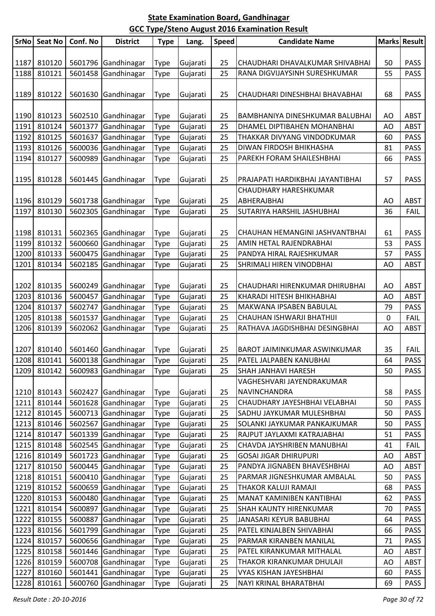| 810120<br>1187<br>5601796 Gandhinagar<br>Gujarati<br>25<br>50<br><b>PASS</b><br><b>Type</b><br>CHAUDHARI DHAVALKUMAR SHIVABHAI<br>Gandhinagar<br>1188<br>810121<br>5601458<br>Gujarati<br><b>PASS</b><br>Type<br>25<br>RANA DIGVIJAYSINH SURESHKUMAR<br>55<br>810122<br><b>PASS</b><br>1189<br>5601630<br>Gandhinagar<br>25<br>CHAUDHARI DINESHBHAI BHAVABHAI<br>68<br><b>Type</b><br>Gujarati<br>1190<br>810123<br>5602510 Gandhinagar<br>25<br><b>ABST</b><br>Gujarati<br>BAMBHANIYA DINESHKUMAR BALUBHAI<br>AO<br><b>Type</b><br>1191<br>810124<br>5601377<br>Gandhinagar<br>Gujarati<br>25<br>AO<br><b>ABST</b><br><b>Type</b><br>DHAMEL DIPTIBAHEN MOHANBHAI<br>1192<br>810125<br>5601637<br>Gandhinagar<br>25<br>THAKKAR DIVYANG VINDODKUMAR<br><b>PASS</b><br>Gujarati<br>60<br><b>Type</b><br>1193<br>810126<br>5600036<br>Gandhinagar<br>Gujarati<br>25<br>DIWAN FIRDOSH BHIKHASHA<br>81<br><b>PASS</b><br><b>Type</b><br>810127<br>5600989<br>1194<br>Gandhinagar<br>Gujarati<br>25<br>PAREKH FORAM SHAILESHBHAI<br><b>PASS</b><br>Type<br>66<br>5601445 Gandhinagar<br>1195<br>810128<br>Gujarati<br>PRAJAPATI HARDIKBHAI JAYANTIBHAI<br>57<br><b>PASS</b><br><b>Type</b><br>25<br>CHAUDHARY HARESHKUMAR<br>810129<br>5601738 Gandhinagar<br>1196<br>Gujarati<br>25<br>ABHERAJBHAI<br><b>ABST</b><br><b>Type</b><br>AO<br>810130<br>5602305<br>1197<br>Gandhinagar<br>Gujarati<br>25<br>SUTARIYA HARSHIL JASHUBHAI<br>36<br><b>FAIL</b><br><b>Type</b><br>1198<br>810131<br>5602365 Gandhinagar<br><b>PASS</b><br>Gujarati<br><b>Type</b><br>25<br>CHAUHAN HEMANGINI JASHVANTBHAI<br>61<br>810132<br>1199<br>5600660<br>Gandhinagar<br>53<br><b>PASS</b><br>Gujarati<br>25<br><b>Type</b><br>AMIN HETAL RAJENDRABHAI<br>1200<br>810133<br>Gandhinagar<br>5600475<br>Gujarati<br>25<br>PANDYA HIRAL RAJESHKUMAR<br><b>PASS</b><br>Type<br>57<br>810134<br>5602185<br>Gandhinagar<br><b>ABST</b><br>1201<br>Gujarati<br>25<br>AO<br><b>Type</b><br>SHRIMALI HIREN VINODBHAI<br>810135<br>1202<br>5600249 Gandhinagar<br><b>ABST</b><br>Gujarati<br>25<br>AO<br><b>Type</b><br>CHAUDHARI HIRENKUMAR DHIRUBHAI<br>810136<br>1203<br>5600457<br>Gandhinagar<br>25<br>KHARADI HITESH BHIKHABHAI<br><b>ABST</b><br>Gujarati<br>AO<br><b>Type</b><br>1204<br>810137<br>5602747<br>Gandhinagar<br>Gujarati<br><b>PASS</b><br>Type<br>25<br>MAKWANA IPSABEN BABULAL<br>79<br>810138<br>1205<br>5601537<br>Gandhinagar<br>25<br><b>FAIL</b><br>Gujarati<br>CHAUHAN ISHWARJI BHATHIJI<br>0<br><b>Type</b><br>Gandhinagar<br>1206<br>810139<br>5602062<br>RATHAVA JAGDISHBHAI DESINGBHAI<br>Gujarati<br>25<br>AO<br><b>ABST</b><br><b>Type</b><br>1207<br>5601460 Gandhinagar<br>35<br><b>FAIL</b><br>810140<br>Gujarati<br>25<br>BAROT JAIMINKUMAR ASWINKUMAR<br><b>Type</b><br>5600138 Gandhinagar<br>Type<br>1208 810141<br>Gujarati<br>25<br>PASS<br>PATEL JALPABEN KANUBHAI<br>64<br>SHAH JANHAVI HARESH<br><b>PASS</b><br>1209<br>810142<br>5600983 Gandhinagar<br>25<br>50<br>Gujarati<br>Type<br>VAGHESHVARI JAYENDRAKUMAR<br>1210<br>810143<br>5602427 Gandhinagar<br>Gujarati<br>25<br>NAVINCHANDRA<br>58<br><b>PASS</b><br><b>Type</b><br>810144<br>5601628 Gandhinagar<br>1211<br>Gujarati<br>25<br>CHAUDHARY JAYESHBHAI VELABHAI<br>50<br><b>PASS</b><br>Type<br>1212<br>810145<br>5600713 Gandhinagar<br>25<br>SADHU JAYKUMAR MULESHBHAI<br><b>PASS</b><br>Gujarati<br>50<br><b>Type</b><br>810146<br>5602567<br>Gandhinagar<br>25<br><b>PASS</b><br>1213<br>SOLANKI JAYKUMAR PANKAJKUMAR<br>50<br>Gujarati<br>Type<br>810147<br>5601339<br>1214<br>Gandhinagar<br>25<br>RAJPUT JAYLAXMI KATRAJABHAI<br><b>PASS</b><br>Gujarati<br>51<br><b>Type</b> | <b>SrNo</b> | <b>Seat No</b> | Conf. No | <b>District</b> | <b>Type</b> | Lang. | <b>Speed</b> | <b>Candidate Name</b> | Marks Result |
|------------------------------------------------------------------------------------------------------------------------------------------------------------------------------------------------------------------------------------------------------------------------------------------------------------------------------------------------------------------------------------------------------------------------------------------------------------------------------------------------------------------------------------------------------------------------------------------------------------------------------------------------------------------------------------------------------------------------------------------------------------------------------------------------------------------------------------------------------------------------------------------------------------------------------------------------------------------------------------------------------------------------------------------------------------------------------------------------------------------------------------------------------------------------------------------------------------------------------------------------------------------------------------------------------------------------------------------------------------------------------------------------------------------------------------------------------------------------------------------------------------------------------------------------------------------------------------------------------------------------------------------------------------------------------------------------------------------------------------------------------------------------------------------------------------------------------------------------------------------------------------------------------------------------------------------------------------------------------------------------------------------------------------------------------------------------------------------------------------------------------------------------------------------------------------------------------------------------------------------------------------------------------------------------------------------------------------------------------------------------------------------------------------------------------------------------------------------------------------------------------------------------------------------------------------------------------------------------------------------------------------------------------------------------------------------------------------------------------------------------------------------------------------------------------------------------------------------------------------------------------------------------------------------------------------------------------------------------------------------------------------------------------------------------------------------------------------------------------------------------------------------------------------------------------------------------------------------------------------------------------------------------------------------------------------------------------------------------------------------------------------------------------------------------------------------------------------------------------------------------------------------------------------------------------------------------------------------------------------------------------------------------------------------|-------------|----------------|----------|-----------------|-------------|-------|--------------|-----------------------|--------------|
|                                                                                                                                                                                                                                                                                                                                                                                                                                                                                                                                                                                                                                                                                                                                                                                                                                                                                                                                                                                                                                                                                                                                                                                                                                                                                                                                                                                                                                                                                                                                                                                                                                                                                                                                                                                                                                                                                                                                                                                                                                                                                                                                                                                                                                                                                                                                                                                                                                                                                                                                                                                                                                                                                                                                                                                                                                                                                                                                                                                                                                                                                                                                                                                                                                                                                                                                                                                                                                                                                                                                                                                                                                                                  |             |                |          |                 |             |       |              |                       |              |
|                                                                                                                                                                                                                                                                                                                                                                                                                                                                                                                                                                                                                                                                                                                                                                                                                                                                                                                                                                                                                                                                                                                                                                                                                                                                                                                                                                                                                                                                                                                                                                                                                                                                                                                                                                                                                                                                                                                                                                                                                                                                                                                                                                                                                                                                                                                                                                                                                                                                                                                                                                                                                                                                                                                                                                                                                                                                                                                                                                                                                                                                                                                                                                                                                                                                                                                                                                                                                                                                                                                                                                                                                                                                  |             |                |          |                 |             |       |              |                       |              |
|                                                                                                                                                                                                                                                                                                                                                                                                                                                                                                                                                                                                                                                                                                                                                                                                                                                                                                                                                                                                                                                                                                                                                                                                                                                                                                                                                                                                                                                                                                                                                                                                                                                                                                                                                                                                                                                                                                                                                                                                                                                                                                                                                                                                                                                                                                                                                                                                                                                                                                                                                                                                                                                                                                                                                                                                                                                                                                                                                                                                                                                                                                                                                                                                                                                                                                                                                                                                                                                                                                                                                                                                                                                                  |             |                |          |                 |             |       |              |                       |              |
|                                                                                                                                                                                                                                                                                                                                                                                                                                                                                                                                                                                                                                                                                                                                                                                                                                                                                                                                                                                                                                                                                                                                                                                                                                                                                                                                                                                                                                                                                                                                                                                                                                                                                                                                                                                                                                                                                                                                                                                                                                                                                                                                                                                                                                                                                                                                                                                                                                                                                                                                                                                                                                                                                                                                                                                                                                                                                                                                                                                                                                                                                                                                                                                                                                                                                                                                                                                                                                                                                                                                                                                                                                                                  |             |                |          |                 |             |       |              |                       |              |
|                                                                                                                                                                                                                                                                                                                                                                                                                                                                                                                                                                                                                                                                                                                                                                                                                                                                                                                                                                                                                                                                                                                                                                                                                                                                                                                                                                                                                                                                                                                                                                                                                                                                                                                                                                                                                                                                                                                                                                                                                                                                                                                                                                                                                                                                                                                                                                                                                                                                                                                                                                                                                                                                                                                                                                                                                                                                                                                                                                                                                                                                                                                                                                                                                                                                                                                                                                                                                                                                                                                                                                                                                                                                  |             |                |          |                 |             |       |              |                       |              |
|                                                                                                                                                                                                                                                                                                                                                                                                                                                                                                                                                                                                                                                                                                                                                                                                                                                                                                                                                                                                                                                                                                                                                                                                                                                                                                                                                                                                                                                                                                                                                                                                                                                                                                                                                                                                                                                                                                                                                                                                                                                                                                                                                                                                                                                                                                                                                                                                                                                                                                                                                                                                                                                                                                                                                                                                                                                                                                                                                                                                                                                                                                                                                                                                                                                                                                                                                                                                                                                                                                                                                                                                                                                                  |             |                |          |                 |             |       |              |                       |              |
|                                                                                                                                                                                                                                                                                                                                                                                                                                                                                                                                                                                                                                                                                                                                                                                                                                                                                                                                                                                                                                                                                                                                                                                                                                                                                                                                                                                                                                                                                                                                                                                                                                                                                                                                                                                                                                                                                                                                                                                                                                                                                                                                                                                                                                                                                                                                                                                                                                                                                                                                                                                                                                                                                                                                                                                                                                                                                                                                                                                                                                                                                                                                                                                                                                                                                                                                                                                                                                                                                                                                                                                                                                                                  |             |                |          |                 |             |       |              |                       |              |
|                                                                                                                                                                                                                                                                                                                                                                                                                                                                                                                                                                                                                                                                                                                                                                                                                                                                                                                                                                                                                                                                                                                                                                                                                                                                                                                                                                                                                                                                                                                                                                                                                                                                                                                                                                                                                                                                                                                                                                                                                                                                                                                                                                                                                                                                                                                                                                                                                                                                                                                                                                                                                                                                                                                                                                                                                                                                                                                                                                                                                                                                                                                                                                                                                                                                                                                                                                                                                                                                                                                                                                                                                                                                  |             |                |          |                 |             |       |              |                       |              |
|                                                                                                                                                                                                                                                                                                                                                                                                                                                                                                                                                                                                                                                                                                                                                                                                                                                                                                                                                                                                                                                                                                                                                                                                                                                                                                                                                                                                                                                                                                                                                                                                                                                                                                                                                                                                                                                                                                                                                                                                                                                                                                                                                                                                                                                                                                                                                                                                                                                                                                                                                                                                                                                                                                                                                                                                                                                                                                                                                                                                                                                                                                                                                                                                                                                                                                                                                                                                                                                                                                                                                                                                                                                                  |             |                |          |                 |             |       |              |                       |              |
|                                                                                                                                                                                                                                                                                                                                                                                                                                                                                                                                                                                                                                                                                                                                                                                                                                                                                                                                                                                                                                                                                                                                                                                                                                                                                                                                                                                                                                                                                                                                                                                                                                                                                                                                                                                                                                                                                                                                                                                                                                                                                                                                                                                                                                                                                                                                                                                                                                                                                                                                                                                                                                                                                                                                                                                                                                                                                                                                                                                                                                                                                                                                                                                                                                                                                                                                                                                                                                                                                                                                                                                                                                                                  |             |                |          |                 |             |       |              |                       |              |
|                                                                                                                                                                                                                                                                                                                                                                                                                                                                                                                                                                                                                                                                                                                                                                                                                                                                                                                                                                                                                                                                                                                                                                                                                                                                                                                                                                                                                                                                                                                                                                                                                                                                                                                                                                                                                                                                                                                                                                                                                                                                                                                                                                                                                                                                                                                                                                                                                                                                                                                                                                                                                                                                                                                                                                                                                                                                                                                                                                                                                                                                                                                                                                                                                                                                                                                                                                                                                                                                                                                                                                                                                                                                  |             |                |          |                 |             |       |              |                       |              |
|                                                                                                                                                                                                                                                                                                                                                                                                                                                                                                                                                                                                                                                                                                                                                                                                                                                                                                                                                                                                                                                                                                                                                                                                                                                                                                                                                                                                                                                                                                                                                                                                                                                                                                                                                                                                                                                                                                                                                                                                                                                                                                                                                                                                                                                                                                                                                                                                                                                                                                                                                                                                                                                                                                                                                                                                                                                                                                                                                                                                                                                                                                                                                                                                                                                                                                                                                                                                                                                                                                                                                                                                                                                                  |             |                |          |                 |             |       |              |                       |              |
|                                                                                                                                                                                                                                                                                                                                                                                                                                                                                                                                                                                                                                                                                                                                                                                                                                                                                                                                                                                                                                                                                                                                                                                                                                                                                                                                                                                                                                                                                                                                                                                                                                                                                                                                                                                                                                                                                                                                                                                                                                                                                                                                                                                                                                                                                                                                                                                                                                                                                                                                                                                                                                                                                                                                                                                                                                                                                                                                                                                                                                                                                                                                                                                                                                                                                                                                                                                                                                                                                                                                                                                                                                                                  |             |                |          |                 |             |       |              |                       |              |
|                                                                                                                                                                                                                                                                                                                                                                                                                                                                                                                                                                                                                                                                                                                                                                                                                                                                                                                                                                                                                                                                                                                                                                                                                                                                                                                                                                                                                                                                                                                                                                                                                                                                                                                                                                                                                                                                                                                                                                                                                                                                                                                                                                                                                                                                                                                                                                                                                                                                                                                                                                                                                                                                                                                                                                                                                                                                                                                                                                                                                                                                                                                                                                                                                                                                                                                                                                                                                                                                                                                                                                                                                                                                  |             |                |          |                 |             |       |              |                       |              |
|                                                                                                                                                                                                                                                                                                                                                                                                                                                                                                                                                                                                                                                                                                                                                                                                                                                                                                                                                                                                                                                                                                                                                                                                                                                                                                                                                                                                                                                                                                                                                                                                                                                                                                                                                                                                                                                                                                                                                                                                                                                                                                                                                                                                                                                                                                                                                                                                                                                                                                                                                                                                                                                                                                                                                                                                                                                                                                                                                                                                                                                                                                                                                                                                                                                                                                                                                                                                                                                                                                                                                                                                                                                                  |             |                |          |                 |             |       |              |                       |              |
|                                                                                                                                                                                                                                                                                                                                                                                                                                                                                                                                                                                                                                                                                                                                                                                                                                                                                                                                                                                                                                                                                                                                                                                                                                                                                                                                                                                                                                                                                                                                                                                                                                                                                                                                                                                                                                                                                                                                                                                                                                                                                                                                                                                                                                                                                                                                                                                                                                                                                                                                                                                                                                                                                                                                                                                                                                                                                                                                                                                                                                                                                                                                                                                                                                                                                                                                                                                                                                                                                                                                                                                                                                                                  |             |                |          |                 |             |       |              |                       |              |
|                                                                                                                                                                                                                                                                                                                                                                                                                                                                                                                                                                                                                                                                                                                                                                                                                                                                                                                                                                                                                                                                                                                                                                                                                                                                                                                                                                                                                                                                                                                                                                                                                                                                                                                                                                                                                                                                                                                                                                                                                                                                                                                                                                                                                                                                                                                                                                                                                                                                                                                                                                                                                                                                                                                                                                                                                                                                                                                                                                                                                                                                                                                                                                                                                                                                                                                                                                                                                                                                                                                                                                                                                                                                  |             |                |          |                 |             |       |              |                       |              |
|                                                                                                                                                                                                                                                                                                                                                                                                                                                                                                                                                                                                                                                                                                                                                                                                                                                                                                                                                                                                                                                                                                                                                                                                                                                                                                                                                                                                                                                                                                                                                                                                                                                                                                                                                                                                                                                                                                                                                                                                                                                                                                                                                                                                                                                                                                                                                                                                                                                                                                                                                                                                                                                                                                                                                                                                                                                                                                                                                                                                                                                                                                                                                                                                                                                                                                                                                                                                                                                                                                                                                                                                                                                                  |             |                |          |                 |             |       |              |                       |              |
|                                                                                                                                                                                                                                                                                                                                                                                                                                                                                                                                                                                                                                                                                                                                                                                                                                                                                                                                                                                                                                                                                                                                                                                                                                                                                                                                                                                                                                                                                                                                                                                                                                                                                                                                                                                                                                                                                                                                                                                                                                                                                                                                                                                                                                                                                                                                                                                                                                                                                                                                                                                                                                                                                                                                                                                                                                                                                                                                                                                                                                                                                                                                                                                                                                                                                                                                                                                                                                                                                                                                                                                                                                                                  |             |                |          |                 |             |       |              |                       |              |
|                                                                                                                                                                                                                                                                                                                                                                                                                                                                                                                                                                                                                                                                                                                                                                                                                                                                                                                                                                                                                                                                                                                                                                                                                                                                                                                                                                                                                                                                                                                                                                                                                                                                                                                                                                                                                                                                                                                                                                                                                                                                                                                                                                                                                                                                                                                                                                                                                                                                                                                                                                                                                                                                                                                                                                                                                                                                                                                                                                                                                                                                                                                                                                                                                                                                                                                                                                                                                                                                                                                                                                                                                                                                  |             |                |          |                 |             |       |              |                       |              |
|                                                                                                                                                                                                                                                                                                                                                                                                                                                                                                                                                                                                                                                                                                                                                                                                                                                                                                                                                                                                                                                                                                                                                                                                                                                                                                                                                                                                                                                                                                                                                                                                                                                                                                                                                                                                                                                                                                                                                                                                                                                                                                                                                                                                                                                                                                                                                                                                                                                                                                                                                                                                                                                                                                                                                                                                                                                                                                                                                                                                                                                                                                                                                                                                                                                                                                                                                                                                                                                                                                                                                                                                                                                                  |             |                |          |                 |             |       |              |                       |              |
|                                                                                                                                                                                                                                                                                                                                                                                                                                                                                                                                                                                                                                                                                                                                                                                                                                                                                                                                                                                                                                                                                                                                                                                                                                                                                                                                                                                                                                                                                                                                                                                                                                                                                                                                                                                                                                                                                                                                                                                                                                                                                                                                                                                                                                                                                                                                                                                                                                                                                                                                                                                                                                                                                                                                                                                                                                                                                                                                                                                                                                                                                                                                                                                                                                                                                                                                                                                                                                                                                                                                                                                                                                                                  |             |                |          |                 |             |       |              |                       |              |
|                                                                                                                                                                                                                                                                                                                                                                                                                                                                                                                                                                                                                                                                                                                                                                                                                                                                                                                                                                                                                                                                                                                                                                                                                                                                                                                                                                                                                                                                                                                                                                                                                                                                                                                                                                                                                                                                                                                                                                                                                                                                                                                                                                                                                                                                                                                                                                                                                                                                                                                                                                                                                                                                                                                                                                                                                                                                                                                                                                                                                                                                                                                                                                                                                                                                                                                                                                                                                                                                                                                                                                                                                                                                  |             |                |          |                 |             |       |              |                       |              |
|                                                                                                                                                                                                                                                                                                                                                                                                                                                                                                                                                                                                                                                                                                                                                                                                                                                                                                                                                                                                                                                                                                                                                                                                                                                                                                                                                                                                                                                                                                                                                                                                                                                                                                                                                                                                                                                                                                                                                                                                                                                                                                                                                                                                                                                                                                                                                                                                                                                                                                                                                                                                                                                                                                                                                                                                                                                                                                                                                                                                                                                                                                                                                                                                                                                                                                                                                                                                                                                                                                                                                                                                                                                                  |             |                |          |                 |             |       |              |                       |              |
|                                                                                                                                                                                                                                                                                                                                                                                                                                                                                                                                                                                                                                                                                                                                                                                                                                                                                                                                                                                                                                                                                                                                                                                                                                                                                                                                                                                                                                                                                                                                                                                                                                                                                                                                                                                                                                                                                                                                                                                                                                                                                                                                                                                                                                                                                                                                                                                                                                                                                                                                                                                                                                                                                                                                                                                                                                                                                                                                                                                                                                                                                                                                                                                                                                                                                                                                                                                                                                                                                                                                                                                                                                                                  |             |                |          |                 |             |       |              |                       |              |
|                                                                                                                                                                                                                                                                                                                                                                                                                                                                                                                                                                                                                                                                                                                                                                                                                                                                                                                                                                                                                                                                                                                                                                                                                                                                                                                                                                                                                                                                                                                                                                                                                                                                                                                                                                                                                                                                                                                                                                                                                                                                                                                                                                                                                                                                                                                                                                                                                                                                                                                                                                                                                                                                                                                                                                                                                                                                                                                                                                                                                                                                                                                                                                                                                                                                                                                                                                                                                                                                                                                                                                                                                                                                  |             |                |          |                 |             |       |              |                       |              |
|                                                                                                                                                                                                                                                                                                                                                                                                                                                                                                                                                                                                                                                                                                                                                                                                                                                                                                                                                                                                                                                                                                                                                                                                                                                                                                                                                                                                                                                                                                                                                                                                                                                                                                                                                                                                                                                                                                                                                                                                                                                                                                                                                                                                                                                                                                                                                                                                                                                                                                                                                                                                                                                                                                                                                                                                                                                                                                                                                                                                                                                                                                                                                                                                                                                                                                                                                                                                                                                                                                                                                                                                                                                                  |             |                |          |                 |             |       |              |                       |              |
|                                                                                                                                                                                                                                                                                                                                                                                                                                                                                                                                                                                                                                                                                                                                                                                                                                                                                                                                                                                                                                                                                                                                                                                                                                                                                                                                                                                                                                                                                                                                                                                                                                                                                                                                                                                                                                                                                                                                                                                                                                                                                                                                                                                                                                                                                                                                                                                                                                                                                                                                                                                                                                                                                                                                                                                                                                                                                                                                                                                                                                                                                                                                                                                                                                                                                                                                                                                                                                                                                                                                                                                                                                                                  |             |                |          |                 |             |       |              |                       |              |
|                                                                                                                                                                                                                                                                                                                                                                                                                                                                                                                                                                                                                                                                                                                                                                                                                                                                                                                                                                                                                                                                                                                                                                                                                                                                                                                                                                                                                                                                                                                                                                                                                                                                                                                                                                                                                                                                                                                                                                                                                                                                                                                                                                                                                                                                                                                                                                                                                                                                                                                                                                                                                                                                                                                                                                                                                                                                                                                                                                                                                                                                                                                                                                                                                                                                                                                                                                                                                                                                                                                                                                                                                                                                  |             |                |          |                 |             |       |              |                       |              |
|                                                                                                                                                                                                                                                                                                                                                                                                                                                                                                                                                                                                                                                                                                                                                                                                                                                                                                                                                                                                                                                                                                                                                                                                                                                                                                                                                                                                                                                                                                                                                                                                                                                                                                                                                                                                                                                                                                                                                                                                                                                                                                                                                                                                                                                                                                                                                                                                                                                                                                                                                                                                                                                                                                                                                                                                                                                                                                                                                                                                                                                                                                                                                                                                                                                                                                                                                                                                                                                                                                                                                                                                                                                                  |             |                |          |                 |             |       |              |                       |              |
|                                                                                                                                                                                                                                                                                                                                                                                                                                                                                                                                                                                                                                                                                                                                                                                                                                                                                                                                                                                                                                                                                                                                                                                                                                                                                                                                                                                                                                                                                                                                                                                                                                                                                                                                                                                                                                                                                                                                                                                                                                                                                                                                                                                                                                                                                                                                                                                                                                                                                                                                                                                                                                                                                                                                                                                                                                                                                                                                                                                                                                                                                                                                                                                                                                                                                                                                                                                                                                                                                                                                                                                                                                                                  |             |                |          |                 |             |       |              |                       |              |
|                                                                                                                                                                                                                                                                                                                                                                                                                                                                                                                                                                                                                                                                                                                                                                                                                                                                                                                                                                                                                                                                                                                                                                                                                                                                                                                                                                                                                                                                                                                                                                                                                                                                                                                                                                                                                                                                                                                                                                                                                                                                                                                                                                                                                                                                                                                                                                                                                                                                                                                                                                                                                                                                                                                                                                                                                                                                                                                                                                                                                                                                                                                                                                                                                                                                                                                                                                                                                                                                                                                                                                                                                                                                  |             |                |          |                 |             |       |              |                       |              |
|                                                                                                                                                                                                                                                                                                                                                                                                                                                                                                                                                                                                                                                                                                                                                                                                                                                                                                                                                                                                                                                                                                                                                                                                                                                                                                                                                                                                                                                                                                                                                                                                                                                                                                                                                                                                                                                                                                                                                                                                                                                                                                                                                                                                                                                                                                                                                                                                                                                                                                                                                                                                                                                                                                                                                                                                                                                                                                                                                                                                                                                                                                                                                                                                                                                                                                                                                                                                                                                                                                                                                                                                                                                                  |             |                |          |                 |             |       |              |                       |              |
|                                                                                                                                                                                                                                                                                                                                                                                                                                                                                                                                                                                                                                                                                                                                                                                                                                                                                                                                                                                                                                                                                                                                                                                                                                                                                                                                                                                                                                                                                                                                                                                                                                                                                                                                                                                                                                                                                                                                                                                                                                                                                                                                                                                                                                                                                                                                                                                                                                                                                                                                                                                                                                                                                                                                                                                                                                                                                                                                                                                                                                                                                                                                                                                                                                                                                                                                                                                                                                                                                                                                                                                                                                                                  |             |                |          |                 |             |       |              |                       |              |
|                                                                                                                                                                                                                                                                                                                                                                                                                                                                                                                                                                                                                                                                                                                                                                                                                                                                                                                                                                                                                                                                                                                                                                                                                                                                                                                                                                                                                                                                                                                                                                                                                                                                                                                                                                                                                                                                                                                                                                                                                                                                                                                                                                                                                                                                                                                                                                                                                                                                                                                                                                                                                                                                                                                                                                                                                                                                                                                                                                                                                                                                                                                                                                                                                                                                                                                                                                                                                                                                                                                                                                                                                                                                  |             |                |          |                 |             |       |              |                       |              |
|                                                                                                                                                                                                                                                                                                                                                                                                                                                                                                                                                                                                                                                                                                                                                                                                                                                                                                                                                                                                                                                                                                                                                                                                                                                                                                                                                                                                                                                                                                                                                                                                                                                                                                                                                                                                                                                                                                                                                                                                                                                                                                                                                                                                                                                                                                                                                                                                                                                                                                                                                                                                                                                                                                                                                                                                                                                                                                                                                                                                                                                                                                                                                                                                                                                                                                                                                                                                                                                                                                                                                                                                                                                                  |             |                |          |                 |             |       |              |                       |              |
| 810148<br>CHAVDA JAYSHRIBEN MANUBHAI<br><b>FAIL</b><br>1215<br>25<br>41                                                                                                                                                                                                                                                                                                                                                                                                                                                                                                                                                                                                                                                                                                                                                                                                                                                                                                                                                                                                                                                                                                                                                                                                                                                                                                                                                                                                                                                                                                                                                                                                                                                                                                                                                                                                                                                                                                                                                                                                                                                                                                                                                                                                                                                                                                                                                                                                                                                                                                                                                                                                                                                                                                                                                                                                                                                                                                                                                                                                                                                                                                                                                                                                                                                                                                                                                                                                                                                                                                                                                                                          |             |                |          |                 |             |       |              |                       |              |
| 5602545<br>Gandhinagar<br>Gujarati<br><b>Type</b><br>810149<br>5601723 Gandhinagar<br>25<br><b>GOSAI JIGAR DHIRUPURI</b><br>1216<br>AO<br><b>ABST</b>                                                                                                                                                                                                                                                                                                                                                                                                                                                                                                                                                                                                                                                                                                                                                                                                                                                                                                                                                                                                                                                                                                                                                                                                                                                                                                                                                                                                                                                                                                                                                                                                                                                                                                                                                                                                                                                                                                                                                                                                                                                                                                                                                                                                                                                                                                                                                                                                                                                                                                                                                                                                                                                                                                                                                                                                                                                                                                                                                                                                                                                                                                                                                                                                                                                                                                                                                                                                                                                                                                            |             |                |          |                 |             |       |              |                       |              |
| Gujarati<br><b>Type</b><br>810150<br>5600445 Gandhinagar<br>25<br>1217<br>Gujarati<br>PANDYA JIGNABEN BHAVESHBHAI<br>AO<br><b>ABST</b>                                                                                                                                                                                                                                                                                                                                                                                                                                                                                                                                                                                                                                                                                                                                                                                                                                                                                                                                                                                                                                                                                                                                                                                                                                                                                                                                                                                                                                                                                                                                                                                                                                                                                                                                                                                                                                                                                                                                                                                                                                                                                                                                                                                                                                                                                                                                                                                                                                                                                                                                                                                                                                                                                                                                                                                                                                                                                                                                                                                                                                                                                                                                                                                                                                                                                                                                                                                                                                                                                                                           |             |                |          |                 |             |       |              |                       |              |
| <b>Type</b><br>Gandhinagar<br>1218<br>810151<br>5600410<br>25<br>PARMAR JIGNESHKUMAR AMBALAL<br><b>PASS</b><br>Gujarati<br>50                                                                                                                                                                                                                                                                                                                                                                                                                                                                                                                                                                                                                                                                                                                                                                                                                                                                                                                                                                                                                                                                                                                                                                                                                                                                                                                                                                                                                                                                                                                                                                                                                                                                                                                                                                                                                                                                                                                                                                                                                                                                                                                                                                                                                                                                                                                                                                                                                                                                                                                                                                                                                                                                                                                                                                                                                                                                                                                                                                                                                                                                                                                                                                                                                                                                                                                                                                                                                                                                                                                                    |             |                |          |                 |             |       |              |                       |              |
| <b>Type</b><br>1219<br>810152<br>5600659 Gandhinagar<br>25<br>THAKOR KALUJI RAMAJI<br>PASS<br>Gujarati<br>68                                                                                                                                                                                                                                                                                                                                                                                                                                                                                                                                                                                                                                                                                                                                                                                                                                                                                                                                                                                                                                                                                                                                                                                                                                                                                                                                                                                                                                                                                                                                                                                                                                                                                                                                                                                                                                                                                                                                                                                                                                                                                                                                                                                                                                                                                                                                                                                                                                                                                                                                                                                                                                                                                                                                                                                                                                                                                                                                                                                                                                                                                                                                                                                                                                                                                                                                                                                                                                                                                                                                                     |             |                |          |                 |             |       |              |                       |              |
| <b>Type</b><br>810153<br>5600480<br>Gandhinagar<br><b>PASS</b><br>1220<br>25<br>MANAT KAMINIBEN KANTIBHAI<br>62<br>Gujarati                                                                                                                                                                                                                                                                                                                                                                                                                                                                                                                                                                                                                                                                                                                                                                                                                                                                                                                                                                                                                                                                                                                                                                                                                                                                                                                                                                                                                                                                                                                                                                                                                                                                                                                                                                                                                                                                                                                                                                                                                                                                                                                                                                                                                                                                                                                                                                                                                                                                                                                                                                                                                                                                                                                                                                                                                                                                                                                                                                                                                                                                                                                                                                                                                                                                                                                                                                                                                                                                                                                                      |             |                |          |                 |             |       |              |                       |              |
| <b>Type</b><br>1221<br>810154<br>5600897 Gandhinagar<br>SHAH KAUNTY HIRENKUMAR<br><b>PASS</b><br>25<br>70                                                                                                                                                                                                                                                                                                                                                                                                                                                                                                                                                                                                                                                                                                                                                                                                                                                                                                                                                                                                                                                                                                                                                                                                                                                                                                                                                                                                                                                                                                                                                                                                                                                                                                                                                                                                                                                                                                                                                                                                                                                                                                                                                                                                                                                                                                                                                                                                                                                                                                                                                                                                                                                                                                                                                                                                                                                                                                                                                                                                                                                                                                                                                                                                                                                                                                                                                                                                                                                                                                                                                        |             |                |          |                 |             |       |              |                       |              |
| Gujarati<br><b>Type</b><br>1222<br>810155<br>Gandhinagar<br>25<br><b>PASS</b><br>5600887<br>Gujarati<br>JANASARI KEYUR BABUBHAI<br>64                                                                                                                                                                                                                                                                                                                                                                                                                                                                                                                                                                                                                                                                                                                                                                                                                                                                                                                                                                                                                                                                                                                                                                                                                                                                                                                                                                                                                                                                                                                                                                                                                                                                                                                                                                                                                                                                                                                                                                                                                                                                                                                                                                                                                                                                                                                                                                                                                                                                                                                                                                                                                                                                                                                                                                                                                                                                                                                                                                                                                                                                                                                                                                                                                                                                                                                                                                                                                                                                                                                            |             |                |          |                 |             |       |              |                       |              |
| <b>Type</b><br>1223<br>810156<br>Gandhinagar<br>PATEL KINJALBEN SHIVABHAI<br>5601799<br>25<br><b>PASS</b>                                                                                                                                                                                                                                                                                                                                                                                                                                                                                                                                                                                                                                                                                                                                                                                                                                                                                                                                                                                                                                                                                                                                                                                                                                                                                                                                                                                                                                                                                                                                                                                                                                                                                                                                                                                                                                                                                                                                                                                                                                                                                                                                                                                                                                                                                                                                                                                                                                                                                                                                                                                                                                                                                                                                                                                                                                                                                                                                                                                                                                                                                                                                                                                                                                                                                                                                                                                                                                                                                                                                                        |             |                |          |                 |             |       |              |                       |              |
| Gujarati<br>66<br><b>Type</b><br>1224<br>810157<br>5600656 Gandhinagar<br>25<br><b>PASS</b><br>Gujarati<br>PARMAR KIRANBEN MANILAL<br>71                                                                                                                                                                                                                                                                                                                                                                                                                                                                                                                                                                                                                                                                                                                                                                                                                                                                                                                                                                                                                                                                                                                                                                                                                                                                                                                                                                                                                                                                                                                                                                                                                                                                                                                                                                                                                                                                                                                                                                                                                                                                                                                                                                                                                                                                                                                                                                                                                                                                                                                                                                                                                                                                                                                                                                                                                                                                                                                                                                                                                                                                                                                                                                                                                                                                                                                                                                                                                                                                                                                         |             |                |          |                 |             |       |              |                       |              |
| <b>Type</b><br>1225<br>810158<br>5601446 Gandhinagar<br>25<br>PATEL KIRANKUMAR MITHALAL<br><b>ABST</b><br>Gujarati<br>AO                                                                                                                                                                                                                                                                                                                                                                                                                                                                                                                                                                                                                                                                                                                                                                                                                                                                                                                                                                                                                                                                                                                                                                                                                                                                                                                                                                                                                                                                                                                                                                                                                                                                                                                                                                                                                                                                                                                                                                                                                                                                                                                                                                                                                                                                                                                                                                                                                                                                                                                                                                                                                                                                                                                                                                                                                                                                                                                                                                                                                                                                                                                                                                                                                                                                                                                                                                                                                                                                                                                                         |             |                |          |                 |             |       |              |                       |              |
| Type<br>810159<br>1226<br>5600708 Gandhinagar<br>25<br>THAKOR KIRANKUMAR DHULAJI<br><b>ABST</b><br>Gujarati<br>AO<br><b>Type</b>                                                                                                                                                                                                                                                                                                                                                                                                                                                                                                                                                                                                                                                                                                                                                                                                                                                                                                                                                                                                                                                                                                                                                                                                                                                                                                                                                                                                                                                                                                                                                                                                                                                                                                                                                                                                                                                                                                                                                                                                                                                                                                                                                                                                                                                                                                                                                                                                                                                                                                                                                                                                                                                                                                                                                                                                                                                                                                                                                                                                                                                                                                                                                                                                                                                                                                                                                                                                                                                                                                                                 |             |                |          |                 |             |       |              |                       |              |
| 810160<br>Gandhinagar<br>VYAS KISHAN JAYESHBHAI<br>1227<br>5601441<br>25<br>Gujarati<br>60<br><b>Type</b>                                                                                                                                                                                                                                                                                                                                                                                                                                                                                                                                                                                                                                                                                                                                                                                                                                                                                                                                                                                                                                                                                                                                                                                                                                                                                                                                                                                                                                                                                                                                                                                                                                                                                                                                                                                                                                                                                                                                                                                                                                                                                                                                                                                                                                                                                                                                                                                                                                                                                                                                                                                                                                                                                                                                                                                                                                                                                                                                                                                                                                                                                                                                                                                                                                                                                                                                                                                                                                                                                                                                                        |             |                |          |                 |             |       |              |                       | <b>PASS</b>  |
| 810161<br>5600760 Gandhinagar<br>25<br>1228<br>Gujarati<br>NAYI KRINAL BHARATBHAI<br>69<br>Type                                                                                                                                                                                                                                                                                                                                                                                                                                                                                                                                                                                                                                                                                                                                                                                                                                                                                                                                                                                                                                                                                                                                                                                                                                                                                                                                                                                                                                                                                                                                                                                                                                                                                                                                                                                                                                                                                                                                                                                                                                                                                                                                                                                                                                                                                                                                                                                                                                                                                                                                                                                                                                                                                                                                                                                                                                                                                                                                                                                                                                                                                                                                                                                                                                                                                                                                                                                                                                                                                                                                                                  |             |                |          |                 |             |       |              |                       | PASS         |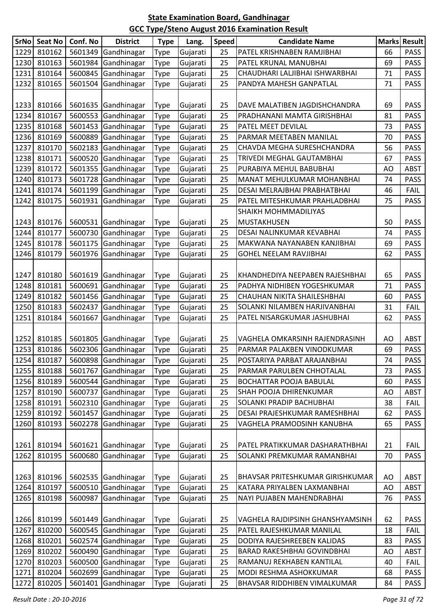|      | SrNo Seat No | Conf. No | <b>District</b>     | <b>Type</b> | Lang.    | <b>Speed</b> | <b>Candidate Name</b>              |    | <b>Marks Result</b> |
|------|--------------|----------|---------------------|-------------|----------|--------------|------------------------------------|----|---------------------|
| 1229 | 810162       | 5601349  | Gandhinagar         | <b>Type</b> | Gujarati | 25           | PATEL KRISHNABEN RAMJIBHAI         | 66 | <b>PASS</b>         |
| 1230 | 810163       | 5601984  | Gandhinagar         | <b>Type</b> | Gujarati | 25           | PATEL KRUNAL MANUBHAI              | 69 | <b>PASS</b>         |
| 1231 | 810164       |          | 5600845 Gandhinagar | <b>Type</b> | Gujarati | 25           | CHAUDHARI LALJIBHAI ISHWARBHAI     | 71 | <b>PASS</b>         |
| 1232 | 810165       | 5601504  | Gandhinagar         | <b>Type</b> | Gujarati | 25           | PANDYA MAHESH GANPATLAL            | 71 | <b>PASS</b>         |
|      |              |          |                     |             |          |              |                                    |    |                     |
| 1233 | 810166       |          | 5601635 Gandhinagar | <b>Type</b> | Gujarati | 25           | DAVE MALATIBEN JAGDISHCHANDRA      | 69 | PASS                |
| 1234 | 810167       |          | 5600553 Gandhinagar | <b>Type</b> | Gujarati | 25           | PRADHANANI MAMTA GIRISHBHAI        | 81 | <b>PASS</b>         |
| 1235 | 810168       |          | 5601453 Gandhinagar | <b>Type</b> | Gujarati | 25           | PATEL MEET DEVILAL                 | 73 | <b>PASS</b>         |
| 1236 | 810169       | 5600889  | Gandhinagar         | <b>Type</b> | Gujarati | 25           | PARMAR MEETABEN MANILAL            | 70 | <b>PASS</b>         |
| 1237 | 810170       |          | 5602183 Gandhinagar | <b>Type</b> | Gujarati | 25           | CHAVDA MEGHA SURESHCHANDRA         | 56 | <b>PASS</b>         |
| 1238 | 810171       |          | 5600520 Gandhinagar | <b>Type</b> | Gujarati | 25           | TRIVEDI MEGHAL GAUTAMBHAI          | 67 | <b>PASS</b>         |
| 1239 | 810172       |          | 5601355 Gandhinagar | <b>Type</b> | Gujarati | 25           | PURABIYA MEHUL BABUBHAI            | AO | <b>ABST</b>         |
| 1240 | 810173       |          | 5601728 Gandhinagar | <b>Type</b> | Gujarati | 25           | MANAT MEHULKUMAR MOHANBHAI         | 74 | <b>PASS</b>         |
| 1241 | 810174       |          | 5601199 Gandhinagar | <b>Type</b> | Gujarati | 25           | DESAI MELRAJBHAI PRABHATBHAI       | 46 | <b>FAIL</b>         |
| 1242 | 810175       | 5601931  | Gandhinagar         | <b>Type</b> | Gujarati | 25           | PATEL MITESHKUMAR PRAHLADBHAI      | 75 | <b>PASS</b>         |
|      |              |          |                     |             |          |              | SHAIKH MOHMMADILIYAS               |    |                     |
| 1243 | 810176       |          | 5600531 Gandhinagar | <b>Type</b> | Gujarati | 25           | <b>MUSTAKHUSEN</b>                 | 50 | <b>PASS</b>         |
| 1244 | 810177       |          | 5600730 Gandhinagar | <b>Type</b> | Gujarati | 25           | DESAI NALINKUMAR KEVABHAI          | 74 | <b>PASS</b>         |
| 1245 | 810178       |          | 5601175 Gandhinagar | <b>Type</b> | Gujarati | 25           | MAKWANA NAYANABEN KANJIBHAI        | 69 | <b>PASS</b>         |
| 1246 | 810179       | 5601976  | Gandhinagar         | <b>Type</b> | Gujarati | 25           | <b>GOHEL NEELAM RAVJIBHAI</b>      | 62 | <b>PASS</b>         |
|      |              |          |                     |             |          |              |                                    |    |                     |
| 1247 | 810180       |          | 5601619 Gandhinagar | <b>Type</b> | Gujarati | 25           | KHANDHEDIYA NEEPABEN RAJESHBHAI    | 65 | <b>PASS</b>         |
| 1248 | 810181       |          | 5600691 Gandhinagar | Type        | Gujarati | 25           | PADHYA NIDHIBEN YOGESHKUMAR        | 71 | <b>PASS</b>         |
| 1249 | 810182       |          | 5601456 Gandhinagar | <b>Type</b> | Gujarati | 25           | CHAUHAN NIKITA SHAILESHBHAI        | 60 | <b>PASS</b>         |
| 1250 | 810183       |          | 5602437 Gandhinagar | Type        | Gujarati | 25           | SOLANKI NILAMBEN HARJIVANBHAI      | 31 | <b>FAIL</b>         |
| 1251 | 810184       | 5601667  | Gandhinagar         | Type        | Gujarati | 25           | PATEL NISARGKUMAR JASHUBHAI        | 62 | <b>PASS</b>         |
|      |              |          |                     |             |          |              |                                    |    |                     |
| 1252 | 810185       |          | 5601805 Gandhinagar | <b>Type</b> | Gujarati | 25           | VAGHELA OMKARSINH RAJENDRASINH     | AO | ABST                |
| 1253 | 810186       |          | 5602306 Gandhinagar | <b>Type</b> | Gujarati | 25           | PARMAR PALAKBEN VINODKUMAR         | 69 | <b>PASS</b>         |
| 1254 | 810187       |          | 5600898 Gandhinagar | Type        | Gujarati | 25           | POSTARIYA PARBAT ARAJANBHAI        | 74 | <b>PASS</b>         |
| 1255 | 810188       |          | 5601767 Gandhinagar | <b>Type</b> | Gujarati | 25           | PARMAR PARULBEN CHHOTALAL          | 73 | <b>PASS</b>         |
| 1256 | 810189       | 5600544  | Gandhinagar         | Type        | Gujarati | 25           | <b>BOCHATTAR POOJA BABULAL</b>     | 60 | <b>PASS</b>         |
| 1257 | 810190       |          | 5600737 Gandhinagar | <b>Type</b> | Gujarati | 25           | SHAH POOJA DHIRENKUMAR             | AO | <b>ABST</b>         |
| 1258 | 810191       |          | 5602310 Gandhinagar | <b>Type</b> | Gujarati | 25           | SOLANKI PRADIP BACHUBHAI           | 38 | <b>FAIL</b>         |
| 1259 | 810192       | 5601457  | Gandhinagar         | <b>Type</b> | Gujarati | 25           | DESAI PRAJESHKUMAR RAMESHBHAI      | 62 | <b>PASS</b>         |
| 1260 | 810193       | 5602278  | Gandhinagar         | <b>Type</b> | Gujarati | 25           | VAGHELA PRAMODSINH KANUBHA         | 65 | <b>PASS</b>         |
|      |              |          |                     |             |          |              |                                    |    |                     |
| 1261 | 810194       | 5601621  | Gandhinagar         | <b>Type</b> | Gujarati | 25           | PATEL PRATIKKUMAR DASHARATHBHAI    | 21 | <b>FAIL</b>         |
| 1262 | 810195       | 5600680  | Gandhinagar         | Type        | Gujarati | 25           | SOLANKI PREMKUMAR RAMANBHAI        | 70 | <b>PASS</b>         |
|      |              |          |                     |             |          |              |                                    |    |                     |
| 1263 | 810196       |          | 5602535 Gandhinagar | <b>Type</b> | Gujarati | 25           | BHAVSAR PRITESHKUMAR GIRISHKUMAR   | AO | ABST                |
| 1264 | 810197       | 5600510  | Gandhinagar         | <b>Type</b> | Gujarati | 25           | KATARA PRIYALBEN LAXMANBHAI        | AO | <b>ABST</b>         |
| 1265 | 810198       | 5600987  | Gandhinagar         | <b>Type</b> | Gujarati | 25           | NAYI PUJABEN MAHENDRABHAI          | 76 | <b>PASS</b>         |
|      |              |          |                     |             |          |              |                                    |    |                     |
| 1266 | 810199       |          | 5601449 Gandhinagar | <b>Type</b> | Gujarati | 25           | VAGHELA RAJDIPSINH GHANSHYAMSINH   | 62 | <b>PASS</b>         |
| 1267 | 810200       | 5600545  | Gandhinagar         | <b>Type</b> | Gujarati | 25           | PATEL RAJESHKUMAR MANILAL          | 18 | <b>FAIL</b>         |
| 1268 | 810201       | 5602574  | Gandhinagar         | <b>Type</b> | Gujarati | 25           | DODIYA RAJESHREEBEN KALIDAS        | 83 | <b>PASS</b>         |
| 1269 | 810202       | 5600490  | Gandhinagar         | <b>Type</b> | Gujarati | 25           | <b>BARAD RAKESHBHAI GOVINDBHAI</b> | AO | <b>ABST</b>         |
| 1270 | 810203       |          | 5600500 Gandhinagar | <b>Type</b> | Gujarati | 25           | RAMANUJ REKHABEN KANTILAL          | 40 | <b>FAIL</b>         |
| 1271 | 810204       |          | 5602699 Gandhinagar | <b>Type</b> | Gujarati | 25           | MODI RESHMA ASHOKKUMAR             | 68 | <b>PASS</b>         |
| 1272 | 810205       | 5601401  | Gandhinagar         | <b>Type</b> | Gujarati | 25           | BHAVSAR RIDDHIBEN VIMALKUMAR       | 84 | <b>PASS</b>         |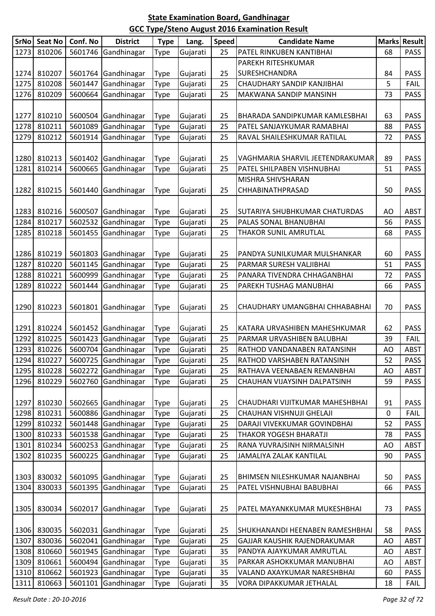| SrNo | <b>Seat No</b> | Conf. No | <b>District</b>     | <b>Type</b> | Lang.    | <b>Speed</b> | <b>Candidate Name</b>            | <b>Marks</b> | <b>Result</b> |
|------|----------------|----------|---------------------|-------------|----------|--------------|----------------------------------|--------------|---------------|
| 1273 | 810206         | 5601746  | Gandhinagar         | Type        | Gujarati | 25           | PATEL RINKUBEN KANTIBHAI         | 68           | <b>PASS</b>   |
|      |                |          |                     |             |          |              | PAREKH RITESHKUMAR               |              |               |
| 1274 | 810207         |          | 5601764 Gandhinagar | <b>Type</b> | Gujarati | 25           | SURESHCHANDRA                    | 84           | <b>PASS</b>   |
| 1275 | 810208         | 5601447  | Gandhinagar         | <b>Type</b> | Gujarati | 25           | CHAUDHARY SANDIP KANJIBHAI       | 5            | <b>FAIL</b>   |
| 1276 | 810209         | 5600664  | Gandhinagar         | <b>Type</b> | Gujarati | 25           | MAKWANA SANDIP MANSINH           | 73           | <b>PASS</b>   |
|      |                |          |                     |             |          |              |                                  |              |               |
| 1277 | 810210         |          | 5600504 Gandhinagar | <b>Type</b> | Gujarati | 25           | BHARADA SANDIPKUMAR KAMLESBHAI   | 63           | <b>PASS</b>   |
| 1278 | 810211         | 5601089  | Gandhinagar         | <b>Type</b> | Gujarati | 25           | PATEL SANJAYKUMAR RAMABHAI       | 88           | <b>PASS</b>   |
| 1279 | 810212         | 5601914  | Gandhinagar         | <b>Type</b> | Gujarati | 25           | RAVAL SHAILESHKUMAR RATILAL      | 72           | <b>PASS</b>   |
|      |                |          |                     |             |          |              |                                  |              |               |
| 1280 | 810213         |          | 5601402 Gandhinagar | Type        | Gujarati | 25           | VAGHMARIA SHARVIL JEETENDRAKUMAR | 89           | <b>PASS</b>   |
| 1281 | 810214         | 5600665  | Gandhinagar         | <b>Type</b> | Gujarati | 25           | PATEL SHILPABEN VISHNUBHAI       | 51           | <b>PASS</b>   |
|      |                |          |                     |             |          |              | MISHRA SHIVSHARAN                |              |               |
| 1282 | 810215         | 5601440  | Gandhinagar         | <b>Type</b> | Gujarati | 25           | CHHABINATHPRASAD                 | 50           | <b>PASS</b>   |
| 1283 | 810216         | 5600507  | Gandhinagar         | Type        | Gujarati | 25           | SUTARIYA SHUBHKUMAR CHATURDAS    | AO           | <b>ABST</b>   |
| 1284 | 810217         | 5602532  | Gandhinagar         | <b>Type</b> | Gujarati | 25           | PALAS SONAL BHANUBHAI            | 56           | <b>PASS</b>   |
| 1285 | 810218         | 5601455  | Gandhinagar         | Type        | Gujarati | 25           | THAKOR SUNIL AMRUTLAL            | 68           | <b>PASS</b>   |
|      |                |          |                     |             |          |              |                                  |              |               |
| 1286 | 810219         | 5601803  | Gandhinagar         | <b>Type</b> | Gujarati | 25           | PANDYA SUNILKUMAR MULSHANKAR     | 60           | <b>PASS</b>   |
| 1287 | 810220         | 5601145  | Gandhinagar         | <b>Type</b> | Gujarati | 25           | PARMAR SURESH VALJIBHAI          | 51           | <b>PASS</b>   |
| 1288 | 810221         | 5600999  | Gandhinagar         | <b>Type</b> | Gujarati | 25           | PANARA TIVENDRA CHHAGANBHAI      | 72           | <b>PASS</b>   |
| 1289 | 810222         | 5601444  | Gandhinagar         | <b>Type</b> | Gujarati | 25           | PAREKH TUSHAG MANUBHAI           | 66           | <b>PASS</b>   |
|      |                |          |                     |             |          |              |                                  |              |               |
| 1290 | 810223         | 5601801  | Gandhinagar         | <b>Type</b> | Gujarati | 25           | CHAUDHARY UMANGBHAI CHHABABHAI   | 70           | <b>PASS</b>   |
|      |                |          |                     |             |          |              |                                  |              |               |
| 1291 | 810224         |          | 5601452 Gandhinagar | <b>Type</b> | Gujarati | 25           | KATARA URVASHIBEN MAHESHKUMAR    | 62           | <b>PASS</b>   |
| 1292 | 810225         | 5601423  | Gandhinagar         | Type        | Gujarati | 25           | PARMAR URVASHIBEN BALUBHAI       | 39           | <b>FAIL</b>   |
| 1293 | 810226         | 5600704  | Gandhinagar         | <b>Type</b> | Gujarati | 25           | RATHOD VANDANABEN RATANSINH      | AO           | <b>ABST</b>   |
| 1294 | 810227         |          | 5600725 Gandhinagar | <b>Type</b> | Gujarati | 25           | RATHOD VARSHABEN RATANSINH       | 52           | <b>PASS</b>   |
| 1295 | 810228         |          | 5602272 Gandhinagar | <b>Type</b> | Gujarati | 25           | RATHAVA VEENABAEN REMANBHAI      | AO           | <b>ABST</b>   |
| 1296 | 810229         | 5602760  | Gandhinagar         | <b>Type</b> | Gujarati | 25           | CHAUHAN VIJAYSINH DALPATSINH     | 59           | <b>PASS</b>   |
|      |                |          |                     |             |          |              |                                  |              |               |
| 1297 | 810230         | 5602665  | Gandhinagar         | <b>Type</b> | Gujarati | 25           | CHAUDHARI VIJITKUMAR MAHESHBHAI  | 91           | <b>PASS</b>   |
| 1298 | 810231         | 5600886  | Gandhinagar         | Type        | Gujarati | 25           | CHAUHAN VISHNUJI GHELAJI         | 0            | <b>FAIL</b>   |
| 1299 | 810232         | 5601448  | Gandhinagar         | <b>Type</b> | Gujarati | 25           | DARAJI VIVEKKUMAR GOVINDBHAI     | 52           | <b>PASS</b>   |
| 1300 | 810233         | 5601538  | Gandhinagar         | <b>Type</b> | Gujarati | 25           | THAKOR YOGESH BHARATJI           | 78           | <b>PASS</b>   |
| 1301 | 810234         | 5600253  | Gandhinagar         | <b>Type</b> | Gujarati | 25           | RANA YUVRAJSINH NIRMALSINH       | AO           | <b>ABST</b>   |
| 1302 | 810235         | 5600225  | Gandhinagar         | <b>Type</b> | Gujarati | 25           | JAMALIYA ZALAK KANTILAL          | 90           | <b>PASS</b>   |
|      |                |          |                     |             |          |              |                                  |              |               |
| 1303 | 830032         | 5601095  | Gandhinagar         | <b>Type</b> | Gujarati | 25           | BHIMSEN NILESHKUMAR NAJANBHAI    | 50           | <b>PASS</b>   |
| 1304 | 830033         | 5601395  | Gandhinagar         | <b>Type</b> | Gujarati | 25           | PATEL VISHNUBHAI BABUBHAI        | 66           | <b>PASS</b>   |
| 1305 | 830034         | 5602017  | Gandhinagar         |             | Gujarati | 25           | PATEL MAYANKKUMAR MUKESHBHAI     | 73           | <b>PASS</b>   |
|      |                |          |                     | Type        |          |              |                                  |              |               |
| 1306 | 830035         | 5602031  | Gandhinagar         | <b>Type</b> | Gujarati | 25           | SHUKHANANDI HEENABEN RAMESHBHAI  | 58           | <b>PASS</b>   |
| 1307 | 830036         | 5602041  | Gandhinagar         | <b>Type</b> | Gujarati | 25           | GAJJAR KAUSHIK RAJENDRAKUMAR     | AO           | <b>ABST</b>   |
| 1308 | 810660         | 5601945  | Gandhinagar         | <b>Type</b> | Gujarati | 35           | PANDYA AJAYKUMAR AMRUTLAL        | AO           | <b>ABST</b>   |
| 1309 | 810661         | 5600494  | Gandhinagar         | <b>Type</b> | Gujarati | 35           | PARKAR ASHOKKUMAR MANUBHAI       | AO           | <b>ABST</b>   |
| 1310 | 810662         | 5601923  | Gandhinagar         | <b>Type</b> | Gujarati | 35           | VALAND AXAYKUMAR NARESHBHAI      | 60           | <b>PASS</b>   |
| 1311 | 810663         | 5601101  | Gandhinagar         | Type        | Gujarati | 35           | VORA DIPAKKUMAR JETHALAL         | 18           | <b>FAIL</b>   |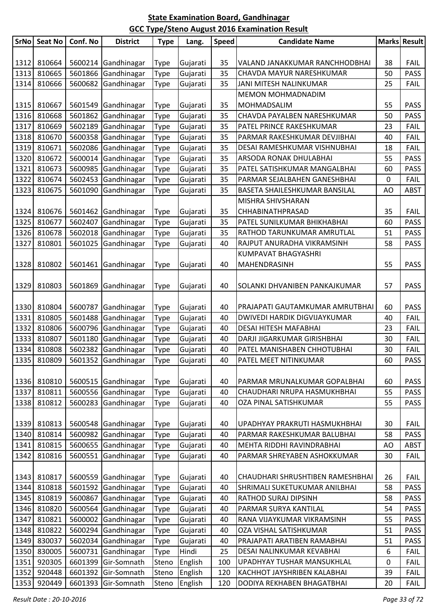| <b>SrNo</b> | <b>Seat No</b> | Conf. No | <b>District</b>     | <b>Type</b> | Lang.    | <b>Speed</b> | <b>Candidate Name</b>               | <b>Marks</b> | <b>Result</b> |
|-------------|----------------|----------|---------------------|-------------|----------|--------------|-------------------------------------|--------------|---------------|
|             |                |          |                     |             |          |              |                                     |              |               |
| 1312        | 810664         |          | 5600214 Gandhinagar | Type        | Gujarati | 35           | VALAND JANAKKUMAR RANCHHODBHAI      | 38           | <b>FAIL</b>   |
| 1313        | 810665         | 5601866  | Gandhinagar         | Type        | Gujarati | 35           | CHAVDA MAYUR NARESHKUMAR            | 50           | <b>PASS</b>   |
| 1314        | 810666         | 5600682  | Gandhinagar         | Type        | Gujarati | 35           | <b>JANI MITESH NALINKUMAR</b>       | 25           | <b>FAIL</b>   |
|             |                |          |                     |             |          |              | MEMON MOHMADNADIM                   |              |               |
| 1315        | 810667         | 5601549  | Gandhinagar         | Type        | Gujarati | 35           | MOHMADSALIM                         | 55           | <b>PASS</b>   |
| 1316        | 810668         | 5601862  | Gandhinagar         | Type        | Gujarati | 35           | CHAVDA PAYALBEN NARESHKUMAR         | 50           | <b>PASS</b>   |
| 1317        | 810669         | 5602189  | Gandhinagar         | Type        | Gujarati | 35           | PATEL PRINCE RAKESHKUMAR            | 23           | <b>FAIL</b>   |
| 1318        | 810670         | 5600358  | Gandhinagar         | Type        | Gujarati | 35           | PARMAR RAKESHKUMAR DEVJIBHAI        | 40           | <b>FAIL</b>   |
| 1319        | 810671         | 5602086  | Gandhinagar         | Type        | Gujarati | 35           | DESAI RAMESHKUMAR VISHNUBHAI        | 18           | <b>FAIL</b>   |
| 1320        | 810672         | 5600014  | Gandhinagar         | Type        | Gujarati | 35           | ARSODA RONAK DHULABHAI              | 55           | <b>PASS</b>   |
| 1321        | 810673         | 5600985  | Gandhinagar         | Type        | Gujarati | 35           | PATEL SATISHKUMAR MANGALBHAI        | 60           | <b>PASS</b>   |
| 1322        | 810674         | 5602453  | Gandhinagar         | Type        | Gujarati | 35           | PARMAR SEJALBAHEN GANESHBHAI        | 0            | <b>FAIL</b>   |
| 1323        | 810675         | 5601090  | Gandhinagar         | Type        | Gujarati | 35           | BASETA SHAILESHKUMAR BANSILAL       | AO           | <b>ABST</b>   |
|             |                |          |                     |             |          |              | MISHRA SHIVSHARAN                   |              |               |
| 1324        | 810676         | 5601462  | Gandhinagar         | Type        | Gujarati | 35           | CHHABINATHPRASAD                    | 35           | <b>FAIL</b>   |
| 1325        | 810677         | 5602407  | Gandhinagar         | Type        | Gujarati | 35           | PATEL SUNILKUMAR BHIKHABHAI         | 60           | <b>PASS</b>   |
| 1326        | 810678         | 5602018  | Gandhinagar         | Type        | Gujarati | 35           | RATHOD TARUNKUMAR AMRUTLAL          | 51           | <b>PASS</b>   |
| 1327        | 810801         | 5601025  | Gandhinagar         | Type        | Gujarati | 40           | RAJPUT ANURADHA VIKRAMSINH          | 58           | <b>PASS</b>   |
|             |                |          |                     |             |          |              | <b>KUMPAVAT BHAGYASHRI</b>          |              |               |
| 1328        | 810802         | 5601461  | Gandhinagar         | Type        | Gujarati | 40           | MAHENDRASINH                        | 55           | <b>PASS</b>   |
|             |                |          |                     |             |          |              |                                     |              |               |
| 1329        | 810803         | 5601869  | Gandhinagar         | Type        | Gujarati | 40           | SOLANKI DHVANIBEN PANKAJKUMAR       | 57           | <b>PASS</b>   |
|             |                |          |                     |             |          |              |                                     |              |               |
| 1330        | 810804         | 5600787  | Gandhinagar         | Type        | Gujarati | 40           | PRAJAPATI GAUTAMKUMAR AMRUTBHAI     | 60           | <b>PASS</b>   |
| 1331        | 810805         | 5601488  | Gandhinagar         | Type        | Gujarati | 40           | <b>DWIVEDI HARDIK DIGVIJAYKUMAR</b> | 40           | <b>FAIL</b>   |
| 1332        | 810806         | 5600796  | Gandhinagar         | Type        | Gujarati | 40           | <b>DESAI HITESH MAFABHAI</b>        | 23           | <b>FAIL</b>   |
| 1333        | 810807         | 5601180  | Gandhinagar         | Type        | Gujarati | 40           | DARJI JIGARKUMAR GIRISHBHAI         | 30           | <b>FAIL</b>   |
| 1334        | 810808         | 5602382  | Gandhinagar         | Type        | Gujarati | 40           | PATEL MANISHABEN CHHOTUBHAI         | 30           | <b>FAIL</b>   |
| 1335        | 810809         |          | 5601352 Gandhinagar | Type        | Gujarati | 40           | PATEL MEET NITINKUMAR               | 60           | PASS          |
|             |                |          |                     |             |          |              |                                     |              |               |
| 1336        | 810810         | 5600515  | Gandhinagar         | Type        | Gujarati | 40           | PARMAR MRUNALKUMAR GOPALBHAI        | 60           | <b>PASS</b>   |
| 1337        | 810811         | 5600556  | Gandhinagar         | Type        | Gujarati | 40           | CHAUDHARI NRUPA HASMUKHBHAI         | 55           | <b>PASS</b>   |
| 1338        | 810812         | 5600283  | Gandhinagar         | Type        | Gujarati | 40           | OZA PINAL SATISHKUMAR               | 55           | <b>PASS</b>   |
|             |                |          |                     |             |          |              |                                     |              |               |
| 1339        | 810813         | 5600548  | Gandhinagar         | <b>Type</b> | Gujarati | 40           | UPADHYAY PRAKRUTI HASMUKHBHAI       | 30           | <b>FAIL</b>   |
| 1340        | 810814         | 5600982  | Gandhinagar         | Type        | Gujarati | 40           | PARMAR RAKESHKUMAR BALUBHAI         | 58           | <b>PASS</b>   |
| 1341        | 810815         | 5600655  | Gandhinagar         | Type        | Gujarati | 40           | MEHTA RIDDHI RAVINDRABHAI           | AO           | <b>ABST</b>   |
| 1342        | 810816         | 5600551  | Gandhinagar         | Type        | Gujarati | 40           | PARMAR SHREYABEN ASHOKKUMAR         | 30           | <b>FAIL</b>   |
|             |                |          |                     |             |          |              |                                     |              |               |
| 1343        | 810817         | 5600559  | Gandhinagar         | Type        | Gujarati | 40           | CHAUDHARI SHRUSHTIBEN RAMESHBHAI    | 26           | <b>FAIL</b>   |
| 1344        | 810818         | 5601592  | Gandhinagar         | Type        | Gujarati | 40           | SHRIMALI SUKETUKUMAR ANILBHAI       | 58           | <b>PASS</b>   |
| 1345        | 810819         | 5600867  | Gandhinagar         | Type        | Gujarati | 40           | <b>RATHOD SURAJ DIPSINH</b>         | 58           | <b>PASS</b>   |
| 1346        | 810820         | 5600564  | Gandhinagar         | Type        | Gujarati | 40           | PARMAR SURYA KANTILAL               | 54           | <b>PASS</b>   |
| 1347        | 810821         | 5600002  | Gandhinagar         | Type        | Gujarati | 40           | RANA VIJAYKUMAR VIKRAMSINH          | 55           | <b>PASS</b>   |
| 1348        | 810822         | 5600294  | Gandhinagar         | Type        | Gujarati | 40           | OZA VISHAL SATISHKUMAR              | 51           | <b>PASS</b>   |
| 1349        | 830037         | 5602034  | Gandhinagar         | Type        | Gujarati | 40           | PRAJAPATI ARATIBEN RAMABHAI         | 51           | <b>PASS</b>   |
| 1350        | 830005         | 5600731  | Gandhinagar         | Type        | Hindi    | 25           | DESAI NALINKUMAR KEVABHAI           | 6            | <b>FAIL</b>   |
| 1351        | 920305         | 6601399  | Gir-Somnath         | Steno       | English  | 100          | UPADHYAY TUSHAR MANSUKHLAL          | 0            | <b>FAIL</b>   |
| 1352        | 920448         | 6601392  | Gir-Somnath         | Steno       | English  | 120          | KACHHOT JAYSHRIBEN KALABHAI         | 39           | <b>FAIL</b>   |
| 1353        | 920449         | 6601393  | Gir-Somnath         | Steno       | English  | 120          | DODIYA REKHABEN BHAGATBHAI          | 20           | <b>FAIL</b>   |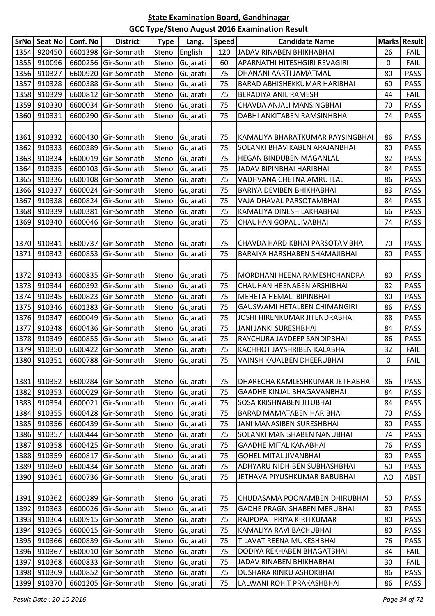| <b>SrNo</b> | Seat No     | Conf. No | <b>District</b>     | <b>Type</b> | Lang.          | <b>Speed</b> | <b>Candidate Name</b>            |    | <b>Marks Result</b> |
|-------------|-------------|----------|---------------------|-------------|----------------|--------------|----------------------------------|----|---------------------|
| 1354        | 920450      | 6601398  | Gir-Somnath         | Steno       | English        | 120          | JADAV RINABEN BHIKHABHAI         | 26 | <b>FAIL</b>         |
| 1355        | 910096      |          | 6600256 Gir-Somnath | Steno       | Gujarati       | 60           | APARNATHI HITESHGIRI REVAGIRI    | 0  | <b>FAIL</b>         |
| 1356        | 910327      | 6600920  | Gir-Somnath         | Steno       | Gujarati       | 75           | DHANANI AARTI JAMATMAL           | 80 | <b>PASS</b>         |
| 1357        | 910328      | 6600388  | Gir-Somnath         | Steno       | Gujarati       | 75           | BARAD ABHISHEKKUMAR HARIBHAI     | 60 | <b>PASS</b>         |
| 1358        | 910329      | 6600812  | Gir-Somnath         | Steno       | Gujarati       | 75           | BERADIYA ANIL RAMESH             | 44 | <b>FAIL</b>         |
| 1359        | 910330      | 6600034  | Gir-Somnath         | Steno       | Gujarati       | 75           | CHAVDA ANJALI MANSINGBHAI        | 70 | <b>PASS</b>         |
| 1360        | 910331      | 6600290  | Gir-Somnath         | Steno       | Gujarati       | 75           | DABHI ANKITABEN RAMSINHBHAI      | 74 | <b>PASS</b>         |
|             |             |          |                     |             |                |              |                                  |    |                     |
| 1361        | 910332      |          | 6600430 Gir-Somnath | Steno       | Gujarati       | 75           | KAMALIYA BHARATKUMAR RAYSINGBHAI | 86 | <b>PASS</b>         |
| 1362        | 910333      | 6600389  | Gir-Somnath         | Steno       | Gujarati       | 75           | SOLANKI BHAVIKABEN ARAJANBHAI    | 80 | <b>PASS</b>         |
| 1363        | 910334      | 6600019  | Gir-Somnath         | Steno       | Gujarati       | 75           | HEGAN BINDUBEN MAGANLAL          | 82 | <b>PASS</b>         |
| 1364        | 910335      |          | 6600103 Gir-Somnath | Steno       | Gujarati       | 75           | JADAV BIPINBHAI HARIBHAI         | 84 | <b>PASS</b>         |
| 1365        | 910336      | 6600108  | Gir-Somnath         | Steno       | Gujarati       | 75           | VADHVANA CHETNA AMRUTLAL         | 86 | <b>PASS</b>         |
| 1366        | 910337      | 6600024  | Gir-Somnath         | Steno       | Gujarati       | 75           | BARIYA DEVIBEN BHIKHABHAI        | 83 | <b>PASS</b>         |
| 1367        | 910338      | 6600824  | Gir-Somnath         | Steno       | Gujarati       | 75           | VAJA DHAVAL PARSOTAMBHAI         | 84 | <b>PASS</b>         |
| 1368        | 910339      | 6600381  | Gir-Somnath         | Steno       | Gujarati       | 75           | KAMALIYA DINESH LAKHABHAI        | 66 | <b>PASS</b>         |
| 1369        | 910340      | 6600046  | Gir-Somnath         | Steno       | Gujarati       | 75           | CHAUHAN GOPAL JIVABHAI           | 74 | <b>PASS</b>         |
|             |             |          |                     |             |                |              |                                  |    |                     |
| 1370        | 910341      | 6600737  | Gir-Somnath         | Steno       | Gujarati       | 75           | CHAVDA HARDIKBHAI PARSOTAMBHAI   | 70 | <b>PASS</b>         |
| 1371        | 910342      | 6600853  | Gir-Somnath         | Steno       | Gujarati       | 75           | BARAIYA HARSHABEN SHAMAJIBHAI    | 80 | <b>PASS</b>         |
|             |             |          |                     |             |                |              |                                  |    |                     |
| 1372        | 910343      |          | 6600835 Gir-Somnath | Steno       | Gujarati       | 75           | MORDHANI HEENA RAMESHCHANDRA     | 80 | <b>PASS</b>         |
| 1373        | 910344      |          | 6600392 Gir-Somnath | Steno       | Gujarati       | 75           | CHAUHAN HEENABEN ARSHIBHAI       | 82 | <b>PASS</b>         |
| 1374        | 910345      | 6600823  | Gir-Somnath         | Steno       | Gujarati       | 75           | MEHETA HEMALI BIPINBHAI          | 80 | <b>PASS</b>         |
| 1375        | 910346      | 6601383  | Gir-Somnath         | Steno       | Gujarati       | 75           | GAUSWAMI HETALBEN CHIMANGIRI     | 86 | <b>PASS</b>         |
| 1376        | 910347      | 6600049  | Gir-Somnath         | Steno       | Gujarati       | 75           | JOSHI HIRENKUMAR JITENDRABHAI    | 88 | <b>PASS</b>         |
| 1377        | 910348      | 6600436  | Gir-Somnath         | Steno       | Gujarati       | 75           | JANI JANKI SURESHBHAI            | 84 | <b>PASS</b>         |
| 1378        | 910349      | 6600855  | Gir-Somnath         | Steno       | Gujarati       | 75           | RAYCHURA JAYDEEP SANDIPBHAI      | 86 | <b>PASS</b>         |
| 1379        | 910350      |          | 6600422 Gir-Somnath | Steno       | Gujarati       | 75           | KACHHOT JAYSHRIBEN KALABHAI      | 32 | FAIL                |
|             | 1380 910351 |          | 6600788 Gir-Somnath |             | Steno Gujarati | 75           | VAINSH KAJALBEN DHEERUBHAI       | 0  | FAIL                |
|             |             |          |                     |             |                |              |                                  |    |                     |
| 1381        | 910352      | 6600284  | Gir-Somnath         | Steno       | Gujarati       | 75           | DHARECHA KAMLESHKUMAR JETHABHAI  | 86 | PASS                |
| 1382        | 910353      | 6600029  | Gir-Somnath         | Steno       | Gujarati       | 75           | GAADHE KINJAL BHAGAVANBHAI       | 84 | <b>PASS</b>         |
| 1383        | 910354      | 6600021  | Gir-Somnath         | Steno       | Gujarati       | 75           | SOSA KRISHNABEN JITUBHAI         | 84 | <b>PASS</b>         |
| 1384        | 910355      |          | 6600428 Gir-Somnath | Steno       | Gujarati       | 75           | BARAD MAMATABEN HARIBHAI         | 70 | <b>PASS</b>         |
| 1385        | 910356      | 6600439  | Gir-Somnath         | Steno       | Gujarati       | 75           | JANI MANASIBEN SURESHBHAI        | 80 | <b>PASS</b>         |
| 1386        | 910357      | 6600444  | Gir-Somnath         | Steno       | Gujarati       | 75           | SOLANKI MANISHABEN NANUBHAI      | 74 | <b>PASS</b>         |
| 1387        | 910358      | 6600425  | Gir-Somnath         | Steno       | Gujarati       | 75           | <b>GAADHE MITAL KANABHAI</b>     | 76 | <b>PASS</b>         |
| 1388        | 910359      | 6600817  | Gir-Somnath         | Steno       | Gujarati       | 75           | <b>GOHEL MITAL JIVANBHAI</b>     | 80 | <b>PASS</b>         |
| 1389        | 910360      | 6600434  | Gir-Somnath         | Steno       | Gujarati       | 75           | ADHYARU NIDHIBEN SUBHASHBHAI     | 50 | <b>PASS</b>         |
| 1390        | 910361      | 6600736  | Gir-Somnath         | Steno       | Gujarati       | 75           | JETHAVA PIYUSHKUMAR BABUBHAI     | AO | <b>ABST</b>         |
|             |             |          |                     |             |                |              |                                  |    |                     |
| 1391        | 910362      |          | 6600289 Gir-Somnath | Steno       | Gujarati       | 75           | CHUDASAMA POONAMBEN DHIRUBHAI    | 50 | <b>PASS</b>         |
| 1392        | 910363      |          | 6600026 Gir-Somnath | Steno       | Gujarati       | 75           | GADHE PRAGNISHABEN MERUBHAI      | 80 | <b>PASS</b>         |
| 1393        | 910364      |          | 6600915 Gir-Somnath | Steno       | Gujarati       | 75           | RAJPOPAT PRIYA KIRITKUMAR        | 80 | <b>PASS</b>         |
| 1394        | 910365      | 6600015  | Gir-Somnath         | Steno       | Gujarati       | 75           | KAMALIYA RAVI BACHUBHAI          | 80 | <b>PASS</b>         |
| 1395        | 910366      | 6600839  | Gir-Somnath         | Steno       | Gujarati       | 75           | TILAVAT REENA MUKESHBHAI         | 76 | <b>PASS</b>         |
| 1396        | 910367      | 6600010  | Gir-Somnath         | Steno       | Gujarati       | 75           | DODIYA REKHABEN BHAGATBHAI       | 34 | <b>FAIL</b>         |
| 1397        | 910368      |          | 6600833 Gir-Somnath | Steno       | Gujarati       | 75           | JADAV RINABEN BHIKHABHAI         | 30 | <b>FAIL</b>         |
| 1398        | 910369      |          | 6600852 Gir-Somnath | Steno       | Gujarati       | 75           | DUSHARA RINKU ASHOKBHAI          | 86 | <b>PASS</b>         |
| 1399        | 910370      | 6601205  | Gir-Somnath         | Steno       | Gujarati       | 75           | LALWANI ROHIT PRAKASHBHAI        | 86 | PASS                |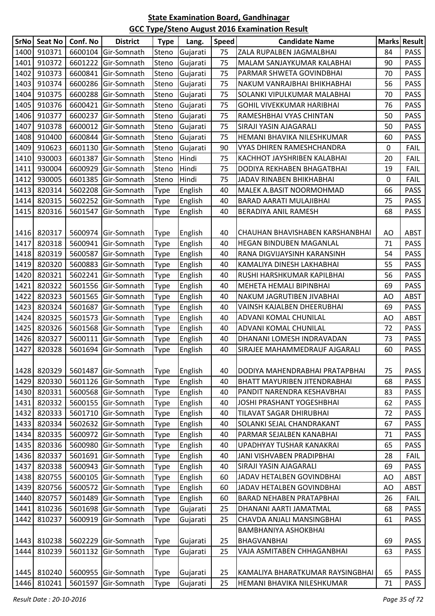| <b>SrNo</b> | <b>Seat No</b> | Conf. No | <b>District</b>     | <b>Type</b> | Lang.    | <b>Speed</b> | <b>Candidate Name</b>               |    | Marks Result |
|-------------|----------------|----------|---------------------|-------------|----------|--------------|-------------------------------------|----|--------------|
| 1400        | 910371         | 6600104  | Gir-Somnath         | Steno       | Gujarati | 75           | ZALA RUPALBEN JAGMALBHAI            | 84 | <b>PASS</b>  |
| 1401        | 910372         | 6601222  | Gir-Somnath         | Steno       | Gujarati | 75           | MALAM SANJAYKUMAR KALABHAI          | 90 | <b>PASS</b>  |
| 1402        | 910373         | 6600841  | Gir-Somnath         | Steno       | Gujarati | 75           | PARMAR SHWETA GOVINDBHAI            | 70 | <b>PASS</b>  |
| 1403        | 910374         | 6600286  | Gir-Somnath         | Steno       | Gujarati | 75           | NAKUM VANRAJBHAI BHIKHABHAI         | 56 | <b>PASS</b>  |
| 1404        | 910375         | 6600288  | Gir-Somnath         | Steno       | Gujarati | 75           | SOLANKI VIPULKUMAR MALABHAI         | 70 | <b>PASS</b>  |
| 1405        | 910376         | 6600421  | Gir-Somnath         | Steno       | Gujarati | 75           | <b>GOHIL VIVEKKUMAR HARIBHAI</b>    | 76 | <b>PASS</b>  |
| 1406        | 910377         | 6600237  | Gir-Somnath         | Steno       | Gujarati | 75           | RAMESHBHAI VYAS CHINTAN             | 50 | <b>PASS</b>  |
| 1407        | 910378         | 6600012  | Gir-Somnath         | Steno       | Gujarati | 75           | SIRAJI YASIN AJAGARALI              | 50 | <b>PASS</b>  |
| 1408        | 910400         | 6600844  | Gir-Somnath         | Steno       | Gujarati | 75           | HEMANI BHAVIKA NILESHKUMAR          | 60 | <b>PASS</b>  |
| 1409        | 910623         | 6601130  | Gir-Somnath         | Steno       | Gujarati | 90           | VYAS DHIREN RAMESHCHANDRA           | 0  | <b>FAIL</b>  |
| 1410        | 930003         | 6601387  | Gir-Somnath         | Steno       | Hindi    | 75           | KACHHOT JAYSHRIBEN KALABHAI         | 20 | <b>FAIL</b>  |
| 1411        | 930004         | 6600929  | Gir-Somnath         | Steno       | Hindi    | 75           | DODIYA REKHABEN BHAGATBHAI          | 19 | <b>FAIL</b>  |
| 1412        | 930005         | 6601385  | Gir-Somnath         | Steno       | Hindi    | 75           | JADAV RINABEN BHIKHABHAI            | 0  | <b>FAIL</b>  |
| 1413        | 820314         | 5602208  | Gir-Somnath         | <b>Type</b> | English  | 40           | MALEK A.BASIT NOORMOHMAD            | 66 | <b>PASS</b>  |
| 1414        | 820315         | 5602252  | Gir-Somnath         | <b>Type</b> | English  | 40           | BARAD AARATI MULAJIBHAI             | 75 | PASS         |
| 1415        | 820316         | 5601547  | Gir-Somnath         | <b>Type</b> | English  | 40           | BERADIYA ANIL RAMESH                | 68 | <b>PASS</b>  |
|             |                |          |                     |             |          |              |                                     |    |              |
| 1416        | 820317         |          | 5600974 Gir-Somnath | <b>Type</b> | English  | 40           | CHAUHAN BHAVISHABEN KARSHANBHAI     | AO | <b>ABST</b>  |
| 1417        | 820318         | 5600941  | Gir-Somnath         | <b>Type</b> | English  | 40           | <b>HEGAN BINDUBEN MAGANLAL</b>      | 71 | <b>PASS</b>  |
| 1418        | 820319         | 5600587  | Gir-Somnath         | <b>Type</b> | English  | 40           | RANA DIGVIJAYSINH KARANSINH         | 54 | <b>PASS</b>  |
| 1419        | 820320         | 5600883  | Gir-Somnath         | <b>Type</b> | English  | 40           | KAMALIYA DINESH LAKHABHAI           | 55 | <b>PASS</b>  |
| 1420        | 820321         | 5602241  | Gir-Somnath         | <b>Type</b> | English  | 40           | RUSHI HARSHKUMAR KAPILBHAI          | 56 | <b>PASS</b>  |
| 1421        | 820322         | 5601556  | Gir-Somnath         | <b>Type</b> | English  | 40           | <b>MEHETA HEMALI BIPINBHAI</b>      | 69 | <b>PASS</b>  |
| 1422        | 820323         | 5601565  | Gir-Somnath         | <b>Type</b> | English  | 40           | NAKUM JAGRUTIBEN JIVABHAI           | AO | <b>ABST</b>  |
| 1423        | 820324         | 5601687  | Gir-Somnath         | <b>Type</b> | English  | 40           | VAINSH KAJALBEN DHEERUBHAI          | 69 | <b>PASS</b>  |
| 1424        | 820325         | 5601573  | Gir-Somnath         | <b>Type</b> | English  | 40           | ADVANI KOMAL CHUNILAL               | AO | <b>ABST</b>  |
| 1425        | 820326         | 5601568  | Gir-Somnath         | <b>Type</b> | English  | 40           | ADVANI KOMAL CHUNILAL               | 72 | PASS         |
| 1426        | 820327         | 5600111  | Gir-Somnath         | <b>Type</b> | English  | 40           | DHANANI LOMESH INDRAVADAN           | 73 | <b>PASS</b>  |
| 1427        | 820328         | 5601694  | Gir-Somnath         | <b>Type</b> | English  | 40           | SIRAJEE MAHAMMEDRAUF AJGARALI       | 60 | <b>PASS</b>  |
|             |                |          |                     |             |          |              |                                     |    |              |
| 1428        | 820329         |          | 5601487 Gir-Somnath | <b>Type</b> | English  | 40           | DODIYA MAHENDRABHAI PRATAPBHAI      | 75 | PASS         |
| 1429        | 820330         |          | 5601126 Gir-Somnath | <b>Type</b> | English  | 40           | <b>BHATT MAYURIBEN JITENDRABHAI</b> | 68 | PASS         |
| 1430        | 820331         |          | 5600568 Gir-Somnath | <b>Type</b> | English  | 40           | PANDIT NARENDRA KESHAVBHAI          | 83 | <b>PASS</b>  |
| 1431        | 820332         |          | 5600155 Gir-Somnath | <b>Type</b> | English  | 40           | JOSHI PRASHANT YOGESHBHAI           | 62 | <b>PASS</b>  |
| 1432        | 820333         |          | 5601710 Gir-Somnath | <b>Type</b> | English  | 40           | <b>TILAVAT SAGAR DHIRUBHAI</b>      | 72 | <b>PASS</b>  |
| 1433        | 820334         |          | 5602632 Gir-Somnath | <b>Type</b> | English  | 40           | SOLANKI SEJAL CHANDRAKANT           | 67 | <b>PASS</b>  |
| 1434        | 820335         |          | 5600972 Gir-Somnath | <b>Type</b> | English  | 40           | PARMAR SEJALBEN KANABHAI            | 71 | <b>PASS</b>  |
| 1435        | 820336         |          | 5600980 Gir-Somnath | <b>Type</b> | English  | 40           | UPADHYAY TUSHAR KANAKRAI            | 65 | <b>PASS</b>  |
| 1436        | 820337         | 5601691  | Gir-Somnath         | <b>Type</b> | English  | 40           | JANI VISHVABEN PRADIPBHAI           | 28 | <b>FAIL</b>  |
| 1437        | 820338         |          | 5600943 Gir-Somnath | <b>Type</b> | English  | 40           | SIRAJI YASIN AJAGARALI              | 69 | <b>PASS</b>  |
| 1438        | 820755         |          | 5600105 Gir-Somnath | <b>Type</b> | English  | 60           | JADAV HETALBEN GOVINDBHAI           | AO | ABST         |
| 1439        | 820756         |          | 5600572 Gir-Somnath | <b>Type</b> | English  | 60           | JADAV HETALBEN GOVINDBHAI           | AO | <b>ABST</b>  |
| 1440        | 820757         |          | 5601489 Gir-Somnath | <b>Type</b> | English  | 60           | <b>BARAD NEHABEN PRATAPBHAI</b>     | 26 | <b>FAIL</b>  |
| 1441        | 810236         |          | 5601698 Gir-Somnath | <b>Type</b> | Gujarati | 25           | DHANANI AARTI JAMATMAL              | 68 | <b>PASS</b>  |
| 1442        | 810237         | 5600919  | Gir-Somnath         | <b>Type</b> | Gujarati | 25           | CHAVDA ANJALI MANSINGBHAI           | 61 | <b>PASS</b>  |
|             |                |          |                     |             |          |              | BAMBHANIYA ASHOKBHAI                |    |              |
| 1443        | 810238         | 5602229  | Gir-Somnath         | <b>Type</b> | Gujarati | 25           | <b>BHAGVANBHAI</b>                  | 69 | PASS         |
| 1444        | 810239         | 5601132  | Gir-Somnath         | <b>Type</b> | Gujarati | 25           | VAJA ASMITABEN CHHAGANBHAI          | 63 | <b>PASS</b>  |
|             |                |          |                     |             |          |              |                                     |    |              |
| 1445        | 810240         |          | 5600955 Gir-Somnath | <b>Type</b> | Gujarati | 25           | KAMALIYA BHARATKUMAR RAYSINGBHAI    | 65 | PASS         |
| 1446        | 810241         | 5601597  | Gir-Somnath         | <b>Type</b> | Gujarati | 25           | HEMANI BHAVIKA NILESHKUMAR          | 71 | <b>PASS</b>  |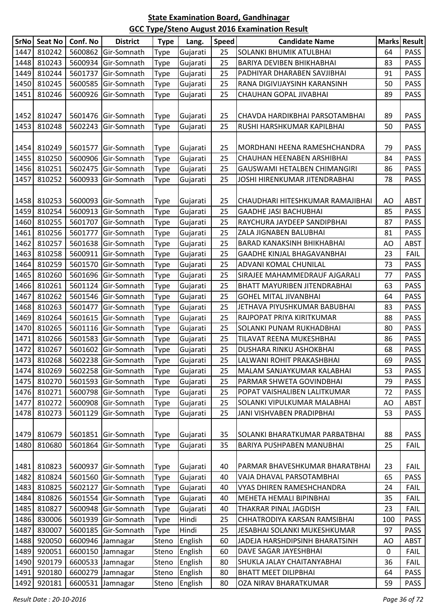| <b>SrNo</b> | <b>Seat No</b> | Conf. No | <b>District</b>     | <b>Type</b> | Lang.    | <b>Speed</b> | <b>Candidate Name</b>            |     | <b>Marks Result</b> |
|-------------|----------------|----------|---------------------|-------------|----------|--------------|----------------------------------|-----|---------------------|
| 1447        | 810242         | 5600862  | Gir-Somnath         | <b>Type</b> | Gujarati | 25           | SOLANKI BHUMIK ATULBHAI          | 64  | <b>PASS</b>         |
| 1448        | 810243         | 5600934  | Gir-Somnath         | <b>Type</b> | Gujarati | 25           | BARIYA DEVIBEN BHIKHABHAI        | 83  | <b>PASS</b>         |
| 1449        | 810244         | 5601737  | Gir-Somnath         | <b>Type</b> | Gujarati | 25           | PADHIYAR DHARABEN SAVJIBHAI      | 91  | PASS                |
| 1450        | 810245         | 5600585  | Gir-Somnath         | <b>Type</b> | Gujarati | 25           | RANA DIGIVIJAYSINH KARANSINH     | 50  | <b>PASS</b>         |
| 1451        | 810246         | 5600926  | Gir-Somnath         | <b>Type</b> | Gujarati | 25           | CHAUHAN GOPAL JIVABHAI           | 89  | <b>PASS</b>         |
|             |                |          |                     |             |          |              |                                  |     |                     |
| 1452        | 810247         | 5601476  | Gir-Somnath         | <b>Type</b> | Gujarati | 25           | CHAVDA HARDIKBHAI PARSOTAMBHAI   | 89  | <b>PASS</b>         |
| 1453        | 810248         | 5602243  | Gir-Somnath         | <b>Type</b> | Gujarati | 25           | RUSHI HARSHKUMAR KAPILBHAI       | 50  | <b>PASS</b>         |
|             |                |          |                     |             |          |              |                                  |     |                     |
| 1454        | 810249         | 5601577  | Gir-Somnath         | <b>Type</b> | Gujarati | 25           | MORDHANI HEENA RAMESHCHANDRA     | 79  | <b>PASS</b>         |
| 1455        | 810250         | 5600906  | Gir-Somnath         | <b>Type</b> | Gujarati | 25           | CHAUHAN HEENABEN ARSHIBHAI       | 84  | <b>PASS</b>         |
| 1456        | 810251         | 5602475  | Gir-Somnath         | <b>Type</b> | Gujarati | 25           | GAUSWAMI HETALBEN CHIMANGIRI     | 86  | <b>PASS</b>         |
| 1457        | 810252         | 5600933  | Gir-Somnath         | <b>Type</b> | Gujarati | 25           | JOSHI HIRENKUMAR JITENDRABHAI    | 78  | PASS                |
|             |                |          |                     |             |          |              |                                  |     |                     |
| 1458        | 810253         | 5600093  | Gir-Somnath         | <b>Type</b> | Gujarati | 25           | CHAUDHARI HITESHKUMAR RAMAJIBHAI | AO  | <b>ABST</b>         |
| 1459        | 810254         | 5600913  | Gir-Somnath         | <b>Type</b> | Gujarati | 25           | <b>GAADHE JASI BACHUBHAI</b>     | 85  | <b>PASS</b>         |
| 1460        | 810255         | 5601707  | Gir-Somnath         | <b>Type</b> | Gujarati | 25           | RAYCHURA JAYDEEP SANDIPBHAI      | 87  | <b>PASS</b>         |
| 1461        | 810256         | 5601777  | Gir-Somnath         | <b>Type</b> | Gujarati | 25           | ZALA JIGNABEN BALUBHAI           | 81  | <b>PASS</b>         |
| 1462        | 810257         | 5601638  | Gir-Somnath         | <b>Type</b> | Gujarati | 25           | BARAD KANAKSINH BHIKHABHAI       | AO  | <b>ABST</b>         |
| 1463        | 810258         | 5600911  | Gir-Somnath         | <b>Type</b> | Gujarati | 25           | GAADHE KINJAL BHAGAVANBHAI       | 23  | <b>FAIL</b>         |
| 1464        | 810259         | 5601570  | Gir-Somnath         | <b>Type</b> | Gujarati | 25           | ADVANI KOMAL CHUNILAL            | 73  | <b>PASS</b>         |
| 1465        | 810260         | 5601696  | Gir-Somnath         | <b>Type</b> | Gujarati | 25           | SIRAJEE MAHAMMEDRAUF AJGARALI    | 77  | <b>PASS</b>         |
| 1466        | 810261         | 5601124  | Gir-Somnath         | <b>Type</b> | Gujarati | 25           | BHATT MAYURIBEN JITENDRABHAI     | 63  | <b>PASS</b>         |
| 1467        | 810262         | 5601546  | Gir-Somnath         | <b>Type</b> | Gujarati | 25           | <b>GOHEL MITAL JIVANBHAI</b>     | 64  | <b>PASS</b>         |
| 1468        | 810263         | 5601477  | Gir-Somnath         | <b>Type</b> | Gujarati | 25           | JETHAVA PIYUSHKUMAR BABUBHAI     | 83  | <b>PASS</b>         |
| 1469        | 810264         | 5601615  | Gir-Somnath         | <b>Type</b> | Gujarati | 25           | RAJPOPAT PRIYA KIRITKUMAR        | 88  | <b>PASS</b>         |
| 1470        | 810265         | 5601116  | Gir-Somnath         | <b>Type</b> | Gujarati | 25           | SOLANKI PUNAM RUKHADBHAI         | 80  | <b>PASS</b>         |
| 1471        | 810266         | 5601583  | Gir-Somnath         | <b>Type</b> | Gujarati | 25           | TILAVAT REENA MUKESHBHAI         | 86  | <b>PASS</b>         |
| 1472        | 810267         | 5601602  | Gir-Somnath         | <b>Type</b> | Gujarati | 25           | DUSHARA RINKU ASHOKBHAI          | 68  | <b>PASS</b>         |
|             | 1473 810268    |          | 5602238 Gir-Somnath | <b>Type</b> | Gujarati | 25           | LALWANI ROHIT PRAKASHBHAI        | 69  | <b>PASS</b>         |
| 1474        | 810269         |          | 5602258 Gir-Somnath | <b>Type</b> | Gujarati | 25           | MALAM SANJAYKUMAR KALABHAI       | 53  | <b>PASS</b>         |
| 1475        | 810270         | 5601593  | Gir-Somnath         | <b>Type</b> | Gujarati | 25           | PARMAR SHWETA GOVINDBHAI         | 79  | <b>PASS</b>         |
| 1476        | 810271         | 5600798  | Gir-Somnath         | <b>Type</b> | Gujarati | 25           | POPAT VAISHALIBEN LALITKUMAR     | 72  | <b>PASS</b>         |
| 1477        | 810272         | 5600908  | Gir-Somnath         | <b>Type</b> | Gujarati | 25           | SOLANKI VIPULKUMAR MALABHAI      | AO  | <b>ABST</b>         |
| 1478        | 810273         | 5601129  | Gir-Somnath         | <b>Type</b> | Gujarati | 25           | JANI VISHVABEN PRADIPBHAI        | 53  | <b>PASS</b>         |
|             |                |          |                     |             |          |              |                                  |     |                     |
| 1479        | 810679         | 5601851  | Gir-Somnath         | <b>Type</b> | Gujarati | 35           | SOLANKI BHARATKUMAR PARBATBHAI   | 88  | PASS                |
| 1480        | 810680         | 5601864  | Gir-Somnath         | Type        | Gujarati | 35           | BARIYA PUSHPABEN MANUBHAI        | 25  | <b>FAIL</b>         |
|             |                |          |                     |             |          |              |                                  |     |                     |
| 1481        | 810823         | 5600937  | Gir-Somnath         | <b>Type</b> | Gujarati | 40           | PARMAR BHAVESHKUMAR BHARATBHAI   | 23  | <b>FAIL</b>         |
| 1482        | 810824         | 5601560  | Gir-Somnath         | <b>Type</b> | Gujarati | 40           | VAJA DHAVAL PARSOTAMBHAI         | 65  | <b>PASS</b>         |
| 1483        | 810825         | 5602127  | Gir-Somnath         | <b>Type</b> | Gujarati | 40           | VYAS DHIREN RAMESHCHANDRA        | 24  | <b>FAIL</b>         |
| 1484        | 810826         | 5601554  | Gir-Somnath         | <b>Type</b> | Gujarati | 40           | MEHETA HEMALI BIPINBHAI          | 35  | <b>FAIL</b>         |
| 1485        | 810827         | 5600948  | Gir-Somnath         | <b>Type</b> | Gujarati | 40           | THAKRAR PINAL JAGDISH            | 23  | <b>FAIL</b>         |
| 1486        | 830006         | 5601939  | Gir-Somnath         | <b>Type</b> | Hindi    | 25           | CHHATRODIYA KARSAN RAMSIBHAI     | 100 | <b>PASS</b>         |
| 1487        | 830007         | 5600185  | Gir-Somnath         | <b>Type</b> | Hindi    | 25           | JESABHAI SOLANKI MUKESHKUMAR     | 97  | <b>PASS</b>         |
| 1488        | 920050         | 6600946  | Jamnagar            | Steno       | English  | 60           | JADEJA HARSHDIPSINH BHARATSINH   | AO  | <b>ABST</b>         |
| 1489        | 920051         |          | 6600150 Jamnagar    | Steno       | English  | 60           | DAVE SAGAR JAYESHBHAI            | 0   | <b>FAIL</b>         |
| 1490        | 920179         |          | 6600533 Jamnagar    | Steno       | English  | 80           | SHUKLA JALAY CHAITANYABHAI       | 36  | <b>FAIL</b>         |
| 1491        | 920180         |          | 6600279 Jamnagar    | Steno       | English  | 80           | <b>BHATT MEET DILIPBHAI</b>      | 64  | PASS                |
| 1492        | 920181         | 6600531  | Jamnagar            | Steno       | English  | 80           | OZA NIRAV BHARATKUMAR            | 59  | PASS                |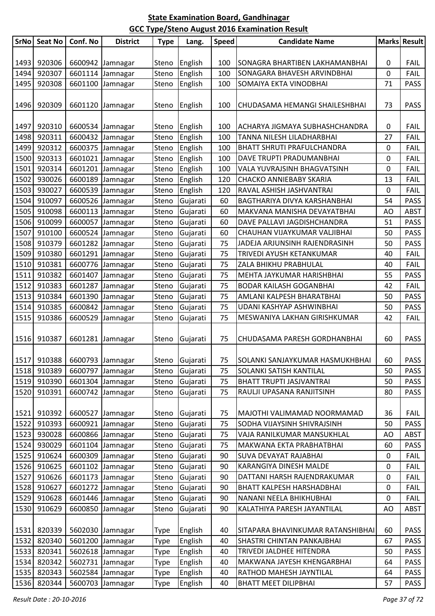| <b>SrNo</b> | <b>Seat No</b> | Conf. No                       | <b>District</b>  | <b>Type</b> | Lang.          | <b>Speed</b> | <b>Candidate Name</b>             |    | <b>Marks Result</b> |
|-------------|----------------|--------------------------------|------------------|-------------|----------------|--------------|-----------------------------------|----|---------------------|
|             |                |                                |                  |             |                |              |                                   |    |                     |
| 1493        | 920306         |                                | 6600942 Jamnagar | Steno       | English        | 100          | SONAGRA BHARTIBEN LAKHAMANBHAI    | 0  | <b>FAIL</b>         |
| 1494        | 920307         |                                | 6601114 Jamnagar | Steno       | English        | 100          | SONAGARA BHAVESH ARVINDBHAI       | 0  | <b>FAIL</b>         |
| 1495        | 920308         |                                | 6601100 Jamnagar | Steno       | English        | 100          | SOMAIYA EKTA VINODBHAI            | 71 | <b>PASS</b>         |
|             |                |                                |                  |             |                |              |                                   |    |                     |
| 1496        | 920309         |                                | 6601120 Jamnagar | Steno       | English        | 100          | CHUDASAMA HEMANGI SHAILESHBHAI    | 73 | <b>PASS</b>         |
|             |                |                                |                  |             |                |              |                                   |    |                     |
| 1497        | 920310         |                                | 6600534 Jamnagar | Steno       | English        | 100          | ACHARYA JIGMAYA SUBHASHCHANDRA    | 0  | <b>FAIL</b>         |
| 1498        | 920311         |                                | 6600432 Jamnagar | Steno       | English        | 100          | TANNA NILESH LILADHARBHAI         | 27 | <b>FAIL</b>         |
| 1499        | 920312         |                                | 6600375 Jamnagar | Steno       | English        | 100          | BHATT SHRUTI PRAFULCHANDRA        | 0  | <b>FAIL</b>         |
| 1500        | 920313         |                                | 6601021 Jamnagar | Steno       | English        | 100          | DAVE TRUPTI PRADUMANBHAI          | 0  | <b>FAIL</b>         |
| 1501        | 920314         |                                | 6601201 Jamnagar | Steno       | English        | 100          | VALA YUVRAJSINH BHAGVATSINH       | 0  | <b>FAIL</b>         |
| 1502        | 930026         |                                | 6600189 Jamnagar | Steno       | English        | 120          | CHACKO ANNIEBABY SKARIA           | 13 | <b>FAIL</b>         |
| 1503        | 930027         |                                | 6600539 Jamnagar | Steno       | English        | 120          | RAVAL ASHISH JASHVANTRAI          | 0  | <b>FAIL</b>         |
| 1504        | 910097         |                                | 6600526 Jamnagar | Steno       | Gujarati       | 60           | BAGTHARIYA DIVYA KARSHANBHAI      | 54 | <b>PASS</b>         |
| 1505        | 910098         |                                | 6600113 Jamnagar | Steno       | Gujarati       | 60           | MAKVANA MANISHA DEVAYATBHAI       | AO | <b>ABST</b>         |
| 1506        | 910099         |                                | 6600057 Jamnagar | Steno       | Gujarati       | 60           | DAVE PALLAVI JAGDISHCHANDRA       | 51 | <b>PASS</b>         |
| 1507        | 910100         |                                | 6600524 Jamnagar | Steno       | Gujarati       | 60           | CHAUHAN VIJAYKUMAR VALJIBHAI      | 50 | <b>PASS</b>         |
| 1508        | 910379         |                                | 6601282 Jamnagar | Steno       | Gujarati       | 75           | JADEJA ARJUNSINH RAJENDRASINH     | 50 | <b>PASS</b>         |
| 1509        | 910380         |                                | 6601291 Jamnagar | Steno       | Gujarati       | 75           | TRIVEDI AYUSH KETANKUMAR          | 40 | <b>FAIL</b>         |
| 1510        | 910381         |                                | 6600776 Jamnagar | Steno       | Gujarati       | 75           | ZALA BHIKHU PRABHULAL             | 40 | FAIL                |
| 1511        | 910382         |                                | 6601407 Jamnagar | Steno       | Gujarati       | 75           | MEHTA JAYKUMAR HARISHBHAI         | 55 | <b>PASS</b>         |
| 1512        | 910383         |                                | 6601287 Jamnagar | Steno       | Gujarati       | 75           | <b>BODAR KAILASH GOGANBHAI</b>    | 42 | <b>FAIL</b>         |
| 1513        | 910384         |                                | 6601390 Jamnagar | Steno       | Gujarati       | 75           | AMLANI KALPESH BHARATBHAI         | 50 | <b>PASS</b>         |
| 1514        | 910385         |                                | 6600842 Jamnagar | Steno       | Gujarati       | 75           | UDANI KASHYAP ASHWINBHAI          | 50 | <b>PASS</b>         |
| 1515        | 910386         |                                | 6600529 Jamnagar | Steno       | Gujarati       | 75           | MESWANIYA LAKHAN GIRISHKUMAR      | 42 | <b>FAIL</b>         |
|             |                |                                |                  |             |                |              |                                   |    |                     |
| 1516        | 910387         |                                | 6601281 Jamnagar | Steno       | Gujarati       | 75           | CHUDASAMA PARESH GORDHANBHAI      | 60 | <b>PASS</b>         |
|             |                |                                |                  |             |                |              |                                   |    |                     |
|             |                | 1517 910388   6600793 Jamnagar |                  |             | Steno Gujarati | 75           | SOLANKI SANJAYKUMAR HASMUKHBHAI   | 60 | PASS                |
|             | 1518 910389    |                                | 6600797 Jamnagar | Steno       | Gujarati       | 75           | SOLANKI SATISH KANTILAL           | 50 | <b>PASS</b>         |
| 1519        | 910390         |                                | 6601304 Jamnagar | Steno       | Gujarati       | 75           | BHATT TRUPTI JASJVANTRAI          | 50 | <b>PASS</b>         |
| 1520        | 910391         |                                | 6600742 Jamnagar | Steno       | Gujarati       | 75           | RAULJI UPASANA RANJITSINH         | 80 | <b>PASS</b>         |
|             |                |                                |                  |             |                |              |                                   |    |                     |
| 1521        | 910392         |                                | 6600527 Jamnagar | Steno       | Gujarati       | 75           | MAJOTHI VALIMAMAD NOORMAMAD       | 36 | <b>FAIL</b>         |
| 1522        | 910393         |                                | 6600921 Jamnagar | Steno       | Gujarati       | 75           | SODHA VIJAYSINH SHIVRAJSINH       | 50 | <b>PASS</b>         |
| 1523        | 930028         |                                | 6600866 Jamnagar | Steno       | Gujarati       | 75           | VAJA RANILKUMAR MANSUKHLAL        | AO | <b>ABST</b>         |
| 1524        | 930029         |                                | 6601104 Jamnagar | Steno       | Gujarati       | 75           | MAKWANA EKTA PRABHATBHAI          | 60 | PASS                |
| 1525        | 910624         |                                | 6600309 Jamnagar | Steno       | Gujarati       | 90           | SUVA DEVAYAT RAJABHAI             | 0  | <b>FAIL</b>         |
| 1526        | 910625         |                                | 6601102 Jamnagar | Steno       | Gujarati       | 90           | KARANGIYA DINESH MALDE            | 0  | <b>FAIL</b>         |
| 1527        | 910626         |                                | 6601173 Jamnagar | Steno       | Gujarati       | 90           | DATTANI HARSH RAJENDRAKUMAR       | 0  | <b>FAIL</b>         |
| 1528        | 910627         |                                | 6601272 Jamnagar | Steno       | Gujarati       | 90           | BHATT KALPESH HARSHADBHAI         | 0  | <b>FAIL</b>         |
| 1529        | 910628         |                                | 6601446 Jamnagar | Steno       | Gujarati       | 90           | NANANI NEELA BHIKHUBHAI           | 0  | <b>FAIL</b>         |
| 1530        | 910629         |                                | 6600850 Jamnagar | Steno       | Gujarati       | 90           | KALATHIYA PARESH JAYANTILAL       | AO | <b>ABST</b>         |
|             |                |                                |                  |             |                |              |                                   |    |                     |
| 1531        | 820339         |                                | 5602030 Jamnagar | Type        | English        | 40           | SITAPARA BHAVINKUMAR RATANSHIBHAI | 60 | <b>PASS</b>         |
| 1532        | 820340         |                                | 5601200 Jamnagar | Type        | English        | 40           | SHASTRI CHINTAN PANKAJBHAI        | 67 | PASS                |
| 1533        | 820341         |                                | 5602618 Jamnagar | Type        | English        | 40           | TRIVEDI JALDHEE HITENDRA          | 50 | PASS                |
| 1534        | 820342         |                                | 5602731 Jamnagar | Type        | English        | 40           | MAKWANA JAYESH KHENGARBHAI        | 64 | <b>PASS</b>         |
| 1535        | 820343         |                                | 5602584 Jamnagar | Type        | English        | 40           | RATHOD MAHESH JAYNTILAL           | 64 | <b>PASS</b>         |
| 1536        | 820344         |                                | 5600703 Jamnagar | Type        | English        | 40           | <b>BHATT MEET DILIPBHAI</b>       | 57 | <b>PASS</b>         |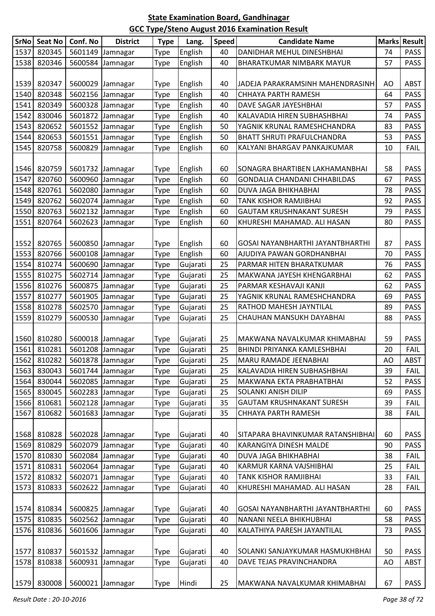|      | SrNo Seat No | Conf. No | <b>District</b>  | <b>Type</b> | Lang.    | <b>Speed</b> | <b>Candidate Name</b>               |    | <b>Marks Result</b> |
|------|--------------|----------|------------------|-------------|----------|--------------|-------------------------------------|----|---------------------|
| 1537 | 820345       |          | 5601149 Jamnagar | Type        | English  | 40           | DANIDHAR MEHUL DINESHBHAI           | 74 | <b>PASS</b>         |
| 1538 | 820346       |          | 5600584 Jamnagar | Type        | English  | 40           | BHARATKUMAR NIMBARK MAYUR           | 57 | <b>PASS</b>         |
|      |              |          |                  |             |          |              |                                     |    |                     |
| 1539 | 820347       |          | 5600029 Jamnagar | <b>Type</b> | English  | 40           | JADEJA PARAKRAMSINH MAHENDRASINH    | AO | <b>ABST</b>         |
| 1540 | 820348       |          | 5602156 Jamnagar | Type        | English  | 40           | CHHAYA PARTH RAMESH                 | 64 | <b>PASS</b>         |
| 1541 | 820349       |          | 5600328 Jamnagar | <b>Type</b> | English  | 40           | DAVE SAGAR JAYESHBHAI               | 57 | <b>PASS</b>         |
| 1542 | 830046       |          | 5601872 Jamnagar | <b>Type</b> | English  | 40           | KALAVADIA HIREN SUBHASHBHAI         | 74 | <b>PASS</b>         |
| 1543 | 820652       |          | 5601552 Jamnagar | Type        | English  | 50           | YAGNIK KRUNAL RAMESHCHANDRA         | 83 | <b>PASS</b>         |
| 1544 | 820653       |          | 5601551 Jamnagar | Type        | English  | 50           | BHATT SHRUTI PRAFULCHANDRA          | 53 | <b>PASS</b>         |
| 1545 | 820758       | 5600829  | Jamnagar         | <b>Type</b> | English  | 60           | KALYANI BHARGAV PANKAJKUMAR         | 10 | <b>FAIL</b>         |
|      |              |          |                  |             |          |              |                                     |    |                     |
| 1546 | 820759       |          | 5601732 Jamnagar | <b>Type</b> | English  | 60           | SONAGRA BHARTIBEN LAKHAMANBHAI      | 58 | <b>PASS</b>         |
| 1547 | 820760       |          | 5600960 Jamnagar | Type        | English  | 60           | <b>GONDALIA CHANDANI CHHABILDAS</b> | 67 | <b>PASS</b>         |
| 1548 | 820761       |          | 5602080 Jamnagar | <b>Type</b> | English  | 60           | DUVA JAGA BHIKHABHAI                | 78 | <b>PASS</b>         |
| 1549 | 820762       |          | 5602074 Jamnagar | <b>Type</b> | English  | 60           | TANK KISHOR RAMJIBHAI               | 92 | <b>PASS</b>         |
| 1550 | 820763       |          | 5602132 Jamnagar | Type        | English  | 60           | <b>GAUTAM KRUSHNAKANT SURESH</b>    | 79 | <b>PASS</b>         |
| 1551 | 820764       |          | 5602623 Jamnagar | <b>Type</b> | English  | 60           | KHURESHI MAHAMAD. ALI HASAN         | 80 | <b>PASS</b>         |
|      |              |          |                  |             |          |              |                                     |    |                     |
| 1552 | 820765       |          | 5600850 Jamnagar | <b>Type</b> | English  | 60           | GOSAI NAYANBHARTHI JAYANTBHARTHI    | 87 | <b>PASS</b>         |
| 1553 | 820766       |          | 5600108 Jamnagar | <b>Type</b> | English  | 60           | AJUDIYA PAWAN GORDHANBHAI           | 70 | <b>PASS</b>         |
| 1554 | 810274       |          | 5600690 Jamnagar | Type        | Gujarati | 25           | PARMAR HITEN BHARATKUMAR            | 76 | <b>PASS</b>         |
| 1555 | 810275       |          | 5602714 Jamnagar | Type        | Gujarati | 25           | MAKWANA JAYESH KHENGARBHAI          | 62 | <b>PASS</b>         |
| 1556 | 810276       |          | 5600875 Jamnagar | Type        | Gujarati | 25           | PARMAR KESHAVAJI KANJI              | 62 | <b>PASS</b>         |
| 1557 | 810277       |          | 5601905 Jamnagar | Type        | Gujarati | 25           | YAGNIK KRUNAL RAMESHCHANDRA         | 69 | <b>PASS</b>         |
| 1558 | 810278       |          | 5602570 Jamnagar | <b>Type</b> | Gujarati | 25           | RATHOD MAHESH JAYNTILAL             | 89 | <b>PASS</b>         |
| 1559 | 810279       |          | 5600530 Jamnagar | <b>Type</b> | Gujarati | 25           | CHAUHAN MANSUKH DAYABHAI            | 88 | <b>PASS</b>         |
|      |              |          |                  |             |          |              |                                     |    |                     |
| 1560 | 810280       |          | 5600018 Jamnagar | <b>Type</b> | Gujarati | 25           | MAKWANA NAVALKUMAR KHIMABHAI        | 59 | <b>PASS</b>         |
| 1561 | 810281       |          | 5601208 Jamnagar | <b>Type</b> | Gujarati | 25           | BHINDI PRIYANKA KAMLESHBHAI         | 20 | FAIL                |
|      | 1562 810282  |          | 5601878 Jamnagar | Type        | Gujarati | 25           | MARU RAMADE JEENABHAI               | AO | ABST                |
| 1563 | 830043       |          | 5601744 Jamnagar | Type        | Gujarati | 25           | KALAVADIA HIREN SUBHASHBHAI         | 39 | <b>FAIL</b>         |
| 1564 | 830044       |          | 5602085 Jamnagar | Type        | Gujarati | 25           | MAKWANA EKTA PRABHATBHAI            | 52 | <b>PASS</b>         |
| 1565 | 830045       |          | 5602283 Jamnagar | Type        | Gujarati | 25           | SOLANKI ANISH DILIP                 | 69 | <b>PASS</b>         |
| 1566 | 810681       |          | 5602128 Jamnagar | Type        | Gujarati | 35           | <b>GAUTAM KRUSHNAKANT SURESH</b>    | 39 | <b>FAIL</b>         |
| 1567 | 810682       |          | 5601683 Jamnagar | Type        | Gujarati | 35           | CHHAYA PARTH RAMESH                 | 38 | <b>FAIL</b>         |
|      |              |          |                  |             |          |              |                                     |    |                     |
| 1568 | 810828       |          | 5602028 Jamnagar | <b>Type</b> | Gujarati | 40           | SITAPARA BHAVINKUMAR RATANSHIBHAI   | 60 | <b>PASS</b>         |
| 1569 | 810829       |          | 5602079 Jamnagar | Type        | Gujarati | 40           | KARANGIYA DINESH MALDE              | 90 | <b>PASS</b>         |
| 1570 | 810830       |          | 5602084 Jamnagar | Type        | Gujarati | 40           | DUVA JAGA BHIKHABHAI                | 38 | <b>FAIL</b>         |
| 1571 | 810831       |          | 5602064 Jamnagar | Type        | Gujarati | 40           | KARMUR KARNA VAJSHIBHAI             | 25 | <b>FAIL</b>         |
| 1572 | 810832       |          | 5602071 Jamnagar | <b>Type</b> | Gujarati | 40           | TANK KISHOR RAMJIBHAI               | 33 | <b>FAIL</b>         |
| 1573 | 810833       |          | 5602622 Jamnagar | Type        | Gujarati | 40           | KHURESHI MAHAMAD. ALI HASAN         | 28 | <b>FAIL</b>         |
|      |              |          |                  |             |          |              |                                     |    |                     |
| 1574 | 810834       |          | 5600825 Jamnagar | <b>Type</b> | Gujarati | 40           | GOSAI NAYANBHARTHI JAYANTBHARTHI    | 60 | <b>PASS</b>         |
| 1575 | 810835       |          | 5602562 Jamnagar | Type        | Gujarati | 40           | NANANI NEELA BHIKHUBHAI             | 58 | <b>PASS</b>         |
| 1576 | 810836       |          | 5601606 Jamnagar | <b>Type</b> | Gujarati | 40           | KALATHIYA PARESH JAYANTILAL         | 73 | <b>PASS</b>         |
|      |              |          |                  |             |          |              |                                     |    |                     |
| 1577 | 810837       |          | 5601532 Jamnagar | Type        | Gujarati | 40           | SOLANKI SANJAYKUMAR HASMUKHBHAI     | 50 | <b>PASS</b>         |
| 1578 | 810838       |          | 5600931 Jamnagar | <b>Type</b> | Gujarati | 40           | DAVE TEJAS PRAVINCHANDRA            | AO | <b>ABST</b>         |
|      |              |          |                  |             |          |              |                                     |    |                     |
| 1579 | 830008       |          | 5600021 Jamnagar | <b>Type</b> | Hindi    | 25           | MAKWANA NAVALKUMAR KHIMABHAI        | 67 | PASS                |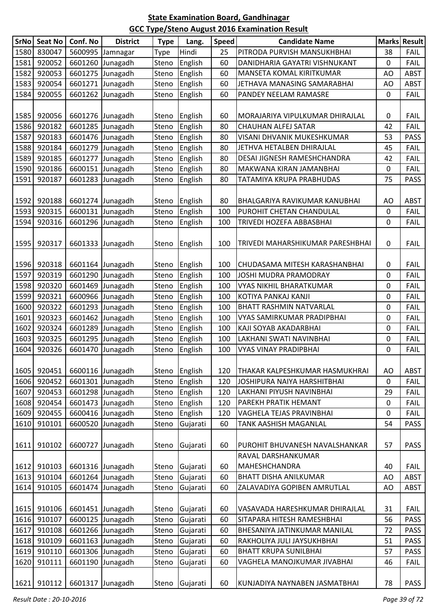| SrNo | <b>Seat No</b> | Conf. No | <b>District</b>  | <b>Type</b> | Lang.    | <b>Speed</b> | <b>Candidate Name</b>                | <b>Marks</b> | Result      |
|------|----------------|----------|------------------|-------------|----------|--------------|--------------------------------------|--------------|-------------|
| 1580 | 830047         | 5600995  | Jamnagar         | Type        | Hindi    | 25           | PITRODA PURVISH MANSUKHBHAI          | 38           | <b>FAIL</b> |
| 1581 | 920052         | 6601260  | Junagadh         | Steno       | English  | 60           | DANIDHARIA GAYATRI VISHNUKANT        | 0            | <b>FAIL</b> |
| 1582 | 920053         | 6601275  | Junagadh         | Steno       | English  | 60           | <b>MANSETA KOMAL KIRITKUMAR</b>      | AO           | <b>ABST</b> |
| 1583 | 920054         | 6601271  | Junagadh         | Steno       | English  | 60           | JETHAVA MANASING SAMARABHAI          | AO           | <b>ABST</b> |
| 1584 | 920055         | 6601262  | Junagadh         | Steno       | English  | 60           | PANDEY NEELAM RAMASRE                | 0            | <b>FAIL</b> |
|      |                |          |                  |             |          |              |                                      |              |             |
| 1585 | 920056         |          | 6601276 Junagadh | Steno       | English  | 60           | MORAJARIYA VIPULKUMAR DHIRAJLAL      | 0            | <b>FAIL</b> |
| 1586 | 920182         | 6601285  | Junagadh         | Steno       | English  | 80           | <b>CHAUHAN ALFEJ SATAR</b>           | 42           | <b>FAIL</b> |
| 1587 | 920183         |          | 6601476 Junagadh | Steno       | English  | 80           | VISANI DHVANIK MUKESHKUMAR           | 53           | <b>PASS</b> |
| 1588 | 920184         | 6601279  | Junagadh         | Steno       | English  | 80           | JETHVA HETALBEN DHIRAJLAL            | 45           | <b>FAIL</b> |
| 1589 | 920185         | 6601277  | Junagadh         | Steno       | English  | 80           | DESAI JIGNESH RAMESHCHANDRA          | 42           | <b>FAIL</b> |
| 1590 | 920186         |          | 6600151 Junagadh | Steno       | English  | 80           | MAKWANA KIRAN JAMANBHAI              | 0            | FAIL        |
| 1591 | 920187         | 6601283  | Junagadh         | Steno       | English  | 80           | TATAMIYA KRUPA PRABHUDAS             | 75           | <b>PASS</b> |
|      |                |          |                  |             |          |              |                                      |              |             |
| 1592 | 920188         |          | 6601274 Junagadh | Steno       | English  | 80           | <b>BHALGARIYA RAVIKUMAR KANUBHAI</b> | AO           | <b>ABST</b> |
| 1593 | 920315         | 6600131  | Junagadh         | Steno       | English  | 100          | PUROHIT CHETAN CHANDULAL             | 0            | <b>FAIL</b> |
| 1594 | 920316         | 6601296  | Junagadh         | Steno       | English  | 100          | TRIVEDI HOZEFA ABBASBHAI             | 0            | <b>FAIL</b> |
|      |                |          |                  |             |          |              |                                      |              |             |
| 1595 | 920317         | 6601333  | Junagadh         | Steno       | English  | 100          | TRIVEDI MAHARSHIKUMAR PARESHBHAI     | 0            | <b>FAIL</b> |
|      |                |          |                  |             |          |              |                                      |              |             |
| 1596 | 920318         |          | 6601164 Junagadh | Steno       | English  | 100          | CHUDASAMA MITESH KARASHANBHAI        | 0            | <b>FAIL</b> |
| 1597 | 920319         | 6601290  | Junagadh         | Steno       | English  | 100          | JOSHI MUDRA PRAMODRAY                | 0            | <b>FAIL</b> |
| 1598 | 920320         | 6601469  | Junagadh         | Steno       | English  | 100          | <b>VYAS NIKHIL BHARATKUMAR</b>       | 0            | <b>FAIL</b> |
| 1599 | 920321         | 6600966  | Junagadh         | Steno       | English  | 100          | KOTIYA PANKAJ KANJI                  | 0            | <b>FAIL</b> |
| 1600 | 920322         | 6601293  | Junagadh         | Steno       | English  | 100          | <b>BHATT RASHMIN NATVARLAL</b>       | 0            | <b>FAIL</b> |
| 1601 | 920323         | 6601462  | Junagadh         | Steno       | English  | 100          | VYAS SAMIRKUMAR PRADIPBHAI           | 0            | <b>FAIL</b> |
| 1602 | 920324         | 6601289  | Junagadh         | Steno       | English  | 100          | KAJI SOYAB AKADARBHAI                | 0            | <b>FAIL</b> |
| 1603 | 920325         | 6601295  | Junagadh         | Steno       | English  | 100          | LAKHANI SWATI NAVINBHAI              | 0            | <b>FAIL</b> |
| 1604 | 920326         | 6601470  | Junagadh         | Steno       | English  | 100          | <b>VYAS VINAY PRADIPBHAI</b>         | 0            | <b>FAIL</b> |
|      |                |          |                  |             |          |              |                                      |              |             |
| 1605 | 920451         |          | 6600116 Junagadh | Steno       | English  | 120          | THAKAR KALPESHKUMAR HASMUKHRAI       | AO           | <b>ABST</b> |
| 1606 | 920452         | 6601301  | Junagadh         | Steno       | English  | 120          | JOSHIPURA NAIYA HARSHITBHAI          | 0            | <b>FAIL</b> |
| 1607 | 920453         | 6601298  | Junagadh         | Steno       | English  | 120          | LAKHANI PIYUSH NAVINBHAI             | 29           | <b>FAIL</b> |
| 1608 | 920454         | 6601473  | Junagadh         | Steno       | English  | 120          | <b>PAREKH PRATIK HEMANT</b>          | 0            | <b>FAIL</b> |
| 1609 | 920455         | 6600416  | Junagadh         | Steno       | English  | 120          | VAGHELA TEJAS PRAVINBHAI             | 0            | <b>FAIL</b> |
| 1610 | 910101         | 6600520  | Junagadh         | Steno       | Gujarati | 60           | TANK AASHISH MAGANLAL                | 54           | <b>PASS</b> |
|      |                |          |                  |             |          |              |                                      |              |             |
| 1611 | 910102         | 6600727  | Junagadh         | Steno       | Gujarati | 60           | PUROHIT BHUVANESH NAVALSHANKAR       | 57           | <b>PASS</b> |
|      |                |          |                  |             |          |              | RAVAL DARSHANKUMAR                   |              |             |
| 1612 | 910103         |          | 6601316 Junagadh | Steno       | Gujarati | 60           | MAHESHCHANDRA                        | 40           | <b>FAIL</b> |
| 1613 | 910104         | 6601264  | Junagadh         | Steno       | Gujarati | 60           | <b>BHATT DISHA ANILKUMAR</b>         | AO           | <b>ABST</b> |
| 1614 | 910105         | 6601474  | Junagadh         | Steno       | Gujarati | 60           | ZALAVADIYA GOPIBEN AMRUTLAL          | AO           | <b>ABST</b> |
|      |                |          |                  |             |          |              |                                      |              |             |
| 1615 | 910106         |          | 6601451 Junagadh | Steno       | Gujarati | 60           | VASAVADA HARESHKUMAR DHIRAJLAL       | 31           | <b>FAIL</b> |
| 1616 | 910107         |          | 6600125 Junagadh | Steno       | Gujarati | 60           | SITAPARA HITESH RAMESHBHAI           | 56           | PASS        |
| 1617 | 910108         | 6601266  | Junagadh         | Steno       | Gujarati | 60           | BHESANIYA JATINKUMAR MANILAL         | 72           | PASS        |
| 1618 | 910109         | 6601163  | Junagadh         | Steno       | Gujarati | 60           | RAKHOLIYA JULI JAYSUKHBHAI           | 51           | <b>PASS</b> |
| 1619 | 910110         | 6601306  | Junagadh         | Steno       | Gujarati | 60           | <b>BHATT KRUPA SUNILBHAI</b>         | 57           | <b>PASS</b> |
| 1620 | 910111         | 6601190  | Junagadh         | Steno       | Gujarati | 60           | VAGHELA MANOJKUMAR JIVABHAI          | 46           | <b>FAIL</b> |
|      |                |          |                  |             |          |              |                                      |              |             |
| 1621 | 910112         | 6601317  | Junagadh         | Steno       | Gujarati | 60           | KUNJADIYA NAYNABEN JASMATBHAI        | 78           | PASS        |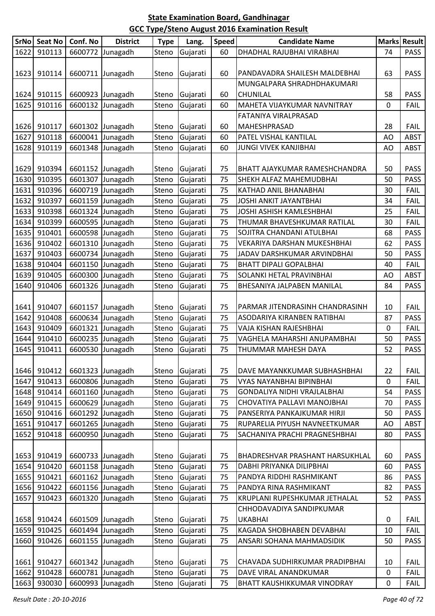| 1622<br>DHADHAL RAJUBHAI VIRABHAI<br>910113<br>6600772<br>Gujarati<br>Junagadh<br>Steno<br>60<br>74<br>1623<br>910114<br>6600711 Junagadh<br>Gujarati<br>60<br>63<br>Steno<br>PANDAVADRA SHAILESH MALDEBHAI<br>MUNGALPARA SHRADHDHAKUMARI<br>910115<br>58<br>1624<br>6600923 Junagadh<br>Gujarati<br>60<br><b>CHUNILAL</b><br>Steno<br>1625<br>910116<br>6600132<br>Junagadh<br>Steno<br>Gujarati<br>0<br>60<br>MAHETA VIJAYKUMAR NAVNITRAY<br>FATANIYA VIRALPRASAD<br>910117<br>60<br>28<br>1626<br>6601302 Junagadh<br>Gujarati<br>MAHESHPRASAD<br>Steno<br>910118<br>1627<br>6600041 Junagadh<br>Steno<br>Gujarati<br>PATEL VISHAL KANTILAL<br>60<br>AO<br>910119<br>6601348<br>1628<br>Junagadh<br>Steno<br>Gujarati<br>60<br><b>JUNGI VIVEK KANJIBHAI</b><br>AO<br>1629<br>910394<br>Gujarati<br>50<br>6601152 Junagadh<br>75<br>BHATT AJAYKUMAR RAMESHCHANDRA<br><b>Steno</b><br>910395<br>1630<br>6601307<br>Junagadh<br>Steno<br>Gujarati<br>75<br>SHEKH ALFAZ MAHEMUDBHAI<br>50<br>910396<br>1631<br>6600719<br>75<br>Junagadh<br>Steno<br>Gujarati<br>30<br>KATHAD ANIL BHANABHAI<br>910397<br>1632<br>6601159<br>75<br>34<br>Junagadh<br>Steno<br><b>JOSHI ANKIT JAYANTBHAI</b><br>Gujarati<br>910398<br>1633<br>6601324 Junagadh<br>JOSHI ASHISH KAMLESHBHAI<br>Steno<br>Gujarati<br>75<br>25<br>910399<br>1634<br>6600595<br>Junagadh<br>Steno<br>75<br>Gujarati<br>THUMAR BHAVESHKUMAR RATILAL<br>30<br>910401<br>1635<br>6600598<br>Junagadh<br>Steno<br>75<br>Gujarati<br>SOJITRA CHANDANI ATULBHAI<br>68<br>1636<br>910402<br>6601310<br>Junagadh<br>75<br>62<br>Steno<br>Gujarati<br>VEKARIYA DARSHAN MUKESHBHAI<br>1637<br>910403<br>6600734<br>75<br>Junagadh<br>Steno<br>Gujarati<br>JADAV DARSHKUMAR ARVINDBHAI<br>50<br>910404<br>1638<br>6601150 Junagadh<br>75<br>Steno<br>Gujarati<br><b>BHATT DIPALI GOPALBHAI</b><br>40 | Marks Result |
|-----------------------------------------------------------------------------------------------------------------------------------------------------------------------------------------------------------------------------------------------------------------------------------------------------------------------------------------------------------------------------------------------------------------------------------------------------------------------------------------------------------------------------------------------------------------------------------------------------------------------------------------------------------------------------------------------------------------------------------------------------------------------------------------------------------------------------------------------------------------------------------------------------------------------------------------------------------------------------------------------------------------------------------------------------------------------------------------------------------------------------------------------------------------------------------------------------------------------------------------------------------------------------------------------------------------------------------------------------------------------------------------------------------------------------------------------------------------------------------------------------------------------------------------------------------------------------------------------------------------------------------------------------------------------------------------------------------------------------------------------------------------------------------------------------------------------------------------------------|--------------|
|                                                                                                                                                                                                                                                                                                                                                                                                                                                                                                                                                                                                                                                                                                                                                                                                                                                                                                                                                                                                                                                                                                                                                                                                                                                                                                                                                                                                                                                                                                                                                                                                                                                                                                                                                                                                                                                     | <b>PASS</b>  |
|                                                                                                                                                                                                                                                                                                                                                                                                                                                                                                                                                                                                                                                                                                                                                                                                                                                                                                                                                                                                                                                                                                                                                                                                                                                                                                                                                                                                                                                                                                                                                                                                                                                                                                                                                                                                                                                     |              |
|                                                                                                                                                                                                                                                                                                                                                                                                                                                                                                                                                                                                                                                                                                                                                                                                                                                                                                                                                                                                                                                                                                                                                                                                                                                                                                                                                                                                                                                                                                                                                                                                                                                                                                                                                                                                                                                     | <b>PASS</b>  |
|                                                                                                                                                                                                                                                                                                                                                                                                                                                                                                                                                                                                                                                                                                                                                                                                                                                                                                                                                                                                                                                                                                                                                                                                                                                                                                                                                                                                                                                                                                                                                                                                                                                                                                                                                                                                                                                     |              |
|                                                                                                                                                                                                                                                                                                                                                                                                                                                                                                                                                                                                                                                                                                                                                                                                                                                                                                                                                                                                                                                                                                                                                                                                                                                                                                                                                                                                                                                                                                                                                                                                                                                                                                                                                                                                                                                     | <b>PASS</b>  |
|                                                                                                                                                                                                                                                                                                                                                                                                                                                                                                                                                                                                                                                                                                                                                                                                                                                                                                                                                                                                                                                                                                                                                                                                                                                                                                                                                                                                                                                                                                                                                                                                                                                                                                                                                                                                                                                     | <b>FAIL</b>  |
|                                                                                                                                                                                                                                                                                                                                                                                                                                                                                                                                                                                                                                                                                                                                                                                                                                                                                                                                                                                                                                                                                                                                                                                                                                                                                                                                                                                                                                                                                                                                                                                                                                                                                                                                                                                                                                                     |              |
|                                                                                                                                                                                                                                                                                                                                                                                                                                                                                                                                                                                                                                                                                                                                                                                                                                                                                                                                                                                                                                                                                                                                                                                                                                                                                                                                                                                                                                                                                                                                                                                                                                                                                                                                                                                                                                                     | <b>FAIL</b>  |
|                                                                                                                                                                                                                                                                                                                                                                                                                                                                                                                                                                                                                                                                                                                                                                                                                                                                                                                                                                                                                                                                                                                                                                                                                                                                                                                                                                                                                                                                                                                                                                                                                                                                                                                                                                                                                                                     | <b>ABST</b>  |
|                                                                                                                                                                                                                                                                                                                                                                                                                                                                                                                                                                                                                                                                                                                                                                                                                                                                                                                                                                                                                                                                                                                                                                                                                                                                                                                                                                                                                                                                                                                                                                                                                                                                                                                                                                                                                                                     | <b>ABST</b>  |
|                                                                                                                                                                                                                                                                                                                                                                                                                                                                                                                                                                                                                                                                                                                                                                                                                                                                                                                                                                                                                                                                                                                                                                                                                                                                                                                                                                                                                                                                                                                                                                                                                                                                                                                                                                                                                                                     |              |
|                                                                                                                                                                                                                                                                                                                                                                                                                                                                                                                                                                                                                                                                                                                                                                                                                                                                                                                                                                                                                                                                                                                                                                                                                                                                                                                                                                                                                                                                                                                                                                                                                                                                                                                                                                                                                                                     | <b>PASS</b>  |
|                                                                                                                                                                                                                                                                                                                                                                                                                                                                                                                                                                                                                                                                                                                                                                                                                                                                                                                                                                                                                                                                                                                                                                                                                                                                                                                                                                                                                                                                                                                                                                                                                                                                                                                                                                                                                                                     | <b>PASS</b>  |
|                                                                                                                                                                                                                                                                                                                                                                                                                                                                                                                                                                                                                                                                                                                                                                                                                                                                                                                                                                                                                                                                                                                                                                                                                                                                                                                                                                                                                                                                                                                                                                                                                                                                                                                                                                                                                                                     | FAIL         |
|                                                                                                                                                                                                                                                                                                                                                                                                                                                                                                                                                                                                                                                                                                                                                                                                                                                                                                                                                                                                                                                                                                                                                                                                                                                                                                                                                                                                                                                                                                                                                                                                                                                                                                                                                                                                                                                     | <b>FAIL</b>  |
|                                                                                                                                                                                                                                                                                                                                                                                                                                                                                                                                                                                                                                                                                                                                                                                                                                                                                                                                                                                                                                                                                                                                                                                                                                                                                                                                                                                                                                                                                                                                                                                                                                                                                                                                                                                                                                                     | FAIL         |
|                                                                                                                                                                                                                                                                                                                                                                                                                                                                                                                                                                                                                                                                                                                                                                                                                                                                                                                                                                                                                                                                                                                                                                                                                                                                                                                                                                                                                                                                                                                                                                                                                                                                                                                                                                                                                                                     | <b>FAIL</b>  |
|                                                                                                                                                                                                                                                                                                                                                                                                                                                                                                                                                                                                                                                                                                                                                                                                                                                                                                                                                                                                                                                                                                                                                                                                                                                                                                                                                                                                                                                                                                                                                                                                                                                                                                                                                                                                                                                     | <b>PASS</b>  |
|                                                                                                                                                                                                                                                                                                                                                                                                                                                                                                                                                                                                                                                                                                                                                                                                                                                                                                                                                                                                                                                                                                                                                                                                                                                                                                                                                                                                                                                                                                                                                                                                                                                                                                                                                                                                                                                     | <b>PASS</b>  |
|                                                                                                                                                                                                                                                                                                                                                                                                                                                                                                                                                                                                                                                                                                                                                                                                                                                                                                                                                                                                                                                                                                                                                                                                                                                                                                                                                                                                                                                                                                                                                                                                                                                                                                                                                                                                                                                     | <b>PASS</b>  |
|                                                                                                                                                                                                                                                                                                                                                                                                                                                                                                                                                                                                                                                                                                                                                                                                                                                                                                                                                                                                                                                                                                                                                                                                                                                                                                                                                                                                                                                                                                                                                                                                                                                                                                                                                                                                                                                     | FAIL         |
| 910405<br>6600300<br>1639<br>Junagadh<br>75<br>Steno<br>Gujarati<br>SOLANKI HETAL PRAVINBHAI<br>AO                                                                                                                                                                                                                                                                                                                                                                                                                                                                                                                                                                                                                                                                                                                                                                                                                                                                                                                                                                                                                                                                                                                                                                                                                                                                                                                                                                                                                                                                                                                                                                                                                                                                                                                                                  | <b>ABST</b>  |
| 910406<br>6601326<br>1640<br>Junagadh<br>Steno<br>Gujarati<br>75<br>84<br>BHESANIYA JALPABEN MANILAL                                                                                                                                                                                                                                                                                                                                                                                                                                                                                                                                                                                                                                                                                                                                                                                                                                                                                                                                                                                                                                                                                                                                                                                                                                                                                                                                                                                                                                                                                                                                                                                                                                                                                                                                                | <b>PASS</b>  |
|                                                                                                                                                                                                                                                                                                                                                                                                                                                                                                                                                                                                                                                                                                                                                                                                                                                                                                                                                                                                                                                                                                                                                                                                                                                                                                                                                                                                                                                                                                                                                                                                                                                                                                                                                                                                                                                     |              |
| 910407<br>6601157<br>1641<br>Junagadh<br>Steno<br>Gujarati<br>75<br>PARMAR JITENDRASINH CHANDRASINH<br>10                                                                                                                                                                                                                                                                                                                                                                                                                                                                                                                                                                                                                                                                                                                                                                                                                                                                                                                                                                                                                                                                                                                                                                                                                                                                                                                                                                                                                                                                                                                                                                                                                                                                                                                                           | <b>FAIL</b>  |
| 910408<br>6600634 Junagadh<br>75<br>1642<br>Steno<br>Gujarati<br>87<br>ASODARIYA KIRANBEN RATIBHAI                                                                                                                                                                                                                                                                                                                                                                                                                                                                                                                                                                                                                                                                                                                                                                                                                                                                                                                                                                                                                                                                                                                                                                                                                                                                                                                                                                                                                                                                                                                                                                                                                                                                                                                                                  | <b>PASS</b>  |
| 910409<br>75<br>1643<br>6601321<br>Junagadh<br>VAJA KISHAN RAJESHBHAI<br>0<br>Steno<br>Gujarati                                                                                                                                                                                                                                                                                                                                                                                                                                                                                                                                                                                                                                                                                                                                                                                                                                                                                                                                                                                                                                                                                                                                                                                                                                                                                                                                                                                                                                                                                                                                                                                                                                                                                                                                                     | <b>FAIL</b>  |
| 910410<br>1644<br>6600235 Junagadh<br>Steno<br>Gujarati<br>75<br>50<br>VAGHELA MAHARSHI ANUPAMBHAI                                                                                                                                                                                                                                                                                                                                                                                                                                                                                                                                                                                                                                                                                                                                                                                                                                                                                                                                                                                                                                                                                                                                                                                                                                                                                                                                                                                                                                                                                                                                                                                                                                                                                                                                                  | <b>PASS</b>  |
| 910411<br>6600530<br>1645<br>Junagadh<br>Steno<br>75<br>THUMMAR MAHESH DAYA<br>52<br>Gujarati                                                                                                                                                                                                                                                                                                                                                                                                                                                                                                                                                                                                                                                                                                                                                                                                                                                                                                                                                                                                                                                                                                                                                                                                                                                                                                                                                                                                                                                                                                                                                                                                                                                                                                                                                       | <b>PASS</b>  |
|                                                                                                                                                                                                                                                                                                                                                                                                                                                                                                                                                                                                                                                                                                                                                                                                                                                                                                                                                                                                                                                                                                                                                                                                                                                                                                                                                                                                                                                                                                                                                                                                                                                                                                                                                                                                                                                     |              |
| 6601323 Junagadh<br>22<br>1646<br>910412<br>Steno<br>Gujarati<br>75<br>DAVE MAYANKKUMAR SUBHASHBHAI                                                                                                                                                                                                                                                                                                                                                                                                                                                                                                                                                                                                                                                                                                                                                                                                                                                                                                                                                                                                                                                                                                                                                                                                                                                                                                                                                                                                                                                                                                                                                                                                                                                                                                                                                 | <b>FAIL</b>  |
| 910413<br>6600806<br>1647<br>Junagadh<br>Steno<br>Gujarati<br>75<br>VYAS NAYANBHAI BIPINBHAI<br>0                                                                                                                                                                                                                                                                                                                                                                                                                                                                                                                                                                                                                                                                                                                                                                                                                                                                                                                                                                                                                                                                                                                                                                                                                                                                                                                                                                                                                                                                                                                                                                                                                                                                                                                                                   | <b>FAIL</b>  |
| 910414<br>6601160<br>1648<br>Junagadh<br>Steno<br>75<br>54<br>Gujarati<br><b>GONDALIYA NIDHI VRAJLALBHAI</b>                                                                                                                                                                                                                                                                                                                                                                                                                                                                                                                                                                                                                                                                                                                                                                                                                                                                                                                                                                                                                                                                                                                                                                                                                                                                                                                                                                                                                                                                                                                                                                                                                                                                                                                                        | <b>PASS</b>  |
| 910415<br>6600629 Junagadh<br>75<br>70<br>1649<br>Steno<br>Gujarati<br>CHOVATIYA PALLAVI MANOJBHAI                                                                                                                                                                                                                                                                                                                                                                                                                                                                                                                                                                                                                                                                                                                                                                                                                                                                                                                                                                                                                                                                                                                                                                                                                                                                                                                                                                                                                                                                                                                                                                                                                                                                                                                                                  | <b>PASS</b>  |
| 910416<br>6601292 Junagadh<br>1650<br>Steno<br>Gujarati<br>75<br>PANSERIYA PANKAJKUMAR HIRJI<br>50                                                                                                                                                                                                                                                                                                                                                                                                                                                                                                                                                                                                                                                                                                                                                                                                                                                                                                                                                                                                                                                                                                                                                                                                                                                                                                                                                                                                                                                                                                                                                                                                                                                                                                                                                  | <b>PASS</b>  |
| 910417<br>Junagadh<br>1651<br>6601265<br>Steno<br>Gujarati<br>75<br>RUPARELIA PIYUSH NAVNEETKUMAR<br>AO                                                                                                                                                                                                                                                                                                                                                                                                                                                                                                                                                                                                                                                                                                                                                                                                                                                                                                                                                                                                                                                                                                                                                                                                                                                                                                                                                                                                                                                                                                                                                                                                                                                                                                                                             | <b>ABST</b>  |
| 1652<br>910418<br>6600950<br>Junagadh<br>Steno<br>75<br>SACHANIYA PRACHI PRAGNESHBHAI<br>80<br>Gujarati                                                                                                                                                                                                                                                                                                                                                                                                                                                                                                                                                                                                                                                                                                                                                                                                                                                                                                                                                                                                                                                                                                                                                                                                                                                                                                                                                                                                                                                                                                                                                                                                                                                                                                                                             | <b>PASS</b>  |
|                                                                                                                                                                                                                                                                                                                                                                                                                                                                                                                                                                                                                                                                                                                                                                                                                                                                                                                                                                                                                                                                                                                                                                                                                                                                                                                                                                                                                                                                                                                                                                                                                                                                                                                                                                                                                                                     |              |
| 75<br>1653<br>910419<br>6600733 Junagadh<br><b>BHADRESHVAR PRASHANT HARSUKHLAL</b><br>60<br>Steno<br>Gujarati                                                                                                                                                                                                                                                                                                                                                                                                                                                                                                                                                                                                                                                                                                                                                                                                                                                                                                                                                                                                                                                                                                                                                                                                                                                                                                                                                                                                                                                                                                                                                                                                                                                                                                                                       | <b>PASS</b>  |
| 910420<br>6601158 Junagadh<br>Steno<br>75<br>1654<br>Gujarati<br>DABHI PRIYANKA DILIPBHAI<br>60                                                                                                                                                                                                                                                                                                                                                                                                                                                                                                                                                                                                                                                                                                                                                                                                                                                                                                                                                                                                                                                                                                                                                                                                                                                                                                                                                                                                                                                                                                                                                                                                                                                                                                                                                     | PASS         |
| 910421<br>6601162<br>Junagadh<br>1655<br>Steno<br>Gujarati<br>75<br>PANDYA RIDDHI RASHMIKANT<br>86                                                                                                                                                                                                                                                                                                                                                                                                                                                                                                                                                                                                                                                                                                                                                                                                                                                                                                                                                                                                                                                                                                                                                                                                                                                                                                                                                                                                                                                                                                                                                                                                                                                                                                                                                  | <b>PASS</b>  |
| 910422<br>6601156 Junagadh<br>1656<br>Steno<br>PANDYA RINA RASHMIKANT<br>Gujarati<br>75<br>82                                                                                                                                                                                                                                                                                                                                                                                                                                                                                                                                                                                                                                                                                                                                                                                                                                                                                                                                                                                                                                                                                                                                                                                                                                                                                                                                                                                                                                                                                                                                                                                                                                                                                                                                                       | <b>PASS</b>  |
| 910423<br>1657<br>6601320<br>Junagadh<br>Steno<br>Gujarati<br>75<br>KRUPLANI RUPESHKUMAR JETHALAL<br>52                                                                                                                                                                                                                                                                                                                                                                                                                                                                                                                                                                                                                                                                                                                                                                                                                                                                                                                                                                                                                                                                                                                                                                                                                                                                                                                                                                                                                                                                                                                                                                                                                                                                                                                                             | <b>PASS</b>  |
| CHHODAVADIYA SANDIPKUMAR                                                                                                                                                                                                                                                                                                                                                                                                                                                                                                                                                                                                                                                                                                                                                                                                                                                                                                                                                                                                                                                                                                                                                                                                                                                                                                                                                                                                                                                                                                                                                                                                                                                                                                                                                                                                                            |              |
| 1658<br>910424<br>6601509 Junagadh<br>Gujarati<br>Steno<br>75<br><b>UKABHAI</b><br>0                                                                                                                                                                                                                                                                                                                                                                                                                                                                                                                                                                                                                                                                                                                                                                                                                                                                                                                                                                                                                                                                                                                                                                                                                                                                                                                                                                                                                                                                                                                                                                                                                                                                                                                                                                | <b>FAIL</b>  |
| 910425<br>1659<br>6601494<br>Junagadh<br>Steno<br>75<br>KAGADA SHOBHABEN DEVABHAI<br>Gujarati<br>10                                                                                                                                                                                                                                                                                                                                                                                                                                                                                                                                                                                                                                                                                                                                                                                                                                                                                                                                                                                                                                                                                                                                                                                                                                                                                                                                                                                                                                                                                                                                                                                                                                                                                                                                                 | <b>FAIL</b>  |
| 1660<br>910426<br>6601155 Junagadh<br>Steno<br>Gujarati<br>75<br>ANSARI SOHANA MAHMADSIDIK<br>50                                                                                                                                                                                                                                                                                                                                                                                                                                                                                                                                                                                                                                                                                                                                                                                                                                                                                                                                                                                                                                                                                                                                                                                                                                                                                                                                                                                                                                                                                                                                                                                                                                                                                                                                                    | <b>PASS</b>  |
|                                                                                                                                                                                                                                                                                                                                                                                                                                                                                                                                                                                                                                                                                                                                                                                                                                                                                                                                                                                                                                                                                                                                                                                                                                                                                                                                                                                                                                                                                                                                                                                                                                                                                                                                                                                                                                                     |              |
| 6601342 Junagadh<br>1661<br>910427<br>Gujarati<br>75<br>10<br><b>Steno</b><br>CHAVADA SUDHIRKUMAR PRADIPBHAI                                                                                                                                                                                                                                                                                                                                                                                                                                                                                                                                                                                                                                                                                                                                                                                                                                                                                                                                                                                                                                                                                                                                                                                                                                                                                                                                                                                                                                                                                                                                                                                                                                                                                                                                        | <b>FAIL</b>  |
| 910428<br>6600781<br>Junagadh<br>Steno<br>Gujarati<br>75<br>0<br>1662<br>DAVE VIRAL ANANDKUMAR                                                                                                                                                                                                                                                                                                                                                                                                                                                                                                                                                                                                                                                                                                                                                                                                                                                                                                                                                                                                                                                                                                                                                                                                                                                                                                                                                                                                                                                                                                                                                                                                                                                                                                                                                      | <b>FAIL</b>  |
| 1663<br>930030<br>6600993<br>Junagadh<br>Steno<br>Gujarati<br>75<br><b>BHATT KAUSHIKKUMAR VINODRAY</b><br>0                                                                                                                                                                                                                                                                                                                                                                                                                                                                                                                                                                                                                                                                                                                                                                                                                                                                                                                                                                                                                                                                                                                                                                                                                                                                                                                                                                                                                                                                                                                                                                                                                                                                                                                                         | <b>FAIL</b>  |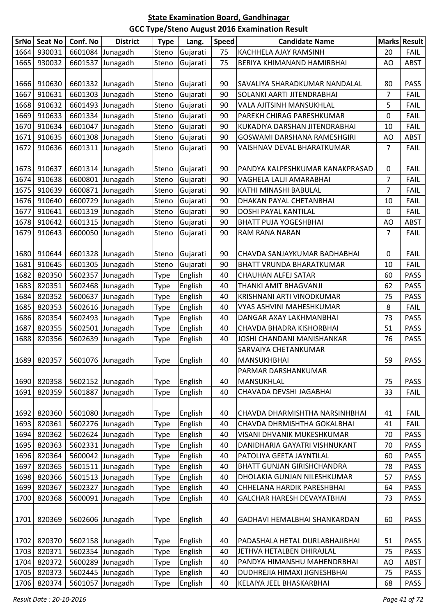| <b>SrNo</b> | <b>Seat No</b> | Conf. No                       | <b>District</b>  | <b>Type</b> | Lang.    | <b>Speed</b> | <b>Candidate Name</b>             |    | <b>Marks Result</b> |
|-------------|----------------|--------------------------------|------------------|-------------|----------|--------------|-----------------------------------|----|---------------------|
| 1664        | 930031         |                                | 6601084 Junagadh | Steno       | Gujarati | 75           | KACHHELA AJAY RAMSINH             | 20 | <b>FAIL</b>         |
| 1665        | 930032         |                                | 6601537 Junagadh | Steno       | Gujarati | 75           | BERIYA KHIMANAND HAMIRBHAI        | AO | <b>ABST</b>         |
|             |                |                                |                  |             |          |              |                                   |    |                     |
| 1666        | 910630         |                                | 6601332 Junagadh | Steno       | Gujarati | 90           | SAVALIYA SHARADKUMAR NANDALAL     | 80 | <b>PASS</b>         |
| 1667        | 910631         |                                | 6601303 Junagadh | Steno       | Gujarati | 90           | SOLANKI AARTI JITENDRABHAI        | 7  | <b>FAIL</b>         |
| 1668        | 910632         |                                | 6601493 Junagadh | Steno       | Gujarati | 90           | VALA AJITSINH MANSUKHLAL          | 5  | <b>FAIL</b>         |
| 1669        | 910633         |                                | 6601334 Junagadh | Steno       | Gujarati | 90           | PAREKH CHIRAG PARESHKUMAR         | 0  | <b>FAIL</b>         |
| 1670        | 910634         |                                | 6601047 Junagadh | Steno       | Gujarati | 90           | KUKADIYA DARSHAN JITENDRABHAI     | 10 | <b>FAIL</b>         |
| 1671        | 910635         |                                | 6601308 Junagadh | Steno       | Gujarati | 90           | GOSWAMI DARSHANA RAMESHGIRI       | AO | <b>ABST</b>         |
| 1672        | 910636         |                                | 6601311 Junagadh | Steno       | Gujarati | 90           | VAISHNAV DEVAL BHARATKUMAR        | 7  | <b>FAIL</b>         |
|             |                |                                |                  |             |          |              |                                   |    |                     |
| 1673        | 910637         |                                | 6601314 Junagadh | Steno       | Gujarati | 90           | PANDYA KALPESHKUMAR KANAKPRASAD   | 0  | <b>FAIL</b>         |
| 1674        | 910638         |                                | 6600801 Junagadh | Steno       | Gujarati | 90           | VAGHELA LALJI AMARABHAI           | 7  | <b>FAIL</b>         |
| 1675        | 910639         |                                | 6600871 Junagadh | Steno       | Gujarati | 90           | KATHI MINASHI BABULAL             | 7  | <b>FAIL</b>         |
| 1676        | 910640         |                                | 6600729 Junagadh | Steno       | Gujarati | 90           | DHAKAN PAYAL CHETANBHAI           | 10 | <b>FAIL</b>         |
| 1677        | 910641         |                                | 6601319 Junagadh | Steno       | Gujarati | 90           | <b>DOSHI PAYAL KANTILAL</b>       | 0  | <b>FAIL</b>         |
| 1678        | 910642         |                                | 6601315 Junagadh | Steno       | Gujarati | 90           | <b>BHATT PUJA YOGESHBHAI</b>      | AO | <b>ABST</b>         |
| 1679        | 910643         |                                | 6600050 Junagadh | Steno       | Gujarati | 90           | RAM RANA NARAN                    | 7  | <b>FAIL</b>         |
|             |                |                                |                  |             |          |              |                                   |    |                     |
| 1680        | 910644         |                                | 6601328 Junagadh | Steno       | Gujarati | 90           | CHAVDA SANJAYKUMAR BADHABHAI      | 0  | <b>FAIL</b>         |
| 1681        | 910645         |                                | 6601305 Junagadh | Steno       | Gujarati | 90           | <b>BHATT VRUNDA BHARATKUMAR</b>   | 10 | <b>FAIL</b>         |
| 1682        | 820350         |                                | 5602357 Junagadh | Type        | English  | 40           | CHAUHAN ALFEJ SATAR               | 60 | <b>PASS</b>         |
| 1683        | 820351         |                                | 5602468 Junagadh | <b>Type</b> | English  | 40           | THANKI AMIT BHAGVANJI             | 62 | <b>PASS</b>         |
| 1684        | 820352         |                                | 5600637 Junagadh | Type        | English  | 40           | KRISHNANI ARTI VINODKUMAR         | 75 | <b>PASS</b>         |
| 1685        | 820353         |                                | 5602616 Junagadh | <b>Type</b> | English  | 40           | VYAS ASHVINI MAHESHKUMAR          | 8  | <b>FAIL</b>         |
| 1686        | 820354         |                                | 5602493 Junagadh | Type        | English  | 40           | DANGAR AXAY LAKHMANBHAI           | 73 | <b>PASS</b>         |
| 1687        | 820355         |                                | 5602501 Junagadh | Type        | English  | 40           | CHAVDA BHADRA KISHORBHAI          | 51 | <b>PASS</b>         |
| 1688        | 820356         |                                | 5602639 Junagadh | Type        | English  | 40           | JOSHI CHANDANI MANISHANKAR        | 76 | <b>PASS</b>         |
|             |                |                                |                  |             |          |              | SARVAIYA CHETANKUMAR              |    |                     |
|             |                | 1689 820357   5601076 Junagadh |                  | Type        | English  | 40           | IMANSUKHBHAI                      | 59 | <b>PASS</b>         |
|             |                |                                |                  |             |          |              | PARMAR DARSHANKUMAR               |    |                     |
| 1690        | 820358         |                                | 5602152 Junagadh | <b>Type</b> | English  | 40           | MANSUKHLAL                        | 75 | <b>PASS</b>         |
| 1691        | 820359         |                                | 5601887 Junagadh | Type        | English  | 40           | CHAVADA DEVSHI JAGABHAI           | 33 | <b>FAIL</b>         |
|             |                |                                |                  |             |          |              |                                   |    |                     |
| 1692        | 820360         |                                | 5601080 Junagadh | <b>Type</b> | English  | 40           | CHAVDA DHARMISHTHA NARSINHBHAI    | 41 | <b>FAIL</b>         |
| 1693        | 820361         |                                | 5602276 Junagadh | <b>Type</b> | English  | 40           | CHAVDA DHRMISHTHA GOKALBHAI       | 41 | <b>FAIL</b>         |
| 1694        | 820362         |                                | 5602624 Junagadh | <b>Type</b> | English  | 40           | VISANI DHVANIK MUKESHKUMAR        | 70 | <b>PASS</b>         |
| 1695        | 820363         |                                | 5602331 Junagadh | Type        | English  | 40           | DANIDHARIA GAYATRI VISHNUKANT     | 70 | <b>PASS</b>         |
| 1696        | 820364         |                                | 5600042 Junagadh | Type        | English  | 40           | PATOLIYA GEETA JAYNTILAL          | 60 | <b>PASS</b>         |
| 1697        | 820365         |                                | 5601511 Junagadh | Type        | English  | 40           | <b>BHATT GUNJAN GIRISHCHANDRA</b> | 78 | <b>PASS</b>         |
| 1698        | 820366         |                                | 5601513 Junagadh | Type        | English  | 40           | DHOLAKIA GUNJAN NILESHKUMAR       | 57 | <b>PASS</b>         |
| 1699        | 820367         |                                | 5602327 Junagadh | <b>Type</b> | English  | 40           | CHHELANA HARDIK PARESHBHAI        | 64 | <b>PASS</b>         |
| 1700        | 820368         |                                | 5600091 Junagadh | Type        | English  | 40           | GALCHAR HARESH DEVAYATBHAI        | 73 | <b>PASS</b>         |
|             |                |                                |                  |             |          |              |                                   |    |                     |
| 1701        | 820369         |                                | 5602606 Junagadh | <b>Type</b> | English  | 40           | GADHAVI HEMALBHAI SHANKARDAN      | 60 | <b>PASS</b>         |
| 1702        | 820370         |                                | 5602158 Junagadh | <b>Type</b> | English  | 40           | PADASHALA HETAL DURLABHAJIBHAI    | 51 | <b>PASS</b>         |
| 1703        | 820371         |                                | 5602354 Junagadh | <b>Type</b> | English  | 40           | JETHVA HETALBEN DHIRAJLAL         | 75 | <b>PASS</b>         |
| 1704        | 820372         |                                | 5600289 Junagadh | Type        | English  | 40           | PANDYA HIMANSHU MAHENDRBHAI       | AO | <b>ABST</b>         |
| 1705        | 820373         |                                | 5602445 Junagadh | <b>Type</b> | English  | 40           | DUDHREJIA HIMAXI JIGNESHBHAI      | 75 | <b>PASS</b>         |
| 1706        | 820374         |                                | 5601057 Junagadh | Type        | English  | 40           | KELAIYA JEEL BHASKARBHAI          | 68 | <b>PASS</b>         |
|             |                |                                |                  |             |          |              |                                   |    |                     |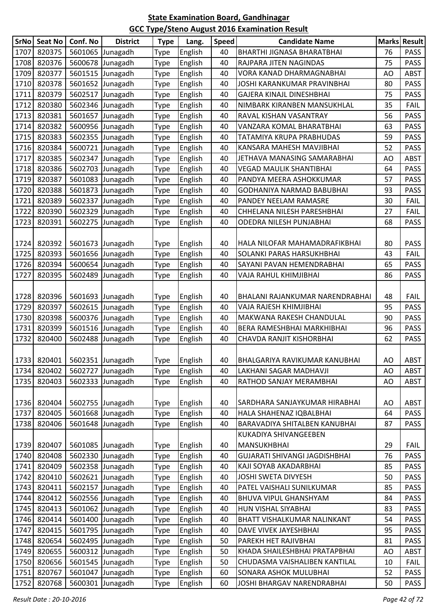| 1707<br>820375<br>5601065 Junagadh<br>English<br>BHARTHI JIGNASA BHARATBHAI<br>76<br><b>PASS</b><br>40<br>Type<br>1708<br>820376<br>5600678 Junagadh<br><b>PASS</b><br>English<br>40<br>RAJPARA JITEN NAGINDAS<br>75<br><b>Type</b><br>1709<br>820377<br>5601515 Junagadh<br>English<br>40<br><b>ABST</b><br>VORA KANAD DHARMAGNABHAI<br>AO<br><b>Type</b><br>1710<br>820378<br>5601652 Junagadh<br>English<br>PASS<br>40<br>JOSHI KARANKUMAR PRAVINBHAI<br>80<br><b>Type</b><br>1711<br>820379<br>75<br>5602517 Junagadh<br>English<br>GAJERA KINAJL DINESHBHAI<br><b>PASS</b><br>40<br>Type<br>1712<br>820380<br>5602346 Junagadh<br>35<br>English<br>40<br>NIMBARK KIRANBEN MANSUKHLAL<br><b>FAIL</b><br>Type<br>1713<br>820381<br>5601657 Junagadh<br>English<br><b>PASS</b><br>40<br>RAVAL KISHAN VASANTRAY<br>56<br><b>Type</b><br>820382<br>1714<br>English<br>63<br><b>PASS</b><br>5600956 Junagadh<br>40<br>VANZARA KOMAL BHARATBHAI<br><b>Type</b><br>1715<br>820383<br>5602355 Junagadh<br>English<br>TATAMIYA KRUPA PRABHUDAS<br><b>PASS</b><br>40<br>59<br><b>Type</b><br>1716<br>820384<br>52<br><b>PASS</b><br>5600721 Junagadh<br>English<br>40<br>KANSARA MAHESH MAVJIBHAI<br><b>Type</b><br>1717<br>820385<br>5602347 Junagadh<br>English<br>JETHAVA MANASING SAMARABHAI<br>ABST<br>Type<br>40<br>AO<br>1718<br>820386<br>English<br><b>VEGAD MAULIK SHANTIBHAI</b><br><b>PASS</b><br>5602703 Junagadh<br>40<br>64<br><b>Type</b><br>820387<br>PASS<br>1719<br>5601083 Junagadh<br>English<br>PANDYA MEERA ASHOKKUMAR<br>40<br>57<br>Type<br>1720<br>820388<br>English<br>5601873 Junagadh<br>GODHANIYA NARMAD BABUBHAI<br>93<br><b>PASS</b><br>40<br><b>Type</b><br>1721<br>820389<br>5602337 Junagadh<br>English<br>30<br>40<br>PANDEY NEELAM RAMASRE<br><b>FAIL</b><br><b>Type</b><br>1722<br>820390<br>5602329 Junagadh<br>English<br>CHHELANA NILESH PARESHBHAI<br>40<br>27<br><b>FAIL</b><br><b>Type</b><br>1723<br>820391<br><b>PASS</b><br>5602275 Junagadh<br>English<br>68<br>40<br>ODEDRA NILESH PUNJABHAI<br><b>Type</b><br>820392<br>English<br>80<br><b>PASS</b><br>1724<br>5601673 Junagadh<br>40<br><b>Type</b><br>HALA NILOFAR MAHAMADRAFIKBHAI<br>820393<br>1725<br>5601656 Junagadh<br>English<br><b>SOLANKI PARAS HARSUKHBHAI</b><br>40<br>43<br><b>FAIL</b><br><b>Type</b><br>1726<br>820394<br>5600654 Junagadh<br>English<br><b>PASS</b><br>40<br>SAYANI PAVAN HEMENDRABHAI<br>65<br><b>Type</b><br>1727<br>820395<br>English<br>40<br><b>PASS</b><br>5602489 Junagadh<br>VAJA RAHUL KHIMJIBHAI<br>86<br><b>Type</b><br>820396<br>5601693 Junagadh<br>English<br>BHALANI RAJANKUMAR NARENDRABHAI<br>1728<br>40<br>48<br><b>FAIL</b><br><b>Type</b><br>1729<br>820397<br>5602615 Junagadh<br>95<br><b>PASS</b><br>English<br>40<br>VAJA RAJESH KHIMJIBHAI<br>Type<br>1730<br>820398<br>5600376 Junagadh<br>English<br>40<br>MAKWANA RAKESH CHANDULAL<br>90<br><b>PASS</b><br><b>Type</b><br>820399<br><b>PASS</b><br>1731<br>5601516 Junagadh<br>English<br>BERA RAMESHBHAI MARKHIBHAI<br>96<br>40<br><b>Type</b><br>1732<br>820400<br>5602488 Junagadh<br>English<br><b>PASS</b><br>40<br>CHAVDA RANJIT KISHORBHAI<br>62<br><b>Type</b><br>1733 820401 5602351 Junagadh<br>English<br>ABST<br>Type<br>40<br>BHALGARIYA RAVIKUMAR KANUBHAI<br>AO<br>1734<br>820402<br>5602727 Junagadh<br>English<br>LAKHANI SAGAR MADHAVJI<br>AO<br>ABST<br>40<br><b>Type</b><br>1735<br>820403<br>5602333<br>RATHOD SANJAY MERAMBHAI<br>Junagadh<br>English<br>40<br>AO<br>ABST<br><b>Type</b><br>1736<br>820404<br>5602755 Junagadh<br>English<br>40<br>AO<br>ABST<br>SARDHARA SANJAYKUMAR HIRABHAI<br><b>Type</b><br>1737<br>820405<br>5601668 Junagadh<br>English<br>HALA SHAHENAZ IQBALBHAI<br><b>PASS</b><br>Type<br>40<br>64<br>1738<br>820406<br>5601648 Junagadh<br>English<br>40<br>BARAVADIYA SHITALBEN KANUBHAI<br>87<br><b>PASS</b><br><b>Type</b><br>KUKADIYA SHIVANGEEBEN<br><b>MANSUKHBHAI</b><br>820407<br>5601085 Junagadh<br>English<br>29<br><b>FAIL</b><br>1739<br>40<br><b>Type</b><br>820408<br>English<br>1740<br>5602330 Junagadh<br><b>GUJARATI SHIVANGI JAGDISHBHAI</b><br>76<br>PASS<br>Type<br>40 |
|---------------------------------------------------------------------------------------------------------------------------------------------------------------------------------------------------------------------------------------------------------------------------------------------------------------------------------------------------------------------------------------------------------------------------------------------------------------------------------------------------------------------------------------------------------------------------------------------------------------------------------------------------------------------------------------------------------------------------------------------------------------------------------------------------------------------------------------------------------------------------------------------------------------------------------------------------------------------------------------------------------------------------------------------------------------------------------------------------------------------------------------------------------------------------------------------------------------------------------------------------------------------------------------------------------------------------------------------------------------------------------------------------------------------------------------------------------------------------------------------------------------------------------------------------------------------------------------------------------------------------------------------------------------------------------------------------------------------------------------------------------------------------------------------------------------------------------------------------------------------------------------------------------------------------------------------------------------------------------------------------------------------------------------------------------------------------------------------------------------------------------------------------------------------------------------------------------------------------------------------------------------------------------------------------------------------------------------------------------------------------------------------------------------------------------------------------------------------------------------------------------------------------------------------------------------------------------------------------------------------------------------------------------------------------------------------------------------------------------------------------------------------------------------------------------------------------------------------------------------------------------------------------------------------------------------------------------------------------------------------------------------------------------------------------------------------------------------------------------------------------------------------------------------------------------------------------------------------------------------------------------------------------------------------------------------------------------------------------------------------------------------------------------------------------------------------------------------------------------------------------------------------------------------------------------------------------------------------------------------------------------------------------------------------------------------------------------------------------------------------------------------------------------------------------------------------------------------------------------------------------------------------------------------------------------------------------------------------------------------------------------------------------------------------------------------------------------------------------------------------------------------------------------|
|                                                                                                                                                                                                                                                                                                                                                                                                                                                                                                                                                                                                                                                                                                                                                                                                                                                                                                                                                                                                                                                                                                                                                                                                                                                                                                                                                                                                                                                                                                                                                                                                                                                                                                                                                                                                                                                                                                                                                                                                                                                                                                                                                                                                                                                                                                                                                                                                                                                                                                                                                                                                                                                                                                                                                                                                                                                                                                                                                                                                                                                                                                                                                                                                                                                                                                                                                                                                                                                                                                                                                                                                                                                                                                                                                                                                                                                                                                                                                                                                                                                                                                                                                         |
|                                                                                                                                                                                                                                                                                                                                                                                                                                                                                                                                                                                                                                                                                                                                                                                                                                                                                                                                                                                                                                                                                                                                                                                                                                                                                                                                                                                                                                                                                                                                                                                                                                                                                                                                                                                                                                                                                                                                                                                                                                                                                                                                                                                                                                                                                                                                                                                                                                                                                                                                                                                                                                                                                                                                                                                                                                                                                                                                                                                                                                                                                                                                                                                                                                                                                                                                                                                                                                                                                                                                                                                                                                                                                                                                                                                                                                                                                                                                                                                                                                                                                                                                                         |
|                                                                                                                                                                                                                                                                                                                                                                                                                                                                                                                                                                                                                                                                                                                                                                                                                                                                                                                                                                                                                                                                                                                                                                                                                                                                                                                                                                                                                                                                                                                                                                                                                                                                                                                                                                                                                                                                                                                                                                                                                                                                                                                                                                                                                                                                                                                                                                                                                                                                                                                                                                                                                                                                                                                                                                                                                                                                                                                                                                                                                                                                                                                                                                                                                                                                                                                                                                                                                                                                                                                                                                                                                                                                                                                                                                                                                                                                                                                                                                                                                                                                                                                                                         |
|                                                                                                                                                                                                                                                                                                                                                                                                                                                                                                                                                                                                                                                                                                                                                                                                                                                                                                                                                                                                                                                                                                                                                                                                                                                                                                                                                                                                                                                                                                                                                                                                                                                                                                                                                                                                                                                                                                                                                                                                                                                                                                                                                                                                                                                                                                                                                                                                                                                                                                                                                                                                                                                                                                                                                                                                                                                                                                                                                                                                                                                                                                                                                                                                                                                                                                                                                                                                                                                                                                                                                                                                                                                                                                                                                                                                                                                                                                                                                                                                                                                                                                                                                         |
|                                                                                                                                                                                                                                                                                                                                                                                                                                                                                                                                                                                                                                                                                                                                                                                                                                                                                                                                                                                                                                                                                                                                                                                                                                                                                                                                                                                                                                                                                                                                                                                                                                                                                                                                                                                                                                                                                                                                                                                                                                                                                                                                                                                                                                                                                                                                                                                                                                                                                                                                                                                                                                                                                                                                                                                                                                                                                                                                                                                                                                                                                                                                                                                                                                                                                                                                                                                                                                                                                                                                                                                                                                                                                                                                                                                                                                                                                                                                                                                                                                                                                                                                                         |
|                                                                                                                                                                                                                                                                                                                                                                                                                                                                                                                                                                                                                                                                                                                                                                                                                                                                                                                                                                                                                                                                                                                                                                                                                                                                                                                                                                                                                                                                                                                                                                                                                                                                                                                                                                                                                                                                                                                                                                                                                                                                                                                                                                                                                                                                                                                                                                                                                                                                                                                                                                                                                                                                                                                                                                                                                                                                                                                                                                                                                                                                                                                                                                                                                                                                                                                                                                                                                                                                                                                                                                                                                                                                                                                                                                                                                                                                                                                                                                                                                                                                                                                                                         |
|                                                                                                                                                                                                                                                                                                                                                                                                                                                                                                                                                                                                                                                                                                                                                                                                                                                                                                                                                                                                                                                                                                                                                                                                                                                                                                                                                                                                                                                                                                                                                                                                                                                                                                                                                                                                                                                                                                                                                                                                                                                                                                                                                                                                                                                                                                                                                                                                                                                                                                                                                                                                                                                                                                                                                                                                                                                                                                                                                                                                                                                                                                                                                                                                                                                                                                                                                                                                                                                                                                                                                                                                                                                                                                                                                                                                                                                                                                                                                                                                                                                                                                                                                         |
|                                                                                                                                                                                                                                                                                                                                                                                                                                                                                                                                                                                                                                                                                                                                                                                                                                                                                                                                                                                                                                                                                                                                                                                                                                                                                                                                                                                                                                                                                                                                                                                                                                                                                                                                                                                                                                                                                                                                                                                                                                                                                                                                                                                                                                                                                                                                                                                                                                                                                                                                                                                                                                                                                                                                                                                                                                                                                                                                                                                                                                                                                                                                                                                                                                                                                                                                                                                                                                                                                                                                                                                                                                                                                                                                                                                                                                                                                                                                                                                                                                                                                                                                                         |
|                                                                                                                                                                                                                                                                                                                                                                                                                                                                                                                                                                                                                                                                                                                                                                                                                                                                                                                                                                                                                                                                                                                                                                                                                                                                                                                                                                                                                                                                                                                                                                                                                                                                                                                                                                                                                                                                                                                                                                                                                                                                                                                                                                                                                                                                                                                                                                                                                                                                                                                                                                                                                                                                                                                                                                                                                                                                                                                                                                                                                                                                                                                                                                                                                                                                                                                                                                                                                                                                                                                                                                                                                                                                                                                                                                                                                                                                                                                                                                                                                                                                                                                                                         |
|                                                                                                                                                                                                                                                                                                                                                                                                                                                                                                                                                                                                                                                                                                                                                                                                                                                                                                                                                                                                                                                                                                                                                                                                                                                                                                                                                                                                                                                                                                                                                                                                                                                                                                                                                                                                                                                                                                                                                                                                                                                                                                                                                                                                                                                                                                                                                                                                                                                                                                                                                                                                                                                                                                                                                                                                                                                                                                                                                                                                                                                                                                                                                                                                                                                                                                                                                                                                                                                                                                                                                                                                                                                                                                                                                                                                                                                                                                                                                                                                                                                                                                                                                         |
|                                                                                                                                                                                                                                                                                                                                                                                                                                                                                                                                                                                                                                                                                                                                                                                                                                                                                                                                                                                                                                                                                                                                                                                                                                                                                                                                                                                                                                                                                                                                                                                                                                                                                                                                                                                                                                                                                                                                                                                                                                                                                                                                                                                                                                                                                                                                                                                                                                                                                                                                                                                                                                                                                                                                                                                                                                                                                                                                                                                                                                                                                                                                                                                                                                                                                                                                                                                                                                                                                                                                                                                                                                                                                                                                                                                                                                                                                                                                                                                                                                                                                                                                                         |
|                                                                                                                                                                                                                                                                                                                                                                                                                                                                                                                                                                                                                                                                                                                                                                                                                                                                                                                                                                                                                                                                                                                                                                                                                                                                                                                                                                                                                                                                                                                                                                                                                                                                                                                                                                                                                                                                                                                                                                                                                                                                                                                                                                                                                                                                                                                                                                                                                                                                                                                                                                                                                                                                                                                                                                                                                                                                                                                                                                                                                                                                                                                                                                                                                                                                                                                                                                                                                                                                                                                                                                                                                                                                                                                                                                                                                                                                                                                                                                                                                                                                                                                                                         |
|                                                                                                                                                                                                                                                                                                                                                                                                                                                                                                                                                                                                                                                                                                                                                                                                                                                                                                                                                                                                                                                                                                                                                                                                                                                                                                                                                                                                                                                                                                                                                                                                                                                                                                                                                                                                                                                                                                                                                                                                                                                                                                                                                                                                                                                                                                                                                                                                                                                                                                                                                                                                                                                                                                                                                                                                                                                                                                                                                                                                                                                                                                                                                                                                                                                                                                                                                                                                                                                                                                                                                                                                                                                                                                                                                                                                                                                                                                                                                                                                                                                                                                                                                         |
|                                                                                                                                                                                                                                                                                                                                                                                                                                                                                                                                                                                                                                                                                                                                                                                                                                                                                                                                                                                                                                                                                                                                                                                                                                                                                                                                                                                                                                                                                                                                                                                                                                                                                                                                                                                                                                                                                                                                                                                                                                                                                                                                                                                                                                                                                                                                                                                                                                                                                                                                                                                                                                                                                                                                                                                                                                                                                                                                                                                                                                                                                                                                                                                                                                                                                                                                                                                                                                                                                                                                                                                                                                                                                                                                                                                                                                                                                                                                                                                                                                                                                                                                                         |
|                                                                                                                                                                                                                                                                                                                                                                                                                                                                                                                                                                                                                                                                                                                                                                                                                                                                                                                                                                                                                                                                                                                                                                                                                                                                                                                                                                                                                                                                                                                                                                                                                                                                                                                                                                                                                                                                                                                                                                                                                                                                                                                                                                                                                                                                                                                                                                                                                                                                                                                                                                                                                                                                                                                                                                                                                                                                                                                                                                                                                                                                                                                                                                                                                                                                                                                                                                                                                                                                                                                                                                                                                                                                                                                                                                                                                                                                                                                                                                                                                                                                                                                                                         |
|                                                                                                                                                                                                                                                                                                                                                                                                                                                                                                                                                                                                                                                                                                                                                                                                                                                                                                                                                                                                                                                                                                                                                                                                                                                                                                                                                                                                                                                                                                                                                                                                                                                                                                                                                                                                                                                                                                                                                                                                                                                                                                                                                                                                                                                                                                                                                                                                                                                                                                                                                                                                                                                                                                                                                                                                                                                                                                                                                                                                                                                                                                                                                                                                                                                                                                                                                                                                                                                                                                                                                                                                                                                                                                                                                                                                                                                                                                                                                                                                                                                                                                                                                         |
|                                                                                                                                                                                                                                                                                                                                                                                                                                                                                                                                                                                                                                                                                                                                                                                                                                                                                                                                                                                                                                                                                                                                                                                                                                                                                                                                                                                                                                                                                                                                                                                                                                                                                                                                                                                                                                                                                                                                                                                                                                                                                                                                                                                                                                                                                                                                                                                                                                                                                                                                                                                                                                                                                                                                                                                                                                                                                                                                                                                                                                                                                                                                                                                                                                                                                                                                                                                                                                                                                                                                                                                                                                                                                                                                                                                                                                                                                                                                                                                                                                                                                                                                                         |
|                                                                                                                                                                                                                                                                                                                                                                                                                                                                                                                                                                                                                                                                                                                                                                                                                                                                                                                                                                                                                                                                                                                                                                                                                                                                                                                                                                                                                                                                                                                                                                                                                                                                                                                                                                                                                                                                                                                                                                                                                                                                                                                                                                                                                                                                                                                                                                                                                                                                                                                                                                                                                                                                                                                                                                                                                                                                                                                                                                                                                                                                                                                                                                                                                                                                                                                                                                                                                                                                                                                                                                                                                                                                                                                                                                                                                                                                                                                                                                                                                                                                                                                                                         |
|                                                                                                                                                                                                                                                                                                                                                                                                                                                                                                                                                                                                                                                                                                                                                                                                                                                                                                                                                                                                                                                                                                                                                                                                                                                                                                                                                                                                                                                                                                                                                                                                                                                                                                                                                                                                                                                                                                                                                                                                                                                                                                                                                                                                                                                                                                                                                                                                                                                                                                                                                                                                                                                                                                                                                                                                                                                                                                                                                                                                                                                                                                                                                                                                                                                                                                                                                                                                                                                                                                                                                                                                                                                                                                                                                                                                                                                                                                                                                                                                                                                                                                                                                         |
|                                                                                                                                                                                                                                                                                                                                                                                                                                                                                                                                                                                                                                                                                                                                                                                                                                                                                                                                                                                                                                                                                                                                                                                                                                                                                                                                                                                                                                                                                                                                                                                                                                                                                                                                                                                                                                                                                                                                                                                                                                                                                                                                                                                                                                                                                                                                                                                                                                                                                                                                                                                                                                                                                                                                                                                                                                                                                                                                                                                                                                                                                                                                                                                                                                                                                                                                                                                                                                                                                                                                                                                                                                                                                                                                                                                                                                                                                                                                                                                                                                                                                                                                                         |
|                                                                                                                                                                                                                                                                                                                                                                                                                                                                                                                                                                                                                                                                                                                                                                                                                                                                                                                                                                                                                                                                                                                                                                                                                                                                                                                                                                                                                                                                                                                                                                                                                                                                                                                                                                                                                                                                                                                                                                                                                                                                                                                                                                                                                                                                                                                                                                                                                                                                                                                                                                                                                                                                                                                                                                                                                                                                                                                                                                                                                                                                                                                                                                                                                                                                                                                                                                                                                                                                                                                                                                                                                                                                                                                                                                                                                                                                                                                                                                                                                                                                                                                                                         |
|                                                                                                                                                                                                                                                                                                                                                                                                                                                                                                                                                                                                                                                                                                                                                                                                                                                                                                                                                                                                                                                                                                                                                                                                                                                                                                                                                                                                                                                                                                                                                                                                                                                                                                                                                                                                                                                                                                                                                                                                                                                                                                                                                                                                                                                                                                                                                                                                                                                                                                                                                                                                                                                                                                                                                                                                                                                                                                                                                                                                                                                                                                                                                                                                                                                                                                                                                                                                                                                                                                                                                                                                                                                                                                                                                                                                                                                                                                                                                                                                                                                                                                                                                         |
|                                                                                                                                                                                                                                                                                                                                                                                                                                                                                                                                                                                                                                                                                                                                                                                                                                                                                                                                                                                                                                                                                                                                                                                                                                                                                                                                                                                                                                                                                                                                                                                                                                                                                                                                                                                                                                                                                                                                                                                                                                                                                                                                                                                                                                                                                                                                                                                                                                                                                                                                                                                                                                                                                                                                                                                                                                                                                                                                                                                                                                                                                                                                                                                                                                                                                                                                                                                                                                                                                                                                                                                                                                                                                                                                                                                                                                                                                                                                                                                                                                                                                                                                                         |
|                                                                                                                                                                                                                                                                                                                                                                                                                                                                                                                                                                                                                                                                                                                                                                                                                                                                                                                                                                                                                                                                                                                                                                                                                                                                                                                                                                                                                                                                                                                                                                                                                                                                                                                                                                                                                                                                                                                                                                                                                                                                                                                                                                                                                                                                                                                                                                                                                                                                                                                                                                                                                                                                                                                                                                                                                                                                                                                                                                                                                                                                                                                                                                                                                                                                                                                                                                                                                                                                                                                                                                                                                                                                                                                                                                                                                                                                                                                                                                                                                                                                                                                                                         |
|                                                                                                                                                                                                                                                                                                                                                                                                                                                                                                                                                                                                                                                                                                                                                                                                                                                                                                                                                                                                                                                                                                                                                                                                                                                                                                                                                                                                                                                                                                                                                                                                                                                                                                                                                                                                                                                                                                                                                                                                                                                                                                                                                                                                                                                                                                                                                                                                                                                                                                                                                                                                                                                                                                                                                                                                                                                                                                                                                                                                                                                                                                                                                                                                                                                                                                                                                                                                                                                                                                                                                                                                                                                                                                                                                                                                                                                                                                                                                                                                                                                                                                                                                         |
|                                                                                                                                                                                                                                                                                                                                                                                                                                                                                                                                                                                                                                                                                                                                                                                                                                                                                                                                                                                                                                                                                                                                                                                                                                                                                                                                                                                                                                                                                                                                                                                                                                                                                                                                                                                                                                                                                                                                                                                                                                                                                                                                                                                                                                                                                                                                                                                                                                                                                                                                                                                                                                                                                                                                                                                                                                                                                                                                                                                                                                                                                                                                                                                                                                                                                                                                                                                                                                                                                                                                                                                                                                                                                                                                                                                                                                                                                                                                                                                                                                                                                                                                                         |
|                                                                                                                                                                                                                                                                                                                                                                                                                                                                                                                                                                                                                                                                                                                                                                                                                                                                                                                                                                                                                                                                                                                                                                                                                                                                                                                                                                                                                                                                                                                                                                                                                                                                                                                                                                                                                                                                                                                                                                                                                                                                                                                                                                                                                                                                                                                                                                                                                                                                                                                                                                                                                                                                                                                                                                                                                                                                                                                                                                                                                                                                                                                                                                                                                                                                                                                                                                                                                                                                                                                                                                                                                                                                                                                                                                                                                                                                                                                                                                                                                                                                                                                                                         |
|                                                                                                                                                                                                                                                                                                                                                                                                                                                                                                                                                                                                                                                                                                                                                                                                                                                                                                                                                                                                                                                                                                                                                                                                                                                                                                                                                                                                                                                                                                                                                                                                                                                                                                                                                                                                                                                                                                                                                                                                                                                                                                                                                                                                                                                                                                                                                                                                                                                                                                                                                                                                                                                                                                                                                                                                                                                                                                                                                                                                                                                                                                                                                                                                                                                                                                                                                                                                                                                                                                                                                                                                                                                                                                                                                                                                                                                                                                                                                                                                                                                                                                                                                         |
|                                                                                                                                                                                                                                                                                                                                                                                                                                                                                                                                                                                                                                                                                                                                                                                                                                                                                                                                                                                                                                                                                                                                                                                                                                                                                                                                                                                                                                                                                                                                                                                                                                                                                                                                                                                                                                                                                                                                                                                                                                                                                                                                                                                                                                                                                                                                                                                                                                                                                                                                                                                                                                                                                                                                                                                                                                                                                                                                                                                                                                                                                                                                                                                                                                                                                                                                                                                                                                                                                                                                                                                                                                                                                                                                                                                                                                                                                                                                                                                                                                                                                                                                                         |
|                                                                                                                                                                                                                                                                                                                                                                                                                                                                                                                                                                                                                                                                                                                                                                                                                                                                                                                                                                                                                                                                                                                                                                                                                                                                                                                                                                                                                                                                                                                                                                                                                                                                                                                                                                                                                                                                                                                                                                                                                                                                                                                                                                                                                                                                                                                                                                                                                                                                                                                                                                                                                                                                                                                                                                                                                                                                                                                                                                                                                                                                                                                                                                                                                                                                                                                                                                                                                                                                                                                                                                                                                                                                                                                                                                                                                                                                                                                                                                                                                                                                                                                                                         |
|                                                                                                                                                                                                                                                                                                                                                                                                                                                                                                                                                                                                                                                                                                                                                                                                                                                                                                                                                                                                                                                                                                                                                                                                                                                                                                                                                                                                                                                                                                                                                                                                                                                                                                                                                                                                                                                                                                                                                                                                                                                                                                                                                                                                                                                                                                                                                                                                                                                                                                                                                                                                                                                                                                                                                                                                                                                                                                                                                                                                                                                                                                                                                                                                                                                                                                                                                                                                                                                                                                                                                                                                                                                                                                                                                                                                                                                                                                                                                                                                                                                                                                                                                         |
|                                                                                                                                                                                                                                                                                                                                                                                                                                                                                                                                                                                                                                                                                                                                                                                                                                                                                                                                                                                                                                                                                                                                                                                                                                                                                                                                                                                                                                                                                                                                                                                                                                                                                                                                                                                                                                                                                                                                                                                                                                                                                                                                                                                                                                                                                                                                                                                                                                                                                                                                                                                                                                                                                                                                                                                                                                                                                                                                                                                                                                                                                                                                                                                                                                                                                                                                                                                                                                                                                                                                                                                                                                                                                                                                                                                                                                                                                                                                                                                                                                                                                                                                                         |
|                                                                                                                                                                                                                                                                                                                                                                                                                                                                                                                                                                                                                                                                                                                                                                                                                                                                                                                                                                                                                                                                                                                                                                                                                                                                                                                                                                                                                                                                                                                                                                                                                                                                                                                                                                                                                                                                                                                                                                                                                                                                                                                                                                                                                                                                                                                                                                                                                                                                                                                                                                                                                                                                                                                                                                                                                                                                                                                                                                                                                                                                                                                                                                                                                                                                                                                                                                                                                                                                                                                                                                                                                                                                                                                                                                                                                                                                                                                                                                                                                                                                                                                                                         |
|                                                                                                                                                                                                                                                                                                                                                                                                                                                                                                                                                                                                                                                                                                                                                                                                                                                                                                                                                                                                                                                                                                                                                                                                                                                                                                                                                                                                                                                                                                                                                                                                                                                                                                                                                                                                                                                                                                                                                                                                                                                                                                                                                                                                                                                                                                                                                                                                                                                                                                                                                                                                                                                                                                                                                                                                                                                                                                                                                                                                                                                                                                                                                                                                                                                                                                                                                                                                                                                                                                                                                                                                                                                                                                                                                                                                                                                                                                                                                                                                                                                                                                                                                         |
|                                                                                                                                                                                                                                                                                                                                                                                                                                                                                                                                                                                                                                                                                                                                                                                                                                                                                                                                                                                                                                                                                                                                                                                                                                                                                                                                                                                                                                                                                                                                                                                                                                                                                                                                                                                                                                                                                                                                                                                                                                                                                                                                                                                                                                                                                                                                                                                                                                                                                                                                                                                                                                                                                                                                                                                                                                                                                                                                                                                                                                                                                                                                                                                                                                                                                                                                                                                                                                                                                                                                                                                                                                                                                                                                                                                                                                                                                                                                                                                                                                                                                                                                                         |
|                                                                                                                                                                                                                                                                                                                                                                                                                                                                                                                                                                                                                                                                                                                                                                                                                                                                                                                                                                                                                                                                                                                                                                                                                                                                                                                                                                                                                                                                                                                                                                                                                                                                                                                                                                                                                                                                                                                                                                                                                                                                                                                                                                                                                                                                                                                                                                                                                                                                                                                                                                                                                                                                                                                                                                                                                                                                                                                                                                                                                                                                                                                                                                                                                                                                                                                                                                                                                                                                                                                                                                                                                                                                                                                                                                                                                                                                                                                                                                                                                                                                                                                                                         |
|                                                                                                                                                                                                                                                                                                                                                                                                                                                                                                                                                                                                                                                                                                                                                                                                                                                                                                                                                                                                                                                                                                                                                                                                                                                                                                                                                                                                                                                                                                                                                                                                                                                                                                                                                                                                                                                                                                                                                                                                                                                                                                                                                                                                                                                                                                                                                                                                                                                                                                                                                                                                                                                                                                                                                                                                                                                                                                                                                                                                                                                                                                                                                                                                                                                                                                                                                                                                                                                                                                                                                                                                                                                                                                                                                                                                                                                                                                                                                                                                                                                                                                                                                         |
|                                                                                                                                                                                                                                                                                                                                                                                                                                                                                                                                                                                                                                                                                                                                                                                                                                                                                                                                                                                                                                                                                                                                                                                                                                                                                                                                                                                                                                                                                                                                                                                                                                                                                                                                                                                                                                                                                                                                                                                                                                                                                                                                                                                                                                                                                                                                                                                                                                                                                                                                                                                                                                                                                                                                                                                                                                                                                                                                                                                                                                                                                                                                                                                                                                                                                                                                                                                                                                                                                                                                                                                                                                                                                                                                                                                                                                                                                                                                                                                                                                                                                                                                                         |
|                                                                                                                                                                                                                                                                                                                                                                                                                                                                                                                                                                                                                                                                                                                                                                                                                                                                                                                                                                                                                                                                                                                                                                                                                                                                                                                                                                                                                                                                                                                                                                                                                                                                                                                                                                                                                                                                                                                                                                                                                                                                                                                                                                                                                                                                                                                                                                                                                                                                                                                                                                                                                                                                                                                                                                                                                                                                                                                                                                                                                                                                                                                                                                                                                                                                                                                                                                                                                                                                                                                                                                                                                                                                                                                                                                                                                                                                                                                                                                                                                                                                                                                                                         |
| 1741<br>820409<br>5602358 Junagadh<br>English<br>40<br>KAJI SOYAB AKADARBHAI<br>85<br><b>PASS</b><br><b>Type</b>                                                                                                                                                                                                                                                                                                                                                                                                                                                                                                                                                                                                                                                                                                                                                                                                                                                                                                                                                                                                                                                                                                                                                                                                                                                                                                                                                                                                                                                                                                                                                                                                                                                                                                                                                                                                                                                                                                                                                                                                                                                                                                                                                                                                                                                                                                                                                                                                                                                                                                                                                                                                                                                                                                                                                                                                                                                                                                                                                                                                                                                                                                                                                                                                                                                                                                                                                                                                                                                                                                                                                                                                                                                                                                                                                                                                                                                                                                                                                                                                                                        |
| 1742<br>820410<br>5602621 Junagadh<br>English<br>40<br>JOSHI SWETA DIVYESH<br>50<br><b>PASS</b><br><b>Type</b>                                                                                                                                                                                                                                                                                                                                                                                                                                                                                                                                                                                                                                                                                                                                                                                                                                                                                                                                                                                                                                                                                                                                                                                                                                                                                                                                                                                                                                                                                                                                                                                                                                                                                                                                                                                                                                                                                                                                                                                                                                                                                                                                                                                                                                                                                                                                                                                                                                                                                                                                                                                                                                                                                                                                                                                                                                                                                                                                                                                                                                                                                                                                                                                                                                                                                                                                                                                                                                                                                                                                                                                                                                                                                                                                                                                                                                                                                                                                                                                                                                          |
| 820411<br>5602157 Junagadh<br>PATEL VAISHALI SUNILKUMAR<br>1743<br>English<br>40<br>85<br><b>PASS</b><br>Type                                                                                                                                                                                                                                                                                                                                                                                                                                                                                                                                                                                                                                                                                                                                                                                                                                                                                                                                                                                                                                                                                                                                                                                                                                                                                                                                                                                                                                                                                                                                                                                                                                                                                                                                                                                                                                                                                                                                                                                                                                                                                                                                                                                                                                                                                                                                                                                                                                                                                                                                                                                                                                                                                                                                                                                                                                                                                                                                                                                                                                                                                                                                                                                                                                                                                                                                                                                                                                                                                                                                                                                                                                                                                                                                                                                                                                                                                                                                                                                                                                           |
| 820412<br>1744<br>5602556 Junagadh<br>English<br><b>PASS</b><br>40<br>BHUVA VIPUL GHANSHYAM<br>84<br>Type                                                                                                                                                                                                                                                                                                                                                                                                                                                                                                                                                                                                                                                                                                                                                                                                                                                                                                                                                                                                                                                                                                                                                                                                                                                                                                                                                                                                                                                                                                                                                                                                                                                                                                                                                                                                                                                                                                                                                                                                                                                                                                                                                                                                                                                                                                                                                                                                                                                                                                                                                                                                                                                                                                                                                                                                                                                                                                                                                                                                                                                                                                                                                                                                                                                                                                                                                                                                                                                                                                                                                                                                                                                                                                                                                                                                                                                                                                                                                                                                                                               |
| 820413<br>5601062 Junagadh<br>English<br><b>PASS</b><br>1745<br>40<br>HUN VISHAL SIYABHAI<br>83<br>Type                                                                                                                                                                                                                                                                                                                                                                                                                                                                                                                                                                                                                                                                                                                                                                                                                                                                                                                                                                                                                                                                                                                                                                                                                                                                                                                                                                                                                                                                                                                                                                                                                                                                                                                                                                                                                                                                                                                                                                                                                                                                                                                                                                                                                                                                                                                                                                                                                                                                                                                                                                                                                                                                                                                                                                                                                                                                                                                                                                                                                                                                                                                                                                                                                                                                                                                                                                                                                                                                                                                                                                                                                                                                                                                                                                                                                                                                                                                                                                                                                                                 |
| 820414<br>5601400 Junagadh<br>English<br>1746<br>40<br>BHATT VISHALKUMAR NALINKANT<br>54<br><b>PASS</b><br><b>Type</b>                                                                                                                                                                                                                                                                                                                                                                                                                                                                                                                                                                                                                                                                                                                                                                                                                                                                                                                                                                                                                                                                                                                                                                                                                                                                                                                                                                                                                                                                                                                                                                                                                                                                                                                                                                                                                                                                                                                                                                                                                                                                                                                                                                                                                                                                                                                                                                                                                                                                                                                                                                                                                                                                                                                                                                                                                                                                                                                                                                                                                                                                                                                                                                                                                                                                                                                                                                                                                                                                                                                                                                                                                                                                                                                                                                                                                                                                                                                                                                                                                                  |
| 1747<br>820415<br>5601795 Junagadh<br>English<br>DAVE VIVEK JAYESHBHAI<br><b>PASS</b><br>40<br>95<br><b>Type</b>                                                                                                                                                                                                                                                                                                                                                                                                                                                                                                                                                                                                                                                                                                                                                                                                                                                                                                                                                                                                                                                                                                                                                                                                                                                                                                                                                                                                                                                                                                                                                                                                                                                                                                                                                                                                                                                                                                                                                                                                                                                                                                                                                                                                                                                                                                                                                                                                                                                                                                                                                                                                                                                                                                                                                                                                                                                                                                                                                                                                                                                                                                                                                                                                                                                                                                                                                                                                                                                                                                                                                                                                                                                                                                                                                                                                                                                                                                                                                                                                                                        |
| 820654<br>5602495 Junagadh<br>1748<br>English<br>50<br>PAREKH HET RAJIVBHAI<br>81<br><b>PASS</b><br><b>Type</b>                                                                                                                                                                                                                                                                                                                                                                                                                                                                                                                                                                                                                                                                                                                                                                                                                                                                                                                                                                                                                                                                                                                                                                                                                                                                                                                                                                                                                                                                                                                                                                                                                                                                                                                                                                                                                                                                                                                                                                                                                                                                                                                                                                                                                                                                                                                                                                                                                                                                                                                                                                                                                                                                                                                                                                                                                                                                                                                                                                                                                                                                                                                                                                                                                                                                                                                                                                                                                                                                                                                                                                                                                                                                                                                                                                                                                                                                                                                                                                                                                                         |
| 1749<br>820655<br>5600312 Junagadh<br>English<br>50<br><b>ABST</b><br>KHADA SHAILESHBHAI PRATAPBHAI<br>AO<br><b>Type</b>                                                                                                                                                                                                                                                                                                                                                                                                                                                                                                                                                                                                                                                                                                                                                                                                                                                                                                                                                                                                                                                                                                                                                                                                                                                                                                                                                                                                                                                                                                                                                                                                                                                                                                                                                                                                                                                                                                                                                                                                                                                                                                                                                                                                                                                                                                                                                                                                                                                                                                                                                                                                                                                                                                                                                                                                                                                                                                                                                                                                                                                                                                                                                                                                                                                                                                                                                                                                                                                                                                                                                                                                                                                                                                                                                                                                                                                                                                                                                                                                                                |
| 820656<br>1750<br>5601545 Junagadh<br>English<br>50<br>CHUDASMA VAISHALIBEN KANTILAL<br>10<br><b>FAIL</b><br><b>Type</b>                                                                                                                                                                                                                                                                                                                                                                                                                                                                                                                                                                                                                                                                                                                                                                                                                                                                                                                                                                                                                                                                                                                                                                                                                                                                                                                                                                                                                                                                                                                                                                                                                                                                                                                                                                                                                                                                                                                                                                                                                                                                                                                                                                                                                                                                                                                                                                                                                                                                                                                                                                                                                                                                                                                                                                                                                                                                                                                                                                                                                                                                                                                                                                                                                                                                                                                                                                                                                                                                                                                                                                                                                                                                                                                                                                                                                                                                                                                                                                                                                                |
| 820767<br>5601047 Junagadh<br>English<br>SONARA ASHOK MULUBHAI<br>52<br><b>PASS</b><br>1751<br>60<br><b>Type</b>                                                                                                                                                                                                                                                                                                                                                                                                                                                                                                                                                                                                                                                                                                                                                                                                                                                                                                                                                                                                                                                                                                                                                                                                                                                                                                                                                                                                                                                                                                                                                                                                                                                                                                                                                                                                                                                                                                                                                                                                                                                                                                                                                                                                                                                                                                                                                                                                                                                                                                                                                                                                                                                                                                                                                                                                                                                                                                                                                                                                                                                                                                                                                                                                                                                                                                                                                                                                                                                                                                                                                                                                                                                                                                                                                                                                                                                                                                                                                                                                                                        |
| 820768<br>PASS<br>1752<br>5600301<br>Junagadh<br>English<br>60<br>JOSHI BHARGAV NARENDRABHAI<br>50<br><b>Type</b>                                                                                                                                                                                                                                                                                                                                                                                                                                                                                                                                                                                                                                                                                                                                                                                                                                                                                                                                                                                                                                                                                                                                                                                                                                                                                                                                                                                                                                                                                                                                                                                                                                                                                                                                                                                                                                                                                                                                                                                                                                                                                                                                                                                                                                                                                                                                                                                                                                                                                                                                                                                                                                                                                                                                                                                                                                                                                                                                                                                                                                                                                                                                                                                                                                                                                                                                                                                                                                                                                                                                                                                                                                                                                                                                                                                                                                                                                                                                                                                                                                       |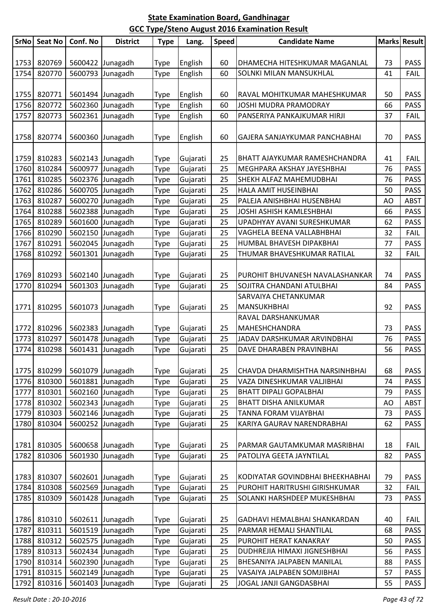| <b>SrNo</b> | <b>Seat No</b> | Conf. No | <b>District</b>  | <b>Type</b> | Lang.    | <b>Speed</b> | <b>Candidate Name</b>                      |    | Marks Result |
|-------------|----------------|----------|------------------|-------------|----------|--------------|--------------------------------------------|----|--------------|
|             |                |          |                  |             |          |              |                                            |    |              |
| 1753        | 820769         |          | 5600422 Junagadh | <b>Type</b> | English  | 60           | DHAMECHA HITESHKUMAR MAGANLAL              | 73 | <b>PASS</b>  |
| 1754        | 820770         |          | 5600793 Junagadh | Type        | English  | 60           | SOLNKI MILAN MANSUKHLAL                    | 41 | <b>FAIL</b>  |
|             |                |          |                  |             |          |              |                                            |    |              |
| 1755        | 820771         |          | 5601494 Junagadh | <b>Type</b> | English  | 60           | RAVAL MOHITKUMAR MAHESHKUMAR               | 50 | <b>PASS</b>  |
| 1756        | 820772         |          | 5602360 Junagadh | Type        | English  | 60           | JOSHI MUDRA PRAMODRAY                      | 66 | <b>PASS</b>  |
| 1757        | 820773         |          | 5602361 Junagadh | <b>Type</b> | English  | 60           | PANSERIYA PANKAJKUMAR HIRJI                | 37 | <b>FAIL</b>  |
| 1758        | 820774         |          | 5600360 Junagadh | <b>Type</b> | English  | 60           | GAJERA SANJAYKUMAR PANCHABHAI              | 70 | <b>PASS</b>  |
| 1759        | 810283         |          | 5602143 Junagadh | <b>Type</b> | Gujarati | 25           | BHATT AJAYKUMAR RAMESHCHANDRA              | 41 | <b>FAIL</b>  |
| 1760        | 810284         |          | 5600977 Junagadh | Type        | Gujarati | 25           | MEGHPARA AKSHAY JAYESHBHAI                 | 76 | <b>PASS</b>  |
| 1761        | 810285         |          | 5602376 Junagadh | Type        | Gujarati | 25           | SHEKH ALFAZ MAHEMUDBHAI                    | 76 | <b>PASS</b>  |
| 1762        | 810286         |          | 5600705 Junagadh | <b>Type</b> | Gujarati | 25           | HALA AMIT HUSEINBHAI                       | 50 | <b>PASS</b>  |
| 1763        | 810287         | 5600270  | Junagadh         | <b>Type</b> | Gujarati | 25           | PALEJA ANISHBHAI HUSENBHAI                 | AO | <b>ABST</b>  |
| 1764        | 810288         |          | 5602388 Junagadh | <b>Type</b> | Gujarati | 25           | JOSHI ASHISH KAMLESHBHAI                   | 66 | <b>PASS</b>  |
| 1765        | 810289         |          | 5601600 Junagadh | Type        | Gujarati | 25           | UPADHYAY AVANI SURESHKUMAR                 | 62 | <b>PASS</b>  |
| 1766        | 810290         |          | 5602150 Junagadh | Type        | Gujarati | 25           | VAGHELA BEENA VALLABHBHAI                  | 32 | <b>FAIL</b>  |
| 1767        | 810291         |          | 5602045 Junagadh | <b>Type</b> | Gujarati | 25           | HUMBAL BHAVESH DIPAKBHAI                   | 77 | <b>PASS</b>  |
| 1768        | 810292         |          | 5601301 Junagadh | Type        | Gujarati | 25           | THUMAR BHAVESHKUMAR RATILAL                | 32 | <b>FAIL</b>  |
| 1769        | 810293         |          | 5602140 Junagadh | <b>Type</b> | Gujarati | 25           | PUROHIT BHUVANESH NAVALASHANKAR            | 74 | <b>PASS</b>  |
| 1770        | 810294         |          | 5601303 Junagadh | Type        | Gujarati | 25           | SOJITRA CHANDANI ATULBHAI                  | 84 | <b>PASS</b>  |
| 1771        | 810295         |          | 5601073 Junagadh | <b>Type</b> | Gujarati | 25           | SARVAIYA CHETANKUMAR<br><b>MANSUKHBHAI</b> | 92 | <b>PASS</b>  |
|             |                |          |                  |             |          |              | RAVAL DARSHANKUMAR                         |    |              |
| 1772        | 810296         |          | 5602383 Junagadh | <b>Type</b> | Gujarati | 25           | <b>MAHESHCHANDRA</b>                       | 73 | <b>PASS</b>  |
| 1773        | 810297         |          | 5601478 Junagadh | Type        | Gujarati | 25           | JADAV DARSHKUMAR ARVINDBHAI                | 76 | <b>PASS</b>  |
| 1774        | 810298         | 5601431  | Junagadh         | Type        | Gujarati | 25           | DAVE DHARABEN PRAVINBHAI                   | 56 | <b>PASS</b>  |
|             |                |          |                  |             |          |              |                                            |    |              |
| 1775        | 810299         |          | 5601079 Junagadh | <b>Type</b> | Gujarati | 25           | CHAVDA DHARMISHTHA NARSINHBHAI             | 68 | <b>PASS</b>  |
| 1776        | 810300         | 5601881  | Junagadh         | Type        | Gujarati | 25           | VAZA DINESHKUMAR VALJIBHAI                 | 74 | <b>PASS</b>  |
| 1777        | 810301         |          | 5602160 Junagadh | Type        | Gujarati | 25           | <b>BHATT DIPALI GOPALBHAI</b>              | 79 | <b>PASS</b>  |
| 1778        | 810302         |          | 5602343 Junagadh | <b>Type</b> | Gujarati | 25           | <b>BHATT DISHA ANILKUMAR</b>               | AO | <b>ABST</b>  |
| 1779        | 810303         |          | 5602146 Junagadh | <b>Type</b> | Gujarati | 25           | TANNA FORAM VIJAYBHAI                      | 73 | <b>PASS</b>  |
| 1780        | 810304         | 5600252  | Junagadh         | Type        | Gujarati | 25           | KARIYA GAURAV NARENDRABHAI                 | 62 | <b>PASS</b>  |
| 1781        | 810305         |          | 5600658 Junagadh | <b>Type</b> | Gujarati | 25           | PARMAR GAUTAMKUMAR MASRIBHAI               | 18 | <b>FAIL</b>  |
| 1782        | 810306         |          | 5601930 Junagadh | Type        | Gujarati | 25           | PATOLIYA GEETA JAYNTILAL                   | 82 | <b>PASS</b>  |
|             |                |          |                  |             |          |              |                                            |    |              |
| 1783        | 810307         |          | 5602601 Junagadh | <b>Type</b> | Gujarati | 25           | KODIYATAR GOVINDBHAI BHEEKHABHAI           | 79 | <b>PASS</b>  |
| 1784        | 810308         |          | 5602569 Junagadh | Type        | Gujarati | 25           | PUROHIT HARITRUSHI GIRISHKUMAR             | 32 | <b>FAIL</b>  |
| 1785        | 810309         |          | 5601428 Junagadh | Type        | Gujarati | 25           | SOLANKI HARSHDEEP MUKESHBHAI               | 73 | <b>PASS</b>  |
| 1786        | 810310         |          | 5602611 Junagadh | Type        | Gujarati | 25           | GADHAVI HEMALBHAI SHANKARDAN               | 40 | <b>FAIL</b>  |
| 1787        | 810311         | 5601519  | Junagadh         | <b>Type</b> | Gujarati | 25           | PARMAR HEMALI SHANTILAL                    | 68 | <b>PASS</b>  |
| 1788        | 810312         |          | 5602575 Junagadh | <b>Type</b> | Gujarati | 25           | PUROHIT HERAT KANAKRAY                     | 50 | <b>PASS</b>  |
| 1789        | 810313         |          | 5602434 Junagadh | Type        | Gujarati | 25           | DUDHREJIA HIMAXI JIGNESHBHAI               | 56 | <b>PASS</b>  |
| 1790        | 810314         |          | 5602390 Junagadh | Type        | Gujarati | 25           | BHESANIYA JALPABEN MANILAL                 | 88 | <b>PASS</b>  |
| 1791        | 810315         |          | 5602149 Junagadh | <b>Type</b> | Gujarati | 25           | VASAIYA JALPABEN SOMJIBHAI                 | 57 | <b>PASS</b>  |
| 1792        | 810316         |          | 5601403 Junagadh | Type        | Gujarati | 25           | JOGAL JANJI GANGDASBHAI                    | 55 | <b>PASS</b>  |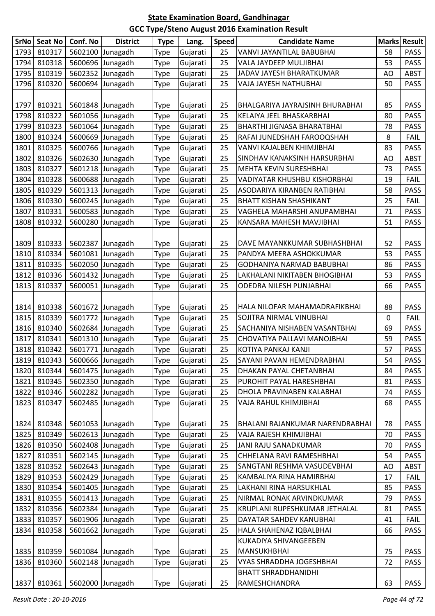| <b>SrNo</b> | <b>Seat No</b> | Conf. No         | <b>District</b>  | <b>Type</b> | Lang.    | <b>Speed</b> | <b>Candidate Name</b>           |    | <b>Marks Result</b> |
|-------------|----------------|------------------|------------------|-------------|----------|--------------|---------------------------------|----|---------------------|
| 1793        | 810317         | 5602100          | Junagadh         | <b>Type</b> | Gujarati | 25           | VANVI JAYANTILAL BABUBHAI       | 58 | <b>PASS</b>         |
| 1794        | 810318         | 5600696          | Junagadh         | Type        | Gujarati | 25           | VALA JAYDEEP MULJIBHAI          | 53 | <b>PASS</b>         |
| 1795        | 810319         | 5602352          | Junagadh         | <b>Type</b> | Gujarati | 25           | JADAV JAYESH BHARATKUMAR        | AO | <b>ABST</b>         |
| 1796        | 810320         |                  | 5600694 Junagadh | Type        | Gujarati | 25           | VAJA JAYESH NATHUBHAI           | 50 | PASS                |
|             |                |                  |                  |             |          |              |                                 |    |                     |
| 1797        | 810321         |                  | 5601848 Junagadh | <b>Type</b> | Gujarati | 25           | BHALGARIYA JAYRAJSINH BHURABHAI | 85 | <b>PASS</b>         |
| 1798        | 810322         |                  | 5601056 Junagadh | <b>Type</b> | Gujarati | 25           | KELAIYA JEEL BHASKARBHAI        | 80 | <b>PASS</b>         |
| 1799        | 810323         |                  | 5601064 Junagadh | <b>Type</b> | Gujarati | 25           | BHARTHI JIGNASA BHARATBHAI      | 78 | <b>PASS</b>         |
| 1800        | 810324         |                  | 5600669 Junagadh | Type        | Gujarati | 25           | RAFAI JUNEDSHAH FAROOQSHAH      | 8  | <b>FAIL</b>         |
| 1801        | 810325         |                  | 5600766 Junagadh | <b>Type</b> | Gujarati | 25           | VANVI KAJALBEN KHIMJIBHAI       | 83 | <b>PASS</b>         |
| 1802        | 810326         |                  | 5602630 Junagadh | Type        | Gujarati | 25           | SINDHAV KANAKSINH HARSURBHAI    | AO | <b>ABST</b>         |
| 1803        | 810327         |                  | 5601218 Junagadh | <b>Type</b> | Gujarati | 25           | MEHTA KEVIN SURESHBHAI          | 73 | <b>PASS</b>         |
| 1804        | 810328         |                  | 5600688 Junagadh | <b>Type</b> | Gujarati | 25           | VADIYATAR KHUSHBU KISHORBHAI    | 19 | <b>FAIL</b>         |
| 1805        | 810329         |                  | 5601313 Junagadh | <b>Type</b> | Gujarati | 25           | ASODARIYA KIRANBEN RATIBHAI     | 58 | <b>PASS</b>         |
| 1806        | 810330         |                  | 5600245 Junagadh | <b>Type</b> | Gujarati | 25           | <b>BHATT KISHAN SHASHIKANT</b>  | 25 | <b>FAIL</b>         |
| 1807        | 810331         | 5600583          | Junagadh         | Type        | Gujarati | 25           | VAGHELA MAHARSHI ANUPAMBHAI     | 71 | <b>PASS</b>         |
| 1808        | 810332         | 5600280          | Junagadh         | Type        | Gujarati | 25           | KANSARA MAHESH MAVJIBHAI        | 51 | PASS                |
|             |                |                  |                  |             |          |              |                                 |    |                     |
| 1809        | 810333         |                  | 5602387 Junagadh | <b>Type</b> | Gujarati | 25           | DAVE MAYANKKUMAR SUBHASHBHAI    | 52 | <b>PASS</b>         |
| 1810        | 810334         |                  | 5601081 Junagadh | <b>Type</b> | Gujarati | 25           | PANDYA MEERA ASHOKKUMAR         | 53 | <b>PASS</b>         |
| 1811        | 810335         |                  | 5602050 Junagadh | Type        | Gujarati | 25           | GODHANIYA NARMAD BABUBHAI       | 86 | <b>PASS</b>         |
| 1812        | 810336         |                  | 5601432 Junagadh | <b>Type</b> | Gujarati | 25           | LAKHALANI NIKITABEN BHOGIBHAI   | 53 | <b>PASS</b>         |
| 1813        | 810337         |                  | 5600051 Junagadh | Type        | Gujarati | 25           | ODEDRA NILESH PUNJABHAI         | 66 | PASS                |
|             |                |                  |                  |             |          |              |                                 |    |                     |
| 1814        | 810338         |                  | 5601672 Junagadh | <b>Type</b> | Gujarati | 25           | HALA NILOFAR MAHAMADRAFIKBHAI   | 88 | <b>PASS</b>         |
| 1815        | 810339         |                  | 5601772 Junagadh | <b>Type</b> | Gujarati | 25           | SOJITRA NIRMAL VINUBHAI         | 0  | <b>FAIL</b>         |
| 1816        | 810340         |                  | 5602684 Junagadh | <b>Type</b> | Gujarati | 25           | SACHANIYA NISHABEN VASANTBHAI   | 69 | <b>PASS</b>         |
| 1817        | 810341         |                  | 5601310 Junagadh | Type        | Gujarati | 25           | CHOVATIYA PALLAVI MANOJBHAI     | 59 | <b>PASS</b>         |
| 1818        | 810342         |                  | 5601771 Junagadh | <b>Type</b> | Gujarati | 25           | KOTIYA PANKAJ KANJI             | 57 | <b>PASS</b>         |
| 1819        | 810343         | 5600666 Junagadh |                  | <b>Type</b> | Gujarati | 25           | SAYANI PAVAN HEMENDRABHAI       | 54 | PASS                |
| 1820        | 810344         |                  | 5601475 Junagadh | <b>Type</b> | Gujarati | 25           | DHAKAN PAYAL CHETANBHAI         | 84 | <b>PASS</b>         |
| 1821        | 810345         |                  | 5602350 Junagadh | <b>Type</b> | Gujarati | 25           | PUROHIT PAYAL HARESHBHAI        | 81 | <b>PASS</b>         |
| 1822        | 810346         | 5602282          | Junagadh         | <b>Type</b> | Gujarati | 25           | DHOLA PRAVINABEN KALABHAI       | 74 | <b>PASS</b>         |
| 1823        | 810347         |                  | 5602485 Junagadh | Type        | Gujarati | 25           | VAJA RAHUL KHIMJIBHAI           | 68 | <b>PASS</b>         |
|             |                |                  |                  |             |          |              |                                 |    |                     |
| 1824        | 810348         |                  | 5601053 Junagadh | <b>Type</b> | Gujarati | 25           | BHALANI RAJANKUMAR NARENDRABHAI | 78 | <b>PASS</b>         |
| 1825        | 810349         |                  | 5602613 Junagadh | <b>Type</b> | Gujarati | 25           | VAJA RAJESH KHIMJIBHAI          | 70 | PASS                |
| 1826        | 810350         |                  | 5602408 Junagadh | <b>Type</b> | Gujarati | 25           | JANI RAJU SANADKUMAR            | 70 | PASS                |
| 1827        | 810351         |                  | 5602145 Junagadh | <b>Type</b> | Gujarati | 25           | CHHELANA RAVI RAMESHBHAI        | 54 | PASS                |
| 1828        | 810352         |                  | 5602643 Junagadh | Type        | Gujarati | 25           | SANGTANI RESHMA VASUDEVBHAI     | AO | <b>ABST</b>         |
| 1829        | 810353         |                  | 5602429 Junagadh | <b>Type</b> | Gujarati | 25           | KAMBALIYA RINA HAMIRBHAI        | 17 | <b>FAIL</b>         |
| 1830        | 810354         |                  | 5601405 Junagadh | Type        | Gujarati | 25           | LAKHANI RINA HARSUKHLAL         | 85 | <b>PASS</b>         |
| 1831        | 810355         |                  | 5601413 Junagadh | Type        | Gujarati | 25           | NIRMAL RONAK ARVINDKUMAR        | 79 | PASS                |
| 1832        | 810356         |                  | 5602384 Junagadh | Type        | Gujarati | 25           | KRUPLANI RUPESHKUMAR JETHALAL   | 81 | PASS                |
| 1833        | 810357         |                  | 5601906 Junagadh | <b>Type</b> | Gujarati | 25           | DAYATAR SAHDEV KANUBHAI         | 41 | <b>FAIL</b>         |
| 1834        | 810358         | 5601662          | Junagadh         | <b>Type</b> | Gujarati | 25           | HALA SHAHENAZ IQBALBHAI         | 66 | <b>PASS</b>         |
|             |                |                  |                  |             |          |              | KUKADIYA SHIVANGEEBEN           |    |                     |
| 1835        | 810359         |                  | 5601084 Junagadh | <b>Type</b> | Gujarati | 25           | <b>MANSUKHBHAI</b>              | 75 | <b>PASS</b>         |
| 1836        | 810360         |                  | 5602148 Junagadh | <b>Type</b> | Gujarati | 25           | VYAS SHRADDHA JOGESHBHAI        | 72 | <b>PASS</b>         |
|             |                |                  |                  |             |          |              | <b>BHATT SHRADDHANIDHI</b>      |    |                     |
| 1837        | 810361         |                  | 5602000 Junagadh | <b>Type</b> | Gujarati | 25           | RAMESHCHANDRA                   | 63 | PASS                |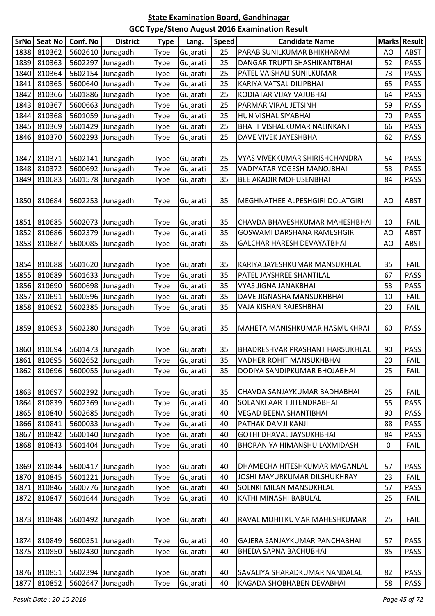|      | SrNo Seat No | Conf. No           | <b>District</b>  | <b>Type</b> | Lang.    | Speed    | <b>Candidate Name</b>                                    |          | Marks Result |
|------|--------------|--------------------|------------------|-------------|----------|----------|----------------------------------------------------------|----------|--------------|
| 1838 | 810362       | 5602610            | Junagadh         | Type        | Gujarati | 25       | PARAB SUNILKUMAR BHIKHARAM                               | AO       | ABST         |
| 1839 | 810363       | 5602297            | Junagadh         | Type        | Gujarati | 25       | DANGAR TRUPTI SHASHIKANTBHAI                             | 52       | <b>PASS</b>  |
| 1840 | 810364       |                    | 5602154 Junagadh | Type        | Gujarati | 25       | PATEL VAISHALI SUNILKUMAR                                | 73       | <b>PASS</b>  |
| 1841 | 810365       | 5600640            | Junagadh         | Type        | Gujarati | 25       | KARIYA VATSAL DILIPBHAI                                  | 65       | <b>PASS</b>  |
| 1842 | 810366       | 5601886            | Junagadh         | Type        | Gujarati | 25       | KODIATAR VIJAY VAJUBHAI                                  | 64       | <b>PASS</b>  |
| 1843 | 810367       | 5600663            | Junagadh         | Type        | Gujarati | 25       | PARMAR VIRAL JETSINH                                     | 59       | <b>PASS</b>  |
| 1844 | 810368       | 5601059            | Junagadh         | Type        | Gujarati | 25       | HUN VISHAL SIYABHAI                                      | 70       | <b>PASS</b>  |
| 1845 | 810369       | 5601429            | Junagadh         | Type        | Gujarati | 25       | BHATT VISHALKUMAR NALINKANT                              | 66       | <b>PASS</b>  |
| 1846 | 810370       | 5602293            | Junagadh         | Type        | Gujarati | 25       | DAVE VIVEK JAYESHBHAI                                    | 62       | <b>PASS</b>  |
| 1847 | 810371       |                    | 5602141 Junagadh | Type        | Gujarati | 25       | <b>VYAS VIVEKKUMAR SHIRISHCHANDRA</b>                    | 54       | <b>PASS</b>  |
| 1848 | 810372       |                    | 5600692 Junagadh | Type        | Gujarati | 25       | VADIYATAR YOGESH MANOJBHAI                               | 53       | <b>PASS</b>  |
| 1849 | 810683       |                    | 5601578 Junagadh | Type        | Gujarati | 35       | <b>BEE AKADIR MOHUSENBHAI</b>                            | 84       | <b>PASS</b>  |
|      |              |                    |                  |             |          |          |                                                          |          |              |
| 1850 | 810684       | 5602253            | Junagadh         | Type        | Gujarati | 35       | MEGHNATHEE ALPESHGIRI DOLATGIRI                          | AO       | <b>ABST</b>  |
|      |              |                    |                  |             |          |          |                                                          |          |              |
| 1851 | 810685       |                    | 5602073 Junagadh | Type        | Gujarati | 35       | CHAVDA BHAVESHKUMAR MAHESHBHAI                           | 10       | <b>FAIL</b>  |
| 1852 | 810686       | 5602379            | Junagadh         | Type        | Gujarati | 35       | GOSWAMI DARSHANA RAMESHGIRI                              | AO       | ABST         |
| 1853 | 810687       | 5600085            | Junagadh         | Type        | Gujarati | 35       | GALCHAR HARESH DEVAYATBHAI                               | AO       | <b>ABST</b>  |
|      |              |                    |                  |             |          |          |                                                          |          |              |
| 1854 | 810688       |                    | 5601620 Junagadh | Type        | Gujarati | 35       | KARIYA JAYESHKUMAR MANSUKHLAL                            | 35       | <b>FAIL</b>  |
| 1855 | 810689       |                    | 5601633 Junagadh | Type        | Gujarati | 35       | PATEL JAYSHREE SHANTILAL                                 | 67       | <b>PASS</b>  |
| 1856 | 810690       |                    | 5600698 Junagadh | Type        | Gujarati | 35       | VYAS JIGNA JANAKBHAI                                     | 53       | <b>PASS</b>  |
| 1857 | 810691       | 5600596            | Junagadh         | Type        | Gujarati | 35       | DAVE JIGNASHA MANSUKHBHAI                                | 10       | <b>FAIL</b>  |
| 1858 | 810692       | 5602385            | Junagadh         | Type        | Gujarati | 35       | VAJA KISHAN RAJESHBHAI                                   | 20       | <b>FAIL</b>  |
|      |              |                    |                  |             |          |          |                                                          |          |              |
| 1859 | 810693       | 5602280            | Junagadh         | Type        | Gujarati | 35       | MAHETA MANISHKUMAR HASMUKHRAI                            | 60       | <b>PASS</b>  |
|      |              |                    |                  |             |          |          |                                                          |          |              |
| 1860 | 810694       |                    | 5601473 Junagadh | Type        | Gujarati | 35       | BHADRESHVAR PRASHANT HARSUKHLAL                          | 90       | <b>PASS</b>  |
| 1861 | 810695       |                    | 5602652 Junagadh | <b>Type</b> | Gujarati | 35       | VADHER ROHIT MANSUKHBHAI                                 | 20       | FAIL         |
| 1862 | 810696       | 5600055            | Junagadh         | Type        | Gujarati | 35       | DODIYA SANDIPKUMAR BHOJABHAI                             | 25       | <b>FAIL</b>  |
|      |              |                    |                  |             |          |          |                                                          |          |              |
| 1863 | 810697       |                    | 5602392 Junagadh | Type        | Gujarati | 35       | CHAVDA SANJAYKUMAR BADHABHAI                             | 25       | <b>FAIL</b>  |
| 1864 | 810839       | 5602369            | Junagadh         | Type        | Gujarati | 40       | SOLANKI AARTI JITENDRABHAI                               | 55       | <b>PASS</b>  |
| 1865 | 810840       | 5602685            | Junagadh         | Type        | Gujarati | 40       | <b>VEGAD BEENA SHANTIBHAI</b>                            | 90       | <b>PASS</b>  |
| 1866 | 810841       | 5600033<br>5600140 | Junagadh         | Type        | Gujarati | 40       | PATHAK DAMJI KANJI                                       | 88       | <b>PASS</b>  |
| 1867 | 810842       | 5601404            | Junagadh         | <b>Type</b> | Gujarati | 40       | GOTHI DHAVAL JAYSUKHBHAI<br>BHORANIYA HIMANSHU LAXMIDASH | 84       | <b>PASS</b>  |
| 1868 | 810843       |                    | Junagadh         | Type        | Gujarati | 40       |                                                          | 0        | <b>FAIL</b>  |
|      |              |                    |                  |             |          |          |                                                          |          |              |
| 1869 | 810844       | 5600417            | Junagadh         | Type        | Gujarati | 40       | DHAMECHA HITESHKUMAR MAGANLAL                            | 57       | <b>PASS</b>  |
| 1870 | 810845       | 5601221            | Junagadh         | Type        | Gujarati | 40       | JOSHI MAYURKUMAR DILSHUKHRAY                             | 23       | <b>FAIL</b>  |
| 1871 | 810846       | 5600776            | Junagadh         | Type        | Gujarati | 40<br>40 | SOLNKI MILAN MANSUKHLAL                                  | 57<br>25 | <b>PASS</b>  |
| 1872 | 810847       | 5601644            | Junagadh         | Type        | Gujarati |          | KATHI MINASHI BABULAL                                    |          | <b>FAIL</b>  |
| 1873 | 810848       | 5601492            | Junagadh         | Type        | Gujarati | 40       | RAVAL MOHITKUMAR MAHESHKUMAR                             | 25       | <b>FAIL</b>  |
| 1874 | 810849       | 5600351            | Junagadh         | Type        | Gujarati | 40       | GAJERA SANJAYKUMAR PANCHABHAI                            | 57       | PASS         |
| 1875 | 810850       | 5602430            | Junagadh         | Type        | Gujarati | 40       | BHEDA SAPNA BACHUBHAI                                    | 85       | <b>PASS</b>  |
|      |              |                    |                  |             |          |          |                                                          |          |              |
| 1876 | 810851       | 5602394            | Junagadh         | Type        | Gujarati | 40       | SAVALIYA SHARADKUMAR NANDALAL                            | 82       | <b>PASS</b>  |
| 1877 | 810852       | 5602647            | Junagadh         | Type        | Gujarati | 40       | KAGADA SHOBHABEN DEVABHAI                                | 58       | <b>PASS</b>  |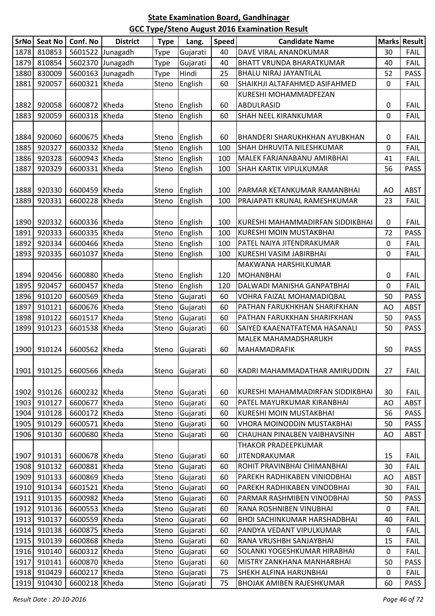|      | SrNo Seat No | Conf. No      | <b>District</b>  | <b>Type</b> | Lang.          | <b>Speed</b> | <b>Candidate Name</b>               |             | <b>Marks Result</b> |
|------|--------------|---------------|------------------|-------------|----------------|--------------|-------------------------------------|-------------|---------------------|
| 1878 | 810853       |               | 5601522 Junagadh | Type        | Gujarati       | 40           | DAVE VIRAL ANANDKUMAR               | 30          | <b>FAIL</b>         |
| 1879 | 810854       |               | 5602370 Junagadh | <b>Type</b> | Gujarati       | 40           | <b>BHATT VRUNDA BHARATKUMAR</b>     | 40          | <b>FAIL</b>         |
| 1880 | 830009       |               | 5600163 Junagadh | <b>Type</b> | Hindi          | 25           | <b>BHALU NIRAJ JAYANTILAL</b>       | 52          | <b>PASS</b>         |
| 1881 | 920057       | 6600321 Kheda |                  | Steno       | English        | 60           | SHAIKHJI ALTAFAHMED ASIFAHMED       | 0           | <b>FAIL</b>         |
|      |              |               |                  |             |                |              | KURESHI MOHAMMADFEZAN               |             |                     |
| 1882 | 920058       | 6600872 Kheda |                  | Steno       | English        | 60           | ABDULRASID                          | 0           | <b>FAIL</b>         |
| 1883 | 920059       | 6600318 Kheda |                  | Steno       | English        | 60           | SHAH NEEL KIRANKUMAR                | $\mathbf 0$ | <b>FAIL</b>         |
|      |              |               |                  |             |                |              |                                     |             |                     |
| 1884 | 920060       | 6600675 Kheda |                  | Steno       | English        | 60           | BHANDERI SHARUKHKHAN AYUBKHAN       | 0           | <b>FAIL</b>         |
| 1885 | 920327       | 6600332 Kheda |                  | Steno       | English        | 100          | SHAH DHRUVITA NILESHKUMAR           | 0           | FAIL                |
| 1886 | 920328       | 6600943 Kheda |                  | Steno       | English        | 100          | MALEK FARJANABANU AMIRBHAI          | 41          | <b>FAIL</b>         |
| 1887 | 920329       | 6600331 Kheda |                  | Steno       | English        | 100          | SHAH KARTIK VIPULKUMAR              | 56          | <b>PASS</b>         |
|      |              |               |                  |             |                |              |                                     |             |                     |
| 1888 | 920330       | 6600459 Kheda |                  | Steno       | English        | 100          | PARMAR KETANKUMAR RAMANBHAI         | AO          | <b>ABST</b>         |
| 1889 | 920331       | 6600228 Kheda |                  | Steno       | English        | 100          | PRAJAPATI KRUNAL RAMESHKUMAR        | 23          | <b>FAIL</b>         |
|      |              |               |                  |             |                |              |                                     |             |                     |
| 1890 | 920332       | 6600336 Kheda |                  | Steno       | English        | 100          | KURESHI MAHAMMADIRFAN SIDDIKBHAI    | 0           | <b>FAIL</b>         |
| 1891 | 920333       | 6600335 Kheda |                  | Steno       | English        | 100          | KURESHI MOIN MUSTAKBHAI             | 72          | <b>PASS</b>         |
| 1892 | 920334       | 6600466 Kheda |                  | Steno       | English        | 100          | PATEL NAIYA JITENDRAKUMAR           | $\mathbf 0$ | <b>FAIL</b>         |
| 1893 | 920335       | 6601037 Kheda |                  | Steno       | English        | 100          | KURESHI VASIM JABIRBHAI             | 0           | <b>FAIL</b>         |
|      |              |               |                  |             |                |              | MAKWANA HARSHILKUMAR                |             |                     |
| 1894 | 920456       | 6600880 Kheda |                  | Steno       | English        | 120          | <b>MOHANBHAI</b>                    | 0           | <b>FAIL</b>         |
| 1895 | 920457       | 6600457 Kheda |                  | Steno       | English        | 120          | DALWADI MANISHA GANPATBHAI          | 0           | <b>FAIL</b>         |
| 1896 | 910120       | 6600569 Kheda |                  | Steno       | Gujarati       | 60           | VOHRA FAIZAL MOHAMADIQBAL           | 50          | <b>PASS</b>         |
| 1897 | 910121       | 6600676 Kheda |                  | Steno       | Gujarati       | 60           | PATHAN FARUKHKHAN SHARIFKHAN        | AO          | <b>ABST</b>         |
| 1898 | 910122       | 6601517 Kheda |                  | Steno       | Gujarati       | 60           | PATHAN FARUKKHAN SHARIFKHAN         | 50          | <b>PASS</b>         |
| 1899 | 910123       | 6601538 Kheda |                  | Steno       | Gujarati       | 60           | SAIYED KAAENATFATEMA HASANALI       | 50          | <b>PASS</b>         |
|      |              |               |                  |             |                |              | MALEK MAHAMADSHARUKH                |             |                     |
| 1900 | 910124       | 6600562 Kheda |                  | Steno       | Gujarati       | 60           | <b>MAHAMADRAFIK</b>                 | 50          | <b>PASS</b>         |
|      |              |               |                  |             |                |              |                                     |             |                     |
| 1901 | 910125       | 6600566 Kheda |                  |             | Steno Gujarati | 60           | KADRI MAHAMMADATHAR AMIRUDDIN       | 27          | <b>FAIL</b>         |
|      |              |               |                  |             |                |              |                                     |             |                     |
| 1902 | 910126       | 6600232 Kheda |                  | Steno       | Gujarati       | 60           | KURESHI MAHAMMADIRFAN SIDDIKBHAI    | 30          | <b>FAIL</b>         |
| 1903 | 910127       | 6600677 Kheda |                  | Steno       | Gujarati       | 60           | PATEL MAYURKUMAR KIRANBHAI          | AO          | <b>ABST</b>         |
| 1904 | 910128       | 6600172 Kheda |                  | Steno       | Gujarati       | 60           | KURESHI MOIN MUSTAKBHAI             | 56          | <b>PASS</b>         |
| 1905 | 910129       | 6600571 Kheda |                  | Steno       | Gujarati       | 60           | VHORA MOINODDIN MUSTAKBHAI          | 50          | <b>PASS</b>         |
| 1906 | 910130       | 6600680 Kheda |                  | Steno       | Gujarati       | 60           | CHAUHAN PINALBEN VAIBHAVSINH        | AO          | <b>ABST</b>         |
|      |              |               |                  |             |                |              | THAKOR PRADEEPKUMAR                 |             |                     |
| 1907 | 910131       | 6600678 Kheda |                  | Steno       | Gujarati       | 60           | <b>JITENDRAKUMAR</b>                | 15          | <b>FAIL</b>         |
| 1908 | 910132       | 6600881 Kheda |                  | Steno       | Gujarati       | 60           | ROHIT PRAVINBHAI CHIMANBHAI         | 30          | <b>FAIL</b>         |
| 1909 | 910133       | 6600869 Kheda |                  | Steno       | Gujarati       | 60           | PAREKH RADHIKABEN VINIODBHAI        | AO          | <b>ABST</b>         |
| 1910 | 910134       | 6601521 Kheda |                  | Steno       | Gujarati       | 60           | PAREKH RADHIKABEN VINODBHAI         | 30          | <b>FAIL</b>         |
| 1911 | 910135       | 6600982 Kheda |                  | Steno       | Gujarati       | 60           | PARMAR RASHMIBEN VINODBHAI          | 50          | <b>PASS</b>         |
| 1912 | 910136       | 6600553 Kheda |                  | Steno       | Gujarati       | 60           | RANA ROSHNIBEN VINUBHAI             | 0           | <b>FAIL</b>         |
| 1913 | 910137       | 6600559 Kheda |                  | Steno       | Gujarati       | 60           | <b>BHOI SACHINKUMAR HARSHADBHAI</b> | 40          | <b>FAIL</b>         |
| 1914 | 910138       | 6600875 Kheda |                  | Steno       | Gujarati       | 60           | PANDYA VEDANT VIPULKUMAR            | 0           | <b>FAIL</b>         |
| 1915 | 910139       | 6600868 Kheda |                  | Steno       | Gujarati       | 60           | RANA VRUSHBH SANJAYBHAI             | 15          | <b>FAIL</b>         |
| 1916 | 910140       | 6600312 Kheda |                  | Steno       | Gujarati       | 60           | SOLANKI YOGESHKUMAR HIRABHAI        | 0           | <b>FAIL</b>         |
| 1917 | 910141       | 6600870 Kheda |                  | Steno       | Gujarati       | 60           | MISTRY ZANKHANA MANHARBHAI          | 50          | <b>PASS</b>         |
| 1918 | 910429       | 6600217 Kheda |                  | Steno       | Gujarati       | 75           | SHEKH ALFINA HARUNBHAI              | 0           | <b>FAIL</b>         |
| 1919 | 910430       | 6600218 Kheda |                  | Steno       | Gujarati       | 75           | BHOJAK AMIBEN RAJESHKUMAR           | 60          | <b>PASS</b>         |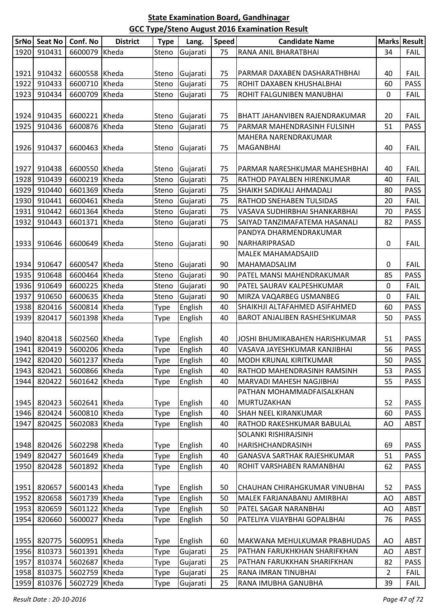|      | SrNo   Seat No | Conf. No      | <b>District</b> | <b>Type</b> | Lang.    | <b>Speed</b> | <b>Candidate Name</b>                 |    | Marks Result |
|------|----------------|---------------|-----------------|-------------|----------|--------------|---------------------------------------|----|--------------|
| 1920 | 910431         | 6600079       | Kheda           | Steno       | Gujarati | 75           | RANA ANIL BHARATBHAI                  | 34 | <b>FAIL</b>  |
|      |                |               |                 |             |          |              |                                       |    |              |
| 1921 | 910432         | 6600558       | Kheda           | Steno       | Gujarati | 75           | PARMAR DAXABEN DASHARATHBHAI          | 40 | <b>FAIL</b>  |
| 1922 | 910433         | 6600710       | Kheda           | Steno       | Gujarati | 75           | ROHIT DAXABEN KHUSHALBHAI             | 60 | <b>PASS</b>  |
| 1923 | 910434         | 6600709       | Kheda           | Steno       | Gujarati | 75           | ROHIT FALGUNIBEN MANUBHAI             | 0  | <b>FAIL</b>  |
|      |                |               |                 |             |          |              |                                       |    |              |
| 1924 | 910435         | 6600221 Kheda |                 | Steno       | Gujarati | 75           | <b>BHATT JAHANVIBEN RAJENDRAKUMAR</b> | 20 | <b>FAIL</b>  |
| 1925 | 910436         | 6600876 Kheda |                 | Steno       | Gujarati | 75           | PARMAR MAHENDRASINH FULSINH           | 51 | <b>PASS</b>  |
|      |                |               |                 |             |          |              | MAHERA NARENDRAKUMAR                  |    |              |
| 1926 | 910437         | 6600463       | Kheda           | Steno       | Gujarati | 75           | <b>MAGANBHAI</b>                      | 40 | <b>FAIL</b>  |
|      |                |               |                 |             |          |              |                                       |    |              |
| 1927 | 910438         | 6600550 Kheda |                 | Steno       | Gujarati | 75           | PARMAR NARESHKUMAR MAHESHBHAI         | 40 | <b>FAIL</b>  |
| 1928 | 910439         | 6600219       | Kheda           | Steno       | Gujarati | 75           | RATHOD PAYALBEN HIRENKUMAR            | 40 | <b>FAIL</b>  |
| 1929 | 910440         | 6601369 Kheda |                 | Steno       | Gujarati | 75           | <b>SHAIKH SADIKALI AHMADALI</b>       | 80 | PASS         |
| 1930 | 910441         | 6600461       | Kheda           | Steno       | Gujarati | 75           | RATHOD SNEHABEN TULSIDAS              | 20 | <b>FAIL</b>  |
| 1931 | 910442         | 6601364       | Kheda           | Steno       | Gujarati | 75           | VASAVA SUDHIRBHAI SHANKARBHAI         | 70 | <b>PASS</b>  |
| 1932 | 910443         | 6601371       | Kheda           | Steno       | Gujarati | 75           | SAIYAD TANZIMAFATEMA HASANALI         | 82 | <b>PASS</b>  |
|      |                |               |                 |             |          |              | PANDYA DHARMENDRAKUMAR                |    |              |
| 1933 | 910646         | 6600649 Kheda |                 | Steno       | Gujarati | 90           | NARHARIPRASAD                         | 0  | <b>FAIL</b>  |
|      |                |               |                 |             |          |              | <b>MALEK MAHAMADSAJID</b>             |    |              |
| 1934 | 910647         | 6600547       | Kheda           | Steno       | Gujarati | 90           | MAHAMADSALIM                          | 0  | <b>FAIL</b>  |
| 1935 | 910648         | 6600464       | Kheda           | Steno       | Gujarati | 90           | PATEL MANSI MAHENDRAKUMAR             | 85 | <b>PASS</b>  |
| 1936 | 910649         | 6600225       | Kheda           | Steno       | Gujarati | 90           | PATEL SAURAV KALPESHKUMAR             | 0  | <b>FAIL</b>  |
| 1937 | 910650         | 6600635       | Kheda           | Steno       | Gujarati | 90           | MIRZA VAQARBEG USMANBEG               | 0  | <b>FAIL</b>  |
| 1938 | 820416         | 5600814       | Kheda           | Type        | English  | 40           | SHAIKHJI ALTAFAHMED ASIFAHMED         | 60 | <b>PASS</b>  |
| 1939 | 820417         | 5601398       | Kheda           | Type        | English  | 40           | BAROT ANJALIBEN RASHESHKUMAR          | 50 | <b>PASS</b>  |
|      |                |               |                 |             |          |              |                                       |    |              |
| 1940 | 820418         | 5602560 Kheda |                 | Type        | English  | 40           | JOSHI BHUMIKABAHEN HARISHKUMAR        | 51 | <b>PASS</b>  |
| 1941 | 820419         | 5600206 Kheda |                 | Type        | English  | 40           | VASAVA JAYESHKUMAR KANJIBHAI          | 56 | <b>PASS</b>  |
| 1942 | 820420         | 5601237 Kheda |                 | <b>Type</b> | English  | 40           | MODH KRUNAL KIRITKUMAR                | 50 | <b>PASS</b>  |
| 1943 | 820421         | 5600866 Kheda |                 | Type        | English  | 40           | RATHOD MAHENDRASINH RAMSINH           | 53 | <b>PASS</b>  |
| 1944 | 820422         | 5601642       | Kheda           | Type        | English  | 40           | MARVADI MAHESH NAGJIBHAI              | 55 | <b>PASS</b>  |
|      |                |               |                 |             |          |              | PATHAN MOHAMMADFAISALKHAN             |    |              |
| 1945 | 820423         | 5602641 Kheda |                 | Type        | English  | 40           | MURTUZAKHAN                           | 52 | <b>PASS</b>  |
| 1946 | 820424         | 5600810       | Kheda           | Type        | English  | 40           | <b>SHAH NEEL KIRANKUMAR</b>           | 60 | <b>PASS</b>  |
| 1947 | 820425         | 5602083       | Kheda           | Type        | English  | 40           | RATHOD RAKESHKUMAR BABULAL            | AO | <b>ABST</b>  |
|      |                |               |                 |             |          |              | SOLANKI RISHIRAJSINH                  |    |              |
| 1948 | 820426         | 5602298 Kheda |                 | Type        | English  | 40           | <b>HARISHCHANDRASINH</b>              | 69 | <b>PASS</b>  |
| 1949 | 820427         | 5601649 Kheda |                 | Type        | English  | 40           | <b>GANASVA SARTHAK RAJESHKUMAR</b>    | 51 | <b>PASS</b>  |
| 1950 | 820428         | 5601892       | Kheda           | Type        | English  | 40           | ROHIT VARSHABEN RAMANBHAI             | 62 | PASS         |
|      |                |               |                 |             |          |              |                                       |    |              |
| 1951 | 820657         | 5600143 Kheda |                 | Type        | English  | 50           | CHAUHAN CHIRAHGKUMAR VINUBHAI         | 52 | <b>PASS</b>  |
| 1952 | 820658         | 5601739       | Kheda           | Type        | English  | 50           | MALEK FARJANABANU AMIRBHAI            | AO | <b>ABST</b>  |
| 1953 | 820659         | 5601122 Kheda |                 | Type        | English  | 50           | PATEL SAGAR NARANBHAI                 | AO | <b>ABST</b>  |
| 1954 | 820660         | 5600027       | Kheda           | Type        | English  | 50           | PATELIYA VIJAYBHAI GOPALBHAI          | 76 | <b>PASS</b>  |
|      |                |               |                 |             |          |              |                                       |    |              |
| 1955 | 820775         | 5600951 Kheda |                 | Type        | English  | 60           | MAKWANA MEHULKUMAR PRABHUDAS          | AO | <b>ABST</b>  |
| 1956 | 810373         | 5601391       | Kheda           | Type        | Gujarati | 25           | PATHAN FARUKHKHAN SHARIFKHAN          | AO | ABST         |
| 1957 | 810374         | 5602687       | Kheda           | Type        | Gujarati | 25           | PATHAN FARUKKHAN SHARIFKHAN           | 82 | <b>PASS</b>  |
| 1958 | 810375         | 5602759       | Kheda           | Type        | Gujarati | 25           | RANA IMRAN TINUBHAI                   | 2  | <b>FAIL</b>  |
| 1959 | 810376         | 5602729       | Kheda           | Type        | Gujarati | 25           | RANA IMUBHA GANUBHA                   | 39 | <b>FAIL</b>  |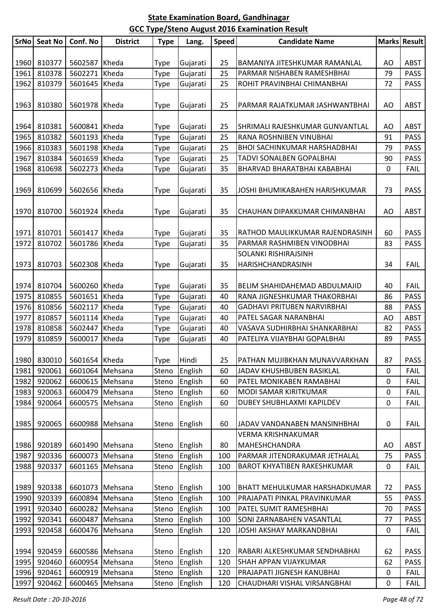| SrNo | Seat No          | Conf. No                  | <b>District</b> | <b>Type</b> | Lang.         | <b>Speed</b> | <b>Candidate Name</b>               |             | <b>Marks Result</b>        |
|------|------------------|---------------------------|-----------------|-------------|---------------|--------------|-------------------------------------|-------------|----------------------------|
|      |                  |                           |                 |             |               |              |                                     |             |                            |
| 1960 | 810377           | 5602587                   | Kheda           | <b>Type</b> | Gujarati      | 25           | BAMANIYA JITESHKUMAR RAMANLAL       | AO          | <b>ABST</b>                |
| 1961 | 810378           | 5602271                   | Kheda           | Type        | Gujarati      | 25           | PARMAR NISHABEN RAMESHBHAI          | 79          | <b>PASS</b>                |
| 1962 | 810379           | 5601645                   | Kheda           | Type        | Gujarati      | 25           | ROHIT PRAVINBHAI CHIMANBHAI         | 72          | <b>PASS</b>                |
|      |                  |                           |                 |             |               |              |                                     |             |                            |
| 1963 | 810380           | 5601978                   | Kheda           | <b>Type</b> | Gujarati      | 25           | PARMAR RAJATKUMAR JASHWANTBHAI      | AO          | <b>ABST</b>                |
|      |                  |                           |                 |             |               |              |                                     |             |                            |
| 1964 | 810381           | 5600841                   | Kheda           | <b>Type</b> | Gujarati      | 25           | SHRIMALI RAJESHKUMAR GUNVANTLAL     | AO          | <b>ABST</b>                |
| 1965 | 810382           | 5601193                   | Kheda           | Type        | Gujarati      | 25           | RANA ROSHNIBEN VINUBHAI             | 91          | <b>PASS</b>                |
| 1966 | 810383           | 5601198                   | Kheda           | Type        | Gujarati      | 25           | <b>BHOI SACHINKUMAR HARSHADBHAI</b> | 79          | <b>PASS</b>                |
| 1967 | 810384           | 5601659                   | Kheda           | Type        | Gujarati      | 25           | TADVI SONALBEN GOPALBHAI            | 90          | <b>PASS</b>                |
| 1968 | 810698           | 5602273                   | Kheda           | Type        | Gujarati      | 35           | BHARVAD BHARATBHAI KABABHAI         | $\mathbf 0$ | <b>FAIL</b>                |
|      |                  |                           |                 |             |               |              |                                     |             |                            |
| 1969 | 810699           | 5602656                   | Kheda           | <b>Type</b> | Gujarati      | 35           | JOSHI BHUMIKABAHEN HARISHKUMAR      | 73          | <b>PASS</b>                |
|      |                  |                           |                 |             |               |              |                                     |             |                            |
| 1970 | 810700           | 5601924                   | Kheda           | <b>Type</b> | Gujarati      | 35           | CHAUHAN DIPAKKUMAR CHIMANBHAI       | AO          | <b>ABST</b>                |
|      |                  |                           |                 |             |               |              |                                     |             |                            |
| 1971 | 810701           | 5601417                   | Kheda           | <b>Type</b> | Gujarati      | 35           | RATHOD MAULIKKUMAR RAJENDRASINH     | 60          | <b>PASS</b>                |
| 1972 | 810702           | 5601786                   | Kheda           |             | Gujarati      | 35           | PARMAR RASHMIBEN VINODBHAI          | 83          | <b>PASS</b>                |
|      |                  |                           |                 | <b>Type</b> |               |              | SOLANKI RISHIRAJSINH                |             |                            |
| 1973 | 810703           | 5602308                   | Kheda           |             | Gujarati      | 35           | HARISHCHANDRASINH                   | 34          | <b>FAIL</b>                |
|      |                  |                           |                 | <b>Type</b> |               |              |                                     |             |                            |
| 1974 | 810704           | 5600260 Kheda             |                 |             |               | 35           | BELIM SHAHIDAHEMAD ABDULMAJID       | 40          | <b>FAIL</b>                |
| 1975 |                  |                           | Kheda           | <b>Type</b> | Gujarati      |              | RANA JIGNESHKUMAR THAKORBHAI        |             |                            |
| 1976 | 810855<br>810856 | 5601651<br>5602117        | Kheda           | Type        | Gujarati      | 40<br>40     | <b>GADHAVI PRITUBEN NARVIRBHAI</b>  | 86<br>88    | <b>PASS</b><br><b>PASS</b> |
| 1977 | 810857           | 5601114                   | Kheda           | <b>Type</b> | Gujarati      | 40           | PATEL SAGAR NARANBHAI               | AO          | <b>ABST</b>                |
|      |                  |                           |                 | Type        | Gujarati      |              |                                     |             |                            |
| 1978 | 810858<br>810859 | 5602447<br>5600017        | Kheda           | Type        | Gujarati      | 40<br>40     | VASAVA SUDHIRBHAI SHANKARBHAI       | 82<br>89    | <b>PASS</b><br><b>PASS</b> |
| 1979 |                  |                           | Kheda           | <b>Type</b> | Gujarati      |              | PATELIYA VIJAYBHAI GOPALBHAI        |             |                            |
|      |                  |                           |                 |             |               |              |                                     |             |                            |
|      |                  | 1980 830010 5601654 Kheda |                 | Type        | Hindi         | 25           | PATHAN MUJIBKHAN MUNAVVARKHAN       | 87          | PASS                       |
| 1981 | 920061           |                           | 6601064 Mehsana |             | Steno English | 60           | JADAV KHUSHBUBEN RASIKLAL           | 0           | <b>FAIL</b>                |
| 1982 | 920062           | 6600615                   | Mehsana         | Steno       | English       | 60           | PATEL MONIKABEN RAMABHAI            | 0           | <b>FAIL</b>                |
| 1983 | 920063           |                           | 6600479 Mehsana | Steno       | English       | 60           | MODI SAMAR KIRITKUMAR               | $\mathbf 0$ | <b>FAIL</b>                |
| 1984 | 920064           | 6600575                   | Mehsana         | Steno       | English       | 60           | DUBEY SHUBHLAXMI KAPILDEV           | $\pmb{0}$   | <b>FAIL</b>                |
|      |                  |                           |                 |             |               |              |                                     |             |                            |
| 1985 | 920065           | 6600988                   | Mehsana         | Steno       | English       | 60           | JADAV VANDANABEN MANSINHBHAI        | 0           | <b>FAIL</b>                |
|      |                  |                           |                 |             |               |              | <b>VERMA KRISHNAKUMAR</b>           |             |                            |
| 1986 | 920189           |                           | 6601490 Mehsana |             | Steno English | 80           | MAHESHCHANDRA                       | AO          | ABST                       |
| 1987 | 920336           | 6600073                   | Mehsana         | Steno       | English       | 100          | PARMAR JITENDRAKUMAR JETHALAL       | 75          | <b>PASS</b>                |
| 1988 | 920337           | 6601165                   | Mehsana         | Steno       | English       | 100          | <b>BAROT KHYATIBEN RAKESHKUMAR</b>  | 0           | <b>FAIL</b>                |
|      |                  |                           |                 |             |               |              |                                     |             |                            |
| 1989 | 920338           |                           | 6601073 Mehsana |             | Steno English | 100          | BHATT MEHULKUMAR HARSHADKUMAR       | 72          | <b>PASS</b>                |
| 1990 | 920339           |                           | 6600894 Mehsana | Steno       | English       | 100          | PRAJAPATI PINKAL PRAVINKUMAR        | 55          | <b>PASS</b>                |
| 1991 | 920340           |                           | 6600282 Mehsana | Steno       | English       | 100          | PATEL SUMIT RAMESHBHAI              | 70          | <b>PASS</b>                |
| 1992 | 920341           |                           | 6600487 Mehsana | Steno       | English       | 100          | SONI ZARNABAHEN VASANTLAL           | 77          | <b>PASS</b>                |
| 1993 | 920458           | 6600476                   | Mehsana         | Steno       | English       | 120          | JOSHI AKSHAY MARKANDBHAI            | 0           | <b>FAIL</b>                |
|      |                  |                           |                 |             |               |              |                                     |             |                            |
| 1994 | 920459           |                           | 6600586 Mehsana |             | Steno English | 120          | RABARI ALKESHKUMAR SENDHABHAI       | 62          | <b>PASS</b>                |
| 1995 | 920460           |                           | 6600954 Mehsana | Steno       | English       | 120          | <b>SHAH APPAN VIJAYKUMAR</b>        | 62          | <b>PASS</b>                |
| 1996 | 920461           | 6600919                   | Mehsana         | Steno       | English       | 120          | PRAJAPATI JIGNESH KANUBHAI          | 0           | <b>FAIL</b>                |
| 1997 | 920462           |                           | 6600465 Mehsana | Steno       | English       | 120          | CHAUDHARI VISHAL VIRSANGBHAI        | 0           | <b>FAIL</b>                |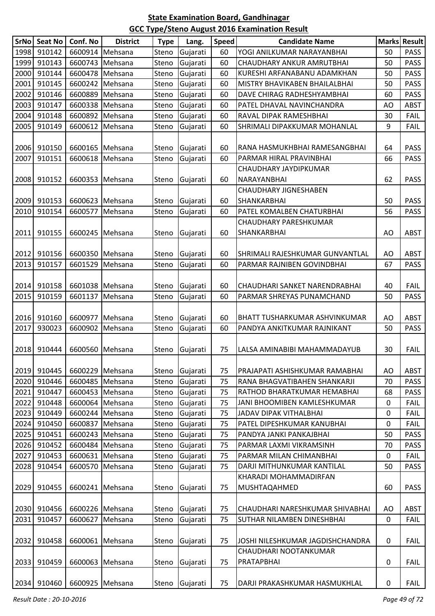| SrNo <sub>L</sub> | <b>Seat No</b> | Conf. No          | <b>District</b> | <b>Type</b> | Lang.    | <b>Speed</b> | <b>Candidate Name</b>            |             | <b>Marks Result</b> |
|-------------------|----------------|-------------------|-----------------|-------------|----------|--------------|----------------------------------|-------------|---------------------|
| 1998              | 910142         |                   | 6600914 Mehsana | Steno       | Gujarati | 60           | YOGI ANILKUMAR NARAYANBHAI       | 50          | <b>PASS</b>         |
| 1999              | 910143         |                   | 6600743 Mehsana | Steno       | Gujarati | 60           | CHAUDHARY ANKUR AMRUTBHAI        | 50          | <b>PASS</b>         |
| 2000              | 910144         |                   | 6600478 Mehsana | Steno       | Gujarati | 60           | KURESHI ARFANABANU ADAMKHAN      | 50          | <b>PASS</b>         |
| 2001              | 910145         | 6600242 Mehsana   |                 | Steno       | Gujarati | 60           | MISTRY BHAVIKABEN BHAILALBHAI    | 50          | <b>PASS</b>         |
| 2002              | 910146         | 6600889           | Mehsana         | Steno       | Gujarati | 60           | DAVE CHIRAG RADHESHYAMBHAI       | 60          | <b>PASS</b>         |
| 2003              | 910147         |                   | 6600338 Mehsana | Steno       | Gujarati | 60           | PATEL DHAVAL NAVINCHANDRA        | AO          | <b>ABST</b>         |
| 2004              | 910148         |                   | 6600892 Mehsana | Steno       | Gujarati | 60           | RAVAL DIPAK RAMESHBHAI           | 30          | FAIL                |
| 2005              | 910149         |                   | 6600612 Mehsana | Steno       | Gujarati | 60           | SHRIMALI DIPAKKUMAR MOHANLAL     | 9           | <b>FAIL</b>         |
|                   |                |                   |                 |             |          |              |                                  |             |                     |
| 2006              | 910150         |                   | 6600165 Mehsana | Steno       | Gujarati | 60           | RANA HASMUKHBHAI RAMESANGBHAI    | 64          | <b>PASS</b>         |
| 2007              | 910151         |                   | 6600618 Mehsana | Steno       | Gujarati | 60           | PARMAR HIRAL PRAVINBHAI          | 66          | <b>PASS</b>         |
|                   |                |                   |                 |             |          |              | CHAUDHARY JAYDIPKUMAR            |             |                     |
| 2008              | 910152         | 6600353 Mehsana   |                 | Steno       | Gujarati | 60           | NARAYANBHAI                      | 62          | <b>PASS</b>         |
|                   |                |                   |                 |             |          |              | <b>CHAUDHARY JIGNESHABEN</b>     |             |                     |
| 2009              | 910153         |                   | 6600623 Mehsana | Steno       | Gujarati | 60           | SHANKARBHAI                      | 50          | <b>PASS</b>         |
| 2010              | 910154         |                   | 6600577 Mehsana | Steno       | Gujarati | 60           | PATEL KOMALBEN CHATURBHAI        | 56          | <b>PASS</b>         |
|                   |                |                   |                 |             |          |              | <b>CHAUDHARY PARESHKUMAR</b>     |             |                     |
| 2011              | 910155         | 6600245   Mehsana |                 | Steno       | Gujarati | 60           | SHANKARBHAI                      | AO          | ABST                |
|                   |                |                   |                 |             |          |              |                                  |             |                     |
| 2012              | 910156         |                   | 6600350 Mehsana | Steno       | Gujarati | 60           | SHRIMALI RAJESHKUMAR GUNVANTLAL  | AO          | <b>ABST</b>         |
| 2013              | 910157         |                   | 6601529 Mehsana | Steno       | Gujarati | 60           | PARMAR RAJNIBEN GOVINDBHAI       | 67          | <b>PASS</b>         |
|                   |                |                   |                 |             |          |              |                                  |             |                     |
| 2014              | 910158         |                   | 6601038 Mehsana | Steno       | Gujarati | 60           | CHAUDHARI SANKET NARENDRABHAI    | 40          | <b>FAIL</b>         |
| 2015              | 910159         | 6601137           | Mehsana         | Steno       | Gujarati | 60           | PARMAR SHREYAS PUNAMCHAND        | 50          | <b>PASS</b>         |
|                   |                |                   |                 |             |          |              |                                  |             |                     |
| 2016              | 910160         |                   | 6600977 Mehsana | Steno       | Gujarati | 60           | BHATT TUSHARKUMAR ASHVINKUMAR    | AO          | <b>ABST</b>         |
| 2017              | 930023         |                   | 6600902 Mehsana | Steno       | Gujarati | 60           | PANDYA ANKITKUMAR RAJNIKANT      | 50          | <b>PASS</b>         |
|                   |                |                   |                 |             |          |              |                                  |             |                     |
| 2018              | 910444         |                   | 6600560 Mehsana | Steno       | Gujarati | 75           | LALSA AMINABIBI MAHAMMADAYUB     | 30          | <b>FAIL</b>         |
|                   |                |                   |                 |             |          |              |                                  |             |                     |
| 2019              | 910445         |                   | 6600229 Mehsana | Steno       | Gujarati | 75           | PRAJAPATI ASHISHKUMAR RAMABHAI   | AO          | ABST                |
| 2020              | 910446         |                   | 6600485 Mehsana | Steno       | Gujarati | 75           | RANA BHAGVATIBAHEN SHANKARJI     | 70          | <b>PASS</b>         |
| 2021              | 910447         |                   | 6600453 Mehsana | Steno       | Gujarati | 75           | RATHOD BHARATKUMAR HEMABHAI      | 68          | <b>PASS</b>         |
| 2022              | 910448         | 6600064 Mehsana   |                 | Steno       | Gujarati | 75           | JANI BHOOMIBEN KAMLESHKUMAR      | 0           | <b>FAIL</b>         |
| 2023              | 910449         |                   | 6600244 Mehsana | Steno       | Gujarati | 75           | JADAV DIPAK VITHALBHAI           | 0           | <b>FAIL</b>         |
| 2024              | 910450         |                   | 6600837 Mehsana | Steno       | Gujarati | 75           | PATEL DIPESHKUMAR KANUBHAI       | 0           | <b>FAIL</b>         |
| 2025              | 910451         |                   | 6600243 Mehsana | Steno       | Gujarati | 75           | PANDYA JANKI PANKAJBHAI          | 50          | <b>PASS</b>         |
| 2026              | 910452         |                   | 6600484 Mehsana | Steno       | Gujarati | 75           | PARMAR LAXMI VIKRAMSINH          | 70          | <b>PASS</b>         |
| 2027              | 910453         |                   | 6600631 Mehsana | Steno       | Gujarati | 75           | PARMAR MILAN CHIMANBHAI          | 0           | <b>FAIL</b>         |
| 2028              | 910454         |                   | 6600570 Mehsana | Steno       | Gujarati | 75           | DARJI MITHUNKUMAR KANTILAL       | 50          | <b>PASS</b>         |
|                   |                |                   |                 |             |          |              | KHARADI MOHAMMADIRFAN            |             |                     |
| 2029              | 910455         |                   | 6600241 Mehsana | Steno       | Gujarati | 75           | MUSHTAQAHMED                     | 60          | <b>PASS</b>         |
|                   |                |                   |                 |             |          |              |                                  |             |                     |
| 2030              | 910456         |                   | 6600226 Mehsana | Steno       | Gujarati | 75           | CHAUDHARI NARESHKUMAR SHIVABHAI  | AO          | ABST                |
| 2031              | 910457         |                   | 6600627 Mehsana | Steno       | Gujarati | 75           | SUTHAR NILAMBEN DINESHBHAI       | $\mathbf 0$ | <b>FAIL</b>         |
|                   |                |                   |                 |             |          |              |                                  |             |                     |
| 2032              | 910458         |                   | 6600061 Mehsana | Steno       | Gujarati | 75           | JOSHI NILESHKUMAR JAGDISHCHANDRA | 0           | <b>FAIL</b>         |
|                   |                |                   |                 |             |          |              | CHAUDHARI NOOTANKUMAR            |             |                     |
| 2033              | 910459         |                   | 6600063 Mehsana | Steno       | Gujarati | 75           | PRATAPBHAI                       | 0           | <b>FAIL</b>         |
|                   |                |                   |                 |             |          |              |                                  |             |                     |
| 2034              | 910460         |                   | 6600925 Mehsana | Steno       | Gujarati | 75           | DARJI PRAKASHKUMAR HASMUKHLAL    | 0           | <b>FAIL</b>         |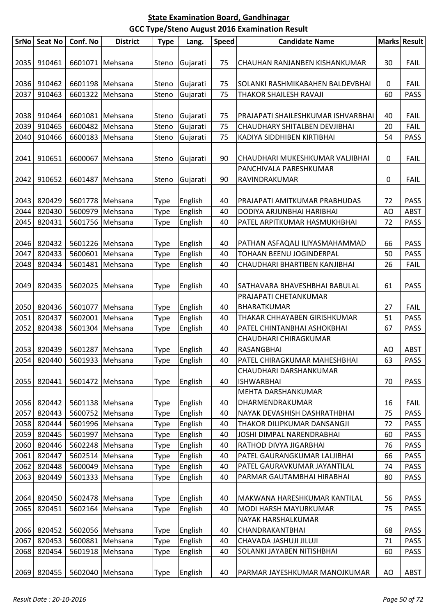|      | SrNo Seat No | Conf. No                    | <b>District</b> | <b>Type</b> | Lang.    | <b>Speed</b> | <b>Candidate Name</b>              |    | Marks Result |
|------|--------------|-----------------------------|-----------------|-------------|----------|--------------|------------------------------------|----|--------------|
| 2035 | 910461       | 6601071 Mehsana             |                 | Steno       | Gujarati | 75           | CHAUHAN RANJANBEN KISHANKUMAR      | 30 | <b>FAIL</b>  |
| 2036 | 910462       | 6601198 Mehsana             |                 | Steno       | Gujarati | 75           | SOLANKI RASHMIKABAHEN BALDEVBHAI   | 0  | <b>FAIL</b>  |
| 2037 | 910463       | 6601322                     | Mehsana         | Steno       | Gujarati | 75           | THAKOR SHAILESH RAVAJI             | 60 | <b>PASS</b>  |
|      |              |                             |                 |             |          |              |                                    |    |              |
| 2038 | 910464       | 6601081 Mehsana             |                 | Steno       | Gujarati | 75           | PRAJAPATI SHAILESHKUMAR ISHVARBHAI | 40 | <b>FAIL</b>  |
| 2039 | 910465       | 6600482 Mehsana             |                 | Steno       | Gujarati | 75           | CHAUDHARY SHITALBEN DEVJIBHAI      | 20 | <b>FAIL</b>  |
| 2040 | 910466       | 6600183 Mehsana             |                 | Steno       | Gujarati | 75           | KADIYA SIDDHIBEN KIRTIBHAI         | 54 | <b>PASS</b>  |
|      |              |                             |                 |             |          |              |                                    |    |              |
| 2041 | 910651       | 6600067                     | Mehsana         | Steno       | Gujarati | 90           | CHAUDHARI MUKESHKUMAR VALJIBHAI    | 0  | <b>FAIL</b>  |
|      |              |                             |                 |             |          |              | PANCHIVALA PARESHKUMAR             |    |              |
| 2042 | 910652       |                             | 6601487 Mehsana | Steno       | Gujarati | 90           | RAVINDRAKUMAR                      | 0  | <b>FAIL</b>  |
|      |              |                             |                 |             |          |              |                                    |    |              |
| 2043 | 820429       | 5601778 Mehsana             |                 | Type        | English  | 40           | PRAJAPATI AMITKUMAR PRABHUDAS      | 72 | <b>PASS</b>  |
| 2044 | 820430       | 5600979 Mehsana             |                 | Type        | English  | 40           | DODIYA ARJUNBHAI HARIBHAI          | AO | <b>ABST</b>  |
| 2045 | 820431       |                             | 5601756 Mehsana | Type        | English  | 40           | PATEL ARPITKUMAR HASMUKHBHAI       | 72 | <b>PASS</b>  |
|      |              |                             |                 |             |          |              |                                    |    |              |
| 2046 | 820432       | 5601226 Mehsana             |                 | Type        | English  | 40           | PATHAN ASFAQALI ILIYASMAHAMMAD     | 66 | <b>PASS</b>  |
| 2047 | 820433       | 5600601 Mehsana             |                 | Type        | English  | 40           | TOHAAN BEENU JOGINDERPAL           | 50 | <b>PASS</b>  |
| 2048 | 820434       | 5601481 Mehsana             |                 | Type        | English  | 40           | CHAUDHARI BHARTIBEN KANJIBHAI      | 26 | <b>FAIL</b>  |
|      |              |                             |                 |             |          |              |                                    |    |              |
| 2049 | 820435       |                             | 5602025 Mehsana | <b>Type</b> | English  | 40           | SATHAVARA BHAVESHBHAI BABULAL      | 61 | <b>PASS</b>  |
|      |              |                             |                 |             |          |              | PRAJAPATI CHETANKUMAR              |    |              |
| 2050 | 820436       | 5601077 Mehsana             |                 | <b>Type</b> | English  | 40           | <b>BHARATKUMAR</b>                 | 27 | <b>FAIL</b>  |
| 2051 | 820437       | 5602001                     | Mehsana         | Type        | English  | 40           | THAKAR CHHAYABEN GIRISHKUMAR       | 51 | <b>PASS</b>  |
| 2052 | 820438       | 5601304                     | Mehsana         | Type        | English  | 40           | PATEL CHINTANBHAI ASHOKBHAI        | 67 | <b>PASS</b>  |
|      |              |                             |                 |             |          |              | CHAUDHARI CHIRAGKUMAR              |    |              |
| 2053 | 820439       | 5601287 Mehsana             |                 | Type        | English  | 40           | <b>RASANGBHAI</b>                  | AO | <b>ABST</b>  |
|      |              | 2054 820440 5601933 Mehsana |                 | Type        | English  | 40           | PATEL CHIRAGKUMAR MAHESHBHAI       | 63 | <b>PASS</b>  |
|      |              |                             |                 |             |          |              | CHAUDHARI DARSHANKUMAR             |    |              |
| 2055 | 820441       |                             | 5601472 Mehsana | Type        | English  | 40           | <b>ISHWARBHAI</b>                  | 70 | <b>PASS</b>  |
|      |              |                             |                 |             |          |              | MEHTA DARSHANKUMAR                 |    |              |
| 2056 | 820442       | 5601138 Mehsana             |                 | Type        | English  | 40           | DHARMENDRAKUMAR                    | 16 | <b>FAIL</b>  |
| 2057 | 820443       |                             | 5600752 Mehsana | Type        | English  | 40           | NAYAK DEVASHISH DASHRATHBHAI       | 75 | <b>PASS</b>  |
| 2058 | 820444       |                             | 5601996 Mehsana | Type        | English  | 40           | THAKOR DILIPKUMAR DANSANGJI        | 72 | <b>PASS</b>  |
| 2059 | 820445       |                             | 5601997 Mehsana | Type        | English  | 40           | JOSHI DIMPAL NARENDRABHAI          | 60 | <b>PASS</b>  |
| 2060 | 820446       |                             | 5602248 Mehsana |             | English  | 40           | RATHOD DIVYA JIGARBHAI             | 76 | <b>PASS</b>  |
| 2061 | 820447       | 5602514 Mehsana             |                 | Type        |          |              | PATEL GAURANGKUMAR LALJIBHAI       |    | <b>PASS</b>  |
|      |              |                             |                 | Type        | English  | 40           |                                    | 66 |              |
| 2062 | 820448       | 5600049                     | Mehsana         | Type        | English  | 40           | PATEL GAURAVKUMAR JAYANTILAL       | 74 | <b>PASS</b>  |
| 2063 | 820449       |                             | 5601333 Mehsana | Type        | English  | 40           | PARMAR GAUTAMBHAI HIRABHAI         | 80 | <b>PASS</b>  |
| 2064 | 820450       | 5602478 Mehsana             |                 | Type        | English  | 40           | MAKWANA HARESHKUMAR KANTILAL       | 56 | <b>PASS</b>  |
| 2065 | 820451       |                             | 5602164 Mehsana | Type        | English  | 40           | MODI HARSH MAYURKUMAR              | 75 | <b>PASS</b>  |
|      |              |                             |                 |             |          |              | NAYAK HARSHALKUMAR                 |    |              |
| 2066 | 820452       | 5602056 Mehsana             |                 | Type        | English  | 40           | <b>CHANDRAKANTBHAI</b>             | 68 | <b>PASS</b>  |
| 2067 | 820453       | 5600881 Mehsana             |                 | Type        | English  | 40           | CHAVADA JASHUJI JILUJI             | 71 | <b>PASS</b>  |
| 2068 | 820454       | 5601918 Mehsana             |                 | Type        | English  | 40           | SOLANKI JAYABEN NITISHBHAI         | 60 | <b>PASS</b>  |
|      |              |                             |                 |             |          |              |                                    |    |              |
| 2069 | 820455       | 5602040 Mehsana             |                 | Type        | English  | 40           | PARMAR JAYESHKUMAR MANOJKUMAR      | AO | ABST         |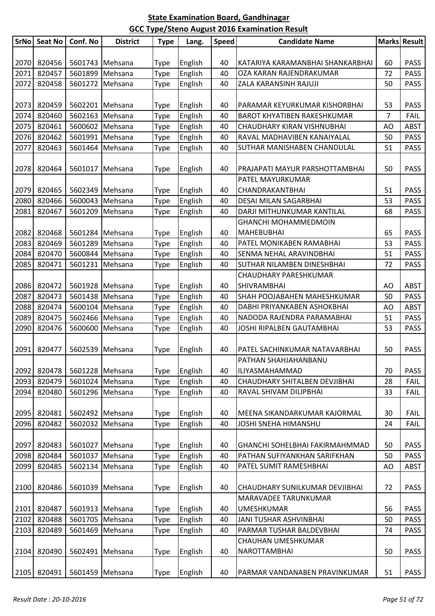| <b>SrNo</b> | <b>Seat No</b> | Conf. No        | <b>District</b> | <b>Type</b>  | Lang.   | Speed | <b>Candidate Name</b>                 |                | Marks Result |
|-------------|----------------|-----------------|-----------------|--------------|---------|-------|---------------------------------------|----------------|--------------|
|             |                |                 |                 |              |         |       |                                       |                |              |
| 2070        | 820456         | 5601743 Mehsana |                 | Type         | English | 40    | KATARIYA KARAMANBHAI SHANKARBHAI      | 60             | <b>PASS</b>  |
| 2071        | 820457         | 5601899 Mehsana |                 | Type         | English | 40    | OZA KARAN RAJENDRAKUMAR               | 72             | <b>PASS</b>  |
| 2072        | 820458         | 5601272 Mehsana |                 | Type         | English | 40    | ZALA KARANSINH RAJUJI                 | 50             | <b>PASS</b>  |
|             |                |                 |                 |              |         |       |                                       |                |              |
| 2073        | 820459         | 5602201 Mehsana |                 | Type         | English | 40    | PARAMAR KEYURKUMAR KISHORBHAI         | 53             | <b>PASS</b>  |
| 2074        | 820460         | 5602163 Mehsana |                 | Type         | English | 40    | <b>BAROT KHYATIBEN RAKESHKUMAR</b>    | $\overline{7}$ | <b>FAIL</b>  |
| 2075        | 820461         | 5600602 Mehsana |                 | Type         | English | 40    | CHAUDHARY KIRAN VISHNUBHAI            | AO             | <b>ABST</b>  |
| 2076        | 820462         | 5601991         | Mehsana         | Type         | English | 40    | RAVAL MADHAVIBEN KANAIYALAL           | 50             | <b>PASS</b>  |
| 2077        | 820463         | 5601464         | Mehsana         | Type         | English | 40    | SUTHAR MANISHABEN CHANDULAL           | 51             | <b>PASS</b>  |
|             |                |                 |                 |              |         |       |                                       |                |              |
| 2078        | 820464         | 5601017 Mehsana |                 | Type         | English | 40    | PRAJAPATI MAYUR PARSHOTTAMBHAI        | 50             | <b>PASS</b>  |
|             |                |                 |                 |              |         |       | PATEL MAYURKUMAR                      |                |              |
| 2079        | 820465         | 5602349 Mehsana |                 | Type         | English | 40    | CHANDRAKANTBHAI                       | 51             | <b>PASS</b>  |
| 2080        | 820466         | 5600043         | Mehsana         | Type         | English | 40    | DESAI MILAN SAGARBHAI                 | 53             | <b>PASS</b>  |
| 2081        | 820467         | 5601209 Mehsana |                 | Type         | English | 40    | DARJI MITHUNKUMAR KANTILAL            | 68             | <b>PASS</b>  |
|             |                |                 |                 |              |         |       | <b>GHANCHI MOHAMMEDMOIN</b>           |                |              |
| 2082        | 820468         | 5601284 Mehsana |                 | Type         | English | 40    | <b>MAHEBUBHAI</b>                     | 65             | <b>PASS</b>  |
| 2083        | 820469         | 5601289         | Mehsana         | Type         | English | 40    | PATEL MONIKABEN RAMABHAI              | 53             | <b>PASS</b>  |
| 2084        | 820470         | 5600844         | Mehsana         | Type         | English | 40    | SENMA NEHAL ARAVINDBHAI               | 51             | <b>PASS</b>  |
| 2085        | 820471         | 5601231         | Mehsana         | Type         | English | 40    | <b>SUTHAR NILAMBEN DINESHBHAI</b>     | 72             | <b>PASS</b>  |
|             |                |                 |                 |              |         |       | CHAUDHARY PARESHKUMAR                 |                |              |
| 2086        | 820472         | 5601928 Mehsana |                 | Type         | English | 40    | <b>SHIVRAMBHAI</b>                    | AO             | <b>ABST</b>  |
| 2087        | 820473         | 5601438         | Mehsana         | Type         | English | 40    | SHAH POOJABAHEN MAHESHKUMAR           | 50             | <b>PASS</b>  |
| 2088        | 820474         | 5600104 Mehsana |                 | Type         | English | 40    | DABHI PRIYANKABEN ASHOKBHAI           | AO             | <b>ABST</b>  |
| 2089        | 820475         | 5602466 Mehsana |                 | Type         | English | 40    | NADODA RAJENDRA PARAMABHAI            | 51             | <b>PASS</b>  |
| 2090        | 820476         | 5600600         | Mehsana         | Type         | English | 40    | JOSHI RIPALBEN GAUTAMBHAI             | 53             | <b>PASS</b>  |
|             |                |                 |                 |              |         |       |                                       |                |              |
| 2091        | 820477         | 5602539         | Mehsana         | Type         | English | 40    | PATEL SACHINKUMAR NATAVARBHAI         | 50             | <b>PASS</b>  |
|             |                |                 |                 |              |         |       | PATHAN SHAHJAHANBANU                  |                |              |
| 2092        | 820478         | 5601228 Mehsana |                 | Type         | English | 40    | ILIYASMAHAMMAD                        | 70             | <b>PASS</b>  |
| 2093        | 820479         |                 | 5601024 Mehsana | Type         | English | 40    | CHAUDHARY SHITALBEN DEVJIBHAI         | 28             | <b>FAIL</b>  |
| 2094        | 820480         | 5601296 Mehsana |                 | Type         | English | 40    | RAVAL SHIVAM DILIPBHAI                | 33             | <b>FAIL</b>  |
|             |                |                 |                 |              |         |       |                                       |                |              |
| 2095        | 820481         | 5602492 Mehsana |                 | Type         | English | 40    | MEENA SIKANDARKUMAR KAJORMAL          | 30             | <b>FAIL</b>  |
| 2096        | 820482         | 5602032         | Mehsana         | Type         | English | 40    | JOSHI SNEHA HIMANSHU                  | 24             | <b>FAIL</b>  |
| 2097        | 820483         | 5601027 Mehsana |                 |              | English | 40    | <b>GHANCHI SOHELBHAI FAKIRMAHMMAD</b> | 50             | <b>PASS</b>  |
| 2098        | 820484         | 5601037         | Mehsana         | Type<br>Type | English | 40    | PATHAN SUFIYANKHAN SARIFKHAN          | 50             | <b>PASS</b>  |
| 2099        | 820485         | 5602134         | Mehsana         | Type         | English | 40    | PATEL SUMIT RAMESHBHAI                | AO             | <b>ABST</b>  |
|             |                |                 |                 |              |         |       |                                       |                |              |
| 2100        | 820486         |                 | 5601039 Mehsana | Type         | English | 40    | CHAUDHARY SUNILKUMAR DEVJIBHAI        | 72             | <b>PASS</b>  |
|             |                |                 |                 |              |         |       | MARAVADEE TARUNKUMAR                  |                |              |
| 2101        | 820487         | 5601913 Mehsana |                 | Type         | English | 40    | <b>UMESHKUMAR</b>                     | 56             | <b>PASS</b>  |
| 2102        | 820488         | 5601705 Mehsana |                 | Type         | English | 40    | JANI TUSHAR ASHVINBHAI                | 50             | <b>PASS</b>  |
| 2103        | 820489         |                 | 5601469 Mehsana | Type         | English | 40    | PARMAR TUSHAR BALDEVBHAI              | 74             | <b>PASS</b>  |
|             |                |                 |                 |              |         |       | CHAUHAN UMESHKUMAR                    |                |              |
| 2104        | 820490         | 5602491 Mehsana |                 | Type         | English | 40    | NAROTTAMBHAI                          | 50             | PASS         |
|             |                |                 |                 |              |         |       |                                       |                |              |
| 2105        | 820491         | 5601459 Mehsana |                 | <b>Type</b>  | English | 40    | PARMAR VANDANABEN PRAVINKUMAR         | 51             | PASS         |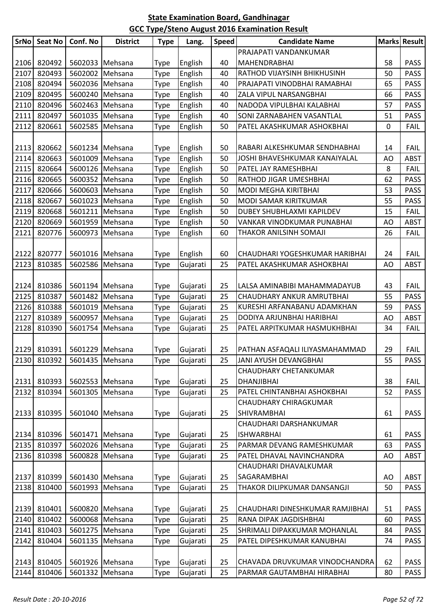| <b>SrNo</b> | <b>Seat No</b> | Conf. No                    | <b>District</b> | <b>Type</b> | Lang.    | <b>Speed</b> | <b>Candidate Name</b>           |    | Marks Result |
|-------------|----------------|-----------------------------|-----------------|-------------|----------|--------------|---------------------------------|----|--------------|
|             |                |                             |                 |             |          |              | PRAJAPATI VANDANKUMAR           |    |              |
| 2106        | 820492         | 5602033 Mehsana             |                 | Type        | English  | 40           | MAHENDRABHAI                    | 58 | <b>PASS</b>  |
| 2107        | 820493         | 5602002 Mehsana             |                 | Type        | English  | 40           | RATHOD VIJAYSINH BHIKHUSINH     | 50 | <b>PASS</b>  |
| 2108        | 820494         | 5602036 Mehsana             |                 | Type        | English  | 40           | PRAJAPATI VINODBHAI RAMABHAI    | 65 | <b>PASS</b>  |
| 2109        | 820495         | 5600240 Mehsana             |                 | Type        | English  | 40           | ZALA VIPUL NARSANGBHAI          | 66 | <b>PASS</b>  |
| 2110        | 820496         | 5602463 Mehsana             |                 | Type        | English  | 40           | NADODA VIPULBHAI KALABHAI       | 57 | <b>PASS</b>  |
| 2111        | 820497         | 5601035 Mehsana             |                 | Type        | English  | 40           | SONI ZARNABAHEN VASANTLAL       | 51 | <b>PASS</b>  |
| 2112        | 820661         | 5602585 Mehsana             |                 | Type        | English  | 50           | PATEL AKASHKUMAR ASHOKBHAI      | 0  | <b>FAIL</b>  |
|             |                |                             |                 |             |          |              |                                 |    |              |
| 2113        | 820662         | 5601234 Mehsana             |                 | Type        | English  | 50           | RABARI ALKESHKUMAR SENDHABHAI   | 14 | <b>FAIL</b>  |
| 2114        | 820663         | 5601009 Mehsana             |                 | Type        | English  | 50           | JOSHI BHAVESHKUMAR KANAIYALAL   | AO | <b>ABST</b>  |
| 2115        | 820664         | 5600126 Mehsana             |                 | Type        | English  | 50           | PATEL JAY RAMESHBHAI            | 8  | <b>FAIL</b>  |
| 2116        | 820665         | 5600352 Mehsana             |                 | Type        | English  | 50           | RATHOD JIGAR UMESHBHAI          | 62 | PASS         |
| 2117        | 820666         | 5600603 Mehsana             |                 | Type        | English  | 50           | MODI MEGHA KIRITBHAI            | 53 | <b>PASS</b>  |
| 2118        | 820667         | 5601023 Mehsana             |                 | Type        | English  | 50           | MODI SAMAR KIRITKUMAR           | 55 | <b>PASS</b>  |
| 2119        | 820668         | 5601211 Mehsana             |                 | Type        | English  | 50           | DUBEY SHUBHLAXMI KAPILDEV       | 15 | <b>FAIL</b>  |
| 2120        | 820669         | 5601959 Mehsana             |                 | Type        | English  | 50           | VANKAR VINODKUMAR PUNABHAI      | AO | <b>ABST</b>  |
| 2121        | 820776         | 5600973 Mehsana             |                 | Type        | English  | 60           | THAKOR ANILSINH SOMAJI          | 26 | <b>FAIL</b>  |
|             |                |                             |                 |             |          |              |                                 |    |              |
| 2122        | 820777         | 5601016 Mehsana             |                 | Type        | English  | 60           | CHAUDHARI YOGESHKUMAR HARIBHAI  | 24 | <b>FAIL</b>  |
| 2123        | 810385         | 5602586 Mehsana             |                 | Type        | Gujarati | 25           | PATEL AKASHKUMAR ASHOKBHAI      | AO | <b>ABST</b>  |
|             |                |                             |                 |             |          |              |                                 |    |              |
| 2124        | 810386         | 5601194 Mehsana             |                 | Type        | Gujarati | 25           | LALSA AMINABIBI MAHAMMADAYUB    | 43 | <b>FAIL</b>  |
| 2125        | 810387         | 5601482 Mehsana             |                 | Type        | Gujarati | 25           | CHAUDHARY ANKUR AMRUTBHAI       | 55 | <b>PASS</b>  |
| 2126        | 810388         | 5601019 Mehsana             |                 | Type        | Gujarati | 25           | KURESHI ARFANABANU ADAMKHAN     | 59 | <b>PASS</b>  |
| 2127        | 810389         | 5600957 Mehsana             |                 | Type        | Gujarati | 25           | DODIYA ARJUNBHAI HARIBHAI       | AO | <b>ABST</b>  |
| 2128        | 810390         | 5601754                     | Mehsana         | Type        | Gujarati | 25           | PATEL ARPITKUMAR HASMUKHBHAI    | 34 | <b>FAIL</b>  |
|             | 2129 810391    | 5601229 Mehsana             |                 | Type        | Gujarati | 25           | PATHAN ASFAQALI ILIYASMAHAMMAD  | 29 | <b>FAIL</b>  |
|             |                | 2130 810392 5601435 Mehsana |                 | Type        | Gujarati | 25           | JANI AYUSH DEVANGBHAI           | 55 | PASS         |
|             |                |                             |                 |             |          |              | CHAUDHARY CHETANKUMAR           |    |              |
| 2131        | 810393         | 5602553 Mehsana             |                 | Type        | Gujarati | 25           | DHANJIBHAI                      | 38 | <b>FAIL</b>  |
| 2132        | 810394         | 5601305 Mehsana             |                 | Type        | Gujarati | 25           | PATEL CHINTANBHAI ASHOKBHAI     | 52 | <b>PASS</b>  |
|             |                |                             |                 |             |          |              | <b>CHAUDHARY CHIRAGKUMAR</b>    |    |              |
| 2133        | 810395         | 5601040 Mehsana             |                 | Type        | Gujarati | 25           | <b>SHIVRAMBHAI</b>              | 61 | <b>PASS</b>  |
|             |                |                             |                 |             |          |              | CHAUDHARI DARSHANKUMAR          |    |              |
| 2134        | 810396         | 5601471 Mehsana             |                 | Type        | Gujarati | 25           | <b>ISHWARBHAI</b>               | 61 | <b>PASS</b>  |
| 2135        | 810397         | 5602026 Mehsana             |                 | Type        | Gujarati | 25           | PARMAR DEVANG RAMESHKUMAR       | 63 | <b>PASS</b>  |
| 2136        | 810398         | 5600828 Mehsana             |                 | Type        | Gujarati | 25           | PATEL DHAVAL NAVINCHANDRA       | AO | <b>ABST</b>  |
|             |                |                             |                 |             |          |              | CHAUDHARI DHAVALKUMAR           |    |              |
| 2137        | 810399         | 5601430 Mehsana             |                 | Type        | Gujarati | 25           | SAGARAMBHAI                     | AO | ABST         |
| 2138        | 810400         | 5601993 Mehsana             |                 | Type        | Gujarati | 25           | THAKOR DILIPKUMAR DANSANGJI     | 50 | <b>PASS</b>  |
|             |                |                             |                 |             |          |              |                                 |    |              |
| 2139        | 810401         | 5600820 Mehsana             |                 | Type        | Gujarati | 25           | CHAUDHARI DINESHKUMAR RAMJIBHAI | 51 | <b>PASS</b>  |
| 2140        | 810402         | 5600068 Mehsana             |                 | Type        | Gujarati | 25           | RANA DIPAK JAGDISHBHAI          | 60 | <b>PASS</b>  |
| 2141        | 810403         | 5601275 Mehsana             |                 | Type        | Gujarati | 25           | SHRIMALI DIPAKKUMAR MOHANLAL    | 84 | <b>PASS</b>  |
| 2142        | 810404         | 5601135 Mehsana             |                 | Type        | Gujarati | 25           | PATEL DIPESHKUMAR KANUBHAI      | 74 | <b>PASS</b>  |
|             |                |                             |                 |             |          |              |                                 |    |              |
| 2143        | 810405         | 5601926 Mehsana             |                 | Type        | Gujarati | 25           | CHAVADA DRUVKUMAR VINODCHANDRA  | 62 | <b>PASS</b>  |
| 2144        | 810406         | 5601332 Mehsana             |                 | Type        | Gujarati | 25           | PARMAR GAUTAMBHAI HIRABHAI      | 80 | <b>PASS</b>  |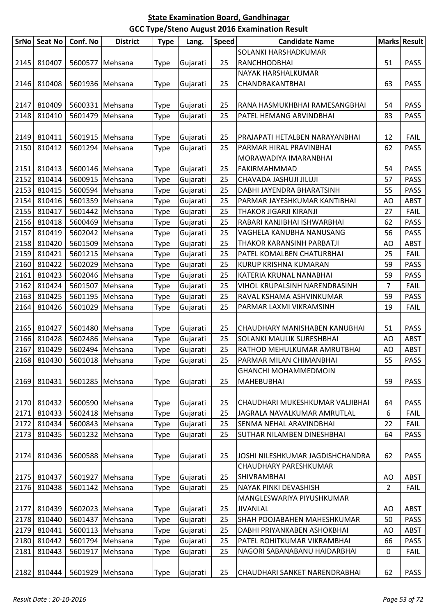|              | SrNo Seat No     | Conf. No | <b>District</b>                    | <b>Type</b> | Lang.                | <b>Speed</b> | <b>Candidate Name</b>                                  |                | Marks Result        |
|--------------|------------------|----------|------------------------------------|-------------|----------------------|--------------|--------------------------------------------------------|----------------|---------------------|
|              |                  |          |                                    |             |                      |              | SOLANKI HARSHADKUMAR                                   |                |                     |
| 2145         | 810407           |          | 5600577 Mehsana                    | <b>Type</b> | Gujarati             | 25           | RANCHHODBHAI                                           | 51             | <b>PASS</b>         |
|              |                  |          |                                    |             |                      |              | NAYAK HARSHALKUMAR                                     |                |                     |
| 2146         | 810408           |          | 5601936 Mehsana                    | Type        | Gujarati             | 25           | CHANDRAKANTBHAI                                        | 63             | <b>PASS</b>         |
|              |                  |          |                                    |             |                      |              |                                                        |                |                     |
| 2147         | 810409           |          | 5600331 Mehsana                    | <b>Type</b> | Gujarati             | 25           | RANA HASMUKHBHAI RAMESANGBHAI                          | 54             | <b>PASS</b>         |
| 2148         | 810410           |          | 5601479 Mehsana                    | Type        | Gujarati             | 25           | PATEL HEMANG ARVINDBHAI                                | 83             | <b>PASS</b>         |
|              |                  |          |                                    |             |                      |              |                                                        |                |                     |
| 2149         | 810411           |          | 5601915 Mehsana                    | <b>Type</b> | Gujarati             | 25           | PRAJAPATI HETALBEN NARAYANBHAI                         | 12             | <b>FAIL</b>         |
| 2150         | 810412           |          | 5601294   Mehsana                  | Type        | Gujarati             | 25           | PARMAR HIRAL PRAVINBHAI                                | 62             | <b>PASS</b>         |
|              |                  |          |                                    |             |                      |              | MORAWADIYA IMARANBHAI                                  |                |                     |
| 2151         | 810413           |          | 5600146 Mehsana                    | Type        | Gujarati             | 25           | FAKIRMAHMMAD                                           | 54             | <b>PASS</b>         |
| 2152         | 810414           |          | 5600915 Mehsana                    | Type        | Gujarati             | 25           | CHAVADA JASHUJI JILUJI                                 | 57             | <b>PASS</b>         |
| 2153         | 810415           |          | 5600594 Mehsana                    | <b>Type</b> | Gujarati             | 25           | DABHI JAYENDRA BHARATSINH                              | 55             | <b>PASS</b>         |
| 2154         | 810416           |          | 5601359 Mehsana                    | Type        | Gujarati             | 25           | PARMAR JAYESHKUMAR KANTIBHAI                           | AO             | <b>ABST</b>         |
| 2155         | 810417           |          | 5601442 Mehsana                    | Type        | Gujarati             | 25           | THAKOR JIGARJI KIRANJI                                 | 27             | FAIL                |
| 2156         | 810418           |          | 5600469 Mehsana                    | Type        | Gujarati             | 25           | RABARI KANJIBHAI ISHWARBHAI                            | 62             | <b>PASS</b>         |
| 2157         | 810419           |          | 5602042 Mehsana                    | <b>Type</b> | Gujarati             | 25           | VAGHELA KANUBHA NANUSANG                               | 56             | <b>PASS</b>         |
| 2158         | 810420           |          | 5601509 Mehsana                    | Type        | Gujarati             | 25           | THAKOR KARANSINH PARBATJI                              | AO             | <b>ABST</b>         |
| 2159         | 810421           |          | 5601215 Mehsana                    | <b>Type</b> | Gujarati             | 25           | PATEL KOMALBEN CHATURBHAI                              | 25             | <b>FAIL</b>         |
| 2160         | 810422           |          | 5602029 Mehsana                    | <b>Type</b> | Gujarati             | 25           | KURUP KRISHNA KUMARAN                                  | 59             | <b>PASS</b>         |
| 2161         | 810423           |          | 5602046 Mehsana                    | Type        | Gujarati             | 25           | KATERIA KRUNAL NANABHAI                                | 59             | <b>PASS</b>         |
| 2162         | 810424           |          | 5601507 Mehsana                    | Type        | Gujarati             | 25           | VIHOL KRUPALSINH NARENDRASINH                          | $\overline{7}$ | <b>FAIL</b>         |
| 2163         | 810425           |          | 5601195 Mehsana                    | Type        | Gujarati             | 25           | RAVAL KSHAMA ASHVINKUMAR                               | 59             | <b>PASS</b>         |
| 2164         | 810426           |          | 5601029 Mehsana                    | Type        | Gujarati             | 25           | PARMAR LAXMI VIKRAMSINH                                | 19             | <b>FAIL</b>         |
|              |                  |          |                                    |             |                      |              |                                                        |                |                     |
| 2165         | 810427           |          | 5601480 Mehsana<br>5602486 Mehsana | <b>Type</b> | Gujarati             | 25           | CHAUDHARY MANISHABEN KANUBHAI                          | 51             | <b>PASS</b>         |
| 2166<br>2167 | 810428<br>810429 |          |                                    | <b>Type</b> | Gujarati             | 25<br>25     | SOLANKI MAULIK SURESHBHAI                              | AO             | ABST<br><b>ABST</b> |
|              | 2168 810430      |          | 5602494 Mehsana<br>5601018 Mehsana | Type        | Gujarati<br>Gujarati | 25           | RATHOD MEHULKUMAR AMRUTBHAI<br>PARMAR MILAN CHIMANBHAI | AO<br>55       | PASS                |
|              |                  |          |                                    | Type        |                      |              | <b>GHANCHI MOHAMMEDMOIN</b>                            |                |                     |
| 2169         | 810431           |          | 5601285   Mehsana                  | Type        | Gujarati             | 25           | <b>MAHEBUBHAI</b>                                      | 59             | <b>PASS</b>         |
|              |                  |          |                                    |             |                      |              |                                                        |                |                     |
| 2170         | 810432           |          | 5600590 Mehsana                    | <b>Type</b> | Gujarati             | 25           | CHAUDHARI MUKESHKUMAR VALJIBHAI                        | 64             | <b>PASS</b>         |
| 2171         | 810433           |          | 5602418 Mehsana                    | Type        | Gujarati             | 25           | JAGRALA NAVALKUMAR AMRUTLAL                            | 6              | <b>FAIL</b>         |
| 2172         | 810434           |          | 5600843 Mehsana                    | Type        | Gujarati             | 25           | SENMA NEHAL ARAVINDBHAI                                | 22             | <b>FAIL</b>         |
| 2173         | 810435           |          | 5601232 Mehsana                    | Type        | Gujarati             | 25           | SUTHAR NILAMBEN DINESHBHAI                             | 64             | PASS                |
|              |                  |          |                                    |             |                      |              |                                                        |                |                     |
| 2174         | 810436           |          | 5600588 Mehsana                    | Type        | Gujarati             | 25           | JOSHI NILESHKUMAR JAGDISHCHANDRA                       | 62             | <b>PASS</b>         |
|              |                  |          |                                    |             |                      |              | CHAUDHARY PARESHKUMAR                                  |                |                     |
| 2175         | 810437           |          | 5601927 Mehsana                    | <b>Type</b> | Gujarati             | 25           | <b>SHIVRAMBHAI</b>                                     | AO             | <b>ABST</b>         |
| 2176         | 810438           |          | 5601142 Mehsana                    | Type        | Gujarati             | 25           | NAYAK PINKI DEVASHISH                                  | $\overline{2}$ | <b>FAIL</b>         |
|              |                  |          |                                    |             |                      |              | MANGLESWARIYA PIYUSHKUMAR                              |                |                     |
| 2177         | 810439           |          | 5602023 Mehsana                    | <b>Type</b> | Gujarati             | 25           | <b>JIVANLAL</b>                                        | AO             | <b>ABST</b>         |
| 2178         | 810440           |          | 5601437 Mehsana                    | Type        | Gujarati             | 25           | SHAH POOJABAHEN MAHESHKUMAR                            | 50             | <b>PASS</b>         |
| 2179         | 810441           |          | 5600113 Mehsana                    | Type        | Gujarati             | 25           | DABHI PRIYANKABEN ASHOKBHAI                            | AO             | <b>ABST</b>         |
| 2180         | 810442           |          | 5601794 Mehsana                    | Type        | Gujarati             | 25           | PATEL ROHITKUMAR VIKRAMBHAI                            | 66             | <b>PASS</b>         |
| 2181         | 810443           |          | 5601917 Mehsana                    | <b>Type</b> | Gujarati             | 25           | NAGORI SABANABANU HAIDARBHAI                           | 0              | <b>FAIL</b>         |
|              |                  |          |                                    |             |                      |              |                                                        |                |                     |
| 2182         | 810444           |          | 5601929 Mehsana                    | <b>Type</b> | Gujarati             | 25           | CHAUDHARI SANKET NARENDRABHAI                          | 62             | <b>PASS</b>         |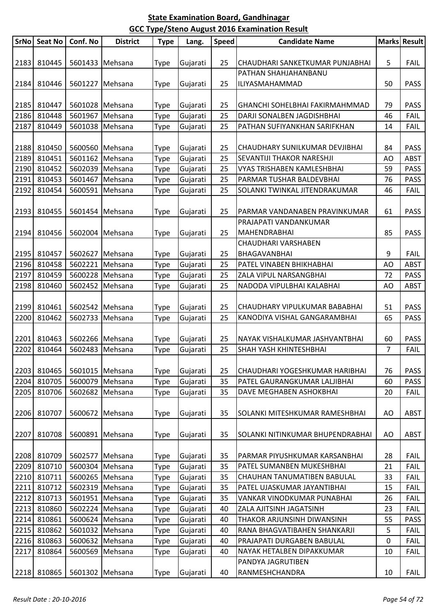| <b>SrNo</b> | <b>Seat No</b> | Conf. No        | <b>District</b> | <b>Type</b>  | Lang.                | <b>Speed</b> | <b>Candidate Name</b>               |                | Marks Result |
|-------------|----------------|-----------------|-----------------|--------------|----------------------|--------------|-------------------------------------|----------------|--------------|
|             |                |                 |                 |              |                      |              |                                     |                |              |
| 2183        | 810445         |                 | 5601433 Mehsana | Type         | Gujarati             | 25           | CHAUDHARI SANKETKUMAR PUNJABHAI     | 5              | <b>FAIL</b>  |
|             |                |                 |                 |              |                      |              | PATHAN SHAHJAHANBANU                |                |              |
| 2184        | 810446         | 5601227         | Mehsana         | Type         | Gujarati             | 25           | ILIYASMAHAMMAD                      | 50             | <b>PASS</b>  |
|             |                |                 |                 |              |                      |              |                                     |                |              |
| 2185        | 810447         | 5601028 Mehsana |                 | Type         | Gujarati             | 25           | GHANCHI SOHELBHAI FAKIRMAHMMAD      | 79             | <b>PASS</b>  |
| 2186        | 810448         | 5601967         | Mehsana         | Type         | Gujarati             | 25           | DARJI SONALBEN JAGDISHBHAI          | 46             | <b>FAIL</b>  |
| 2187        | 810449         | 5601038         | Mehsana         | Type         | Gujarati             | 25           | PATHAN SUFIYANKHAN SARIFKHAN        | 14             | <b>FAIL</b>  |
|             |                |                 |                 |              |                      |              |                                     |                |              |
| 2188        | 810450         | 5600560 Mehsana |                 | Type         | Gujarati             | 25           | CHAUDHARY SUNILKUMAR DEVJIBHAI      | 84             | <b>PASS</b>  |
| 2189        | 810451         | 5601162         | Mehsana         | Type         | Gujarati             | 25           | SEVANTIJI THAKOR NARESHJI           | AO             | <b>ABST</b>  |
| 2190        | 810452         | 5602039         | Mehsana         | Type         | Gujarati             | 25           | VYAS TRISHABEN KAMLESHBHAI          | 59             | <b>PASS</b>  |
| 2191        | 810453         | 5601467         | Mehsana         | Type         | Gujarati             | 25           | PARMAR TUSHAR BALDEVBHAI            | 76             | <b>PASS</b>  |
| 2192        | 810454         | 5600591         | Mehsana         | Type         | Gujarati             | 25           | SOLANKI TWINKAL JITENDRAKUMAR       | 46             | <b>FAIL</b>  |
|             |                |                 |                 |              |                      |              |                                     |                |              |
| 2193        | 810455         | 5601454         | Mehsana         | Type         | Gujarati             | 25           | PARMAR VANDANABEN PRAVINKUMAR       | 61             | <b>PASS</b>  |
|             |                |                 | 5602004 Mehsana |              |                      |              | PRAJAPATI VANDANKUMAR               |                |              |
| 2194        | 810456         |                 |                 | Type         | Gujarati             | 25           | MAHENDRABHAI                        | 85             | <b>PASS</b>  |
| 2195        | 810457         | 5602627         | Mehsana         |              |                      | 25           | CHAUDHARI VARSHABEN<br>BHAGAVANBHAI | 9              | <b>FAIL</b>  |
| 2196        | 810458         | 5602221         | Mehsana         | Type<br>Type | Gujarati<br>Gujarati | 25           | PATEL VINABEN BHIKHABHAI            | AO             | <b>ABST</b>  |
| 2197        | 810459         | 5600228         | Mehsana         | Type         | Gujarati             | 25           | ZALA VIPUL NARSANGBHAI              | 72             | <b>PASS</b>  |
| 2198        | 810460         | 5602452         | Mehsana         | Type         | Gujarati             | 25           | NADODA VIPULBHAI KALABHAI           | AO             | <b>ABST</b>  |
|             |                |                 |                 |              |                      |              |                                     |                |              |
| 2199        | 810461         | 5602542 Mehsana |                 | Type         | Gujarati             | 25           | CHAUDHARY VIPULKUMAR BABABHAI       | 51             | <b>PASS</b>  |
| 2200        | 810462         | 5602733         | Mehsana         | Type         | Gujarati             | 25           | KANODIYA VISHAL GANGARAMBHAI        | 65             | <b>PASS</b>  |
|             |                |                 |                 |              |                      |              |                                     |                |              |
| 2201        | 810463         |                 | 5602266 Mehsana | Type         | Gujarati             | 25           | NAYAK VISHALKUMAR JASHVANTBHAI      | 60             | <b>PASS</b>  |
| 2202        | 810464         | 5602483         | Mehsana         | Type         | Gujarati             | 25           | SHAH YASH KHINTESHBHAI              | $\overline{7}$ | <b>FAIL</b>  |
|             |                |                 |                 |              |                      |              |                                     |                |              |
| 2203        | 810465         | 5601015 Mehsana |                 | Type         | Gujarati             | 25           | CHAUDHARI YOGESHKUMAR HARIBHAI      | 76             | PASS         |
| 2204        | 810705         | 5600079         | Mehsana         | Type         | Gujarati             | 35           | PATEL GAURANGKUMAR LALJIBHAI        | 60             | <b>PASS</b>  |
| 2205        | 810706         |                 | 5602682 Mehsana | Type         | Gujarati             | 35           | DAVE MEGHABEN ASHOKBHAI             | 20             | <b>FAIL</b>  |
|             |                |                 |                 |              |                      |              |                                     |                |              |
| 2206        | 810707         | 5600672         | Mehsana         | Type         | Gujarati             | 35           | SOLANKI MITESHKUMAR RAMESHBHAI      | AO             | <b>ABST</b>  |
|             |                |                 |                 |              |                      |              |                                     |                |              |
| 2207        | 810708         |                 | 5600891 Mehsana | Type         | Gujarati             | 35           | SOLANKI NITINKUMAR BHUPENDRABHAI    | AO             | <b>ABST</b>  |
|             |                |                 |                 |              |                      |              |                                     |                |              |
| 2208        | 810709         |                 | 5602577 Mehsana | Type         | Gujarati             | 35           | PARMAR PIYUSHKUMAR KARSANBHAI       | 28             | <b>FAIL</b>  |
| 2209        | 810710         | 5600304 Mehsana |                 | Type         | Gujarati             | 35           | PATEL SUMANBEN MUKESHBHAI           | 21             | <b>FAIL</b>  |
| 2210        | 810711         |                 | 5600265 Mehsana | Type         | Gujarati             | 35           | CHAUHAN TANUMATIBEN BABULAL         | 33             | <b>FAIL</b>  |
| 2211        | 810712         |                 | 5602319 Mehsana | Type         | Gujarati             | 35           | PATEL UJASKUMAR JAYANTIBHAI         | 15             | <b>FAIL</b>  |
| 2212        | 810713         |                 | 5601951 Mehsana | Type         | Gujarati             | 35           | VANKAR VINODKUMAR PUNABHAI          | 26             | <b>FAIL</b>  |
| 2213        | 810860         | 5602224         | Mehsana         | Type         | Gujarati             | 40           | ZALA AJITSINH JAGATSINH             | 23             | <b>FAIL</b>  |
| 2214        | 810861         | 5600624         | Mehsana         | Type         | Gujarati             | 40           | THAKOR ARJUNSINH DIWANSINH          | 55             | <b>PASS</b>  |
| 2215        | 810862         | 5601032         | Mehsana         | Type         | Gujarati             | 40           | RANA BHAGVATIBAHEN SHANKARJI        | 5              | <b>FAIL</b>  |
| 2216        | 810863         |                 | 5600632 Mehsana | Type         | Gujarati             | 40           | PRAJAPATI DURGABEN BABULAL          | 0              | <b>FAIL</b>  |
| 2217        | 810864         | 5600569         | Mehsana         | Type         | Gujarati             | 40           | NAYAK HETALBEN DIPAKKUMAR           | 10             | <b>FAIL</b>  |
|             |                |                 |                 |              |                      |              | PANDYA JAGRUTIBEN                   |                |              |
| 2218        | 810865         | 5601302 Mehsana |                 | <b>Type</b>  | Gujarati             | 40           | RANMESHCHANDRA                      | 10             | <b>FAIL</b>  |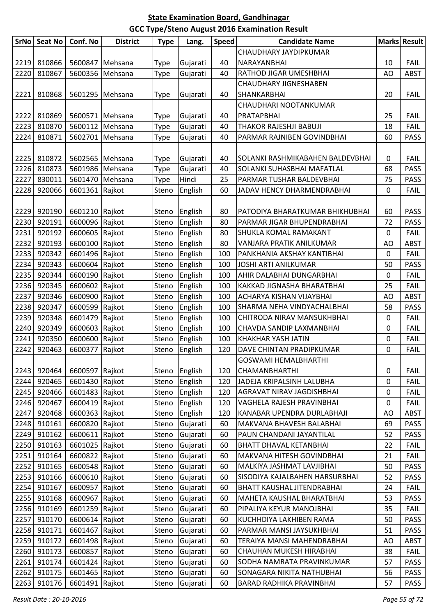| <b>SrNo</b> | <b>Seat No</b> | Conf. No        | <b>District</b> | <b>Type</b> | Lang.    | <b>Speed</b> | <b>Candidate Name</b>            |             | Marks Result |
|-------------|----------------|-----------------|-----------------|-------------|----------|--------------|----------------------------------|-------------|--------------|
|             |                |                 |                 |             |          |              | CHAUDHARY JAYDIPKUMAR            |             |              |
| 2219        | 810866         |                 | 5600847 Mehsana | <b>Type</b> | Gujarati | 40           | NARAYANBHAI                      | 10          | <b>FAIL</b>  |
| 2220        | 810867         |                 | 5600356 Mehsana | Type        | Gujarati | 40           | RATHOD JIGAR UMESHBHAI           | AO          | <b>ABST</b>  |
|             |                |                 |                 |             |          |              | <b>CHAUDHARY JIGNESHABEN</b>     |             |              |
| 2221        | 810868         | 5601295 Mehsana |                 | <b>Type</b> | Gujarati | 40           | SHANKARBHAI                      | 20          | <b>FAIL</b>  |
|             |                |                 |                 |             |          |              | CHAUDHARI NOOTANKUMAR            |             |              |
| 2222        | 810869         |                 | 5600571 Mehsana | <b>Type</b> | Gujarati | 40           | PRATAPBHAI                       | 25          | <b>FAIL</b>  |
| 2223        | 810870         |                 | 5600112 Mehsana | Type        | Gujarati | 40           | THAKOR RAJESHJI BABUJI           | 18          | <b>FAIL</b>  |
| 2224        | 810871         |                 | 5602701 Mehsana | Type        | Gujarati | 40           | PARMAR RAJNIBEN GOVINDBHAI       | 60          | <b>PASS</b>  |
|             |                |                 |                 |             |          |              |                                  |             |              |
| 2225        | 810872         |                 | 5602565 Mehsana | Type        | Gujarati | 40           | SOLANKI RASHMIKABAHEN BALDEVBHAI | 0           | <b>FAIL</b>  |
| 2226        | 810873         |                 | 5601986 Mehsana | Type        | Gujarati | 40           | SOLANKI SUHASBHAI MAFATLAL       | 68          | <b>PASS</b>  |
| 2227        | 830011         |                 | 5601470 Mehsana | Type        | Hindi    | 25           | PARMAR TUSHAR BALDEVBHAI         | 75          | <b>PASS</b>  |
| 2228        | 920066         | 6601361         | Rajkot          | Steno       | English  | 60           | JADAV HENCY DHARMENDRABHAI       | 0           | <b>FAIL</b>  |
|             |                |                 |                 |             |          |              |                                  |             |              |
| 2229        | 920190         | 6601210 Rajkot  |                 | Steno       | English  | 80           | PATODIYA BHARATKUMAR BHIKHUBHAI  | 60          | <b>PASS</b>  |
| 2230        | 920191         | 6600096 Rajkot  |                 | Steno       | English  | 80           | PARMAR JIGAR BHUPENDRABHAI       | 72          | <b>PASS</b>  |
| 2231        | 920192         | 6600605 Rajkot  |                 | Steno       | English  | 80           | SHUKLA KOMAL RAMAKANT            | 0           | <b>FAIL</b>  |
| 2232        | 920193         | 6600100 Rajkot  |                 | Steno       | English  | 80           | VANJARA PRATIK ANILKUMAR         | AO          | <b>ABST</b>  |
| 2233        | 920342         | 6601496 Rajkot  |                 | Steno       | English  | 100          | PANKHANIA AKSHAY KANTIBHAI       | 0           | <b>FAIL</b>  |
| 2234        | 920343         | 6600604 Rajkot  |                 | Steno       | English  | 100          | <b>JOSHI ARTI ANILKUMAR</b>      | 50          | <b>PASS</b>  |
| 2235        | 920344         | 6600190 Rajkot  |                 | Steno       | English  | 100          | AHIR DALABHAI DUNGARBHAI         | 0           | <b>FAIL</b>  |
| 2236        | 920345         | 6600602 Rajkot  |                 | Steno       | English  | 100          | KAKKAD JIGNASHA BHARATBHAI       | 25          | <b>FAIL</b>  |
| 2237        | 920346         | 6600900 Rajkot  |                 | Steno       | English  | 100          | ACHARYA KISHAN VIJAYBHAI         | AO          | <b>ABST</b>  |
| 2238        | 920347         | 6600599 Rajkot  |                 | Steno       | English  | 100          | SHARMA NEHA VINDYACHALBHAI       | 58          | <b>PASS</b>  |
| 2239        | 920348         | 6601479 Rajkot  |                 | Steno       | English  | 100          | CHITRODA NIRAV MANSUKHBHAI       | 0           | <b>FAIL</b>  |
| 2240        | 920349         | 6600603 Rajkot  |                 | Steno       | English  | 100          | CHAVDA SANDIP LAXMANBHAI         | 0           | <b>FAIL</b>  |
| 2241        | 920350         | 6600600 Rajkot  |                 | Steno       | English  | 100          | KHAKHAR YASH JATIN               | $\mathbf 0$ | <b>FAIL</b>  |
| 2242        | 920463         | 6600377         | Rajkot          | Steno       | English  | 120          | DAVE CHINTAN PRADIPKUMAR         | 0           | <b>FAIL</b>  |
|             |                |                 |                 |             |          |              | <b>GOSWAMI HEMALBHARTHI</b>      |             |              |
| 2243        | 920464         | 6600597 Rajkot  |                 | Steno       | English  | 120          | CHAMANBHARTHI                    | $\pmb{0}$   | <b>FAIL</b>  |
| 2244        | 920465         | 6601430 Rajkot  |                 | Steno       | English  | 120          | JADEJA KRIPALSINH LALUBHA        | 0           | <b>FAIL</b>  |
| 2245        | 920466         | 6601483 Rajkot  |                 | Steno       | English  | 120          | AGRAVAT NIRAV JAGDISHBHAI        | 0           | <b>FAIL</b>  |
| 2246        | 920467         | 6600419 Rajkot  |                 | Steno       | English  | 120          | VAGHELA RAJESH PRAVINBHAI        | 0           | <b>FAIL</b>  |
| 2247        | 920468         | 6600363 Rajkot  |                 | Steno       | English  | 120          | KANABAR UPENDRA DURLABHAJI       | AO          | <b>ABST</b>  |
| 2248        | 910161         | 6600820 Rajkot  |                 | Steno       | Gujarati | 60           | MAKVANA BHAVESH BALABHAI         | 69          | <b>PASS</b>  |
| 2249        | 910162         | 6600611 Rajkot  |                 | Steno       | Gujarati | 60           | PAUN CHANDANI JAYANTILAL         | 52          | <b>PASS</b>  |
| 2250        | 910163         | 6601025 Rajkot  |                 | Steno       | Gujarati | 60           | BHATT DHAVAL KETANBHAI           | 22          | <b>FAIL</b>  |
| 2251        | 910164         | 6600822 Rajkot  |                 | Steno       | Gujarati | 60           | MAKVANA HITESH GOVINDBHAI        | 21          | <b>FAIL</b>  |
| 2252        | 910165         | 6600548 Rajkot  |                 | Steno       | Gujarati | 60           | MALKIYA JASHMAT LAVJIBHAI        | 50          | <b>PASS</b>  |
| 2253        | 910166         | 6600610 Rajkot  |                 | Steno       | Gujarati | 60           | SISODIYA KAJALBAHEN HARSURBHAI   | 52          | <b>PASS</b>  |
| 2254        | 910167         | 6600957 Rajkot  |                 | Steno       | Gujarati | 60           | BHATT KAUSHAL JITENDRABHAI       | 24          | <b>FAIL</b>  |
| 2255        | 910168         | 6600967 Rajkot  |                 | Steno       | Gujarati | 60           | MAHETA KAUSHAL BHARATBHAI        | 53          | <b>PASS</b>  |
| 2256        | 910169         | 6601259 Rajkot  |                 | Steno       | Gujarati | 60           | PIPALIYA KEYUR MANOJBHAI         | 35          | <b>FAIL</b>  |
| 2257        | 910170         | 6600614 Rajkot  |                 | Steno       | Gujarati | 60           | KUCHHDIYA LAKHIBEN RAMA          | 50          | <b>PASS</b>  |
| 2258        | 910171         | 6601467 Rajkot  |                 | Steno       | Gujarati | 60           | PARMAR MANSI JAYSUKHBHAI         | 51          | <b>PASS</b>  |
| 2259        | 910172         | 6601498 Rajkot  |                 | Steno       | Gujarati | 60           | TERAIYA MANSI MAHENDRABHAI       | AO          | <b>ABST</b>  |
| 2260        | 910173         | 6600857 Rajkot  |                 | Steno       | Gujarati | 60           | CHAUHAN MUKESH HIRABHAI          | 38          | <b>FAIL</b>  |
| 2261        | 910174         | 6601424 Rajkot  |                 | Steno       | Gujarati | 60           | SODHA NAMRATA PRAVINKUMAR        | 57          | <b>PASS</b>  |
| 2262        | 910175         | 6601465 Rajkot  |                 | Steno       | Gujarati | 60           | SONAGARA NIKITA NATHUBHAI        | 56          | <b>PASS</b>  |
| 2263        | 910176         | 6601491 Rajkot  |                 | Steno       | Gujarati | 60           | BARAD RADHIKA PRAVINBHAI         | 57          | <b>PASS</b>  |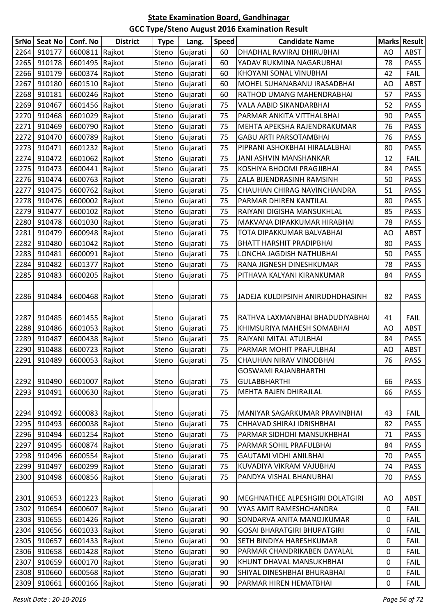| <b>SrNo</b> | Seat No | Conf. No       | <b>District</b> | <b>Type</b> | Lang.          | <b>Speed</b> | <b>Candidate Name</b>              |    | <b>Marks Result</b> |
|-------------|---------|----------------|-----------------|-------------|----------------|--------------|------------------------------------|----|---------------------|
| 2264        | 910177  | 6600811        | Rajkot          | Steno       | Gujarati       | 60           | DHADHAL RAVIRAJ DHIRUBHAI          | AO | <b>ABST</b>         |
| 2265        | 910178  | 6601495 Rajkot |                 | Steno       | Gujarati       | 60           | YADAV RUKMINA NAGARUBHAI           | 78 | <b>PASS</b>         |
| 2266        | 910179  | 6600374 Rajkot |                 | Steno       | Gujarati       | 60           | KHOYANI SONAL VINUBHAI             | 42 | <b>FAIL</b>         |
| 2267        | 910180  | 6601510 Rajkot |                 | Steno       | Gujarati       | 60           | MOHEL SUHANABANU IRASADBHAI        | AO | <b>ABST</b>         |
| 2268        | 910181  | 6600246 Rajkot |                 | Steno       | Gujarati       | 60           | RATHOD UMANG MAHENDRABHAI          | 57 | <b>PASS</b>         |
| 2269        | 910467  | 6601456 Rajkot |                 | Steno       | Gujarati       | 75           | VALA AABID SIKANDARBHAI            | 52 | <b>PASS</b>         |
| 2270        | 910468  | 6601029 Rajkot |                 | Steno       | Gujarati       | 75           | PARMAR ANKITA VITTHALBHAI          | 90 | <b>PASS</b>         |
| 2271        | 910469  | 6600790 Rajkot |                 | Steno       | Gujarati       | 75           | MEHTA APEKSHA RAJENDRAKUMAR        | 76 | PASS                |
| 2272        | 910470  | 6600789 Rajkot |                 | Steno       | Gujarati       | 75           | GABU ARTI PARSOTAMBHAI             | 76 | PASS                |
| 2273        | 910471  | 6601232 Rajkot |                 | Steno       | Gujarati       | 75           | PIPRANI ASHOKBHAI HIRALALBHAI      | 80 | <b>PASS</b>         |
| 2274        | 910472  | 6601062 Rajkot |                 | Steno       | Gujarati       | 75           | JANI ASHVIN MANSHANKAR             | 12 | <b>FAIL</b>         |
| 2275        | 910473  | 6600441 Rajkot |                 | Steno       | Gujarati       | 75           | KOSHIYA BHOOMI PRAGJIBHAI          | 84 | PASS                |
| 2276        | 910474  | 6600763 Rajkot |                 | Steno       | Gujarati       | 75           | ZALA BIJENDRASINH RAMSINH          | 50 | <b>PASS</b>         |
| 2277        | 910475  | 6600762 Rajkot |                 | Steno       | Gujarati       | 75           | CHAUHAN CHIRAG NAVINCHANDRA        | 51 | <b>PASS</b>         |
| 2278        | 910476  | 6600002 Rajkot |                 | Steno       | Gujarati       | 75           | PARMAR DHIREN KANTILAL             | 80 | PASS                |
| 2279        | 910477  | 6600102 Rajkot |                 | Steno       | Gujarati       | 75           | RAIYANI DIGISHA MANSUKHLAL         | 85 | <b>PASS</b>         |
| 2280        | 910478  | 6601030 Rajkot |                 | Steno       | Gujarati       | 75           | MAKVANA DIPAKKUMAR HIRABHAI        | 78 | <b>PASS</b>         |
| 2281        | 910479  | 6600948 Rajkot |                 | Steno       | Gujarati       | 75           | TOTA DIPAKKUMAR BALVABHAI          | AO | <b>ABST</b>         |
| 2282        | 910480  | 6601042 Rajkot |                 | Steno       | Gujarati       | 75           | <b>BHATT HARSHIT PRADIPBHAI</b>    | 80 | PASS                |
| 2283        | 910481  | 6600091 Rajkot |                 | Steno       | Gujarati       | 75           | LONCHA JAGDISH NATHUBHAI           | 50 | <b>PASS</b>         |
| 2284        | 910482  | 6601377 Rajkot |                 | Steno       | Gujarati       | 75           | RANA JIGNESH DINESHKUMAR           | 78 | <b>PASS</b>         |
| 2285        | 910483  | 6600205 Rajkot |                 | Steno       | Gujarati       | 75           | PITHAVA KALYANI KIRANKUMAR         | 84 | PASS                |
| 2286        | 910484  | 6600468 Rajkot |                 | Steno       | Gujarati       | 75           | JADEJA KULDIPSINH ANIRUDHDHASINH   | 82 | <b>PASS</b>         |
| 2287        | 910485  | 6601455 Rajkot |                 | Steno       | Gujarati       | 75           | RATHVA LAXMANBHAI BHADUDIYABHAI    | 41 | <b>FAIL</b>         |
| 2288        | 910486  | 6601053 Rajkot |                 | Steno       | Gujarati       | 75           | KHIMSURIYA MAHESH SOMABHAI         | AO | <b>ABST</b>         |
| 2289        | 910487  | 6600438 Rajkot |                 | Steno       | Gujarati       | 75           | RAIYANI MITAL ATULBHAI             | 84 | <b>PASS</b>         |
| 2290        | 910488  | 6600723 Rajkot |                 | Steno       | Gujarati       | 75           | PARMAR MOHIT PRAFULBHAI            | AO | <b>ABST</b>         |
| 2291        | 910489  | 6600053 Rajkot |                 |             | Steno Gujarati | 75           | CHAUHAN NIRAV VINODBHAI            | 76 | PASS                |
|             |         |                |                 |             |                |              | GOSWAMI RAJANBHARTHI               |    |                     |
| 2292        | 910490  | 6601007 Rajkot |                 | Steno       | Gujarati       | 75           | <b>GULABBHARTHI</b>                | 66 | <b>PASS</b>         |
| 2293        | 910491  | 6600630        | Rajkot          | Steno       | Gujarati       | 75           | MEHTA RAJEN DHIRAJLAL              | 66 | <b>PASS</b>         |
| 2294        | 910492  | 6600083 Rajkot |                 | Steno       | Gujarati       | 75           | MANIYAR SAGARKUMAR PRAVINBHAI      | 43 | <b>FAIL</b>         |
| 2295        | 910493  | 6600038 Rajkot |                 | Steno       | Gujarati       | 75           | CHHAVAD SHIRAJ IDRISHBHAI          | 82 | PASS                |
| 2296        | 910494  | 6601254        | Rajkot          | Steno       | Gujarati       | 75           | PARMAR SIDHDHI MANSUKHBHAI         | 71 | <b>PASS</b>         |
| 2297        | 910495  | 6600874 Rajkot |                 | Steno       | Gujarati       | 75           | PARMAR SOHIL PRAFULBHAI            | 84 | <b>PASS</b>         |
| 2298        | 910496  | 6600554 Rajkot |                 | Steno       | Gujarati       | 75           | GAUTAMI VIDHI ANILBHAI             | 70 | <b>PASS</b>         |
| 2299        | 910497  | 6600299 Rajkot |                 | Steno       | Gujarati       | 75           | KUVADIYA VIKRAM VAJUBHAI           | 74 | <b>PASS</b>         |
| 2300        | 910498  | 6600856 Rajkot |                 | Steno       | Gujarati       | 75           | PANDYA VISHAL BHANUBHAI            | 70 | <b>PASS</b>         |
| 2301        | 910653  | 6601223 Rajkot |                 | Steno       | Gujarati       | 90           | MEGHNATHEE ALPESHGIRI DOLATGIRI    | AO | ABST                |
| 2302        | 910654  | 6600607 Rajkot |                 | Steno       | Gujarati       | 90           | VYAS AMIT RAMESHCHANDRA            | 0  | <b>FAIL</b>         |
| 2303        | 910655  | 6601426 Rajkot |                 | Steno       | Gujarati       | 90           | SONDARVA ANITA MANOJKUMAR          | 0  | <b>FAIL</b>         |
| 2304        | 910656  | 6601033 Rajkot |                 | Steno       | Gujarati       | 90           | <b>GOSAI BHARATGIRI BHUPATGIRI</b> | 0  | <b>FAIL</b>         |
| 2305        | 910657  | 6601433 Rajkot |                 | Steno       | Gujarati       | 90           | SETH BINDIYA HARESHKUMAR           | 0  | <b>FAIL</b>         |
| 2306        | 910658  | 6601428 Rajkot |                 | Steno       | Gujarati       | 90           | PARMAR CHANDRIKABEN DAYALAL        | 0  | <b>FAIL</b>         |
| 2307        | 910659  | 6600170 Rajkot |                 | Steno       | Gujarati       | 90           | KHUNT DHAVAL MANSUKHBHAI           | 0  | <b>FAIL</b>         |
| 2308        | 910660  | 6600568 Rajkot |                 | Steno       | Gujarati       | 90           | SHIYAL DINESHBHAI BHURABHAI        | 0  | <b>FAIL</b>         |
| 2309        | 910661  | 6600166 Rajkot |                 | Steno       | Gujarati       | 90           | PARMAR HIREN HEMATBHAI             | 0  | <b>FAIL</b>         |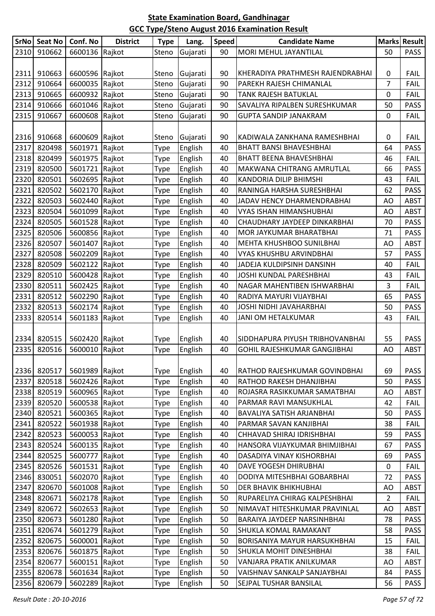|      | SrNo Seat No | Conf. No       | <b>District</b> | <b>Type</b> | Lang.    | <b>Speed</b> | <b>Candidate Name</b>            |                | <b>Marks Result</b> |
|------|--------------|----------------|-----------------|-------------|----------|--------------|----------------------------------|----------------|---------------------|
| 2310 | 910662       | 6600136 Rajkot |                 | Steno       | Gujarati | 90           | MORI MEHUL JAYANTILAL            | 50             | <b>PASS</b>         |
|      |              |                |                 |             |          |              |                                  |                |                     |
| 2311 | 910663       | 6600596 Rajkot |                 | Steno       | Gujarati | 90           | KHERADIYA PRATHMESH RAJENDRABHAI | 0              | <b>FAIL</b>         |
| 2312 | 910664       | 6600035 Rajkot |                 | Steno       | Gujarati | 90           | PAREKH RAJESH CHIMANLAL          | 7              | <b>FAIL</b>         |
| 2313 | 910665       | 6600932 Rajkot |                 | Steno       | Gujarati | 90           | TANK RAJESH BATUKLAL             | 0              | <b>FAIL</b>         |
| 2314 | 910666       | 6601046 Rajkot |                 | Steno       | Gujarati | 90           | SAVALIYA RIPALBEN SURESHKUMAR    | 50             | <b>PASS</b>         |
| 2315 | 910667       | 6600608 Rajkot |                 | Steno       | Gujarati | 90           | <b>GUPTA SANDIP JANAKRAM</b>     | 0              | <b>FAIL</b>         |
|      |              |                |                 |             |          |              |                                  |                |                     |
| 2316 | 910668       | 6600609 Rajkot |                 | Steno       | Gujarati | 90           | KADIWALA ZANKHANA RAMESHBHAI     | 0              | <b>FAIL</b>         |
| 2317 | 820498       | 5601971        | Rajkot          | Type        | English  | 40           | <b>BHATT BANSI BHAVESHBHAI</b>   | 64             | <b>PASS</b>         |
| 2318 | 820499       | 5601975 Rajkot |                 | Type        | English  | 40           | <b>BHATT BEENA BHAVESHBHAI</b>   | 46             | <b>FAIL</b>         |
| 2319 | 820500       | 5601721 Rajkot |                 | Type        | English  | 40           | MAKWANA CHITRANG AMRUTLAL        | 66             | <b>PASS</b>         |
| 2320 | 820501       | 5602695 Rajkot |                 | Type        | English  | 40           | KANDORIA DILIP BHIMSHI           | 43             | <b>FAIL</b>         |
| 2321 | 820502       | 5602170 Rajkot |                 | Type        | English  | 40           | RANINGA HARSHA SURESHBHAI        | 62             | <b>PASS</b>         |
| 2322 | 820503       | 5602440        | Rajkot          | Type        | English  | 40           | JADAV HENCY DHARMENDRABHAI       | AO             | <b>ABST</b>         |
| 2323 | 820504       | 5601099 Rajkot |                 | Type        | English  | 40           | VYAS ISHAN HIMANSHUBHAI          | AO             | <b>ABST</b>         |
| 2324 | 820505       | 5601528 Rajkot |                 | Type        | English  | 40           | CHAUDHARY JAYDEEP DINKARBHAI     | 70             | <b>PASS</b>         |
| 2325 | 820506       | 5600856 Rajkot |                 | Type        | English  | 40           | MOR JAYKUMAR BHARATBHAI          | 71             | <b>PASS</b>         |
| 2326 | 820507       | 5601407        | Rajkot          | Type        | English  | 40           | MEHTA KHUSHBOO SUNILBHAI         | AO             | <b>ABST</b>         |
| 2327 | 820508       | 5602209        | Rajkot          | Type        | English  | 40           | VYAS KHUSHBU ARVINDBHAI          | 57             | <b>PASS</b>         |
| 2328 | 820509       | 5602122        | Rajkot          | Type        | English  | 40           | JADEJA KULDIPSINH DANSINH        | 40             | <b>FAIL</b>         |
| 2329 | 820510       | 5600428 Rajkot |                 | Type        | English  | 40           | JOSHI KUNDAL PARESHBHAI          | 43             | <b>FAIL</b>         |
| 2330 | 820511       | 5602425 Rajkot |                 | Type        | English  | 40           | NAGAR MAHENTIBEN ISHWARBHAI      | 3              | <b>FAIL</b>         |
| 2331 | 820512       | 5602290        | Rajkot          | Type        | English  | 40           | RADIYA MAYURI VIJAYBHAI          | 65             | <b>PASS</b>         |
| 2332 | 820513       | 5602174 Rajkot |                 | Type        | English  | 40           | JOSHI NIDHI JAVAHARBHAI          | 50             | <b>PASS</b>         |
| 2333 | 820514       | 5601183 Rajkot |                 | Type        | English  | 40           | JANI OM HETALKUMAR               | 43             | <b>FAIL</b>         |
|      |              |                |                 |             |          |              |                                  |                |                     |
| 2334 | 820515       | 5602420 Rajkot |                 | Type        | English  | 40           | SIDDHAPURA PIYUSH TRIBHOVANBHAI  | 55             | <b>PASS</b>         |
| 2335 | 820516       | 5600010        | Rajkot          | Type        | English  | 40           | GOHIL RAJESHKUMAR GANGJIBHAI     | AO             | <b>ABST</b>         |
|      |              |                |                 |             |          |              |                                  |                |                     |
| 2336 | 820517       | 5601989 Rajkot |                 | Type        | English  | 40           | RATHOD RAJESHKUMAR GOVINDBHAI    | 69             | <b>PASS</b>         |
| 2337 | 820518       | 5602426 Rajkot |                 | Type        | English  | 40           | RATHOD RAKESH DHANJIBHAI         | 50             | PASS                |
| 2338 | 820519       | 5600965 Rajkot |                 | Type        | English  | 40           | ROJASRA RASIKKUMAR SAMATBHAI     | AO             | ABST                |
| 2339 | 820520       | 5600538 Rajkot |                 | Type        | English  | 40           | PARMAR RAVI MANSUKHLAL           | 42             | <b>FAIL</b>         |
| 2340 | 820521       | 5600365 Rajkot |                 | Type        | English  | 40           | BAVALIYA SATISH ARJANBHAI        | 50             | <b>PASS</b>         |
| 2341 | 820522       | 5601938 Rajkot |                 | Type        | English  | 40           | PARMAR SAVAN KANJIBHAI           | 38             | <b>FAIL</b>         |
| 2342 | 820523       | 5600053 Rajkot |                 | Type        | English  | 40           | CHHAVAD SHIRAJ IDRISHBHAI        | 59             | <b>PASS</b>         |
| 2343 | 820524       | 5600135 Rajkot |                 | Type        | English  | 40           | HANSORA VIJAYKUMAR BHIMJIBHAI    | 67             | <b>PASS</b>         |
| 2344 | 820525       | 5600777 Rajkot |                 | Type        | English  | 40           | DASADIYA VINAY KISHORBHAI        | 69             | <b>PASS</b>         |
| 2345 | 820526       | 5601531 Rajkot |                 | Type        | English  | 40           | DAVE YOGESH DHIRUBHAI            | 0              | <b>FAIL</b>         |
| 2346 | 830051       | 5602070 Rajkot |                 | Type        | English  | 40           | DODIYA MITESHBHAI GOBARBHAI      | 72             | <b>PASS</b>         |
| 2347 | 820670       | 5601008 Rajkot |                 | Type        | English  | 50           | DER BHAVIK BHIKHUBHAI            | AO             | <b>ABST</b>         |
| 2348 | 820671       | 5602178 Rajkot |                 | Type        | English  | 50           | RUPARELIYA CHIRAG KALPESHBHAI    | $\overline{2}$ | <b>FAIL</b>         |
| 2349 | 820672       | 5602653 Rajkot |                 | Type        | English  | 50           | NIMAVAT HITESHKUMAR PRAVINLAL    | AO             | <b>ABST</b>         |
| 2350 | 820673       | 5601280 Rajkot |                 | Type        | English  | 50           | BARAIYA JAYDEEP NARSINHBHAI      | 78             | <b>PASS</b>         |
| 2351 | 820674       | 5601279 Rajkot |                 | Type        | English  | 50           | <b>SHUKLA KOMAL RAMAKANT</b>     | 58             | <b>PASS</b>         |
| 2352 | 820675       | 5600001 Rajkot |                 | Type        | English  | 50           | BORISANIYA MAYUR HARSUKHBHAI     | 15             | <b>FAIL</b>         |
| 2353 | 820676       | 5601875 Rajkot |                 | Type        | English  | 50           | SHUKLA MOHIT DINESHBHAI          | 38             | <b>FAIL</b>         |
| 2354 | 820677       | 5600151 Rajkot |                 | Type        | English  | 50           | VANJARA PRATIK ANILKUMAR         | AO             | <b>ABST</b>         |
| 2355 | 820678       | 5601634 Rajkot |                 | Type        | English  | 50           | VAISHNAV SANKALP SANJAYBHAI      | 84             | <b>PASS</b>         |
| 2356 | 820679       | 5602289 Rajkot |                 | Type        | English  | 50           | SEJPAL TUSHAR BANSILAL           | 56             | PASS                |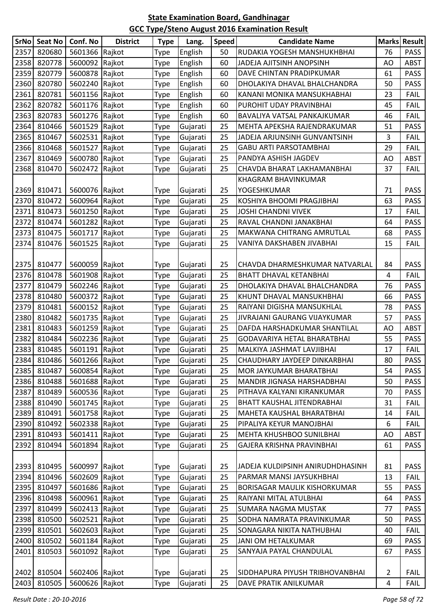| <b>SrNo</b> | <b>Seat No</b> | Conf. No       | <b>District</b> | <b>Type</b> | Lang.    | <b>Speed</b> | <b>Candidate Name</b>            |    | Marks Result |
|-------------|----------------|----------------|-----------------|-------------|----------|--------------|----------------------------------|----|--------------|
| 2357        | 820680         | 5601366 Rajkot |                 | Type        | English  | 50           | RUDAKIA YOGESH MANSHUKHBHAI      | 76 | <b>PASS</b>  |
| 2358        | 820778         | 5600092 Rajkot |                 | Type        | English  | 60           | JADEJA AJITSINH ANOPSINH         | AO | <b>ABST</b>  |
| 2359        | 820779         | 5600878 Rajkot |                 | Type        | English  | 60           | DAVE CHINTAN PRADIPKUMAR         | 61 | <b>PASS</b>  |
| 2360        | 820780         | 5602240 Rajkot |                 | Type        | English  | 60           | DHOLAKIYA DHAVAL BHALCHANDRA     | 50 | <b>PASS</b>  |
| 2361        | 820781         | 5601156 Rajkot |                 | Type        | English  | 60           | KANANI MONIKA MANSUKHABHAI       | 23 | <b>FAIL</b>  |
| 2362        | 820782         | 5601176 Rajkot |                 | Type        | English  | 60           | PUROHIT UDAY PRAVINBHAI          | 45 | <b>FAIL</b>  |
| 2363        | 820783         | 5601276 Rajkot |                 | Type        | English  | 60           | BAVALIYA VATSAL PANKAJKUMAR      | 46 | <b>FAIL</b>  |
| 2364        | 810466         | 5601529 Rajkot |                 | Type        | Gujarati | 25           | MEHTA APEKSHA RAJENDRAKUMAR      | 51 | <b>PASS</b>  |
| 2365        | 810467         | 5602531 Rajkot |                 | Type        | Gujarati | 25           | JADEJA ARJUNSINH GUNVANTSINH     | 3  | <b>FAIL</b>  |
| 2366        | 810468         | 5601527        | Rajkot          | Type        | Gujarati | 25           | GABU ARTI PARSOTAMBHAI           | 29 | <b>FAIL</b>  |
| 2367        | 810469         | 5600780        | Rajkot          | Type        | Gujarati | 25           | PANDYA ASHISH JAGDEV             | AO | <b>ABST</b>  |
| 2368        | 810470         | 5602472 Rajkot |                 | Type        | Gujarati | 25           | CHAVDA BHARAT LAKHAMANBHAI       | 37 | <b>FAIL</b>  |
|             |                |                |                 |             |          |              | KHAGRAM BHAVINKUMAR              |    |              |
| 2369        | 810471         | 5600076 Rajkot |                 | Type        | Gujarati | 25           | <b>YOGESHKUMAR</b>               | 71 | <b>PASS</b>  |
| 2370        | 810472         | 5600964 Rajkot |                 | Type        | Gujarati | 25           | KOSHIYA BHOOMI PRAGJIBHAI        | 63 | <b>PASS</b>  |
| 2371        | 810473         | 5601250 Rajkot |                 | Type        | Gujarati | 25           | JOSHI CHANDNI VIVEK              | 17 | <b>FAIL</b>  |
| 2372        | 810474         | 5601282 Rajkot |                 | Type        | Gujarati | 25           | RAVAL CHANDNI JANAKBHAI          | 64 | <b>PASS</b>  |
| 2373        | 810475         | 5601717        | Rajkot          | Type        | Gujarati | 25           | MAKWANA CHITRANG AMRUTLAL        | 68 | <b>PASS</b>  |
| 2374        | 810476         | 5601525        | Rajkot          | Type        | Gujarati | 25           | VANIYA DAKSHABEN JIVABHAI        | 15 | <b>FAIL</b>  |
|             |                |                |                 |             |          |              |                                  |    |              |
| 2375        | 810477         | 5600059 Rajkot |                 | Type        | Gujarati | 25           | CHAVDA DHARMESHKUMAR NATVARLAL   | 84 | <b>PASS</b>  |
| 2376        | 810478         | 5601908 Rajkot |                 | Type        | Gujarati | 25           | <b>BHATT DHAVAL KETANBHAI</b>    | 4  | <b>FAIL</b>  |
| 2377        | 810479         | 5602246 Rajkot |                 | Type        | Gujarati | 25           | DHOLAKIYA DHAVAL BHALCHANDRA     | 76 | <b>PASS</b>  |
| 2378        | 810480         | 5600372 Rajkot |                 | Type        | Gujarati | 25           | KHUNT DHAVAL MANSUKHBHAI         | 66 | <b>PASS</b>  |
| 2379        | 810481         | 5600152 Rajkot |                 | Type        | Gujarati | 25           | RAIYANI DIGISHA MANSUKHLAL       | 78 | <b>PASS</b>  |
| 2380        | 810482         | 5601735 Rajkot |                 | Type        | Gujarati | 25           | JIVRAJANI GAURANG VIJAYKUMAR     | 57 | PASS         |
| 2381        | 810483         | 5601259 Rajkot |                 | Type        | Gujarati | 25           | DAFDA HARSHADKUMAR SHANTILAL     | AO | <b>ABST</b>  |
| 2382        | 810484         | 5602236 Rajkot |                 | Type        | Gujarati | 25           | GODAVARIYA HETAL BHARATBHAI      | 55 | <b>PASS</b>  |
| 2383        | 810485         | 5601191 Rajkot |                 | Type        | Gujarati | 25           | MALKIYA JASHMAT LAVJIBHAI        | 17 | <b>FAIL</b>  |
| 2384        | 810486         | 5601266 Rajkot |                 | <b>Type</b> | Gujarati | 25           | CHAUDHARY JAYDEEP DINKARBHAI     | 80 | <b>PASS</b>  |
| 2385        | 810487         | 5600854 Rajkot |                 | Type        | Gujarati | 25           | MOR JAYKUMAR BHARATBHAI          | 54 | <b>PASS</b>  |
| 2386        | 810488         | 5601688 Rajkot |                 | Type        | Gujarati | 25           | MANDIR JIGNASA HARSHADBHAI       | 50 | <b>PASS</b>  |
| 2387        | 810489         | 5600536 Rajkot |                 | Type        | Gujarati | 25           | PITHAVA KALYANI KIRANKUMAR       | 70 | <b>PASS</b>  |
| 2388        | 810490         | 5601745 Rajkot |                 | Type        | Gujarati | 25           | BHATT KAUSHAL JITENDRABHAI       | 31 | <b>FAIL</b>  |
| 2389        | 810491         | 5601758 Rajkot |                 | Type        | Gujarati | 25           | MAHETA KAUSHAL BHARATBHAI        | 14 | <b>FAIL</b>  |
| 2390        | 810492         | 5602338 Rajkot |                 | Type        | Gujarati | 25           | PIPALIYA KEYUR MANOJBHAI         | 6  | <b>FAIL</b>  |
| 2391        | 810493         | 5601411 Rajkot |                 | Type        | Gujarati | 25           | MEHTA KHUSHBOO SUNILBHAI         | AO | <b>ABST</b>  |
| 2392        | 810494         | 5601894 Rajkot |                 | Type        | Gujarati | 25           | GAJERA KRISHNA PRAVINBHAI        | 61 | <b>PASS</b>  |
|             |                |                |                 |             |          |              |                                  |    |              |
| 2393        | 810495         | 5600997 Rajkot |                 | Type        | Gujarati | 25           | JADEJA KULDIPSINH ANIRUDHDHASINH | 81 | <b>PASS</b>  |
| 2394        | 810496         | 5602609 Rajkot |                 | Type        | Gujarati | 25           | PARMAR MANSI JAYSUKHBHAI         | 13 | <b>FAIL</b>  |
| 2395        | 810497         | 5601686 Rajkot |                 | Type        | Gujarati | 25           | BORISAGAR MAULIK KISHORKUMAR     | 55 | <b>PASS</b>  |
| 2396        | 810498         | 5600961 Rajkot |                 | Type        | Gujarati | 25           | RAIYANI MITAL ATULBHAI           | 64 | <b>PASS</b>  |
| 2397        | 810499         | 5602413 Rajkot |                 | Type        | Gujarati | 25           | SUMARA NAGMA MUSTAK              | 77 | <b>PASS</b>  |
| 2398        | 810500         | 5602521 Rajkot |                 | Type        | Gujarati | 25           | SODHA NAMRATA PRAVINKUMAR        | 50 | <b>PASS</b>  |
| 2399        | 810501         | 5602603 Rajkot |                 | Type        | Gujarati | 25           | SONAGARA NIKITA NATHUBHAI        | 40 | <b>FAIL</b>  |
| 2400        | 810502         | 5601184 Rajkot |                 | Type        | Gujarati | 25           | JANI OM HETALKUMAR               | 69 | <b>PASS</b>  |
| 2401        | 810503         | 5601092 Rajkot |                 | Type        | Gujarati | 25           | SANYAJA PAYAL CHANDULAL          | 67 | <b>PASS</b>  |
|             |                |                |                 |             |          |              |                                  |    |              |
| 2402        | 810504         | 5602406 Rajkot |                 | Type        | Gujarati | 25           | SIDDHAPURA PIYUSH TRIBHOVANBHAI  | 2  | <b>FAIL</b>  |
| 2403        | 810505         | 5600626 Rajkot |                 | Type        | Gujarati | 25           | DAVE PRATIK ANILKUMAR            | 4  | <b>FAIL</b>  |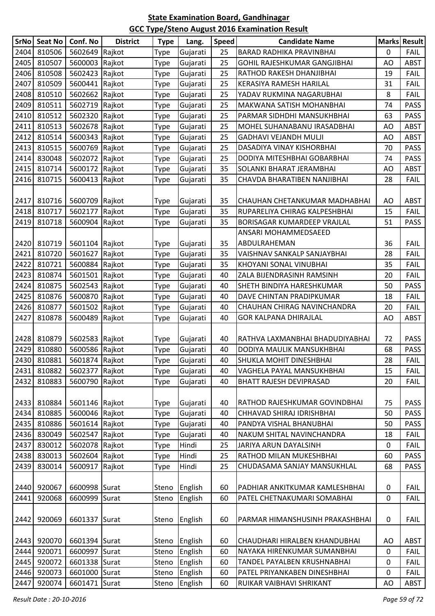| <b>SrNo</b> | <b>Seat No</b> | Conf. No       | <b>District</b> | <b>Type</b> | Lang.    | Speed | <b>Candidate Name</b>           |    | <b>Marks Result</b> |
|-------------|----------------|----------------|-----------------|-------------|----------|-------|---------------------------------|----|---------------------|
| 2404        | 810506         | 5602649 Rajkot |                 | Type        | Gujarati | 25    | <b>BARAD RADHIKA PRAVINBHAI</b> | 0  | <b>FAIL</b>         |
| 2405        | 810507         | 5600003 Rajkot |                 | Type        | Gujarati | 25    | GOHIL RAJESHKUMAR GANGJIBHAI    | AO | <b>ABST</b>         |
| 2406        | 810508         | 5602423 Rajkot |                 | Type        | Gujarati | 25    | RATHOD RAKESH DHANJIBHAI        | 19 | <b>FAIL</b>         |
| 2407        | 810509         | 5600441 Rajkot |                 | Type        | Gujarati | 25    | KERASIYA RAMESH HARILAL         | 31 | <b>FAIL</b>         |
| 2408        | 810510         | 5602662 Rajkot |                 | Type        | Gujarati | 25    | YADAV RUKMINA NAGARUBHAI        | 8  | <b>FAIL</b>         |
| 2409        | 810511         | 5602719 Rajkot |                 | Type        | Gujarati | 25    | MAKWANA SATISH MOHANBHAI        | 74 | <b>PASS</b>         |
| 2410        | 810512         | 5602320 Rajkot |                 | Type        | Gujarati | 25    | PARMAR SIDHDHI MANSUKHBHAI      | 63 | <b>PASS</b>         |
| 2411        | 810513         | 5602678 Rajkot |                 | Type        | Gujarati | 25    | MOHEL SUHANABANU IRASADBHAI     | AO | <b>ABST</b>         |
| 2412        | 810514         | 5600343 Rajkot |                 | Type        | Gujarati | 25    | <b>GADHAVI VEJANDH MULJI</b>    | AO | <b>ABST</b>         |
| 2413        | 810515         | 5600769 Rajkot |                 | Type        | Gujarati | 25    | DASADIYA VINAY KISHORBHAI       | 70 | <b>PASS</b>         |
| 2414        | 830048         | 5602072 Rajkot |                 | Type        | Gujarati | 25    | DODIYA MITESHBHAI GOBARBHAI     | 74 | <b>PASS</b>         |
| 2415        | 810714         | 5600172 Rajkot |                 | Type        | Gujarati | 35    | SOLANKI BHARAT JERAMBHAI        | AO | <b>ABST</b>         |
| 2416        | 810715         | 5600413 Rajkot |                 | Type        | Gujarati | 35    | CHAVDA BHARATIBEN NANJIBHAI     | 28 | <b>FAIL</b>         |
|             |                |                |                 |             |          |       |                                 |    |                     |
| 2417        | 810716         | 5600709 Rajkot |                 | Type        | Gujarati | 35    | CHAUHAN CHETANKUMAR MADHABHAI   | AO | <b>ABST</b>         |
| 2418        | 810717         | 5602177        | Rajkot          | Type        | Gujarati | 35    | RUPARELIYA CHIRAG KALPESHBHAI   | 15 | <b>FAIL</b>         |
| 2419        | 810718         | 5600904 Rajkot |                 | Type        | Gujarati | 35    | BORISAGAR KUMARDEEP VRAJLAL     | 51 | <b>PASS</b>         |
|             |                |                |                 |             |          |       | ANSARI MOHAMMEDSAEED            |    |                     |
| 2420        | 810719         | 5601104 Rajkot |                 | Type        | Gujarati | 35    | ABDULRAHEMAN                    | 36 | <b>FAIL</b>         |
| 2421        | 810720         | 5601627        | Rajkot          | Type        | Gujarati | 35    | VAISHNAV SANKALP SANJAYBHAI     | 28 | <b>FAIL</b>         |
| 2422        | 810721         | 5600884 Rajkot |                 | Type        | Gujarati | 35    | KHOYANI SONAL VINUBHAI          | 35 | <b>FAIL</b>         |
| 2423        | 810874         | 5601501 Rajkot |                 | Type        | Gujarati | 40    | ZALA BIJENDRASINH RAMSINH       | 20 | <b>FAIL</b>         |
| 2424        | 810875         | 5602543 Rajkot |                 | Type        | Gujarati | 40    | SHETH BINDIYA HARESHKUMAR       | 50 | <b>PASS</b>         |
| 2425        | 810876         | 5600870 Rajkot |                 | Type        | Gujarati | 40    | DAVE CHINTAN PRADIPKUMAR        | 18 | <b>FAIL</b>         |
| 2426        | 810877         | 5601502 Rajkot |                 | Type        | Gujarati | 40    | CHAUHAN CHIRAG NAVINCHANDRA     | 20 | <b>FAIL</b>         |
| 2427        | 810878         | 5600489 Rajkot |                 | Type        | Gujarati | 40    | GOR KALPANA DHIRAJLAL           | AO | <b>ABST</b>         |
|             |                |                |                 |             |          |       |                                 |    |                     |
| 2428        | 810879         | 5602583 Rajkot |                 | Type        | Gujarati | 40    | RATHVA LAXMANBHAI BHADUDIYABHAI | 72 | <b>PASS</b>         |
| 2429        | 810880         | 5600586 Rajkot |                 | Type        | Gujarati | 40    | DODIYA MAULIK MANSUKHBHAI       | 68 | <b>PASS</b>         |
|             | 2430 810881    | 5601874 Rajkot |                 | <b>Type</b> | Gujarati | 40    | SHUKLA MOHIT DINESHBHAI         | 28 | <b>FAIL</b>         |
| 2431        | 810882         | 5602377 Rajkot |                 | Type        | Gujarati | 40    | VAGHELA PAYAL MANSUKHBHAI       | 15 | <b>FAIL</b>         |
| 2432        | 810883         | 5600790 Rajkot |                 | Type        | Gujarati | 40    | <b>BHATT RAJESH DEVIPRASAD</b>  | 20 | <b>FAIL</b>         |
|             |                |                |                 |             |          |       |                                 |    |                     |
| 2433        | 810884         | 5601146 Rajkot |                 | Type        | Gujarati | 40    | RATHOD RAJESHKUMAR GOVINDBHAI   | 75 | <b>PASS</b>         |
| 2434        | 810885         | 5600046 Rajkot |                 | Type        | Gujarati | 40    | CHHAVAD SHIRAJ IDRISHBHAI       | 50 | <b>PASS</b>         |
| 2435        | 810886         | 5601614 Rajkot |                 | Type        | Gujarati | 40    | PANDYA VISHAL BHANUBHAI         | 50 | <b>PASS</b>         |
| 2436        | 830049         | 5602547 Rajkot |                 | Type        | Gujarati | 40    | NAKUM SHITAL NAVINCHANDRA       | 18 | <b>FAIL</b>         |
| 2437        | 830012         | 5602078 Rajkot |                 | Type        | Hindi    | 25    | JARIYA ARUN DAYALSINH           | 0  | <b>FAIL</b>         |
| 2438        | 830013         | 5602604 Rajkot |                 | Type        | Hindi    | 25    | RATHOD MILAN MUKESHBHAI         | 60 | <b>PASS</b>         |
| 2439        | 830014         | 5600917 Rajkot |                 | Type        | Hindi    | 25    | CHUDASAMA SANJAY MANSUKHLAL     | 68 | PASS                |
|             |                |                |                 |             |          |       |                                 |    |                     |
| 2440        | 920067         | 6600998 Surat  |                 | Steno       | English  | 60    | PADHIAR ANKITKUMAR KAMLESHBHAI  | 0  | <b>FAIL</b>         |
| 2441        | 920068         | 6600999 Surat  |                 | Steno       | English  | 60    | PATEL CHETNAKUMARI SOMABHAI     | 0  | <b>FAIL</b>         |
| 2442        | 920069         | 6601337 Surat  |                 | Steno       | English  | 60    | PARMAR HIMANSHUSINH PRAKASHBHAI | 0  | <b>FAIL</b>         |
|             |                |                |                 |             |          |       |                                 |    |                     |
| 2443        | 920070         | 6601394 Surat  |                 | Steno       | English  | 60    | CHAUDHARI HIRALBEN KHANDUBHAI   | AO | <b>ABST</b>         |
| 2444        | 920071         | 6600997 Surat  |                 | Steno       | English  | 60    | NAYAKA HIRENKUMAR SUMANBHAI     | 0  | <b>FAIL</b>         |
| 2445        | 920072         | 6601338 Surat  |                 | Steno       | English  | 60    | TANDEL PAYALBEN KRUSHNABHAI     | 0  | <b>FAIL</b>         |
| 2446        | 920073         | 6601000 Surat  |                 | Steno       | English  | 60    | PATEL PRIYANKABEN DINESHBHAI    | 0  | <b>FAIL</b>         |
| 2447        | 920074         | 6601471 Surat  |                 | Steno       | English  | 60    | RUIKAR VAIBHAVI SHRIKANT        | AO | ABST                |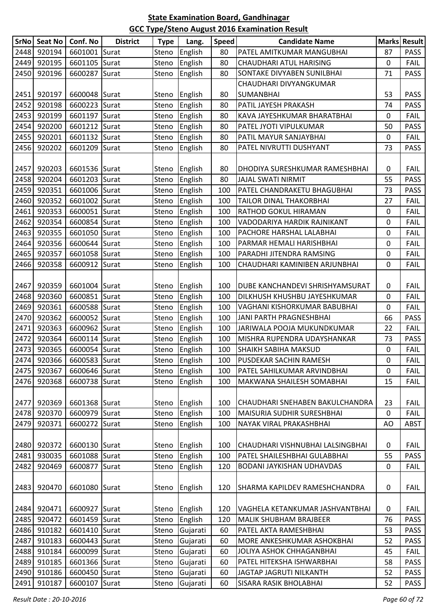|      | SrNo   Seat No | Conf. No      | <b>District</b> | <b>Type</b> | Lang.         | <b>Speed</b> | <b>Candidate Name</b>            |             | Marks Result |
|------|----------------|---------------|-----------------|-------------|---------------|--------------|----------------------------------|-------------|--------------|
| 2448 | 920194         | 6601001 Surat |                 | Steno       | English       | 80           | PATEL AMITKUMAR MANGUBHAI        | 87          | <b>PASS</b>  |
| 2449 | 920195         | 6601105 Surat |                 | Steno       | English       | 80           | CHAUDHARI ATUL HARISING          | $\mathbf 0$ | FAIL         |
| 2450 | 920196         | 6600287 Surat |                 | Steno       | English       | 80           | SONTAKE DIVYABEN SUNILBHAI       | 71          | <b>PASS</b>  |
|      |                |               |                 |             |               |              | CHAUDHARI DIVYANGKUMAR           |             |              |
| 2451 | 920197         | 6600048 Surat |                 | Steno       | English       | 80           | <b>SUMANBHAI</b>                 | 53          | <b>PASS</b>  |
| 2452 | 920198         | 6600223 Surat |                 | Steno       | English       | 80           | PATIL JAYESH PRAKASH             | 74          | <b>PASS</b>  |
| 2453 | 920199         | 6601197 Surat |                 | Steno       | English       | 80           | KAVA JAYESHKUMAR BHARATBHAI      | 0           | FAIL         |
| 2454 | 920200         | 6601212 Surat |                 | Steno       | English       | 80           | PATEL JYOTI VIPULKUMAR           | 50          | <b>PASS</b>  |
| 2455 | 920201         | 6601132 Surat |                 | Steno       | English       | 80           | PATIL MAYUR SANJAYBHAI           | 0           | <b>FAIL</b>  |
| 2456 | 920202         | 6601209 Surat |                 | Steno       | English       | 80           | PATEL NIVRUTTI DUSHYANT          | 73          | <b>PASS</b>  |
|      |                |               |                 |             |               |              |                                  |             |              |
| 2457 | 920203         | 6601536 Surat |                 | Steno       | English       | 80           | DHODIYA SURESHKUMAR RAMESHBHAI   | 0           | <b>FAIL</b>  |
| 2458 | 920204         | 6601203 Surat |                 | Steno       | English       | 80           | JAJAL SWATI NIRMIT               | 55          | <b>PASS</b>  |
| 2459 | 920351         | 6601006 Surat |                 | Steno       | English       | 100          | PATEL CHANDRAKETU BHAGUBHAI      | 73          | <b>PASS</b>  |
| 2460 | 920352         | 6601002 Surat |                 | Steno       | English       | 100          | TAILOR DINAL THAKORBHAI          | 27          | <b>FAIL</b>  |
| 2461 | 920353         | 6600051 Surat |                 | Steno       | English       | 100          | RATHOD GOKUL HIRAMAN             | 0           | <b>FAIL</b>  |
| 2462 | 920354         | 6600854 Surat |                 | Steno       | English       | 100          | VADODARIYA HARDIK RAJNIKANT      | 0           | <b>FAIL</b>  |
| 2463 | 920355         | 6601050 Surat |                 | Steno       | English       | 100          | PACHORE HARSHAL LALABHAI         | 0           | <b>FAIL</b>  |
| 2464 | 920356         | 6600644 Surat |                 | Steno       | English       | 100          | PARMAR HEMALI HARISHBHAI         | 0           | FAIL         |
| 2465 | 920357         | 6601058 Surat |                 | Steno       | English       | 100          | PARADHI JITENDRA RAMSING         | 0           | <b>FAIL</b>  |
| 2466 | 920358         | 6600912 Surat |                 | Steno       | English       | 100          | CHAUDHARI KAMINIBEN ARJUNBHAI    | 0           | <b>FAIL</b>  |
|      |                |               |                 |             |               |              |                                  |             |              |
| 2467 | 920359         | 6601004 Surat |                 | Steno       | English       | 100          | DUBE KANCHANDEVI SHRISHYAMSURAT  | 0           | <b>FAIL</b>  |
| 2468 | 920360         | 6600851 Surat |                 | Steno       | English       | 100          | DILKHUSH KHUSHBU JAYESHKUMAR     | 0           | <b>FAIL</b>  |
| 2469 | 920361         | 6600588 Surat |                 | Steno       | English       | 100          | VAGHANI KISHORKUMAR BABUBHAI     | 0           | <b>FAIL</b>  |
| 2470 | 920362         | 6600052 Surat |                 | Steno       | English       | 100          | JANI PARTH PRAGNESHBHAI          | 66          | <b>PASS</b>  |
| 2471 | 920363         | 6600962 Surat |                 | Steno       | English       | 100          | JARIWALA POOJA MUKUNDKUMAR       | 22          | <b>FAIL</b>  |
| 2472 | 920364         | 6600114 Surat |                 | Steno       | English       | 100          | MISHRA RUPENDRA UDAYSHANKAR      | 73          | <b>PASS</b>  |
| 2473 | 920365         | 6600054 Surat |                 | Steno       | English       | 100          | <b>SHAIKH SABIHA MAKSUD</b>      | 0           | <b>FAIL</b>  |
|      | 2474 920366    | 6600583 Surat |                 |             | Steno English | 100          | PUSDEKAR SACHIN RAMESH           | 0           | <b>FAIL</b>  |
| 2475 | 920367         | 6600646 Surat |                 | Steno       | English       | 100          | PATEL SAHILKUMAR ARVINDBHAI      | 0           | <b>FAIL</b>  |
| 2476 | 920368         | 6600738 Surat |                 | Steno       | English       | 100          | MAKWANA SHAILESH SOMABHAI        | 15          | <b>FAIL</b>  |
|      |                |               |                 |             |               |              |                                  |             |              |
| 2477 | 920369         | 6601368 Surat |                 | Steno       | English       | 100          | CHAUDHARI SNEHABEN BAKULCHANDRA  | 23          | <b>FAIL</b>  |
| 2478 | 920370         | 6600979 Surat |                 | Steno       | English       | 100          | MAISURIA SUDHIR SURESHBHAI       | 0           | <b>FAIL</b>  |
| 2479 | 920371         | 6600272 Surat |                 | Steno       | English       | 100          | NAYAK VIRAL PRAKASHBHAI          | AO          | <b>ABST</b>  |
|      |                |               |                 |             |               |              |                                  |             |              |
| 2480 | 920372         | 6600130 Surat |                 | Steno       | English       | 100          | CHAUDHARI VISHNUBHAI LALSINGBHAI | 0           | <b>FAIL</b>  |
| 2481 | 930035         | 6601088 Surat |                 | Steno       | English       | 100          | PATEL SHAILESHBHAI GULABBHAI     | 55          | <b>PASS</b>  |
| 2482 | 920469         | 6600877 Surat |                 | Steno       | English       | 120          | BODANI JAYKISHAN UDHAVDAS        | $\mathbf 0$ | <b>FAIL</b>  |
|      |                |               |                 |             |               |              |                                  |             |              |
| 2483 | 920470         | 6601080 Surat |                 | Steno       | English       | 120          | SHARMA KAPILDEV RAMESHCHANDRA    | 0           | <b>FAIL</b>  |
|      |                |               |                 |             |               |              |                                  |             |              |
| 2484 | 920471         | 6600927 Surat |                 | Steno       | English       | 120          | VAGHELA KETANKUMAR JASHVANTBHAI  | 0           | <b>FAIL</b>  |
| 2485 | 920472         | 6601459 Surat |                 | Steno       | English       | 120          | MALIK SHUBHAM BRAJBEER           | 76          | PASS         |
| 2486 | 910182         | 6601410 Surat |                 | Steno       | Gujarati      | 60           | PATEL AKTA RAMESHBHAI            | 53          | <b>PASS</b>  |
| 2487 | 910183         | 6600443 Surat |                 | Steno       | Gujarati      | 60           | MORE ANKESHKUMAR ASHOKBHAI       | 52          | <b>PASS</b>  |
| 2488 | 910184         | 6600099 Surat |                 | Steno       | Gujarati      | 60           | JOLIYA ASHOK CHHAGANBHAI         | 45          | <b>FAIL</b>  |
| 2489 | 910185         | 6601366 Surat |                 | Steno       | Gujarati      | 60           | PATEL HITEKSHA ISHWARBHAI        | 58          | <b>PASS</b>  |
| 2490 | 910186         | 6600450 Surat |                 | Steno       | Gujarati      | 60           | JAGTAP JAGRUTI NILKANTH          | 52          | <b>PASS</b>  |
| 2491 | 910187         | 6600107 Surat |                 | Steno       | Gujarati      | 60           | SISARA RASIK BHOLABHAI           | 52          | <b>PASS</b>  |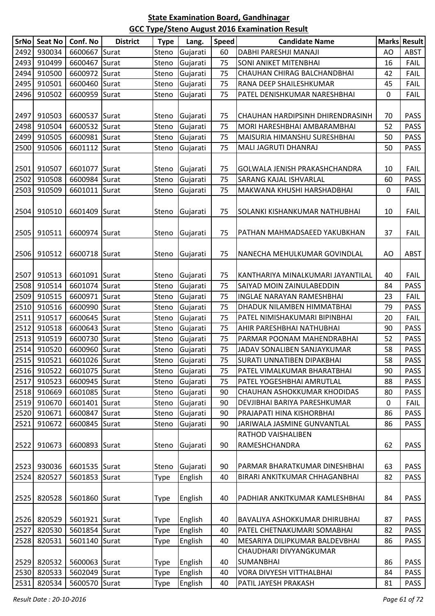| SrNQ | <b>Seat No</b> | Conf. No      | <b>District</b> | <b>Type</b> | Lang.          | <b>Speed</b> | <b>Candidate Name</b>             |             | <b>Marks Result</b> |
|------|----------------|---------------|-----------------|-------------|----------------|--------------|-----------------------------------|-------------|---------------------|
| 2492 | 930034         | 6600667       | Surat           | Steno       | Gujarati       | 60           | DABHI PARESHJI MANAJI             | AO          | <b>ABST</b>         |
| 2493 | 910499         | 6600467       | Surat           | Steno       | Gujarati       | 75           | SONI ANIKET MITENBHAI             | 16          | <b>FAIL</b>         |
| 2494 | 910500         | 6600972       | Surat           | Steno       | Gujarati       | 75           | CHAUHAN CHIRAG BALCHANDBHAI       | 42          | <b>FAIL</b>         |
| 2495 | 910501         | 6600460       | Surat           | Steno       | Gujarati       | 75           | RANA DEEP SHAILESHKUMAR           | 45          | <b>FAIL</b>         |
| 2496 | 910502         | 6600959       | Surat           | Steno       | Gujarati       | 75           | PATEL DENISHKUMAR NARESHBHAI      | $\mathbf 0$ | <b>FAIL</b>         |
| 2497 | 910503         | 6600537 Surat |                 | Steno       | Gujarati       | 75           | CHAUHAN HARDIPSINH DHIRENDRASINH  | 70          | <b>PASS</b>         |
| 2498 | 910504         | 6600532 Surat |                 | Steno       | Gujarati       | 75           | MORI HARESHBHAI AMBARAMBHAI       | 52          | <b>PASS</b>         |
| 2499 | 910505         | 6600981 Surat |                 | Steno       | Gujarati       | 75           | MAISURIA HIMANSHU SURESHBHAI      | 50          | <b>PASS</b>         |
| 2500 | 910506         | 6601112       | Surat           | Steno       | Gujarati       | 75           | MALI JAGRUTI DHANRAJ              | 50          | <b>PASS</b>         |
|      |                |               |                 |             |                |              |                                   |             |                     |
| 2501 | 910507         | 6601077       | Surat           | Steno       | Gujarati       | 75           | GOLWALA JENISH PRAKASHCHANDRA     | 10          | <b>FAIL</b>         |
| 2502 | 910508         | 6600984       | Surat           | Steno       | Gujarati       | 75           | SARANG KAJAL ISHVARLAL            | 60          | <b>PASS</b>         |
| 2503 | 910509         | 6601011       | Surat           | Steno       | Gujarati       | 75           | MAKWANA KHUSHI HARSHADBHAI        | $\mathbf 0$ | <b>FAIL</b>         |
| 2504 | 910510         | 6601409       | Surat           | Steno       | Gujarati       | 75           | SOLANKI KISHANKUMAR NATHUBHAI     | 10          | <b>FAIL</b>         |
| 2505 | 910511         | 6600974 Surat |                 | Steno       | Gujarati       | 75           | PATHAN MAHMADSAEED YAKUBKHAN      | 37          | <b>FAIL</b>         |
| 2506 | 910512         | 6600718 Surat |                 | Steno       | Gujarati       | 75           | NANECHA MEHULKUMAR GOVINDLAL      | AO          | <b>ABST</b>         |
|      |                |               |                 |             |                |              |                                   |             |                     |
| 2507 | 910513         | 6601091 Surat |                 | Steno       | Gujarati       | 75           | KANTHARIYA MINALKUMARI JAYANTILAL | 40          | <b>FAIL</b>         |
| 2508 | 910514         | 6601074       | Surat           | Steno       | Gujarati       | 75           | SAIYAD MOIN ZAINULABEDDIN         | 84          | <b>PASS</b>         |
| 2509 | 910515         | 6600971       | Surat           | Steno       | Gujarati       | 75           | <b>INGLAE NARAYAN RAMESHBHAI</b>  | 23          | <b>FAIL</b>         |
| 2510 | 910516         | 6600990       | Surat           | Steno       | Gujarati       | 75           | DHADUK NILAMBEN HIMMATBHAI        | 79          | <b>PASS</b>         |
| 2511 | 910517         | 6600645 Surat |                 | Steno       | Gujarati       | 75           | PATEL NIMISHAKUMARI BIPINBHAI     | 20          | <b>FAIL</b>         |
| 2512 | 910518         | 6600643 Surat |                 | Steno       | Gujarati       | 75           | AHIR PARESHBHAI NATHUBHAI         | 90          | <b>PASS</b>         |
| 2513 | 910519         | 6600730       | Surat           | Steno       | Gujarati       | 75           | PARMAR POONAM MAHENDRABHAI        | 52          | <b>PASS</b>         |
| 2514 | 910520         | 6600960 Surat |                 | Steno       | Gujarati       | 75           | JADAV SONALIBEN SANJAYKUMAR       | 58          | <b>PASS</b>         |
| 2515 | 910521         | 6601026 Surat |                 |             | Steno Gujarati | 75           | SURATI UNNATIBEN DIPAKBHAI        | 58          | <b>PASS</b>         |
| 2516 | 910522         | 6601075 Surat |                 | Steno       | Gujarati       | 75           | PATEL VIMALKUMAR BHARATBHAI       | 90          | <b>PASS</b>         |
| 2517 | 910523         | 6600945 Surat |                 | Steno       | Gujarati       | 75           | PATEL YOGESHBHAI AMRUTLAL         | 88          | <b>PASS</b>         |
| 2518 | 910669         | 6601085 Surat |                 | Steno       | Gujarati       | 90           | CHAUHAN ASHOKKUMAR KHODIDAS       | 80          | <b>PASS</b>         |
| 2519 | 910670         | 6601401 Surat |                 | Steno       | Gujarati       | 90           | DEVJIBHAI BARIYA PARESHKUMAR      | 0           | <b>FAIL</b>         |
| 2520 | 910671         | 6600847 Surat |                 | Steno       | Gujarati       | 90           | PRAJAPATI HINA KISHORBHAI         | 86          | <b>PASS</b>         |
| 2521 | 910672         | 6600845 Surat |                 | Steno       | Gujarati       | 90           | JARIWALA JASMINE GUNVANTLAL       | 86          | <b>PASS</b>         |
|      |                |               |                 |             |                |              | RATHOD VAISHALIBEN                |             |                     |
| 2522 | 910673         | 6600893 Surat |                 | Steno       | Gujarati       | 90           | RAMESHCHANDRA                     | 62          | <b>PASS</b>         |
|      |                |               |                 |             |                |              |                                   |             |                     |
| 2524 | 2523 930036    | 6601535 Surat |                 | Steno       | Gujarati       | 90           | PARMAR BHARATKUMAR DINESHBHAI     | 63          | <b>PASS</b>         |
|      | 820527         | 5601853 Surat |                 | Type        | English        | 40           | BIRARI ANKITKUMAR CHHAGANBHAI     | 82          | <b>PASS</b>         |
| 2525 | 820528         | 5601860 Surat |                 | <b>Type</b> | English        | 40           | PADHIAR ANKITKUMAR KAMLESHBHAI    | 84          | <b>PASS</b>         |
| 2526 | 820529         | 5601921 Surat |                 | Type        | English        | 40           | BAVALIYA ASHOKKUMAR DHIRUBHAI     | 87          | <b>PASS</b>         |
| 2527 | 820530         | 5601854 Surat |                 | Type        | English        | 40           | PATEL CHETNAKUMARI SOMABHAI       | 82          | <b>PASS</b>         |
| 2528 | 820531         | 5601140 Surat |                 | <b>Type</b> | English        | 40           | MESARIYA DILIPKUMAR BALDEVBHAI    | 86          | <b>PASS</b>         |
|      |                |               |                 |             |                |              | CHAUDHARI DIVYANGKUMAR            |             |                     |
| 2529 | 820532         | 5600063 Surat |                 | <b>Type</b> | English        | 40           | <b>SUMANBHAI</b>                  | 86          | <b>PASS</b>         |
| 2530 | 820533         | 5602049 Surat |                 | Type        | English        | 40           | VORA DIVYESH VITTHALBHAI          | 84          | <b>PASS</b>         |
| 2531 | 820534         | 5600570 Surat |                 | Type        | English        | 40           | PATIL JAYESH PRAKASH              | 81          | <b>PASS</b>         |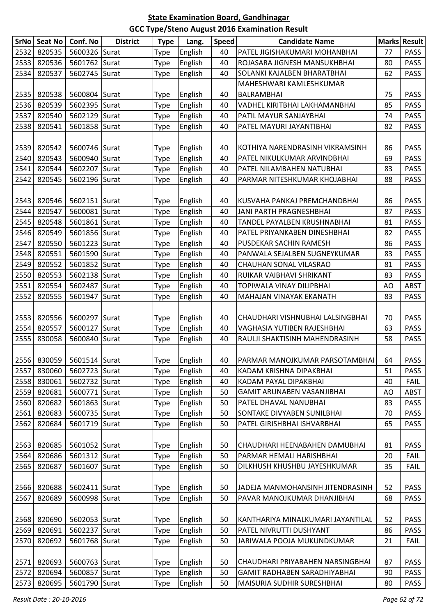|               | SrNo Seat No     | Conf. No                       | <b>District</b> | <b>Type</b>                | Lang.              | <b>Speed</b> | <b>Candidate Name</b>                                     |          | Marks Result               |
|---------------|------------------|--------------------------------|-----------------|----------------------------|--------------------|--------------|-----------------------------------------------------------|----------|----------------------------|
| 2532          | 820535           | 5600326 Surat                  |                 | Type                       | English            | 40           | PATEL JIGISHAKUMARI MOHANBHAI                             | 77       | <b>PASS</b>                |
| 2533          | 820536           | 5601762 Surat                  |                 | Type                       | English            | 40           | ROJASARA JIGNESH MANSUKHBHAI                              | 80       | <b>PASS</b>                |
| 2534          | 820537           | 5602745 Surat                  |                 | <b>Type</b>                | English            | 40           | SOLANKI KAJALBEN BHARATBHAI                               | 62       | <b>PASS</b>                |
|               |                  |                                |                 |                            |                    |              | MAHESHWARI KAMLESHKUMAR                                   |          |                            |
| 2535          | 820538           | 5600804 Surat                  |                 | <b>Type</b>                | English            | 40           | <b>BALRAMBHAI</b>                                         | 75       | <b>PASS</b>                |
| 2536          | 820539           | 5602395 Surat                  |                 | Type                       | English            | 40           | VADHEL KIRITBHAI LAKHAMANBHAI                             | 85       | <b>PASS</b>                |
| 2537          | 820540           | 5602129 Surat                  |                 | Type                       | English            | 40           | PATIL MAYUR SANJAYBHAI                                    | 74       | <b>PASS</b>                |
| 2538          | 820541           | 5601858 Surat                  |                 | Type                       | English            | 40           | PATEL MAYURI JAYANTIBHAI                                  | 82       | <b>PASS</b>                |
|               |                  |                                |                 |                            |                    |              |                                                           |          |                            |
| 2539          | 820542           | 5600746 Surat                  |                 | <b>Type</b>                | English            | 40           | KOTHIYA NARENDRASINH VIKRAMSINH                           | 86       | <b>PASS</b>                |
| 2540          | 820543           | 5600940                        | Surat           | <b>Type</b>                | English            | 40           | PATEL NIKULKUMAR ARVINDBHAI                               | 69       | <b>PASS</b>                |
| 2541          | 820544           | 5602207                        | Surat           | <b>Type</b>                | English            | 40           | PATEL NILAMBAHEN NATUBHAI                                 | 83       | <b>PASS</b>                |
| 2542          | 820545           | 5602196 Surat                  |                 | Type                       | English            | 40           | PARMAR NITESHKUMAR KHOJABHAI                              | 88       | <b>PASS</b>                |
|               |                  |                                |                 |                            |                    |              |                                                           |          |                            |
| 2543          | 820546           | 5602151 Surat                  |                 | <b>Type</b>                | English            | 40           | KUSVAHA PANKAJ PREMCHANDBHAI                              | 86       | <b>PASS</b>                |
| 2544          | 820547           | 5600081 Surat                  |                 | Type                       | English            | 40           | JANI PARTH PRAGNESHBHAI                                   | 87       | <b>PASS</b>                |
| 2545          | 820548           | 5601861 Surat                  |                 | <b>Type</b>                | English            | 40           | TANDEL PAYALBEN KRUSHNABHAI                               | 81       | <b>PASS</b>                |
| 2546          | 820549           | 5601856 Surat                  |                 | Type                       | English            | 40           | PATEL PRIYANKABEN DINESHBHAI                              | 82       | <b>PASS</b>                |
| 2547          | 820550           | 5601223 Surat                  |                 | <b>Type</b>                | English            | 40           | PUSDEKAR SACHIN RAMESH                                    | 86       | <b>PASS</b>                |
| 2548          | 820551           | 5601590 Surat                  |                 | Type                       | English            | 40           | PANWALA SEJALBEN SUGNEYKUMAR                              | 83       | <b>PASS</b>                |
| 2549          | 820552           | 5601852 Surat                  |                 | <b>Type</b>                | English            | 40           | CHAUHAN SONAL VILASRAO                                    | 81       | <b>PASS</b>                |
| 2550          | 820553           | 5602138 Surat                  |                 | <b>Type</b>                | English            | 40           | RUIKAR VAIBHAVI SHRIKANT                                  | 83       | <b>PASS</b>                |
| 2551          | 820554           | 5602487                        | Surat           | Type                       | English            | 40           | TOPIWALA VINAY DILIPBHAI                                  | AO       | <b>ABST</b>                |
| 2552          | 820555           | 5601947                        | Surat           | <b>Type</b>                | English            | 40           | MAHAJAN VINAYAK EKANATH                                   | 83       | <b>PASS</b>                |
|               |                  |                                |                 |                            |                    |              |                                                           |          |                            |
| 2553          | 820556           | 5600297 Surat                  |                 | <b>Type</b>                | English            | 40           | CHAUDHARI VISHNUBHAI LALSINGBHAI                          | 70       | <b>PASS</b>                |
| 2554          | 820557           | 5600127                        | Surat           | Type                       | English            | 40           | VAGHASIA YUTIBEN RAJESHBHAI                               | 63       | <b>PASS</b>                |
| 2555          | 830058           | 5600840                        | Surat           | Type                       | English            | 40           | RAULJI SHAKTISINH MAHENDRASINH                            | 58       | <b>PASS</b>                |
|               |                  |                                |                 |                            |                    |              |                                                           |          |                            |
|               |                  | 2556 830059 5601514 Surat      |                 | <b>Type</b>                | English            | 40           | IPARMAR MANOJKUMAR PARSOTAMBHAII                          | 64       | <b>PASS</b>                |
| $\sqrt{2557}$ | 830060           | 5602723 Surat                  |                 | <b>Type</b>                | English            | 40           | KADAM KRISHNA DIPAKBHAI                                   | 51       | <b>PASS</b>                |
| 2558          | 830061           | 5602732 Surat                  |                 | <b>Type</b>                | English            | 40           | KADAM PAYAL DIPAKBHAI                                     | 40       | <b>FAIL</b>                |
| 2559          | 820681           | 5600771 Surat                  |                 | Type                       | English            | 50           | GAMIT ARUNABEN VASANJIBHAI                                | AO       | <b>ABST</b>                |
| 2560          | 820682           | 5601863 Surat                  |                 | Type                       | English            | 50           | PATEL DHAVAL NANUBHAI                                     | 83       | <b>PASS</b>                |
| 2561          | 820683           | 5600735 Surat                  |                 | Type                       | English            | 50           | SONTAKE DIVYABEN SUNILBHAI                                | 70       | <b>PASS</b>                |
| 2562          | 820684           | 5601719                        | Surat           | <b>Type</b>                | English            | 50           | PATEL GIRISHBHAI ISHVARBHAI                               | 65       | <b>PASS</b>                |
|               |                  |                                |                 |                            |                    |              |                                                           |          |                            |
| 2563<br>2564  | 820685<br>820686 | 5601052 Surat<br>5601312 Surat |                 | Type                       | English            | 50<br>50     | CHAUDHARI HEENABAHEN DAMUBHAI<br>PARMAR HEMALI HARISHBHAI | 81<br>20 | <b>PASS</b><br><b>FAIL</b> |
| 2565          | 820687           | 5601607 Surat                  |                 | Type                       | English<br>English | 50           | DILKHUSH KHUSHBU JAYESHKUMAR                              | 35       | <b>FAIL</b>                |
|               |                  |                                |                 | Type                       |                    |              |                                                           |          |                            |
| 2566          | 820688           | 5602411 Surat                  |                 |                            | English            | 50           | JADEJA MANMOHANSINH JITENDRASINH                          | 52       | <b>PASS</b>                |
| 2567          | 820689           | 5600998 Surat                  |                 | <b>Type</b><br>Type        | English            | 50           | PAVAR MANOJKUMAR DHANJIBHAI                               | 68       | <b>PASS</b>                |
|               |                  |                                |                 |                            |                    |              |                                                           |          |                            |
| 2568          | 820690           | 5602053 Surat                  |                 |                            | English            | 50           | KANTHARIYA MINALKUMARI JAYANTILAL                         | 52       | <b>PASS</b>                |
| 2569          | 820691           | 5602237 Surat                  |                 | <b>Type</b><br><b>Type</b> | English            | 50           | PATEL NIVRUTTI DUSHYANT                                   | 86       | <b>PASS</b>                |
| 2570          | 820692           | 5601768 Surat                  |                 | <b>Type</b>                | English            | 50           | JARIWALA POOJA MUKUNDKUMAR                                | 21       | <b>FAIL</b>                |
|               |                  |                                |                 |                            |                    |              |                                                           |          |                            |
| 2571          | 820693           | 5600763 Surat                  |                 | <b>Type</b>                | English            | 50           | CHAUDHARI PRIYABAHEN NARSINGBHAI                          | 87       | <b>PASS</b>                |
| 2572          | 820694           | 5600857                        | Surat           | Type                       | English            | 50           | GAMIT RADHABEN SARADHIYABHAI                              | 90       | <b>PASS</b>                |
| 2573          | 820695           | 5601790 Surat                  |                 | Type                       | English            | 50           | MAISURIA SUDHIR SURESHBHAI                                | 80       | <b>PASS</b>                |
|               |                  |                                |                 |                            |                    |              |                                                           |          |                            |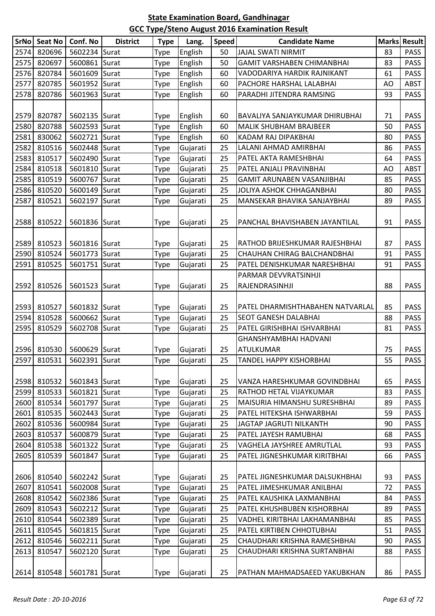|      | SrNo Seat No | Conf. No      | <b>District</b> | <b>Type</b> | Lang.    | <b>Speed</b> | <b>Candidate Name</b>             |    | <b>Marks Result</b> |
|------|--------------|---------------|-----------------|-------------|----------|--------------|-----------------------------------|----|---------------------|
| 2574 | 820696       | 5602234 Surat |                 | Type        | English  | 50           | <b>JAJAL SWATI NIRMIT</b>         | 83 | <b>PASS</b>         |
| 2575 | 820697       | 5600861 Surat |                 | Type        | English  | 50           | <b>GAMIT VARSHABEN CHIMANBHAI</b> | 83 | <b>PASS</b>         |
| 2576 | 820784       | 5601609 Surat |                 | Type        | English  | 60           | VADODARIYA HARDIK RAJNIKANT       | 61 | <b>PASS</b>         |
| 2577 | 820785       | 5601952 Surat |                 | Type        | English  | 60           | PACHORE HARSHAL LALABHAI          | AO | <b>ABST</b>         |
| 2578 | 820786       | 5601963 Surat |                 | <b>Type</b> | English  | 60           | PARADHI JITENDRA RAMSING          | 93 | <b>PASS</b>         |
|      |              |               |                 |             |          |              |                                   |    |                     |
| 2579 | 820787       | 5602135 Surat |                 | <b>Type</b> | English  | 60           | BAVALIYA SANJAYKUMAR DHIRUBHAI    | 71 | <b>PASS</b>         |
| 2580 | 820788       | 5602593 Surat |                 | Type        | English  | 60           | <b>MALIK SHUBHAM BRAJBEER</b>     | 50 | <b>PASS</b>         |
| 2581 | 830062       | 5602721 Surat |                 | Type        | English  | 60           | KADAM RAJ DIPAKBHAI               | 80 | <b>PASS</b>         |
| 2582 | 810516       | 5602448 Surat |                 | <b>Type</b> | Gujarati | 25           | LALANI AHMAD AMIRBHAI             | 86 | <b>PASS</b>         |
| 2583 | 810517       | 5602490 Surat |                 | Type        | Gujarati | 25           | PATEL AKTA RAMESHBHAI             | 64 | <b>PASS</b>         |
| 2584 | 810518       | 5601810 Surat |                 | Type        | Gujarati | 25           | PATEL ANJALI PRAVINBHAI           | AO | <b>ABST</b>         |
| 2585 | 810519       | 5600767 Surat |                 | <b>Type</b> | Gujarati | 25           | GAMIT ARUNABEN VASANJIBHAI        | 85 | <b>PASS</b>         |
| 2586 | 810520       | 5600149 Surat |                 | Type        | Gujarati | 25           | JOLIYA ASHOK CHHAGANBHAI          | 80 | <b>PASS</b>         |
| 2587 | 810521       | 5602197 Surat |                 | <b>Type</b> | Gujarati | 25           | MANSEKAR BHAVIKA SANJAYBHAI       | 89 | <b>PASS</b>         |
|      |              |               |                 |             |          |              |                                   |    |                     |
| 2588 | 810522       | 5601836 Surat |                 | <b>Type</b> | Gujarati | 25           | PANCHAL BHAVISHABEN JAYANTILAL    | 91 | <b>PASS</b>         |
|      |              |               |                 |             |          |              |                                   |    |                     |
| 2589 | 810523       | 5601816 Surat |                 | <b>Type</b> | Gujarati | 25           | RATHOD BRIJESHKUMAR RAJESHBHAI    | 87 | <b>PASS</b>         |
| 2590 | 810524       | 5601773 Surat |                 | Type        | Gujarati | 25           | CHAUHAN CHIRAG BALCHANDBHAI       | 91 | <b>PASS</b>         |
| 2591 | 810525       | 5601751 Surat |                 | Type        | Gujarati | 25           | PATEL DENISHKUMAR NARESHBHAI      | 91 | <b>PASS</b>         |
|      |              |               |                 |             |          |              | PARMAR DEVVRATSINHJI              |    |                     |
| 2592 | 810526       | 5601523 Surat |                 | Type        | Gujarati | 25           | RAJENDRASINHJI                    | 88 | <b>PASS</b>         |
|      |              |               |                 |             |          |              |                                   |    |                     |
| 2593 | 810527       | 5601832 Surat |                 | <b>Type</b> | Gujarati | 25           | PATEL DHARMISHTHABAHEN NATVARLAL  | 85 | <b>PASS</b>         |
| 2594 | 810528       | 5600662 Surat |                 | Type        | Gujarati | 25           | SEOT GANESH DALABHAI              | 88 | <b>PASS</b>         |
| 2595 | 810529       | 5602708 Surat |                 | <b>Type</b> | Gujarati | 25           | PATEL GIRISHBHAI ISHVARBHAI       | 81 | <b>PASS</b>         |
|      |              |               |                 |             |          |              | GHANSHYAMBHAI HADVANI             |    |                     |
| 2596 | 810530       | 5600629 Surat |                 | <b>Type</b> | Gujarati | 25           | <b>ATULKUMAR</b>                  | 75 | <b>PASS</b>         |
|      | 2597 810531  | 5602391 Surat |                 | Type        | Gujarati | 25           | TANDEL HAPPY KISHORBHAI           | 55 | PASS                |
|      |              |               |                 |             |          |              |                                   |    |                     |
| 2598 | 810532       | 5601843 Surat |                 | Type        | Gujarati | 25           | VANZA HARESHKUMAR GOVINDBHAI      | 65 | <b>PASS</b>         |
| 2599 | 810533       | 5601821 Surat |                 | <b>Type</b> | Gujarati | 25           | RATHOD HETAL VIJAYKUMAR           | 83 | <b>PASS</b>         |
| 2600 | 810534       | 5601797 Surat |                 | Type        | Gujarati | 25           | MAISURIA HIMANSHU SURESHBHAI      | 89 | <b>PASS</b>         |
| 2601 | 810535       | 5602443 Surat |                 | <b>Type</b> | Gujarati | 25           | PATEL HITEKSHA ISHWARBHAI         | 59 | <b>PASS</b>         |
| 2602 | 810536       | 5600984 Surat |                 | <b>Type</b> | Gujarati | 25           | JAGTAP JAGRUTI NILKANTH           | 90 | <b>PASS</b>         |
| 2603 | 810537       | 5600879 Surat |                 | <b>Type</b> | Gujarati | 25           | PATEL JAYESH RAMUBHAI             | 68 | <b>PASS</b>         |
| 2604 | 810538       | 5601322 Surat |                 | <b>Type</b> | Gujarati | 25           | VAGHELA JAYSHREE AMRUTLAL         | 93 | <b>PASS</b>         |
| 2605 | 810539       | 5601847 Surat |                 | Type        | Gujarati | 25           | PATEL JIGNESHKUMAR KIRITBHAI      | 66 | <b>PASS</b>         |
|      |              |               |                 |             |          |              |                                   |    |                     |
| 2606 | 810540       | 5602242 Surat |                 | <b>Type</b> | Gujarati | 25           | PATEL JIGNESHKUMAR DALSUKHBHAI    | 93 | <b>PASS</b>         |
| 2607 | 810541       | 5602008 Surat |                 | <b>Type</b> | Gujarati | 25           | PATEL JIMESHKUMAR ANILBHAI        | 72 | <b>PASS</b>         |
| 2608 | 810542       | 5602386 Surat |                 | <b>Type</b> | Gujarati | 25           | PATEL KAUSHIKA LAXMANBHAI         | 84 | <b>PASS</b>         |
| 2609 | 810543       | 5602212 Surat |                 | Type        | Gujarati | 25           | PATEL KHUSHBUBEN KISHORBHAI       | 89 | <b>PASS</b>         |
| 2610 | 810544       | 5602389 Surat |                 | Type        | Gujarati | 25           | VADHEL KIRITBHAI LAKHAMANBHAI     | 85 | <b>PASS</b>         |
| 2611 | 810545       | 5601815 Surat |                 | Type        | Gujarati | 25           | PATEL KIRTIBEN CHHOTUBHAI         | 51 | <b>PASS</b>         |
| 2612 | 810546       | 5602211 Surat |                 | <b>Type</b> | Gujarati | 25           | CHAUDHARI KRISHNA RAMESHBHAI      | 90 | <b>PASS</b>         |
| 2613 | 810547       | 5602120 Surat |                 | <b>Type</b> | Gujarati | 25           | CHAUDHARI KRISHNA SURTANBHAI      | 88 | <b>PASS</b>         |
|      |              |               |                 |             |          |              |                                   |    |                     |
| 2614 | 810548       | 5601781 Surat |                 | <b>Type</b> | Gujarati | 25           | PATHAN MAHMADSAEED YAKUBKHAN      | 86 | PASS                |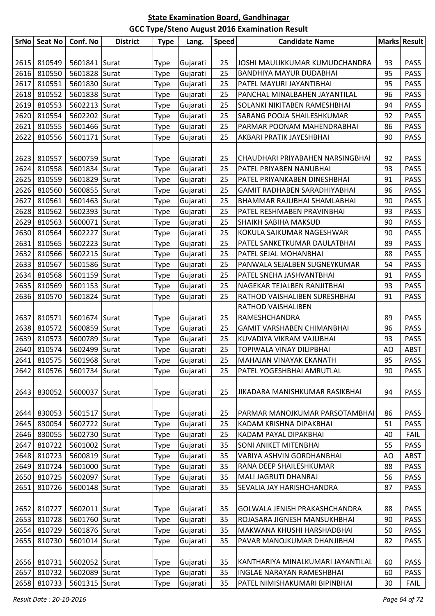| SrNo | <b>Seat No</b> | Conf. No      | <b>District</b> | <b>Type</b> | Lang.    | <b>Speed</b> | <b>Candidate Name</b>             |    | <b>Marks Result</b> |
|------|----------------|---------------|-----------------|-------------|----------|--------------|-----------------------------------|----|---------------------|
|      |                |               |                 |             |          |              |                                   |    |                     |
| 2615 | 810549         | 5601841 Surat |                 | Type        | Gujarati | 25           | JOSHI MAULIKKUMAR KUMUDCHANDRA    | 93 | <b>PASS</b>         |
| 2616 | 810550         | 5601828 Surat |                 | Type        | Gujarati | 25           | <b>BANDHIYA MAYUR DUDABHAI</b>    | 95 | <b>PASS</b>         |
| 2617 | 810551         | 5601830 Surat |                 | Type        | Gujarati | 25           | PATEL MAYURI JAYANTIBHAI          | 95 | <b>PASS</b>         |
| 2618 | 810552         | 5601838 Surat |                 | Type        | Gujarati | 25           | PANCHAL MINALBAHEN JAYANTILAL     | 96 | <b>PASS</b>         |
| 2619 | 810553         | 5602213 Surat |                 | Type        | Gujarati | 25           | SOLANKI NIKITABEN RAMESHBHAI      | 94 | <b>PASS</b>         |
| 2620 | 810554         | 5602202 Surat |                 | Type        | Gujarati | 25           | SARANG POOJA SHAILESHKUMAR        | 92 | <b>PASS</b>         |
| 2621 | 810555         | 5601466 Surat |                 | Type        | Gujarati | 25           | PARMAR POONAM MAHENDRABHAI        | 86 | <b>PASS</b>         |
| 2622 | 810556         | 5601171       | Surat           | Type        | Gujarati | 25           | AKBARI PRATIK JAYESHBHAI          | 90 | <b>PASS</b>         |
|      |                |               |                 |             |          |              |                                   |    |                     |
| 2623 | 810557         | 5600759 Surat |                 | Type        | Gujarati | 25           | CHAUDHARI PRIYABAHEN NARSINGBHAI  | 92 | <b>PASS</b>         |
| 2624 | 810558         | 5601834 Surat |                 | Type        | Gujarati | 25           | PATEL PRIYABEN NANUBHAI           | 93 | <b>PASS</b>         |
| 2625 | 810559         | 5601829 Surat |                 | Type        | Gujarati | 25           | PATEL PRIYANKABEN DINESHBHAI      | 91 | <b>PASS</b>         |
| 2626 | 810560         | 5600855 Surat |                 | Type        | Gujarati | 25           | GAMIT RADHABEN SARADHIYABHAI      | 96 | <b>PASS</b>         |
| 2627 | 810561         | 5601463 Surat |                 | Type        | Gujarati | 25           | BHAMMAR RAJUBHAI SHAMLABHAI       | 90 | <b>PASS</b>         |
| 2628 | 810562         | 5602393 Surat |                 | Type        | Gujarati | 25           | PATEL RESHMABEN PRAVINBHAI        | 93 | <b>PASS</b>         |
| 2629 | 810563         | 5600071 Surat |                 | Type        | Gujarati | 25           | SHAIKH SABIHA MAKSUD              | 90 | <b>PASS</b>         |
| 2630 | 810564         | 5602227 Surat |                 | Type        | Gujarati | 25           | KOKULA SAIKUMAR NAGESHWAR         | 90 | <b>PASS</b>         |
| 2631 | 810565         | 5602223 Surat |                 | Type        | Gujarati | 25           | PATEL SANKETKUMAR DAULATBHAI      | 89 | <b>PASS</b>         |
| 2632 | 810566         | 5602215 Surat |                 | Type        | Gujarati | 25           | PATEL SEJAL MOHANBHAI             | 88 | <b>PASS</b>         |
| 2633 | 810567         | 5601586 Surat |                 | Type        | Gujarati | 25           | PANWALA SEJALBEN SUGNEYKUMAR      | 54 | <b>PASS</b>         |
| 2634 | 810568         | 5601159 Surat |                 | Type        | Gujarati | 25           | PATEL SNEHA JASHVANTBHAI          | 91 | <b>PASS</b>         |
| 2635 | 810569         | 5601153 Surat |                 | Type        | Gujarati | 25           | NAGEKAR TEJALBEN RANJITBHAI       | 93 | <b>PASS</b>         |
| 2636 | 810570         | 5601824 Surat |                 | Type        | Gujarati | 25           | RATHOD VAISHALIBEN SURESHBHAI     | 91 | <b>PASS</b>         |
|      |                |               |                 |             |          |              | RATHOD VAISHALIBEN                |    |                     |
| 2637 | 810571         | 5601674 Surat |                 | Type        | Gujarati | 25           | RAMESHCHANDRA                     | 89 | <b>PASS</b>         |
| 2638 | 810572         | 5600859 Surat |                 | Type        | Gujarati | 25           | GAMIT VARSHABEN CHIMANBHAI        | 96 | <b>PASS</b>         |
| 2639 | 810573         | 5600789 Surat |                 | Type        | Gujarati | 25           | KUVADIYA VIKRAM VAJUBHAI          | 93 | <b>PASS</b>         |
| 2640 | 810574         | 5602499 Surat |                 | Type        | Gujarati | 25           | TOPIWALA VINAY DILIPBHAI          | AO | <b>ABST</b>         |
|      | 2641 810575    | 5601968 Surat |                 | <b>Type</b> | Gujarati | 25           | MAHAJAN VINAYAK EKANATH           | 95 | PASS                |
| 2642 | 810576         | 5601734 Surat |                 | Type        | Gujarati | 25           | PATEL YOGESHBHAI AMRUTLAL         | 90 | <b>PASS</b>         |
|      |                |               |                 |             |          |              |                                   |    |                     |
| 2643 | 830052         | 5600037 Surat |                 | Type        | Gujarati | 25           | JIKADARA MANISHKUMAR RASIKBHAI    | 94 | <b>PASS</b>         |
|      |                |               |                 |             |          |              |                                   |    |                     |
| 2644 | 830053         | 5601517 Surat |                 | Type        | Gujarati | 25           | PARMAR MANOJKUMAR PARSOTAMBHAI    | 86 | <b>PASS</b>         |
| 2645 | 830054         | 5602722 Surat |                 | Type        | Gujarati | 25           | KADAM KRISHNA DIPAKBHAI           | 51 | <b>PASS</b>         |
| 2646 | 830055         | 5602730 Surat |                 | Type        | Gujarati | 25           | KADAM PAYAL DIPAKBHAI             | 40 | <b>FAIL</b>         |
| 2647 | 810722         | 5601002 Surat |                 | Type        | Gujarati | 35           | <b>SONI ANIKET MITENBHAI</b>      | 55 | <b>PASS</b>         |
| 2648 | 810723         | 5600819 Surat |                 | Type        | Gujarati | 35           | VARIYA ASHVIN GORDHANBHAI         | AO | <b>ABST</b>         |
| 2649 | 810724         | 5601000       | Surat           | Type        | Gujarati | 35           | RANA DEEP SHAILESHKUMAR           | 88 | <b>PASS</b>         |
| 2650 | 810725         | 5602097       | Surat           | Type        | Gujarati | 35           | MALI JAGRUTI DHANRAJ              | 56 | <b>PASS</b>         |
| 2651 | 810726         | 5600148 Surat |                 | Type        | Gujarati | 35           | SEVALIA JAY HARISHCHANDRA         | 87 | <b>PASS</b>         |
|      |                |               |                 |             |          |              |                                   |    |                     |
| 2652 | 810727         | 5602011 Surat |                 | Type        | Gujarati | 35           | GOLWALA JENISH PRAKASHCHANDRA     | 88 | <b>PASS</b>         |
| 2653 | 810728         | 5601760       | Surat           | Type        | Gujarati | 35           | ROJASARA JIGNESH MANSUKHBHAI      | 90 | <b>PASS</b>         |
| 2654 | 810729         | 5601876 Surat |                 | Type        | Gujarati | 35           | MAKWANA KHUSHI HARSHADBHAI        | 50 | <b>PASS</b>         |
| 2655 | 810730         | 5601014       | Surat           | Type        | Gujarati | 35           | PAVAR MANOJKUMAR DHANJIBHAI       | 82 | <b>PASS</b>         |
|      |                |               |                 |             |          |              |                                   |    |                     |
| 2656 | 810731         | 5602052 Surat |                 | Type        | Gujarati | 35           | KANTHARIYA MINALKUMARI JAYANTILAL | 60 | <b>PASS</b>         |
| 2657 | 810732         | 5602089       | Surat           | Type        | Gujarati | 35           | <b>INGLAE NARAYAN RAMESHBHAI</b>  | 60 | <b>PASS</b>         |
| 2658 | 810733         | 5601315 Surat |                 | Type        | Gujarati | 35           | PATEL NIMISHAKUMARI BIPINBHAI     | 30 | <b>FAIL</b>         |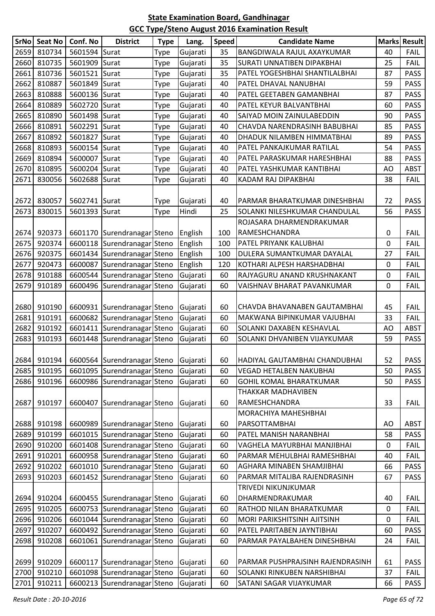|      | SrNo Seat No | Conf. No      | <b>District</b>                                    | <b>Type</b> | Lang.    | <b>Speed</b> | <b>Candidate Name</b>              |           | <b>Marks Result</b> |
|------|--------------|---------------|----------------------------------------------------|-------------|----------|--------------|------------------------------------|-----------|---------------------|
| 2659 | 810734       | 5601594 Surat |                                                    | Type        | Gujarati | 35           | BANGDIWALA RAJUL AXAYKUMAR         | 40        | <b>FAIL</b>         |
| 2660 | 810735       | 5601909 Surat |                                                    | Type        | Gujarati | 35           | <b>SURATI UNNATIBEN DIPAKBHAI</b>  | 25        | <b>FAIL</b>         |
| 2661 | 810736       | 5601521 Surat |                                                    | Type        | Gujarati | 35           | PATEL YOGESHBHAI SHANTILALBHAI     | 87        | <b>PASS</b>         |
| 2662 | 810887       | 5601849 Surat |                                                    | Type        | Gujarati | 40           | PATEL DHAVAL NANUBHAI              | 59        | <b>PASS</b>         |
| 2663 | 810888       | 5600136 Surat |                                                    | Type        | Gujarati | 40           | PATEL GEETABEN GAMANBHAI           | 87        | <b>PASS</b>         |
| 2664 | 810889       | 5602720       | Surat                                              | Type        | Gujarati | 40           | PATEL KEYUR BALVANTBHAI            | 60        | <b>PASS</b>         |
| 2665 | 810890       | 5601498 Surat |                                                    | Type        | Gujarati | 40           | SAIYAD MOIN ZAINULABEDDIN          | 90        | <b>PASS</b>         |
| 2666 | 810891       | 5602291 Surat |                                                    | Type        | Gujarati | 40           | CHAVDA NARENDRASINH BABUBHAI       | 85        | <b>PASS</b>         |
| 2667 | 810892       | 5601827       | Surat                                              | Type        | Gujarati | 40           | DHADUK NILAMBEN HIMMATBHAI         | 89        | <b>PASS</b>         |
| 2668 | 810893       | 5600154       | Surat                                              | Type        | Gujarati | 40           | PATEL PANKAJKUMAR RATILAL          | 54        | <b>PASS</b>         |
| 2669 | 810894       | 5600007       | Surat                                              | Type        | Gujarati | 40           | PATEL PARASKUMAR HARESHBHAI        | 88        | <b>PASS</b>         |
| 2670 | 810895       | 5600204 Surat |                                                    | Type        | Gujarati | 40           | PATEL YASHKUMAR KANTIBHAI          | AO        | <b>ABST</b>         |
| 2671 | 830056       | 5602688 Surat |                                                    | Type        | Gujarati | 40           | KADAM RAJ DIPAKBHAI                | 38        | <b>FAIL</b>         |
|      |              |               |                                                    |             |          |              |                                    |           |                     |
| 2672 | 830057       | 5602741 Surat |                                                    | Type        | Gujarati | 40           | PARMAR BHARATKUMAR DINESHBHAI      | 72        | <b>PASS</b>         |
| 2673 | 830015       | 5601393 Surat |                                                    | Type        | Hindi    | 25           | SOLANKI NILESHKUMAR CHANDULAL      | 56        | <b>PASS</b>         |
|      |              |               |                                                    |             |          |              | ROJASARA DHARMENDRAKUMAR           |           |                     |
| 2674 | 920373       |               | 6601170 Surendranagar Steno                        |             | English  | 100          | RAMESHCHANDRA                      | 0         | <b>FAIL</b>         |
| 2675 | 920374       |               | 6600118 Surendranagar Steno                        |             | English  | 100          | PATEL PRIYANK KALUBHAI             | 0         | <b>FAIL</b>         |
| 2676 | 920375       |               | 6601434 Surendranagar Steno                        |             | English  | 100          | DULERA SUMANTKUMAR DAYALAL         | 27        | <b>FAIL</b>         |
| 2677 | 920473       |               | 6600087 Surendranagar Steno                        |             | English  | 120          | KOTHARI ALPESH HARSHADBHAI         | 0         | <b>FAIL</b>         |
| 2678 | 910188       |               | 6600544 Surendranagar Steno                        |             | Gujarati | 60           | RAJYAGURU ANAND KRUSHNAKANT        | 0         | <b>FAIL</b>         |
| 2679 | 910189       |               | 6600496 Surendranagar Steno                        |             | Gujarati | 60           | VAISHNAV BHARAT PAVANKUMAR         | 0         | <b>FAIL</b>         |
|      |              |               |                                                    |             |          |              |                                    |           |                     |
| 2680 | 910190       |               | 6600931 Surendranagar Steno                        |             | Gujarati | 60           | CHAVDA BHAVANABEN GAUTAMBHAI       | 45        | <b>FAIL</b>         |
| 2681 | 910191       |               | 6600682 Surendranagar Steno                        |             | Gujarati | 60           | MAKWANA BIPINKUMAR VAJUBHAI        | 33        | <b>FAIL</b>         |
| 2682 | 910192       |               | 6601411   Surendranagar Steno                      |             | Gujarati | 60           | SOLANKI DAXABEN KESHAVLAL          | AO        | <b>ABST</b>         |
| 2683 | 910193       |               | 6601448 Surendranagar Steno                        |             | Gujarati | 60           | SOLANKI DHVANIBEN VIJAYKUMAR       | 59        | <b>PASS</b>         |
|      |              |               |                                                    |             |          |              |                                    |           |                     |
|      |              |               | 2684 910194   6600564 Surendranagar Steno Gujarati |             |          | 60           | HADIYAL GAUTAMBHAI CHANDUBHAI      | 52        | <b>PASS</b>         |
| 2685 | 910195       |               | 6601095 Surendranagar Steno                        |             | Gujarati | 60           | <b>VEGAD HETALBEN NAKUBHAI</b>     | 50        | <b>PASS</b>         |
| 2686 | 910196       |               | 6600986 Surendranagar Steno                        |             | Gujarati | 60           | <b>GOHIL KOMAL BHARATKUMAR</b>     | 50        | <b>PASS</b>         |
|      |              |               |                                                    |             |          |              | THAKKAR MADHAVIBEN                 |           |                     |
| 2687 | 910197       |               | 6600407 Surendranagar Steno                        |             | Gujarati | 60           | RAMESHCHANDRA                      | 33        | <b>FAIL</b>         |
|      |              |               |                                                    |             |          |              | MORACHIYA MAHESHBHAI               |           |                     |
| 2688 | 910198       |               | 6600989 Surendranagar Steno                        |             | Gujarati | 60           | PARSOTTAMBHAI                      | AO        | ABST                |
| 2689 | 910199       |               | 6601015 Surendranagar Steno                        |             | Gujarati | 60           | PATEL MANISH NARANBHAI             | 58        | PASS                |
| 2690 | 910200       |               | 6601408 Surendranagar Steno                        |             | Gujarati | 60           | VAGHELA MAYURBHAI MANJIBHAI        | 0         | <b>FAIL</b>         |
| 2691 | 910201       |               | 6600958 Surendranagar Steno                        |             | Gujarati | 60           | PARMAR MEHULBHAI RAMESHBHAI        | 40        | <b>FAIL</b>         |
| 2692 | 910202       |               | 6601010 Surendranagar Steno                        |             | Gujarati | 60           | AGHARA MINABEN SHAMJIBHAI          | 66        | <b>PASS</b>         |
| 2693 | 910203       | 6601452       | Surendranagar Steno                                |             | Gujarati | 60           | PARMAR MITALIBA RAJENDRASINH       | 67        | <b>PASS</b>         |
|      |              |               |                                                    |             |          |              | TRIVEDI NIKUNJKUMAR                |           |                     |
| 2694 | 910204       |               | 6600455 Surendranagar Steno                        |             | Gujarati | 60           | DHARMENDRAKUMAR                    | 40        | <b>FAIL</b>         |
| 2695 | 910205       |               | 6600753 Surendranagar Steno                        |             | Gujarati | 60           | RATHOD NILAN BHARATKUMAR           | 0         | <b>FAIL</b>         |
| 2696 | 910206       |               | 6601044 Surendranagar Steno                        |             | Gujarati | 60           | MORI PARIKSHITSINH AJITSINH        | $\pmb{0}$ | <b>FAIL</b>         |
| 2697 | 910207       |               | 6600492 Surendranagar Steno                        |             | Gujarati | 60           | PATEL PARITABEN JAYNTIBHAI         | 60        | <b>PASS</b>         |
| 2698 | 910208       |               | 6601061 Surendranagar Steno                        |             | Gujarati | 60           | PARMAR PAYALBAHEN DINESHBHAI       | 24        | <b>FAIL</b>         |
|      |              |               |                                                    |             |          |              |                                    |           |                     |
| 2699 | 910209       |               | 6600117 Surendranagar Steno                        |             | Gujarati | 60           | PARMAR PUSHPRAJSINH RAJENDRASINH   | 61        | <b>PASS</b>         |
| 2700 | 910210       |               | 6601098 Surendranagar Steno                        |             | Gujarati | 60           | <b>SOLANKI RINKUBEN NARSHIBHAI</b> | 37        | <b>FAIL</b>         |
| 2701 | 910211       |               | 6600213 Surendranagar Steno                        |             | Gujarati | 60           | SATANI SAGAR VIJAYKUMAR            | 66        | <b>PASS</b>         |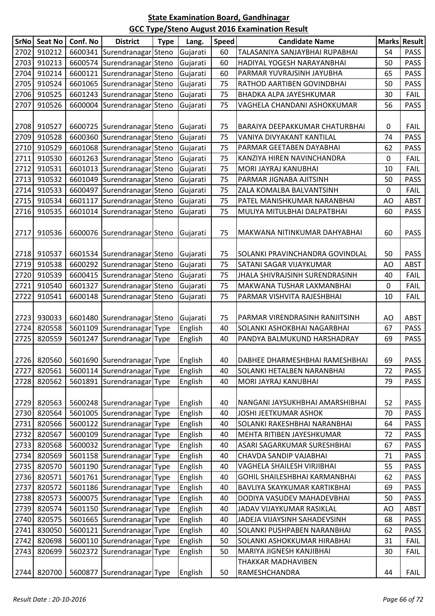| 2702<br>910212<br>TALASANIYA SANJAYBHAI RUPABHAI<br>6600341 Surendranagar Steno<br>54<br><b>PASS</b><br>Gujarati<br>60<br>2703<br>910213<br>6600574 Surendranagar Steno<br><b>PASS</b><br>Gujarati<br>60<br>HADIYAL YOGESH NARAYANBHAI<br>50<br>2704<br>910214<br>6600121 Surendranagar Steno<br>Gujarati<br>60<br>65<br><b>PASS</b><br>PARMAR YUVRAJSINH JAYUBHA<br>2705<br>910524<br>6601065 Surendranagar Steno<br><b>PASS</b><br>Gujarati<br>75<br>50<br>RATHOD AARTIBEN GOVINDBHAI<br>2706<br>910525<br>6601243 Surendranagar Steno<br>Gujarati<br>75<br>BHADKA ALPA JAYESHKUMAR<br>30<br><b>FAIL</b><br>2707<br>910526<br>Surendranagar Steno<br>75<br>56<br><b>PASS</b><br>6600004<br>VAGHELA CHANDANI ASHOKKUMAR<br>Gujarati<br>2708<br>910527<br>6600725 Surendranagar Steno<br>75<br>0<br><b>FAIL</b><br>Gujarati<br>BARAIYA DEEPAKKUMAR CHATURBHAI<br>2709<br>910528<br>6600360 Surendranagar Steno<br>Gujarati<br>75<br>VANIYA DIVYAKANT KANTILAL<br><b>PASS</b><br>74<br>2710<br>910529<br>6601068 Surendranagar Steno<br>75<br>Gujarati<br>PARMAR GEETABEN DAYABHAI<br>62<br><b>PASS</b><br>2711<br>910530<br>6601263 Surendranagar Steno<br>75<br>0<br><b>FAIL</b><br>Gujarati<br>KANZIYA HIREN NAVINCHANDRA<br>2712<br>910531<br>6601013 Surendranagar Steno<br>75<br>MORI JAYRAJ KANUBHAI<br>FAIL<br>Gujarati<br>10<br>2713<br>910532<br>6601049 Surendranagar Steno<br>75<br>PARMAR JIGNABA AJITSINH<br><b>PASS</b><br>Gujarati<br>50<br>2714<br>910533<br>6600497 Surendranagar Steno<br>Gujarati<br><b>FAIL</b><br>75<br>ZALA KOMALBA BALVANTSINH<br>0<br>2715<br>910534<br>6601117 Surendranagar Steno<br>75<br><b>ABST</b><br>Gujarati<br>PATEL MANISHKUMAR NARANBHAI<br>AO<br>2716<br>910535<br>Surendranagar Steno<br>MULIYA MITULBHAI DALPATBHAI<br>PASS<br>6601014<br>Gujarati<br>75<br>60<br>2717<br>910536<br>75<br><b>PASS</b><br>6600076 Surendranagar Steno<br>Gujarati<br>60<br>MAKWANA NITINKUMAR DAHYABHAI<br>2718<br>910537<br><b>PASS</b><br>6601534 Surendranagar Steno<br>Gujarati<br>75<br>SOLANKI PRAVINCHANDRA GOVINDLAL<br>50<br>2719<br>910538<br>6600292 Surendranagar Steno<br>75<br>Gujarati<br>SATANI SAGAR VIJAYKUMAR<br>AO<br><b>ABST</b><br>2720<br>910539<br>6600415 Surendranagar Steno<br>75<br><b>FAIL</b><br>Gujarati<br>40<br>JHALA SHIVRAJSINH SURENDRASINH<br>2721<br>910540<br>6601327<br>Surendranagar Steno<br>75<br><b>FAIL</b><br>Gujarati<br>0<br>MAKWANA TUSHAR LAXMANBHAI<br>2722<br>910541<br>6600148 Surendranagar Steno<br>75<br>10<br><b>FAIL</b><br>Gujarati<br>PARMAR VISHVITA RAJESHBHAI<br>2723<br>930033<br>6601480 Surendranagar Steno<br>Gujarati<br>75<br>PARMAR VIRENDRASINH RANJITSINH<br>AO<br><b>ABST</b><br>2724<br>820558<br>English<br>5601109 Surendranagar Type<br>SOLANKI ASHOKBHAI NAGARBHAI<br>67<br><b>PASS</b><br>40<br>2725<br>820559<br>Surendranagar Type<br><b>PASS</b><br>5601247<br>English<br>40<br>PANDYA BALMUKUND HARSHADRAY<br>69<br>2726 820560 5601690 Surendranagar Type<br><b>PASS</b><br>English<br>40<br>69<br> DABHEE DHARMESHBHAI RAMESHBHAI<br>2727<br>820561<br>5600114 Surendranagar Type<br><b>SOLANKI HETALBEN NARANBHAI</b><br>72<br><b>PASS</b><br>English<br>40<br>2728<br>820562<br>5601891 Surendranagar Type<br>79<br><b>PASS</b><br>English<br>40<br>MORI JAYRAJ KANUBHAI<br>52<br><b>PASS</b><br>2729<br>820563<br>5600248 Surendranagar Type<br>English<br>40<br>NANGANI JAYSUKHBHAI AMARSHIBHAI<br>2730<br>820564<br>5601005 Surendranagar Type<br>JOSHI JEETKUMAR ASHOK<br>English<br>40<br>70<br><b>PASS</b><br>2731<br>820566<br>5600122 Surendranagar Type<br>English<br>64<br><b>PASS</b><br>40<br>SOLANKI RAKESHBHAI NARANBHAI<br>2732<br>820567<br>5600109 Surendranagar Type<br>English<br>40<br>MEHTA RITIBEN JAYESHKUMAR<br>72<br><b>PASS</b><br>2733<br>820568<br>5600032 Surendranagar Type<br>ASARI SAGARKUMAR SURESHBHAI<br><b>PASS</b><br>English<br>40<br>67<br>2734<br>820569<br>5601158 Surendranagar Type<br>English<br>CHAVDA SANDIP VAJABHAI<br>PASS<br>40<br>71<br>2735<br>820570<br>5601190 Surendranagar Type<br>English<br>55<br>40<br>VAGHELA SHAILESH VIRJIBHAI<br><b>PASS</b><br>2736<br>820571<br>5601761 Surendranagar Type<br>English<br>40<br>GOHIL SHAILESHBHAI KARMANBHAI<br>62<br><b>PASS</b><br>2737<br>820572<br>5601186 Surendranagar Type<br>BAVLIYA SKAYKUMAR KARTIKBHAI<br>English<br>40<br>69<br><b>PASS</b><br>2738<br>820573<br>5600075 Surendranagar Type<br>English<br>50<br>PASS<br>40<br>DODIYA VASUDEV MAHADEVBHAI<br>2739<br>820574<br>English<br><b>ABST</b><br>5601150 Surendranagar Type<br>40<br>JADAV VIJAYKUMAR RASIKLAL<br>AO<br>2740<br>820575<br>5601665 Surendranagar Type<br>English<br>68<br>PASS<br>40<br>JADEJA VIJAYSINH SAHADEVSINH<br>2741<br>830050<br>English<br>SOLANKI PUSHPABEN NARANBHAI<br>PASS<br>5600121 Surendranagar Type<br>40<br>62<br>2742<br>820698<br>5600110 Surendranagar Type<br>English<br>50<br>SOLANKI ASHOKKUMAR HIRABHAI<br>31<br><b>FAIL</b><br>2743<br>820699<br>5602372 Surendranagar Type<br>English<br>50<br>MARIYA JIGNESH KANJIBHAI<br>30<br><b>FAIL</b><br>THAKKAR MADHAVIBEN<br>820700<br>English<br>50<br>RAMESHCHANDRA<br>44<br><b>FAIL</b><br>2744<br>5600877 Surendranagar Type | <b>SrNo</b> | <b>Seat No</b> | Conf. No | <b>District</b> | <b>Type</b> | Lang. | <b>Speed</b> | <b>Candidate Name</b> | <b>Marks Result</b> |
|-----------------------------------------------------------------------------------------------------------------------------------------------------------------------------------------------------------------------------------------------------------------------------------------------------------------------------------------------------------------------------------------------------------------------------------------------------------------------------------------------------------------------------------------------------------------------------------------------------------------------------------------------------------------------------------------------------------------------------------------------------------------------------------------------------------------------------------------------------------------------------------------------------------------------------------------------------------------------------------------------------------------------------------------------------------------------------------------------------------------------------------------------------------------------------------------------------------------------------------------------------------------------------------------------------------------------------------------------------------------------------------------------------------------------------------------------------------------------------------------------------------------------------------------------------------------------------------------------------------------------------------------------------------------------------------------------------------------------------------------------------------------------------------------------------------------------------------------------------------------------------------------------------------------------------------------------------------------------------------------------------------------------------------------------------------------------------------------------------------------------------------------------------------------------------------------------------------------------------------------------------------------------------------------------------------------------------------------------------------------------------------------------------------------------------------------------------------------------------------------------------------------------------------------------------------------------------------------------------------------------------------------------------------------------------------------------------------------------------------------------------------------------------------------------------------------------------------------------------------------------------------------------------------------------------------------------------------------------------------------------------------------------------------------------------------------------------------------------------------------------------------------------------------------------------------------------------------------------------------------------------------------------------------------------------------------------------------------------------------------------------------------------------------------------------------------------------------------------------------------------------------------------------------------------------------------------------------------------------------------------------------------------------------------------------------------------------------------------------------------------------------------------------------------------------------------------------------------------------------------------------------------------------------------------------------------------------------------------------------------------------------------------------------------------------------------------------------------------------------------------------------------------------------------------------------------------------------------------------------------------------------------------------------------------------------------------------------------------------------------------------------------------------------------------------------------------------------------------------------------------------------------------------------------------------------------------------------------------------------------------------------------------------------------------------------------------------------------------------------------------------------------------------------------------------------------------------------------------------------------------------------------------------------------------------------------------------------------------------------------------------------------------------------------------------------------------------------------------------------------------------------------------------------------------------------------------------------------------|-------------|----------------|----------|-----------------|-------------|-------|--------------|-----------------------|---------------------|
|                                                                                                                                                                                                                                                                                                                                                                                                                                                                                                                                                                                                                                                                                                                                                                                                                                                                                                                                                                                                                                                                                                                                                                                                                                                                                                                                                                                                                                                                                                                                                                                                                                                                                                                                                                                                                                                                                                                                                                                                                                                                                                                                                                                                                                                                                                                                                                                                                                                                                                                                                                                                                                                                                                                                                                                                                                                                                                                                                                                                                                                                                                                                                                                                                                                                                                                                                                                                                                                                                                                                                                                                                                                                                                                                                                                                                                                                                                                                                                                                                                                                                                                                                                                                                                                                                                                                                                                                                                                                                                                                                                                                                                                                                                                                                                                                                                                                                                                                                                                                                                                                                                                                                                                                                       |             |                |          |                 |             |       |              |                       |                     |
|                                                                                                                                                                                                                                                                                                                                                                                                                                                                                                                                                                                                                                                                                                                                                                                                                                                                                                                                                                                                                                                                                                                                                                                                                                                                                                                                                                                                                                                                                                                                                                                                                                                                                                                                                                                                                                                                                                                                                                                                                                                                                                                                                                                                                                                                                                                                                                                                                                                                                                                                                                                                                                                                                                                                                                                                                                                                                                                                                                                                                                                                                                                                                                                                                                                                                                                                                                                                                                                                                                                                                                                                                                                                                                                                                                                                                                                                                                                                                                                                                                                                                                                                                                                                                                                                                                                                                                                                                                                                                                                                                                                                                                                                                                                                                                                                                                                                                                                                                                                                                                                                                                                                                                                                                       |             |                |          |                 |             |       |              |                       |                     |
|                                                                                                                                                                                                                                                                                                                                                                                                                                                                                                                                                                                                                                                                                                                                                                                                                                                                                                                                                                                                                                                                                                                                                                                                                                                                                                                                                                                                                                                                                                                                                                                                                                                                                                                                                                                                                                                                                                                                                                                                                                                                                                                                                                                                                                                                                                                                                                                                                                                                                                                                                                                                                                                                                                                                                                                                                                                                                                                                                                                                                                                                                                                                                                                                                                                                                                                                                                                                                                                                                                                                                                                                                                                                                                                                                                                                                                                                                                                                                                                                                                                                                                                                                                                                                                                                                                                                                                                                                                                                                                                                                                                                                                                                                                                                                                                                                                                                                                                                                                                                                                                                                                                                                                                                                       |             |                |          |                 |             |       |              |                       |                     |
|                                                                                                                                                                                                                                                                                                                                                                                                                                                                                                                                                                                                                                                                                                                                                                                                                                                                                                                                                                                                                                                                                                                                                                                                                                                                                                                                                                                                                                                                                                                                                                                                                                                                                                                                                                                                                                                                                                                                                                                                                                                                                                                                                                                                                                                                                                                                                                                                                                                                                                                                                                                                                                                                                                                                                                                                                                                                                                                                                                                                                                                                                                                                                                                                                                                                                                                                                                                                                                                                                                                                                                                                                                                                                                                                                                                                                                                                                                                                                                                                                                                                                                                                                                                                                                                                                                                                                                                                                                                                                                                                                                                                                                                                                                                                                                                                                                                                                                                                                                                                                                                                                                                                                                                                                       |             |                |          |                 |             |       |              |                       |                     |
|                                                                                                                                                                                                                                                                                                                                                                                                                                                                                                                                                                                                                                                                                                                                                                                                                                                                                                                                                                                                                                                                                                                                                                                                                                                                                                                                                                                                                                                                                                                                                                                                                                                                                                                                                                                                                                                                                                                                                                                                                                                                                                                                                                                                                                                                                                                                                                                                                                                                                                                                                                                                                                                                                                                                                                                                                                                                                                                                                                                                                                                                                                                                                                                                                                                                                                                                                                                                                                                                                                                                                                                                                                                                                                                                                                                                                                                                                                                                                                                                                                                                                                                                                                                                                                                                                                                                                                                                                                                                                                                                                                                                                                                                                                                                                                                                                                                                                                                                                                                                                                                                                                                                                                                                                       |             |                |          |                 |             |       |              |                       |                     |
|                                                                                                                                                                                                                                                                                                                                                                                                                                                                                                                                                                                                                                                                                                                                                                                                                                                                                                                                                                                                                                                                                                                                                                                                                                                                                                                                                                                                                                                                                                                                                                                                                                                                                                                                                                                                                                                                                                                                                                                                                                                                                                                                                                                                                                                                                                                                                                                                                                                                                                                                                                                                                                                                                                                                                                                                                                                                                                                                                                                                                                                                                                                                                                                                                                                                                                                                                                                                                                                                                                                                                                                                                                                                                                                                                                                                                                                                                                                                                                                                                                                                                                                                                                                                                                                                                                                                                                                                                                                                                                                                                                                                                                                                                                                                                                                                                                                                                                                                                                                                                                                                                                                                                                                                                       |             |                |          |                 |             |       |              |                       |                     |
|                                                                                                                                                                                                                                                                                                                                                                                                                                                                                                                                                                                                                                                                                                                                                                                                                                                                                                                                                                                                                                                                                                                                                                                                                                                                                                                                                                                                                                                                                                                                                                                                                                                                                                                                                                                                                                                                                                                                                                                                                                                                                                                                                                                                                                                                                                                                                                                                                                                                                                                                                                                                                                                                                                                                                                                                                                                                                                                                                                                                                                                                                                                                                                                                                                                                                                                                                                                                                                                                                                                                                                                                                                                                                                                                                                                                                                                                                                                                                                                                                                                                                                                                                                                                                                                                                                                                                                                                                                                                                                                                                                                                                                                                                                                                                                                                                                                                                                                                                                                                                                                                                                                                                                                                                       |             |                |          |                 |             |       |              |                       |                     |
|                                                                                                                                                                                                                                                                                                                                                                                                                                                                                                                                                                                                                                                                                                                                                                                                                                                                                                                                                                                                                                                                                                                                                                                                                                                                                                                                                                                                                                                                                                                                                                                                                                                                                                                                                                                                                                                                                                                                                                                                                                                                                                                                                                                                                                                                                                                                                                                                                                                                                                                                                                                                                                                                                                                                                                                                                                                                                                                                                                                                                                                                                                                                                                                                                                                                                                                                                                                                                                                                                                                                                                                                                                                                                                                                                                                                                                                                                                                                                                                                                                                                                                                                                                                                                                                                                                                                                                                                                                                                                                                                                                                                                                                                                                                                                                                                                                                                                                                                                                                                                                                                                                                                                                                                                       |             |                |          |                 |             |       |              |                       |                     |
|                                                                                                                                                                                                                                                                                                                                                                                                                                                                                                                                                                                                                                                                                                                                                                                                                                                                                                                                                                                                                                                                                                                                                                                                                                                                                                                                                                                                                                                                                                                                                                                                                                                                                                                                                                                                                                                                                                                                                                                                                                                                                                                                                                                                                                                                                                                                                                                                                                                                                                                                                                                                                                                                                                                                                                                                                                                                                                                                                                                                                                                                                                                                                                                                                                                                                                                                                                                                                                                                                                                                                                                                                                                                                                                                                                                                                                                                                                                                                                                                                                                                                                                                                                                                                                                                                                                                                                                                                                                                                                                                                                                                                                                                                                                                                                                                                                                                                                                                                                                                                                                                                                                                                                                                                       |             |                |          |                 |             |       |              |                       |                     |
|                                                                                                                                                                                                                                                                                                                                                                                                                                                                                                                                                                                                                                                                                                                                                                                                                                                                                                                                                                                                                                                                                                                                                                                                                                                                                                                                                                                                                                                                                                                                                                                                                                                                                                                                                                                                                                                                                                                                                                                                                                                                                                                                                                                                                                                                                                                                                                                                                                                                                                                                                                                                                                                                                                                                                                                                                                                                                                                                                                                                                                                                                                                                                                                                                                                                                                                                                                                                                                                                                                                                                                                                                                                                                                                                                                                                                                                                                                                                                                                                                                                                                                                                                                                                                                                                                                                                                                                                                                                                                                                                                                                                                                                                                                                                                                                                                                                                                                                                                                                                                                                                                                                                                                                                                       |             |                |          |                 |             |       |              |                       |                     |
|                                                                                                                                                                                                                                                                                                                                                                                                                                                                                                                                                                                                                                                                                                                                                                                                                                                                                                                                                                                                                                                                                                                                                                                                                                                                                                                                                                                                                                                                                                                                                                                                                                                                                                                                                                                                                                                                                                                                                                                                                                                                                                                                                                                                                                                                                                                                                                                                                                                                                                                                                                                                                                                                                                                                                                                                                                                                                                                                                                                                                                                                                                                                                                                                                                                                                                                                                                                                                                                                                                                                                                                                                                                                                                                                                                                                                                                                                                                                                                                                                                                                                                                                                                                                                                                                                                                                                                                                                                                                                                                                                                                                                                                                                                                                                                                                                                                                                                                                                                                                                                                                                                                                                                                                                       |             |                |          |                 |             |       |              |                       |                     |
|                                                                                                                                                                                                                                                                                                                                                                                                                                                                                                                                                                                                                                                                                                                                                                                                                                                                                                                                                                                                                                                                                                                                                                                                                                                                                                                                                                                                                                                                                                                                                                                                                                                                                                                                                                                                                                                                                                                                                                                                                                                                                                                                                                                                                                                                                                                                                                                                                                                                                                                                                                                                                                                                                                                                                                                                                                                                                                                                                                                                                                                                                                                                                                                                                                                                                                                                                                                                                                                                                                                                                                                                                                                                                                                                                                                                                                                                                                                                                                                                                                                                                                                                                                                                                                                                                                                                                                                                                                                                                                                                                                                                                                                                                                                                                                                                                                                                                                                                                                                                                                                                                                                                                                                                                       |             |                |          |                 |             |       |              |                       |                     |
|                                                                                                                                                                                                                                                                                                                                                                                                                                                                                                                                                                                                                                                                                                                                                                                                                                                                                                                                                                                                                                                                                                                                                                                                                                                                                                                                                                                                                                                                                                                                                                                                                                                                                                                                                                                                                                                                                                                                                                                                                                                                                                                                                                                                                                                                                                                                                                                                                                                                                                                                                                                                                                                                                                                                                                                                                                                                                                                                                                                                                                                                                                                                                                                                                                                                                                                                                                                                                                                                                                                                                                                                                                                                                                                                                                                                                                                                                                                                                                                                                                                                                                                                                                                                                                                                                                                                                                                                                                                                                                                                                                                                                                                                                                                                                                                                                                                                                                                                                                                                                                                                                                                                                                                                                       |             |                |          |                 |             |       |              |                       |                     |
|                                                                                                                                                                                                                                                                                                                                                                                                                                                                                                                                                                                                                                                                                                                                                                                                                                                                                                                                                                                                                                                                                                                                                                                                                                                                                                                                                                                                                                                                                                                                                                                                                                                                                                                                                                                                                                                                                                                                                                                                                                                                                                                                                                                                                                                                                                                                                                                                                                                                                                                                                                                                                                                                                                                                                                                                                                                                                                                                                                                                                                                                                                                                                                                                                                                                                                                                                                                                                                                                                                                                                                                                                                                                                                                                                                                                                                                                                                                                                                                                                                                                                                                                                                                                                                                                                                                                                                                                                                                                                                                                                                                                                                                                                                                                                                                                                                                                                                                                                                                                                                                                                                                                                                                                                       |             |                |          |                 |             |       |              |                       |                     |
|                                                                                                                                                                                                                                                                                                                                                                                                                                                                                                                                                                                                                                                                                                                                                                                                                                                                                                                                                                                                                                                                                                                                                                                                                                                                                                                                                                                                                                                                                                                                                                                                                                                                                                                                                                                                                                                                                                                                                                                                                                                                                                                                                                                                                                                                                                                                                                                                                                                                                                                                                                                                                                                                                                                                                                                                                                                                                                                                                                                                                                                                                                                                                                                                                                                                                                                                                                                                                                                                                                                                                                                                                                                                                                                                                                                                                                                                                                                                                                                                                                                                                                                                                                                                                                                                                                                                                                                                                                                                                                                                                                                                                                                                                                                                                                                                                                                                                                                                                                                                                                                                                                                                                                                                                       |             |                |          |                 |             |       |              |                       |                     |
|                                                                                                                                                                                                                                                                                                                                                                                                                                                                                                                                                                                                                                                                                                                                                                                                                                                                                                                                                                                                                                                                                                                                                                                                                                                                                                                                                                                                                                                                                                                                                                                                                                                                                                                                                                                                                                                                                                                                                                                                                                                                                                                                                                                                                                                                                                                                                                                                                                                                                                                                                                                                                                                                                                                                                                                                                                                                                                                                                                                                                                                                                                                                                                                                                                                                                                                                                                                                                                                                                                                                                                                                                                                                                                                                                                                                                                                                                                                                                                                                                                                                                                                                                                                                                                                                                                                                                                                                                                                                                                                                                                                                                                                                                                                                                                                                                                                                                                                                                                                                                                                                                                                                                                                                                       |             |                |          |                 |             |       |              |                       |                     |
|                                                                                                                                                                                                                                                                                                                                                                                                                                                                                                                                                                                                                                                                                                                                                                                                                                                                                                                                                                                                                                                                                                                                                                                                                                                                                                                                                                                                                                                                                                                                                                                                                                                                                                                                                                                                                                                                                                                                                                                                                                                                                                                                                                                                                                                                                                                                                                                                                                                                                                                                                                                                                                                                                                                                                                                                                                                                                                                                                                                                                                                                                                                                                                                                                                                                                                                                                                                                                                                                                                                                                                                                                                                                                                                                                                                                                                                                                                                                                                                                                                                                                                                                                                                                                                                                                                                                                                                                                                                                                                                                                                                                                                                                                                                                                                                                                                                                                                                                                                                                                                                                                                                                                                                                                       |             |                |          |                 |             |       |              |                       |                     |
|                                                                                                                                                                                                                                                                                                                                                                                                                                                                                                                                                                                                                                                                                                                                                                                                                                                                                                                                                                                                                                                                                                                                                                                                                                                                                                                                                                                                                                                                                                                                                                                                                                                                                                                                                                                                                                                                                                                                                                                                                                                                                                                                                                                                                                                                                                                                                                                                                                                                                                                                                                                                                                                                                                                                                                                                                                                                                                                                                                                                                                                                                                                                                                                                                                                                                                                                                                                                                                                                                                                                                                                                                                                                                                                                                                                                                                                                                                                                                                                                                                                                                                                                                                                                                                                                                                                                                                                                                                                                                                                                                                                                                                                                                                                                                                                                                                                                                                                                                                                                                                                                                                                                                                                                                       |             |                |          |                 |             |       |              |                       |                     |
|                                                                                                                                                                                                                                                                                                                                                                                                                                                                                                                                                                                                                                                                                                                                                                                                                                                                                                                                                                                                                                                                                                                                                                                                                                                                                                                                                                                                                                                                                                                                                                                                                                                                                                                                                                                                                                                                                                                                                                                                                                                                                                                                                                                                                                                                                                                                                                                                                                                                                                                                                                                                                                                                                                                                                                                                                                                                                                                                                                                                                                                                                                                                                                                                                                                                                                                                                                                                                                                                                                                                                                                                                                                                                                                                                                                                                                                                                                                                                                                                                                                                                                                                                                                                                                                                                                                                                                                                                                                                                                                                                                                                                                                                                                                                                                                                                                                                                                                                                                                                                                                                                                                                                                                                                       |             |                |          |                 |             |       |              |                       |                     |
|                                                                                                                                                                                                                                                                                                                                                                                                                                                                                                                                                                                                                                                                                                                                                                                                                                                                                                                                                                                                                                                                                                                                                                                                                                                                                                                                                                                                                                                                                                                                                                                                                                                                                                                                                                                                                                                                                                                                                                                                                                                                                                                                                                                                                                                                                                                                                                                                                                                                                                                                                                                                                                                                                                                                                                                                                                                                                                                                                                                                                                                                                                                                                                                                                                                                                                                                                                                                                                                                                                                                                                                                                                                                                                                                                                                                                                                                                                                                                                                                                                                                                                                                                                                                                                                                                                                                                                                                                                                                                                                                                                                                                                                                                                                                                                                                                                                                                                                                                                                                                                                                                                                                                                                                                       |             |                |          |                 |             |       |              |                       |                     |
|                                                                                                                                                                                                                                                                                                                                                                                                                                                                                                                                                                                                                                                                                                                                                                                                                                                                                                                                                                                                                                                                                                                                                                                                                                                                                                                                                                                                                                                                                                                                                                                                                                                                                                                                                                                                                                                                                                                                                                                                                                                                                                                                                                                                                                                                                                                                                                                                                                                                                                                                                                                                                                                                                                                                                                                                                                                                                                                                                                                                                                                                                                                                                                                                                                                                                                                                                                                                                                                                                                                                                                                                                                                                                                                                                                                                                                                                                                                                                                                                                                                                                                                                                                                                                                                                                                                                                                                                                                                                                                                                                                                                                                                                                                                                                                                                                                                                                                                                                                                                                                                                                                                                                                                                                       |             |                |          |                 |             |       |              |                       |                     |
|                                                                                                                                                                                                                                                                                                                                                                                                                                                                                                                                                                                                                                                                                                                                                                                                                                                                                                                                                                                                                                                                                                                                                                                                                                                                                                                                                                                                                                                                                                                                                                                                                                                                                                                                                                                                                                                                                                                                                                                                                                                                                                                                                                                                                                                                                                                                                                                                                                                                                                                                                                                                                                                                                                                                                                                                                                                                                                                                                                                                                                                                                                                                                                                                                                                                                                                                                                                                                                                                                                                                                                                                                                                                                                                                                                                                                                                                                                                                                                                                                                                                                                                                                                                                                                                                                                                                                                                                                                                                                                                                                                                                                                                                                                                                                                                                                                                                                                                                                                                                                                                                                                                                                                                                                       |             |                |          |                 |             |       |              |                       |                     |
|                                                                                                                                                                                                                                                                                                                                                                                                                                                                                                                                                                                                                                                                                                                                                                                                                                                                                                                                                                                                                                                                                                                                                                                                                                                                                                                                                                                                                                                                                                                                                                                                                                                                                                                                                                                                                                                                                                                                                                                                                                                                                                                                                                                                                                                                                                                                                                                                                                                                                                                                                                                                                                                                                                                                                                                                                                                                                                                                                                                                                                                                                                                                                                                                                                                                                                                                                                                                                                                                                                                                                                                                                                                                                                                                                                                                                                                                                                                                                                                                                                                                                                                                                                                                                                                                                                                                                                                                                                                                                                                                                                                                                                                                                                                                                                                                                                                                                                                                                                                                                                                                                                                                                                                                                       |             |                |          |                 |             |       |              |                       |                     |
|                                                                                                                                                                                                                                                                                                                                                                                                                                                                                                                                                                                                                                                                                                                                                                                                                                                                                                                                                                                                                                                                                                                                                                                                                                                                                                                                                                                                                                                                                                                                                                                                                                                                                                                                                                                                                                                                                                                                                                                                                                                                                                                                                                                                                                                                                                                                                                                                                                                                                                                                                                                                                                                                                                                                                                                                                                                                                                                                                                                                                                                                                                                                                                                                                                                                                                                                                                                                                                                                                                                                                                                                                                                                                                                                                                                                                                                                                                                                                                                                                                                                                                                                                                                                                                                                                                                                                                                                                                                                                                                                                                                                                                                                                                                                                                                                                                                                                                                                                                                                                                                                                                                                                                                                                       |             |                |          |                 |             |       |              |                       |                     |
|                                                                                                                                                                                                                                                                                                                                                                                                                                                                                                                                                                                                                                                                                                                                                                                                                                                                                                                                                                                                                                                                                                                                                                                                                                                                                                                                                                                                                                                                                                                                                                                                                                                                                                                                                                                                                                                                                                                                                                                                                                                                                                                                                                                                                                                                                                                                                                                                                                                                                                                                                                                                                                                                                                                                                                                                                                                                                                                                                                                                                                                                                                                                                                                                                                                                                                                                                                                                                                                                                                                                                                                                                                                                                                                                                                                                                                                                                                                                                                                                                                                                                                                                                                                                                                                                                                                                                                                                                                                                                                                                                                                                                                                                                                                                                                                                                                                                                                                                                                                                                                                                                                                                                                                                                       |             |                |          |                 |             |       |              |                       |                     |
|                                                                                                                                                                                                                                                                                                                                                                                                                                                                                                                                                                                                                                                                                                                                                                                                                                                                                                                                                                                                                                                                                                                                                                                                                                                                                                                                                                                                                                                                                                                                                                                                                                                                                                                                                                                                                                                                                                                                                                                                                                                                                                                                                                                                                                                                                                                                                                                                                                                                                                                                                                                                                                                                                                                                                                                                                                                                                                                                                                                                                                                                                                                                                                                                                                                                                                                                                                                                                                                                                                                                                                                                                                                                                                                                                                                                                                                                                                                                                                                                                                                                                                                                                                                                                                                                                                                                                                                                                                                                                                                                                                                                                                                                                                                                                                                                                                                                                                                                                                                                                                                                                                                                                                                                                       |             |                |          |                 |             |       |              |                       |                     |
|                                                                                                                                                                                                                                                                                                                                                                                                                                                                                                                                                                                                                                                                                                                                                                                                                                                                                                                                                                                                                                                                                                                                                                                                                                                                                                                                                                                                                                                                                                                                                                                                                                                                                                                                                                                                                                                                                                                                                                                                                                                                                                                                                                                                                                                                                                                                                                                                                                                                                                                                                                                                                                                                                                                                                                                                                                                                                                                                                                                                                                                                                                                                                                                                                                                                                                                                                                                                                                                                                                                                                                                                                                                                                                                                                                                                                                                                                                                                                                                                                                                                                                                                                                                                                                                                                                                                                                                                                                                                                                                                                                                                                                                                                                                                                                                                                                                                                                                                                                                                                                                                                                                                                                                                                       |             |                |          |                 |             |       |              |                       |                     |
|                                                                                                                                                                                                                                                                                                                                                                                                                                                                                                                                                                                                                                                                                                                                                                                                                                                                                                                                                                                                                                                                                                                                                                                                                                                                                                                                                                                                                                                                                                                                                                                                                                                                                                                                                                                                                                                                                                                                                                                                                                                                                                                                                                                                                                                                                                                                                                                                                                                                                                                                                                                                                                                                                                                                                                                                                                                                                                                                                                                                                                                                                                                                                                                                                                                                                                                                                                                                                                                                                                                                                                                                                                                                                                                                                                                                                                                                                                                                                                                                                                                                                                                                                                                                                                                                                                                                                                                                                                                                                                                                                                                                                                                                                                                                                                                                                                                                                                                                                                                                                                                                                                                                                                                                                       |             |                |          |                 |             |       |              |                       |                     |
|                                                                                                                                                                                                                                                                                                                                                                                                                                                                                                                                                                                                                                                                                                                                                                                                                                                                                                                                                                                                                                                                                                                                                                                                                                                                                                                                                                                                                                                                                                                                                                                                                                                                                                                                                                                                                                                                                                                                                                                                                                                                                                                                                                                                                                                                                                                                                                                                                                                                                                                                                                                                                                                                                                                                                                                                                                                                                                                                                                                                                                                                                                                                                                                                                                                                                                                                                                                                                                                                                                                                                                                                                                                                                                                                                                                                                                                                                                                                                                                                                                                                                                                                                                                                                                                                                                                                                                                                                                                                                                                                                                                                                                                                                                                                                                                                                                                                                                                                                                                                                                                                                                                                                                                                                       |             |                |          |                 |             |       |              |                       |                     |
|                                                                                                                                                                                                                                                                                                                                                                                                                                                                                                                                                                                                                                                                                                                                                                                                                                                                                                                                                                                                                                                                                                                                                                                                                                                                                                                                                                                                                                                                                                                                                                                                                                                                                                                                                                                                                                                                                                                                                                                                                                                                                                                                                                                                                                                                                                                                                                                                                                                                                                                                                                                                                                                                                                                                                                                                                                                                                                                                                                                                                                                                                                                                                                                                                                                                                                                                                                                                                                                                                                                                                                                                                                                                                                                                                                                                                                                                                                                                                                                                                                                                                                                                                                                                                                                                                                                                                                                                                                                                                                                                                                                                                                                                                                                                                                                                                                                                                                                                                                                                                                                                                                                                                                                                                       |             |                |          |                 |             |       |              |                       |                     |
|                                                                                                                                                                                                                                                                                                                                                                                                                                                                                                                                                                                                                                                                                                                                                                                                                                                                                                                                                                                                                                                                                                                                                                                                                                                                                                                                                                                                                                                                                                                                                                                                                                                                                                                                                                                                                                                                                                                                                                                                                                                                                                                                                                                                                                                                                                                                                                                                                                                                                                                                                                                                                                                                                                                                                                                                                                                                                                                                                                                                                                                                                                                                                                                                                                                                                                                                                                                                                                                                                                                                                                                                                                                                                                                                                                                                                                                                                                                                                                                                                                                                                                                                                                                                                                                                                                                                                                                                                                                                                                                                                                                                                                                                                                                                                                                                                                                                                                                                                                                                                                                                                                                                                                                                                       |             |                |          |                 |             |       |              |                       |                     |
|                                                                                                                                                                                                                                                                                                                                                                                                                                                                                                                                                                                                                                                                                                                                                                                                                                                                                                                                                                                                                                                                                                                                                                                                                                                                                                                                                                                                                                                                                                                                                                                                                                                                                                                                                                                                                                                                                                                                                                                                                                                                                                                                                                                                                                                                                                                                                                                                                                                                                                                                                                                                                                                                                                                                                                                                                                                                                                                                                                                                                                                                                                                                                                                                                                                                                                                                                                                                                                                                                                                                                                                                                                                                                                                                                                                                                                                                                                                                                                                                                                                                                                                                                                                                                                                                                                                                                                                                                                                                                                                                                                                                                                                                                                                                                                                                                                                                                                                                                                                                                                                                                                                                                                                                                       |             |                |          |                 |             |       |              |                       |                     |
|                                                                                                                                                                                                                                                                                                                                                                                                                                                                                                                                                                                                                                                                                                                                                                                                                                                                                                                                                                                                                                                                                                                                                                                                                                                                                                                                                                                                                                                                                                                                                                                                                                                                                                                                                                                                                                                                                                                                                                                                                                                                                                                                                                                                                                                                                                                                                                                                                                                                                                                                                                                                                                                                                                                                                                                                                                                                                                                                                                                                                                                                                                                                                                                                                                                                                                                                                                                                                                                                                                                                                                                                                                                                                                                                                                                                                                                                                                                                                                                                                                                                                                                                                                                                                                                                                                                                                                                                                                                                                                                                                                                                                                                                                                                                                                                                                                                                                                                                                                                                                                                                                                                                                                                                                       |             |                |          |                 |             |       |              |                       |                     |
|                                                                                                                                                                                                                                                                                                                                                                                                                                                                                                                                                                                                                                                                                                                                                                                                                                                                                                                                                                                                                                                                                                                                                                                                                                                                                                                                                                                                                                                                                                                                                                                                                                                                                                                                                                                                                                                                                                                                                                                                                                                                                                                                                                                                                                                                                                                                                                                                                                                                                                                                                                                                                                                                                                                                                                                                                                                                                                                                                                                                                                                                                                                                                                                                                                                                                                                                                                                                                                                                                                                                                                                                                                                                                                                                                                                                                                                                                                                                                                                                                                                                                                                                                                                                                                                                                                                                                                                                                                                                                                                                                                                                                                                                                                                                                                                                                                                                                                                                                                                                                                                                                                                                                                                                                       |             |                |          |                 |             |       |              |                       |                     |
|                                                                                                                                                                                                                                                                                                                                                                                                                                                                                                                                                                                                                                                                                                                                                                                                                                                                                                                                                                                                                                                                                                                                                                                                                                                                                                                                                                                                                                                                                                                                                                                                                                                                                                                                                                                                                                                                                                                                                                                                                                                                                                                                                                                                                                                                                                                                                                                                                                                                                                                                                                                                                                                                                                                                                                                                                                                                                                                                                                                                                                                                                                                                                                                                                                                                                                                                                                                                                                                                                                                                                                                                                                                                                                                                                                                                                                                                                                                                                                                                                                                                                                                                                                                                                                                                                                                                                                                                                                                                                                                                                                                                                                                                                                                                                                                                                                                                                                                                                                                                                                                                                                                                                                                                                       |             |                |          |                 |             |       |              |                       |                     |
|                                                                                                                                                                                                                                                                                                                                                                                                                                                                                                                                                                                                                                                                                                                                                                                                                                                                                                                                                                                                                                                                                                                                                                                                                                                                                                                                                                                                                                                                                                                                                                                                                                                                                                                                                                                                                                                                                                                                                                                                                                                                                                                                                                                                                                                                                                                                                                                                                                                                                                                                                                                                                                                                                                                                                                                                                                                                                                                                                                                                                                                                                                                                                                                                                                                                                                                                                                                                                                                                                                                                                                                                                                                                                                                                                                                                                                                                                                                                                                                                                                                                                                                                                                                                                                                                                                                                                                                                                                                                                                                                                                                                                                                                                                                                                                                                                                                                                                                                                                                                                                                                                                                                                                                                                       |             |                |          |                 |             |       |              |                       |                     |
|                                                                                                                                                                                                                                                                                                                                                                                                                                                                                                                                                                                                                                                                                                                                                                                                                                                                                                                                                                                                                                                                                                                                                                                                                                                                                                                                                                                                                                                                                                                                                                                                                                                                                                                                                                                                                                                                                                                                                                                                                                                                                                                                                                                                                                                                                                                                                                                                                                                                                                                                                                                                                                                                                                                                                                                                                                                                                                                                                                                                                                                                                                                                                                                                                                                                                                                                                                                                                                                                                                                                                                                                                                                                                                                                                                                                                                                                                                                                                                                                                                                                                                                                                                                                                                                                                                                                                                                                                                                                                                                                                                                                                                                                                                                                                                                                                                                                                                                                                                                                                                                                                                                                                                                                                       |             |                |          |                 |             |       |              |                       |                     |
|                                                                                                                                                                                                                                                                                                                                                                                                                                                                                                                                                                                                                                                                                                                                                                                                                                                                                                                                                                                                                                                                                                                                                                                                                                                                                                                                                                                                                                                                                                                                                                                                                                                                                                                                                                                                                                                                                                                                                                                                                                                                                                                                                                                                                                                                                                                                                                                                                                                                                                                                                                                                                                                                                                                                                                                                                                                                                                                                                                                                                                                                                                                                                                                                                                                                                                                                                                                                                                                                                                                                                                                                                                                                                                                                                                                                                                                                                                                                                                                                                                                                                                                                                                                                                                                                                                                                                                                                                                                                                                                                                                                                                                                                                                                                                                                                                                                                                                                                                                                                                                                                                                                                                                                                                       |             |                |          |                 |             |       |              |                       |                     |
|                                                                                                                                                                                                                                                                                                                                                                                                                                                                                                                                                                                                                                                                                                                                                                                                                                                                                                                                                                                                                                                                                                                                                                                                                                                                                                                                                                                                                                                                                                                                                                                                                                                                                                                                                                                                                                                                                                                                                                                                                                                                                                                                                                                                                                                                                                                                                                                                                                                                                                                                                                                                                                                                                                                                                                                                                                                                                                                                                                                                                                                                                                                                                                                                                                                                                                                                                                                                                                                                                                                                                                                                                                                                                                                                                                                                                                                                                                                                                                                                                                                                                                                                                                                                                                                                                                                                                                                                                                                                                                                                                                                                                                                                                                                                                                                                                                                                                                                                                                                                                                                                                                                                                                                                                       |             |                |          |                 |             |       |              |                       |                     |
|                                                                                                                                                                                                                                                                                                                                                                                                                                                                                                                                                                                                                                                                                                                                                                                                                                                                                                                                                                                                                                                                                                                                                                                                                                                                                                                                                                                                                                                                                                                                                                                                                                                                                                                                                                                                                                                                                                                                                                                                                                                                                                                                                                                                                                                                                                                                                                                                                                                                                                                                                                                                                                                                                                                                                                                                                                                                                                                                                                                                                                                                                                                                                                                                                                                                                                                                                                                                                                                                                                                                                                                                                                                                                                                                                                                                                                                                                                                                                                                                                                                                                                                                                                                                                                                                                                                                                                                                                                                                                                                                                                                                                                                                                                                                                                                                                                                                                                                                                                                                                                                                                                                                                                                                                       |             |                |          |                 |             |       |              |                       |                     |
|                                                                                                                                                                                                                                                                                                                                                                                                                                                                                                                                                                                                                                                                                                                                                                                                                                                                                                                                                                                                                                                                                                                                                                                                                                                                                                                                                                                                                                                                                                                                                                                                                                                                                                                                                                                                                                                                                                                                                                                                                                                                                                                                                                                                                                                                                                                                                                                                                                                                                                                                                                                                                                                                                                                                                                                                                                                                                                                                                                                                                                                                                                                                                                                                                                                                                                                                                                                                                                                                                                                                                                                                                                                                                                                                                                                                                                                                                                                                                                                                                                                                                                                                                                                                                                                                                                                                                                                                                                                                                                                                                                                                                                                                                                                                                                                                                                                                                                                                                                                                                                                                                                                                                                                                                       |             |                |          |                 |             |       |              |                       |                     |
|                                                                                                                                                                                                                                                                                                                                                                                                                                                                                                                                                                                                                                                                                                                                                                                                                                                                                                                                                                                                                                                                                                                                                                                                                                                                                                                                                                                                                                                                                                                                                                                                                                                                                                                                                                                                                                                                                                                                                                                                                                                                                                                                                                                                                                                                                                                                                                                                                                                                                                                                                                                                                                                                                                                                                                                                                                                                                                                                                                                                                                                                                                                                                                                                                                                                                                                                                                                                                                                                                                                                                                                                                                                                                                                                                                                                                                                                                                                                                                                                                                                                                                                                                                                                                                                                                                                                                                                                                                                                                                                                                                                                                                                                                                                                                                                                                                                                                                                                                                                                                                                                                                                                                                                                                       |             |                |          |                 |             |       |              |                       |                     |
|                                                                                                                                                                                                                                                                                                                                                                                                                                                                                                                                                                                                                                                                                                                                                                                                                                                                                                                                                                                                                                                                                                                                                                                                                                                                                                                                                                                                                                                                                                                                                                                                                                                                                                                                                                                                                                                                                                                                                                                                                                                                                                                                                                                                                                                                                                                                                                                                                                                                                                                                                                                                                                                                                                                                                                                                                                                                                                                                                                                                                                                                                                                                                                                                                                                                                                                                                                                                                                                                                                                                                                                                                                                                                                                                                                                                                                                                                                                                                                                                                                                                                                                                                                                                                                                                                                                                                                                                                                                                                                                                                                                                                                                                                                                                                                                                                                                                                                                                                                                                                                                                                                                                                                                                                       |             |                |          |                 |             |       |              |                       |                     |
|                                                                                                                                                                                                                                                                                                                                                                                                                                                                                                                                                                                                                                                                                                                                                                                                                                                                                                                                                                                                                                                                                                                                                                                                                                                                                                                                                                                                                                                                                                                                                                                                                                                                                                                                                                                                                                                                                                                                                                                                                                                                                                                                                                                                                                                                                                                                                                                                                                                                                                                                                                                                                                                                                                                                                                                                                                                                                                                                                                                                                                                                                                                                                                                                                                                                                                                                                                                                                                                                                                                                                                                                                                                                                                                                                                                                                                                                                                                                                                                                                                                                                                                                                                                                                                                                                                                                                                                                                                                                                                                                                                                                                                                                                                                                                                                                                                                                                                                                                                                                                                                                                                                                                                                                                       |             |                |          |                 |             |       |              |                       |                     |
|                                                                                                                                                                                                                                                                                                                                                                                                                                                                                                                                                                                                                                                                                                                                                                                                                                                                                                                                                                                                                                                                                                                                                                                                                                                                                                                                                                                                                                                                                                                                                                                                                                                                                                                                                                                                                                                                                                                                                                                                                                                                                                                                                                                                                                                                                                                                                                                                                                                                                                                                                                                                                                                                                                                                                                                                                                                                                                                                                                                                                                                                                                                                                                                                                                                                                                                                                                                                                                                                                                                                                                                                                                                                                                                                                                                                                                                                                                                                                                                                                                                                                                                                                                                                                                                                                                                                                                                                                                                                                                                                                                                                                                                                                                                                                                                                                                                                                                                                                                                                                                                                                                                                                                                                                       |             |                |          |                 |             |       |              |                       |                     |
|                                                                                                                                                                                                                                                                                                                                                                                                                                                                                                                                                                                                                                                                                                                                                                                                                                                                                                                                                                                                                                                                                                                                                                                                                                                                                                                                                                                                                                                                                                                                                                                                                                                                                                                                                                                                                                                                                                                                                                                                                                                                                                                                                                                                                                                                                                                                                                                                                                                                                                                                                                                                                                                                                                                                                                                                                                                                                                                                                                                                                                                                                                                                                                                                                                                                                                                                                                                                                                                                                                                                                                                                                                                                                                                                                                                                                                                                                                                                                                                                                                                                                                                                                                                                                                                                                                                                                                                                                                                                                                                                                                                                                                                                                                                                                                                                                                                                                                                                                                                                                                                                                                                                                                                                                       |             |                |          |                 |             |       |              |                       |                     |
|                                                                                                                                                                                                                                                                                                                                                                                                                                                                                                                                                                                                                                                                                                                                                                                                                                                                                                                                                                                                                                                                                                                                                                                                                                                                                                                                                                                                                                                                                                                                                                                                                                                                                                                                                                                                                                                                                                                                                                                                                                                                                                                                                                                                                                                                                                                                                                                                                                                                                                                                                                                                                                                                                                                                                                                                                                                                                                                                                                                                                                                                                                                                                                                                                                                                                                                                                                                                                                                                                                                                                                                                                                                                                                                                                                                                                                                                                                                                                                                                                                                                                                                                                                                                                                                                                                                                                                                                                                                                                                                                                                                                                                                                                                                                                                                                                                                                                                                                                                                                                                                                                                                                                                                                                       |             |                |          |                 |             |       |              |                       |                     |
|                                                                                                                                                                                                                                                                                                                                                                                                                                                                                                                                                                                                                                                                                                                                                                                                                                                                                                                                                                                                                                                                                                                                                                                                                                                                                                                                                                                                                                                                                                                                                                                                                                                                                                                                                                                                                                                                                                                                                                                                                                                                                                                                                                                                                                                                                                                                                                                                                                                                                                                                                                                                                                                                                                                                                                                                                                                                                                                                                                                                                                                                                                                                                                                                                                                                                                                                                                                                                                                                                                                                                                                                                                                                                                                                                                                                                                                                                                                                                                                                                                                                                                                                                                                                                                                                                                                                                                                                                                                                                                                                                                                                                                                                                                                                                                                                                                                                                                                                                                                                                                                                                                                                                                                                                       |             |                |          |                 |             |       |              |                       |                     |
|                                                                                                                                                                                                                                                                                                                                                                                                                                                                                                                                                                                                                                                                                                                                                                                                                                                                                                                                                                                                                                                                                                                                                                                                                                                                                                                                                                                                                                                                                                                                                                                                                                                                                                                                                                                                                                                                                                                                                                                                                                                                                                                                                                                                                                                                                                                                                                                                                                                                                                                                                                                                                                                                                                                                                                                                                                                                                                                                                                                                                                                                                                                                                                                                                                                                                                                                                                                                                                                                                                                                                                                                                                                                                                                                                                                                                                                                                                                                                                                                                                                                                                                                                                                                                                                                                                                                                                                                                                                                                                                                                                                                                                                                                                                                                                                                                                                                                                                                                                                                                                                                                                                                                                                                                       |             |                |          |                 |             |       |              |                       |                     |
|                                                                                                                                                                                                                                                                                                                                                                                                                                                                                                                                                                                                                                                                                                                                                                                                                                                                                                                                                                                                                                                                                                                                                                                                                                                                                                                                                                                                                                                                                                                                                                                                                                                                                                                                                                                                                                                                                                                                                                                                                                                                                                                                                                                                                                                                                                                                                                                                                                                                                                                                                                                                                                                                                                                                                                                                                                                                                                                                                                                                                                                                                                                                                                                                                                                                                                                                                                                                                                                                                                                                                                                                                                                                                                                                                                                                                                                                                                                                                                                                                                                                                                                                                                                                                                                                                                                                                                                                                                                                                                                                                                                                                                                                                                                                                                                                                                                                                                                                                                                                                                                                                                                                                                                                                       |             |                |          |                 |             |       |              |                       |                     |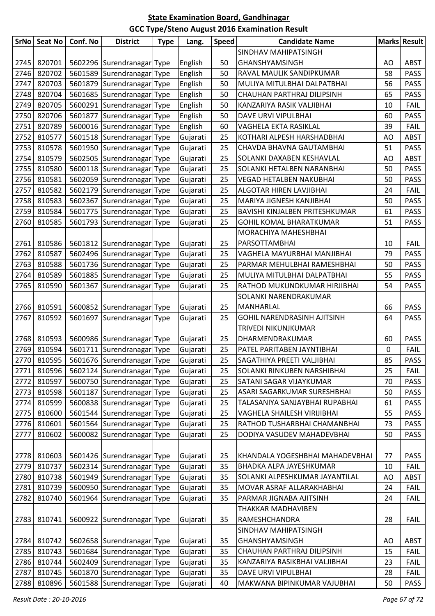| <b>SrNo</b> | <b>Seat No</b> | Conf. No | <b>District</b>                        | <b>Type</b> | Lang.    | <b>Speed</b> | <b>Candidate Name</b>           |    | <b>Marks Result</b> |
|-------------|----------------|----------|----------------------------------------|-------------|----------|--------------|---------------------------------|----|---------------------|
|             |                |          |                                        |             |          |              | SINDHAV MAHIPATSINGH            |    |                     |
| 2745        | 820701         |          | 5602296 Surendranagar Type             |             | English  | 50           | GHANSHYAMSINGH                  | AO | <b>ABST</b>         |
| 2746        | 820702         |          | 5601589 Surendranagar Type             |             | English  | 50           | RAVAL MAULIK SANDIPKUMAR        | 58 | <b>PASS</b>         |
| 2747        | 820703         |          | 5601879 Surendranagar Type             |             | English  | 50           | MULIYA MITULBHAI DALPATBHAI     | 56 | <b>PASS</b>         |
| 2748        | 820704         |          | 5601685 Surendranagar Type             |             | English  | 50           | CHAUHAN PARTHRAJ DILIPSINH      | 65 | <b>PASS</b>         |
| 2749        | 820705         |          | 5600291 Surendranagar Type             |             | English  | 50           | KANZARIYA RASIK VALJIBHAI       | 10 | <b>FAIL</b>         |
| 2750        | 820706         |          | 5601877 Surendranagar Type             |             | English  | 50           | DAVE URVI VIPULBHAI             | 60 | <b>PASS</b>         |
| 2751        | 820789         |          | 5600016 Surendranagar Type             |             | English  | 60           | VAGHELA EKTA RASIKLAL           | 39 | <b>FAIL</b>         |
| 2752        | 810577         |          | 5601518 Surendranagar Type             |             | Gujarati | 25           | KOTHARI ALPESH HARSHADBHAI      | AO | <b>ABST</b>         |
| 2753        | 810578         |          | 5601950 Surendranagar Type             |             | Gujarati | 25           | CHAVDA BHAVNA GAUTAMBHAI        | 51 | <b>PASS</b>         |
| 2754        | 810579         |          | 5602505 Surendranagar Type             |             | Gujarati | 25           | SOLANKI DAXABEN KESHAVLAL       | AO | <b>ABST</b>         |
| 2755        | 810580         |          | 5600118 Surendranagar Type             |             | Gujarati | 25           | SOLANKI HETALBEN NARANBHAI      | 50 | <b>PASS</b>         |
| 2756        | 810581         |          | 5602059 Surendranagar Type             |             | Gujarati | 25           | <b>VEGAD HETALBEN NAKUBHAI</b>  | 50 | PASS                |
| 2757        | 810582         |          | 5602179 Surendranagar Type             |             | Gujarati | 25           | ALGOTAR HIREN LAVJIBHAI         | 24 | <b>FAIL</b>         |
| 2758        | 810583         |          | 5602367 Surendranagar Type             |             | Gujarati | 25           | MARIYA JIGNESH KANJIBHAI        | 50 | <b>PASS</b>         |
| 2759        | 810584         |          | 5601775 Surendranagar Type             |             | Gujarati | 25           | BAVISHI KINJALBEN PRITESHKUMAR  | 61 | <b>PASS</b>         |
| 2760        | 810585         |          | 5601793 Surendranagar Type             |             | Gujarati | 25           | GOHIL KOMAL BHARATKUMAR         | 51 | PASS                |
|             |                |          |                                        |             |          |              | MORACHIYA MAHESHBHAI            |    |                     |
| 2761        | 810586         |          | 5601812 Surendranagar Type             |             | Gujarati | 25           | PARSOTTAMBHAI                   | 10 | <b>FAIL</b>         |
| 2762        | 810587         |          | 5602496 Surendranagar Type             |             | Gujarati | 25           | VAGHELA MAYURBHAI MANJIBHAI     | 79 | <b>PASS</b>         |
| 2763        | 810588         |          | 5601736 Surendranagar Type             |             | Gujarati | 25           | PARMAR MEHULBHAI RAMESHBHAI     | 50 | <b>PASS</b>         |
| 2764        | 810589         |          | 5601885 Surendranagar Type             |             | Gujarati | 25           | MULIYA MITULBHAI DALPATBHAI     | 55 | <b>PASS</b>         |
| 2765        | 810590         |          | 5601367 Surendranagar Type             |             | Gujarati | 25           | RATHOD MUKUNDKUMAR HIRJIBHAI    | 54 | <b>PASS</b>         |
|             |                |          |                                        |             |          |              | SOLANKI NARENDRAKUMAR           |    |                     |
| 2766        | 810591         |          | 5600852 Surendranagar Type             |             | Gujarati | 25           | MANHARLAL                       | 66 | <b>PASS</b>         |
| 2767        | 810592         |          | 5601697 Surendranagar Type             |             | Gujarati | 25           | GOHIL NARENDRASINH AJITSINH     | 64 | <b>PASS</b>         |
|             |                |          |                                        |             |          |              | TRIVEDI NIKUNJKUMAR             |    |                     |
| 2768        | 810593         |          | 5600986 Surendranagar Type             |             | Gujarati | 25           | DHARMENDRAKUMAR                 | 60 | <b>PASS</b>         |
| 2769        | 810594         |          | 5601711 Surendranagar Type             |             | Gujarati | 25           | PATEL PARITABEN JAYNTIBHAI      | 0  | FAIL                |
|             |                |          | 2770 810595 5601676 Surendranagar Type |             | Gujarati | 25           | SAGATHIYA PREETI VALJIBHAI      | 85 | PASS                |
| 2771        | 810596         |          | 5602124 Surendranagar Type             |             | Gujarati | 25           | SOLANKI RINKUBEN NARSHIBHAI     | 25 | <b>FAIL</b>         |
| 2772        | 810597         |          | 5600750 Surendranagar Type             |             | Gujarati | 25           | SATANI SAGAR VIJAYKUMAR         | 70 | <b>PASS</b>         |
| 2773        | 810598         |          | 5601187 Surendranagar Type             |             | Gujarati | 25           | ASARI SAGARKUMAR SURESHBHAI     | 50 | PASS                |
| 2774        | 810599         |          | 5600838 Surendranagar Type             |             | Gujarati | 25           | TALASANIYA SANJAYBHAI RUPABHAI  | 61 | <b>PASS</b>         |
| 2775        | 810600         |          | 5601544 Surendranagar Type             |             | Gujarati | 25           | VAGHELA SHAILESH VIRIJIBHAI     | 55 | <b>PASS</b>         |
| 2776        | 810601         |          | 5601564 Surendranagar Type             |             | Gujarati | 25           | RATHOD TUSHARBHAI CHAMANBHAI    | 73 | PASS                |
| 2777        | 810602         |          | 5600082 Surendranagar Type             |             | Gujarati | 25           | DODIYA VASUDEV MAHADEVBHAI      | 50 | PASS                |
|             |                |          |                                        |             |          |              |                                 |    |                     |
| 2778        | 810603         |          | 5601426 Surendranagar Type             |             | Gujarati | 25           | KHANDALA YOGESHBHAI MAHADEVBHAI | 77 | <b>PASS</b>         |
| 2779        | 810737         |          | 5602314 Surendranagar Type             |             | Gujarati | 35           | BHADKA ALPA JAYESHKUMAR         | 10 | <b>FAIL</b>         |
| 2780        | 810738         |          | 5601949 Surendranagar Type             |             | Gujarati | 35           | SOLANKI ALPESHKUMAR JAYANTILAL  | AO | <b>ABST</b>         |
| 2781        | 810739         |          | 5600950 Surendranagar Type             |             | Gujarati | 35           | MOVAR ASRAF ALLARAKHABHAI       | 24 | <b>FAIL</b>         |
| 2782        | 810740         |          | 5601964 Surendranagar Type             |             | Gujarati | 35           | PARMAR JIGNABA AJITSINH         | 24 | <b>FAIL</b>         |
|             |                |          |                                        |             |          |              | THAKKAR MADHAVIBEN              |    |                     |
| 2783        | 810741         |          | 5600922 Surendranagar Type             |             | Gujarati | 35           | RAMESHCHANDRA                   | 28 | <b>FAIL</b>         |
|             |                |          |                                        |             |          |              | SINDHAV MAHIPATSINGH            |    |                     |
| 2784        | 810742         |          | 5602658 Surendranagar Type             |             | Gujarati | 35           | GHANSHYAMSINGH                  | AO | <b>ABST</b>         |
| 2785        | 810743         |          | 5601684 Surendranagar Type             |             | Gujarati | 35           | CHAUHAN PARTHRAJ DILIPSINH      | 15 | <b>FAIL</b>         |
| 2786        | 810744         |          | 5602409 Surendranagar Type             |             | Gujarati | 35           | KANZARIYA RASIKBHAI VALJIBHAI   | 23 | <b>FAIL</b>         |
| 2787        | 810745         |          | 5601870 Surendranagar Type             |             | Gujarati | 35           | DAVE URVI VIPULBHAI             | 28 | <b>FAIL</b>         |
| 2788        | 810896         |          | 5601588 Surendranagar Type             |             | Gujarati | 40           | MAKWANA BIPINKUMAR VAJUBHAI     | 50 | <b>PASS</b>         |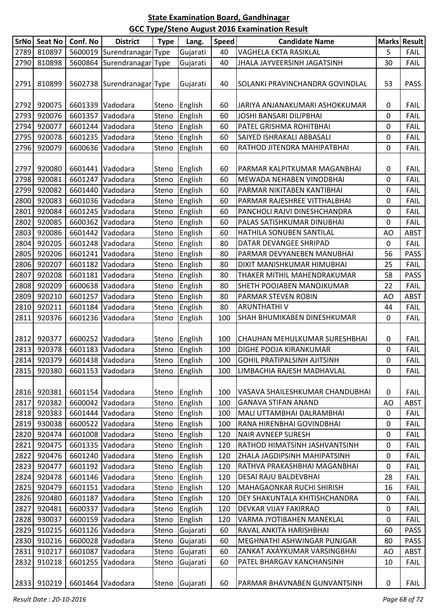|      | SrNo Seat No | Conf. No         | <b>District</b>            | <b>Type</b> | Lang.         | <b>Speed</b> | <b>Candidate Name</b>              |           | <b>Marks Result</b> |
|------|--------------|------------------|----------------------------|-------------|---------------|--------------|------------------------------------|-----------|---------------------|
| 2789 | 810897       |                  | 5600019 Surendranagar Type |             | Gujarati      | 40           | VAGHELA EKTA RASIKLAL              | 5         | <b>FAIL</b>         |
| 2790 | 810898       |                  | 5600864 Surendranagar Type |             | Gujarati      | 40           | JHALA JAYVEERSINH JAGATSINH        | 30        | <b>FAIL</b>         |
|      |              |                  |                            |             |               |              |                                    |           |                     |
| 2791 | 810899       |                  | 5602738 Surendranagar Type |             | Gujarati      | 40           | SOLANKI PRAVINCHANDRA GOVINDLAL    | 53        | <b>PASS</b>         |
|      |              |                  |                            |             |               |              |                                    |           |                     |
| 2792 | 920075       |                  | 6601339 Vadodara           | Steno       | English       | 60           | JARIYA ANJANAKUMARI ASHOKKUMAR     | 0         | <b>FAIL</b>         |
| 2793 | 920076       | 6601357          | Vadodara                   | Steno       | English       | 60           | JOSHI BANSARI DILIPBHAI            | 0         | <b>FAIL</b>         |
| 2794 | 920077       |                  | 6601244 Vadodara           | Steno       | English       | 60           | PATEL GRISHMA ROHITBHAI            | 0         | <b>FAIL</b>         |
| 2795 | 920078       |                  | 6601235 Vadodara           | Steno       | English       | 60           | SAIYED ISHRAKALI ABBASALI          | 0         | <b>FAIL</b>         |
| 2796 | 920079       | 6600636          | Vadodara                   | Steno       | English       | 60           | RATHOD JITENDRA MAHIPATBHAI        | 0         | <b>FAIL</b>         |
|      |              |                  |                            |             |               |              |                                    |           |                     |
| 2797 | 920080       |                  | 6601441 Vadodara           | Steno       | English       | 60           | PARMAR KALPITKUMAR MAGANBHAI       | 0         | <b>FAIL</b>         |
| 2798 | 920081       | 6601247          | Vadodara                   | Steno       | English       | 60           | MEWADA NEHABEN VINODBHAI           | 0         | <b>FAIL</b>         |
| 2799 | 920082       |                  | 6601440 Vadodara           | Steno       | English       | 60           | PARMAR NIKITABEN KANTIBHAI         | 0         | <b>FAIL</b>         |
| 2800 | 920083       |                  | 6601036 Vadodara           | Steno       | English       | 60           | PARMAR RAJESHREE VITTHALBHAI       | 0         | <b>FAIL</b>         |
| 2801 | 920084       |                  | 6601245 Vadodara           | Steno       | English       | 60           | PANCHOLI RAJVI DINESHCHANDRA       | 0         | <b>FAIL</b>         |
| 2802 | 920085       |                  | 6600362 Vadodara           | Steno       | English       | 60           | PALAS SATISHKUMAR DINUBHAI         | 0         | <b>FAIL</b>         |
| 2803 | 920086       |                  | 6601442 Vadodara           | Steno       | English       | 60           | HATHILA SONUBEN SANTILAL           | AO        | <b>ABST</b>         |
| 2804 | 920205       |                  | 6601248 Vadodara           | Steno       | English       | 80           | DATAR DEVANGEE SHRIPAD             | 0         | <b>FAIL</b>         |
| 2805 | 920206       |                  | 6601241 Vadodara           | Steno       | English       | 80           | PARMAR DEVYANEBEN MANUBHAI         | 56        | <b>PASS</b>         |
| 2806 | 920207       |                  | 6601182 Vadodara           | Steno       | English       | 80           | DIXIT MANISHKUMAR HIMUBHAI         | 25        | <b>FAIL</b>         |
| 2807 | 920208       |                  | 6601181 Vadodara           | Steno       | English       | 80           | THAKER MITHIL MAHENDRAKUMAR        | 58        | <b>PASS</b>         |
| 2808 | 920209       |                  | 6600638 Vadodara           | Steno       | English       | 80           | SHETH POOJABEN MANOJKUMAR          | 22        | <b>FAIL</b>         |
| 2809 | 920210       | 6601257          | Vadodara                   | Steno       | English       | 80           | PARMAR STEVEN ROBIN                | AO        | <b>ABST</b>         |
| 2810 | 920211       | 6601184          | Vadodara                   | Steno       | English       | 80           | <b>ARUNTHATHIV</b>                 | 44        | <b>FAIL</b>         |
| 2811 | 920376       |                  | 6601236 Vadodara           | Steno       | English       | 100          | SHAH BHUMIKABEN DINESHKUMAR        | 0         | FAIL                |
|      |              |                  |                            |             |               |              |                                    |           |                     |
| 2812 | 920377       |                  | 6600252 Vadodara           | Steno       | English       | 100          | CHAUHAN MEHULKUMAR SURESHBHAI      | 0         | <b>FAIL</b>         |
| 2813 | 920378       |                  | 6601183 Vadodara           | Steno       | English       | 100          | DIGHE POOJA KIRANKUMAR             | 0         | FAIL                |
|      | 2814 920379  |                  | 6601438 Vadodara           |             | Steno English | 100          | <b>GOHIL PRATIPALSINH AJITSINH</b> | 0         | <b>FAIL</b>         |
| 2815 | 920380       |                  | 6601153 Vadodara           | Steno       | English       | 100          | LIMBACHIA RAJESH MADHAVLAL         | 0         | <b>FAIL</b>         |
|      |              |                  |                            |             |               |              |                                    |           |                     |
| 2816 | 920381       |                  | 6601154 Vadodara           | Steno       | English       | 100          | VASAVA SHAILESHKUMAR CHANDUBHAI    | 0         | <b>FAIL</b>         |
| 2817 | 920382       |                  | 6600042 Vadodara           | Steno       | English       | 100          | <b>GANAVA STIFAN ANAND</b>         | AO        | <b>ABST</b>         |
| 2818 | 920383       |                  | 6601444 Vadodara           | Steno       | English       | 100          | MALI UTTAMBHAI DALRAMBHAI          | 0         | <b>FAIL</b>         |
| 2819 | 930038       |                  | 6600522 Vadodara           | Steno       | English       | 100          | RANA HIRENBHAI GOVINDBHAI          | 0         | <b>FAIL</b>         |
| 2820 | 920474       |                  | 6601008 Vadodara           | Steno       | English       | 120          | <b>NAIR AVNEEP SURESH</b>          | 0         | <b>FAIL</b>         |
| 2821 | 920475       |                  | 6601335 Vadodara           | Steno       | English       | 120          | RATHOD HIMATSINH JASHVANTSINH      | 0         | <b>FAIL</b>         |
| 2822 | 920476       |                  | 6601240 Vadodara           | Steno       | English       | 120          | ZHALA JAGDIPSINH MAHIPATSINH       | 0         | <b>FAIL</b>         |
| 2823 | 920477       |                  | 6601192 Vadodara           | Steno       | English       | 120          | RATHVA PRAKASHBHAI MAGANBHAI       | $\pmb{0}$ | <b>FAIL</b>         |
| 2824 | 920478       |                  | 6601146 Vadodara           | Steno       | English       | 120          | DESAI RAJU BALDEVBHAI              | 28        | <b>FAIL</b>         |
| 2825 | 920479       |                  | 6601151 Vadodara           | Steno       | English       | 120          | MAHAGAONKAR RUCHI SHIRISH          | 16        | <b>FAIL</b>         |
| 2826 | 920480       |                  | 6601187 Vadodara           | Steno       | English       | 120          | DEY SHAKUNTALA KHITISHCHANDRA      | 0         | <b>FAIL</b>         |
| 2827 | 920481       |                  | 6600337 Vadodara           | Steno       | English       | 120          | DEVKAR VIJAY FAKIRRAO              | 0         | <b>FAIL</b>         |
| 2828 | 930037       |                  | 6600159 Vadodara           | Steno       | English       | 120          | VARMA JYOTIBAHEN MANEKLAL          | 0         | <b>FAIL</b>         |
| 2829 | 910215       |                  | 6601126 Vadodara           | Steno       | Gujarati      | 60           | RAVAL ANKITA HARISHBHAI            | 60        | <b>PASS</b>         |
| 2830 | 910216       |                  | 6600028 Vadodara           | Steno       | Gujarati      | 60           | MEGHNATHI ASHWINGAR PUNJGAR        | 80        | <b>PASS</b>         |
| 2831 | 910217       |                  | 6601087 Vadodara           | Steno       | Gujarati      | 60           | ZANKAT AXAYKUMAR VARSINGBHAI       | AO        | <b>ABST</b>         |
| 2832 | 910218       |                  | 6601255 Vadodara           | Steno       | Gujarati      | 60           | PATEL BHARGAV KANCHANSINH          | 10        | <b>FAIL</b>         |
|      |              |                  |                            |             |               |              |                                    |           |                     |
|      | 2833 910219  | 6601464 Vadodara |                            | Steno       | Gujarati      | 60           | PARMAR BHAVNABEN GUNVANTSINH       | $\pmb{0}$ | <b>FAIL</b>         |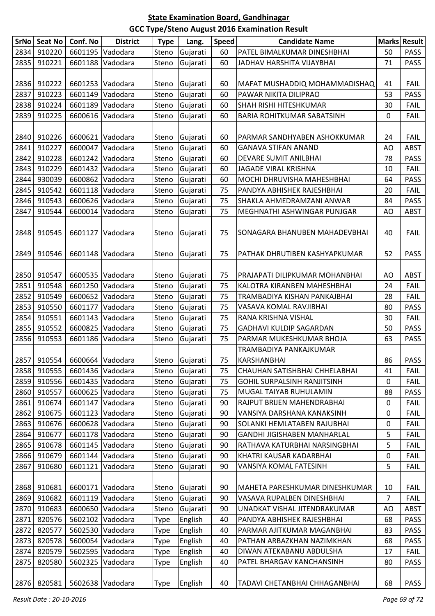| <b>SrNo</b> | <b>Seat No</b> | Conf. No                     | <b>District</b>  | <b>Type</b> | Lang.          | <b>Speed</b> | <b>Candidate Name</b>              |                | Marks Result |
|-------------|----------------|------------------------------|------------------|-------------|----------------|--------------|------------------------------------|----------------|--------------|
| 2834        | 910220         | 6601195                      | Vadodara         | Steno       | Gujarati       | 60           | PATEL BIMALKUMAR DINESHBHAI        | 50             | <b>PASS</b>  |
| 2835        | 910221         |                              | 6601188 Vadodara | Steno       | Gujarati       | 60           | JADHAV HARSHITA VIJAYBHAI          | 71             | <b>PASS</b>  |
|             |                |                              |                  |             |                |              |                                    |                |              |
| 2836        | 910222         |                              | 6601253 Vadodara | Steno       | Gujarati       | 60           | MAFAT MUSHADDIQ MOHAMMADISHAQ      | 41             | <b>FAIL</b>  |
| 2837        | 910223         | 6601149                      | Vadodara         | Steno       | Gujarati       | 60           | PAWAR NIKITA DILIPRAO              | 53             | <b>PASS</b>  |
| 2838        | 910224         | 6601189                      | Vadodara         | Steno       | Gujarati       | 60           | SHAH RISHI HITESHKUMAR             | 30             | <b>FAIL</b>  |
| 2839        | 910225         | 6600616                      | Vadodara         | Steno       | Gujarati       | 60           | BARIA ROHITKUMAR SABATSINH         | $\mathbf 0$    | <b>FAIL</b>  |
|             |                |                              |                  |             |                |              |                                    |                |              |
| 2840        | 910226         |                              | 6600621 Vadodara | Steno       | Gujarati       | 60           | PARMAR SANDHYABEN ASHOKKUMAR       | 24             | <b>FAIL</b>  |
| 2841        | 910227         | 6600047                      | Vadodara         | Steno       | Gujarati       | 60           | <b>GANAVA STIFAN ANAND</b>         | AO             | <b>ABST</b>  |
| 2842        | 910228         | 6601242                      | Vadodara         | Steno       | Gujarati       | 60           | DEVARE SUMIT ANILBHAI              | 78             | <b>PASS</b>  |
| 2843        | 910229         |                              | 6601432 Vadodara | Steno       | Gujarati       | 60           | <b>JAGADE VIRAL KRISHNA</b>        | 10             | <b>FAIL</b>  |
| 2844        | 930039         |                              | 6600862 Vadodara | Steno       | Gujarati       | 60           | MOCHI DHRUVISHA MAHESHBHAI         | 64             | <b>PASS</b>  |
| 2845        | 910542         |                              | 6601118 Vadodara | Steno       | Gujarati       | 75           | PANDYA ABHISHEK RAJESHBHAI         | 20             | <b>FAIL</b>  |
| 2846        | 910543         | 6600626                      | Vadodara         | Steno       | Gujarati       | 75           | SHAKLA AHMEDRAMZANI ANWAR          | 84             | <b>PASS</b>  |
| 2847        | 910544         | 6600014                      | Vadodara         | Steno       | Gujarati       | 75           | MEGHNATHI ASHWINGAR PUNJGAR        | AO             | <b>ABST</b>  |
|             |                |                              |                  |             |                |              |                                    |                |              |
| 2848        | 910545         |                              | 6601127 Vadodara | Steno       | Gujarati       | 75           | SONAGARA BHANUBEN MAHADEVBHAI      | 40             | <b>FAIL</b>  |
|             |                |                              |                  |             |                |              |                                    |                |              |
| 2849        | 910546         |                              | 6601148 Vadodara | Steno       | Gujarati       | 75           | PATHAK DHRUTIBEN KASHYAPKUMAR      | 52             | PASS         |
|             |                |                              |                  |             |                |              |                                    |                |              |
| 2850        | 910547         |                              | 6600535 Vadodara | Steno       | Gujarati       | 75           | PRAJAPATI DILIPKUMAR MOHANBHAI     | AO             | ABST         |
| 2851        | 910548         |                              | 6601250 Vadodara | Steno       | Gujarati       | 75           | KALOTRA KIRANBEN MAHESHBHAI        | 24             | <b>FAIL</b>  |
| 2852        | 910549         |                              | 6600652 Vadodara | Steno       | Gujarati       | 75           | TRAMBADIYA KISHAN PANKAJBHAI       | 28             | <b>FAIL</b>  |
| 2853        | 910550         | 6601177                      | Vadodara         | Steno       | Gujarati       | 75           | VASAVA KOMAL RAVJIBHAI             | 80             | <b>PASS</b>  |
| 2854        | 910551         |                              | 6601143 Vadodara | Steno       | Gujarati       | 75           | RANA KRISHNA VISHAL                | 30             | <b>FAIL</b>  |
| 2855        | 910552         |                              | 6600825 Vadodara | Steno       | Gujarati       | 75           | <b>GADHAVI KULDIP SAGARDAN</b>     | 50             | <b>PASS</b>  |
| 2856        | 910553         | 6601186                      | Vadodara         | Steno       | Gujarati       | 75           | PARMAR MUKESHKUMAR BHOJA           | 63             | <b>PASS</b>  |
|             |                |                              |                  |             |                |              | TRAMBADIYA PANKAJKUMAR             |                |              |
|             |                | 2857 910554 6600664 Vadodara |                  |             | Steno Gujarati | 75           | KARSHANBHAI                        | 86             | <b>PASS</b>  |
| 2858        | 910555         |                              | 6601436 Vadodara | Steno       | Gujarati       | 75           | CHAUHAN SATISHBHAI CHHELABHAI      | 41             | <b>FAIL</b>  |
| 2859        | 910556         |                              | 6601435 Vadodara | Steno       | Gujarati       | 75           | <b>GOHIL SURPALSINH RANJITSINH</b> | 0              | <b>FAIL</b>  |
| 2860        | 910557         |                              | 6600625 Vadodara | Steno       | Gujarati       | 75           | MUGAL TAIYAB RUHULAMIN             | 88             | <b>PASS</b>  |
| 2861        | 910674         |                              | 6601147 Vadodara | Steno       | Gujarati       | 90           | RAJPUT BRIJEN MAHENDRABHAI         | 0              | <b>FAIL</b>  |
| 2862        | 910675         |                              | 6601123 Vadodara | Steno       | Gujarati       | 90           | VANSIYA DARSHANA KANAKSINH         | 0              | <b>FAIL</b>  |
| 2863        | 910676         |                              | 6600628 Vadodara | Steno       | Gujarati       | 90           | SOLANKI HEMLATABEN RAJUBHAI        | 0              | <b>FAIL</b>  |
| 2864        | 910677         |                              | 6601178 Vadodara | Steno       | Gujarati       | 90           | <b>GANDHI JIGISHABEN MANHARLAL</b> | 5              | <b>FAIL</b>  |
| 2865        | 910678         |                              | 6601145 Vadodara | Steno       | Gujarati       | 90           | RATHAVA KATURBHAI NARSINGBHAI      | 5              | <b>FAIL</b>  |
| 2866        | 910679         |                              | 6601144 Vadodara | Steno       | Gujarati       | 90           | KHATRI KAUSAR KADARBHAI            | 0              | <b>FAIL</b>  |
| 2867        | 910680         |                              | 6601121 Vadodara | Steno       | Gujarati       | 90           | VANSIYA KOMAL FATESINH             | 5              | <b>FAIL</b>  |
|             |                |                              |                  |             |                |              |                                    |                |              |
| 2868        | 910681         |                              | 6600171 Vadodara | Steno       | Gujarati       | 90           | MAHETA PARESHKUMAR DINESHKUMAR     | 10             | <b>FAIL</b>  |
| 2869        | 910682         |                              | 6601119 Vadodara | Steno       | Gujarati       | 90           | VASAVA RUPALBEN DINESHBHAI         | $\overline{7}$ | <b>FAIL</b>  |
| 2870        | 910683         |                              | 6600650 Vadodara | Steno       | Gujarati       | 90           | UNADKAT VISHAL JITENDRAKUMAR       | AO             | <b>ABST</b>  |
| 2871        | 820576         |                              | 5602102 Vadodara | Type        | English        | 40           | PANDYA ABHISHEK RAJESHBHAI         | 68             | PASS         |
| 2872        | 820577         |                              | 5602530 Vadodara | Type        | English        | 40           | PARMAR AJITKUMAR MAGANBHAI         | 83             | <b>PASS</b>  |
| 2873        | 820578         |                              | 5600054 Vadodara | Type        | English        | 40           | PATHAN ARBAZKHAN NAZIMKHAN         | 68             | <b>PASS</b>  |
| 2874        | 820579         |                              | 5602595 Vadodara | Type        | English        | 40           | DIWAN ATEKABANU ABDULSHA           | 17             | <b>FAIL</b>  |
| 2875        | 820580         |                              | 5602325 Vadodara | Type        | English        | 40           | PATEL BHARGAV KANCHANSINH          | 80             | <b>PASS</b>  |
|             |                |                              |                  |             |                |              |                                    |                |              |
|             |                | 2876 820581 5602638 Vadodara |                  | Type        | English        | 40           | TADAVI CHETANBHAI CHHAGANBHAI      | 68             | <b>PASS</b>  |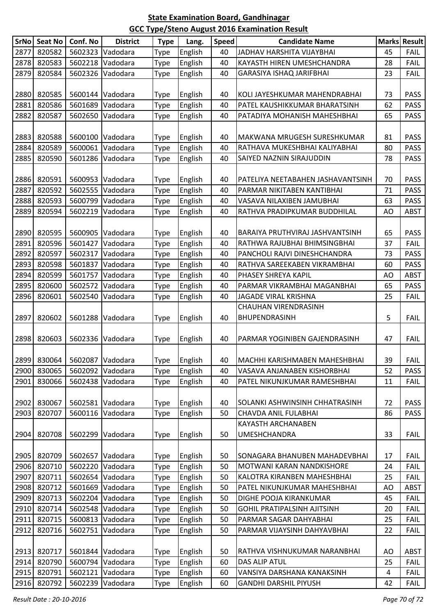| <b>SrNo</b> | <b>Seat No</b> | Conf. No                     | <b>District</b>  | <b>Type</b> | Lang.   | Speed | <b>Candidate Name</b>             |    | Marks Result |
|-------------|----------------|------------------------------|------------------|-------------|---------|-------|-----------------------------------|----|--------------|
| 2877        | 820582         | 5602323                      | Vadodara         | Type        | English | 40    | JADHAV HARSHITA VIJAYBHAI         | 45 | <b>FAIL</b>  |
| 2878        | 820583         | 5602218                      | Vadodara         | Type        | English | 40    | KAYASTH HIREN UMESHCHANDRA        | 28 | <b>FAIL</b>  |
| 2879        | 820584         | 5602326                      | Vadodara         | <b>Type</b> | English | 40    | GARASIYA ISHAQ JARIFBHAI          | 23 | <b>FAIL</b>  |
|             |                |                              |                  |             |         |       |                                   |    |              |
| 2880        | 820585         |                              | 5600144 Vadodara | <b>Type</b> | English | 40    | KOLI JAYESHKUMAR MAHENDRABHAI     | 73 | <b>PASS</b>  |
| 2881        | 820586         | 5601689                      | Vadodara         | Type        | English | 40    | PATEL KAUSHIKKUMAR BHARATSINH     | 62 | <b>PASS</b>  |
| 2882        | 820587         | 5602650                      | Vadodara         | Type        | English | 40    | PATADIYA MOHANISH MAHESHBHAI      | 65 | <b>PASS</b>  |
|             |                |                              |                  |             |         |       |                                   |    |              |
| 2883        | 820588         | 5600100                      | Vadodara         | <b>Type</b> | English | 40    | MAKWANA MRUGESH SURESHKUMAR       | 81 | <b>PASS</b>  |
| 2884        | 820589         | 5600061                      | Vadodara         | Type        | English | 40    | RATHAVA MUKESHBHAI KALIYABHAI     | 80 | <b>PASS</b>  |
| 2885        | 820590         | 5601286                      | Vadodara         | <b>Type</b> | English | 40    | SAIYED NAZNIN SIRAJUDDIN          | 78 | <b>PASS</b>  |
|             |                |                              |                  |             |         |       |                                   |    |              |
| 2886        | 820591         | 5600953                      | Vadodara         | <b>Type</b> | English | 40    | PATELIYA NEETABAHEN JASHAVANTSINH | 70 | <b>PASS</b>  |
| 2887        | 820592         | 5602555                      | Vadodara         | Type        | English | 40    | PARMAR NIKITABEN KANTIBHAI        | 71 | <b>PASS</b>  |
| 2888        | 820593         | 5600799                      | Vadodara         | Type        | English | 40    | VASAVA NILAXIBEN JAMUBHAI         | 63 | <b>PASS</b>  |
| 2889        | 820594         | 5602219                      | Vadodara         | Type        | English | 40    | RATHVA PRADIPKUMAR BUDDHILAL      | AO | <b>ABST</b>  |
|             |                |                              |                  |             |         |       |                                   |    |              |
| 2890        | 820595         | 5600905                      | Vadodara         | Type        | English | 40    | BARAIYA PRUTHVIRAJ JASHVANTSINH   | 65 | <b>PASS</b>  |
| 2891        | 820596         | 5601427                      | Vadodara         | Type        | English | 40    | RATHWA RAJUBHAI BHIMSINGBHAI      | 37 | <b>FAIL</b>  |
| 2892        | 820597         | 5602317                      | Vadodara         | <b>Type</b> | English | 40    | PANCHOLI RAJVI DINESHCHANDRA      | 73 | <b>PASS</b>  |
| 2893        | 820598         | 5601837                      | Vadodara         | <b>Type</b> | English | 40    | RATHVA SAREEKABEN VIKRAMBHAI      | 60 | <b>PASS</b>  |
| 2894        | 820599         | 5601757                      | Vadodara         | <b>Type</b> | English | 40    | PHASEY SHREYA KAPIL               | AO | <b>ABST</b>  |
| 2895        | 820600         | 5602572                      | Vadodara         | <b>Type</b> | English | 40    | PARMAR VIKRAMBHAI MAGANBHAI       | 65 | <b>PASS</b>  |
| 2896        | 820601         | 5602540                      | Vadodara         | Type        | English | 40    | <b>JAGADE VIRAL KRISHNA</b>       | 25 | <b>FAIL</b>  |
|             |                |                              |                  |             |         |       | <b>CHAUHAN VIRENDRASINH</b>       |    |              |
| 2897        | 820602         |                              | 5601288 Vadodara | <b>Type</b> | English | 40    | BHUPENDRASINH                     | 5  | <b>FAIL</b>  |
|             |                |                              |                  |             |         |       |                                   |    |              |
| 2898        | 820603         |                              | 5602336 Vadodara | <b>Type</b> | English | 40    | PARMAR YOGINIBEN GAJENDRASINH     | 47 | <b>FAIL</b>  |
|             |                |                              |                  |             |         |       |                                   |    |              |
|             |                | 2899 830064 5602087 Vadodara |                  | <b>Type</b> | English | 40    | MACHHI KARISHMABEN MAHESHBHAI     | 39 | <b>FAIL</b>  |
| 2900        | 830065         |                              | 5602092 Vadodara | Type        | English | 40    | VASAVA ANJANABEN KISHORBHAI       | 52 | <b>PASS</b>  |
| 2901        | 830066         | 5602438                      | Vadodara         | <b>Type</b> | English | 40    | PATEL NIKUNJKUMAR RAMESHBHAI      | 11 | <b>FAIL</b>  |
|             |                |                              |                  |             |         |       |                                   |    |              |
| 2902        | 830067         |                              | 5602581 Vadodara | <b>Type</b> | English | 40    | SOLANKI ASHWINSINH CHHATRASINH    | 72 | <b>PASS</b>  |
| 2903        | 820707         | 5600116                      | Vadodara         | Type        | English | 50    | CHAVDA ANIL FULABHAI              | 86 | <b>PASS</b>  |
|             |                |                              |                  |             |         |       | KAYASTH ARCHANABEN                |    |              |
| 2904        | 820708         | 5602299                      | Vadodara         | <b>Type</b> | English | 50    | <b>UMESHCHANDRA</b>               | 33 | <b>FAIL</b>  |
|             |                |                              |                  |             |         |       |                                   |    |              |
| 2905        | 820709         |                              | 5602657 Vadodara | <b>Type</b> | English | 50    | SONAGARA BHANUBEN MAHADEVBHAI     | 17 | <b>FAIL</b>  |
| 2906        | 820710         | 5602220                      | Vadodara         | Type        | English | 50    | MOTWANI KARAN NANDKISHORE         | 24 | <b>FAIL</b>  |
| 2907        | 820711         | 5602654                      | Vadodara         | Type        | English | 50    | KALOTRA KIRANBEN MAHESHBHAI       | 25 | <b>FAIL</b>  |
| 2908        | 820712         | 5601669                      | Vadodara         | <b>Type</b> | English | 50    | PATEL NIKUNJKUMAR MAHESHBHAI      | AO | <b>ABST</b>  |
| 2909        | 820713         | 5602204                      | Vadodara         | Type        | English | 50    | DIGHE POOJA KIRANKUMAR            | 45 | <b>FAIL</b>  |
| 2910        | 820714         | 5602548                      | Vadodara         | Type        | English | 50    | GOHIL PRATIPALSINH AJITSINH       | 20 | <b>FAIL</b>  |
| 2911        | 820715         | 5600813                      | Vadodara         | Type        | English | 50    | PARMAR SAGAR DAHYABHAI            | 25 | <b>FAIL</b>  |
| 2912        | 820716         | 5602751                      | Vadodara         | <b>Type</b> | English | 50    | PARMAR VIJAYSINH DAHYAVBHAI       | 22 | <b>FAIL</b>  |
|             |                |                              |                  |             |         |       |                                   |    |              |
| 2913        | 820717         |                              | 5601844 Vadodara | Type        | English | 50    | RATHVA VISHNUKUMAR NARANBHAI      | AO | <b>ABST</b>  |
| 2914        | 820790         | 5600794                      | Vadodara         | Type        | English | 60    | <b>DAS ALIP ATUL</b>              | 25 | <b>FAIL</b>  |
| 2915        | 820791         | 5602121                      | Vadodara         | Type        | English | 60    | VANSIYA DARSHANA KANAKSINH        | 4  | <b>FAIL</b>  |
| 2916        | 820792         | 5602239                      | Vadodara         | Type        | English | 60    | <b>GANDHI DARSHIL PIYUSH</b>      | 42 | FAIL         |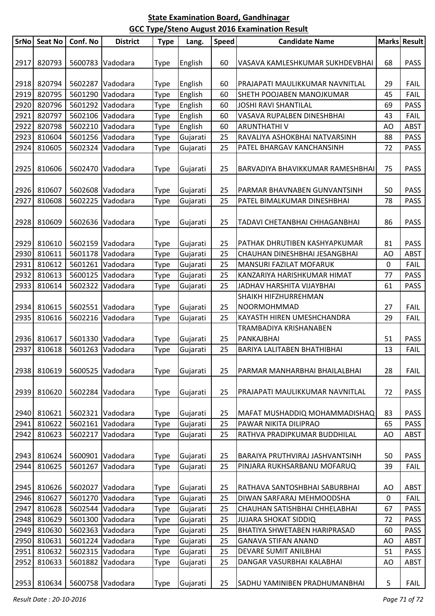| SrNo | <b>Seat No</b> | Conf. No | <b>District</b>  | <b>Type</b> | Lang.    | <b>Speed</b> | <b>Candidate Name</b>            |             | Marks Result |
|------|----------------|----------|------------------|-------------|----------|--------------|----------------------------------|-------------|--------------|
|      |                |          |                  |             |          |              |                                  |             |              |
| 2917 | 820793         |          | 5600783 Vadodara | Type        | English  | 60           | VASAVA KAMLESHKUMAR SUKHDEVBHAI  | 68          | <b>PASS</b>  |
| 2918 | 820794         | 5602287  | Vadodara         | Type        | English  | 60           | PRAJAPATI MAULIKKUMAR NAVNITLAL  | 29          | <b>FAIL</b>  |
| 2919 | 820795         | 5601290  | Vadodara         | Type        | English  | 60           | SHETH POOJABEN MANOJKUMAR        | 45          | <b>FAIL</b>  |
| 2920 | 820796         | 5601292  | Vadodara         | Type        | English  | 60           | <b>JOSHI RAVI SHANTILAL</b>      | 69          | <b>PASS</b>  |
| 2921 | 820797         | 5602106  | Vadodara         | Type        | English  | 60           | VASAVA RUPALBEN DINESHBHAI       | 43          | <b>FAIL</b>  |
| 2922 | 820798         | 5602210  | Vadodara         | Type        | English  | 60           | ARUNTHATHI V                     | AO          | <b>ABST</b>  |
| 2923 | 810604         | 5601256  | Vadodara         | Type        | Gujarati | 25           | RAVALIYA ASHOKBHAI NATVARSINH    | 88          | <b>PASS</b>  |
| 2924 | 810605         | 5602324  | Vadodara         | Type        | Gujarati | 25           | PATEL BHARGAV KANCHANSINH        | 72          | <b>PASS</b>  |
|      |                |          |                  |             |          |              |                                  |             |              |
| 2925 | 810606         |          | 5602470 Vadodara | Type        | Gujarati | 25           | BARVADIYA BHAVIKKUMAR RAMESHBHAI | 75          | <b>PASS</b>  |
| 2926 | 810607         |          | 5602608 Vadodara | Type        | Gujarati | 25           | PARMAR BHAVNABEN GUNVANTSINH     | 50          | <b>PASS</b>  |
| 2927 | 810608         | 5602225  | Vadodara         | Type        | Gujarati | 25           | PATEL BIMALKUMAR DINESHBHAI      | 78          | <b>PASS</b>  |
|      |                |          |                  |             |          |              |                                  |             |              |
| 2928 | 810609         |          | 5602636 Vadodara | Type        | Gujarati | 25           | TADAVI CHETANBHAI CHHAGANBHAI    | 86          | <b>PASS</b>  |
| 2929 | 810610         |          | 5602159 Vadodara | Type        | Gujarati | 25           | PATHAK DHRUTIBEN KASHYAPKUMAR    | 81          | <b>PASS</b>  |
| 2930 | 810611         | 5601178  | Vadodara         | Type        | Gujarati | 25           | CHAUHAN DINESHBHAI JESANGBHAI    | AO          | <b>ABST</b>  |
| 2931 | 810612         | 5601261  | Vadodara         | Type        | Gujarati | 25           | MANSURI FAZILAT MOFARUK          | $\mathbf 0$ | <b>FAIL</b>  |
| 2932 | 810613         | 5600125  | Vadodara         | Type        | Gujarati | 25           | KANZARIYA HARISHKUMAR HIMAT      | 77          | <b>PASS</b>  |
| 2933 | 810614         | 5602322  | Vadodara         | Type        | Gujarati | 25           | JADHAV HARSHITA VIJAYBHAI        | 61          | <b>PASS</b>  |
|      |                |          |                  |             |          |              | SHAIKH HIFZHURREHMAN             |             |              |
| 2934 | 810615         |          | 5602551 Vadodara | Type        | Gujarati | 25           | NOORMOHMMAD                      | 27          | <b>FAIL</b>  |
| 2935 | 810616         | 5602216  | Vadodara         | Type        | Gujarati | 25           | KAYASTH HIREN UMESHCHANDRA       | 29          | FAIL         |
|      |                |          |                  |             |          |              | TRAMBADIYA KRISHANABEN           |             |              |
| 2936 | 810617         |          | 5601330 Vadodara | Type        | Gujarati | 25           | PANKAJBHAI                       | 51          | <b>PASS</b>  |
| 2937 | 810618         | 5601263  | Vadodara         | Type        | Gujarati | 25           | BARIYA LALITABEN BHATHIBHAI      | 13          | <b>FAIL</b>  |
|      |                |          |                  |             |          |              |                                  |             |              |
| 2938 | 810619         |          | 5600525 Vadodara | Type        | Gujarati | 25           | PARMAR MANHARBHAI BHAILALBHAI    | 28          | <b>FAIL</b>  |
| 2939 | 810620         |          | 5602284 Vadodara | Type        | Gujarati | 25           | PRAJAPATI MAULIKKUMAR NAVNITLAL  | 72          | <b>PASS</b>  |
|      |                |          |                  |             |          |              |                                  |             |              |
| 2940 | 810621         |          | 5602321 Vadodara | Type        | Gujarati | 25           | MAFAT MUSHADDIQ MOHAMMADISHAQ    | 83          | <b>PASS</b>  |
| 2941 | 810622         | 5602161  | Vadodara         | Type        | Gujarati | 25           | PAWAR NIKITA DILIPRAO            | 65          | <b>PASS</b>  |
| 2942 | 810623         | 5602217  | Vadodara         | Type        | Gujarati | 25           | RATHVA PRADIPKUMAR BUDDHILAL     | AO          | <b>ABST</b>  |
| 2943 | 810624         |          | 5600901 Vadodara | <b>Type</b> | Gujarati | 25           | BARAIYA PRUTHVIRAJ JASHVANTSINH  | 50          | <b>PASS</b>  |
| 2944 | 810625         | 5601267  | Vadodara         | Type        | Gujarati | 25           | PINJARA RUKHSARBANU MOFARUQ      | 39          | <b>FAIL</b>  |
|      |                |          |                  |             |          |              |                                  |             |              |
| 2945 | 810626         | 5602027  | Vadodara         | Type        | Gujarati | 25           | RATHAVA SANTOSHBHAI SABURBHAI    | AO          | <b>ABST</b>  |
| 2946 | 810627         | 5601270  | Vadodara         | Type        | Gujarati | 25           | DIWAN SARFARAJ MEHMOODSHA        | 0           | <b>FAIL</b>  |
| 2947 | 810628         |          | 5602544 Vadodara | Type        | Gujarati | 25           | CHAUHAN SATISHBHAI CHHELABHAI    | 67          | <b>PASS</b>  |
| 2948 | 810629         | 5601300  | Vadodara         | Type        | Gujarati | 25           | <b>JUJARA SHOKAT SIDDIQ</b>      | 72          | <b>PASS</b>  |
| 2949 | 810630         | 5602363  | Vadodara         | Type        | Gujarati | 25           | BHATIYA SHWETABEN HARIPRASAD     | 60          | <b>PASS</b>  |
| 2950 | 810631         | 5601224  | Vadodara         | Type        | Gujarati | 25           | <b>GANAVA STIFAN ANAND</b>       | AO          | <b>ABST</b>  |
| 2951 | 810632         | 5602315  | Vadodara         | Type        | Gujarati | 25           | DEVARE SUMIT ANILBHAI            | 51          | <b>PASS</b>  |
| 2952 | 810633         | 5601882  | Vadodara         | Type        | Gujarati | 25           | DANGAR VASURBHAI KALABHAI        | AO          | <b>ABST</b>  |
| 2953 | 810634         |          | 5600758 Vadodara | Type        | Gujarati | 25           | SADHU YAMINIBEN PRADHUMANBHAI    | 5           | <b>FAIL</b>  |